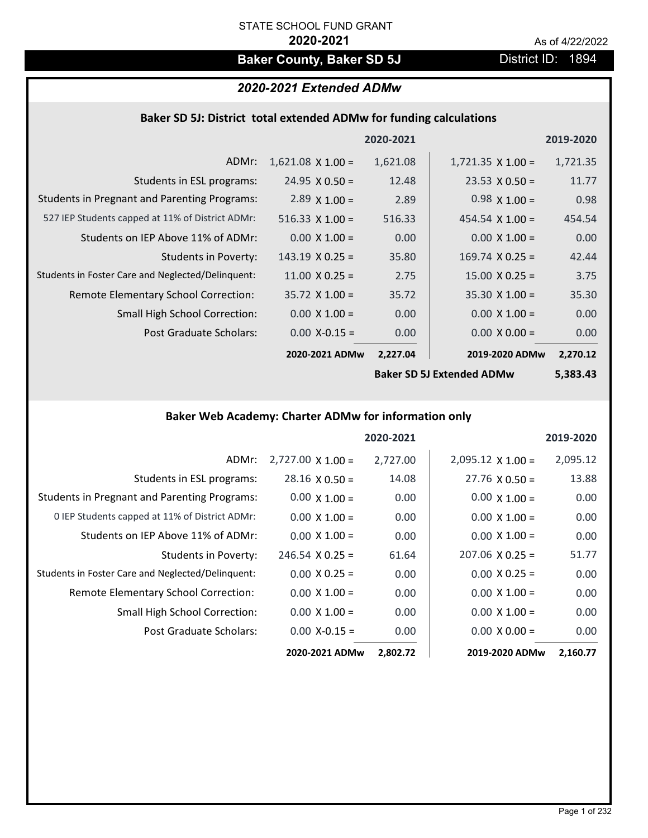## **Baker County, Baker SD 5J** District ID: 1894

## *2020-2021 Extended ADMw*

## **Baker SD 5J: District total extended ADMw for funding calculations**

|                                                     |                        | 2020-2021 |                          | 2019-2020 |
|-----------------------------------------------------|------------------------|-----------|--------------------------|-----------|
| ADMr:                                               | $1,621.08$ X 1.00 =    | 1,621.08  | $1,721.35 \times 1.00 =$ | 1,721.35  |
| Students in ESL programs:                           | $24.95 \times 0.50 =$  | 12.48     | $23.53 \times 0.50 =$    | 11.77     |
| <b>Students in Pregnant and Parenting Programs:</b> | $2.89 \times 1.00 =$   | 2.89      | $0.98 \times 1.00 =$     | 0.98      |
| 527 IEP Students capped at 11% of District ADMr:    | $516.33 \times 1.00 =$ | 516.33    | 454.54 $\times$ 1.00 =   | 454.54    |
| Students on IEP Above 11% of ADMr:                  | $0.00 \times 1.00 =$   | 0.00      | $0.00 \times 1.00 =$     | 0.00      |
| <b>Students in Poverty:</b>                         | $143.19 \times 0.25 =$ | 35.80     | $169.74 \times 0.25 =$   | 42.44     |
| Students in Foster Care and Neglected/Delinquent:   | $11.00 \times 0.25 =$  | 2.75      | $15.00 \times 0.25 =$    | 3.75      |
| Remote Elementary School Correction:                | $35.72$ X 1.00 =       | 35.72     | $35.30 \times 1.00 =$    | 35.30     |
| <b>Small High School Correction:</b>                | $0.00 \times 1.00 =$   | 0.00      | $0.00 \times 1.00 =$     | 0.00      |
| Post Graduate Scholars:                             | $0.00$ X-0.15 =        | 0.00      | $0.00 \times 0.00 =$     | 0.00      |
|                                                     | 2020-2021 ADMw         | 2,227.04  | 2019-2020 ADMw           | 2,270.12  |
|                                                     |                        |           |                          |           |

**Baker SD 5J Extended ADMw**

**5,383.43**

## **Baker Web Academy: Charter ADMw for information only**

|                                                     |                          | 2020-2021 |                          | 2019-2020 |
|-----------------------------------------------------|--------------------------|-----------|--------------------------|-----------|
| ADMr:                                               | $2,727.00 \times 1.00 =$ | 2,727.00  | $2,095.12 \times 1.00 =$ | 2,095.12  |
| Students in ESL programs:                           | $28.16 \times 0.50 =$    | 14.08     | $27.76 \times 0.50 =$    | 13.88     |
| <b>Students in Pregnant and Parenting Programs:</b> | $0.00 \times 1.00 =$     | 0.00      | $0.00 \times 1.00 =$     | 0.00      |
| 0 IEP Students capped at 11% of District ADMr:      | $0.00 \times 1.00 =$     | 0.00      | $0.00 \times 1.00 =$     | 0.00      |
| Students on IEP Above 11% of ADMr:                  | $0.00 \times 1.00 =$     | 0.00      | $0.00 \times 1.00 =$     | 0.00      |
| Students in Poverty:                                | $246.54 \times 0.25 =$   | 61.64     | $207.06 \times 0.25 =$   | 51.77     |
| Students in Foster Care and Neglected/Delinquent:   | $0.00 \times 0.25 =$     | 0.00      | $0.00 \times 0.25 =$     | 0.00      |
| Remote Elementary School Correction:                | $0.00 \times 1.00 =$     | 0.00      | $0.00 \times 1.00 =$     | 0.00      |
| <b>Small High School Correction:</b>                | $0.00 \times 1.00 =$     | 0.00      | $0.00 \times 1.00 =$     | 0.00      |
| Post Graduate Scholars:                             | $0.00$ X-0.15 =          | 0.00      | $0.00 \times 0.00 =$     | 0.00      |
|                                                     | 2020-2021 ADMw           | 2,802.72  | 2019-2020 ADMw           | 2,160.77  |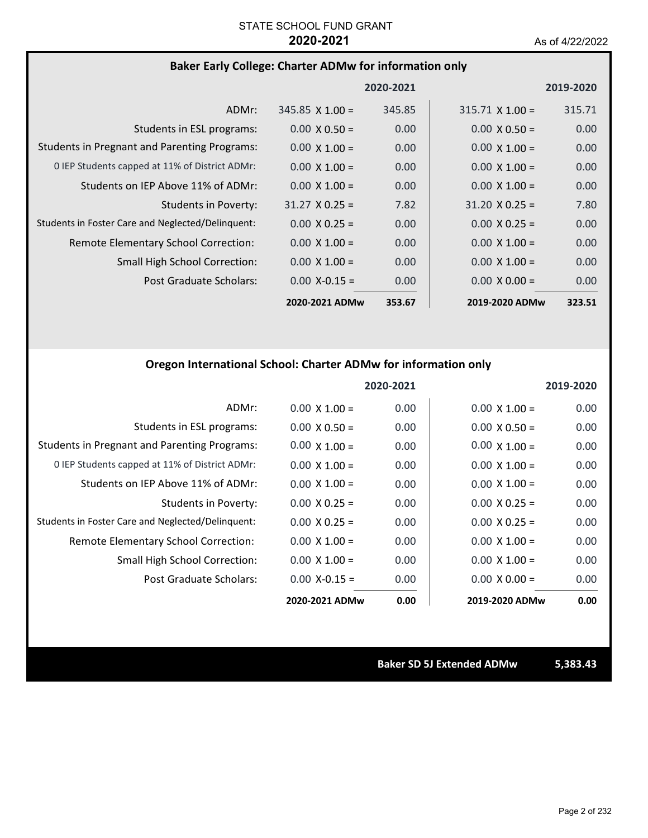## **Baker Early College: Charter ADMw for information only**

|                                                     |                        | 2020-2021 |                        | 2019-2020         |
|-----------------------------------------------------|------------------------|-----------|------------------------|-------------------|
| ADMr:                                               | $345.85 \times 1.00 =$ | 345.85    | $315.71 \times 1.00 =$ | 315.71            |
| Students in ESL programs:                           | $0.00 \times 0.50 =$   | 0.00      | $0.00 \times 0.50 =$   | 0.00              |
| <b>Students in Pregnant and Parenting Programs:</b> | $0.00 \times 1.00 =$   | 0.00      | $0.00 \times 1.00 =$   | 0.00              |
| 0 IEP Students capped at 11% of District ADMr:      | $0.00 \times 1.00 =$   | 0.00      | $0.00 \times 1.00 =$   | 0.00 <sub>1</sub> |
| Students on IEP Above 11% of ADMr:                  | $0.00 \times 1.00 =$   | 0.00      | $0.00 \times 1.00 =$   | 0.00              |
| Students in Poverty:                                | $31.27 \times 0.25 =$  | 7.82      | $31.20 \times 0.25 =$  | 7.80              |
| Students in Foster Care and Neglected/Delinquent:   | $0.00 \times 0.25 =$   | 0.00      | $0.00 \times 0.25 =$   | 0.00 <sub>1</sub> |
| Remote Elementary School Correction:                | $0.00 \times 1.00 =$   | 0.00      | $0.00 \times 1.00 =$   | 0.00              |
| <b>Small High School Correction:</b>                | $0.00 \times 1.00 =$   | 0.00      | $0.00 \times 1.00 =$   | 0.00              |
| Post Graduate Scholars:                             | $0.00$ X-0.15 =        | 0.00      | $0.00 \times 0.00 =$   | 0.00              |
|                                                     | 2020-2021 ADMw         | 353.67    | 2019-2020 ADMw         | 323.51            |

## **Oregon International School: Charter ADMw for information only**

|                                                     |                      | 2020-2021 |                      | 2019-2020 |
|-----------------------------------------------------|----------------------|-----------|----------------------|-----------|
| ADMr:                                               | $0.00 \times 1.00 =$ | 0.00      | $0.00 \times 1.00 =$ | 0.00      |
| Students in ESL programs:                           | $0.00 \times 0.50 =$ | 0.00      | $0.00 \times 0.50 =$ | 0.00      |
| <b>Students in Pregnant and Parenting Programs:</b> | $0.00 \times 1.00 =$ | 0.00      | $0.00 \times 1.00 =$ | 0.00      |
| 0 IEP Students capped at 11% of District ADMr:      | $0.00 \times 1.00 =$ | 0.00      | $0.00 \times 1.00 =$ | 0.00      |
| Students on IEP Above 11% of ADMr:                  | $0.00 \times 1.00 =$ | 0.00      | $0.00 \times 1.00 =$ | 0.00      |
| <b>Students in Poverty:</b>                         | $0.00 \times 0.25 =$ | 0.00      | $0.00 \times 0.25 =$ | 0.00      |
| Students in Foster Care and Neglected/Delinquent:   | $0.00 \times 0.25 =$ | 0.00      | $0.00 \times 0.25 =$ | 0.00      |
| Remote Elementary School Correction:                | $0.00 \times 1.00 =$ | 0.00      | $0.00 \times 1.00 =$ | 0.00      |
| <b>Small High School Correction:</b>                | $0.00 \times 1.00 =$ | 0.00      | $0.00 \times 1.00 =$ | 0.00      |
| Post Graduate Scholars:                             | $0.00$ X-0.15 =      | 0.00      | $0.00 \times 0.00 =$ | 0.00      |
|                                                     | 2020-2021 ADMw       | 0.00      | 2019-2020 ADMw       | 0.00      |

**Baker SD 5J Extended ADMw 5,383.43**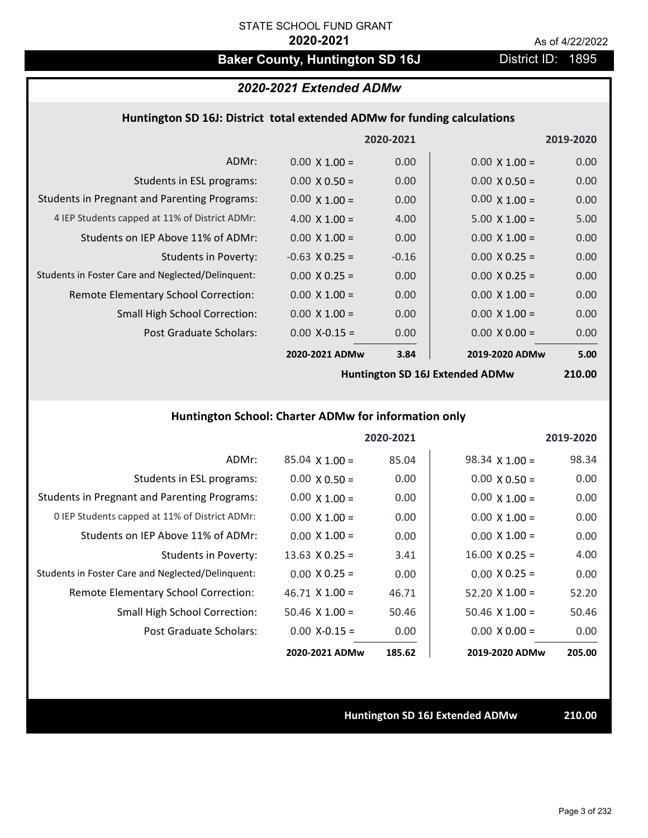## Baker County, Huntington SD 16J **District ID: 1895**

## *2020-2021 Extended ADMw*

### **Huntington SD 16J: District total extended ADMw for funding calculations**

|                                                     |                      | 2020-2021 |                      | 2019-2020 |
|-----------------------------------------------------|----------------------|-----------|----------------------|-----------|
| ADMr:                                               | $0.00 \times 1.00 =$ | 0.00      | $0.00 \times 1.00 =$ | 0.00      |
| Students in ESL programs:                           | $0.00 \times 0.50 =$ | 0.00      | $0.00 \times 0.50 =$ | 0.00      |
| <b>Students in Pregnant and Parenting Programs:</b> | $0.00 \times 1.00 =$ | 0.00      | $0.00 \times 1.00 =$ | 0.00      |
| 4 IEP Students capped at 11% of District ADMr:      | 4.00 $\times$ 1.00 = | 4.00      | $5.00 \times 1.00 =$ | 5.00      |
| Students on IEP Above 11% of ADMr:                  | $0.00 \times 1.00 =$ | 0.00      | $0.00 \times 1.00 =$ | 0.00      |
| Students in Poverty:                                | $-0.63$ X 0.25 =     | $-0.16$   | $0.00 \times 0.25 =$ | 0.00      |
| Students in Foster Care and Neglected/Delinquent:   | $0.00 \times 0.25 =$ | 0.00      | $0.00 \times 0.25 =$ | 0.00      |
| Remote Elementary School Correction:                | $0.00 \times 1.00 =$ | 0.00      | $0.00 \times 1.00 =$ | 0.00      |
| <b>Small High School Correction:</b>                | $0.00 \times 1.00 =$ | 0.00      | $0.00 \times 1.00 =$ | 0.00      |
| Post Graduate Scholars:                             | $0.00$ X-0.15 =      | 0.00      | $0.00 \times 0.00 =$ | 0.00      |
|                                                     | 2020-2021 ADMw       | 3.84      | 2019-2020 ADMw       | 5.00      |
|                                                     |                      |           |                      |           |

**Huntington SD 16J Extended ADMw**

**210.00**

## **Huntington School: Charter ADMw for information only**

|                                                     |                       | 2020-2021 |                       | 2019-2020 |
|-----------------------------------------------------|-----------------------|-----------|-----------------------|-----------|
| ADMr:                                               | $85.04 \times 1.00 =$ | 85.04     | $98.34 \times 1.00 =$ | 98.34     |
| Students in ESL programs:                           | $0.00 \times 0.50 =$  | 0.00      | $0.00 \times 0.50 =$  | 0.00      |
| <b>Students in Pregnant and Parenting Programs:</b> | $0.00 \times 1.00 =$  | 0.00      | $0.00 \times 1.00 =$  | 0.00      |
| 0 IEP Students capped at 11% of District ADMr:      | $0.00 \times 1.00 =$  | 0.00      | $0.00 \times 1.00 =$  | 0.00      |
| Students on IEP Above 11% of ADMr:                  | $0.00 \times 1.00 =$  | 0.00      | $0.00 \times 1.00 =$  | 0.00      |
| Students in Poverty:                                | $13.63 \times 0.25 =$ | 3.41      | $16.00 \times 0.25 =$ | 4.00      |
| Students in Foster Care and Neglected/Delinquent:   | $0.00 \times 0.25 =$  | 0.00      | $0.00 \times 0.25 =$  | 0.00      |
| Remote Elementary School Correction:                | $46.71 \times 1.00 =$ | 46.71     | $52.20 \times 1.00 =$ | 52.20     |
| <b>Small High School Correction:</b>                | $50.46$ X 1.00 =      | 50.46     | $50.46 \times 1.00 =$ | 50.46     |
| Post Graduate Scholars:                             | $0.00 X - 0.15 =$     | 0.00      | $0.00 \times 0.00 =$  | 0.00      |
|                                                     | 2020-2021 ADMw        | 185.62    | 2019-2020 ADMw        | 205.00    |

**Huntington SD 16J Extended ADMw 210.00**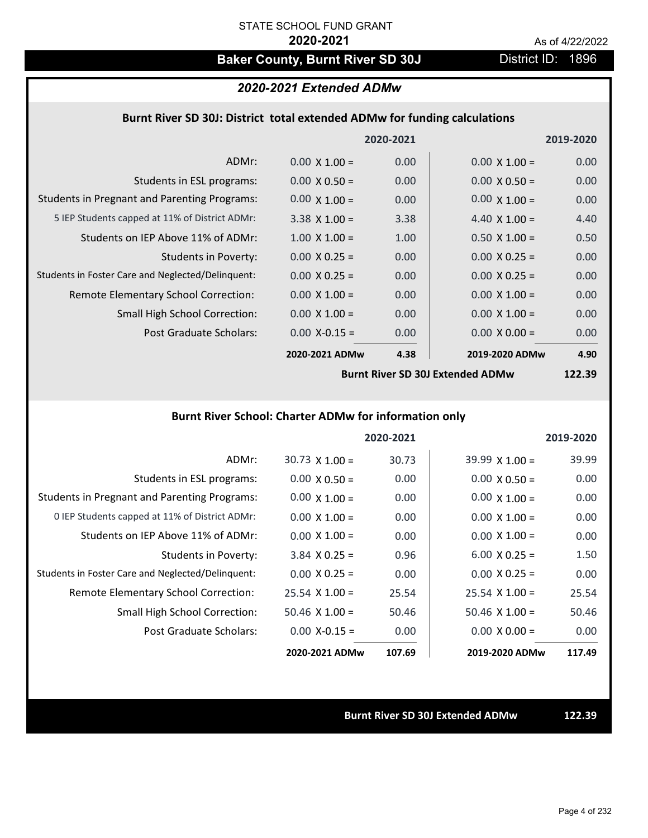# Baker County, Burnt River SD 30J District ID: 1896

## *2020-2021 Extended ADMw*

### **Burnt River SD 30J: District total extended ADMw for funding calculations**

|                                                     |                      | 2020-2021 |                      | 2019-2020 |
|-----------------------------------------------------|----------------------|-----------|----------------------|-----------|
| ADMr:                                               | $0.00 \times 1.00 =$ | 0.00      | $0.00 \times 1.00 =$ | 0.00      |
| Students in ESL programs:                           | $0.00 \times 0.50 =$ | 0.00      | $0.00 \times 0.50 =$ | 0.00      |
| <b>Students in Pregnant and Parenting Programs:</b> | $0.00 \times 1.00 =$ | 0.00      | $0.00 \times 1.00 =$ | 0.00      |
| 5 IEP Students capped at 11% of District ADMr:      | $3.38 \times 1.00 =$ | 3.38      | 4.40 $\times$ 1.00 = | 4.40      |
| Students on IEP Above 11% of ADMr:                  | $1.00 \times 1.00 =$ | 1.00      | $0.50 \times 1.00 =$ | 0.50      |
| <b>Students in Poverty:</b>                         | $0.00 \times 0.25 =$ | 0.00      | $0.00 \times 0.25 =$ | 0.00      |
| Students in Foster Care and Neglected/Delinquent:   | $0.00 \times 0.25 =$ | 0.00      | $0.00 \times 0.25 =$ | 0.00      |
| Remote Elementary School Correction:                | $0.00 \times 1.00 =$ | 0.00      | $0.00 \times 1.00 =$ | 0.00      |
| <b>Small High School Correction:</b>                | $0.00 \times 1.00 =$ | 0.00      | $0.00 \times 1.00 =$ | 0.00      |
| Post Graduate Scholars:                             | $0.00$ X-0.15 =      | 0.00      | $0.00 \times 0.00 =$ | 0.00      |
|                                                     | 2020-2021 ADMw       | 4.38      | 2019-2020 ADMw       | 4.90      |

**Burnt River SD 30J Extended ADMw**

**122.39**

## **Burnt River School: Charter ADMw for information only**

|                                                     |                       | 2020-2021 |                       | 2019-2020 |
|-----------------------------------------------------|-----------------------|-----------|-----------------------|-----------|
| ADMr:                                               | $30.73 \times 1.00 =$ | 30.73     | $39.99 \times 1.00 =$ | 39.99     |
| Students in ESL programs:                           | $0.00 \times 0.50 =$  | 0.00      | $0.00 \times 0.50 =$  | 0.00      |
| <b>Students in Pregnant and Parenting Programs:</b> | $0.00 \times 1.00 =$  | 0.00      | $0.00 \times 1.00 =$  | 0.00      |
| 0 IEP Students capped at 11% of District ADMr:      | $0.00 \times 1.00 =$  | 0.00      | $0.00 \times 1.00 =$  | 0.00      |
| Students on IEP Above 11% of ADMr:                  | $0.00 \times 1.00 =$  | 0.00      | $0.00 \times 1.00 =$  | 0.00      |
| Students in Poverty:                                | $3.84$ X 0.25 =       | 0.96      | $6.00 \times 0.25 =$  | 1.50      |
| Students in Foster Care and Neglected/Delinquent:   | $0.00 \times 0.25 =$  | 0.00      | $0.00 \times 0.25 =$  | 0.00      |
| Remote Elementary School Correction:                | $25.54 \times 1.00 =$ | 25.54     | $25.54 \times 1.00 =$ | 25.54     |
| <b>Small High School Correction:</b>                | $50.46$ X 1.00 =      | 50.46     | $50.46 \times 1.00 =$ | 50.46     |
| Post Graduate Scholars:                             | $0.00 X - 0.15 =$     | 0.00      | $0.00 \times 0.00 =$  | 0.00      |
|                                                     | 2020-2021 ADMw        | 107.69    | 2019-2020 ADMw        | 117.49    |

#### **Burnt River SD 30J Extended ADMw 122.39**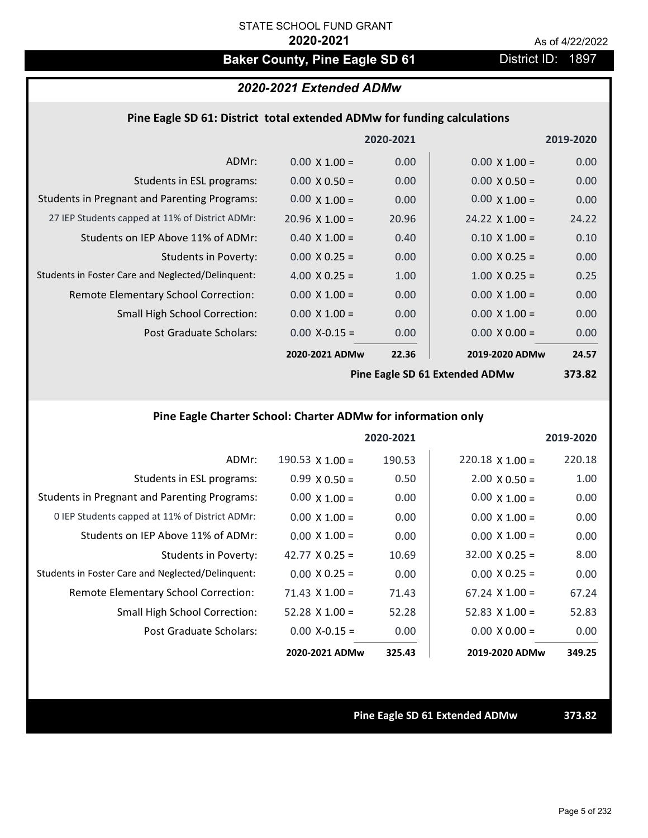# **Baker County, Pine Eagle SD 61** District ID: 1897

## *2020-2021 Extended ADMw*

### **Pine Eagle SD 61: District total extended ADMw for funding calculations**

|                                                     |                       | 2020-2021 |                       | 2019-2020 |
|-----------------------------------------------------|-----------------------|-----------|-----------------------|-----------|
| ADMr:                                               | $0.00 \times 1.00 =$  | 0.00      | $0.00 \times 1.00 =$  | 0.00      |
| Students in ESL programs:                           | $0.00 \times 0.50 =$  | 0.00      | $0.00 \times 0.50 =$  | 0.00      |
| <b>Students in Pregnant and Parenting Programs:</b> | $0.00 \times 1.00 =$  | 0.00      | $0.00 \times 1.00 =$  | 0.00      |
| 27 IEP Students capped at 11% of District ADMr:     | $20.96 \times 1.00 =$ | 20.96     | $24.22 \times 1.00 =$ | 24.22     |
| Students on IEP Above 11% of ADMr:                  | $0.40 \times 1.00 =$  | 0.40      | $0.10 \times 1.00 =$  | 0.10      |
| <b>Students in Poverty:</b>                         | $0.00 \times 0.25 =$  | 0.00      | $0.00 \times 0.25 =$  | 0.00      |
| Students in Foster Care and Neglected/Delinquent:   | 4.00 $X$ 0.25 =       | 1.00      | $1.00 \times 0.25 =$  | 0.25      |
| Remote Elementary School Correction:                | $0.00 \times 1.00 =$  | 0.00      | $0.00 \times 1.00 =$  | 0.00      |
| <b>Small High School Correction:</b>                | $0.00 \times 1.00 =$  | 0.00      | $0.00 \times 1.00 =$  | 0.00      |
| Post Graduate Scholars:                             | $0.00$ X-0.15 =       | 0.00      | $0.00 \times 0.00 =$  | 0.00      |
|                                                     | 2020-2021 ADMw        | 22.36     | 2019-2020 ADMw        | 24.57     |
|                                                     |                       |           |                       |           |

**Pine Eagle SD 61 Extended ADMw**

**373.82**

## **Pine Eagle Charter School: Charter ADMw for information only**

|                                                     |                       | 2020-2021 |                        | 2019-2020 |
|-----------------------------------------------------|-----------------------|-----------|------------------------|-----------|
| ADMr:                                               | 190.53 $X$ 1.00 =     | 190.53    | $220.18 \times 1.00 =$ | 220.18    |
| Students in ESL programs:                           | $0.99 \times 0.50 =$  | 0.50      | $2.00 \times 0.50 =$   | 1.00      |
| <b>Students in Pregnant and Parenting Programs:</b> | $0.00 \times 1.00 =$  | 0.00      | $0.00 \times 1.00 =$   | 0.00      |
| 0 IEP Students capped at 11% of District ADMr:      | $0.00 \times 1.00 =$  | 0.00      | $0.00 \times 1.00 =$   | 0.00      |
| Students on IEP Above 11% of ADMr:                  | $0.00 \times 1.00 =$  | 0.00      | $0.00 \times 1.00 =$   | 0.00      |
| Students in Poverty:                                | 42.77 $X$ 0.25 =      | 10.69     | $32.00 \times 0.25 =$  | 8.00      |
| Students in Foster Care and Neglected/Delinquent:   | $0.00 \times 0.25 =$  | 0.00      | $0.00 \times 0.25 =$   | 0.00      |
| Remote Elementary School Correction:                | $71.43 \times 1.00 =$ | 71.43     | $67.24 \times 1.00 =$  | 67.24     |
| <b>Small High School Correction:</b>                | $52.28 \times 1.00 =$ | 52.28     | 52.83 $\times$ 1.00 =  | 52.83     |
| Post Graduate Scholars:                             | $0.00 X - 0.15 =$     | 0.00      | $0.00 \times 0.00 =$   | 0.00      |
|                                                     | 2020-2021 ADMw        | 325.43    | 2019-2020 ADMw         | 349.25    |

**Pine Eagle SD 61 Extended ADMw 373.82**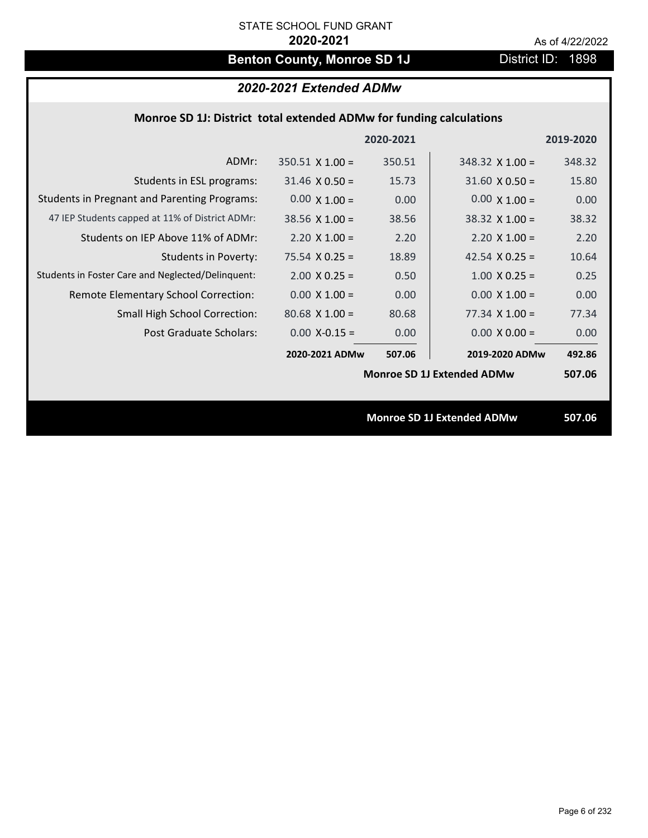# **Benton County, Monroe SD 1J** District ID: 1898

## *2020-2021 Extended ADMw*

## **Monroe SD 1J: District total extended ADMw for funding calculations**

|                                                     |                        | 2020-2021 |                                   | 2019-2020 |
|-----------------------------------------------------|------------------------|-----------|-----------------------------------|-----------|
| ADMr:                                               | $350.51 \times 1.00 =$ | 350.51    | $348.32 \times 1.00 =$            | 348.32    |
| Students in ESL programs:                           | $31.46 \times 0.50 =$  | 15.73     | $31.60 \times 0.50 =$             | 15.80     |
| <b>Students in Pregnant and Parenting Programs:</b> | $0.00 \times 1.00 =$   | 0.00      | $0.00 \times 1.00 =$              | 0.00      |
| 47 IEP Students capped at 11% of District ADMr:     | $38.56 \times 1.00 =$  | 38.56     | $38.32 \times 1.00 =$             | 38.32     |
| Students on IEP Above 11% of ADMr:                  | $2.20 \times 1.00 =$   | 2.20      | $2.20 X 1.00 =$                   | 2.20      |
| <b>Students in Poverty:</b>                         | $75.54 \times 0.25 =$  | 18.89     | 42.54 $X$ 0.25 =                  | 10.64     |
| Students in Foster Care and Neglected/Delinquent:   | $2.00 \times 0.25 =$   | 0.50      | $1.00 \times 0.25 =$              | 0.25      |
| Remote Elementary School Correction:                | $0.00 \times 1.00 =$   | 0.00      | $0.00 \times 1.00 =$              | 0.00      |
| <b>Small High School Correction:</b>                | $80.68 \times 1.00 =$  | 80.68     | $77.34 \times 1.00 =$             | 77.34     |
| <b>Post Graduate Scholars:</b>                      | $0.00$ X-0.15 =        | 0.00      | $0.00 \times 0.00 =$              | 0.00      |
|                                                     | 2020-2021 ADMw         | 507.06    | 2019-2020 ADMw                    | 492.86    |
|                                                     |                        |           | <b>Monroe SD 1J Extended ADMw</b> | 507.06    |
|                                                     |                        |           |                                   |           |
|                                                     |                        |           | <b>Monroe SD 1J Extended ADMw</b> | 507.06    |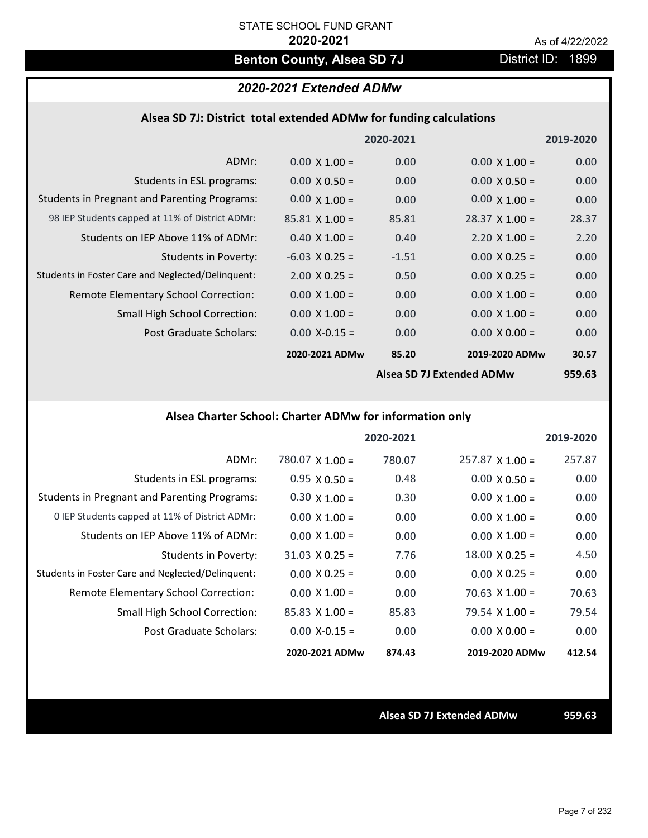## **Benton County, Alsea SD 7J** District ID: 1899

## *2020-2021 Extended ADMw*

### **Alsea SD 7J: District total extended ADMw for funding calculations**

|                                                     |                       | 2020-2021 |                           | 2019-2020 |
|-----------------------------------------------------|-----------------------|-----------|---------------------------|-----------|
| ADMr:                                               | $0.00 \times 1.00 =$  | 0.00      | $0.00 \times 1.00 =$      | 0.00      |
| Students in ESL programs:                           | $0.00 \times 0.50 =$  | 0.00      | $0.00 \times 0.50 =$      | 0.00      |
| <b>Students in Pregnant and Parenting Programs:</b> | $0.00 \times 1.00 =$  | 0.00      | $0.00 \times 1.00 =$      | 0.00      |
| 98 IEP Students capped at 11% of District ADMr:     | $85.81 \times 1.00 =$ | 85.81     | $28.37 \times 1.00 =$     | 28.37     |
| Students on IEP Above 11% of ADMr:                  | $0.40 \times 1.00 =$  | 0.40      | $2.20 \times 1.00 =$      | 2.20      |
| Students in Poverty:                                | $-6.03$ X 0.25 =      | $-1.51$   | $0.00 \times 0.25 =$      | 0.00      |
| Students in Foster Care and Neglected/Delinquent:   | $2.00 \times 0.25 =$  | 0.50      | $0.00 \times 0.25 =$      | 0.00      |
| Remote Elementary School Correction:                | $0.00 \times 1.00 =$  | 0.00      | $0.00 \times 1.00 =$      | 0.00      |
| <b>Small High School Correction:</b>                | $0.00 \times 1.00 =$  | 0.00      | $0.00 \times 1.00 =$      | 0.00      |
| Post Graduate Scholars:                             | $0.00$ X-0.15 =       | 0.00      | $0.00 \times 0.00 =$      | 0.00      |
|                                                     | 2020-2021 ADMw        | 85.20     | 2019-2020 ADMw            | 30.57     |
|                                                     |                       |           | Alsea SD 7J Extended ADMw | 959.63    |

## **Alsea Charter School: Charter ADMw for information only**

|                                                     |                        | 2020-2021 |                       | 2019-2020 |
|-----------------------------------------------------|------------------------|-----------|-----------------------|-----------|
| ADMr:                                               | $780.07 \times 1.00 =$ | 780.07    | $257.87$ X 1.00 =     | 257.87    |
| Students in ESL programs:                           | $0.95 \times 0.50 =$   | 0.48      | $0.00 \times 0.50 =$  | 0.00      |
| <b>Students in Pregnant and Parenting Programs:</b> | $0.30 \times 1.00 =$   | 0.30      | $0.00 \times 1.00 =$  | 0.00      |
| 0 IEP Students capped at 11% of District ADMr:      | $0.00 \times 1.00 =$   | 0.00      | $0.00 \times 1.00 =$  | 0.00      |
| Students on IEP Above 11% of ADMr:                  | $0.00 \times 1.00 =$   | 0.00      | $0.00 \times 1.00 =$  | 0.00      |
| Students in Poverty:                                | $31.03 \times 0.25 =$  | 7.76      | $18.00 \times 0.25 =$ | 4.50      |
| Students in Foster Care and Neglected/Delinquent:   | $0.00 \times 0.25 =$   | 0.00      | $0.00 \times 0.25 =$  | 0.00      |
| <b>Remote Elementary School Correction:</b>         | $0.00 \times 1.00 =$   | 0.00      | $70.63 \times 1.00 =$ | 70.63     |
| <b>Small High School Correction:</b>                | $85.83$ X 1.00 =       | 85.83     | $79.54 \times 1.00 =$ | 79.54     |
| Post Graduate Scholars:                             | $0.00 X - 0.15 =$      | 0.00      | $0.00 \times 0.00 =$  | 0.00      |
|                                                     | 2020-2021 ADMw         | 874.43    | 2019-2020 ADMw        | 412.54    |

**Alsea SD 7J Extended ADMw 959.63**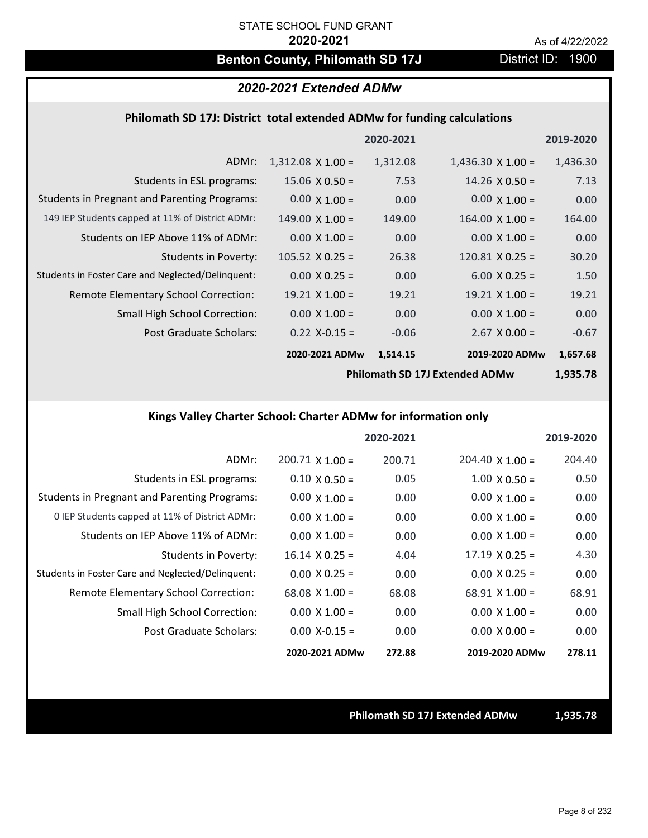## **Benton County, Philomath SD 17J** District ID: 1900

## *2020-2021 Extended ADMw*

### **Philomath SD 17J: District total extended ADMw for funding calculations**

|                                                     |                          | 2020-2021 |                          | 2019-2020 |
|-----------------------------------------------------|--------------------------|-----------|--------------------------|-----------|
| ADMr:                                               | $1,312.08 \times 1.00 =$ | 1,312.08  | $1,436.30 \times 1.00 =$ | 1,436.30  |
| Students in ESL programs:                           | $15.06 \times 0.50 =$    | 7.53      | $14.26 \times 0.50 =$    | 7.13      |
| <b>Students in Pregnant and Parenting Programs:</b> | $0.00 \times 1.00 =$     | 0.00      | $0.00 \times 1.00 =$     | 0.00      |
| 149 IEP Students capped at 11% of District ADMr:    | $149.00 \times 1.00 =$   | 149.00    | $164.00 \times 1.00 =$   | 164.00    |
| Students on IEP Above 11% of ADMr:                  | $0.00 \times 1.00 =$     | 0.00      | $0.00 \times 1.00 =$     | 0.00      |
| <b>Students in Poverty:</b>                         | $105.52 \times 0.25 =$   | 26.38     | $120.81$ X 0.25 =        | 30.20     |
| Students in Foster Care and Neglected/Delinquent:   | $0.00 \times 0.25 =$     | 0.00      | $6.00 \times 0.25 =$     | 1.50      |
| Remote Elementary School Correction:                | $19.21$ X $1.00 =$       | 19.21     | $19.21 \times 1.00 =$    | 19.21     |
| <b>Small High School Correction:</b>                | $0.00 \times 1.00 =$     | 0.00      | $0.00 \times 1.00 =$     | 0.00      |
| Post Graduate Scholars:                             | $0.22$ X-0.15 =          | $-0.06$   | $2.67$ X 0.00 =          | $-0.67$   |
|                                                     | 2020-2021 ADMw           | 1,514.15  | 2019-2020 ADMw           | 1,657.68  |

**Philomath SD 17J Extended ADMw**

**1,935.78**

## **Kings Valley Charter School: Charter ADMw for information only**

|                                                     |                        | 2020-2021 |                        | 2019-2020 |
|-----------------------------------------------------|------------------------|-----------|------------------------|-----------|
| ADMr:                                               | $200.71 \times 1.00 =$ | 200.71    | $204.40 \times 1.00 =$ | 204.40    |
| Students in ESL programs:                           | $0.10 \times 0.50 =$   | 0.05      | $1.00 \times 0.50 =$   | 0.50      |
| <b>Students in Pregnant and Parenting Programs:</b> | $0.00 \times 1.00 =$   | 0.00      | $0.00 \times 1.00 =$   | 0.00      |
| 0 IEP Students capped at 11% of District ADMr:      | $0.00 \times 1.00 =$   | 0.00      | $0.00 \times 1.00 =$   | 0.00      |
| Students on IEP Above 11% of ADMr:                  | $0.00 \times 1.00 =$   | 0.00      | $0.00 \times 1.00 =$   | 0.00      |
| Students in Poverty:                                | $16.14 \times 0.25 =$  | 4.04      | $17.19 \times 0.25 =$  | 4.30      |
| Students in Foster Care and Neglected/Delinquent:   | $0.00 \times 0.25 =$   | 0.00      | $0.00 \times 0.25 =$   | 0.00      |
| Remote Elementary School Correction:                | $68.08 \times 1.00 =$  | 68.08     | $68.91 \times 1.00 =$  | 68.91     |
| <b>Small High School Correction:</b>                | $0.00 \times 1.00 =$   | 0.00      | $0.00 \times 1.00 =$   | 0.00      |
| Post Graduate Scholars:                             | $0.00$ X-0.15 =        | 0.00      | $0.00 \times 0.00 =$   | 0.00      |
|                                                     | 2020-2021 ADMw         | 272.88    | 2019-2020 ADMw         | 278.11    |

**Philomath SD 17J Extended ADMw 1,935.78**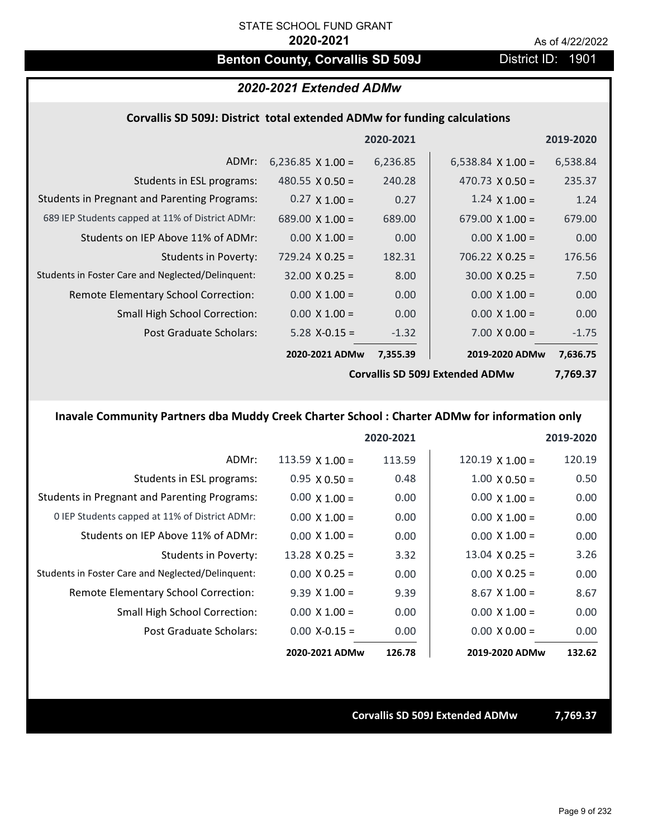## **Benton County, Corvallis SD 509J** District ID: 1901

### *2020-2021 Extended ADMw*

### **Corvallis SD 509J: District total extended ADMw for funding calculations**

|                                                     |                          | 2020-2021 |                                        | 2019-2020 |
|-----------------------------------------------------|--------------------------|-----------|----------------------------------------|-----------|
| ADMr:                                               | 6,236.85 $\times$ 1.00 = | 6,236.85  | 6,538.84 $\times$ 1.00 =               | 6,538.84  |
| Students in ESL programs:                           | 480.55 $\times$ 0.50 =   | 240.28    | 470.73 $\times$ 0.50 =                 | 235.37    |
| <b>Students in Pregnant and Parenting Programs:</b> | $0.27 \times 1.00 =$     | 0.27      | $1.24 \times 1.00 =$                   | 1.24      |
| 689 IEP Students capped at 11% of District ADMr:    | 689.00 $\times$ 1.00 =   | 689.00    | 679.00 $\times$ 1.00 =                 | 679.00    |
| Students on IEP Above 11% of ADMr:                  | $0.00 \times 1.00 =$     | 0.00      | $0.00 \times 1.00 =$                   | 0.00      |
| <b>Students in Poverty:</b>                         | $729.24 \times 0.25 =$   | 182.31    | $706.22 \times 0.25 =$                 | 176.56    |
| Students in Foster Care and Neglected/Delinquent:   | $32.00 \times 0.25 =$    | 8.00      | $30.00 \times 0.25 =$                  | 7.50      |
| Remote Elementary School Correction:                | $0.00 \times 1.00 =$     | 0.00      | $0.00 \times 1.00 =$                   | 0.00      |
| <b>Small High School Correction:</b>                | $0.00 \times 1.00 =$     | 0.00      | $0.00 \times 1.00 =$                   | 0.00      |
| Post Graduate Scholars:                             | $5.28$ X-0.15 =          | $-1.32$   | $7.00 \times 0.00 =$                   | $-1.75$   |
|                                                     | 2020-2021 ADMw           | 7,355.39  | 2019-2020 ADMw                         | 7,636.75  |
|                                                     |                          |           | <b>Corvallis SD 509J Extended ADMw</b> | 7,769.37  |

## **Inavale Community Partners dba Muddy Creek Charter School : Charter ADMw for information only**

|                                                     |                       | 2020-2021 |                        | 2019-2020 |
|-----------------------------------------------------|-----------------------|-----------|------------------------|-----------|
| ADMr:                                               | 113.59 $X$ 1.00 =     | 113.59    | $120.19 \times 1.00 =$ | 120.19    |
| Students in ESL programs:                           | $0.95 \times 0.50 =$  | 0.48      | $1.00 \times 0.50 =$   | 0.50      |
| <b>Students in Pregnant and Parenting Programs:</b> | $0.00 \times 1.00 =$  | 0.00      | $0.00 \times 1.00 =$   | 0.00      |
| 0 IEP Students capped at 11% of District ADMr:      | $0.00 \times 1.00 =$  | 0.00      | $0.00 \times 1.00 =$   | 0.00      |
| Students on IEP Above 11% of ADMr:                  | $0.00 \times 1.00 =$  | 0.00      | $0.00 \times 1.00 =$   | 0.00      |
| Students in Poverty:                                | $13.28 \times 0.25 =$ | 3.32      | $13.04 \times 0.25 =$  | 3.26      |
| Students in Foster Care and Neglected/Delinquent:   | $0.00 \times 0.25 =$  | 0.00      | $0.00 \times 0.25 =$   | 0.00      |
| <b>Remote Elementary School Correction:</b>         | $9.39 \times 1.00 =$  | 9.39      | $8.67$ X $1.00 =$      | 8.67      |
| <b>Small High School Correction:</b>                | $0.00 \times 1.00 =$  | 0.00      | $0.00 \times 1.00 =$   | 0.00      |
| Post Graduate Scholars:                             | $0.00 X - 0.15 =$     | 0.00      | $0.00 \times 0.00 =$   | 0.00      |
|                                                     | 2020-2021 ADMw        | 126.78    | 2019-2020 ADMw         | 132.62    |

#### **Corvallis SD 509J Extended ADMw 7,769.37**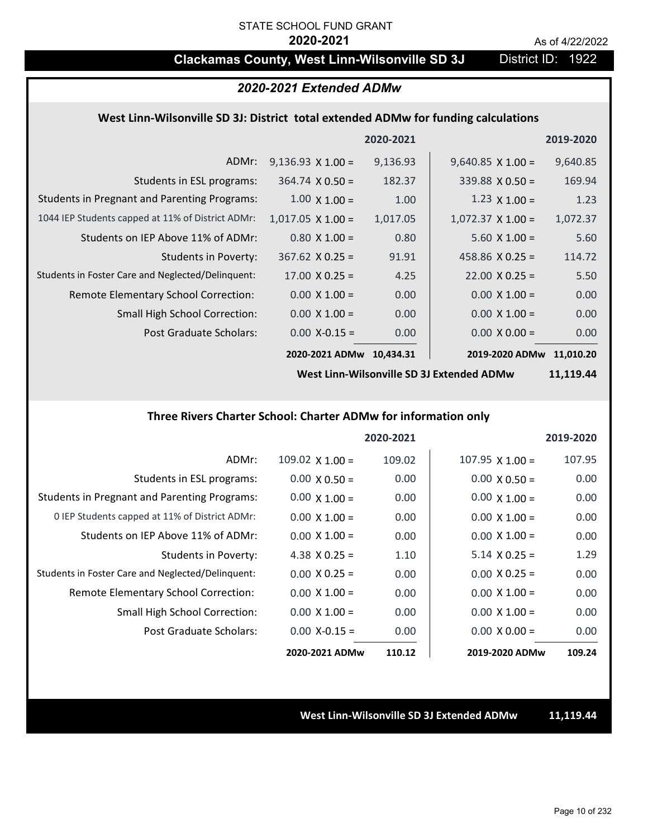## **Clackamas County, West Linn-Wilsonville SD 3J** District ID: 1922

## *2020-2021 Extended ADMw*

### **West Linn‐Wilsonville SD 3J: District total extended ADMw for funding calculations**

|                                                     |                          | 2020-2021 |                          | 2019-2020 |
|-----------------------------------------------------|--------------------------|-----------|--------------------------|-----------|
| ADMr:                                               | $9,136.93 \times 1.00 =$ | 9,136.93  | $9,640.85$ X 1.00 =      | 9,640.85  |
| Students in ESL programs:                           | $364.74 \times 0.50 =$   | 182.37    | $339.88 \times 0.50 =$   | 169.94    |
| <b>Students in Pregnant and Parenting Programs:</b> | $1.00 \times 1.00 =$     | 1.00      | $1.23 \times 1.00 =$     | 1.23      |
| 1044 IEP Students capped at 11% of District ADMr:   | $1,017.05 \times 1.00 =$ | 1,017.05  | $1,072.37 \times 1.00 =$ | 1,072.37  |
| Students on IEP Above 11% of ADMr:                  | $0.80 \times 1.00 =$     | 0.80      | $5.60 X 1.00 =$          | 5.60      |
| <b>Students in Poverty:</b>                         | $367.62$ X 0.25 =        | 91.91     | 458.86 $X$ 0.25 =        | 114.72    |
| Students in Foster Care and Neglected/Delinquent:   | $17.00 \times 0.25 =$    | 4.25      | $22.00 \times 0.25 =$    | 5.50      |
| Remote Elementary School Correction:                | $0.00 \times 1.00 =$     | 0.00      | $0.00 \times 1.00 =$     | 0.00      |
| <b>Small High School Correction:</b>                | $0.00 \times 1.00 =$     | 0.00      | $0.00 \times 1.00 =$     | 0.00      |
| Post Graduate Scholars:                             | $0.00$ X-0.15 =          | 0.00      | $0.00 \times 0.00 =$     | 0.00      |
|                                                     | 2020-2021 ADMw           | 10,434.31 | 2019-2020 ADMw           | 11,010.20 |

**West Linn‐Wilsonville SD 3J Extended ADMw**

**11,119.44**

#### **Three Rivers Charter School: Charter ADMw for information only**

|                                                     |                      | 2020-2021 |                        | 2019-2020 |
|-----------------------------------------------------|----------------------|-----------|------------------------|-----------|
| ADMr:                                               | 109.02 $X$ 1.00 =    | 109.02    | $107.95 \times 1.00 =$ | 107.95    |
| Students in ESL programs:                           | $0.00 \times 0.50 =$ | 0.00      | $0.00 \times 0.50 =$   | 0.00      |
| <b>Students in Pregnant and Parenting Programs:</b> | $0.00 \times 1.00 =$ | 0.00      | $0.00 \times 1.00 =$   | 0.00      |
| 0 IEP Students capped at 11% of District ADMr:      | $0.00 \times 1.00 =$ | 0.00      | $0.00 \times 1.00 =$   | 0.00      |
| Students on IEP Above 11% of ADMr:                  | $0.00 \times 1.00 =$ | 0.00      | $0.00 \times 1.00 =$   | 0.00      |
| Students in Poverty:                                | 4.38 $X$ 0.25 =      | 1.10      | $5.14 \times 0.25 =$   | 1.29      |
| Students in Foster Care and Neglected/Delinquent:   | $0.00 \times 0.25 =$ | 0.00      | $0.00 \times 0.25 =$   | 0.00      |
| Remote Elementary School Correction:                | $0.00 \times 1.00 =$ | 0.00      | $0.00 \times 1.00 =$   | 0.00      |
| <b>Small High School Correction:</b>                | $0.00 \times 1.00 =$ | 0.00      | $0.00 \times 1.00 =$   | 0.00      |
| Post Graduate Scholars:                             | $0.00 X - 0.15 =$    | 0.00      | $0.00 \times 0.00 =$   | 0.00      |
|                                                     | 2020-2021 ADMw       | 110.12    | 2019-2020 ADMw         | 109.24    |

**West Linn‐Wilsonville SD 3J Extended ADMw 11,119.44**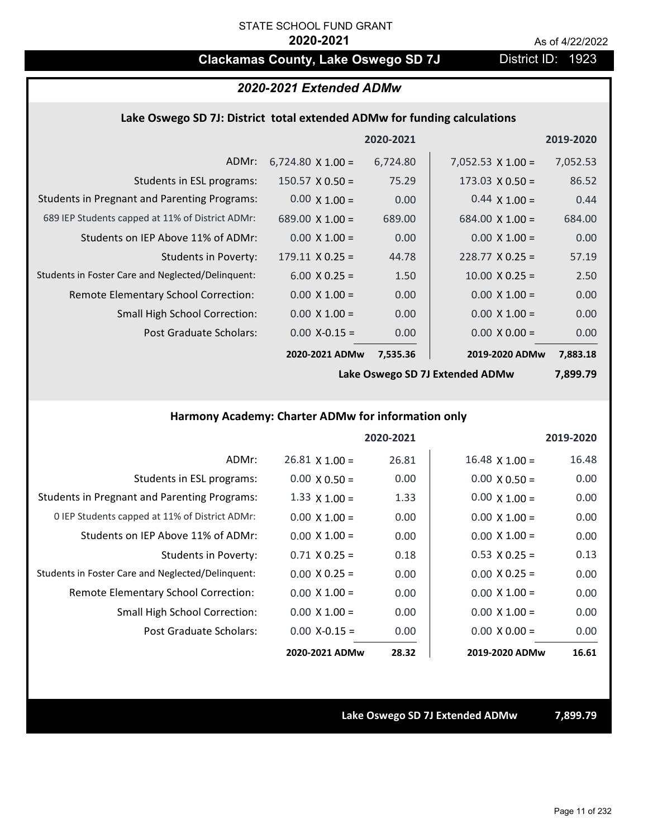## **Clackamas County, Lake Oswego SD 7J District ID: 1923**

## *2020-2021 Extended ADMw*

### **Lake Oswego SD 7J: District total extended ADMw for funding calculations**

|                                                     |                          | 2020-2021 |                          | 2019-2020 |
|-----------------------------------------------------|--------------------------|-----------|--------------------------|-----------|
| ADMr:                                               | $6,724.80 \times 1.00 =$ | 6,724.80  | $7,052.53 \times 1.00 =$ | 7,052.53  |
| Students in ESL programs:                           | $150.57 \times 0.50 =$   | 75.29     | $173.03 \times 0.50 =$   | 86.52     |
| <b>Students in Pregnant and Parenting Programs:</b> | $0.00 \times 1.00 =$     | 0.00      | $0.44 \times 1.00 =$     | 0.44      |
| 689 IEP Students capped at 11% of District ADMr:    | $689.00 \times 1.00 =$   | 689.00    | $684.00 \times 1.00 =$   | 684.00    |
| Students on IEP Above 11% of ADMr:                  | $0.00 \times 1.00 =$     | 0.00      | $0.00 \times 1.00 =$     | 0.00      |
| Students in Poverty:                                | $179.11 \times 0.25 =$   | 44.78     | $228.77 \times 0.25 =$   | 57.19     |
| Students in Foster Care and Neglected/Delinguent:   | $6.00 \times 0.25 =$     | 1.50      | $10.00 \times 0.25 =$    | 2.50      |
| Remote Elementary School Correction:                | $0.00 \times 1.00 =$     | 0.00      | $0.00 \times 1.00 =$     | 0.00      |
| <b>Small High School Correction:</b>                | $0.00 \times 1.00 =$     | 0.00      | $0.00 \times 1.00 =$     | 0.00      |
| Post Graduate Scholars:                             | $0.00$ X-0.15 =          | 0.00      | $0.00 \times 0.00 =$     | 0.00      |
|                                                     | 2020-2021 ADMw           | 7,535.36  | 2019-2020 ADMw           | 7,883.18  |

**Lake Oswego SD 7J Extended ADMw**

**7,899.79**

## **Harmony Academy: Charter ADMw for information only**

|                                                     |                       | 2020-2021 |                       | 2019-2020 |
|-----------------------------------------------------|-----------------------|-----------|-----------------------|-----------|
| ADMr:                                               | $26.81 \times 1.00 =$ | 26.81     | $16.48 \times 1.00 =$ | 16.48     |
| Students in ESL programs:                           | $0.00 \times 0.50 =$  | 0.00      | $0.00 \times 0.50 =$  | 0.00      |
| <b>Students in Pregnant and Parenting Programs:</b> | 1.33 $\times$ 1.00 =  | 1.33      | $0.00 \times 1.00 =$  | 0.00      |
| 0 IEP Students capped at 11% of District ADMr:      | $0.00 \times 1.00 =$  | 0.00      | $0.00 \times 1.00 =$  | 0.00      |
| Students on IEP Above 11% of ADMr:                  | $0.00 \times 1.00 =$  | 0.00      | $0.00 \times 1.00 =$  | 0.00      |
| Students in Poverty:                                | $0.71 \times 0.25 =$  | 0.18      | $0.53 \times 0.25 =$  | 0.13      |
| Students in Foster Care and Neglected/Delinquent:   | $0.00 \times 0.25 =$  | 0.00      | $0.00 \times 0.25 =$  | 0.00      |
| Remote Elementary School Correction:                | $0.00 \times 1.00 =$  | 0.00      | $0.00 \times 1.00 =$  | 0.00      |
| <b>Small High School Correction:</b>                | $0.00 \times 1.00 =$  | 0.00      | $0.00 \times 1.00 =$  | 0.00      |
| Post Graduate Scholars:                             | $0.00 X - 0.15 =$     | 0.00      | $0.00 \times 0.00 =$  | 0.00      |
|                                                     | 2020-2021 ADMw        | 28.32     | 2019-2020 ADMw        | 16.61     |

**Lake Oswego SD 7J Extended ADMw 7,899.79**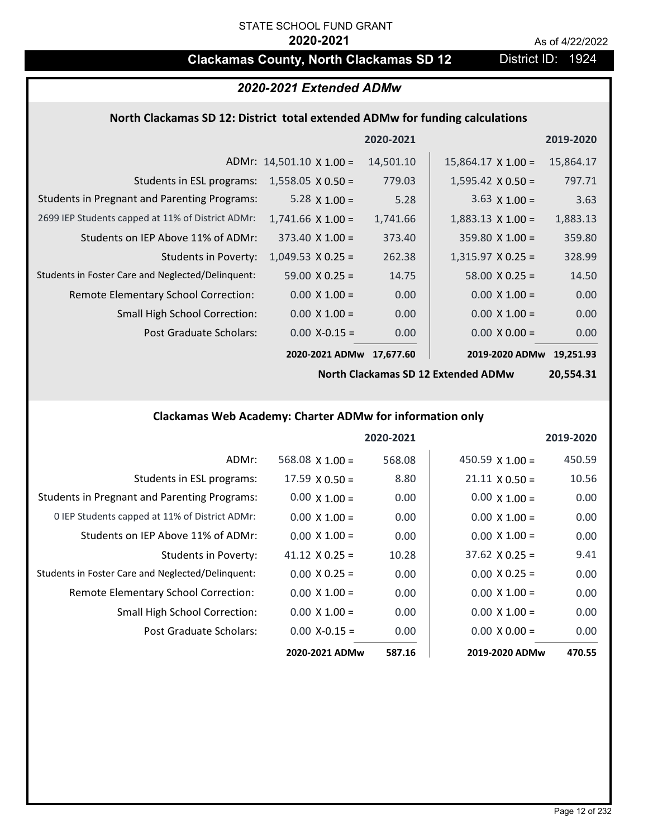# **Clackamas County, North Clackamas SD 12** District ID: 1924

| 2020-2021 Extended ADMw                                                      |                                 |           |                                     |                   |
|------------------------------------------------------------------------------|---------------------------------|-----------|-------------------------------------|-------------------|
| North Clackamas SD 12: District total extended ADMw for funding calculations |                                 |           |                                     |                   |
|                                                                              |                                 | 2020-2021 |                                     | 2019-2020         |
|                                                                              | ADMr: $14,501.10 \times 1.00 =$ | 14,501.10 | $15,864.17 \times 1.00 =$           | 15,864.17         |
| Students in ESL programs:                                                    | $1,558.05 \times 0.50 =$        | 779.03    | $1,595.42 \times 0.50 =$            | 797.71            |
| <b>Students in Pregnant and Parenting Programs:</b>                          | 5.28 $\times$ 1.00 =            | 5.28      | 3.63 $\times$ 1.00 =                | 3.63              |
| 2699 IEP Students capped at 11% of District ADMr:                            | $1,741.66 \times 1.00 =$        | 1,741.66  | $1,883.13 \times 1.00 =$            | 1,883.13          |
| Students on IEP Above 11% of ADMr:                                           | $373.40 \times 1.00 =$          | 373.40    | $359.80$ X 1.00 =                   | 359.80            |
| <b>Students in Poverty:</b>                                                  | $1,049.53 \times 0.25 =$        | 262.38    | $1,315.97$ X 0.25 =                 | 328.99            |
| Students in Foster Care and Neglected/Delinquent:                            | $59.00 \times 0.25 =$           | 14.75     | $58.00 \times 0.25 =$               | 14.50             |
| Remote Elementary School Correction:                                         | $0.00 \times 1.00 =$            | 0.00      | $0.00 \times 1.00 =$                | 0.00              |
| <b>Small High School Correction:</b>                                         | $0.00 \times 1.00 =$            | 0.00      | $0.00 \times 1.00 =$                | 0.00              |
| Post Graduate Scholars:                                                      | $0.00$ X-0.15 =                 | 0.00      | $0.00 \times 0.00 =$                | 0.00              |
|                                                                              | 2020-2021 ADMw 17,677.60        |           | 2019-2020 ADMw                      | 19,251.93         |
|                                                                              |                                 |           | North Claskamas CD 12 Extended ADMu | 30 EE <i>a</i> 91 |

**North Clackamas SD 12 Extended ADMw**

**20,554.31**

## **Clackamas Web Academy: Charter ADMw for information only**

|                                                     |                        | 2020-2021 |                        | 2019-2020 |
|-----------------------------------------------------|------------------------|-----------|------------------------|-----------|
| ADMr:                                               | $568.08 \times 1.00 =$ | 568.08    | 450.59 $\times$ 1.00 = | 450.59    |
| Students in ESL programs:                           | $17.59 \times 0.50 =$  | 8.80      | $21.11 \times 0.50 =$  | 10.56     |
| <b>Students in Pregnant and Parenting Programs:</b> | $0.00 \times 1.00 =$   | 0.00      | $0.00 \times 1.00 =$   | 0.00      |
| 0 IEP Students capped at 11% of District ADMr:      | $0.00 \times 1.00 =$   | 0.00      | $0.00 \times 1.00 =$   | 0.00      |
| Students on IEP Above 11% of ADMr:                  | $0.00 \times 1.00 =$   | 0.00      | $0.00 \times 1.00 =$   | 0.00      |
| Students in Poverty:                                | $41.12 \times 0.25 =$  | 10.28     | $37.62 \times 0.25 =$  | 9.41      |
| Students in Foster Care and Neglected/Delinquent:   | $0.00 \times 0.25 =$   | 0.00      | $0.00 \times 0.25 =$   | 0.00      |
| Remote Elementary School Correction:                | $0.00 \times 1.00 =$   | 0.00      | $0.00 \times 1.00 =$   | 0.00      |
| <b>Small High School Correction:</b>                | $0.00 \times 1.00 =$   | 0.00      | $0.00 \times 1.00 =$   | 0.00      |
| Post Graduate Scholars:                             | $0.00 X - 0.15 =$      | 0.00      | $0.00 \times 0.00 =$   | 0.00      |
|                                                     | 2020-2021 ADMw         | 587.16    | 2019-2020 ADMw         | 470.55    |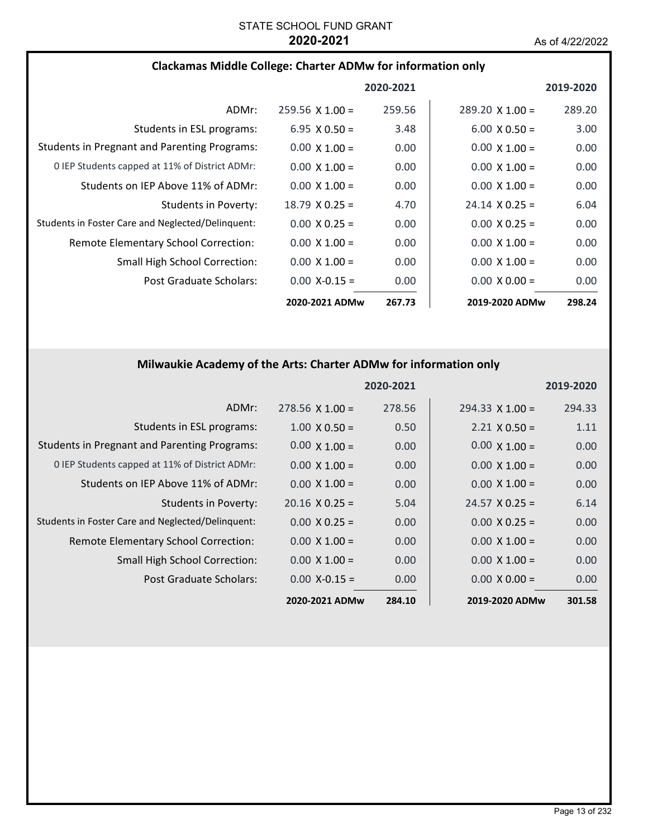### **Clackamas Middle College: Charter ADMw for information only**

|                                                     |                        | 2020-2021 |                        | 2019-2020 |
|-----------------------------------------------------|------------------------|-----------|------------------------|-----------|
| ADMr:                                               | $259.56 \times 1.00 =$ | 259.56    | $289.20 \times 1.00 =$ | 289.20    |
| Students in ESL programs:                           | $6.95 \times 0.50 =$   | 3.48      | $6.00 \times 0.50 =$   | 3.00      |
| <b>Students in Pregnant and Parenting Programs:</b> | $0.00 \times 1.00 =$   | 0.00      | $0.00 \times 1.00 =$   | 0.00      |
| 0 IEP Students capped at 11% of District ADMr:      | $0.00 \times 1.00 =$   | 0.00      | $0.00 \times 1.00 =$   | 0.00      |
| Students on IEP Above 11% of ADMr:                  | $0.00 \times 1.00 =$   | 0.00      | $0.00 \times 1.00 =$   | 0.00      |
| Students in Poverty:                                | $18.79 \times 0.25 =$  | 4.70      | $24.14 \times 0.25 =$  | 6.04      |
| Students in Foster Care and Neglected/Delinguent:   | $0.00 \times 0.25 =$   | 0.00      | $0.00 \times 0.25 =$   | 0.00      |
| <b>Remote Elementary School Correction:</b>         | $0.00 \times 1.00 =$   | 0.00      | $0.00 \times 1.00 =$   | 0.00      |
| <b>Small High School Correction:</b>                | $0.00 \times 1.00 =$   | 0.00      | $0.00 \times 1.00 =$   | 0.00      |
| Post Graduate Scholars:                             | $0.00$ X-0.15 =        | 0.00      | $0.00 \times 0.00 =$   | 0.00      |
|                                                     | 2020-2021 ADMw         | 267.73    | 2019-2020 ADMw         | 298.24    |

## **Milwaukie Academy of the Arts: Charter ADMw for information only**

|                                                     |                       | 2020-2021 |                        | 2019-2020 |
|-----------------------------------------------------|-----------------------|-----------|------------------------|-----------|
| ADMr:                                               | $278.56$ X 1.00 =     | 278.56    | $294.33 \times 1.00 =$ | 294.33    |
| Students in ESL programs:                           | $1.00 \times 0.50 =$  | 0.50      | $2.21 \times 0.50 =$   | 1.11      |
| <b>Students in Pregnant and Parenting Programs:</b> | $0.00 \times 1.00 =$  | 0.00      | $0.00 \times 1.00 =$   | 0.00      |
| 0 IEP Students capped at 11% of District ADMr:      | $0.00 \times 1.00 =$  | 0.00      | $0.00 \times 1.00 =$   | 0.00      |
| Students on IEP Above 11% of ADMr:                  | $0.00 \times 1.00 =$  | 0.00      | $0.00 \times 1.00 =$   | 0.00      |
| <b>Students in Poverty:</b>                         | $20.16 \times 0.25 =$ | 5.04      | $24.57 \times 0.25 =$  | 6.14      |
| Students in Foster Care and Neglected/Delinquent:   | $0.00 \times 0.25 =$  | 0.00      | $0.00 \times 0.25 =$   | 0.00      |
| Remote Elementary School Correction:                | $0.00 \times 1.00 =$  | 0.00      | $0.00 \times 1.00 =$   | 0.00      |
| <b>Small High School Correction:</b>                | $0.00 \times 1.00 =$  | 0.00      | $0.00 \times 1.00 =$   | 0.00      |
| Post Graduate Scholars:                             | $0.00$ X-0.15 =       | 0.00      | $0.00 \times 0.00 =$   | 0.00      |
|                                                     | 2020-2021 ADMw        | 284.10    | 2019-2020 ADMw         | 301.58    |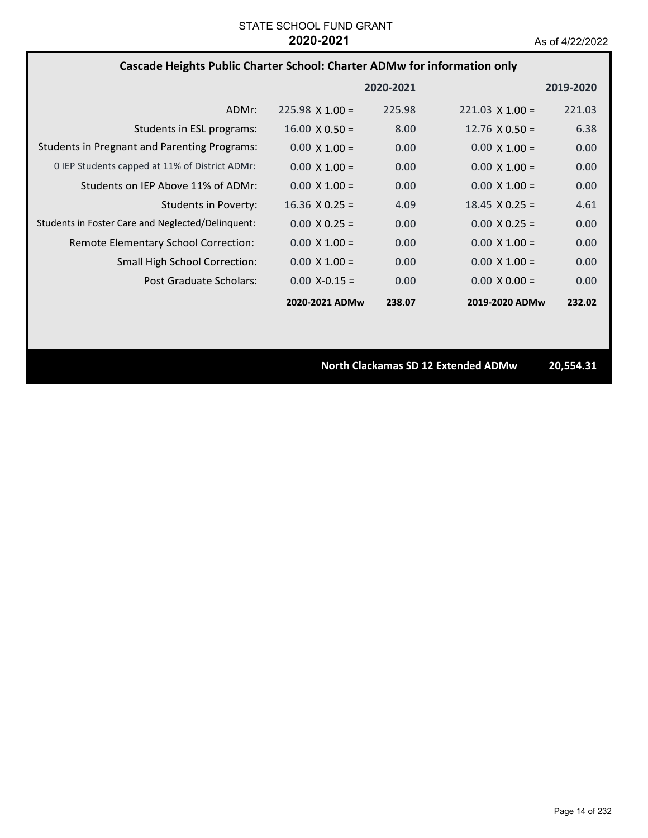### **Cascade Heights Public Charter School: Charter ADMw for information only**

|                                                     |                        | 2020-2021 |                        | 2019-2020 |
|-----------------------------------------------------|------------------------|-----------|------------------------|-----------|
| ADMr:                                               | $225.98 \times 1.00 =$ | 225.98    | $221.03 \times 1.00 =$ | 221.03    |
| Students in ESL programs:                           | $16.00 \times 0.50 =$  | 8.00      | $12.76 \times 0.50 =$  | 6.38      |
| <b>Students in Pregnant and Parenting Programs:</b> | $0.00 \times 1.00 =$   | 0.00      | $0.00 \times 1.00 =$   | 0.00      |
| 0 IEP Students capped at 11% of District ADMr:      | $0.00 \times 1.00 =$   | 0.00      | $0.00 \times 1.00 =$   | 0.00      |
| Students on IEP Above 11% of ADMr:                  | $0.00 \times 1.00 =$   | 0.00      | $0.00 \times 1.00 =$   | 0.00      |
| <b>Students in Poverty:</b>                         | $16.36 \times 0.25 =$  | 4.09      | $18.45 \times 0.25 =$  | 4.61      |
| Students in Foster Care and Neglected/Delinquent:   | $0.00 \times 0.25 =$   | 0.00      | $0.00 \times 0.25 =$   | 0.00      |
| Remote Elementary School Correction:                | $0.00 \times 1.00 =$   | 0.00      | $0.00 \times 1.00 =$   | 0.00      |
| <b>Small High School Correction:</b>                | $0.00 \times 1.00 =$   | 0.00      | $0.00 \times 1.00 =$   | 0.00      |
| Post Graduate Scholars:                             | $0.00$ X-0.15 =        | 0.00      | $0.00 \times 0.00 =$   | 0.00      |
|                                                     | 2020-2021 ADMw         | 238.07    | 2019-2020 ADMw         | 232.02    |

**North Clackamas SD 12 Extended ADMw 20,554.31**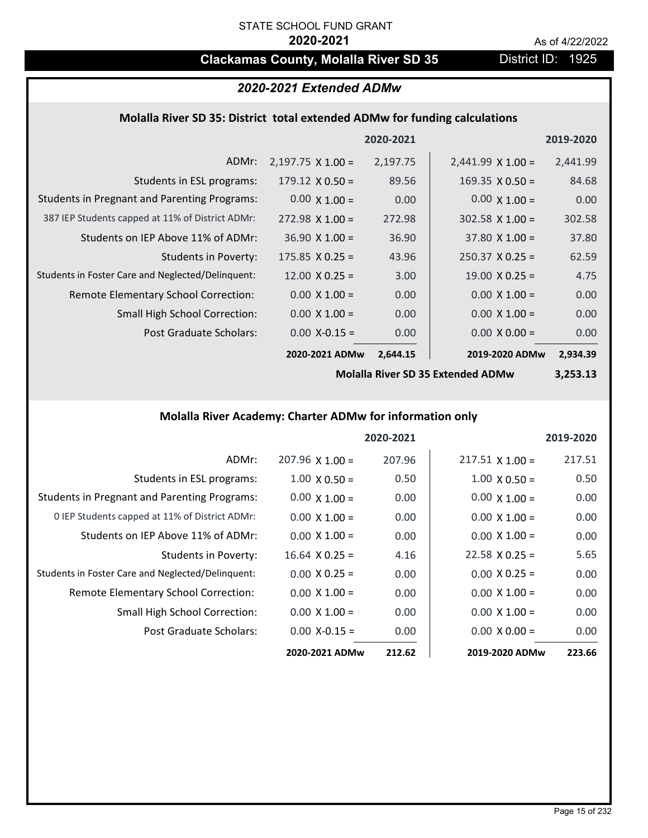## **Clackamas County, Molalla River SD 35** District ID: 1925

## *2020-2021 Extended ADMw*

## **Molalla River SD 35: District total extended ADMw for funding calculations**

|                                                     |                          | 2020-2021 |                          | 2019-2020 |
|-----------------------------------------------------|--------------------------|-----------|--------------------------|-----------|
| ADMr:                                               | $2,197.75 \times 1.00 =$ | 2,197.75  | $2,441.99 \times 1.00 =$ | 2,441.99  |
| Students in ESL programs:                           | $179.12 \times 0.50 =$   | 89.56     | $169.35 \times 0.50 =$   | 84.68     |
| <b>Students in Pregnant and Parenting Programs:</b> | $0.00 \times 1.00 =$     | 0.00      | $0.00 \times 1.00 =$     | 0.00      |
| 387 IEP Students capped at 11% of District ADMr:    | $272.98 \times 1.00 =$   | 272.98    | $302.58 \times 1.00 =$   | 302.58    |
| Students on IEP Above 11% of ADMr:                  | $36.90 \times 1.00 =$    | 36.90     | $37.80 \times 1.00 =$    | 37.80     |
| <b>Students in Poverty:</b>                         | $175.85 \times 0.25 =$   | 43.96     | $250.37$ X 0.25 =        | 62.59     |
| Students in Foster Care and Neglected/Delinquent:   | $12.00 \times 0.25 =$    | 3.00      | $19.00 \times 0.25 =$    | 4.75      |
| Remote Elementary School Correction:                | $0.00 \times 1.00 =$     | 0.00      | $0.00 \times 1.00 =$     | 0.00      |
| <b>Small High School Correction:</b>                | $0.00 \times 1.00 =$     | 0.00      | $0.00 \times 1.00 =$     | 0.00      |
| Post Graduate Scholars:                             | $0.00$ X-0.15 =          | 0.00      | $0.00 \times 0.00 =$     | 0.00      |
|                                                     | 2020-2021 ADMw           | 2,644.15  | 2019-2020 ADMw           | 2,934.39  |

**Molalla River SD 35 Extended ADMw**

**3,253.13**

## **Molalla River Academy: Charter ADMw for information only**

|                                                     |                      | 2020-2021 |                        | 2019-2020 |
|-----------------------------------------------------|----------------------|-----------|------------------------|-----------|
| ADMr:                                               | $207.96$ X 1.00 =    | 207.96    | $217.51 \times 1.00 =$ | 217.51    |
| Students in ESL programs:                           | $1.00 \times 0.50 =$ | 0.50      | $1.00 \times 0.50 =$   | 0.50      |
| <b>Students in Pregnant and Parenting Programs:</b> | $0.00 \times 1.00 =$ | 0.00      | $0.00 \times 1.00 =$   | 0.00      |
| 0 IEP Students capped at 11% of District ADMr:      | $0.00 \times 1.00 =$ | 0.00      | $0.00 \times 1.00 =$   | 0.00      |
| Students on IEP Above 11% of ADMr:                  | $0.00 \times 1.00 =$ | 0.00      | $0.00 \times 1.00 =$   | 0.00      |
| <b>Students in Poverty:</b>                         | $16.64$ X 0.25 =     | 4.16      | $22.58 \times 0.25 =$  | 5.65      |
| Students in Foster Care and Neglected/Delinquent:   | $0.00 \times 0.25 =$ | 0.00      | $0.00 \times 0.25 =$   | 0.00      |
| Remote Elementary School Correction:                | $0.00 \times 1.00 =$ | 0.00      | $0.00 \times 1.00 =$   | 0.00      |
| <b>Small High School Correction:</b>                | $0.00 \times 1.00 =$ | 0.00      | $0.00 \times 1.00 =$   | 0.00      |
| Post Graduate Scholars:                             | $0.00$ X-0.15 =      | 0.00      | $0.00 \times 0.00 =$   | 0.00      |
|                                                     | 2020-2021 ADMw       | 212.62    | 2019-2020 ADMw         | 223.66    |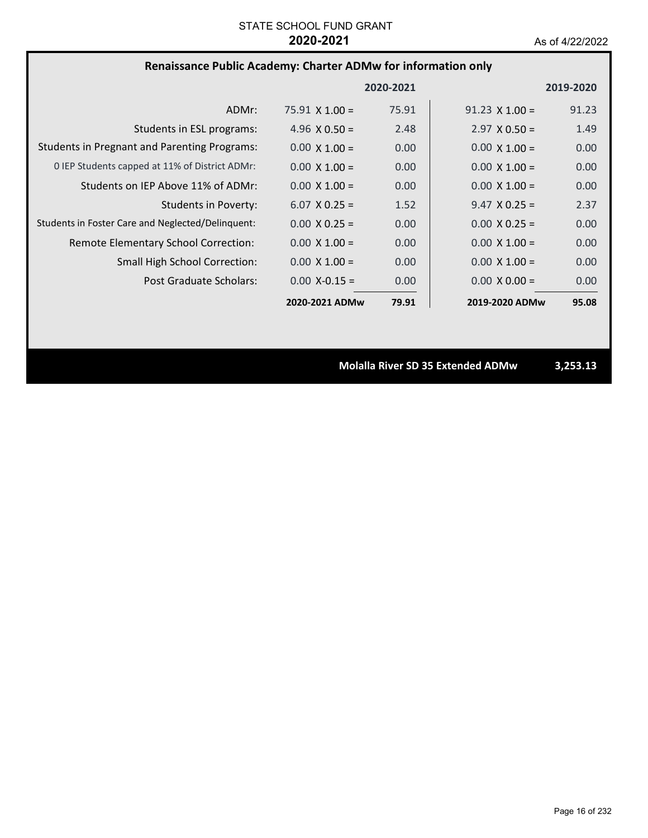## **Renaissance Public Academy: Charter ADMw for information only**

|                                                     |                       | 2020-2021 |                       | 2019-2020 |
|-----------------------------------------------------|-----------------------|-----------|-----------------------|-----------|
| ADMr:                                               | $75.91 \times 1.00 =$ | 75.91     | $91.23 \times 1.00 =$ | 91.23     |
| Students in ESL programs:                           | 4.96 $\times$ 0.50 =  | 2.48      | $2.97 \times 0.50 =$  | 1.49      |
| <b>Students in Pregnant and Parenting Programs:</b> | $0.00 \times 1.00 =$  | 0.00      | $0.00 \times 1.00 =$  | 0.00      |
| 0 IEP Students capped at 11% of District ADMr:      | $0.00 \times 1.00 =$  | 0.00      | $0.00 \times 1.00 =$  | 0.00      |
| Students on IEP Above 11% of ADMr:                  | $0.00 \times 1.00 =$  | 0.00      | $0.00 \times 1.00 =$  | 0.00      |
| <b>Students in Poverty:</b>                         | $6.07 \times 0.25 =$  | 1.52      | $9.47 \times 0.25 =$  | 2.37      |
| Students in Foster Care and Neglected/Delinquent:   | $0.00 \times 0.25 =$  | 0.00      | $0.00 \times 0.25 =$  | 0.00      |
| Remote Elementary School Correction:                | $0.00 \times 1.00 =$  | 0.00      | $0.00 \times 1.00 =$  | 0.00      |
| <b>Small High School Correction:</b>                | $0.00 \times 1.00 =$  | 0.00      | $0.00 \times 1.00 =$  | 0.00      |
| Post Graduate Scholars:                             | $0.00 X - 0.15 =$     | 0.00      | $0.00 \times 0.00 =$  | 0.00      |
|                                                     | 2020-2021 ADMw        | 79.91     | 2019-2020 ADMw        | 95.08     |

**Molalla River SD 35 Extended ADMw 3,253.13**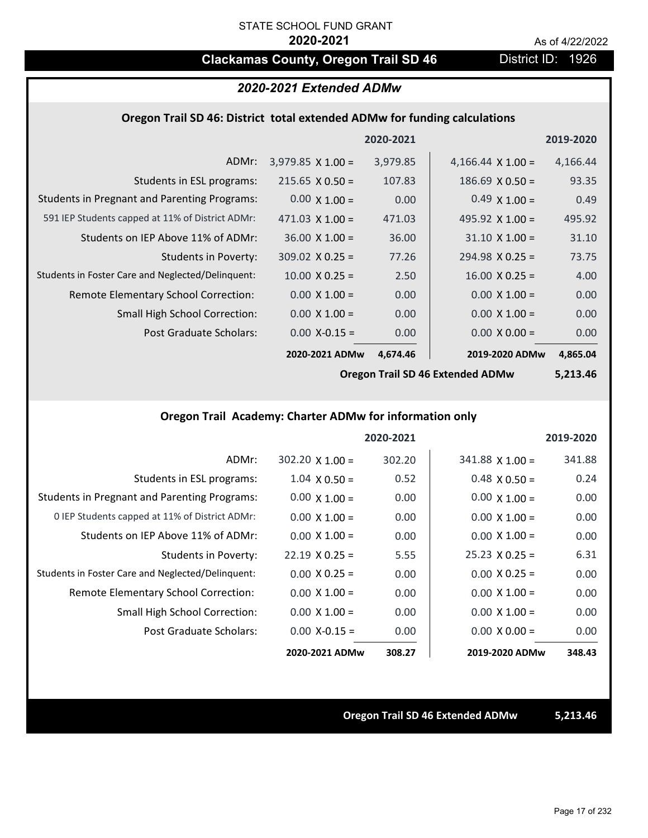## **Clackamas County, Oregon Trail SD 46** District ID: 1926

## *2020-2021 Extended ADMw*

### **Oregon Trail SD 46: District total extended ADMw for funding calculations**

|                                                     |                          | 2020-2021 |                          | 2019-2020 |
|-----------------------------------------------------|--------------------------|-----------|--------------------------|-----------|
| ADMr:                                               | $3,979.85 \times 1.00 =$ | 3,979.85  | 4,166.44 $\times$ 1.00 = | 4,166.44  |
| Students in ESL programs:                           | $215.65 \times 0.50 =$   | 107.83    | $186.69 \times 0.50 =$   | 93.35     |
| <b>Students in Pregnant and Parenting Programs:</b> | $0.00 \times 1.00 =$     | 0.00      | $0.49 \times 1.00 =$     | 0.49      |
| 591 IEP Students capped at 11% of District ADMr:    | 471.03 $\times$ 1.00 =   | 471.03    | 495.92 $\times$ 1.00 =   | 495.92    |
| Students on IEP Above 11% of ADMr:                  | $36.00 \times 1.00 =$    | 36.00     | $31.10 \times 1.00 =$    | 31.10     |
| Students in Poverty:                                | $309.02 \times 0.25 =$   | 77.26     | $294.98 \times 0.25 =$   | 73.75     |
| Students in Foster Care and Neglected/Delinquent:   | $10.00 \times 0.25 =$    | 2.50      | $16.00 \times 0.25 =$    | 4.00      |
| Remote Elementary School Correction:                | $0.00 \times 1.00 =$     | 0.00      | $0.00 \times 1.00 =$     | 0.00      |
| <b>Small High School Correction:</b>                | $0.00 \times 1.00 =$     | 0.00      | $0.00 \times 1.00 =$     | 0.00      |
| Post Graduate Scholars:                             | $0.00$ X-0.15 =          | 0.00      | $0.00 \times 0.00 =$     | 0.00      |
|                                                     | 2020-2021 ADMw           | 4,674.46  | 2019-2020 ADMw           | 4,865.04  |

**Oregon Trail SD 46 Extended ADMw**

**5,213.46**

## **Oregon Trail Academy: Charter ADMw for information only**

|                                                     |                       | 2020-2021 |                       | 2019-2020 |
|-----------------------------------------------------|-----------------------|-----------|-----------------------|-----------|
| ADMr:                                               | $302.20$ X $1.00 =$   | 302.20    | $341.88$ X 1.00 =     | 341.88    |
| Students in ESL programs:                           | $1.04 \times 0.50 =$  | 0.52      | $0.48 \times 0.50 =$  | 0.24      |
| <b>Students in Pregnant and Parenting Programs:</b> | $0.00 \times 1.00 =$  | 0.00      | $0.00 \times 1.00 =$  | 0.00      |
| 0 IEP Students capped at 11% of District ADMr:      | $0.00 \times 1.00 =$  | 0.00      | $0.00 \times 1.00 =$  | 0.00      |
| Students on IEP Above 11% of ADMr:                  | $0.00 \times 1.00 =$  | 0.00      | $0.00 \times 1.00 =$  | 0.00      |
| Students in Poverty:                                | $22.19 \times 0.25 =$ | 5.55      | $25.23 \times 0.25 =$ | 6.31      |
| Students in Foster Care and Neglected/Delinquent:   | $0.00 \times 0.25 =$  | 0.00      | $0.00 \times 0.25 =$  | 0.00      |
| Remote Elementary School Correction:                | $0.00 \times 1.00 =$  | 0.00      | $0.00 \times 1.00 =$  | 0.00      |
| <b>Small High School Correction:</b>                | $0.00 \times 1.00 =$  | 0.00      | $0.00 \times 1.00 =$  | 0.00      |
| Post Graduate Scholars:                             | $0.00 X - 0.15 =$     | 0.00      | $0.00 \times 0.00 =$  | 0.00      |
|                                                     | 2020-2021 ADMw        | 308.27    | 2019-2020 ADMw        | 348.43    |

### **Oregon Trail SD 46 Extended ADMw 5,213.46**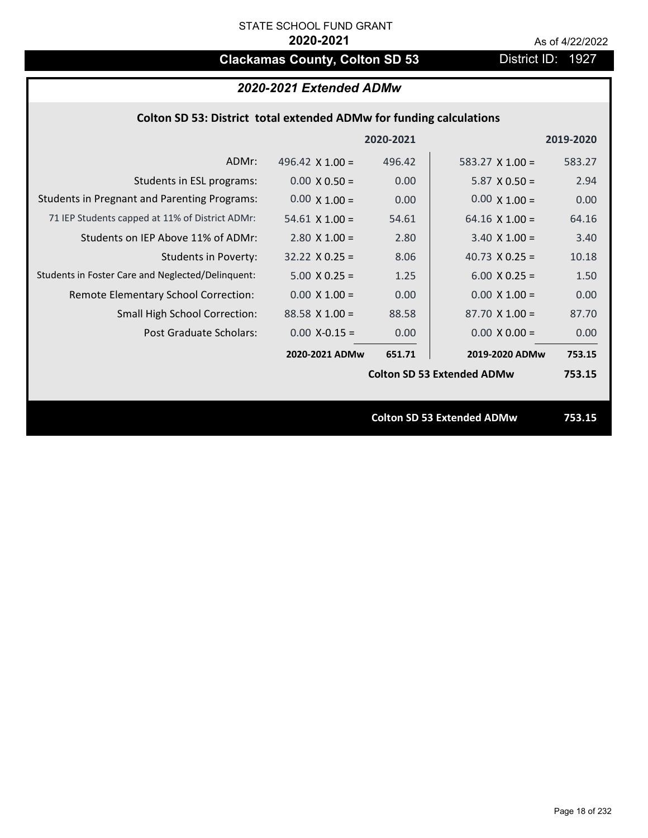# **Clackamas County, Colton SD 53** District ID: 1927

## *2020-2021 Extended ADMw*

## **Colton SD 53: District total extended ADMw for funding calculations**

|                                                     |                        | 2020-2021 |                                   | 2019-2020 |
|-----------------------------------------------------|------------------------|-----------|-----------------------------------|-----------|
| ADMr:                                               | 496.42 $\times$ 1.00 = | 496.42    | 583.27 $X$ 1.00 =                 | 583.27    |
| Students in ESL programs:                           | $0.00 \times 0.50 =$   | 0.00      | $5.87 \times 0.50 =$              | 2.94      |
| <b>Students in Pregnant and Parenting Programs:</b> | $0.00 \times 1.00 =$   | 0.00      | $0.00 \times 1.00 =$              | 0.00      |
| 71 IEP Students capped at 11% of District ADMr:     | $54.61 \times 1.00 =$  | 54.61     | $64.16 \times 1.00 =$             | 64.16     |
| Students on IEP Above 11% of ADMr:                  | $2.80 \times 1.00 =$   | 2.80      | $3.40 \times 1.00 =$              | 3.40      |
| <b>Students in Poverty:</b>                         | $32.22 \times 0.25 =$  | 8.06      | 40.73 $X$ 0.25 =                  | 10.18     |
| Students in Foster Care and Neglected/Delinquent:   | $5.00 \times 0.25 =$   | 1.25      | $6.00 \times 0.25 =$              | 1.50      |
| Remote Elementary School Correction:                | $0.00 X 1.00 =$        | 0.00      | $0.00 \times 1.00 =$              | 0.00      |
| <b>Small High School Correction:</b>                | $88.58 \times 1.00 =$  | 88.58     | $87.70 \times 1.00 =$             | 87.70     |
| Post Graduate Scholars:                             | $0.00$ X-0.15 =        | 0.00      | $0.00 \times 0.00 =$              | 0.00      |
|                                                     | 2020-2021 ADMw         | 651.71    | 2019-2020 ADMw                    | 753.15    |
|                                                     |                        |           | <b>Colton SD 53 Extended ADMw</b> | 753.15    |
|                                                     |                        |           |                                   |           |
|                                                     |                        |           | <b>Colton SD 53 Extended ADMw</b> | 753.15    |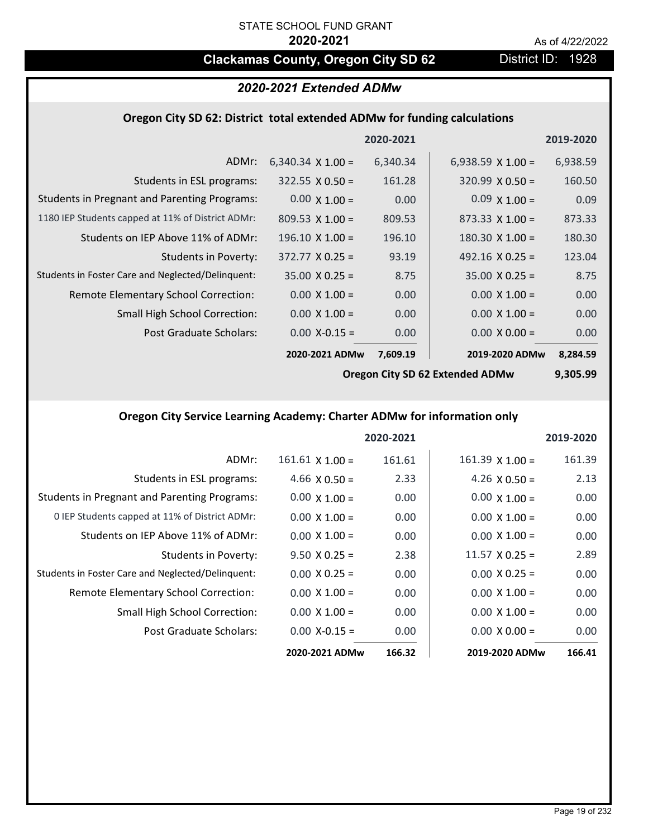## **Clackamas County, Oregon City SD 62** District ID: 1928

## *2020-2021 Extended ADMw*

#### **Oregon City SD 62: District total extended ADMw for funding calculations**

|                                                     |                          | 2020-2021 |                          | 2019-2020 |
|-----------------------------------------------------|--------------------------|-----------|--------------------------|-----------|
| ADMr:                                               | 6,340.34 $\times$ 1.00 = | 6,340.34  | 6,938.59 $\times$ 1.00 = | 6,938.59  |
| Students in ESL programs:                           | $322.55 \times 0.50 =$   | 161.28    | $320.99 \times 0.50 =$   | 160.50    |
| <b>Students in Pregnant and Parenting Programs:</b> | $0.00 \times 1.00 =$     | 0.00      | $0.09 \times 1.00 =$     | 0.09      |
| 1180 IEP Students capped at 11% of District ADMr:   | $809.53 \times 1.00 =$   | 809.53    | $873.33 \times 1.00 =$   | 873.33    |
| Students on IEP Above 11% of ADMr:                  | $196.10 \times 1.00 =$   | 196.10    | $180.30 \times 1.00 =$   | 180.30    |
| <b>Students in Poverty:</b>                         | $372.77 \times 0.25 =$   | 93.19     | 492.16 $X$ 0.25 =        | 123.04    |
| Students in Foster Care and Neglected/Delinquent:   | $35.00 \times 0.25 =$    | 8.75      | $35.00 \times 0.25 =$    | 8.75      |
| Remote Elementary School Correction:                | $0.00 \times 1.00 =$     | 0.00      | $0.00 \times 1.00 =$     | 0.00      |
| <b>Small High School Correction:</b>                | $0.00 \times 1.00 =$     | 0.00      | $0.00 \times 1.00 =$     | 0.00      |
| Post Graduate Scholars:                             | $0.00$ X-0.15 =          | 0.00      | $0.00 \times 0.00 =$     | 0.00      |
|                                                     | 2020-2021 ADMw           | 7,609.19  | 2019-2020 ADMw           | 8,284.59  |

**Oregon City SD 62 Extended ADMw**

**9,305.99**

## **Oregon City Service Learning Academy: Charter ADMw for information only**

|                                                     |                        | 2020-2021 |                        | 2019-2020 |
|-----------------------------------------------------|------------------------|-----------|------------------------|-----------|
| ADMr:                                               | $161.61 \times 1.00 =$ | 161.61    | $161.39 \times 1.00 =$ | 161.39    |
| Students in ESL programs:                           | 4.66 $X$ 0.50 =        | 2.33      | 4.26 $\times$ 0.50 =   | 2.13      |
| <b>Students in Pregnant and Parenting Programs:</b> | $0.00 \times 1.00 =$   | 0.00      | $0.00 \times 1.00 =$   | 0.00      |
| 0 IEP Students capped at 11% of District ADMr:      | $0.00 \times 1.00 =$   | 0.00      | $0.00 \times 1.00 =$   | 0.00      |
| Students on IEP Above 11% of ADMr:                  | $0.00 \times 1.00 =$   | 0.00      | $0.00 \times 1.00 =$   | 0.00      |
| Students in Poverty:                                | $9.50 \times 0.25 =$   | 2.38      | $11.57 \times 0.25 =$  | 2.89      |
| Students in Foster Care and Neglected/Delinquent:   | $0.00 \times 0.25 =$   | 0.00      | $0.00 \times 0.25 =$   | 0.00      |
| Remote Elementary School Correction:                | $0.00 \times 1.00 =$   | 0.00      | $0.00 \times 1.00 =$   | 0.00      |
| <b>Small High School Correction:</b>                | $0.00 \times 1.00 =$   | 0.00      | $0.00 \times 1.00 =$   | 0.00      |
| Post Graduate Scholars:                             | $0.00$ X-0.15 =        | 0.00      | $0.00 \times 0.00 =$   | 0.00      |
|                                                     | 2020-2021 ADMw         | 166.32    | 2019-2020 ADMw         | 166.41    |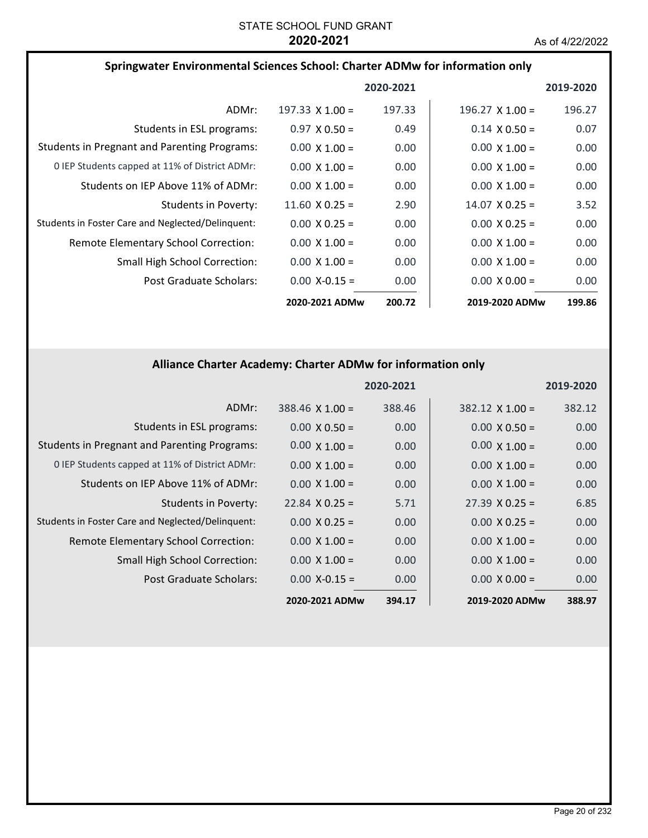| Springwater Environmental Sciences School: Charter ADMw for information only |                        |           |                        |           |
|------------------------------------------------------------------------------|------------------------|-----------|------------------------|-----------|
|                                                                              |                        | 2020-2021 |                        | 2019-2020 |
| ADMr:                                                                        | $197.33 \times 1.00 =$ | 197.33    | $196.27 \times 1.00 =$ | 196.27    |
| Students in ESL programs:                                                    | $0.97 \times 0.50 =$   | 0.49      | $0.14 \times 0.50 =$   | 0.07      |
| <b>Students in Pregnant and Parenting Programs:</b>                          | $0.00 \times 1.00 =$   | 0.00      | $0.00 \times 1.00 =$   | 0.00      |
| 0 IEP Students capped at 11% of District ADMr:                               | $0.00 \times 1.00 =$   | 0.00      | $0.00 \times 1.00 =$   | 0.00      |
| Students on IEP Above 11% of ADMr:                                           | $0.00 \times 1.00 =$   | 0.00      | $0.00 \times 1.00 =$   | 0.00      |
| Students in Poverty:                                                         | $11.60 \times 0.25 =$  | 2.90      | $14.07 \times 0.25 =$  | 3.52      |
| Students in Foster Care and Neglected/Delinquent:                            | $0.00 \times 0.25 =$   | 0.00      | $0.00 \times 0.25 =$   | 0.00      |
| <b>Remote Elementary School Correction:</b>                                  | $0.00 \times 1.00 =$   | 0.00      | $0.00 \times 1.00 =$   | 0.00      |
| <b>Small High School Correction:</b>                                         | $0.00 \times 1.00 =$   | 0.00      | $0.00 \times 1.00 =$   | 0.00      |
| Post Graduate Scholars:                                                      | $0.00$ X-0.15 =        | 0.00      | $0.00 \times 0.00 =$   | 0.00      |
|                                                                              | 2020-2021 ADMw         | 200.72    | 2019-2020 ADMw         | 199.86    |

## **Alliance Charter Academy: Charter ADMw for information only**

|                                                     |                       | 2020-2021 |                       | 2019-2020 |
|-----------------------------------------------------|-----------------------|-----------|-----------------------|-----------|
| ADMr:                                               | $388.46$ X 1.00 =     | 388.46    | $382.12$ X 1.00 =     | 382.12    |
| Students in ESL programs:                           | $0.00 \times 0.50 =$  | 0.00      | $0.00 \times 0.50 =$  | 0.00      |
| <b>Students in Pregnant and Parenting Programs:</b> | $0.00 \times 1.00 =$  | 0.00      | $0.00 \times 1.00 =$  | 0.00      |
| 0 IEP Students capped at 11% of District ADMr:      | $0.00 \times 1.00 =$  | 0.00      | $0.00 \times 1.00 =$  | 0.00      |
| Students on IEP Above 11% of ADMr:                  | $0.00 \times 1.00 =$  | 0.00      | $0.00 \times 1.00 =$  | 0.00      |
| <b>Students in Poverty:</b>                         | $22.84 \times 0.25 =$ | 5.71      | $27.39 \times 0.25 =$ | 6.85      |
| Students in Foster Care and Neglected/Delinquent:   | $0.00 \times 0.25 =$  | 0.00      | $0.00 \times 0.25 =$  | 0.00      |
| Remote Elementary School Correction:                | $0.00 \times 1.00 =$  | 0.00      | $0.00 \times 1.00 =$  | 0.00      |
| <b>Small High School Correction:</b>                | $0.00 \times 1.00 =$  | 0.00      | $0.00 \times 1.00 =$  | 0.00      |
| Post Graduate Scholars:                             | $0.00$ X-0.15 =       | 0.00      | $0.00 \times 0.00 =$  | 0.00      |
|                                                     | 2020-2021 ADMw        | 394.17    | 2019-2020 ADMw        | 388.97    |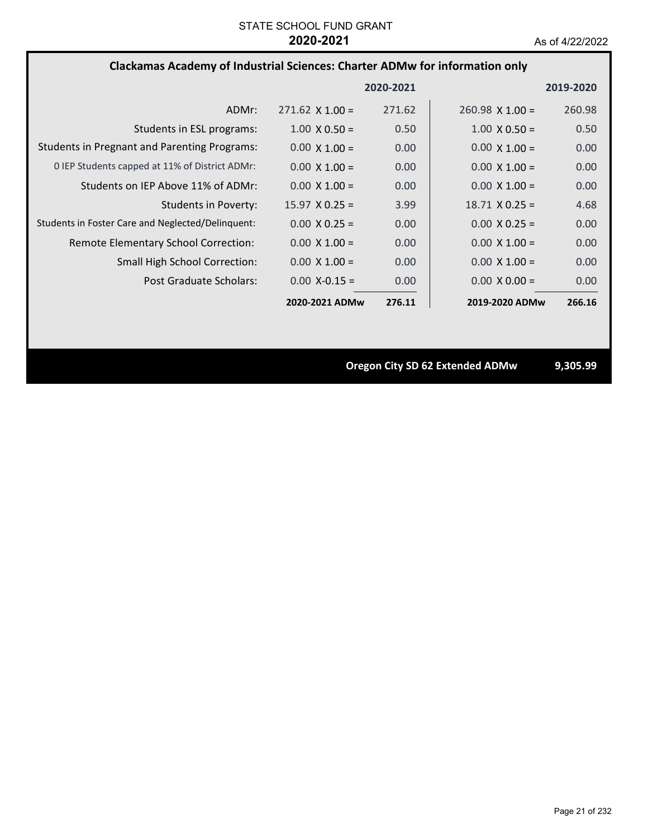## **Clackamas Academy of Industrial Sciences: Charter ADMw for information only**

|                                                     |                        | 2020-2021 |                        | 2019-2020 |
|-----------------------------------------------------|------------------------|-----------|------------------------|-----------|
| ADMr:                                               | $271.62 \times 1.00 =$ | 271.62    | $260.98 \times 1.00 =$ | 260.98    |
| Students in ESL programs:                           | $1.00 \times 0.50 =$   | 0.50      | $1.00 \times 0.50 =$   | 0.50      |
| <b>Students in Pregnant and Parenting Programs:</b> | $0.00 \times 1.00 =$   | 0.00      | $0.00 \times 1.00 =$   | 0.00      |
| 0 IEP Students capped at 11% of District ADMr:      | $0.00 \times 1.00 =$   | 0.00      | $0.00 \times 1.00 =$   | 0.00      |
| Students on IEP Above 11% of ADMr:                  | $0.00 \times 1.00 =$   | 0.00      | $0.00 \times 1.00 =$   | 0.00      |
| <b>Students in Poverty:</b>                         | $15.97 \times 0.25 =$  | 3.99      | $18.71 \times 0.25 =$  | 4.68      |
| Students in Foster Care and Neglected/Delinquent:   | $0.00 \times 0.25 =$   | 0.00      | $0.00 \times 0.25 =$   | 0.00      |
| Remote Elementary School Correction:                | $0.00 \times 1.00 =$   | 0.00      | $0.00 \times 1.00 =$   | 0.00      |
| <b>Small High School Correction:</b>                | $0.00 \times 1.00 =$   | 0.00      | $0.00 \times 1.00 =$   | 0.00      |
| Post Graduate Scholars:                             | $0.00 X - 0.15 =$      | 0.00      | $0.00 \times 0.00 =$   | 0.00      |
|                                                     | 2020-2021 ADMw         | 276.11    | 2019-2020 ADMw         | 266.16    |

**Oregon City SD 62 Extended ADMw 9,305.99**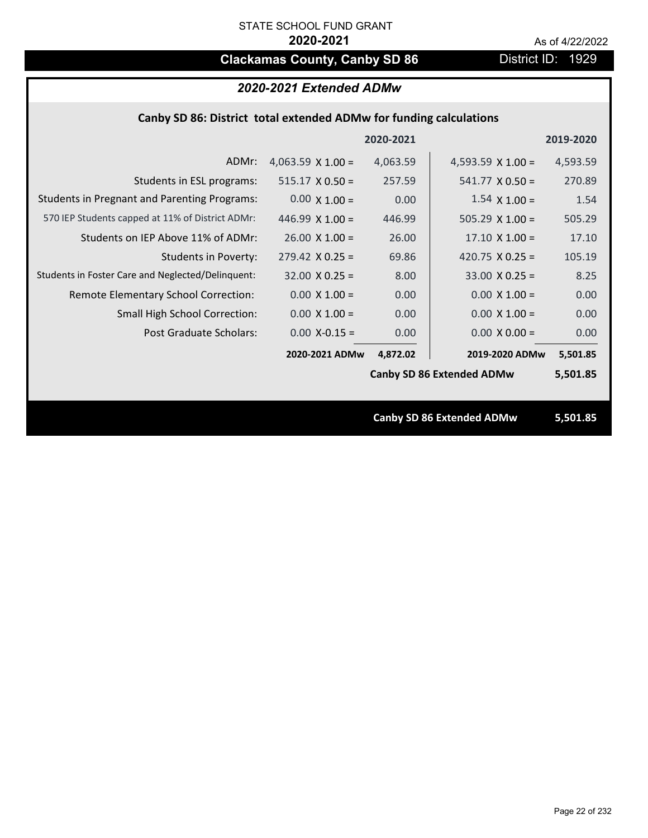# **Clackamas County, Canby SD 86** District ID: 1929

## *2020-2021 Extended ADMw*

## **Canby SD 86: District total extended ADMw for funding calculations**

|                                                     |                          | 2020-2021 |                                  | 2019-2020 |
|-----------------------------------------------------|--------------------------|-----------|----------------------------------|-----------|
| ADMr:                                               | 4,063.59 $\times$ 1.00 = | 4,063.59  | 4,593.59 $\times$ 1.00 =         | 4,593.59  |
| Students in ESL programs:                           | $515.17 \times 0.50 =$   | 257.59    | $541.77 \times 0.50 =$           | 270.89    |
| <b>Students in Pregnant and Parenting Programs:</b> | $0.00 \times 1.00 =$     | 0.00      | $1.54 \times 1.00 =$             | 1.54      |
| 570 IEP Students capped at 11% of District ADMr:    | 446.99 $\times$ 1.00 =   | 446.99    | $505.29 \times 1.00 =$           | 505.29    |
| Students on IEP Above 11% of ADMr:                  | $26.00 \times 1.00 =$    | 26.00     | $17.10 \times 1.00 =$            | 17.10     |
| <b>Students in Poverty:</b>                         | $279.42 \times 0.25 =$   | 69.86     | 420.75 $X$ 0.25 =                | 105.19    |
| Students in Foster Care and Neglected/Delinquent:   | $32.00 \times 0.25 =$    | 8.00      | $33.00 \times 0.25 =$            | 8.25      |
| Remote Elementary School Correction:                | $0.00 \times 1.00 =$     | 0.00      | $0.00 \times 1.00 =$             | 0.00      |
| <b>Small High School Correction:</b>                | $0.00 \times 1.00 =$     | 0.00      | $0.00 \times 1.00 =$             | 0.00      |
| Post Graduate Scholars:                             | $0.00$ X-0.15 =          | 0.00      | $0.00 \times 0.00 =$             | 0.00      |
|                                                     | 2020-2021 ADMw           | 4,872.02  | 2019-2020 ADMw                   | 5,501.85  |
|                                                     |                          |           | <b>Canby SD 86 Extended ADMw</b> | 5,501.85  |
|                                                     |                          |           |                                  |           |
|                                                     |                          |           | <b>Canby SD 86 Extended ADMw</b> | 5,501.85  |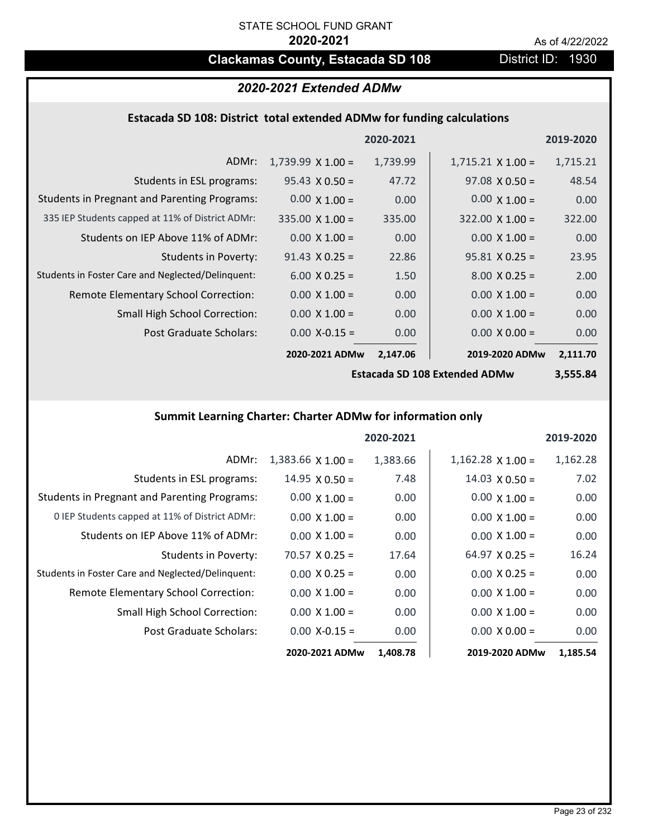## **Clackamas County, Estacada SD 108** District ID: 1930

## *2020-2021 Extended ADMw*

## **Estacada SD 108: District total extended ADMw for funding calculations**

|                                                     |                          | 2020-2021 |                          | 2019-2020 |
|-----------------------------------------------------|--------------------------|-----------|--------------------------|-----------|
| ADMr:                                               | $1,739.99 \times 1.00 =$ | 1,739.99  | $1,715.21 \times 1.00 =$ | 1,715.21  |
| Students in ESL programs:                           | $95.43 \times 0.50 =$    | 47.72     | $97.08 \times 0.50 =$    | 48.54     |
| <b>Students in Pregnant and Parenting Programs:</b> | $0.00 \times 1.00 =$     | 0.00      | $0.00 \times 1.00 =$     | 0.00      |
| 335 IEP Students capped at 11% of District ADMr:    | $335.00 \times 1.00 =$   | 335.00    | $322.00 \times 1.00 =$   | 322.00    |
| Students on IEP Above 11% of ADMr:                  | $0.00 \times 1.00 =$     | 0.00      | $0.00 \times 1.00 =$     | 0.00      |
| <b>Students in Poverty:</b>                         | $91.43 \times 0.25 =$    | 22.86     | $95.81 X 0.25 =$         | 23.95     |
| Students in Foster Care and Neglected/Delinquent:   | $6.00 \times 0.25 =$     | 1.50      | $8.00 \times 0.25 =$     | 2.00      |
| Remote Elementary School Correction:                | $0.00 \times 1.00 =$     | 0.00      | $0.00 \times 1.00 =$     | 0.00      |
| <b>Small High School Correction:</b>                | $0.00 \times 1.00 =$     | 0.00      | $0.00 \times 1.00 =$     | 0.00      |
| Post Graduate Scholars:                             | $0.00$ X-0.15 =          | 0.00      | $0.00 \times 0.00 =$     | 0.00      |
|                                                     | 2020-2021 ADMw           | 2,147.06  | 2019-2020 ADMw           | 2,111.70  |

**Estacada SD 108 Extended ADMw**

**3,555.84**

## **Summit Learning Charter: Charter ADMw for information only**

|                                                     |                          | 2020-2021 |                       | 2019-2020 |
|-----------------------------------------------------|--------------------------|-----------|-----------------------|-----------|
| ADMr:                                               | $1,383.66 \times 1.00 =$ | 1,383.66  | $1,162.28$ X $1.00 =$ | 1,162.28  |
| Students in ESL programs:                           | $14.95 \times 0.50 =$    | 7.48      | $14.03 \times 0.50 =$ | 7.02      |
| <b>Students in Pregnant and Parenting Programs:</b> | $0.00 \times 1.00 =$     | 0.00      | $0.00 \times 1.00 =$  | 0.00      |
| 0 IEP Students capped at 11% of District ADMr:      | $0.00 \times 1.00 =$     | 0.00      | $0.00 \times 1.00 =$  | 0.00      |
| Students on IEP Above 11% of ADMr:                  | $0.00 \times 1.00 =$     | 0.00      | $0.00 \times 1.00 =$  | 0.00      |
| Students in Poverty:                                | $70.57 \times 0.25 =$    | 17.64     | $64.97$ X 0.25 =      | 16.24     |
| Students in Foster Care and Neglected/Delinquent:   | $0.00 \times 0.25 =$     | 0.00      | $0.00 \times 0.25 =$  | 0.00      |
| Remote Elementary School Correction:                | $0.00 \times 1.00 =$     | 0.00      | $0.00 \times 1.00 =$  | 0.00      |
| <b>Small High School Correction:</b>                | $0.00 \times 1.00 =$     | 0.00      | $0.00 \times 1.00 =$  | 0.00      |
| Post Graduate Scholars:                             | $0.00$ X-0.15 =          | 0.00      | $0.00 \times 0.00 =$  | 0.00      |
|                                                     | 2020-2021 ADMw           | 1,408.78  | 2019-2020 ADMw        | 1,185.54  |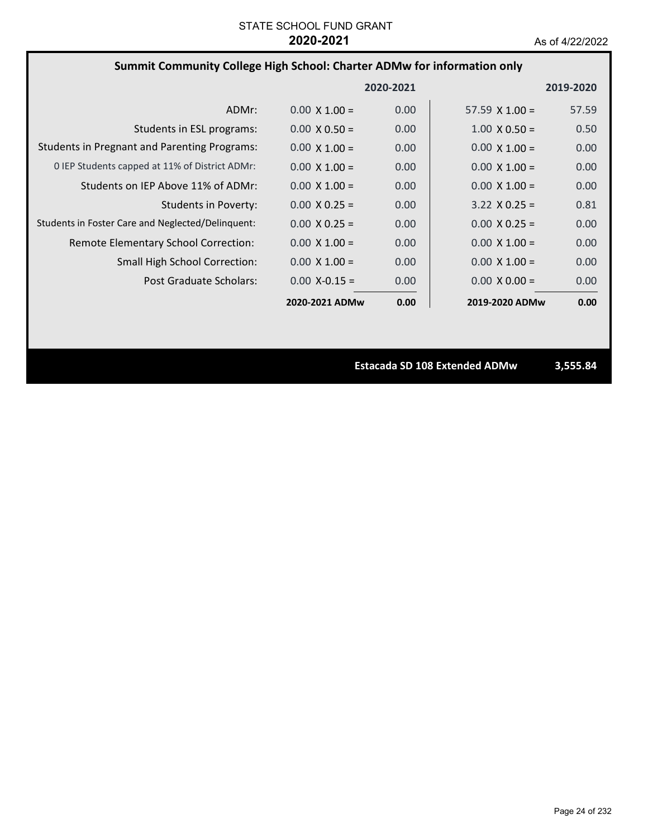## **Summit Community College High School: Charter ADMw for information only**

|                                                     |                      | 2020-2021         |                       | 2019-2020 |
|-----------------------------------------------------|----------------------|-------------------|-----------------------|-----------|
| ADMr:                                               | $0.00 \times 1.00 =$ | 0.00              | $57.59 \times 1.00 =$ | 57.59     |
| Students in ESL programs:                           | $0.00 \times 0.50 =$ | 0.00              | $1.00 \times 0.50 =$  | 0.50      |
| <b>Students in Pregnant and Parenting Programs:</b> | $0.00 \times 1.00 =$ | 0.00              | $0.00 \times 1.00 =$  | 0.00      |
| 0 IEP Students capped at 11% of District ADMr:      | $0.00 \times 1.00 =$ | 0.00              | $0.00 \times 1.00 =$  | 0.00      |
| Students on IEP Above 11% of ADMr:                  | $0.00 \times 1.00 =$ | 0.00              | $0.00 \times 1.00 =$  | 0.00      |
| Students in Poverty:                                | $0.00 \times 0.25 =$ | 0.00              | $3.22 \times 0.25 =$  | 0.81      |
| Students in Foster Care and Neglected/Delinquent:   | $0.00 \times 0.25 =$ | 0.00              | $0.00 \times 0.25 =$  | 0.00      |
| Remote Elementary School Correction:                | $0.00 \times 1.00 =$ | 0.00              | $0.00 \times 1.00 =$  | 0.00      |
| <b>Small High School Correction:</b>                | $0.00 \times 1.00 =$ | 0.00              | $0.00 \times 1.00 =$  | 0.00      |
| Post Graduate Scholars:                             | $0.00 X - 0.15 =$    | 0.00 <sub>1</sub> | $0.00 \times 0.00 =$  | 0.00      |
|                                                     | 2020-2021 ADMw       | 0.00              | 2019-2020 ADMw        | 0.00      |

**Estacada SD 108 Extended ADMw 3,555.84**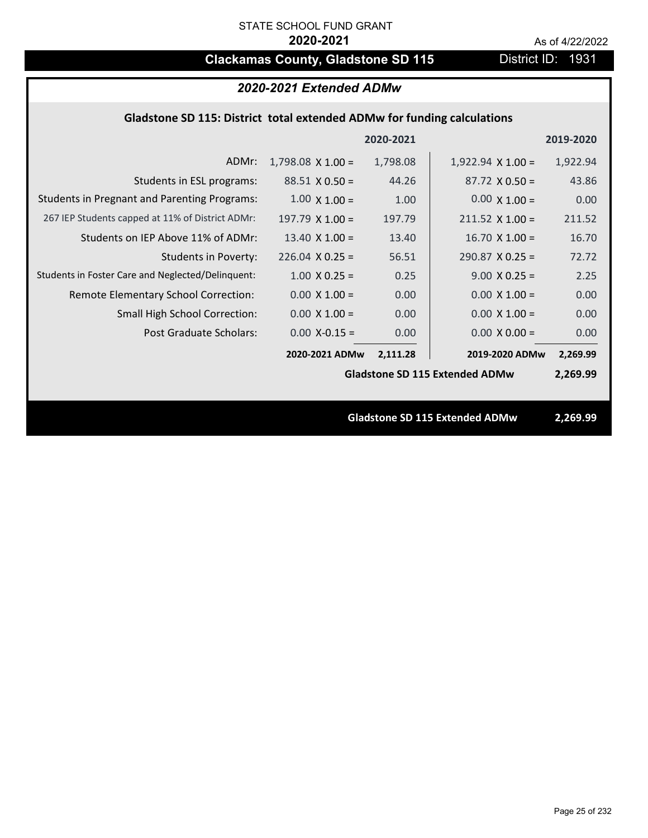# **Clackamas County, Gladstone SD 115** District ID: 1931

| 2020-2021 Extended ADMw                                                 |                          |           |                                       |           |  |
|-------------------------------------------------------------------------|--------------------------|-----------|---------------------------------------|-----------|--|
| Gladstone SD 115: District total extended ADMw for funding calculations |                          |           |                                       |           |  |
|                                                                         |                          | 2020-2021 |                                       | 2019-2020 |  |
| ADMr:                                                                   | $1,798.08 \times 1.00 =$ | 1,798.08  | $1,922.94 \times 1.00 =$              | 1,922.94  |  |
| Students in ESL programs:                                               | $88.51 \times 0.50 =$    | 44.26     | $87.72 \times 0.50 =$                 | 43.86     |  |
| <b>Students in Pregnant and Parenting Programs:</b>                     | $1.00 \times 1.00 =$     | 1.00      | $0.00 \times 1.00 =$                  | 0.00      |  |
| 267 IEP Students capped at 11% of District ADMr:                        | $197.79 \times 1.00 =$   | 197.79    | $211.52 \times 1.00 =$                | 211.52    |  |
| Students on IEP Above 11% of ADMr:                                      | 13.40 $X$ 1.00 =         | 13.40     | $16.70$ X $1.00 =$                    | 16.70     |  |
| <b>Students in Poverty:</b>                                             | $226.04$ X 0.25 =        | 56.51     | $290.87$ X 0.25 =                     | 72.72     |  |
| Students in Foster Care and Neglected/Delinquent:                       | $1.00 \times 0.25 =$     | 0.25      | $9.00 \times 0.25 =$                  | 2.25      |  |
| Remote Elementary School Correction:                                    | $0.00 \times 1.00 =$     | 0.00      | $0.00 \times 1.00 =$                  | 0.00      |  |
| Small High School Correction:                                           | $0.00 \times 1.00 =$     | 0.00      | $0.00 \times 1.00 =$                  | 0.00      |  |
| Post Graduate Scholars:                                                 | $0.00$ X-0.15 =          | 0.00      | $0.00 \times 0.00 =$                  | 0.00      |  |
|                                                                         | 2020-2021 ADMw           | 2,111.28  | 2019-2020 ADMw                        | 2,269.99  |  |
|                                                                         |                          |           | <b>Gladstone SD 115 Extended ADMw</b> | 2,269.99  |  |
|                                                                         |                          |           |                                       |           |  |
| <b>Gladstone SD 115 Extended ADMw</b>                                   |                          |           | 2,269.99                              |           |  |
|                                                                         |                          |           |                                       |           |  |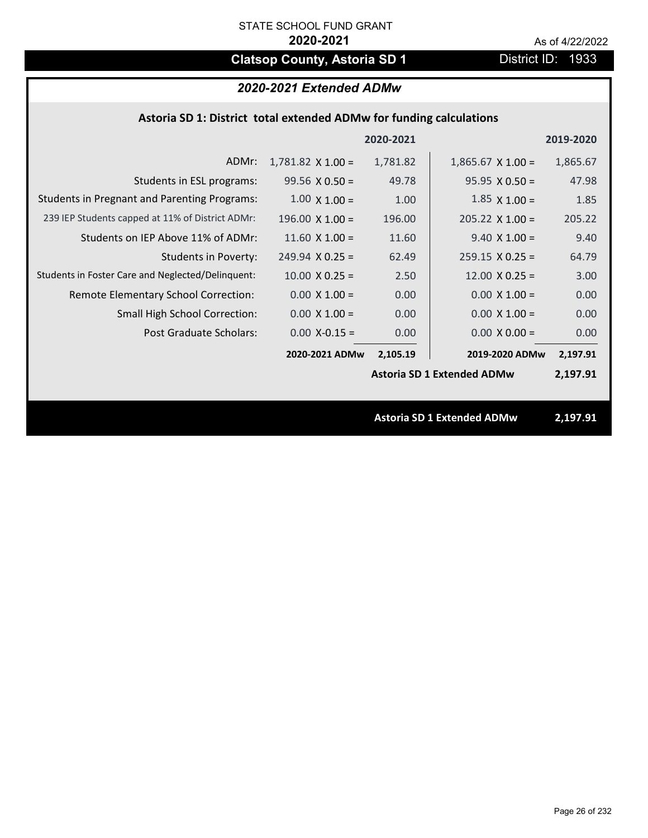# **Clatsop County, Astoria SD 1** District ID: 1933

| 2020-2021 Extended ADMw |  |  |
|-------------------------|--|--|
|-------------------------|--|--|

|  | Astoria SD 1: District total extended ADMw for funding calculations |
|--|---------------------------------------------------------------------|
|--|---------------------------------------------------------------------|

|                                                     |                          | 2020-2021 |                                   | 2019-2020 |
|-----------------------------------------------------|--------------------------|-----------|-----------------------------------|-----------|
| ADMr:                                               | $1,781.82 \times 1.00 =$ | 1,781.82  | $1,865.67 \times 1.00 =$          | 1,865.67  |
| Students in ESL programs:                           | $99.56 \times 0.50 =$    | 49.78     | $95.95 \times 0.50 =$             | 47.98     |
| <b>Students in Pregnant and Parenting Programs:</b> | $1.00 \times 1.00 =$     | 1.00      | $1.85 \times 1.00 =$              | 1.85      |
| 239 IEP Students capped at 11% of District ADMr:    | $196.00 \times 1.00 =$   | 196.00    | $205.22$ X 1.00 =                 | 205.22    |
| Students on IEP Above 11% of ADMr:                  | 11.60 $X$ 1.00 =         | 11.60     | $9.40 \times 1.00 =$              | 9.40      |
| <b>Students in Poverty:</b>                         | $249.94$ X 0.25 =        | 62.49     | $259.15 \times 0.25 =$            | 64.79     |
| Students in Foster Care and Neglected/Delinquent:   | $10.00 \times 0.25 =$    | 2.50      | $12.00 \times 0.25 =$             | 3.00      |
| Remote Elementary School Correction:                | $0.00 \times 1.00 =$     | 0.00      | $0.00 \times 1.00 =$              | 0.00      |
| <b>Small High School Correction:</b>                | $0.00 \times 1.00 =$     | 0.00      | $0.00 \times 1.00 =$              | 0.00      |
| Post Graduate Scholars:                             | $0.00$ X-0.15 =          | 0.00      | $0.00 \times 0.00 =$              | 0.00      |
|                                                     | 2020-2021 ADMw           | 2,105.19  | 2019-2020 ADMw                    | 2,197.91  |
|                                                     |                          |           | <b>Astoria SD 1 Extended ADMw</b> | 2,197.91  |
|                                                     |                          |           |                                   |           |
|                                                     |                          |           | <b>Astoria SD 1 Extended ADMw</b> | 2,197.91  |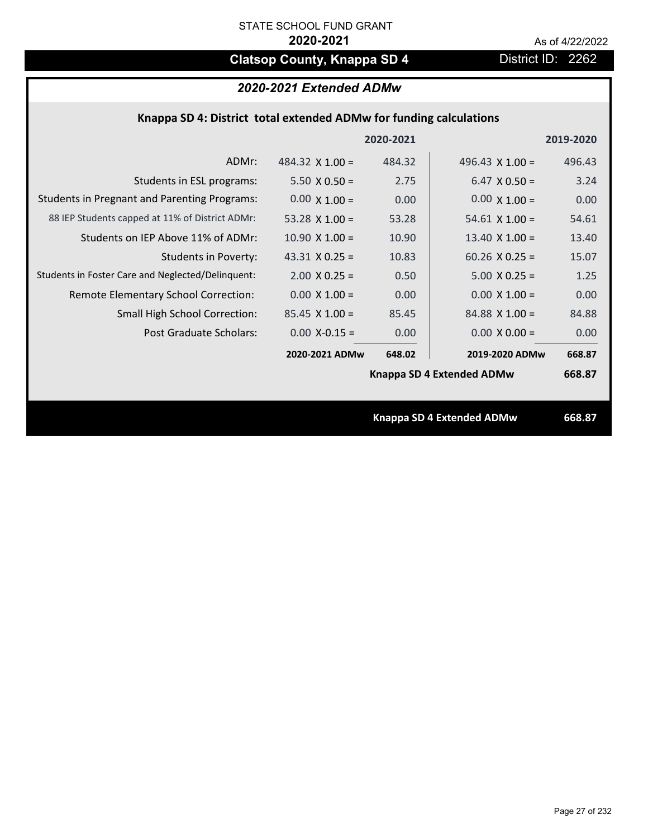# **Clatsop County, Knappa SD 4** District ID: 2262

## *2020-2021 Extended ADMw*

| Knappa SD 4: District total extended ADMw for funding calculations |  |  |  |
|--------------------------------------------------------------------|--|--|--|
|--------------------------------------------------------------------|--|--|--|

|                                                     |                        | 2020-2021 |                           | 2019-2020 |
|-----------------------------------------------------|------------------------|-----------|---------------------------|-----------|
| ADMr:                                               | 484.32 $\times$ 1.00 = | 484.32    | 496.43 $\times$ 1.00 =    | 496.43    |
| Students in ESL programs:                           | $5.50 \times 0.50 =$   | 2.75      | $6.47 \times 0.50 =$      | 3.24      |
| <b>Students in Pregnant and Parenting Programs:</b> | $0.00 \times 1.00 =$   | 0.00      | $0.00 \times 1.00 =$      | 0.00      |
| 88 IEP Students capped at 11% of District ADMr:     | 53.28 $\times$ 1.00 =  | 53.28     | $54.61 \times 1.00 =$     | 54.61     |
| Students on IEP Above 11% of ADMr:                  | $10.90 \times 1.00 =$  | 10.90     | 13.40 $X$ 1.00 =          | 13.40     |
| <b>Students in Poverty:</b>                         | $43.31$ X 0.25 =       | 10.83     | $60.26$ X 0.25 =          | 15.07     |
| Students in Foster Care and Neglected/Delinquent:   | $2.00 \times 0.25 =$   | 0.50      | $5.00 X 0.25 =$           | 1.25      |
| Remote Elementary School Correction:                | $0.00 \times 1.00 =$   | 0.00      | $0.00 \times 1.00 =$      | 0.00      |
| <b>Small High School Correction:</b>                | $85.45 \times 1.00 =$  | 85.45     | $84.88 \times 1.00 =$     | 84.88     |
| Post Graduate Scholars:                             | $0.00$ X-0.15 =        | 0.00      | $0.00 X 0.00 =$           | 0.00      |
|                                                     | 2020-2021 ADMw         | 648.02    | 2019-2020 ADMw            | 668.87    |
|                                                     |                        |           | Knappa SD 4 Extended ADMw | 668.87    |
|                                                     |                        |           |                           |           |
|                                                     |                        |           | Knappa SD 4 Extended ADMw | 668.87    |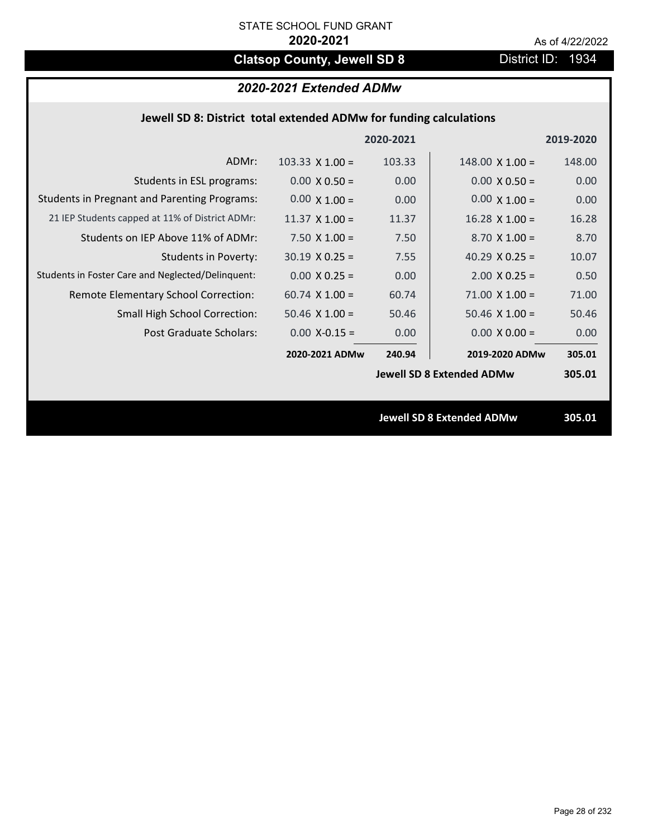# **Clatsop County, Jewell SD 8** District ID: 1934

## *2020-2021 Extended ADMw*

| Jewell SD 8: District total extended ADMw for funding calculations |                        |           |                                  |           |
|--------------------------------------------------------------------|------------------------|-----------|----------------------------------|-----------|
|                                                                    |                        | 2020-2021 |                                  | 2019-2020 |
| ADMr:                                                              | $103.33 \times 1.00 =$ | 103.33    | $148.00 \times 1.00 =$           | 148.00    |
| Students in ESL programs:                                          | $0.00 \times 0.50 =$   | 0.00      | $0.00 \times 0.50 =$             | 0.00      |
| <b>Students in Pregnant and Parenting Programs:</b>                | $0.00 \times 1.00 =$   | 0.00      | $0.00 \times 1.00 =$             | 0.00      |
| 21 IEP Students capped at 11% of District ADMr:                    | $11.37 \times 1.00 =$  | 11.37     | $16.28$ X 1.00 =                 | 16.28     |
| Students on IEP Above 11% of ADMr:                                 | $7.50 X 1.00 =$        | 7.50      | $8.70$ X $1.00 =$                | 8.70      |
| <b>Students in Poverty:</b>                                        | $30.19 \times 0.25 =$  | 7.55      | 40.29 $X$ 0.25 =                 | 10.07     |
| Students in Foster Care and Neglected/Delinquent:                  | $0.00 \times 0.25 =$   | 0.00      | $2.00$ X 0.25 =                  | 0.50      |
| Remote Elementary School Correction:                               | $60.74$ X $1.00 =$     | 60.74     | $71.00 \times 1.00 =$            | 71.00     |
| <b>Small High School Correction:</b>                               | $50.46$ X $1.00 =$     | 50.46     | $50.46$ X $1.00 =$               | 50.46     |
| <b>Post Graduate Scholars:</b>                                     | $0.00$ X-0.15 =        | 0.00      | $0.00 X 0.00 =$                  | 0.00      |
|                                                                    | 2020-2021 ADMw         | 240.94    | 2019-2020 ADMw                   | 305.01    |
|                                                                    |                        |           | <b>Jewell SD 8 Extended ADMw</b> | 305.01    |
|                                                                    |                        |           |                                  |           |
|                                                                    |                        |           | <b>Jewell SD 8 Extended ADMw</b> | 305.01    |
|                                                                    |                        |           |                                  |           |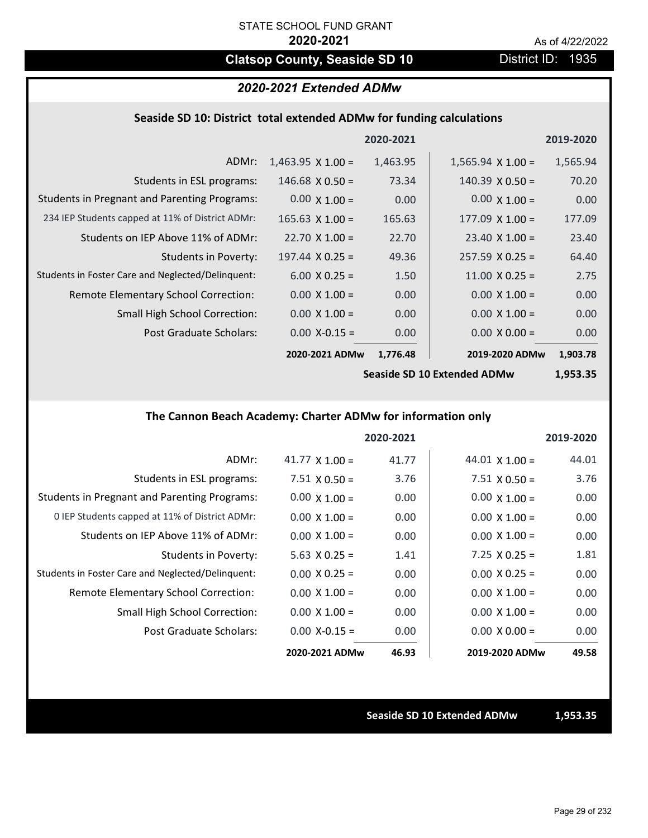# **Clatsop County, Seaside SD 10** District ID: 1935

## *2020-2021 Extended ADMw*

### **Seaside SD 10: District total extended ADMw for funding calculations**

|                                                     |                          | 2020-2021 |                          | 2019-2020 |
|-----------------------------------------------------|--------------------------|-----------|--------------------------|-----------|
| ADMr:                                               | $1,463.95 \times 1.00 =$ | 1,463.95  | $1,565.94 \times 1.00 =$ | 1,565.94  |
| Students in ESL programs:                           | $146.68 \times 0.50 =$   | 73.34     | $140.39 \times 0.50 =$   | 70.20     |
| <b>Students in Pregnant and Parenting Programs:</b> | $0.00 \times 1.00 =$     | 0.00      | $0.00 \times 1.00 =$     | 0.00      |
| 234 IEP Students capped at 11% of District ADMr:    | $165.63$ X $1.00 =$      | 165.63    | $177.09 \times 1.00 =$   | 177.09    |
| Students on IEP Above 11% of ADMr:                  | $22.70 \times 1.00 =$    | 22.70     | $23.40 \times 1.00 =$    | 23.40     |
| <b>Students in Poverty:</b>                         | $197.44 \times 0.25 =$   | 49.36     | $257.59 \times 0.25 =$   | 64.40     |
| Students in Foster Care and Neglected/Delinquent:   | $6.00 \times 0.25 =$     | 1.50      | $11.00 \times 0.25 =$    | 2.75      |
| Remote Elementary School Correction:                | $0.00 \times 1.00 =$     | 0.00      | $0.00 \times 1.00 =$     | 0.00      |
| <b>Small High School Correction:</b>                | $0.00 \times 1.00 =$     | 0.00      | $0.00 \times 1.00 =$     | 0.00      |
| Post Graduate Scholars:                             | $0.00$ X-0.15 =          | 0.00      | $0.00 \times 0.00 =$     | 0.00      |
|                                                     | 2020-2021 ADMw           | 1,776.48  | 2019-2020 ADMw           | 1,903.78  |
|                                                     |                          |           |                          |           |

**Seaside SD 10 Extended ADMw**

**1,953.35**

## **The Cannon Beach Academy: Charter ADMw for information only**

|                                                     |                       | 2020-2021 |                       | 2019-2020 |
|-----------------------------------------------------|-----------------------|-----------|-----------------------|-----------|
| ADMr:                                               | 41.77 $\times$ 1.00 = | 41.77     | 44.01 $\times$ 1.00 = | 44.01     |
| Students in ESL programs:                           | $7.51 \times 0.50 =$  | 3.76      | $7.51 \times 0.50 =$  | 3.76      |
| <b>Students in Pregnant and Parenting Programs:</b> | $0.00 \times 1.00 =$  | 0.00      | $0.00 \times 1.00 =$  | 0.00      |
| 0 IEP Students capped at 11% of District ADMr:      | $0.00 \times 1.00 =$  | 0.00      | $0.00 \times 1.00 =$  | 0.00      |
| Students on IEP Above 11% of ADMr:                  | $0.00 \times 1.00 =$  | 0.00      | $0.00 \times 1.00 =$  | 0.00      |
| Students in Poverty:                                | 5.63 $X$ 0.25 =       | 1.41      | $7.25 \times 0.25 =$  | 1.81      |
| Students in Foster Care and Neglected/Delinquent:   | $0.00 \times 0.25 =$  | 0.00      | $0.00 \times 0.25 =$  | 0.00      |
| Remote Elementary School Correction:                | $0.00 \times 1.00 =$  | 0.00      | $0.00 \times 1.00 =$  | 0.00      |
| <b>Small High School Correction:</b>                | $0.00 \times 1.00 =$  | 0.00      | $0.00 \times 1.00 =$  | 0.00      |
| Post Graduate Scholars:                             | $0.00 X - 0.15 =$     | 0.00      | $0.00 \times 0.00 =$  | 0.00      |
|                                                     | 2020-2021 ADMw        | 46.93     | 2019-2020 ADMw        | 49.58     |

**Seaside SD 10 Extended ADMw 1,953.35**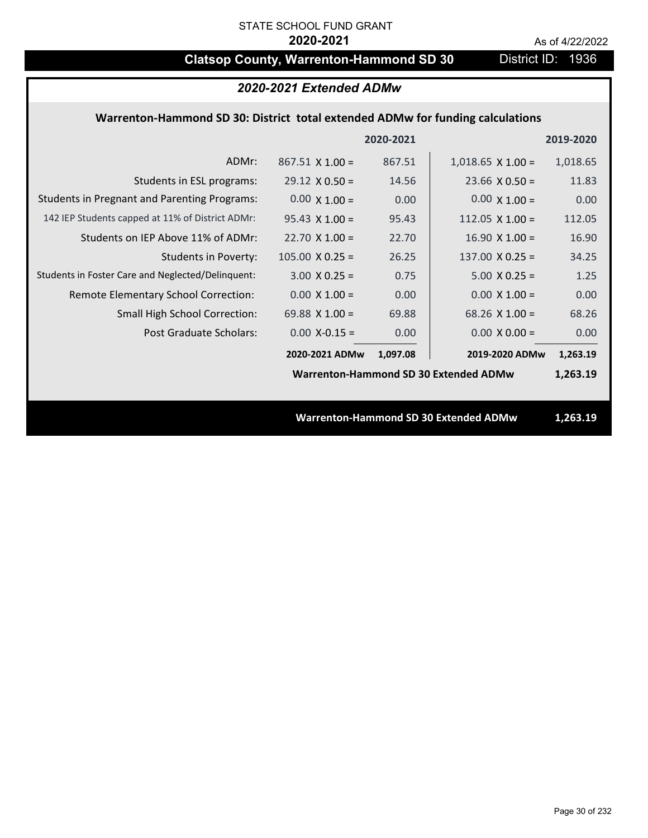# **Clatsop County, Warrenton-Hammond SD 30** District ID: 1936

## *2020-2021 Extended ADMw*

## **Warrenton‐Hammond SD 30: District total extended ADMw for funding calculations**

|                                                     |                                              | 2020-2021 |                                              | 2019-2020 |
|-----------------------------------------------------|----------------------------------------------|-----------|----------------------------------------------|-----------|
| ADMr:                                               | $867.51 \times 1.00 =$                       | 867.51    | $1,018.65$ X $1.00 =$                        | 1,018.65  |
| Students in ESL programs:                           | $29.12 \times 0.50 =$                        | 14.56     | $23.66 \times 0.50 =$                        | 11.83     |
| <b>Students in Pregnant and Parenting Programs:</b> | $0.00 \times 1.00 =$                         | 0.00      | $0.00 \times 1.00 =$                         | 0.00      |
| 142 IEP Students capped at 11% of District ADMr:    | $95.43 \times 1.00 =$                        | 95.43     | 112.05 $X$ 1.00 =                            | 112.05    |
| Students on IEP Above 11% of ADMr:                  | $22.70 \times 1.00 =$                        | 22.70     | $16.90$ X $1.00 =$                           | 16.90     |
| <b>Students in Poverty:</b>                         | $105.00 \times 0.25 =$                       | 26.25     | 137.00 $X$ 0.25 =                            | 34.25     |
| Students in Foster Care and Neglected/Delinquent:   | $3.00 \times 0.25 =$                         | 0.75      | $5.00 \times 0.25 =$                         | 1.25      |
| Remote Elementary School Correction:                | $0.00 \times 1.00 =$                         | 0.00      | $0.00 \times 1.00 =$                         | 0.00      |
| <b>Small High School Correction:</b>                | 69.88 $X$ 1.00 =                             | 69.88     | $68.26$ X 1.00 =                             | 68.26     |
| Post Graduate Scholars:                             | $0.00$ X-0.15 =                              | 0.00      | $0.00 \times 0.00 =$                         | 0.00      |
|                                                     | 2020-2021 ADMw                               | 1,097.08  | 2019-2020 ADMw                               | 1,263.19  |
|                                                     | <b>Warrenton-Hammond SD 30 Extended ADMw</b> |           |                                              | 1,263.19  |
|                                                     |                                              |           |                                              |           |
|                                                     |                                              |           | <b>Warrenton-Hammond SD 30 Extended ADMw</b> | 1,263.19  |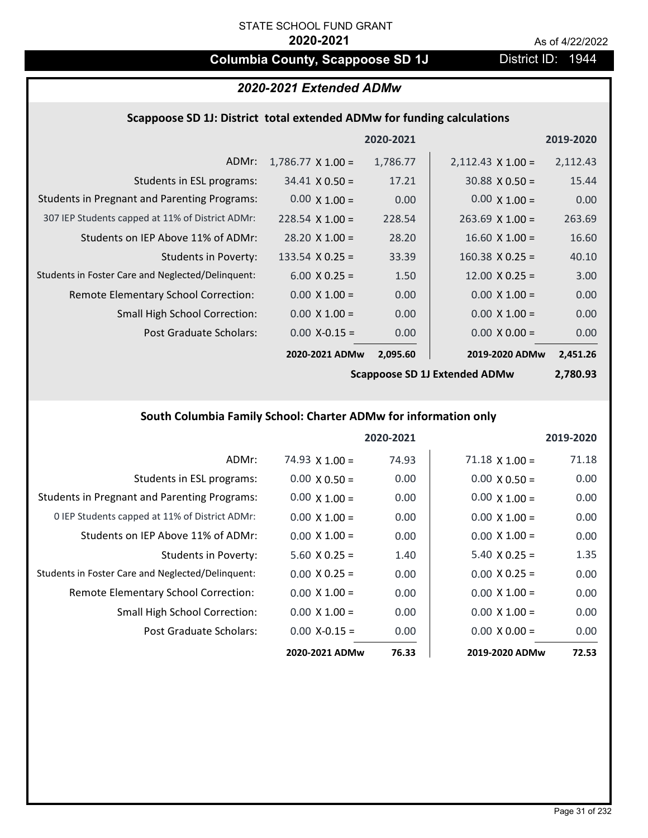## **Columbia County, Scappoose SD 1J** District ID: 1944

## *2020-2021 Extended ADMw*

### **Scappoose SD 1J: District total extended ADMw for funding calculations**

|                                                     |                          | 2020-2021 |                          | 2019-2020 |
|-----------------------------------------------------|--------------------------|-----------|--------------------------|-----------|
| ADMr:                                               | $1,786.77 \times 1.00 =$ | 1,786.77  | $2,112.43 \times 1.00 =$ | 2,112.43  |
| Students in ESL programs:                           | $34.41 \times 0.50 =$    | 17.21     | $30.88 \times 0.50 =$    | 15.44     |
| <b>Students in Pregnant and Parenting Programs:</b> | $0.00 \times 1.00 =$     | 0.00      | $0.00 \times 1.00 =$     | 0.00      |
| 307 IEP Students capped at 11% of District ADMr:    | $228.54 \times 1.00 =$   | 228.54    | $263.69$ X 1.00 =        | 263.69    |
| Students on IEP Above 11% of ADMr:                  | $28.20 \times 1.00 =$    | 28.20     | $16.60 X 1.00 =$         | 16.60     |
| Students in Poverty:                                | $133.54 \times 0.25 =$   | 33.39     | $160.38 \times 0.25 =$   | 40.10     |
| Students in Foster Care and Neglected/Delinquent:   | $6.00 \times 0.25 =$     | 1.50      | $12.00 \times 0.25 =$    | 3.00      |
| Remote Elementary School Correction:                | $0.00 \times 1.00 =$     | 0.00      | $0.00 \times 1.00 =$     | 0.00      |
| <b>Small High School Correction:</b>                | $0.00 \times 1.00 =$     | 0.00      | $0.00 \times 1.00 =$     | 0.00      |
| Post Graduate Scholars:                             | $0.00$ X-0.15 =          | 0.00      | $0.00 \times 0.00 =$     | 0.00      |
|                                                     | 2020-2021 ADMw           | 2,095.60  | 2019-2020 ADMw           | 2,451.26  |

**Scappoose SD 1J Extended ADMw**

**2,780.93**

## **South Columbia Family School: Charter ADMw for information only**

|                                                     |                       | 2020-2021 |                       | 2019-2020 |
|-----------------------------------------------------|-----------------------|-----------|-----------------------|-----------|
| ADMr:                                               | $74.93 \times 1.00 =$ | 74.93     | $71.18 \times 1.00 =$ | 71.18     |
| Students in ESL programs:                           | $0.00 \times 0.50 =$  | 0.00      | $0.00 \times 0.50 =$  | 0.00      |
| <b>Students in Pregnant and Parenting Programs:</b> | $0.00 \times 1.00 =$  | 0.00      | $0.00 \times 1.00 =$  | 0.00      |
| 0 IEP Students capped at 11% of District ADMr:      | $0.00 \times 1.00 =$  | 0.00      | $0.00 \times 1.00 =$  | 0.00      |
| Students on IEP Above 11% of ADMr:                  | $0.00 \times 1.00 =$  | 0.00      | $0.00 \times 1.00 =$  | 0.00      |
| Students in Poverty:                                | $5.60 \times 0.25 =$  | 1.40      | $5.40 \times 0.25 =$  | 1.35      |
| Students in Foster Care and Neglected/Delinquent:   | $0.00 \times 0.25 =$  | 0.00      | $0.00 \times 0.25 =$  | 0.00      |
| Remote Elementary School Correction:                | $0.00 \times 1.00 =$  | 0.00      | $0.00 \times 1.00 =$  | 0.00      |
| <b>Small High School Correction:</b>                | $0.00 \times 1.00 =$  | 0.00      | $0.00 \times 1.00 =$  | 0.00      |
| Post Graduate Scholars:                             | $0.00$ X-0.15 =       | 0.00      | $0.00 \times 0.00 =$  | 0.00      |
|                                                     | 2020-2021 ADMw        | 76.33     | 2019-2020 ADMw        | 72.53     |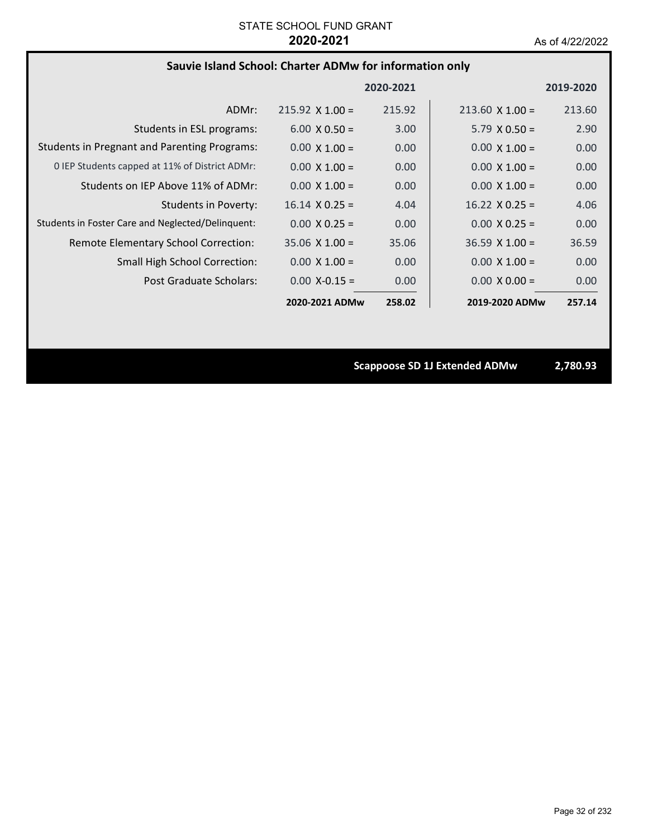## **Sauvie Island School: Charter ADMw for information only**

|                                                     |                        | 2020-2021 |                        | 2019-2020 |
|-----------------------------------------------------|------------------------|-----------|------------------------|-----------|
| ADMr:                                               | $215.92 \times 1.00 =$ | 215.92    | $213.60 \times 1.00 =$ | 213.60    |
| Students in ESL programs:                           | $6.00 \times 0.50 =$   | 3.00      | $5.79 \times 0.50 =$   | 2.90      |
| <b>Students in Pregnant and Parenting Programs:</b> | $0.00 \times 1.00 =$   | 0.00      | $0.00 \times 1.00 =$   | 0.00      |
| 0 IEP Students capped at 11% of District ADMr:      | $0.00 \times 1.00 =$   | 0.00      | $0.00 \times 1.00 =$   | 0.00      |
| Students on IEP Above 11% of ADMr:                  | $0.00 \times 1.00 =$   | 0.00      | $0.00 \times 1.00 =$   | 0.00      |
| Students in Poverty:                                | $16.14 \times 0.25 =$  | 4.04      | $16.22 \times 0.25 =$  | 4.06      |
| Students in Foster Care and Neglected/Delinquent:   | $0.00 \times 0.25 =$   | 0.00      | $0.00 \times 0.25 =$   | 0.00      |
| Remote Elementary School Correction:                | $35.06 \times 1.00 =$  | 35.06     | $36.59 \times 1.00 =$  | 36.59     |
| <b>Small High School Correction:</b>                | $0.00 \times 1.00 =$   | 0.00      | $0.00 \times 1.00 =$   | 0.00      |
| Post Graduate Scholars:                             | $0.00 X - 0.15 =$      | 0.00      | $0.00 \times 0.00 =$   | 0.00      |
|                                                     | 2020-2021 ADMw         | 258.02    | 2019-2020 ADMw         | 257.14    |

**Scappoose SD 1J Extended ADMw 2,780.93**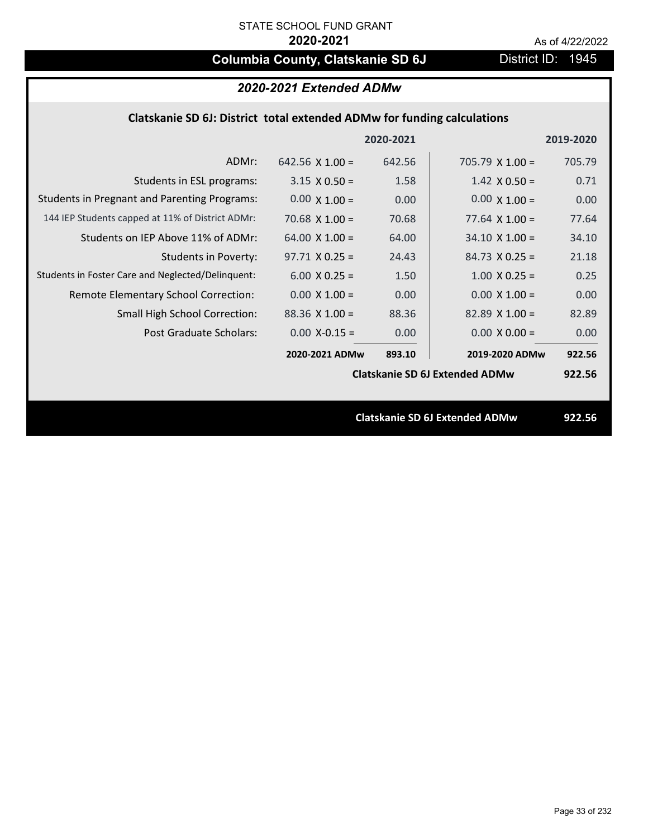# **Columbia County, Clatskanie SD 6J** District ID: 1945

| 2020-2021 Extended ADMw                                                 |                        |           |                                       |           |  |
|-------------------------------------------------------------------------|------------------------|-----------|---------------------------------------|-----------|--|
| Clatskanie SD 6J: District total extended ADMw for funding calculations |                        |           |                                       |           |  |
|                                                                         |                        | 2020-2021 |                                       | 2019-2020 |  |
| ADMr:                                                                   | 642.56 $\times$ 1.00 = | 642.56    | $705.79 \times 1.00 =$                | 705.79    |  |
| Students in ESL programs:                                               | $3.15 \times 0.50 =$   | 1.58      | $1.42 \times 0.50 =$                  | 0.71      |  |
| <b>Students in Pregnant and Parenting Programs:</b>                     | $0.00 \times 1.00 =$   | 0.00      | $0.00 \times 1.00 =$                  | 0.00      |  |
| 144 IEP Students capped at 11% of District ADMr:                        | 70.68 $\times$ 1.00 =  | 70.68     | $77.64 \times 1.00 =$                 | 77.64     |  |
| Students on IEP Above 11% of ADMr:                                      | 64.00 $X$ 1.00 =       | 64.00     | $34.10 \times 1.00 =$                 | 34.10     |  |
| <b>Students in Poverty:</b>                                             | $97.71 X 0.25 =$       | 24.43     | $84.73 \times 0.25 =$                 | 21.18     |  |
| Students in Foster Care and Neglected/Delinquent:                       | $6.00 \times 0.25 =$   | 1.50      | $1.00 \times 0.25 =$                  | 0.25      |  |
| Remote Elementary School Correction:                                    | $0.00 \times 1.00 =$   | 0.00      | $0.00 \times 1.00 =$                  | 0.00      |  |
| Small High School Correction:                                           | $88.36$ X 1.00 =       | 88.36     | $82.89$ X 1.00 =                      | 82.89     |  |
| Post Graduate Scholars:                                                 | $0.00$ X-0.15 =        | 0.00      | $0.00 \times 0.00 =$                  | 0.00      |  |
|                                                                         | 2020-2021 ADMw         | 893.10    | 2019-2020 ADMw                        | 922.56    |  |
|                                                                         |                        |           | <b>Clatskanie SD 6J Extended ADMw</b> | 922.56    |  |
|                                                                         |                        |           |                                       |           |  |
|                                                                         |                        |           | <b>Clatskanie SD 6J Extended ADMw</b> | 922.56    |  |
|                                                                         |                        |           |                                       |           |  |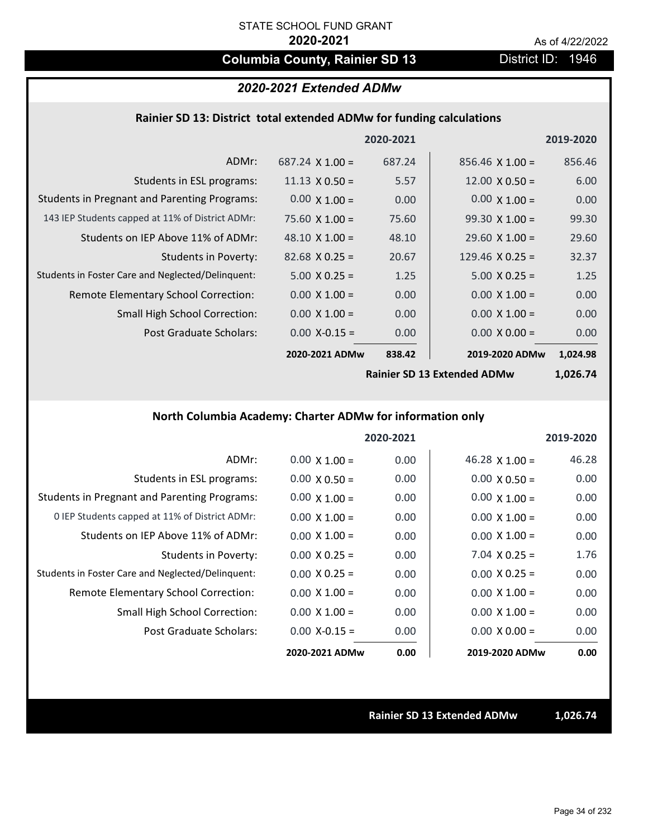## **Columbia County, Rainier SD 13** District ID: 1946

## *2020-2021 Extended ADMw*

### **Rainier SD 13: District total extended ADMw for funding calculations**

|                                                     |                        | 2020-2021 |                        | 2019-2020 |
|-----------------------------------------------------|------------------------|-----------|------------------------|-----------|
| ADMr:                                               | $687.24 \times 1.00 =$ | 687.24    | $856.46 \times 1.00 =$ | 856.46    |
| Students in ESL programs:                           | $11.13 \times 0.50 =$  | 5.57      | $12.00 \times 0.50 =$  | 6.00      |
| <b>Students in Pregnant and Parenting Programs:</b> | $0.00 \times 1.00 =$   | 0.00      | $0.00 \times 1.00 =$   | 0.00      |
| 143 IEP Students capped at 11% of District ADMr:    | $75.60 \times 1.00 =$  | 75.60     | $99.30 \times 1.00 =$  | 99.30     |
| Students on IEP Above 11% of ADMr:                  | 48.10 $\times$ 1.00 =  | 48.10     | $29.60 \times 1.00 =$  | 29.60     |
| Students in Poverty:                                | $82.68 \times 0.25 =$  | 20.67     | 129.46 $X$ 0.25 =      | 32.37     |
| Students in Foster Care and Neglected/Delinquent:   | $5.00 \times 0.25 =$   | 1.25      | $5.00 \times 0.25 =$   | 1.25      |
| Remote Elementary School Correction:                | $0.00 \times 1.00 =$   | 0.00      | $0.00 \times 1.00 =$   | 0.00      |
| <b>Small High School Correction:</b>                | $0.00 \times 1.00 =$   | 0.00      | $0.00 \times 1.00 =$   | 0.00      |
| Post Graduate Scholars:                             | $0.00$ X-0.15 =        | 0.00      | $0.00 \times 0.00 =$   | 0.00      |
|                                                     | 2020-2021 ADMw         | 838.42    | 2019-2020 ADMw         | 1,024.98  |

**Rainier SD 13 Extended ADMw**

**1,026.74**

## **North Columbia Academy: Charter ADMw for information only**

|                                                     |                      | 2020-2021 |                       | 2019-2020 |
|-----------------------------------------------------|----------------------|-----------|-----------------------|-----------|
| ADMr:                                               | $0.00 \times 1.00 =$ | 0.00      | $46.28 \times 1.00 =$ | 46.28     |
| Students in ESL programs:                           | $0.00 \times 0.50 =$ | 0.00      | $0.00 \times 0.50 =$  | 0.00      |
| <b>Students in Pregnant and Parenting Programs:</b> | $0.00 \times 1.00 =$ | 0.00      | $0.00 \times 1.00 =$  | 0.00      |
| 0 IEP Students capped at 11% of District ADMr:      | $0.00 \times 1.00 =$ | 0.00      | $0.00 \times 1.00 =$  | 0.00      |
| Students on IEP Above 11% of ADMr:                  | $0.00 \times 1.00 =$ | 0.00      | $0.00 \times 1.00 =$  | 0.00      |
| Students in Poverty:                                | $0.00 \times 0.25 =$ | 0.00      | $7.04 \times 0.25 =$  | 1.76      |
| Students in Foster Care and Neglected/Delinquent:   | $0.00 \times 0.25 =$ | 0.00      | $0.00 \times 0.25 =$  | 0.00      |
| Remote Elementary School Correction:                | $0.00 \times 1.00 =$ | 0.00      | $0.00 \times 1.00 =$  | 0.00      |
| <b>Small High School Correction:</b>                | $0.00 \times 1.00 =$ | 0.00      | $0.00 \times 1.00 =$  | 0.00      |
| Post Graduate Scholars:                             | $0.00 X - 0.15 =$    | 0.00      | $0.00 \times 0.00 =$  | 0.00      |
|                                                     | 2020-2021 ADMw       | 0.00      | 2019-2020 ADMw        | 0.00      |

**Rainier SD 13 Extended ADMw 1,026.74**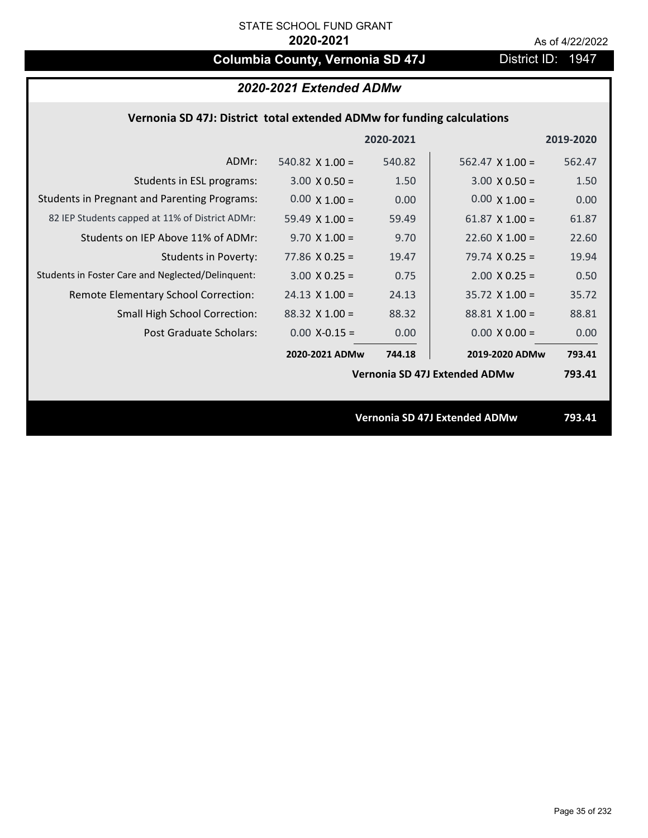# **Columbia County, Vernonia SD 47J** District ID: 1947

## **Vernonia SD 47J: District total extended ADMw for funding calculations**

|                                                     |                        | 2020-2021 |                                      | 2019-2020 |
|-----------------------------------------------------|------------------------|-----------|--------------------------------------|-----------|
| ADMr:                                               | 540.82 $\times$ 1.00 = | 540.82    | $562.47 \times 1.00 =$               | 562.47    |
| Students in ESL programs:                           | $3.00 \times 0.50 =$   | 1.50      | $3.00 \times 0.50 =$                 | 1.50      |
| <b>Students in Pregnant and Parenting Programs:</b> | $0.00 \times 1.00 =$   | 0.00      | $0.00 \times 1.00 =$                 | 0.00      |
| 82 IEP Students capped at 11% of District ADMr:     | 59.49 $\times$ 1.00 =  | 59.49     | 61.87 $\times$ 1.00 =                | 61.87     |
| Students on IEP Above 11% of ADMr:                  | $9.70 \times 1.00 =$   | 9.70      | $22.60$ X $1.00 =$                   | 22.60     |
| Students in Poverty:                                | $77.86$ X 0.25 =       | 19.47     | 79.74 $X$ 0.25 =                     | 19.94     |
| Students in Foster Care and Neglected/Delinquent:   | $3.00 \times 0.25 =$   | 0.75      | $2.00 \times 0.25 =$                 | 0.50      |
| Remote Elementary School Correction:                | $24.13 \times 1.00 =$  | 24.13     | $35.72 \times 1.00 =$                | 35.72     |
| <b>Small High School Correction:</b>                | $88.32 \times 1.00 =$  | 88.32     | $88.81 \times 1.00 =$                | 88.81     |
| Post Graduate Scholars:                             | $0.00$ X-0.15 =        | 0.00      | $0.00 \times 0.00 =$                 | 0.00      |
|                                                     | 2020-2021 ADMw         | 744.18    | 2019-2020 ADMw                       | 793.41    |
|                                                     |                        |           | Vernonia SD 47J Extended ADMw        | 793.41    |
|                                                     |                        |           |                                      |           |
|                                                     |                        |           | <b>Vernonia SD 47J Extended ADMw</b> | 793.41    |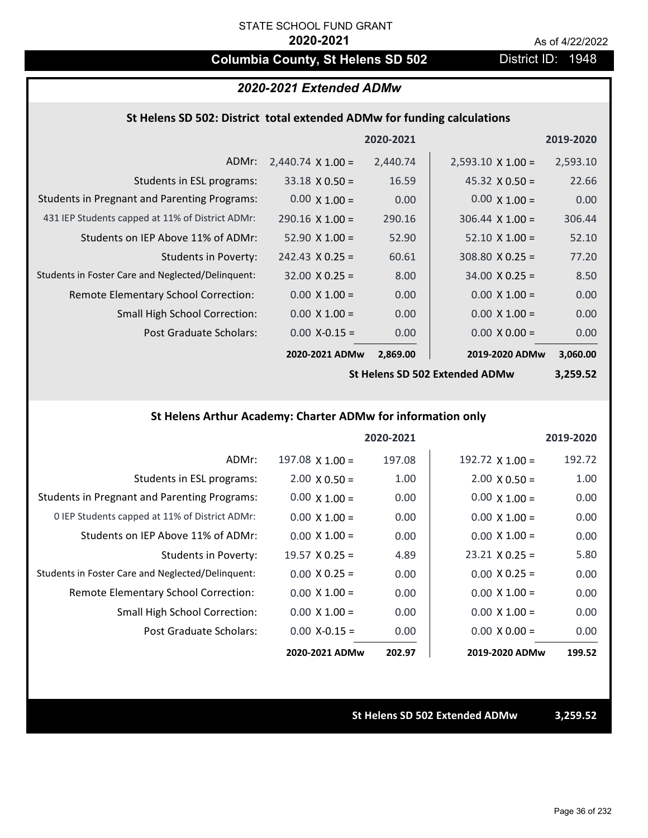## **Columbia County, St Helens SD 502** District ID: 1948

### *2020-2021 Extended ADMw*

### **St Helens SD 502: District total extended ADMw for funding calculations**

|                                                     |                          | 2020-2021 |                          | 2019-2020 |
|-----------------------------------------------------|--------------------------|-----------|--------------------------|-----------|
| ADMr:                                               | $2,440.74 \times 1.00 =$ | 2,440.74  | $2,593.10 \times 1.00 =$ | 2,593.10  |
| Students in ESL programs:                           | $33.18 \times 0.50 =$    | 16.59     | $45.32 \times 0.50 =$    | 22.66     |
| <b>Students in Pregnant and Parenting Programs:</b> | $0.00 \times 1.00 =$     | 0.00      | $0.00 \times 1.00 =$     | 0.00      |
| 431 IEP Students capped at 11% of District ADMr:    | $290.16 \times 1.00 =$   | 290.16    | $306.44 \times 1.00 =$   | 306.44    |
| Students on IEP Above 11% of ADMr:                  | $52.90 \times 1.00 =$    | 52.90     | $52.10 \times 1.00 =$    | 52.10     |
| Students in Poverty:                                | $242.43 \times 0.25 =$   | 60.61     | $308.80 \times 0.25 =$   | 77.20     |
| Students in Foster Care and Neglected/Delinquent:   | $32.00 \times 0.25 =$    | 8.00      | $34.00 \times 0.25 =$    | 8.50      |
| Remote Elementary School Correction:                | $0.00 \times 1.00 =$     | 0.00      | $0.00 \times 1.00 =$     | 0.00      |
| <b>Small High School Correction:</b>                | $0.00 \times 1.00 =$     | 0.00      | $0.00 \times 1.00 =$     | 0.00      |
| Post Graduate Scholars:                             | $0.00$ X-0.15 =          | 0.00      | $0.00 \times 0.00 =$     | 0.00      |
|                                                     | 2020-2021 ADMw           | 2,869.00  | 2019-2020 ADMw           | 3,060.00  |

**St Helens SD 502 Extended ADMw**

**3,259.52**

### **St Helens Arthur Academy: Charter ADMw for information only**

|                                                     |                       | 2020-2021 |                        | 2019-2020 |
|-----------------------------------------------------|-----------------------|-----------|------------------------|-----------|
| ADMr:                                               | $197.08$ X $1.00 =$   | 197.08    | $192.72 \times 1.00 =$ | 192.72    |
| Students in ESL programs:                           | $2.00 \times 0.50 =$  | 1.00      | $2.00 \times 0.50 =$   | 1.00      |
| <b>Students in Pregnant and Parenting Programs:</b> | $0.00 \times 1.00 =$  | 0.00      | $0.00 \times 1.00 =$   | 0.00      |
| 0 IEP Students capped at 11% of District ADMr:      | $0.00 \times 1.00 =$  | 0.00      | $0.00 \times 1.00 =$   | 0.00      |
| Students on IEP Above 11% of ADMr:                  | $0.00 \times 1.00 =$  | 0.00      | $0.00 \times 1.00 =$   | 0.00      |
| Students in Poverty:                                | $19.57 \times 0.25 =$ | 4.89      | $23.21 \times 0.25 =$  | 5.80      |
| Students in Foster Care and Neglected/Delinquent:   | $0.00 \times 0.25 =$  | 0.00      | $0.00 \times 0.25 =$   | 0.00      |
| Remote Elementary School Correction:                | $0.00 \times 1.00 =$  | 0.00      | $0.00 \times 1.00 =$   | 0.00      |
| <b>Small High School Correction:</b>                | $0.00 \times 1.00 =$  | 0.00      | $0.00 \times 1.00 =$   | 0.00      |
| Post Graduate Scholars:                             | $0.00 X - 0.15 =$     | 0.00      | $0.00 \times 0.00 =$   | 0.00      |
|                                                     | 2020-2021 ADMw        | 202.97    | 2019-2020 ADMw         | 199.52    |

**St Helens SD 502 Extended ADMw 3,259.52**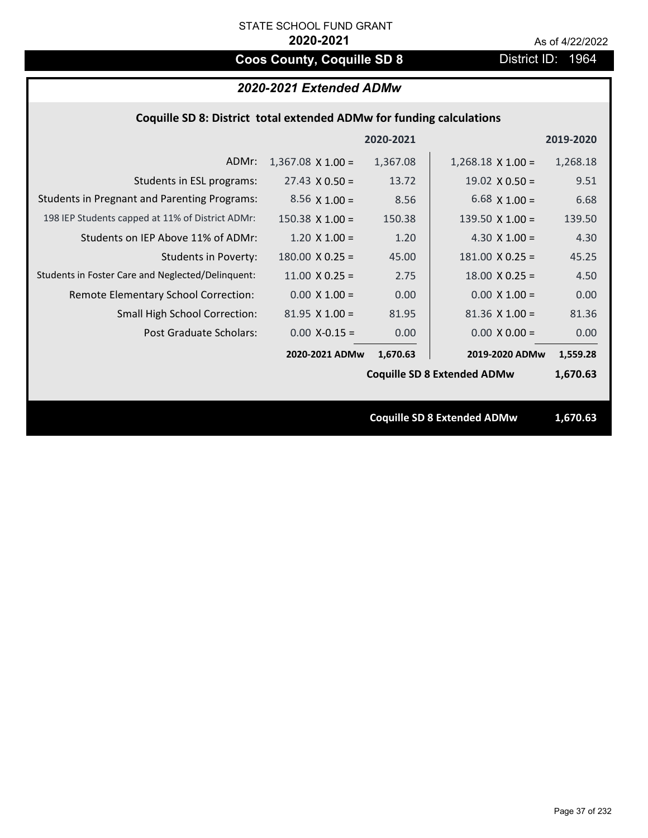# **Coos County, Coquille SD 8** District ID: 1964

# *2020-2021 Extended ADMw*

|  |  | Coquille SD 8: District total extended ADMw for funding calculations |
|--|--|----------------------------------------------------------------------|
|--|--|----------------------------------------------------------------------|

|                                                     |                          | 2020-2021 |                                    | 2019-2020 |
|-----------------------------------------------------|--------------------------|-----------|------------------------------------|-----------|
| ADMr:                                               | $1,367.08 \times 1.00 =$ | 1,367.08  | $1,268.18 \times 1.00 =$           | 1,268.18  |
| Students in ESL programs:                           | $27.43 \times 0.50 =$    | 13.72     | $19.02 \times 0.50 =$              | 9.51      |
| <b>Students in Pregnant and Parenting Programs:</b> | $8.56 \times 1.00 =$     | 8.56      | 6.68 $\times$ 1.00 =               | 6.68      |
| 198 IEP Students capped at 11% of District ADMr:    | $150.38 \times 1.00 =$   | 150.38    | 139.50 $X$ 1.00 =                  | 139.50    |
| Students on IEP Above 11% of ADMr:                  | $1.20 \times 1.00 =$     | 1.20      | 4.30 $X$ 1.00 =                    | 4.30      |
| <b>Students in Poverty:</b>                         | $180.00 \times 0.25 =$   | 45.00     | $181.00 \times 0.25 =$             | 45.25     |
| Students in Foster Care and Neglected/Delinquent:   | $11.00 \times 0.25 =$    | 2.75      | $18.00 \times 0.25 =$              | 4.50      |
| Remote Elementary School Correction:                | $0.00 \times 1.00 =$     | 0.00      | $0.00 \times 1.00 =$               | 0.00      |
| <b>Small High School Correction:</b>                | $81.95$ X $1.00 =$       | 81.95     | $81.36$ X $1.00 =$                 | 81.36     |
| Post Graduate Scholars:                             | $0.00$ X-0.15 =          | 0.00      | $0.00 \times 0.00 =$               | 0.00      |
|                                                     | 2020-2021 ADMw           | 1,670.63  | 2019-2020 ADMw                     | 1,559.28  |
|                                                     |                          |           | <b>Coquille SD 8 Extended ADMw</b> | 1,670.63  |
|                                                     |                          |           |                                    |           |
|                                                     |                          |           | <b>Coquille SD 8 Extended ADMw</b> | 1,670.63  |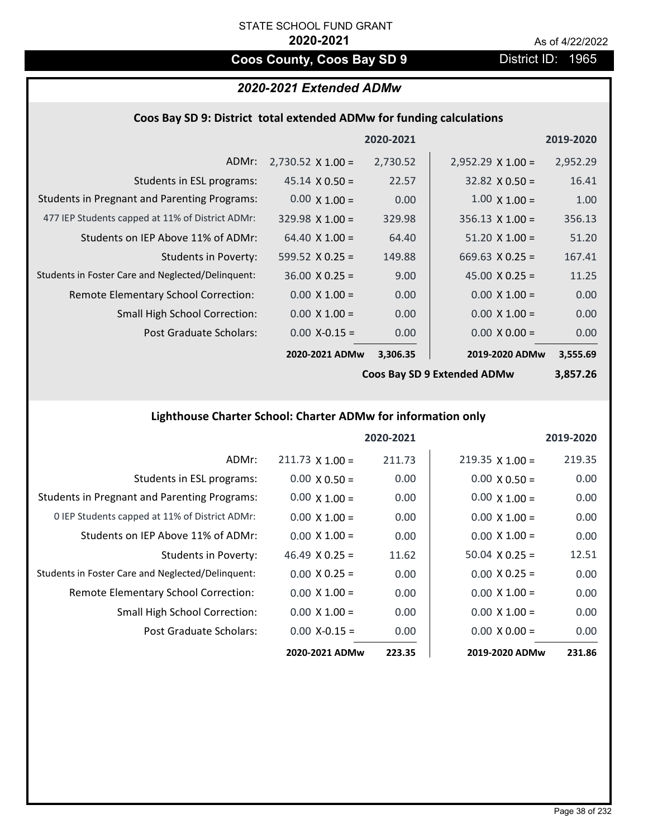# **Coos County, Coos Bay SD 9** District ID: 1965

# *2020-2021 Extended ADMw*

### **Coos Bay SD 9: District total extended ADMw for funding calculations**

|                                                     |                          | 2020-2021 |                          | 2019-2020 |
|-----------------------------------------------------|--------------------------|-----------|--------------------------|-----------|
| ADMr:                                               | $2,730.52 \times 1.00 =$ | 2,730.52  | $2,952.29 \times 1.00 =$ | 2,952.29  |
| Students in ESL programs:                           | $45.14 \times 0.50 =$    | 22.57     | $32.82 \times 0.50 =$    | 16.41     |
| <b>Students in Pregnant and Parenting Programs:</b> | $0.00 \times 1.00 =$     | 0.00      | $1.00 \times 1.00 =$     | 1.00      |
| 477 IEP Students capped at 11% of District ADMr:    | $329.98 \times 1.00 =$   | 329.98    | $356.13 \times 1.00 =$   | 356.13    |
| Students on IEP Above 11% of ADMr:                  | $64.40 \times 1.00 =$    | 64.40     | $51.20 \times 1.00 =$    | 51.20     |
| <b>Students in Poverty:</b>                         | 599.52 $X$ 0.25 =        | 149.88    | 669.63 $\times$ 0.25 =   | 167.41    |
| Students in Foster Care and Neglected/Delinquent:   | $36.00 \times 0.25 =$    | 9.00      | 45.00 $X$ 0.25 =         | 11.25     |
| Remote Elementary School Correction:                | $0.00 \times 1.00 =$     | 0.00      | $0.00 \times 1.00 =$     | 0.00      |
| <b>Small High School Correction:</b>                | $0.00 \times 1.00 =$     | 0.00      | $0.00 \times 1.00 =$     | 0.00      |
| Post Graduate Scholars:                             | $0.00 X - 0.15 =$        | 0.00      | $0.00 \times 0.00 =$     | 0.00      |
|                                                     | 2020-2021 ADMw           | 3,306.35  | 2019-2020 ADMw           | 3,555.69  |

**Coos Bay SD 9 Extended ADMw**

**3,857.26**

# **Lighthouse Charter School: Charter ADMw for information only**

|                                                     |                       | 2020-2021 |                        | 2019-2020 |
|-----------------------------------------------------|-----------------------|-----------|------------------------|-----------|
| ADMr:                                               | $211.73$ X 1.00 =     | 211.73    | $219.35 \times 1.00 =$ | 219.35    |
| Students in ESL programs:                           | $0.00 \times 0.50 =$  | 0.00      | $0.00 \times 0.50 =$   | 0.00      |
| <b>Students in Pregnant and Parenting Programs:</b> | $0.00 \times 1.00 =$  | 0.00      | $0.00 \times 1.00 =$   | 0.00      |
| 0 IEP Students capped at 11% of District ADMr:      | $0.00 \times 1.00 =$  | 0.00      | $0.00 \times 1.00 =$   | 0.00      |
| Students on IEP Above 11% of ADMr:                  | $0.00 \times 1.00 =$  | 0.00      | $0.00 \times 1.00 =$   | 0.00      |
| Students in Poverty:                                | $46.49 \times 0.25 =$ | 11.62     | $50.04 \times 0.25 =$  | 12.51     |
| Students in Foster Care and Neglected/Delinquent:   | $0.00 \times 0.25 =$  | 0.00      | $0.00 \times 0.25 =$   | 0.00      |
| Remote Elementary School Correction:                | $0.00 \times 1.00 =$  | 0.00      | $0.00 \times 1.00 =$   | 0.00      |
| <b>Small High School Correction:</b>                | $0.00 \times 1.00 =$  | 0.00      | $0.00 \times 1.00 =$   | 0.00      |
| Post Graduate Scholars:                             | $0.00 X - 0.15 =$     | 0.00      | $0.00 \times 0.00 =$   | 0.00      |
|                                                     | 2020-2021 ADMw        | 223.35    | 2019-2020 ADMw         | 231.86    |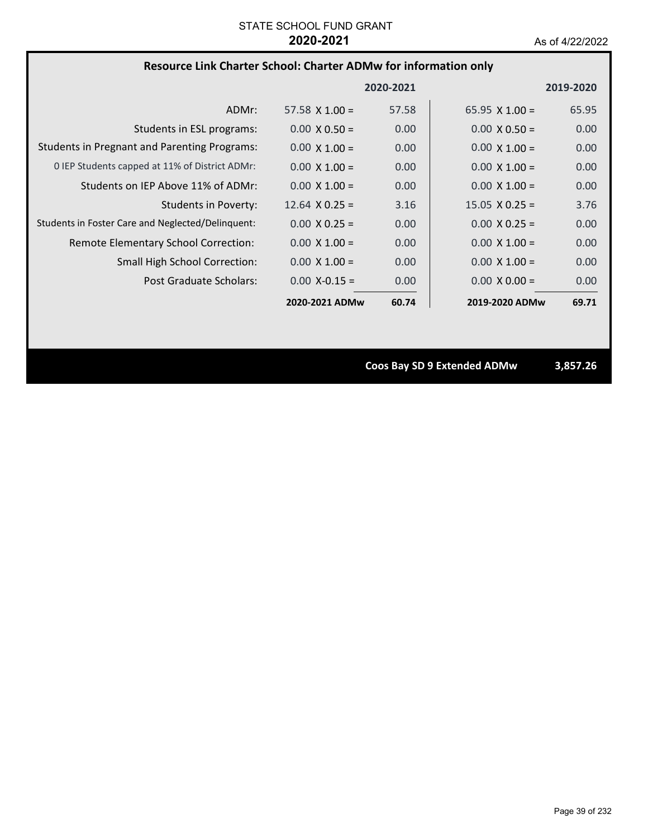### **Resource Link Charter School: Charter ADMw for information only**

|                                                     |                       | 2020-2021 |                       | 2019-2020 |
|-----------------------------------------------------|-----------------------|-----------|-----------------------|-----------|
| ADMr:                                               | $57.58 \times 1.00 =$ | 57.58     | $65.95 \times 1.00 =$ | 65.95     |
| Students in ESL programs:                           | $0.00 \times 0.50 =$  | 0.00      | $0.00 \times 0.50 =$  | 0.00      |
| <b>Students in Pregnant and Parenting Programs:</b> | $0.00 \times 1.00 =$  | 0.00      | $0.00 \times 1.00 =$  | 0.00      |
| 0 IEP Students capped at 11% of District ADMr:      | $0.00 \times 1.00 =$  | 0.00      | $0.00 \times 1.00 =$  | 0.00      |
| Students on IEP Above 11% of ADMr:                  | $0.00 \times 1.00 =$  | 0.00      | $0.00 \times 1.00 =$  | 0.00      |
| <b>Students in Poverty:</b>                         | $12.64 \times 0.25 =$ | 3.16      | $15.05 \times 0.25 =$ | 3.76      |
| Students in Foster Care and Neglected/Delinquent:   | $0.00 \times 0.25 =$  | 0.00      | $0.00 \times 0.25 =$  | 0.00      |
| Remote Elementary School Correction:                | $0.00 \times 1.00 =$  | 0.00      | $0.00 \times 1.00 =$  | 0.00      |
| <b>Small High School Correction:</b>                | $0.00 \times 1.00 =$  | 0.00      | $0.00 \times 1.00 =$  | 0.00      |
| Post Graduate Scholars:                             | $0.00 X - 0.15 =$     | 0.00      | $0.00 \times 0.00 =$  | 0.00      |
|                                                     | 2020-2021 ADMw        | 60.74     | 2019-2020 ADMw        | 69.71     |

**Coos Bay SD 9 Extended ADMw 3,857.26**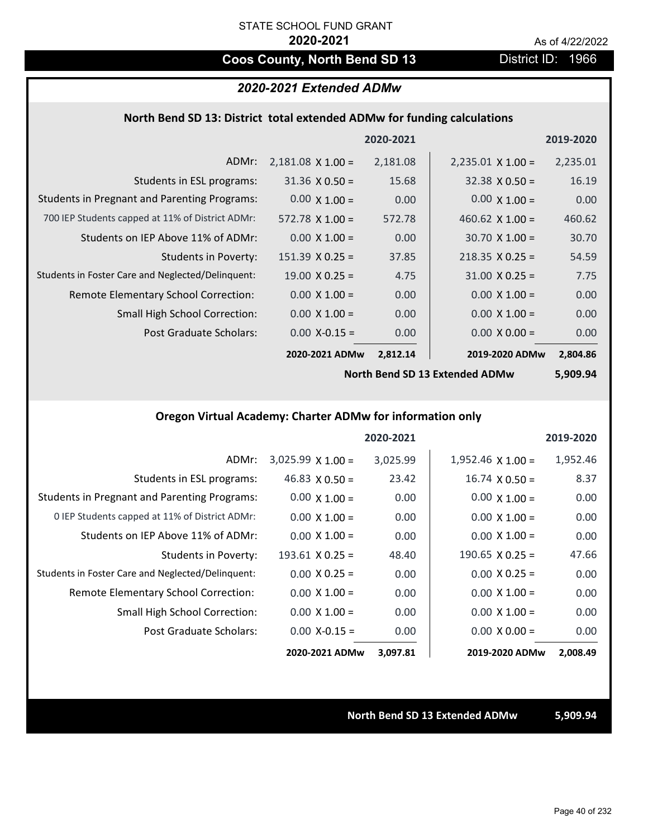# **Coos County, North Bend SD 13** District ID: 1966

### *2020-2021 Extended ADMw*

### **North Bend SD 13: District total extended ADMw for funding calculations**

|                                                     |                          | 2020-2021 |                          | 2019-2020 |
|-----------------------------------------------------|--------------------------|-----------|--------------------------|-----------|
| ADMr:                                               | $2,181.08 \times 1.00 =$ | 2,181.08  | $2,235.01 \times 1.00 =$ | 2,235.01  |
| Students in ESL programs:                           | $31.36 \times 0.50 =$    | 15.68     | $32.38 \times 0.50 =$    | 16.19     |
| <b>Students in Pregnant and Parenting Programs:</b> | $0.00 \times 1.00 =$     | 0.00      | $0.00 \times 1.00 =$     | 0.00      |
| 700 IEP Students capped at 11% of District ADMr:    | $572.78 \times 1.00 =$   | 572.78    | 460.62 $\times$ 1.00 =   | 460.62    |
| Students on IEP Above 11% of ADMr:                  | $0.00 \times 1.00 =$     | 0.00      | $30.70 \times 1.00 =$    | 30.70     |
| <b>Students in Poverty:</b>                         | $151.39 \times 0.25 =$   | 37.85     | $218.35 \times 0.25 =$   | 54.59     |
| Students in Foster Care and Neglected/Delinquent:   | $19.00 \times 0.25 =$    | 4.75      | $31.00 \times 0.25 =$    | 7.75      |
| Remote Elementary School Correction:                | $0.00 \times 1.00 =$     | 0.00      | $0.00 \times 1.00 =$     | 0.00      |
| <b>Small High School Correction:</b>                | $0.00 \times 1.00 =$     | 0.00      | $0.00 \times 1.00 =$     | 0.00      |
| Post Graduate Scholars:                             | $0.00$ X-0.15 =          | 0.00      | $0.00 \times 0.00 =$     | 0.00      |
|                                                     | 2020-2021 ADMw           | 2,812.14  | 2019-2020 ADMw           | 2,804.86  |

**North Bend SD 13 Extended ADMw**

**5,909.94**

# **Oregon Virtual Academy: Charter ADMw for information only**

|                                                     |                          | 2020-2021 |                          | 2019-2020 |
|-----------------------------------------------------|--------------------------|-----------|--------------------------|-----------|
| ADMr:                                               | $3,025.99 \times 1.00 =$ | 3,025.99  | $1,952.46 \times 1.00 =$ | 1,952.46  |
| Students in ESL programs:                           | 46.83 $\times$ 0.50 =    | 23.42     | $16.74 \times 0.50 =$    | 8.37      |
| <b>Students in Pregnant and Parenting Programs:</b> | $0.00 \times 1.00 =$     | 0.00      | $0.00 \times 1.00 =$     | 0.00      |
| 0 IEP Students capped at 11% of District ADMr:      | $0.00 \times 1.00 =$     | 0.00      | $0.00 \times 1.00 =$     | 0.00      |
| Students on IEP Above 11% of ADMr:                  | $0.00 \times 1.00 =$     | 0.00      | $0.00 \times 1.00 =$     | 0.00      |
| <b>Students in Poverty:</b>                         | $193.61$ X 0.25 =        | 48.40     | $190.65 \times 0.25 =$   | 47.66     |
| Students in Foster Care and Neglected/Delinquent:   | $0.00 \times 0.25 =$     | 0.00      | $0.00 \times 0.25 =$     | 0.00      |
| Remote Elementary School Correction:                | $0.00 \times 1.00 =$     | 0.00      | $0.00 \times 1.00 =$     | 0.00      |
| <b>Small High School Correction:</b>                | $0.00 \times 1.00 =$     | 0.00      | $0.00 \times 1.00 =$     | 0.00      |
| Post Graduate Scholars:                             | $0.00$ X-0.15 =          | 0.00      | $0.00 \times 0.00 =$     | 0.00      |
|                                                     | 2020-2021 ADMw           | 3,097.81  | 2019-2020 ADMw           | 2,008.49  |

### **North Bend SD 13 Extended ADMw 5,909.94**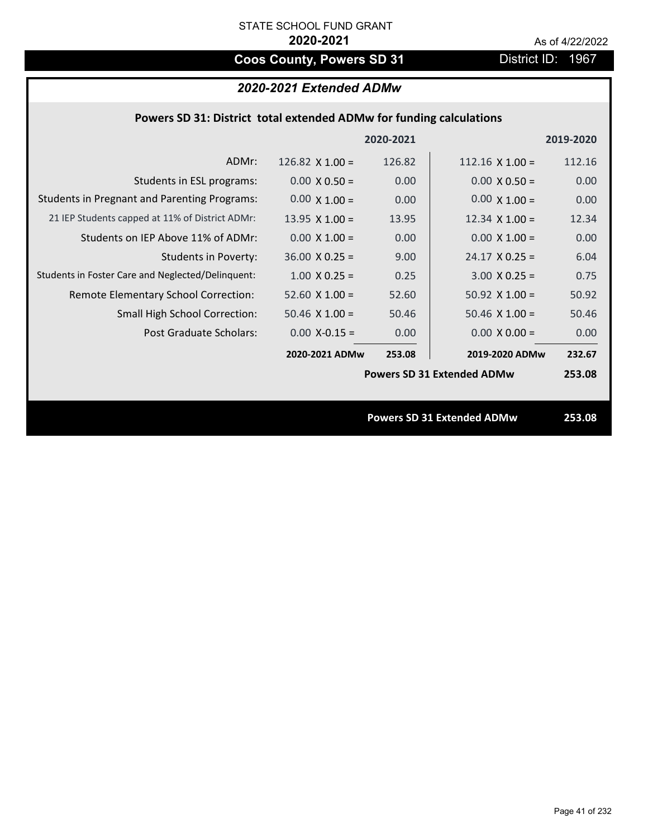# **Coos County, Powers SD 31** District ID: 1967

# *2020-2021 Extended ADMw*

|                                                     |                        | 2020-2021 |                                   | 2019-2020 |
|-----------------------------------------------------|------------------------|-----------|-----------------------------------|-----------|
| ADMr:                                               | 126.82 $\times$ 1.00 = | 126.82    | $112.16 \times 1.00 =$            | 112.16    |
| Students in ESL programs:                           | $0.00 \times 0.50 =$   | 0.00      | $0.00 \times 0.50 =$              | 0.00      |
| <b>Students in Pregnant and Parenting Programs:</b> | $0.00 \times 1.00 =$   | 0.00      | $0.00 \times 1.00 =$              | 0.00      |
| 21 IEP Students capped at 11% of District ADMr:     | 13.95 $X$ 1.00 =       | 13.95     | $12.34 \times 1.00 =$             | 12.34     |
| Students on IEP Above 11% of ADMr:                  | $0.00 \times 1.00 =$   | 0.00      | $0.00 \times 1.00 =$              | 0.00      |
| <b>Students in Poverty:</b>                         | $36.00 \times 0.25 =$  | 9.00      | $24.17 \times 0.25 =$             | 6.04      |
| Students in Foster Care and Neglected/Delinquent:   | $1.00 \times 0.25 =$   | 0.25      | $3.00 \times 0.25 =$              | 0.75      |
| Remote Elementary School Correction:                | $52.60$ X $1.00 =$     | 52.60     | 50.92 $X$ 1.00 =                  | 50.92     |
| <b>Small High School Correction:</b>                | $50.46 \times 1.00 =$  | 50.46     | $50.46 \times 1.00 =$             | 50.46     |
| Post Graduate Scholars:                             | $0.00$ X-0.15 =        | 0.00      | $0.00 \times 0.00 =$              | 0.00      |
|                                                     | 2020-2021 ADMw         | 253.08    | 2019-2020 ADMw                    | 232.67    |
|                                                     |                        |           | <b>Powers SD 31 Extended ADMw</b> | 253.08    |
|                                                     |                        |           |                                   |           |
|                                                     |                        |           | <b>Powers SD 31 Extended ADMw</b> | 253.08    |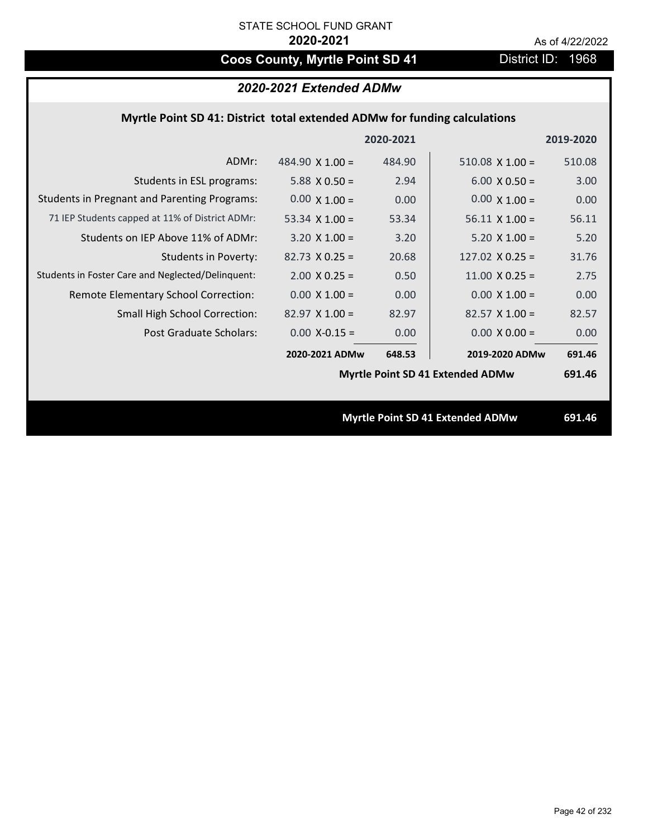# Coos County, Myrtle Point SD 41 District ID: 1968

# *2020-2021 Extended ADMw*

# **Myrtle Point SD 41: District total extended ADMw for funding calculations**

|                                                     |                        | 2020-2021 |                                         | 2019-2020 |
|-----------------------------------------------------|------------------------|-----------|-----------------------------------------|-----------|
| ADMr:                                               | 484.90 $\times$ 1.00 = | 484.90    | $510.08 \times 1.00 =$                  | 510.08    |
| Students in ESL programs:                           | 5.88 $X$ 0.50 =        | 2.94      | $6.00 \times 0.50 =$                    | 3.00      |
| <b>Students in Pregnant and Parenting Programs:</b> | $0.00 \times 1.00 =$   | 0.00      | $0.00 \times 1.00 =$                    | 0.00      |
| 71 IEP Students capped at 11% of District ADMr:     | 53.34 $\times$ 1.00 =  | 53.34     | $56.11 \times 1.00 =$                   | 56.11     |
| Students on IEP Above 11% of ADMr:                  | $3.20 \times 1.00 =$   | 3.20      | $5.20$ X $1.00 =$                       | 5.20      |
| <b>Students in Poverty:</b>                         | $82.73 \times 0.25 =$  | 20.68     | $127.02$ X 0.25 =                       | 31.76     |
| Students in Foster Care and Neglected/Delinquent:   | $2.00 \times 0.25 =$   | 0.50      | $11.00 \times 0.25 =$                   | 2.75      |
| Remote Elementary School Correction:                | $0.00 \times 1.00 =$   | 0.00      | $0.00 \times 1.00 =$                    | 0.00      |
| <b>Small High School Correction:</b>                | $82.97$ X 1.00 =       | 82.97     | $82.57$ X 1.00 =                        | 82.57     |
| Post Graduate Scholars:                             | $0.00$ X-0.15 =        | 0.00      | $0.00 \times 0.00 =$                    | 0.00      |
|                                                     | 2020-2021 ADMw         | 648.53    | 2019-2020 ADMw                          | 691.46    |
|                                                     |                        |           | Myrtle Point SD 41 Extended ADMw        | 691.46    |
|                                                     |                        |           |                                         |           |
|                                                     |                        |           | <b>Myrtle Point SD 41 Extended ADMw</b> | 691.46    |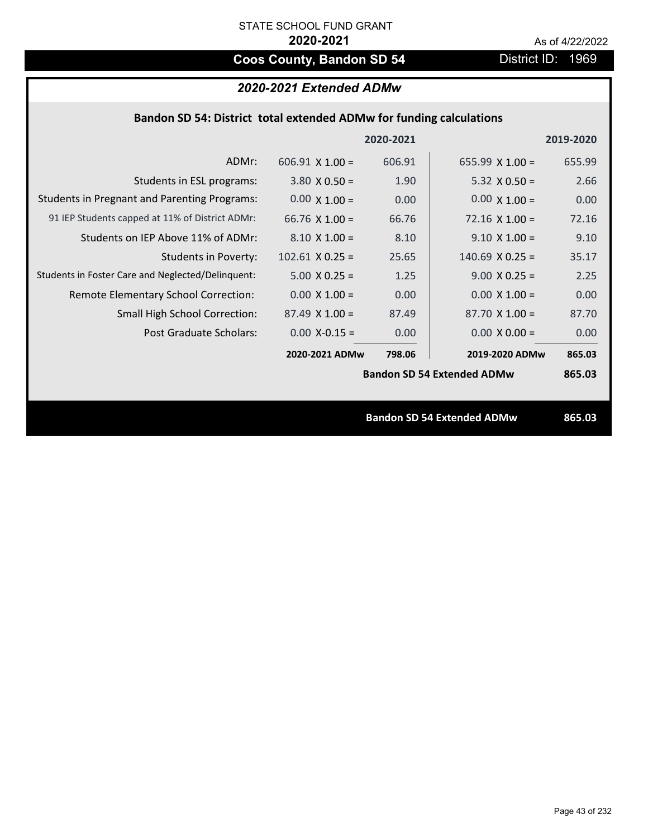# **Coos County, Bandon SD 54** District ID: 1969

| 2020-2021 Extended ADMw |  |  |
|-------------------------|--|--|
|-------------------------|--|--|

|  | Bandon SD 54: District total extended ADMw for funding calculations |  |
|--|---------------------------------------------------------------------|--|
|--|---------------------------------------------------------------------|--|

|                                                     |                        | 2020-2021 |                                   | 2019-2020 |
|-----------------------------------------------------|------------------------|-----------|-----------------------------------|-----------|
| ADMr:                                               | $606.91 \times 1.00 =$ | 606.91    | $655.99 \times 1.00 =$            | 655.99    |
| Students in ESL programs:                           | $3.80 \times 0.50 =$   | 1.90      | $5.32 \times 0.50 =$              | 2.66      |
| <b>Students in Pregnant and Parenting Programs:</b> | $0.00 \times 1.00 =$   | 0.00      | $0.00 \times 1.00 =$              | 0.00      |
| 91 IEP Students capped at 11% of District ADMr:     | 66.76 $\times$ 1.00 =  | 66.76     | $72.16 \times 1.00 =$             | 72.16     |
| Students on IEP Above 11% of ADMr:                  | $8.10 \times 1.00 =$   | 8.10      | $9.10 \times 1.00 =$              | 9.10      |
| <b>Students in Poverty:</b>                         | $102.61$ X 0.25 =      | 25.65     | $140.69$ X 0.25 =                 | 35.17     |
| Students in Foster Care and Neglected/Delinquent:   | $5.00 \times 0.25 =$   | 1.25      | $9.00 \times 0.25 =$              | 2.25      |
| Remote Elementary School Correction:                | $0.00 \times 1.00 =$   | 0.00      | $0.00 \times 1.00 =$              | 0.00      |
| <b>Small High School Correction:</b>                | $87.49 \times 1.00 =$  | 87.49     | $87.70 \times 1.00 =$             | 87.70     |
| Post Graduate Scholars:                             | $0.00$ X-0.15 =        | 0.00      | $0.00 \times 0.00 =$              | 0.00      |
|                                                     | 2020-2021 ADMw         | 798.06    | 2019-2020 ADMw                    | 865.03    |
|                                                     |                        |           | <b>Bandon SD 54 Extended ADMw</b> | 865.03    |
|                                                     |                        |           |                                   |           |
|                                                     |                        |           | <b>Bandon SD 54 Extended ADMw</b> | 865.03    |
|                                                     |                        |           |                                   |           |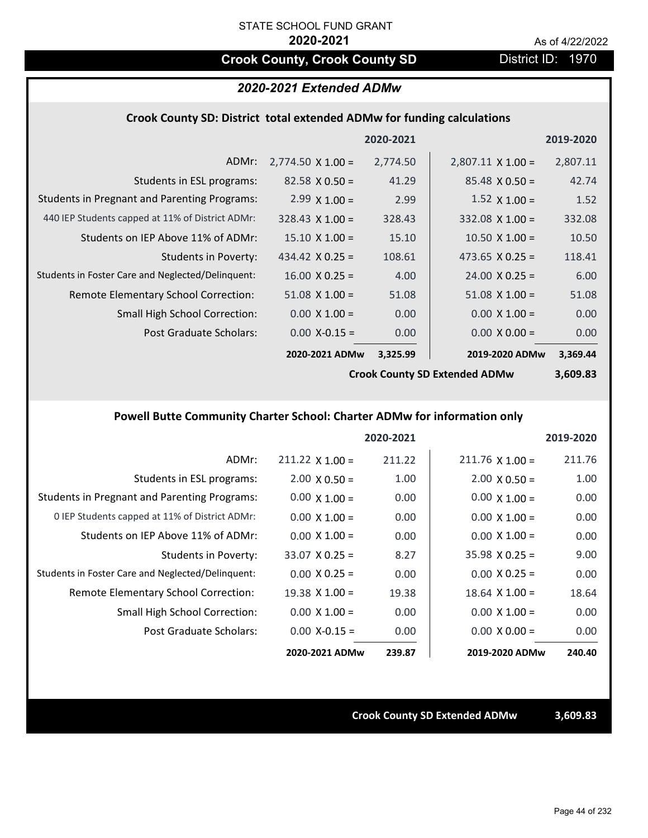# **Crook County, Crook County SD District ID: 1970**

# *2020-2021 Extended ADMw*

### **Crook County SD: District total extended ADMw for funding calculations**

|                                                     |                          | 2020-2021 |                          | 2019-2020 |
|-----------------------------------------------------|--------------------------|-----------|--------------------------|-----------|
| ADMr:                                               | $2,774.50 \times 1.00 =$ | 2,774.50  | $2,807.11 \times 1.00 =$ | 2,807.11  |
| Students in ESL programs:                           | $82.58 \times 0.50 =$    | 41.29     | $85.48 \times 0.50 =$    | 42.74     |
| <b>Students in Pregnant and Parenting Programs:</b> | $2.99 \times 1.00 =$     | 2.99      | $1.52 \times 1.00 =$     | 1.52      |
| 440 IEP Students capped at 11% of District ADMr:    | $328.43 \times 1.00 =$   | 328.43    | $332.08$ X 1.00 =        | 332.08    |
| Students on IEP Above 11% of ADMr:                  | $15.10 \times 1.00 =$    | 15.10     | $10.50 \times 1.00 =$    | 10.50     |
| <b>Students in Poverty:</b>                         | 434.42 $X$ 0.25 =        | 108.61    | 473.65 $X$ 0.25 =        | 118.41    |
| Students in Foster Care and Neglected/Delinquent:   | $16.00 \times 0.25 =$    | 4.00      | $24.00 \times 0.25 =$    | 6.00      |
| Remote Elementary School Correction:                | $51.08 \times 1.00 =$    | 51.08     | $51.08 \times 1.00 =$    | 51.08     |
| <b>Small High School Correction:</b>                | $0.00 \times 1.00 =$     | 0.00      | $0.00 \times 1.00 =$     | 0.00      |
| Post Graduate Scholars:                             | $0.00$ X-0.15 =          | 0.00      | $0.00 \times 0.00 =$     | 0.00      |
|                                                     | 2020-2021 ADMw           | 3,325.99  | 2019-2020 ADMw           | 3,369.44  |

**Crook County SD Extended ADMw**

**3,609.83**

# **Powell Butte Community Charter School: Charter ADMw for information only**

|                                                     |                        | 2020-2021 |                        | 2019-2020 |
|-----------------------------------------------------|------------------------|-----------|------------------------|-----------|
| ADMr:                                               | $211.22 \times 1.00 =$ | 211.22    | $211.76 \times 1.00 =$ | 211.76    |
| Students in ESL programs:                           | $2.00 \times 0.50 =$   | 1.00      | $2.00 \times 0.50 =$   | 1.00      |
| <b>Students in Pregnant and Parenting Programs:</b> | $0.00 \times 1.00 =$   | 0.00      | $0.00 \times 1.00 =$   | 0.00      |
| 0 IEP Students capped at 11% of District ADMr:      | $0.00 \times 1.00 =$   | 0.00      | $0.00 \times 1.00 =$   | 0.00      |
| Students on IEP Above 11% of ADMr:                  | $0.00 \times 1.00 =$   | 0.00      | $0.00 \times 1.00 =$   | 0.00      |
| Students in Poverty:                                | $33.07 \times 0.25 =$  | 8.27      | $35.98 \times 0.25 =$  | 9.00      |
| Students in Foster Care and Neglected/Delinquent:   | $0.00 \times 0.25 =$   | 0.00      | $0.00 \times 0.25 =$   | 0.00      |
| Remote Elementary School Correction:                | $19.38 \times 1.00 =$  | 19.38     | $18.64$ X $1.00 =$     | 18.64     |
| <b>Small High School Correction:</b>                | $0.00 \times 1.00 =$   | 0.00      | $0.00 \times 1.00 =$   | 0.00      |
| Post Graduate Scholars:                             | $0.00 X - 0.15 =$      | 0.00      | $0.00 \times 0.00 =$   | 0.00      |
|                                                     | 2020-2021 ADMw         | 239.87    | 2019-2020 ADMw         | 240.40    |

**Crook County SD Extended ADMw 3,609.83**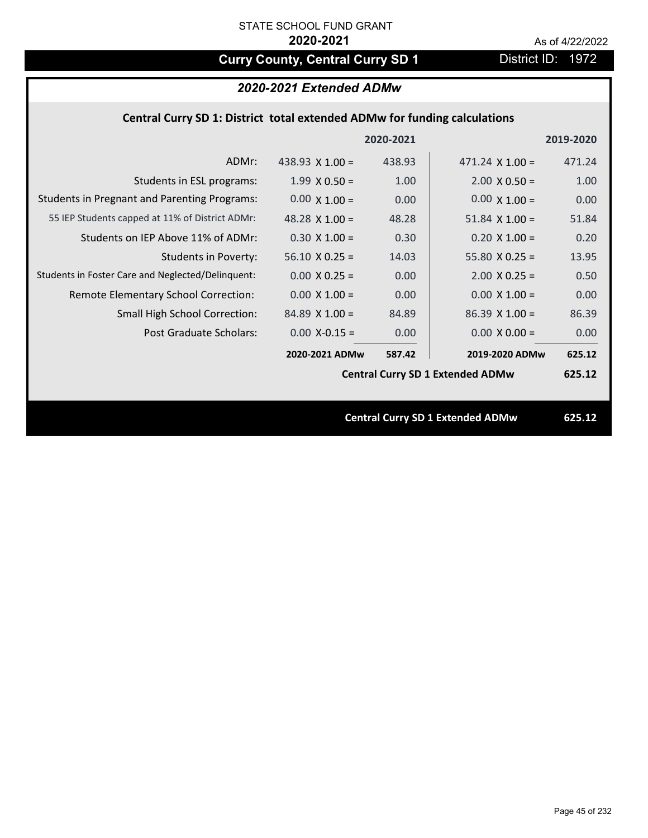# **Curry County, Central Curry SD 1** District ID: 1972

# *2020-2021 Extended ADMw*

# **Central Curry SD 1: District total extended ADMw for funding calculations**

|                                                     |                       | 2020-2021 |                                         | 2019-2020 |
|-----------------------------------------------------|-----------------------|-----------|-----------------------------------------|-----------|
| ADMr:                                               | 438.93 $X$ 1.00 =     | 438.93    | $471.24 \times 1.00 =$                  | 471.24    |
| Students in ESL programs:                           | $1.99 \times 0.50 =$  | 1.00      | $2.00 \times 0.50 =$                    | 1.00      |
| <b>Students in Pregnant and Parenting Programs:</b> | $0.00 \times 1.00 =$  | 0.00      | $0.00 \times 1.00 =$                    | 0.00      |
| 55 IEP Students capped at 11% of District ADMr:     | 48.28 $\times$ 1.00 = | 48.28     | $51.84 \times 1.00 =$                   | 51.84     |
| Students on IEP Above 11% of ADMr:                  | $0.30 X 1.00 =$       | 0.30      | $0.20 X 1.00 =$                         | 0.20      |
| <b>Students in Poverty:</b>                         | $56.10 \times 0.25 =$ | 14.03     | $55.80 X 0.25 =$                        | 13.95     |
| Students in Foster Care and Neglected/Delinquent:   | $0.00 \times 0.25 =$  | 0.00      | $2.00 \times 0.25 =$                    | 0.50      |
| Remote Elementary School Correction:                | $0.00 \times 1.00 =$  | 0.00      | $0.00 \times 1.00 =$                    | 0.00      |
| <b>Small High School Correction:</b>                | $84.89$ X 1.00 =      | 84.89     | $86.39$ X 1.00 =                        | 86.39     |
| Post Graduate Scholars:                             | $0.00$ X-0.15 =       | 0.00      | $0.00 \times 0.00 =$                    | 0.00      |
|                                                     | 2020-2021 ADMw        | 587.42    | 2019-2020 ADMw                          | 625.12    |
|                                                     |                       |           | <b>Central Curry SD 1 Extended ADMw</b> | 625.12    |
|                                                     |                       |           |                                         |           |
|                                                     |                       |           | <b>Central Curry SD 1 Extended ADMw</b> | 625.12    |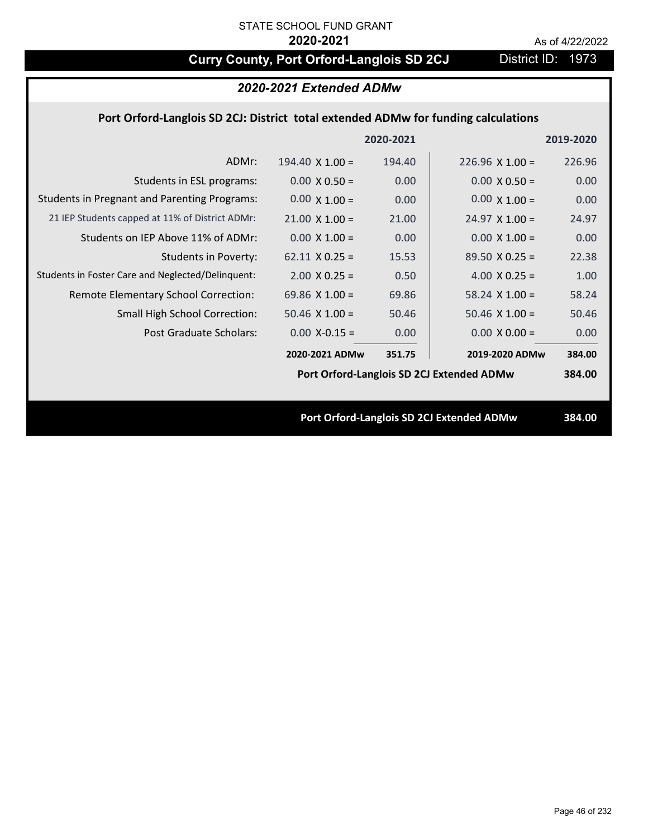# **Curry County, Port Orford-Langlois SD 2CJ** District ID: 1973

|                                                                                    | 2020-2021 Extended ADMw |           |                                           |           |
|------------------------------------------------------------------------------------|-------------------------|-----------|-------------------------------------------|-----------|
| Port Orford-Langlois SD 2CJ: District total extended ADMw for funding calculations |                         |           |                                           |           |
|                                                                                    |                         | 2020-2021 |                                           | 2019-2020 |
| ADMr:                                                                              | $194.40 \times 1.00 =$  | 194.40    | $226.96 \times 1.00 =$                    | 226.96    |
| Students in ESL programs:                                                          | $0.00 \times 0.50 =$    | 0.00      | $0.00 \times 0.50 =$                      | 0.00      |
| <b>Students in Pregnant and Parenting Programs:</b>                                | $0.00 \times 1.00 =$    | 0.00      | $0.00 \times 1.00 =$                      | 0.00      |
| 21 IEP Students capped at 11% of District ADMr:                                    | $21.00 \times 1.00 =$   | 21.00     | $24.97 \times 1.00 =$                     | 24.97     |
| Students on IEP Above 11% of ADMr:                                                 | $0.00$ X $1.00 =$       | 0.00      | $0.00 X 1.00 =$                           | 0.00      |
| <b>Students in Poverty:</b>                                                        | $62.11 \times 0.25 =$   | 15.53     | $89.50 X 0.25 =$                          | 22.38     |
| Students in Foster Care and Neglected/Delinquent:                                  | $2.00 \times 0.25 =$    | 0.50      | 4.00 $X$ 0.25 =                           | 1.00      |
| Remote Elementary School Correction:                                               | 69.86 $X$ 1.00 =        | 69.86     | $58.24$ X 1.00 =                          | 58.24     |
| Small High School Correction:                                                      | $50.46$ X $1.00 =$      | 50.46     | $50.46$ X 1.00 =                          | 50.46     |
| Post Graduate Scholars:                                                            | $0.00$ X-0.15 =         | 0.00      | $0.00 \times 0.00 =$                      | 0.00      |
|                                                                                    | 2020-2021 ADMw          | 351.75    | 2019-2020 ADMw                            | 384.00    |
|                                                                                    |                         |           | Port Orford-Langlois SD 2CJ Extended ADMw | 384.00    |
|                                                                                    |                         |           |                                           |           |
|                                                                                    |                         |           | Port Orford-Langlois SD 2CJ Extended ADMw | 384.00    |
|                                                                                    |                         |           |                                           |           |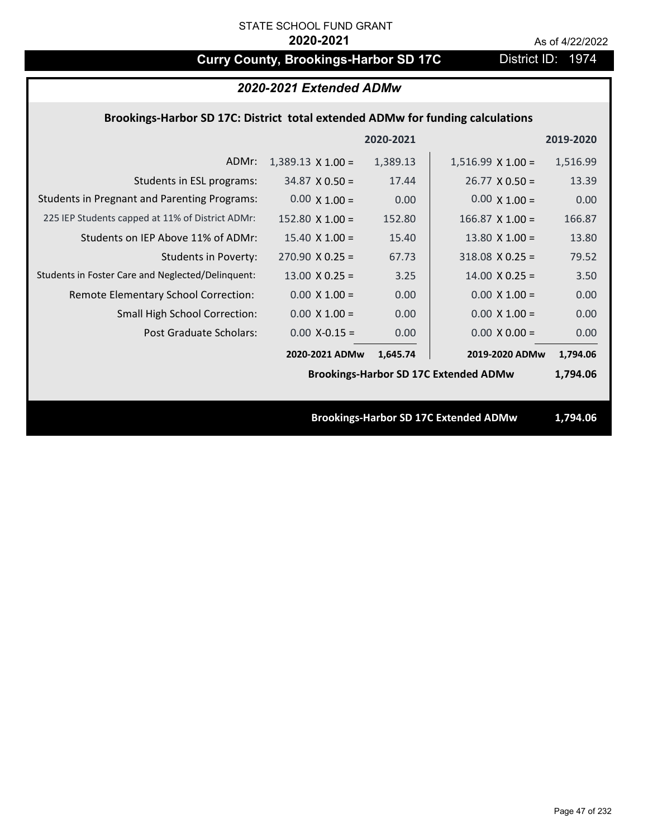# **Curry County, Brookings-Harbor SD 17C** District ID: 1974

| 2020-2021 Extended ADMw                                                        |                          |           |                                              |           |  |
|--------------------------------------------------------------------------------|--------------------------|-----------|----------------------------------------------|-----------|--|
| Brookings-Harbor SD 17C: District total extended ADMw for funding calculations |                          |           |                                              |           |  |
|                                                                                |                          | 2020-2021 |                                              | 2019-2020 |  |
| ADMr:                                                                          | $1,389.13 \times 1.00 =$ | 1,389.13  | $1,516.99 \times 1.00 =$                     | 1,516.99  |  |
| Students in ESL programs:                                                      | $34.87 \times 0.50 =$    | 17.44     | $26.77 \times 0.50 =$                        | 13.39     |  |
| <b>Students in Pregnant and Parenting Programs:</b>                            | $0.00 \times 1.00 =$     | 0.00      | $0.00 \times 1.00 =$                         | 0.00      |  |
| 225 IEP Students capped at 11% of District ADMr:                               | 152.80 $\times$ 1.00 =   | 152.80    | $166.87$ X 1.00 =                            | 166.87    |  |
| Students on IEP Above 11% of ADMr:                                             | $15.40 \times 1.00 =$    | 15.40     | 13.80 $X$ 1.00 =                             | 13.80     |  |
| <b>Students in Poverty:</b>                                                    | $270.90 \times 0.25 =$   | 67.73     | $318.08 \times 0.25 =$                       | 79.52     |  |
| Students in Foster Care and Neglected/Delinquent:                              | $13.00 \times 0.25 =$    | 3.25      | $14.00 \times 0.25 =$                        | 3.50      |  |
| Remote Elementary School Correction:                                           | $0.00 \times 1.00 =$     | 0.00      | $0.00 \times 1.00 =$                         | 0.00      |  |
| Small High School Correction:                                                  | $0.00 \times 1.00 =$     | 0.00      | $0.00 \times 1.00 =$                         | 0.00      |  |
| <b>Post Graduate Scholars:</b>                                                 | $0.00$ X-0.15 =          | 0.00      | $0.00 X 0.00 =$                              | 0.00      |  |
|                                                                                | 2020-2021 ADMw           | 1,645.74  | 2019-2020 ADMw                               | 1,794.06  |  |
|                                                                                |                          |           | <b>Brookings-Harbor SD 17C Extended ADMw</b> | 1,794.06  |  |
|                                                                                |                          |           |                                              |           |  |
|                                                                                |                          |           | <b>Brookings-Harbor SD 17C Extended ADMw</b> | 1,794.06  |  |
|                                                                                |                          |           |                                              |           |  |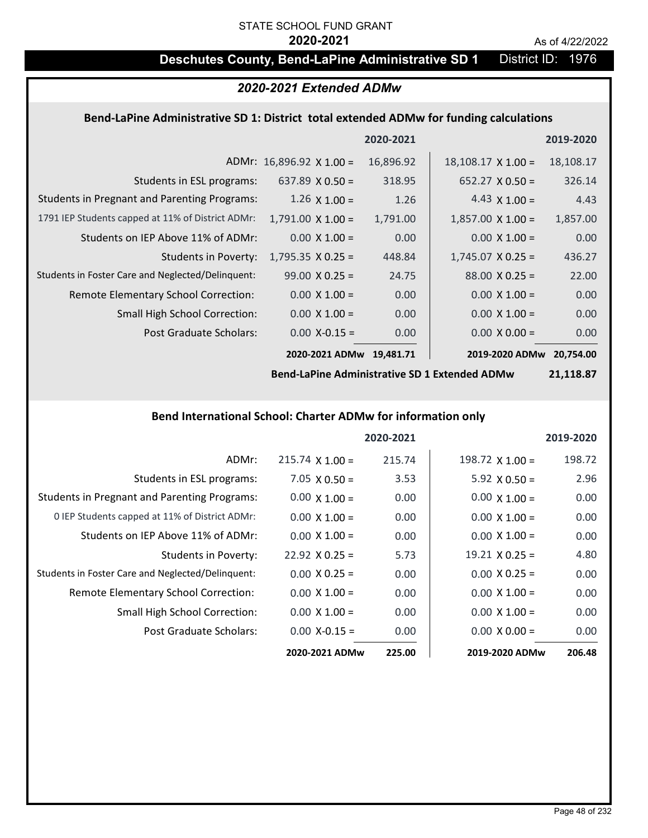# STATE SCHOOL FUND GRANT

### **2020-2021** As of 4/22/2022

# **Deschutes County, Bend-LaPine Administrative SD 1** District ID: 1976

# *2020-2021 Extended ADMw*

### **Bend‐LaPine Administrative SD 1: District total extended ADMw for funding calculations**

|                                                     |                                 | 2020-2021 |                           | 2019-2020 |
|-----------------------------------------------------|---------------------------------|-----------|---------------------------|-----------|
|                                                     | ADMr: $16,896.92 \times 1.00 =$ | 16,896.92 | $18,108.17 \times 1.00 =$ | 18,108.17 |
| Students in ESL programs:                           | $637.89 \times 0.50 =$          | 318.95    | $652.27 \times 0.50 =$    | 326.14    |
| <b>Students in Pregnant and Parenting Programs:</b> | $1.26 \times 1.00 =$            | 1.26      | 4.43 $\times$ 1.00 =      | 4.43      |
| 1791 IEP Students capped at 11% of District ADMr:   | $1,791.00 \times 1.00 =$        | 1,791.00  | $1,857.00 \times 1.00 =$  | 1,857.00  |
| Students on IEP Above 11% of ADMr:                  | $0.00 \times 1.00 =$            | 0.00      | $0.00 \times 1.00 =$      | 0.00      |
| <b>Students in Poverty:</b>                         | $1,795.35 \times 0.25 =$        | 448.84    | $1,745.07 \times 0.25 =$  | 436.27    |
| Students in Foster Care and Neglected/Delinquent:   | $99.00 \times 0.25 =$           | 24.75     | $88.00 \times 0.25 =$     | 22.00     |
| Remote Elementary School Correction:                | $0.00 \times 1.00 =$            | 0.00      | $0.00 \times 1.00 =$      | 0.00      |
| <b>Small High School Correction:</b>                | $0.00 \times 1.00 =$            | 0.00      | $0.00 \times 1.00 =$      | 0.00      |
| Post Graduate Scholars:                             | $0.00$ X-0.15 =                 | 0.00      | $0.00 \times 0.00 =$      | 0.00      |
|                                                     | 2020-2021 ADMw                  | 19.481.71 | 2019-2020 ADMw            | 20.754.00 |

**Bend‐LaPine Administrative SD 1 Extended ADMw**

**21,118.87**

### **Bend International School: Charter ADMw for information only**

|                                                     |                       | 2020-2021 |                       | 2019-2020 |
|-----------------------------------------------------|-----------------------|-----------|-----------------------|-----------|
| ADMr:                                               | $215.74$ X 1.00 =     | 215.74    | 198.72 $X$ 1.00 =     | 198.72    |
| Students in ESL programs:                           | $7.05 \times 0.50 =$  | 3.53      | $5.92 \times 0.50 =$  | 2.96      |
| <b>Students in Pregnant and Parenting Programs:</b> | $0.00 \times 1.00 =$  | 0.00      | $0.00 \times 1.00 =$  | 0.00      |
| 0 IEP Students capped at 11% of District ADMr:      | $0.00 \times 1.00 =$  | 0.00      | $0.00 \times 1.00 =$  | 0.00      |
| Students on IEP Above 11% of ADMr:                  | $0.00 \times 1.00 =$  | 0.00      | $0.00 \times 1.00 =$  | 0.00      |
| Students in Poverty:                                | $22.92 \times 0.25 =$ | 5.73      | $19.21 \times 0.25 =$ | 4.80      |
| Students in Foster Care and Neglected/Delinquent:   | $0.00 \times 0.25 =$  | 0.00      | $0.00 \times 0.25 =$  | 0.00      |
| Remote Elementary School Correction:                | $0.00 \times 1.00 =$  | 0.00      | $0.00 \times 1.00 =$  | 0.00      |
| <b>Small High School Correction:</b>                | $0.00 \times 1.00 =$  | 0.00      | $0.00 \times 1.00 =$  | 0.00      |
| Post Graduate Scholars:                             | $0.00$ X-0.15 =       | 0.00      | $0.00 \times 0.00 =$  | 0.00      |
|                                                     | 2020-2021 ADMw        | 225.00    | 2019-2020 ADMw        | 206.48    |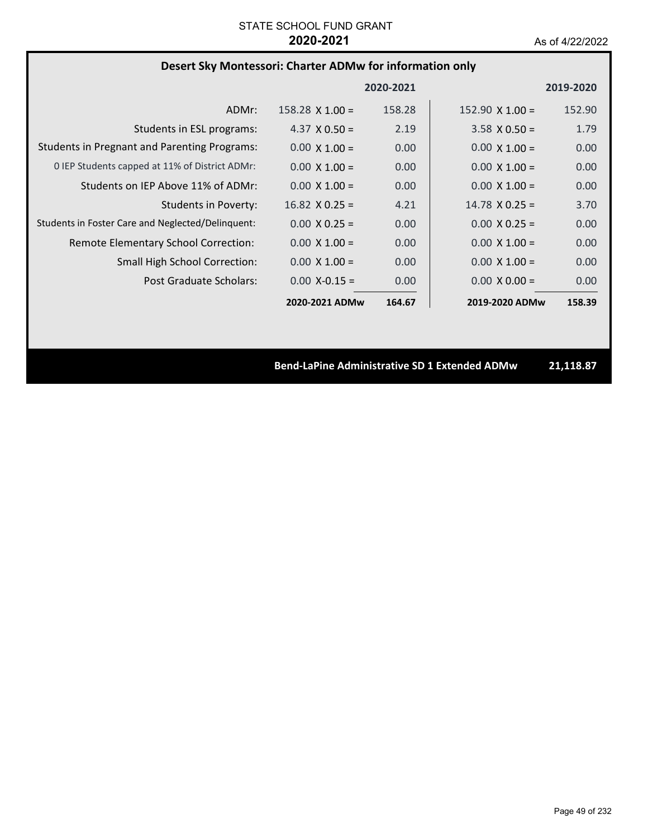# **Desert Sky Montessori: Charter ADMw for information only**

|                                                     |                        | 2020-2021 |                        | 2019-2020 |
|-----------------------------------------------------|------------------------|-----------|------------------------|-----------|
| ADMr:                                               | $158.28 \times 1.00 =$ | 158.28    | $152.90 \times 1.00 =$ | 152.90    |
| Students in ESL programs:                           | 4.37 $\times$ 0.50 =   | 2.19      | $3.58 \times 0.50 =$   | 1.79      |
| <b>Students in Pregnant and Parenting Programs:</b> | $0.00 \times 1.00 =$   | 0.00      | $0.00 \times 1.00 =$   | 0.00      |
| 0 IEP Students capped at 11% of District ADMr:      | $0.00 \times 1.00 =$   | 0.00      | $0.00 \times 1.00 =$   | 0.00      |
| Students on IEP Above 11% of ADMr:                  | $0.00 \times 1.00 =$   | 0.00      | $0.00 \times 1.00 =$   | 0.00      |
| <b>Students in Poverty:</b>                         | $16.82 \times 0.25 =$  | 4.21      | $14.78 \times 0.25 =$  | 3.70      |
| Students in Foster Care and Neglected/Delinquent:   | $0.00 \times 0.25 =$   | 0.00      | $0.00 \times 0.25 =$   | 0.00      |
| Remote Elementary School Correction:                | $0.00 \times 1.00 =$   | 0.00      | $0.00 \times 1.00 =$   | 0.00      |
| <b>Small High School Correction:</b>                | $0.00 \times 1.00 =$   | 0.00      | $0.00 \times 1.00 =$   | 0.00      |
| Post Graduate Scholars:                             | $0.00 X - 0.15 =$      | 0.00      | $0.00 \times 0.00 =$   | 0.00      |
|                                                     | 2020-2021 ADMw         | 164.67    | 2019-2020 ADMw         | 158.39    |

**Bend‐LaPine Administrative SD 1 Extended ADMw 21,118.87**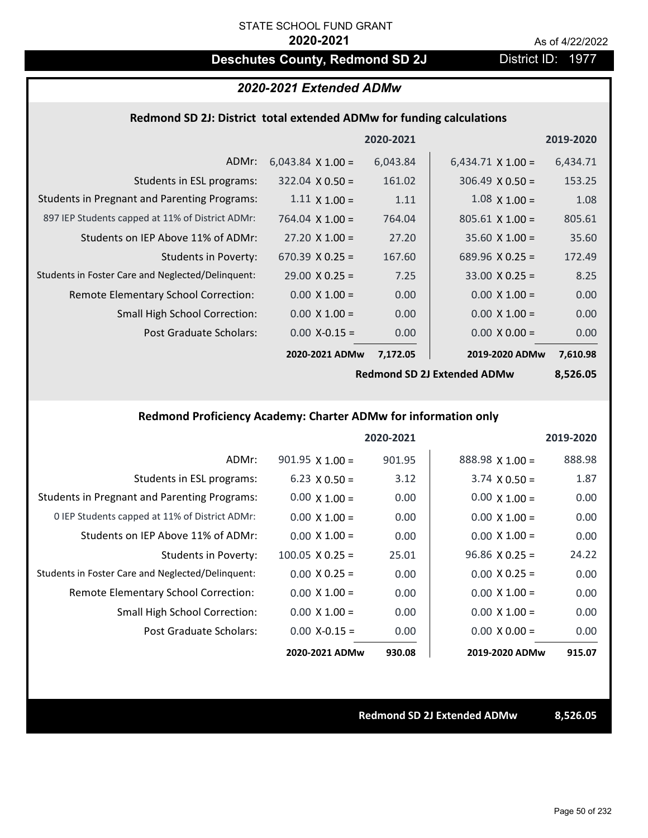# **Deschutes County, Redmond SD 2J** District ID: 1977

# *2020-2021 Extended ADMw*

### **Redmond SD 2J: District total extended ADMw for funding calculations**

|                          |          |                             | 2019-2020      |
|--------------------------|----------|-----------------------------|----------------|
| $6,043.84 \times 1.00 =$ | 6,043.84 | $6,434.71 \times 1.00 =$    | 6,434.71       |
| $322.04 \times 0.50 =$   | 161.02   | $306.49 \times 0.50 =$      | 153.25         |
| $1.11 \times 1.00 =$     | 1.11     | $1.08 \times 1.00 =$        | 1.08           |
| $764.04 \times 1.00 =$   | 764.04   | $805.61 \times 1.00 =$      | 805.61         |
| $27.20 \times 1.00 =$    | 27.20    | $35.60 X 1.00 =$            | 35.60          |
| 670.39 $X$ 0.25 =        | 167.60   | $689.96 \times 0.25 =$      | 172.49         |
| $29.00 \times 0.25 =$    | 7.25     | $33.00 \times 0.25 =$       | 8.25           |
| $0.00 \times 1.00 =$     | 0.00     | $0.00 \times 1.00 =$        | 0.00           |
| $0.00 \times 1.00 =$     | 0.00     | $0.00 \times 1.00 =$        | 0.00           |
| $0.00$ X-0.15 =          | 0.00     | $0.00 \times 0.00 =$        | 0.00           |
|                          | 7,172.05 |                             | 7,610.98       |
|                          |          | 2020-2021<br>2020-2021 ADMw | 2019-2020 ADMw |

**Redmond SD 2J Extended ADMw**

**8,526.05**

# **Redmond Proficiency Academy: Charter ADMw for information only**

|                                                     |                        | 2020-2021 |                        | 2019-2020 |
|-----------------------------------------------------|------------------------|-----------|------------------------|-----------|
| ADMr:                                               | $901.95$ X 1.00 =      | 901.95    | $888.98 \times 1.00 =$ | 888.98    |
| Students in ESL programs:                           | $6.23 \times 0.50 =$   | 3.12      | $3.74 \times 0.50 =$   | 1.87      |
| <b>Students in Pregnant and Parenting Programs:</b> | $0.00 \times 1.00 =$   | 0.00      | $0.00 \times 1.00 =$   | 0.00      |
| 0 IEP Students capped at 11% of District ADMr:      | $0.00 \times 1.00 =$   | 0.00      | $0.00 \times 1.00 =$   | 0.00      |
| Students on IEP Above 11% of ADMr:                  | $0.00 \times 1.00 =$   | 0.00      | $0.00 \times 1.00 =$   | 0.00      |
| Students in Poverty:                                | $100.05 \times 0.25 =$ | 25.01     | $96.86 \times 0.25 =$  | 24.22     |
| Students in Foster Care and Neglected/Delinquent:   | $0.00 \times 0.25 =$   | 0.00      | $0.00 \times 0.25 =$   | 0.00      |
| Remote Elementary School Correction:                | $0.00 \times 1.00 =$   | 0.00      | $0.00 \times 1.00 =$   | 0.00      |
| <b>Small High School Correction:</b>                | $0.00 \times 1.00 =$   | 0.00      | $0.00 \times 1.00 =$   | 0.00      |
| Post Graduate Scholars:                             | $0.00 X - 0.15 =$      | 0.00      | $0.00 \times 0.00 =$   | 0.00      |
|                                                     | 2020-2021 ADMw         | 930.08    | 2019-2020 ADMw         | 915.07    |

**Redmond SD 2J Extended ADMw 8,526.05**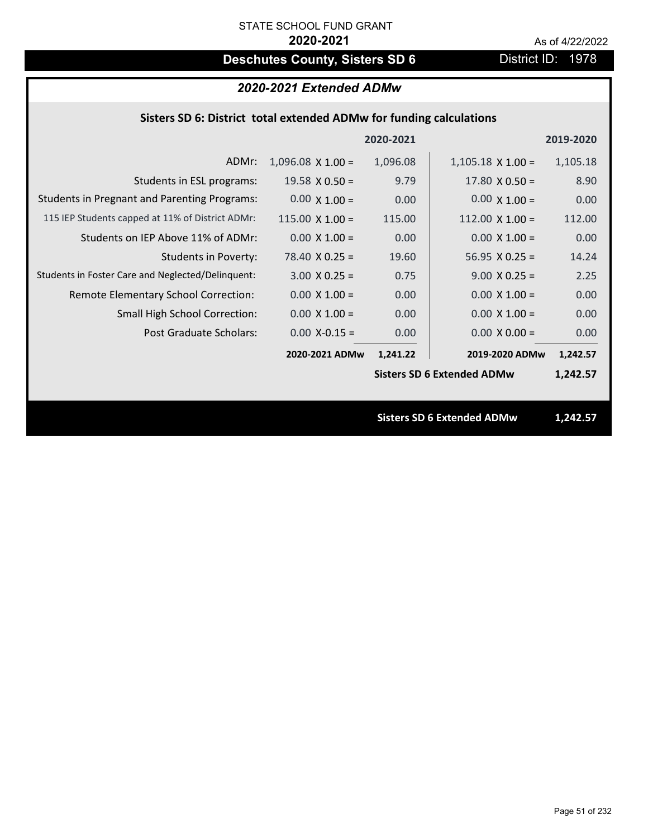# **Deschutes County, Sisters SD 6** District ID: 1978

# *2020-2021 Extended ADMw*

# **Sisters SD 6: District total extended ADMw for funding calculations**

|                                                     |                          | 2020-2021 |                                   | 2019-2020 |
|-----------------------------------------------------|--------------------------|-----------|-----------------------------------|-----------|
| ADMr:                                               | $1,096.08 \times 1.00 =$ | 1,096.08  | $1,105.18 \times 1.00 =$          | 1,105.18  |
| Students in ESL programs:                           | 19.58 $\times$ 0.50 =    | 9.79      | $17.80 \times 0.50 =$             | 8.90      |
| <b>Students in Pregnant and Parenting Programs:</b> | $0.00 \times 1.00 =$     | 0.00      | $0.00 \times 1.00 =$              | 0.00      |
| 115 IEP Students capped at 11% of District ADMr:    | $115.00 \times 1.00 =$   | 115.00    | $112.00 \times 1.00 =$            | 112.00    |
| Students on IEP Above 11% of ADMr:                  | $0.00$ X $1.00 =$        | 0.00      | $0.00 \times 1.00 =$              | 0.00      |
| <b>Students in Poverty:</b>                         | $78.40 \times 0.25 =$    | 19.60     | $56.95 \times 0.25 =$             | 14.24     |
| Students in Foster Care and Neglected/Delinquent:   | $3.00 \times 0.25 =$     | 0.75      | $9.00 \times 0.25 =$              | 2.25      |
| Remote Elementary School Correction:                | $0.00 \times 1.00 =$     | 0.00      | $0.00 \times 1.00 =$              | 0.00      |
| <b>Small High School Correction:</b>                | $0.00 \times 1.00 =$     | 0.00      | $0.00 \times 1.00 =$              | 0.00      |
| Post Graduate Scholars:                             | $0.00$ X-0.15 =          | 0.00      | $0.00 \times 0.00 =$              | 0.00      |
|                                                     | 2020-2021 ADMw           | 1,241.22  | 2019-2020 ADMw                    | 1,242.57  |
|                                                     |                          |           | <b>Sisters SD 6 Extended ADMw</b> | 1,242.57  |
|                                                     |                          |           |                                   |           |
|                                                     |                          |           | <b>Sisters SD 6 Extended ADMw</b> | 1,242.57  |
|                                                     |                          |           |                                   |           |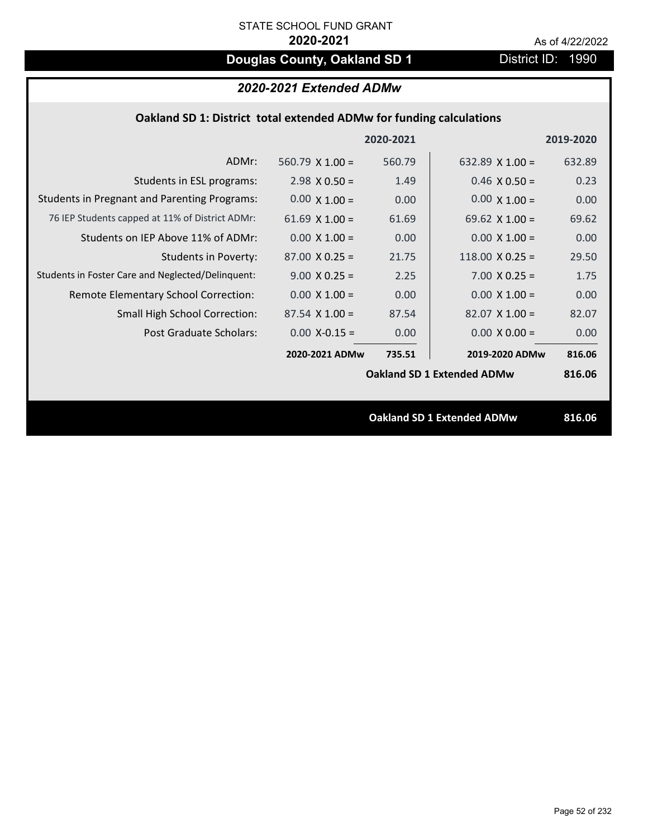# **Douglas County, Oakland SD 1** District ID: 1990

# *2020-2021 Extended ADMw*

| Oakland SD 1: District total extended ADMw for funding calculations |  |
|---------------------------------------------------------------------|--|
|---------------------------------------------------------------------|--|

|                                                     |                       | 2020-2021 |                                   | 2019-2020 |
|-----------------------------------------------------|-----------------------|-----------|-----------------------------------|-----------|
| ADMr:                                               | 560.79 $X$ 1.00 =     | 560.79    | 632.89 $X$ 1.00 =                 | 632.89    |
| Students in ESL programs:                           | $2.98 \times 0.50 =$  | 1.49      | $0.46 \times 0.50 =$              | 0.23      |
| <b>Students in Pregnant and Parenting Programs:</b> | $0.00 \times 1.00 =$  | 0.00      | $0.00 \times 1.00 =$              | 0.00      |
| 76 IEP Students capped at 11% of District ADMr:     | 61.69 $\times$ 1.00 = | 61.69     | 69.62 $\times$ 1.00 =             | 69.62     |
| Students on IEP Above 11% of ADMr:                  | $0.00 \times 1.00 =$  | 0.00      | $0.00 \times 1.00 =$              | 0.00      |
| <b>Students in Poverty:</b>                         | $87.00 \times 0.25 =$ | 21.75     | 118.00 $X$ 0.25 =                 | 29.50     |
| Students in Foster Care and Neglected/Delinquent:   | $9.00 \times 0.25 =$  | 2.25      | $7.00 \times 0.25 =$              | 1.75      |
| Remote Elementary School Correction:                | $0.00 \times 1.00 =$  | 0.00      | $0.00 \times 1.00 =$              | 0.00      |
| <b>Small High School Correction:</b>                | $87.54 \times 1.00 =$ | 87.54     | $82.07 \times 1.00 =$             | 82.07     |
| Post Graduate Scholars:                             | $0.00$ X-0.15 =       | 0.00      | $0.00 \times 0.00 =$              | 0.00      |
|                                                     | 2020-2021 ADMw        | 735.51    | 2019-2020 ADMw                    | 816.06    |
|                                                     |                       |           | <b>Oakland SD 1 Extended ADMw</b> | 816.06    |
|                                                     |                       |           |                                   |           |
|                                                     |                       |           | <b>Oakland SD 1 Extended ADMw</b> | 816.06    |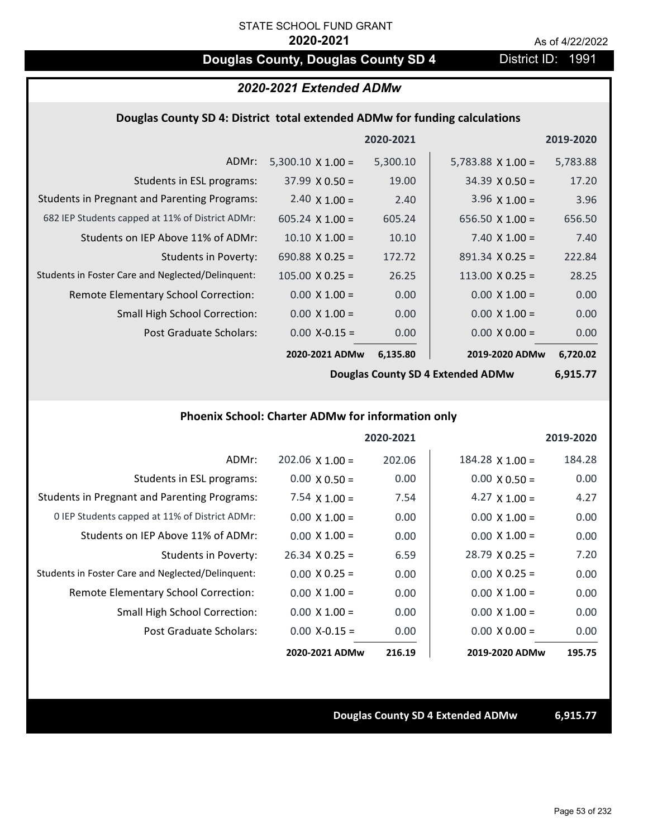# **Douglas County, Douglas County SD 4** District ID: 1991

# *2020-2021 Extended ADMw*

### **Douglas County SD 4: District total extended ADMw for funding calculations**

|                                                     |                          | 2020-2021 |                          | 2019-2020 |
|-----------------------------------------------------|--------------------------|-----------|--------------------------|-----------|
| ADMr:                                               | $5,300.10 \times 1.00 =$ | 5,300.10  | $5,783.88 \times 1.00 =$ | 5,783.88  |
| Students in ESL programs:                           | $37.99 \times 0.50 =$    | 19.00     | $34.39 \times 0.50 =$    | 17.20     |
| <b>Students in Pregnant and Parenting Programs:</b> | 2.40 $\times$ 1.00 =     | 2.40      | 3.96 $\times$ 1.00 =     | 3.96      |
| 682 IEP Students capped at 11% of District ADMr:    | $605.24 \times 1.00 =$   | 605.24    | $656.50 \times 1.00 =$   | 656.50    |
| Students on IEP Above 11% of ADMr:                  | $10.10 \times 1.00 =$    | 10.10     | 7.40 $X$ 1.00 =          | 7.40      |
| Students in Poverty:                                | $690.88 \times 0.25 =$   | 172.72    | $891.34 \times 0.25 =$   | 222.84    |
| Students in Foster Care and Neglected/Delinquent:   | $105.00 \times 0.25 =$   | 26.25     | $113.00 \times 0.25 =$   | 28.25     |
| Remote Elementary School Correction:                | $0.00 \times 1.00 =$     | 0.00      | $0.00 \times 1.00 =$     | 0.00      |
| <b>Small High School Correction:</b>                | $0.00 \times 1.00 =$     | 0.00      | $0.00 \times 1.00 =$     | 0.00      |
| Post Graduate Scholars:                             | $0.00$ X-0.15 =          | 0.00      | $0.00 \times 0.00 =$     | 0.00      |
|                                                     | 2020-2021 ADMw           | 6,135.80  | 2019-2020 ADMw           | 6,720.02  |

**Douglas County SD 4 Extended ADMw**

**6,915.77**

### **Phoenix School: Charter ADMw for information only**

|                                                     |                       | 2020-2021 |                        | 2019-2020 |
|-----------------------------------------------------|-----------------------|-----------|------------------------|-----------|
| ADMr:                                               | $202.06$ X 1.00 =     | 202.06    | $184.28 \times 1.00 =$ | 184.28    |
| Students in ESL programs:                           | $0.00 \times 0.50 =$  | 0.00      | $0.00 \times 0.50 =$   | 0.00      |
| <b>Students in Pregnant and Parenting Programs:</b> | 7.54 $\times$ 1.00 =  | 7.54      | 4.27 $\times$ 1.00 =   | 4.27      |
| 0 IEP Students capped at 11% of District ADMr:      | $0.00 \times 1.00 =$  | 0.00      | $0.00 \times 1.00 =$   | 0.00      |
| Students on IEP Above 11% of ADMr:                  | $0.00 \times 1.00 =$  | 0.00      | $0.00 \times 1.00 =$   | 0.00      |
| Students in Poverty:                                | $26.34 \times 0.25 =$ | 6.59      | $28.79 \times 0.25 =$  | 7.20      |
| Students in Foster Care and Neglected/Delinquent:   | $0.00 \times 0.25 =$  | 0.00      | $0.00 \times 0.25 =$   | 0.00      |
| <b>Remote Elementary School Correction:</b>         | $0.00 \times 1.00 =$  | 0.00      | $0.00 \times 1.00 =$   | 0.00      |
| <b>Small High School Correction:</b>                | $0.00 \times 1.00 =$  | 0.00      | $0.00 \times 1.00 =$   | 0.00      |
| Post Graduate Scholars:                             | $0.00 X - 0.15 =$     | 0.00      | $0.00 \times 0.00 =$   | 0.00      |
|                                                     | 2020-2021 ADMw        | 216.19    | 2019-2020 ADMw         | 195.75    |

### **Douglas County SD 4 Extended ADMw 6,915.77**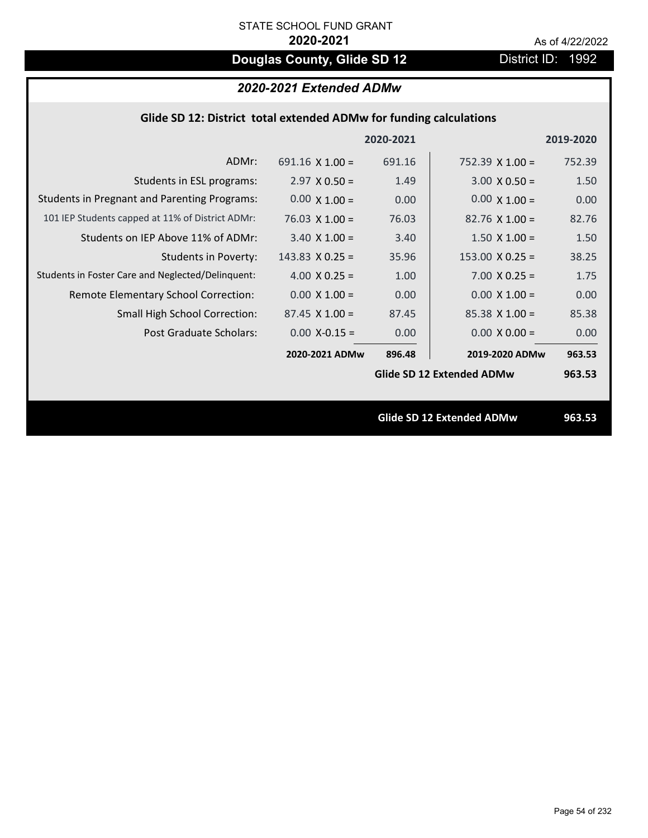# **Douglas County, Glide SD 12** District ID: 1992

# *2020-2021 Extended ADMw*

| Glide SD 12: District total extended ADMw for funding calculations |                        |           |                           |           |
|--------------------------------------------------------------------|------------------------|-----------|---------------------------|-----------|
|                                                                    |                        | 2020-2021 |                           | 2019-2020 |
| ADMr:                                                              | 691.16 $\times$ 1.00 = | 691.16    | $752.39 \times 1.00 =$    | 752.39    |
| Students in ESL programs:                                          | $2.97 \times 0.50 =$   | 1.49      | $3.00 \times 0.50 =$      | 1.50      |
| <b>Students in Pregnant and Parenting Programs:</b>                | $0.00 \times 1.00 =$   | 0.00      | $0.00 \times 1.00 =$      | 0.00      |
| 101 IEP Students capped at 11% of District ADMr:                   | $76.03 \times 1.00 =$  | 76.03     | $82.76 \times 1.00 =$     | 82.76     |
| Students on IEP Above 11% of ADMr:                                 | $3.40$ X $1.00 =$      | 3.40      | $1.50 \times 1.00 =$      | 1.50      |
| <b>Students in Poverty:</b>                                        | $143.83$ X 0.25 =      | 35.96     | $153.00 \times 0.25 =$    | 38.25     |
| Students in Foster Care and Neglected/Delinquent:                  | 4.00 $X$ 0.25 =        | 1.00      | $7.00 \times 0.25 =$      | 1.75      |
| Remote Elementary School Correction:                               | $0.00 \times 1.00 =$   | 0.00      | $0.00 \times 1.00 =$      | 0.00      |
| <b>Small High School Correction:</b>                               | $87.45 \times 1.00 =$  | 87.45     | $85.38$ X 1.00 =          | 85.38     |
| Post Graduate Scholars:                                            | $0.00$ X-0.15 =        | 0.00      | $0.00 \times 0.00 =$      | 0.00      |
|                                                                    | 2020-2021 ADMw         | 896.48    | 2019-2020 ADMw            | 963.53    |
|                                                                    |                        |           | Glide SD 12 Extended ADMw | 963.53    |
|                                                                    |                        |           |                           |           |
|                                                                    |                        |           | Glide SD 12 Extended ADMw | 963.53    |
|                                                                    |                        |           |                           |           |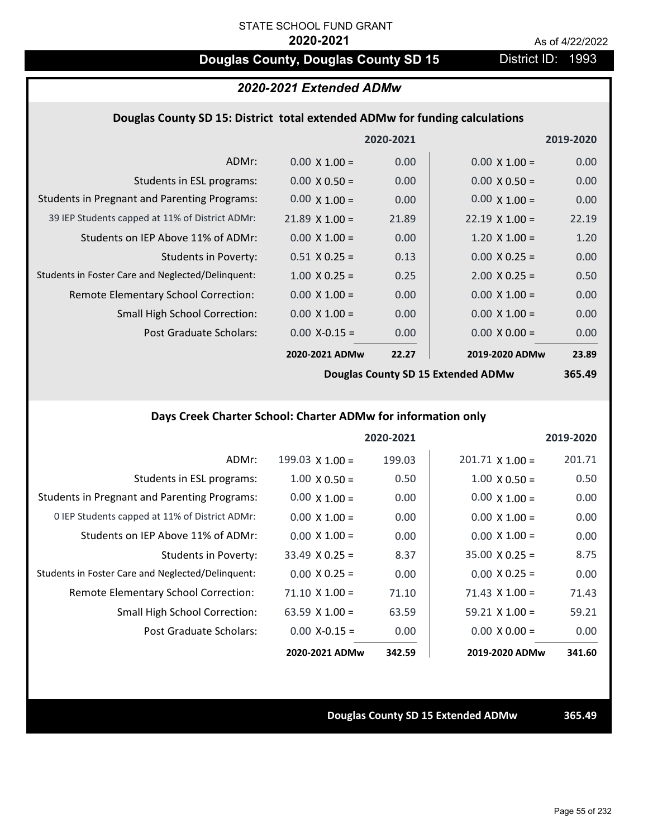# **Douglas County, Douglas County SD 15** District ID: 1993

# *2020-2021 Extended ADMw*

### **Douglas County SD 15: District total extended ADMw for funding calculations**

|                                                     |                       | 2020-2021 |                       | 2019-2020 |
|-----------------------------------------------------|-----------------------|-----------|-----------------------|-----------|
| ADMr:                                               | $0.00 \times 1.00 =$  | 0.00      | $0.00 \times 1.00 =$  | 0.00      |
| Students in ESL programs:                           | $0.00 \times 0.50 =$  | 0.00      | $0.00 \times 0.50 =$  | 0.00      |
| <b>Students in Pregnant and Parenting Programs:</b> | $0.00 \times 1.00 =$  | 0.00      | $0.00 \times 1.00 =$  | 0.00      |
| 39 IEP Students capped at 11% of District ADMr:     | $21.89 \times 1.00 =$ | 21.89     | $22.19 \times 1.00 =$ | 22.19     |
| Students on IEP Above 11% of ADMr:                  | $0.00 \times 1.00 =$  | 0.00      | $1.20 \times 1.00 =$  | 1.20      |
| <b>Students in Poverty:</b>                         | $0.51 \times 0.25 =$  | 0.13      | $0.00 \times 0.25 =$  | 0.00      |
| Students in Foster Care and Neglected/Delinquent:   | $1.00 \times 0.25 =$  | 0.25      | $2.00 \times 0.25 =$  | 0.50      |
| Remote Elementary School Correction:                | $0.00 \times 1.00 =$  | 0.00      | $0.00 \times 1.00 =$  | 0.00      |
| <b>Small High School Correction:</b>                | $0.00 \times 1.00 =$  | 0.00      | $0.00 \times 1.00 =$  | 0.00      |
| Post Graduate Scholars:                             | $0.00$ X-0.15 =       | 0.00      | $0.00 \times 0.00 =$  | 0.00      |
|                                                     | 2020-2021 ADMw        | 22.27     | 2019-2020 ADMw        | 23.89     |
|                                                     |                       |           |                       |           |

**Douglas County SD 15 Extended ADMw**

# **365.49**

# **Days Creek Charter School: Charter ADMw for information only**

|                                                     |                       | 2020-2021 |                        | 2019-2020 |
|-----------------------------------------------------|-----------------------|-----------|------------------------|-----------|
| ADMr:                                               | 199.03 $X$ 1.00 =     | 199.03    | $201.71 \times 1.00 =$ | 201.71    |
| Students in ESL programs:                           | $1.00 \times 0.50 =$  | 0.50      | $1.00 \times 0.50 =$   | 0.50      |
| <b>Students in Pregnant and Parenting Programs:</b> | $0.00 \times 1.00 =$  | 0.00      | $0.00 \times 1.00 =$   | 0.00      |
| 0 IEP Students capped at 11% of District ADMr:      | $0.00 \times 1.00 =$  | 0.00      | $0.00 \times 1.00 =$   | 0.00      |
| Students on IEP Above 11% of ADMr:                  | $0.00 \times 1.00 =$  | 0.00      | $0.00 \times 1.00 =$   | 0.00      |
| Students in Poverty:                                | $33.49 \times 0.25 =$ | 8.37      | $35.00 \times 0.25 =$  | 8.75      |
| Students in Foster Care and Neglected/Delinquent:   | $0.00 \times 0.25 =$  | 0.00      | $0.00 \times 0.25 =$   | 0.00      |
| Remote Elementary School Correction:                | $71.10 \times 1.00 =$ | 71.10     | $71.43 \times 1.00 =$  | 71.43     |
| <b>Small High School Correction:</b>                | 63.59 $X$ 1.00 =      | 63.59     | $59.21 \times 1.00 =$  | 59.21     |
| Post Graduate Scholars:                             | $0.00 X - 0.15 =$     | 0.00      | $0.00 \times 0.00 =$   | 0.00      |
|                                                     | 2020-2021 ADMw        | 342.59    | 2019-2020 ADMw         | 341.60    |

### **Douglas County SD 15 Extended ADMw 365.49**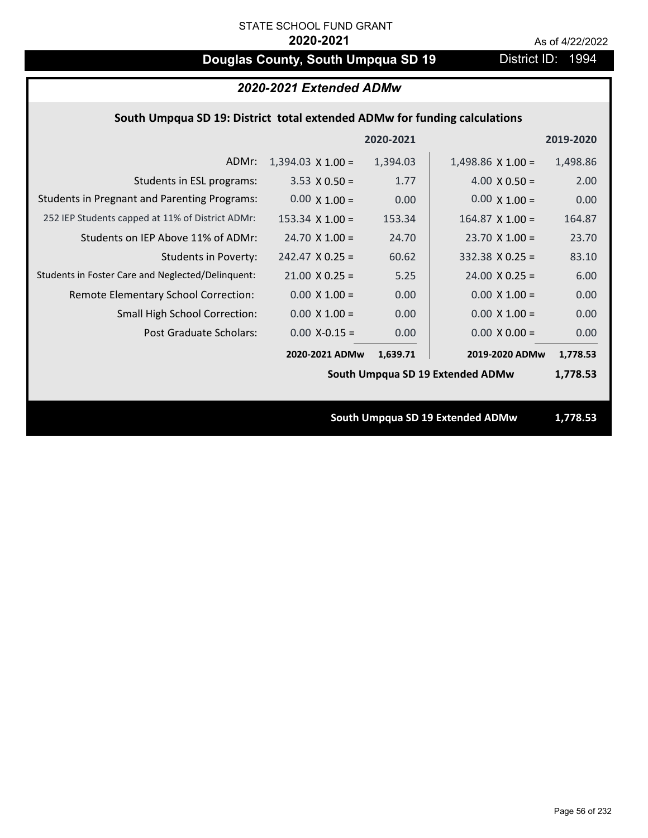# **Douglas County, South Umpqua SD 19** District ID: 1994

| 2020-2021 Extended ADMw                                                   |                          |           |                                  |           |
|---------------------------------------------------------------------------|--------------------------|-----------|----------------------------------|-----------|
| South Umpqua SD 19: District total extended ADMw for funding calculations |                          |           |                                  |           |
|                                                                           |                          | 2020-2021 |                                  | 2019-2020 |
| ADMr:                                                                     | $1,394.03 \times 1.00 =$ | 1,394.03  | $1,498.86 \times 1.00 =$         | 1,498.86  |
| Students in ESL programs:                                                 | $3.53 \times 0.50 =$     | 1.77      | $4.00 \times 0.50 =$             | 2.00      |
| <b>Students in Pregnant and Parenting Programs:</b>                       | $0.00 \times 1.00 =$     | 0.00      | $0.00 \times 1.00 =$             | 0.00      |
| 252 IEP Students capped at 11% of District ADMr:                          | $153.34 \times 1.00 =$   | 153.34    | $164.87$ X $1.00 =$              | 164.87    |
| Students on IEP Above 11% of ADMr:                                        | $24.70 \times 1.00 =$    | 24.70     | $23.70$ X 1.00 =                 | 23.70     |
| <b>Students in Poverty:</b>                                               | $242.47$ X 0.25 =        | 60.62     | $332.38$ X 0.25 =                | 83.10     |
| Students in Foster Care and Neglected/Delinquent:                         | $21.00 \times 0.25 =$    | 5.25      | $24.00 \times 0.25 =$            | 6.00      |
| Remote Elementary School Correction:                                      | $0.00 \times 1.00 =$     | 0.00      | $0.00 \times 1.00 =$             | 0.00      |
| Small High School Correction:                                             | $0.00 \times 1.00 =$     | 0.00      | $0.00 \times 1.00 =$             | 0.00      |
| Post Graduate Scholars:                                                   | $0.00$ X-0.15 =          | 0.00      | $0.00 \times 0.00 =$             | 0.00      |
|                                                                           | 2020-2021 ADMw           | 1,639.71  | 2019-2020 ADMw                   | 1,778.53  |
|                                                                           |                          |           | South Umpqua SD 19 Extended ADMw | 1,778.53  |
|                                                                           |                          |           |                                  |           |
|                                                                           |                          |           | South Umpqua SD 19 Extended ADMw | 1,778.53  |
|                                                                           |                          |           |                                  |           |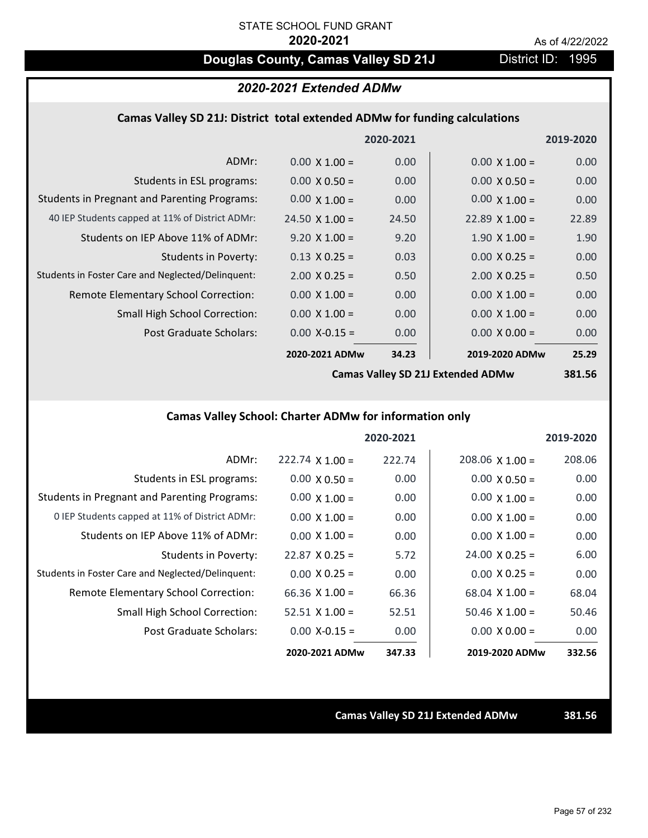# **Douglas County, Camas Valley SD 21J** District ID: 1995

# *2020-2021 Extended ADMw*

### **Camas Valley SD 21J: District total extended ADMw for funding calculations**

|                                                     |                       | 2020-2021 |                      | 2019-2020 |
|-----------------------------------------------------|-----------------------|-----------|----------------------|-----------|
| ADMr:                                               | $0.00 \times 1.00 =$  | 0.00      | $0.00 \times 1.00 =$ | 0.00      |
| Students in ESL programs:                           | $0.00 \times 0.50 =$  | 0.00      | $0.00 \times 0.50 =$ | 0.00      |
| <b>Students in Pregnant and Parenting Programs:</b> | $0.00 \times 1.00 =$  | 0.00      | $0.00 \times 1.00 =$ | 0.00      |
| 40 IEP Students capped at 11% of District ADMr:     | $24.50 \times 1.00 =$ | 24.50     | $22.89$ X 1.00 =     | 22.89     |
| Students on IEP Above 11% of ADMr:                  | $9.20 \times 1.00 =$  | 9.20      | $1.90 \times 1.00 =$ | 1.90      |
| Students in Poverty:                                | $0.13 \times 0.25 =$  | 0.03      | $0.00 \times 0.25 =$ | 0.00      |
| Students in Foster Care and Neglected/Delinquent:   | $2.00 \times 0.25 =$  | 0.50      | $2.00 \times 0.25 =$ | 0.50      |
| Remote Elementary School Correction:                | $0.00 \times 1.00 =$  | 0.00      | $0.00 \times 1.00 =$ | 0.00      |
| <b>Small High School Correction:</b>                | $0.00 \times 1.00 =$  | 0.00      | $0.00 \times 1.00 =$ | 0.00      |
| Post Graduate Scholars:                             | $0.00$ X-0.15 =       | 0.00      | $0.00 \times 0.00 =$ | 0.00      |
|                                                     | 2020-2021 ADMw        | 34.23     | 2019-2020 ADMw       | 25.29     |
|                                                     |                       |           |                      |           |

**Camas Valley SD 21J Extended ADMw**

**381.56**

# **Camas Valley School: Charter ADMw for information only**

|                                                     |                        | 2020-2021 |                        | 2019-2020 |
|-----------------------------------------------------|------------------------|-----------|------------------------|-----------|
| ADMr:                                               | $222.74 \times 1.00 =$ | 222.74    | $208.06 \times 1.00 =$ | 208.06    |
| Students in ESL programs:                           | $0.00 \times 0.50 =$   | 0.00      | $0.00 \times 0.50 =$   | 0.00      |
| <b>Students in Pregnant and Parenting Programs:</b> | $0.00 \times 1.00 =$   | 0.00      | $0.00 \times 1.00 =$   | 0.00      |
| 0 IEP Students capped at 11% of District ADMr:      | $0.00 \times 1.00 =$   | 0.00      | $0.00 \times 1.00 =$   | 0.00      |
| Students on IEP Above 11% of ADMr:                  | $0.00 \times 1.00 =$   | 0.00      | $0.00 \times 1.00 =$   | 0.00      |
| Students in Poverty:                                | $22.87 \times 0.25 =$  | 5.72      | $24.00 \times 0.25 =$  | 6.00      |
| Students in Foster Care and Neglected/Delinquent:   | $0.00 \times 0.25 =$   | 0.00      | $0.00 \times 0.25 =$   | 0.00      |
| Remote Elementary School Correction:                | 66.36 $X$ 1.00 =       | 66.36     | $68.04 \times 1.00 =$  | 68.04     |
| <b>Small High School Correction:</b>                | $52.51 \times 1.00 =$  | 52.51     | $50.46 \times 1.00 =$  | 50.46     |
| Post Graduate Scholars:                             | $0.00$ X-0.15 =        | 0.00      | $0.00 \times 0.00 =$   | 0.00      |
|                                                     | 2020-2021 ADMw         | 347.33    | 2019-2020 ADMw         | 332.56    |

**Camas Valley SD 21J Extended ADMw 381.56**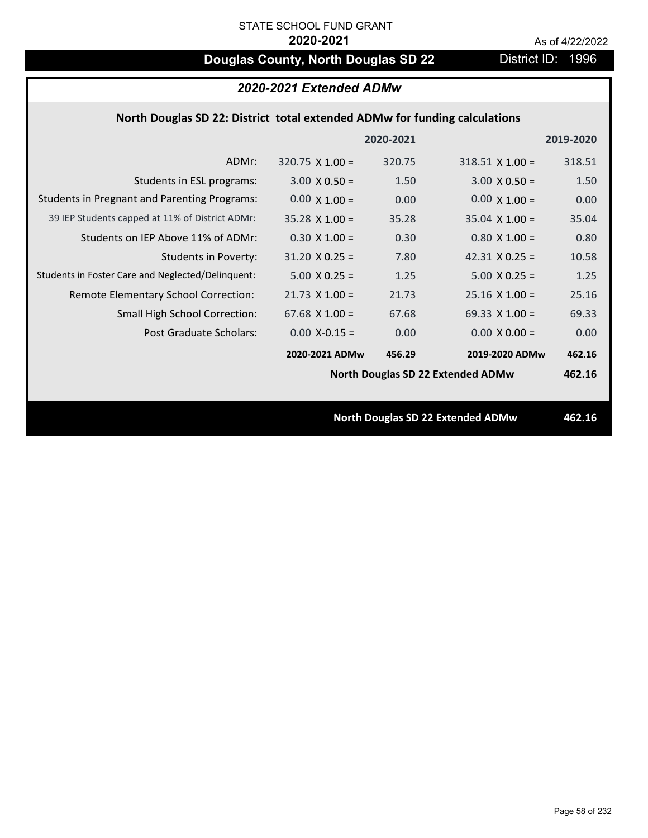# **Douglas County, North Douglas SD 22** District ID: 1996

| 2020-2021 Extended ADMw                             |                                                                            |           |                                          |           |
|-----------------------------------------------------|----------------------------------------------------------------------------|-----------|------------------------------------------|-----------|
|                                                     | North Douglas SD 22: District total extended ADMw for funding calculations |           |                                          |           |
|                                                     |                                                                            | 2020-2021 |                                          | 2019-2020 |
| ADMr:                                               | $320.75 \times 1.00 =$                                                     | 320.75    | $318.51$ X 1.00 =                        | 318.51    |
| Students in ESL programs:                           | $3.00 \times 0.50 =$                                                       | 1.50      | $3.00 \times 0.50 =$                     | 1.50      |
| <b>Students in Pregnant and Parenting Programs:</b> | $0.00 \times 1.00 =$                                                       | 0.00      | $0.00 \times 1.00 =$                     | 0.00      |
| 39 IEP Students capped at 11% of District ADMr:     | $35.28 \times 1.00 =$                                                      | 35.28     | $35.04 \times 1.00 =$                    | 35.04     |
| Students on IEP Above 11% of ADMr:                  | $0.30 \times 1.00 =$                                                       | 0.30      | $0.80$ X 1.00 =                          | 0.80      |
| <b>Students in Poverty:</b>                         | $31.20 \times 0.25 =$                                                      | 7.80      | 42.31 $X$ 0.25 =                         | 10.58     |
| Students in Foster Care and Neglected/Delinquent:   | $5.00 \times 0.25 =$                                                       | 1.25      | $5.00 \times 0.25 =$                     | 1.25      |
| Remote Elementary School Correction:                | $21.73$ X $1.00 =$                                                         | 21.73     | $25.16$ X $1.00 =$                       | 25.16     |
| <b>Small High School Correction:</b>                | $67.68$ X $1.00 =$                                                         | 67.68     | 69.33 $X$ 1.00 =                         | 69.33     |
| Post Graduate Scholars:                             | $0.00$ X-0.15 =                                                            | 0.00      | $0.00 X 0.00 =$                          | 0.00      |
|                                                     | 2020-2021 ADMw                                                             | 456.29    | 2019-2020 ADMw                           | 462.16    |
|                                                     |                                                                            |           | <b>North Douglas SD 22 Extended ADMw</b> | 462.16    |
|                                                     |                                                                            |           |                                          |           |
|                                                     |                                                                            |           | <b>North Douglas SD 22 Extended ADMw</b> | 462.16    |
|                                                     |                                                                            |           |                                          |           |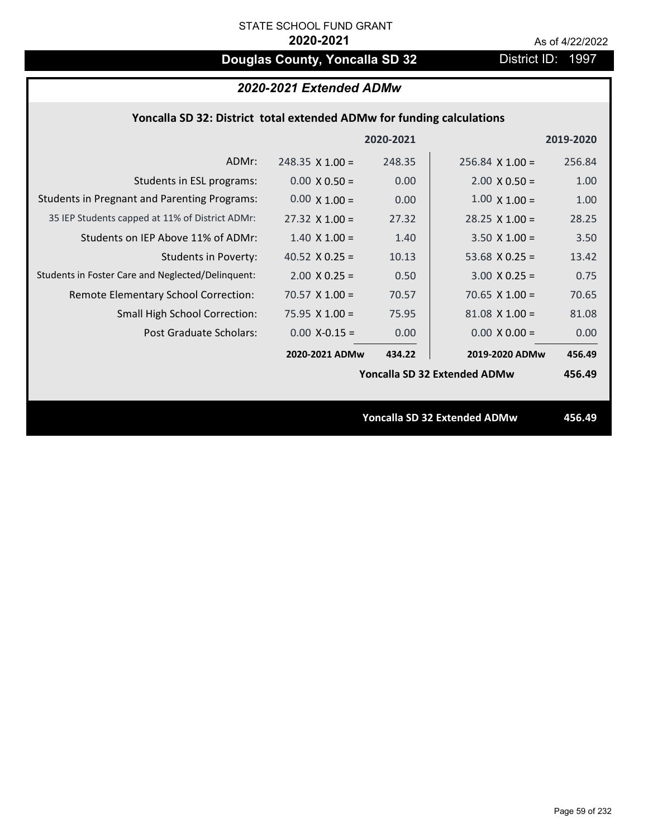# **Douglas County, Yoncalla SD 32** District ID: 1997

|  | 2020-2021 Extended ADMw |
|--|-------------------------|
|--|-------------------------|

## **Yoncalla SD 32: District total extended ADMw for funding calculations**

|                                                     |                        | 2020-2021 |                                     | 2019-2020 |
|-----------------------------------------------------|------------------------|-----------|-------------------------------------|-----------|
| ADMr:                                               | $248.35 \times 1.00 =$ | 248.35    | $256.84$ X 1.00 =                   | 256.84    |
| Students in ESL programs:                           | $0.00 \times 0.50 =$   | 0.00      | $2.00 \times 0.50 =$                | 1.00      |
| <b>Students in Pregnant and Parenting Programs:</b> | $0.00 \times 1.00 =$   | 0.00      | $1.00 \times 1.00 =$                | 1.00      |
| 35 IEP Students capped at 11% of District ADMr:     | $27.32 \times 1.00 =$  | 27.32     | $28.25 \times 1.00 =$               | 28.25     |
| Students on IEP Above 11% of ADMr:                  | $1.40 \times 1.00 =$   | 1.40      | $3.50 \times 1.00 =$                | 3.50      |
| <b>Students in Poverty:</b>                         | 40.52 $X$ 0.25 =       | 10.13     | 53.68 $X$ 0.25 =                    | 13.42     |
| Students in Foster Care and Neglected/Delinquent:   | $2.00 \times 0.25 =$   | 0.50      | $3.00 X 0.25 =$                     | 0.75      |
| Remote Elementary School Correction:                | $70.57 \times 1.00 =$  | 70.57     | 70.65 $X$ 1.00 =                    | 70.65     |
| <b>Small High School Correction:</b>                | 75.95 $X$ 1.00 =       | 75.95     | $81.08$ X $1.00 =$                  | 81.08     |
| Post Graduate Scholars:                             | $0.00$ X-0.15 =        | 0.00      | $0.00 \times 0.00 =$                | 0.00      |
|                                                     | 2020-2021 ADMw         | 434.22    | 2019-2020 ADMw                      | 456.49    |
|                                                     |                        |           | <b>Yoncalla SD 32 Extended ADMw</b> | 456.49    |
|                                                     |                        |           |                                     |           |
|                                                     |                        |           | <b>Yoncalla SD 32 Extended ADMw</b> | 456.49    |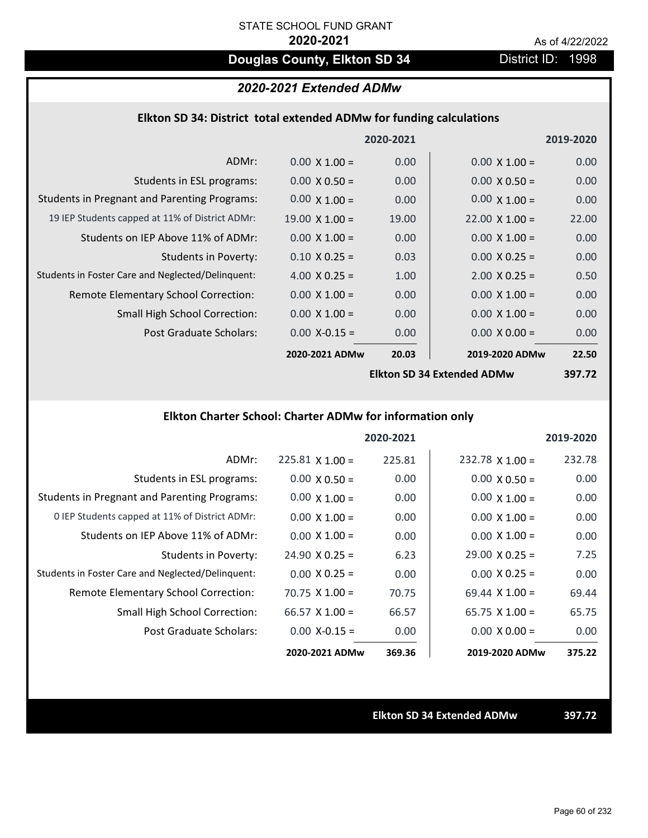# **Douglas County, Elkton SD 34** District ID: 1998

## *2020-2021 Extended ADMw*

### **Elkton SD 34: District total extended ADMw for funding calculations**

|                                                     |                       | 2020-2021 |                            | 2019-2020 |
|-----------------------------------------------------|-----------------------|-----------|----------------------------|-----------|
| ADMr:                                               | $0.00 \times 1.00 =$  | 0.00      | $0.00 \times 1.00 =$       | 0.00      |
| Students in ESL programs:                           | $0.00 \times 0.50 =$  | 0.00      | $0.00 \times 0.50 =$       | 0.00      |
| <b>Students in Pregnant and Parenting Programs:</b> | $0.00 \times 1.00 =$  | 0.00      | $0.00 \times 1.00 =$       | 0.00      |
| 19 IEP Students capped at 11% of District ADMr:     | $19.00 \times 1.00 =$ | 19.00     | $22.00 \times 1.00 =$      | 22.00     |
| Students on IEP Above 11% of ADMr:                  | $0.00 \times 1.00 =$  | 0.00      | $0.00 \times 1.00 =$       | 0.00      |
| <b>Students in Poverty:</b>                         | $0.10 \times 0.25 =$  | 0.03      | $0.00 \times 0.25 =$       | 0.00      |
| Students in Foster Care and Neglected/Delinquent:   | 4.00 $X$ 0.25 =       | 1.00      | $2.00 \times 0.25 =$       | 0.50      |
| Remote Elementary School Correction:                | $0.00 \times 1.00 =$  | 0.00      | $0.00 \times 1.00 =$       | 0.00      |
| <b>Small High School Correction:</b>                | $0.00 \times 1.00 =$  | 0.00      | $0.00 \times 1.00 =$       | 0.00      |
| Post Graduate Scholars:                             | $0.00$ X-0.15 =       | 0.00      | $0.00 \times 0.00 =$       | 0.00      |
|                                                     | 2020-2021 ADMw        | 20.03     | 2019-2020 ADMw             | 22.50     |
|                                                     |                       |           | Ellton CD 24 Extended ADMu | 207 72    |

**Elkton SD 34 Extended ADMw**

**397.72**

# **Elkton Charter School: Charter ADMw for information only**

|                                                     |                       | 2020-2021 |                        | 2019-2020 |
|-----------------------------------------------------|-----------------------|-----------|------------------------|-----------|
| ADMr:                                               | $225.81$ X 1.00 =     | 225.81    | $232.78 \times 1.00 =$ | 232.78    |
| Students in ESL programs:                           | $0.00 \times 0.50 =$  | 0.00      | $0.00 \times 0.50 =$   | 0.00      |
| <b>Students in Pregnant and Parenting Programs:</b> | $0.00 \times 1.00 =$  | 0.00      | $0.00 \times 1.00 =$   | 0.00      |
| 0 IEP Students capped at 11% of District ADMr:      | $0.00 \times 1.00 =$  | 0.00      | $0.00 \times 1.00 =$   | 0.00      |
| Students on IEP Above 11% of ADMr:                  | $0.00 \times 1.00 =$  | 0.00      | $0.00 \times 1.00 =$   | 0.00      |
| Students in Poverty:                                | $24.90 \times 0.25 =$ | 6.23      | $29.00 \times 0.25 =$  | 7.25      |
| Students in Foster Care and Neglected/Delinquent:   | $0.00 \times 0.25 =$  | 0.00      | $0.00 \times 0.25 =$   | 0.00      |
| Remote Elementary School Correction:                | $70.75 \times 1.00 =$ | 70.75     | $69.44 \times 1.00 =$  | 69.44     |
| <b>Small High School Correction:</b>                | $66.57 \times 1.00 =$ | 66.57     | $65.75 \times 1.00 =$  | 65.75     |
| Post Graduate Scholars:                             | $0.00 X - 0.15 =$     | 0.00      | $0.00 \times 0.00 =$   | 0.00      |
|                                                     | 2020-2021 ADMw        | 369.36    | 2019-2020 ADMw         | 375.22    |

**Elkton SD 34 Extended ADMw 397.72**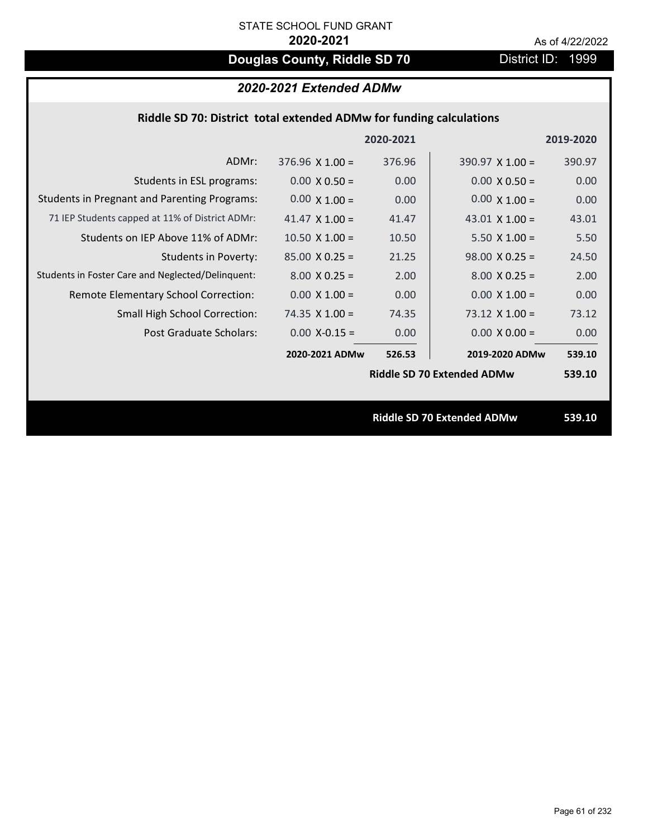# **Douglas County, Riddle SD 70** District ID: 1999

| 2020-2021 Extended ADMw |  |  |
|-------------------------|--|--|
|-------------------------|--|--|

| Riddle SD 70: District total extended ADMw for funding calculations                                         |           |
|-------------------------------------------------------------------------------------------------------------|-----------|
| 2020-2021                                                                                                   | 2019-2020 |
| ADMr:<br>376.96<br>$376.96 \times 1.00 =$<br>$390.97 \times 1.00 =$                                         | 390.97    |
| 0.00<br>Students in ESL programs:<br>$0.00 \times 0.50 =$<br>$0.00 \times 0.50 =$                           | 0.00      |
| <b>Students in Pregnant and Parenting Programs:</b><br>$0.00 \times 1.00 =$<br>$0.00 \times 1.00 =$<br>0.00 | 0.00      |
| 71 IEP Students capped at 11% of District ADMr:<br>41.47<br>41.47 $\times$ 1.00 =<br>43.01 $\times$ 1.00 =  | 43.01     |
| Students on IEP Above 11% of ADMr:<br>$10.50$ X $1.00 =$<br>$5.50 X 1.00 =$<br>10.50                        | 5.50      |
| <b>Students in Poverty:</b><br>$85.00 \times 0.25 =$<br>$98.00 \times 0.25 =$<br>21.25                      | 24.50     |
| Students in Foster Care and Neglected/Delinquent:<br>$8.00 \times 0.25 =$<br>$8.00 \times 0.25 =$<br>2.00   | 2.00      |
| $0.00 \times 1.00 =$<br>0.00<br>$0.00 \times 1.00 =$<br>Remote Elementary School Correction:                | 0.00      |
| Small High School Correction:<br>74.35 $X$ 1.00 =<br>74.35<br>$73.12$ X $1.00 =$                            | 73.12     |
| Post Graduate Scholars:<br>$0.00$ X-0.15 =<br>0.00<br>$0.00 \times 0.00 =$                                  | 0.00      |
| 2020-2021 ADMw<br>2019-2020 ADMw<br>526.53                                                                  | 539.10    |
| <b>Riddle SD 70 Extended ADMw</b>                                                                           | 539.10    |
|                                                                                                             |           |

**Riddle SD 70 Extended ADMw 539.10**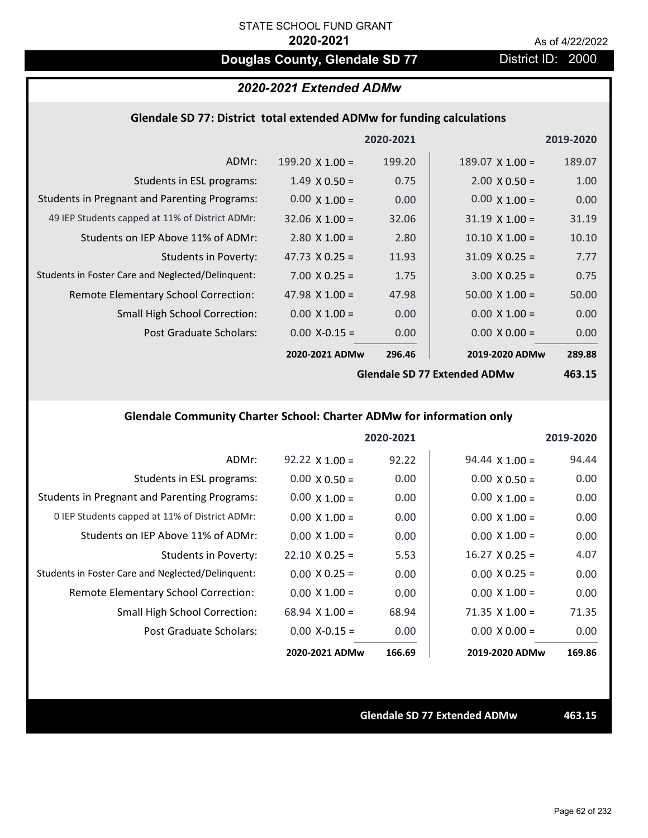# **Douglas County, Glendale SD 77** District ID: 2000

# *2020-2021 Extended ADMw*

### **Glendale SD 77: District total extended ADMw for funding calculations**

|                                                     |                        | 2020-2021 |                        | 2019-2020 |
|-----------------------------------------------------|------------------------|-----------|------------------------|-----------|
| ADMr:                                               | 199.20 $\times$ 1.00 = | 199.20    | $189.07 \times 1.00 =$ | 189.07    |
| Students in ESL programs:                           | $1.49 \times 0.50 =$   | 0.75      | $2.00 \times 0.50 =$   | 1.00      |
| <b>Students in Pregnant and Parenting Programs:</b> | $0.00 \times 1.00 =$   | 0.00      | $0.00 \times 1.00 =$   | 0.00      |
| 49 IEP Students capped at 11% of District ADMr:     | $32.06 \times 1.00 =$  | 32.06     | $31.19 \times 1.00 =$  | 31.19     |
| Students on IEP Above 11% of ADMr:                  | $2.80 \times 1.00 =$   | 2.80      | $10.10 \times 1.00 =$  | 10.10     |
| <b>Students in Poverty:</b>                         | 47.73 $X$ 0.25 =       | 11.93     | $31.09 \times 0.25 =$  | 7.77      |
| Students in Foster Care and Neglected/Delinquent:   | $7.00 \times 0.25 =$   | 1.75      | $3.00 \times 0.25 =$   | 0.75      |
| Remote Elementary School Correction:                | 47.98 $\times$ 1.00 =  | 47.98     | $50.00 \times 1.00 =$  | 50.00     |
| <b>Small High School Correction:</b>                | $0.00 \times 1.00 =$   | 0.00      | $0.00 \times 1.00 =$   | 0.00      |
| Post Graduate Scholars:                             | $0.00$ X-0.15 =        | 0.00      | $0.00 \times 0.00 =$   | 0.00      |
|                                                     | 2020-2021 ADMw         | 296.46    | 2019-2020 ADMw         | 289.88    |
|                                                     |                        |           |                        |           |

**Glendale SD 77 Extended ADMw**

**463.15**

# **Glendale Community Charter School: Charter ADMw for information only**

|                                                     |                       | 2020-2021 |                       | 2019-2020 |
|-----------------------------------------------------|-----------------------|-----------|-----------------------|-----------|
| ADMr:                                               | $92.22 \times 1.00 =$ | 92.22     | $94.44 \times 1.00 =$ | 94.44     |
| Students in ESL programs:                           | $0.00 \times 0.50 =$  | 0.00      | $0.00 \times 0.50 =$  | 0.00      |
| <b>Students in Pregnant and Parenting Programs:</b> | $0.00 \times 1.00 =$  | 0.00      | $0.00 \times 1.00 =$  | 0.00      |
| 0 IEP Students capped at 11% of District ADMr:      | $0.00 \times 1.00 =$  | 0.00      | $0.00 \times 1.00 =$  | 0.00      |
| Students on IEP Above 11% of ADMr:                  | $0.00 \times 1.00 =$  | 0.00      | $0.00 \times 1.00 =$  | 0.00      |
| Students in Poverty:                                | $22.10 \times 0.25 =$ | 5.53      | $16.27 \times 0.25 =$ | 4.07      |
| Students in Foster Care and Neglected/Delinquent:   | $0.00 \times 0.25 =$  | 0.00      | $0.00 \times 0.25 =$  | 0.00      |
| Remote Elementary School Correction:                | $0.00 \times 1.00 =$  | 0.00      | $0.00 \times 1.00 =$  | 0.00      |
| <b>Small High School Correction:</b>                | 68.94 $X$ 1.00 =      | 68.94     | $71.35 \times 1.00 =$ | 71.35     |
| Post Graduate Scholars:                             | $0.00 X - 0.15 =$     | 0.00      | $0.00 \times 0.00 =$  | 0.00      |
|                                                     | 2020-2021 ADMw        | 166.69    | 2019-2020 ADMw        | 169.86    |

**Glendale SD 77 Extended ADMw 463.15**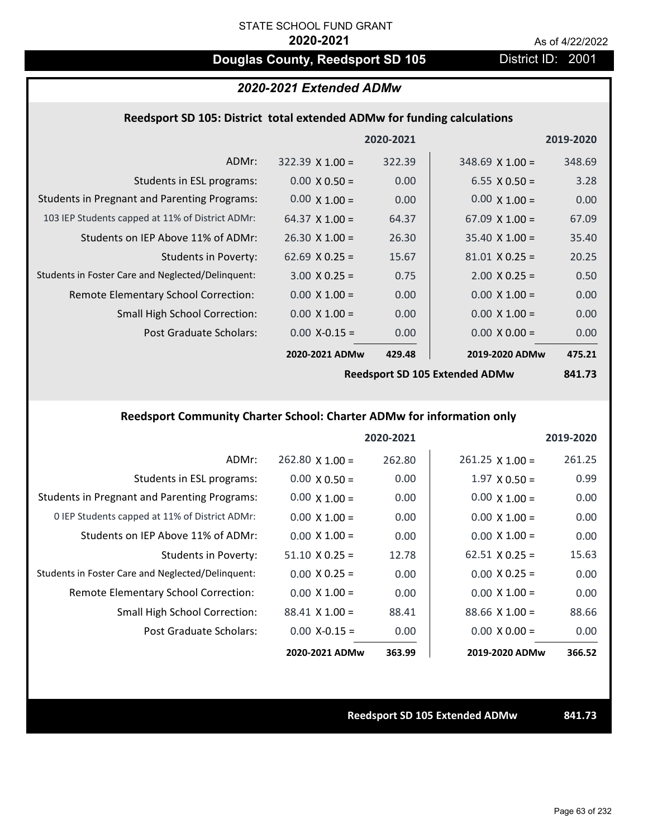# **Douglas County, Reedsport SD 105** District ID: 2001

# *2020-2021 Extended ADMw*

### **Reedsport SD 105: District total extended ADMw for funding calculations**

|                        | 2020-2021 |                       | 2019-2020      |
|------------------------|-----------|-----------------------|----------------|
| $322.39 \times 1.00 =$ | 322.39    | $348.69$ X 1.00 =     | 348.69         |
| $0.00 \times 0.50 =$   | 0.00      | $6.55 \times 0.50 =$  | 3.28           |
| $0.00 \times 1.00 =$   | 0.00      | $0.00 \times 1.00 =$  | 0.00           |
| 64.37 $\times$ 1.00 =  | 64.37     | $67.09 \times 1.00 =$ | 67.09          |
| $26.30 \times 1.00 =$  | 26.30     | $35.40 \times 1.00 =$ | 35.40          |
| $62.69 \times 0.25 =$  | 15.67     | $81.01 \times 0.25 =$ | 20.25          |
| $3.00 \times 0.25 =$   | 0.75      | $2.00 \times 0.25 =$  | 0.50           |
| $0.00 \times 1.00 =$   | 0.00      | $0.00 \times 1.00 =$  | 0.00           |
| $0.00 \times 1.00 =$   | 0.00      | $0.00 \times 1.00 =$  | 0.00           |
| $0.00$ X-0.15 =        | 0.00      | $0.00 \times 0.00 =$  | 0.00           |
|                        | 429.48    |                       | 475.21         |
|                        |           | 2020-2021 ADMw        | 2019-2020 ADMw |

**Reedsport SD 105 Extended ADMw**

**841.73**

# **Reedsport Community Charter School: Charter ADMw for information only**

|                                                     |                       | 2020-2021 |                        | 2019-2020 |
|-----------------------------------------------------|-----------------------|-----------|------------------------|-----------|
| ADMr:                                               | $262.80$ X 1.00 =     | 262.80    | $261.25 \times 1.00 =$ | 261.25    |
| Students in ESL programs:                           | $0.00 \times 0.50 =$  | 0.00      | $1.97 \times 0.50 =$   | 0.99      |
| <b>Students in Pregnant and Parenting Programs:</b> | $0.00 \times 1.00 =$  | 0.00      | $0.00 \times 1.00 =$   | 0.00      |
| 0 IEP Students capped at 11% of District ADMr:      | $0.00 \times 1.00 =$  | 0.00      | $0.00 \times 1.00 =$   | 0.00      |
| Students on IEP Above 11% of ADMr:                  | $0.00 \times 1.00 =$  | 0.00      | $0.00 \times 1.00 =$   | 0.00      |
| Students in Poverty:                                | $51.10 \times 0.25 =$ | 12.78     | $62.51 \times 0.25 =$  | 15.63     |
| Students in Foster Care and Neglected/Delinquent:   | $0.00 \times 0.25 =$  | 0.00      | $0.00 \times 0.25 =$   | 0.00      |
| Remote Elementary School Correction:                | $0.00 \times 1.00 =$  | 0.00      | $0.00 \times 1.00 =$   | 0.00      |
| <b>Small High School Correction:</b>                | $88.41 \times 1.00 =$ | 88.41     | $88.66 \times 1.00 =$  | 88.66     |
| Post Graduate Scholars:                             | $0.00$ X-0.15 =       | 0.00      | $0.00 \times 0.00 =$   | 0.00      |
|                                                     | 2020-2021 ADMw        | 363.99    | 2019-2020 ADMw         | 366.52    |

### **Reedsport SD 105 Extended ADMw 841.73**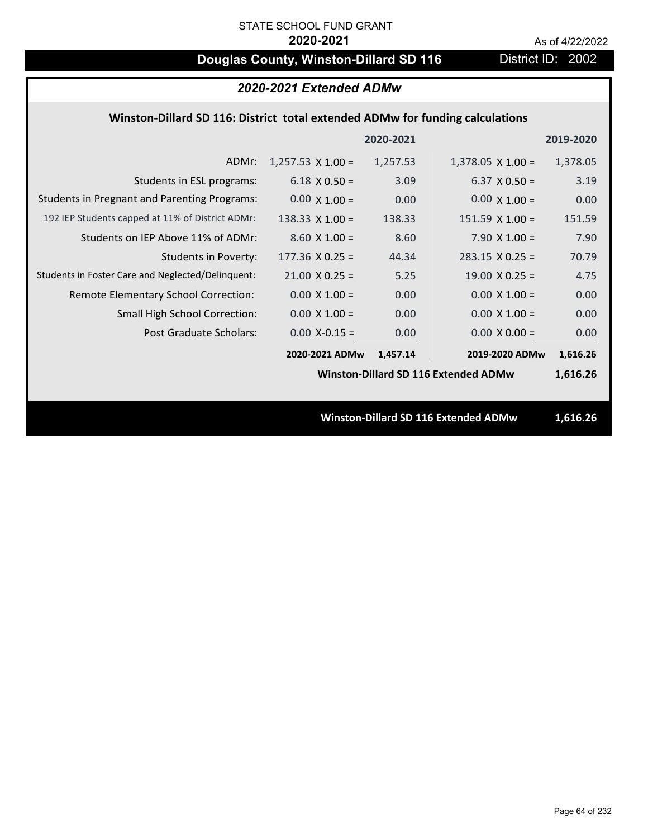# **Douglas County, Winston-Dillard SD 116** District ID: 2002

| 2020-2021 Extended ADMw                                                       |                          |           |                                             |           |  |  |
|-------------------------------------------------------------------------------|--------------------------|-----------|---------------------------------------------|-----------|--|--|
| Winston-Dillard SD 116: District total extended ADMw for funding calculations |                          |           |                                             |           |  |  |
|                                                                               |                          | 2020-2021 |                                             | 2019-2020 |  |  |
| ADMr:                                                                         | $1,257.53 \times 1.00 =$ | 1,257.53  | $1,378.05 \times 1.00 =$                    | 1,378.05  |  |  |
| Students in ESL programs:                                                     | $6.18 \times 0.50 =$     | 3.09      | $6.37 \times 0.50 =$                        | 3.19      |  |  |
| <b>Students in Pregnant and Parenting Programs:</b>                           | $0.00 \times 1.00 =$     | 0.00      | $0.00 \times 1.00 =$                        | 0.00      |  |  |
| 192 IEP Students capped at 11% of District ADMr:                              | 138.33 $X$ 1.00 =        | 138.33    | $151.59$ X $1.00 =$                         | 151.59    |  |  |
| Students on IEP Above 11% of ADMr:                                            | $8.60 X 1.00 =$          | 8.60      | 7.90 $X$ 1.00 =                             | 7.90      |  |  |
| <b>Students in Poverty:</b>                                                   | $177.36$ X 0.25 =        | 44.34     | $283.15 \times 0.25 =$                      | 70.79     |  |  |
| Students in Foster Care and Neglected/Delinquent:                             | $21.00 \times 0.25 =$    | 5.25      | $19.00 \times 0.25 =$                       | 4.75      |  |  |
| Remote Elementary School Correction:                                          | $0.00 \times 1.00 =$     | 0.00      | $0.00 \times 1.00 =$                        | 0.00      |  |  |
| Small High School Correction:                                                 | $0.00 \times 1.00 =$     | 0.00      | $0.00 \times 1.00 =$                        | 0.00      |  |  |
| <b>Post Graduate Scholars:</b>                                                | $0.00$ X-0.15 =          | 0.00      | $0.00 \times 0.00 =$                        | 0.00      |  |  |
|                                                                               | 2020-2021 ADMw           | 1,457.14  | 2019-2020 ADMw                              | 1,616.26  |  |  |
|                                                                               |                          |           | <b>Winston-Dillard SD 116 Extended ADMw</b> | 1,616.26  |  |  |
|                                                                               |                          |           |                                             |           |  |  |
|                                                                               |                          |           | Winston-Dillard SD 116 Extended ADMw        | 1,616.26  |  |  |
|                                                                               |                          |           |                                             |           |  |  |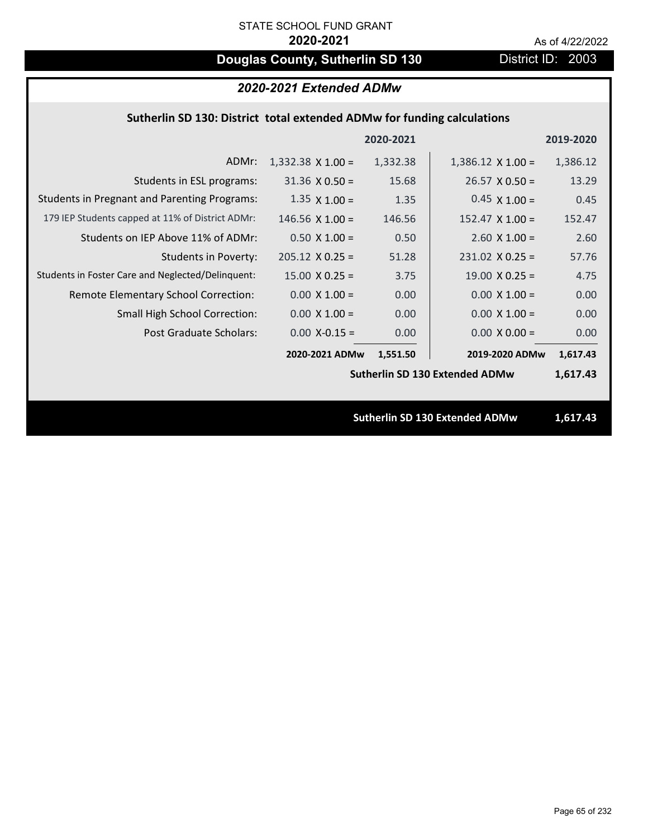# **Douglas County, Sutherlin SD 130** District ID: 2003

| 2020-2021 Extended ADMw                                                 |                          |           |                                       |           |  |  |
|-------------------------------------------------------------------------|--------------------------|-----------|---------------------------------------|-----------|--|--|
| Sutherlin SD 130: District total extended ADMw for funding calculations |                          |           |                                       |           |  |  |
|                                                                         |                          | 2020-2021 |                                       | 2019-2020 |  |  |
| ADMr:                                                                   | $1,332.38 \times 1.00 =$ | 1,332.38  | $1,386.12 \times 1.00 =$              | 1,386.12  |  |  |
| Students in ESL programs:                                               | $31.36 \times 0.50 =$    | 15.68     | $26.57 \times 0.50 =$                 | 13.29     |  |  |
| <b>Students in Pregnant and Parenting Programs:</b>                     | $1.35 \times 1.00 =$     | 1.35      | $0.45 \times 1.00 =$                  | 0.45      |  |  |
| 179 IEP Students capped at 11% of District ADMr:                        | 146.56 $X$ 1.00 =        | 146.56    | $152.47 \times 1.00 =$                | 152.47    |  |  |
| Students on IEP Above 11% of ADMr:                                      | $0.50 X 1.00 =$          | 0.50      | $2.60$ X $1.00 =$                     | 2.60      |  |  |
| <b>Students in Poverty:</b>                                             | $205.12 \times 0.25 =$   | 51.28     | $231.02 \times 0.25 =$                | 57.76     |  |  |
| Students in Foster Care and Neglected/Delinquent:                       | $15.00 \times 0.25 =$    | 3.75      | $19.00 \times 0.25 =$                 | 4.75      |  |  |
| Remote Elementary School Correction:                                    | $0.00 \times 1.00 =$     | 0.00      | $0.00 \times 1.00 =$                  | 0.00      |  |  |
| Small High School Correction:                                           | $0.00 \times 1.00 =$     | 0.00      | $0.00 \times 1.00 =$                  | 0.00      |  |  |
| Post Graduate Scholars:                                                 | $0.00$ X-0.15 =          | 0.00      | $0.00 \times 0.00 =$                  | 0.00      |  |  |
|                                                                         | 2020-2021 ADMw           | 1,551.50  | 2019-2020 ADMw                        | 1,617.43  |  |  |
|                                                                         |                          |           | <b>Sutherlin SD 130 Extended ADMw</b> | 1,617.43  |  |  |
|                                                                         |                          |           |                                       |           |  |  |
|                                                                         |                          |           | <b>Sutherlin SD 130 Extended ADMw</b> | 1,617.43  |  |  |
|                                                                         |                          |           |                                       |           |  |  |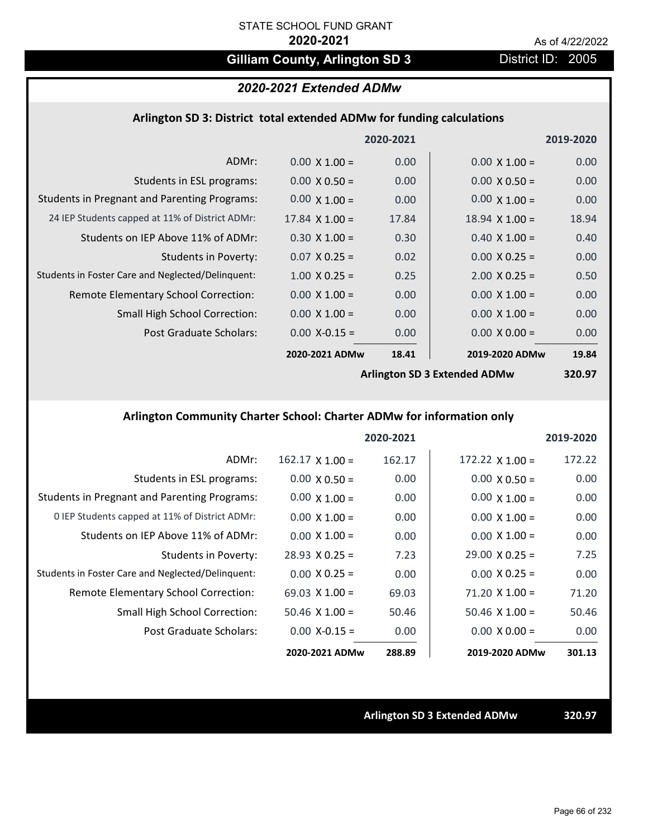# Gilliam County, Arlington SD 3 District ID: 2005

# *2020-2021 Extended ADMw*

### **Arlington SD 3: District total extended ADMw for funding calculations**

|                                                     |                       | 2020-2021         |                              | 2019-2020 |
|-----------------------------------------------------|-----------------------|-------------------|------------------------------|-----------|
| ADMr:                                               | $0.00 \times 1.00 =$  | 0.00 <sub>1</sub> | $0.00 \times 1.00 =$         | 0.00      |
| Students in ESL programs:                           | $0.00 \times 0.50 =$  | 0.00              | $0.00 \times 0.50 =$         | 0.00      |
| <b>Students in Pregnant and Parenting Programs:</b> | $0.00 \times 1.00 =$  | 0.00              | $0.00 \times 1.00 =$         | 0.00      |
| 24 IEP Students capped at 11% of District ADMr:     | $17.84 \times 1.00 =$ | 17.84             | $18.94 \times 1.00 =$        | 18.94     |
| Students on IEP Above 11% of ADMr:                  | $0.30 \times 1.00 =$  | 0.30              | $0.40 \times 1.00 =$         | 0.40      |
| <b>Students in Poverty:</b>                         | $0.07 \times 0.25 =$  | 0.02              | $0.00 \times 0.25 =$         | 0.00      |
| Students in Foster Care and Neglected/Delinquent:   | $1.00 \times 0.25 =$  | 0.25              | $2.00 \times 0.25 =$         | 0.50      |
| Remote Elementary School Correction:                | $0.00 \times 1.00 =$  | 0.00              | $0.00 \times 1.00 =$         | 0.00      |
| <b>Small High School Correction:</b>                | $0.00 \times 1.00 =$  | 0.00              | $0.00 \times 1.00 =$         | 0.00      |
| Post Graduate Scholars:                             | $0.00$ X-0.15 =       | 0.00              | $0.00 \times 0.00 =$         | 0.00      |
|                                                     | 2020-2021 ADMw        | 18.41             | 2019-2020 ADMw               | 19.84     |
|                                                     |                       |                   | Arlington SD 2 Extended ADMW | 220 Q7    |

**Arlington SD 3 Extended ADMw**

**320.97**

# **Arlington Community Charter School: Charter ADMw for information only**

|                                                     |                        | 2020-2021 |                        | 2019-2020 |
|-----------------------------------------------------|------------------------|-----------|------------------------|-----------|
| ADMr:                                               | $162.17 \times 1.00 =$ | 162.17    | $172.22 \times 1.00 =$ | 172.22    |
| Students in ESL programs:                           | $0.00 \times 0.50 =$   | 0.00      | $0.00 \times 0.50 =$   | 0.00      |
| <b>Students in Pregnant and Parenting Programs:</b> | $0.00 \times 1.00 =$   | 0.00      | $0.00 \times 1.00 =$   | 0.00      |
| 0 IEP Students capped at 11% of District ADMr:      | $0.00 \times 1.00 =$   | 0.00      | $0.00 \times 1.00 =$   | 0.00      |
| Students on IEP Above 11% of ADMr:                  | $0.00 \times 1.00 =$   | 0.00      | $0.00 \times 1.00 =$   | 0.00      |
| Students in Poverty:                                | $28.93 \times 0.25 =$  | 7.23      | $29.00 \times 0.25 =$  | 7.25      |
| Students in Foster Care and Neglected/Delinquent:   | $0.00 \times 0.25 =$   | 0.00      | $0.00 \times 0.25 =$   | 0.00      |
| Remote Elementary School Correction:                | 69.03 $\times$ 1.00 =  | 69.03     | $71.20 \times 1.00 =$  | 71.20     |
| <b>Small High School Correction:</b>                | $50.46 \times 1.00 =$  | 50.46     | $50.46 \times 1.00 =$  | 50.46     |
| Post Graduate Scholars:                             | $0.00 X-0.15 =$        | 0.00      | $0.00 \times 0.00 =$   | 0.00      |
|                                                     | 2020-2021 ADMw         | 288.89    | 2019-2020 ADMw         | 301.13    |

**Arlington SD 3 Extended ADMw 320.97**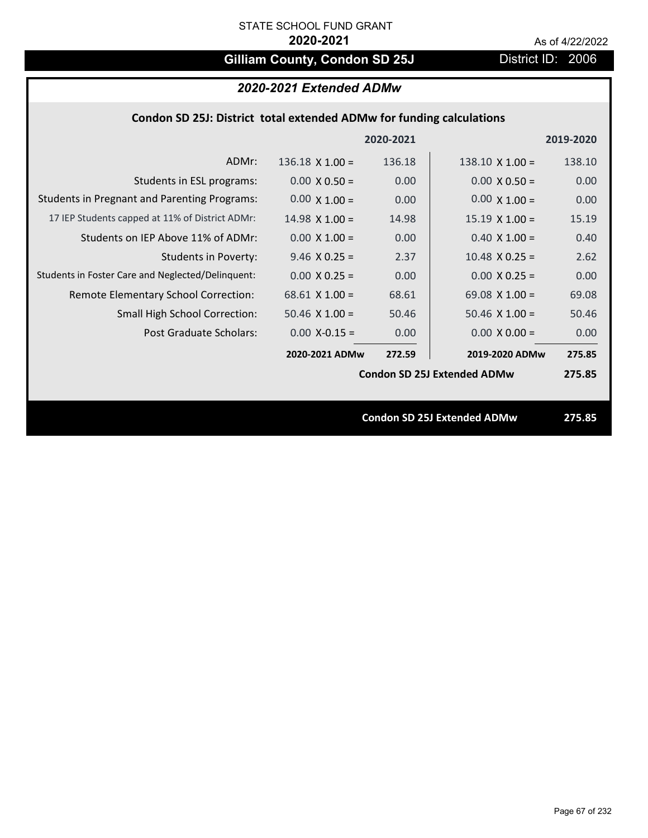# Gilliam County, Condon SD 25J District ID: 2006

# *2020-2021 Extended ADMw*

## **Condon SD 25J: District total extended ADMw for funding calculations**

|                                                     |                        | 2020-2021 |                                    | 2019-2020 |
|-----------------------------------------------------|------------------------|-----------|------------------------------------|-----------|
| ADMr:                                               | $136.18 \times 1.00 =$ | 136.18    | $138.10 \times 1.00 =$             | 138.10    |
| Students in ESL programs:                           | $0.00 \times 0.50 =$   | 0.00      | $0.00 \times 0.50 =$               | 0.00      |
| <b>Students in Pregnant and Parenting Programs:</b> | $0.00 \times 1.00 =$   | 0.00      | $0.00 \times 1.00 =$               | 0.00      |
| 17 IEP Students capped at 11% of District ADMr:     | $14.98 \times 1.00 =$  | 14.98     | $15.19 \times 1.00 =$              | 15.19     |
| Students on IEP Above 11% of ADMr:                  | $0.00 \times 1.00 =$   | 0.00      | $0.40$ X $1.00 =$                  | 0.40      |
| <b>Students in Poverty:</b>                         | $9.46$ X 0.25 =        | 2.37      | $10.48$ X 0.25 =                   | 2.62      |
| Students in Foster Care and Neglected/Delinquent:   | $0.00 \times 0.25 =$   | 0.00      | $0.00 \times 0.25 =$               | 0.00      |
| Remote Elementary School Correction:                | $68.61$ X 1.00 =       | 68.61     | 69.08 $X$ 1.00 =                   | 69.08     |
| <b>Small High School Correction:</b>                | $50.46 \times 1.00 =$  | 50.46     | $50.46 \times 1.00 =$              | 50.46     |
| Post Graduate Scholars:                             | $0.00$ X-0.15 =        | 0.00      | $0.00 \times 0.00 =$               | 0.00      |
|                                                     | 2020-2021 ADMw         | 272.59    | 2019-2020 ADMw                     | 275.85    |
|                                                     |                        |           | <b>Condon SD 25J Extended ADMw</b> | 275.85    |
|                                                     |                        |           |                                    |           |
|                                                     |                        |           | <b>Condon SD 25J Extended ADMw</b> | 275.85    |
|                                                     |                        |           |                                    |           |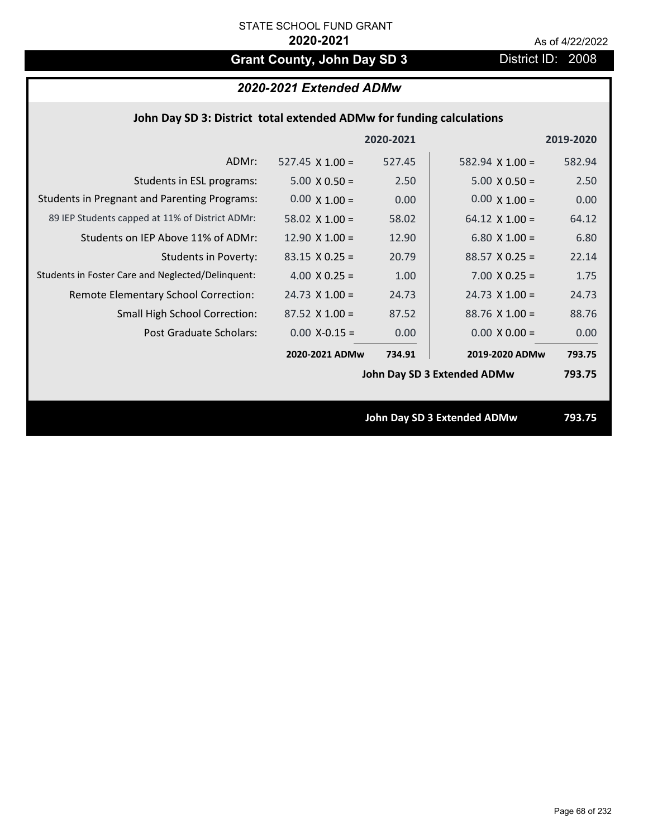# Grant County, John Day SD 3 District ID: 2008

# *2020-2021 Extended ADMw*

|  |  | John Day SD 3: District total extended ADMw for funding calculations |
|--|--|----------------------------------------------------------------------|
|--|--|----------------------------------------------------------------------|

|                                                     |                        | 2020-2021 |                             | 2019-2020 |
|-----------------------------------------------------|------------------------|-----------|-----------------------------|-----------|
| ADMr:                                               | $527.45 \times 1.00 =$ | 527.45    | 582.94 $X$ 1.00 =           | 582.94    |
| Students in ESL programs:                           | $5.00 \times 0.50 =$   | 2.50      | $5.00 \times 0.50 =$        | 2.50      |
| <b>Students in Pregnant and Parenting Programs:</b> | $0.00 \times 1.00 =$   | 0.00      | $0.00 \times 1.00 =$        | 0.00      |
| 89 IEP Students capped at 11% of District ADMr:     | 58.02 $\times$ 1.00 =  | 58.02     | 64.12 $\times$ 1.00 =       | 64.12     |
| Students on IEP Above 11% of ADMr:                  | $12.90 \times 1.00 =$  | 12.90     | 6.80 $X$ 1.00 =             | 6.80      |
| <b>Students in Poverty:</b>                         | $83.15 \times 0.25 =$  | 20.79     | $88.57$ X 0.25 =            | 22.14     |
| Students in Foster Care and Neglected/Delinquent:   | 4.00 $X$ 0.25 =        | 1.00      | $7.00 \times 0.25 =$        | 1.75      |
| Remote Elementary School Correction:                | $24.73 \times 1.00 =$  | 24.73     | $24.73 \times 1.00 =$       | 24.73     |
| <b>Small High School Correction:</b>                | $87.52 \times 1.00 =$  | 87.52     | $88.76$ X 1.00 =            | 88.76     |
| Post Graduate Scholars:                             | $0.00$ X-0.15 =        | 0.00      | $0.00 \times 0.00 =$        | 0.00      |
|                                                     | 2020-2021 ADMw         | 734.91    | 2019-2020 ADMw              | 793.75    |
|                                                     |                        |           | John Day SD 3 Extended ADMw | 793.75    |
|                                                     |                        |           |                             |           |
|                                                     |                        |           | John Day SD 3 Extended ADMw | 793.75    |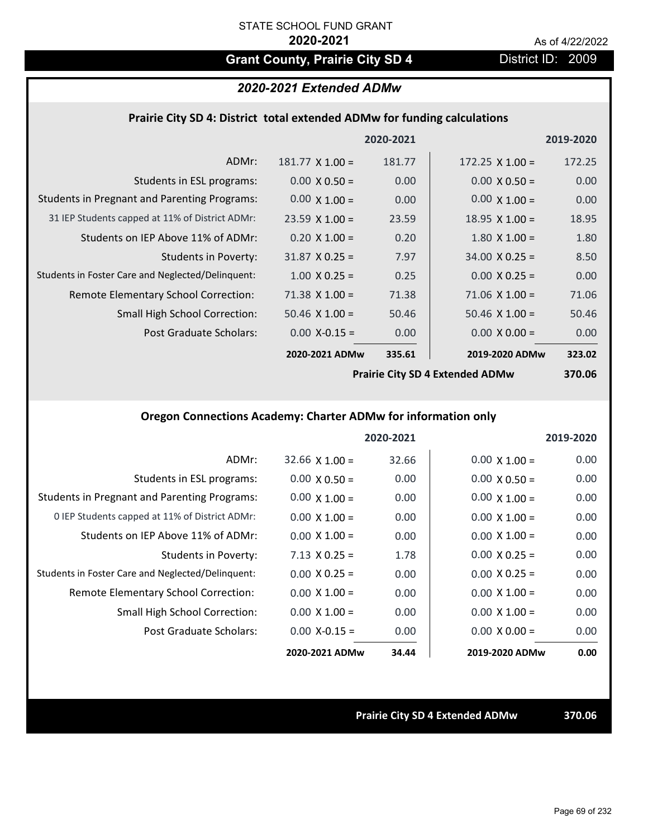# Grant County, Prairie City SD 4 District ID: 2009

# *2020-2021 Extended ADMw*

### **Prairie City SD 4: District total extended ADMw for funding calculations**

|                                                     |                        | 2020-2021 |                        | 2019-2020 |
|-----------------------------------------------------|------------------------|-----------|------------------------|-----------|
| ADMr:                                               | $181.77 \times 1.00 =$ | 181.77    | 172.25 $\times$ 1.00 = | 172.25    |
| Students in ESL programs:                           | $0.00 \times 0.50 =$   | 0.00      | $0.00 \times 0.50 =$   | 0.00      |
| <b>Students in Pregnant and Parenting Programs:</b> | $0.00 \times 1.00 =$   | 0.00      | $0.00 \times 1.00 =$   | 0.00      |
| 31 IEP Students capped at 11% of District ADMr:     | $23.59 \times 1.00 =$  | 23.59     | $18.95 \times 1.00 =$  | 18.95     |
| Students on IEP Above 11% of ADMr:                  | $0.20 \times 1.00 =$   | 0.20      | $1.80 \times 1.00 =$   | 1.80      |
| Students in Poverty:                                | $31.87 \times 0.25 =$  | 7.97      | $34.00 \times 0.25 =$  | 8.50      |
| Students in Foster Care and Neglected/Delinquent:   | $1.00 \times 0.25 =$   | 0.25      | $0.00 \times 0.25 =$   | 0.00      |
| Remote Elementary School Correction:                | $71.38 \times 1.00 =$  | 71.38     | $71.06 \times 1.00 =$  | 71.06     |
| <b>Small High School Correction:</b>                | $50.46 \times 1.00 =$  | 50.46     | $50.46 \times 1.00 =$  | 50.46     |
| Post Graduate Scholars:                             | $0.00$ X-0.15 =        | 0.00      | $0.00 \times 0.00 =$   | 0.00      |
|                                                     | 2020-2021 ADMw         | 335.61    | 2019-2020 ADMw         | 323.02    |
|                                                     |                        |           |                        |           |

**Prairie City SD 4 Extended ADMw**

**370.06**

# **Oregon Connections Academy: Charter ADMw for information only**

|                                                     |                       | 2020-2021 |                      | 2019-2020 |
|-----------------------------------------------------|-----------------------|-----------|----------------------|-----------|
| ADMr:                                               | $32.66 \times 1.00 =$ | 32.66     | $0.00 \times 1.00 =$ | 0.00      |
| Students in ESL programs:                           | $0.00 \times 0.50 =$  | 0.00      | $0.00 \times 0.50 =$ | 0.00      |
| <b>Students in Pregnant and Parenting Programs:</b> | $0.00 \times 1.00 =$  | 0.00      | $0.00 \times 1.00 =$ | 0.00      |
| 0 IEP Students capped at 11% of District ADMr:      | $0.00 \times 1.00 =$  | 0.00      | $0.00 \times 1.00 =$ | 0.00      |
| Students on IEP Above 11% of ADMr:                  | $0.00 \times 1.00 =$  | 0.00      | $0.00 \times 1.00 =$ | 0.00      |
| Students in Poverty:                                | $7.13 \times 0.25 =$  | 1.78      | $0.00 \times 0.25 =$ | 0.00      |
| Students in Foster Care and Neglected/Delinquent:   | $0.00 \times 0.25 =$  | 0.00      | $0.00 \times 0.25 =$ | 0.00      |
| Remote Elementary School Correction:                | $0.00 \times 1.00 =$  | 0.00      | $0.00 \times 1.00 =$ | 0.00      |
| <b>Small High School Correction:</b>                | $0.00 \times 1.00 =$  | 0.00      | $0.00 \times 1.00 =$ | 0.00      |
| Post Graduate Scholars:                             | $0.00$ X-0.15 =       | 0.00      | $0.00 \times 0.00 =$ | 0.00      |
|                                                     | 2020-2021 ADMw        | 34.44     | 2019-2020 ADMw       | 0.00      |

**Prairie City SD 4 Extended ADMw 370.06**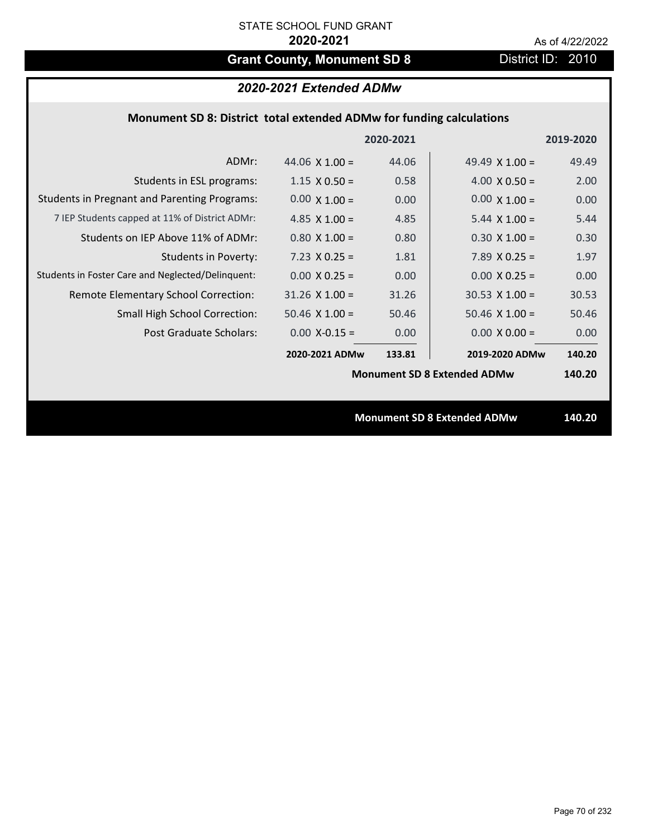# Grant County, Monument SD 8 District ID: 2010

# *2020-2021 Extended ADMw*

## **Monument SD 8: District total extended ADMw for funding calculations**

|                                                     |                       | 2020-2021 |                                    | 2019-2020 |
|-----------------------------------------------------|-----------------------|-----------|------------------------------------|-----------|
| ADMr:                                               | 44.06 $\times$ 1.00 = | 44.06     | 49.49 $\times$ 1.00 =              | 49.49     |
| Students in ESL programs:                           | $1.15 \times 0.50 =$  | 0.58      | $4.00 \times 0.50 =$               | 2.00      |
| <b>Students in Pregnant and Parenting Programs:</b> | $0.00 \times 1.00 =$  | 0.00      | $0.00 \times 1.00 =$               | 0.00      |
| 7 IEP Students capped at 11% of District ADMr:      | 4.85 $\times$ 1.00 =  | 4.85      | $5.44 \times 1.00 =$               | 5.44      |
| Students on IEP Above 11% of ADMr:                  | $0.80 \times 1.00 =$  | 0.80      | $0.30 \times 1.00 =$               | 0.30      |
| <b>Students in Poverty:</b>                         | $7.23 \times 0.25 =$  | 1.81      | 7.89 $X$ 0.25 =                    | 1.97      |
| Students in Foster Care and Neglected/Delinquent:   | $0.00 \times 0.25 =$  | 0.00      | $0.00 X 0.25 =$                    | 0.00      |
| Remote Elementary School Correction:                | $31.26 \times 1.00 =$ | 31.26     | $30.53 \times 1.00 =$              | 30.53     |
| <b>Small High School Correction:</b>                | $50.46 \times 1.00 =$ | 50.46     | $50.46$ X $1.00 =$                 | 50.46     |
| Post Graduate Scholars:                             | $0.00$ X-0.15 =       | 0.00      | $0.00 \times 0.00 =$               | 0.00      |
|                                                     | 2020-2021 ADMw        | 133.81    | 2019-2020 ADMw                     | 140.20    |
|                                                     |                       |           | <b>Monument SD 8 Extended ADMw</b> | 140.20    |
|                                                     |                       |           |                                    |           |
|                                                     |                       |           | <b>Monument SD 8 Extended ADMw</b> | 140.20    |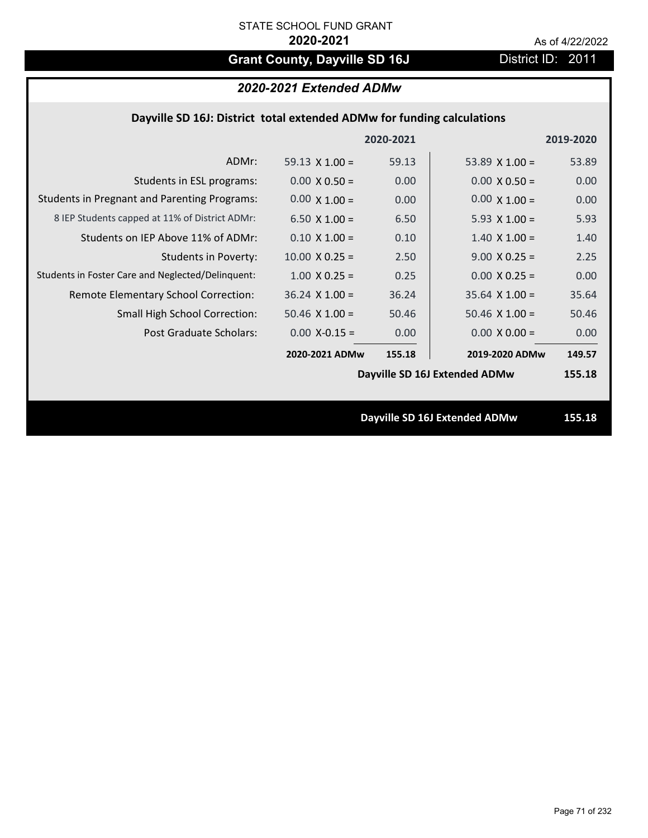# Grant County, Dayville SD 16J District ID: 2011

# *2020-2021 Extended ADMw*

# **Dayville SD 16J: District total extended ADMw for funding calculations**

|                                                     |                       | 2020-2021 |                               | 2019-2020 |
|-----------------------------------------------------|-----------------------|-----------|-------------------------------|-----------|
| ADMr:                                               | 59.13 $\times$ 1.00 = | 59.13     | 53.89 $\times$ 1.00 =         | 53.89     |
| Students in ESL programs:                           | $0.00 \times 0.50 =$  | 0.00      | $0.00 \times 0.50 =$          | 0.00      |
| <b>Students in Pregnant and Parenting Programs:</b> | $0.00 \times 1.00 =$  | 0.00      | $0.00 \times 1.00 =$          | 0.00      |
| 8 IEP Students capped at 11% of District ADMr:      | 6.50 $\times$ 1.00 =  | 6.50      | 5.93 $X$ 1.00 =               | 5.93      |
| Students on IEP Above 11% of ADMr:                  | $0.10 \times 1.00 =$  | 0.10      | $1.40 \times 1.00 =$          | 1.40      |
| <b>Students in Poverty:</b>                         | $10.00 \times 0.25 =$ | 2.50      | $9.00 \times 0.25 =$          | 2.25      |
| Students in Foster Care and Neglected/Delinquent:   | $1.00 \times 0.25 =$  | 0.25      | $0.00 \times 0.25 =$          | 0.00      |
| Remote Elementary School Correction:                | $36.24$ X $1.00 =$    | 36.24     | $35.64$ X 1.00 =              | 35.64     |
| <b>Small High School Correction:</b>                | $50.46$ X $1.00 =$    | 50.46     | $50.46$ X $1.00 =$            | 50.46     |
| Post Graduate Scholars:                             | $0.00$ X-0.15 =       | 0.00      | $0.00 \times 0.00 =$          | 0.00      |
|                                                     | 2020-2021 ADMw        | 155.18    | 2019-2020 ADMw                | 149.57    |
|                                                     |                       |           | Dayville SD 16J Extended ADMw | 155.18    |
|                                                     |                       |           |                               |           |
|                                                     |                       |           | Dayville SD 16J Extended ADMw | 155.18    |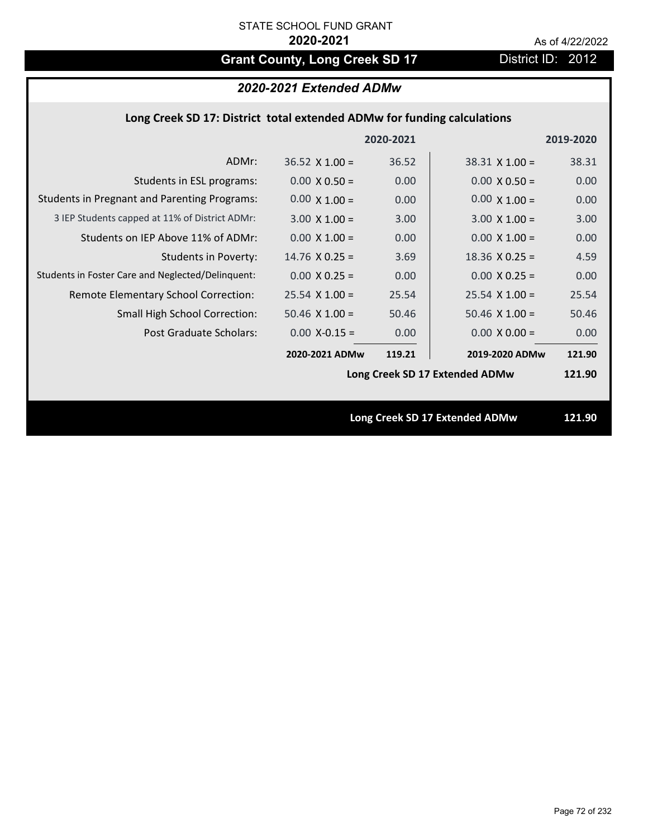# Grant County, Long Creek SD 17 District ID: 2012

# *2020-2021 Extended ADMw*

# **Long Creek SD 17: District total extended ADMw for funding calculations**

|                                                     |                       | 2020-2021 |                                | 2019-2020 |
|-----------------------------------------------------|-----------------------|-----------|--------------------------------|-----------|
| ADMr:                                               | $36.52 \times 1.00 =$ | 36.52     | $38.31$ X 1.00 =               | 38.31     |
| Students in ESL programs:                           | $0.00 \times 0.50 =$  | 0.00      | $0.00 \times 0.50 =$           | 0.00      |
| <b>Students in Pregnant and Parenting Programs:</b> | $0.00 \times 1.00 =$  | 0.00      | $0.00 \times 1.00 =$           | 0.00      |
| 3 IEP Students capped at 11% of District ADMr:      | $3.00 \times 1.00 =$  | 3.00      | $3.00 \times 1.00 =$           | 3.00      |
| Students on IEP Above 11% of ADMr:                  | $0.00 \times 1.00 =$  | 0.00      | $0.00 \times 1.00 =$           | 0.00      |
| <b>Students in Poverty:</b>                         | $14.76 \times 0.25 =$ | 3.69      | $18.36$ X 0.25 =               | 4.59      |
| Students in Foster Care and Neglected/Delinquent:   | $0.00 \times 0.25 =$  | 0.00      | $0.00 X 0.25 =$                | 0.00      |
| Remote Elementary School Correction:                | $25.54$ X 1.00 =      | 25.54     | $25.54$ X 1.00 =               | 25.54     |
| <b>Small High School Correction:</b>                | $50.46 \times 1.00 =$ | 50.46     | $50.46$ X $1.00 =$             | 50.46     |
| Post Graduate Scholars:                             | $0.00$ X-0.15 =       | 0.00      | $0.00 \times 0.00 =$           | 0.00      |
|                                                     | 2020-2021 ADMw        | 119.21    | 2019-2020 ADMw                 | 121.90    |
|                                                     |                       |           | Long Creek SD 17 Extended ADMw | 121.90    |
|                                                     |                       |           |                                |           |
|                                                     |                       |           | Long Creek SD 17 Extended ADMw | 121.90    |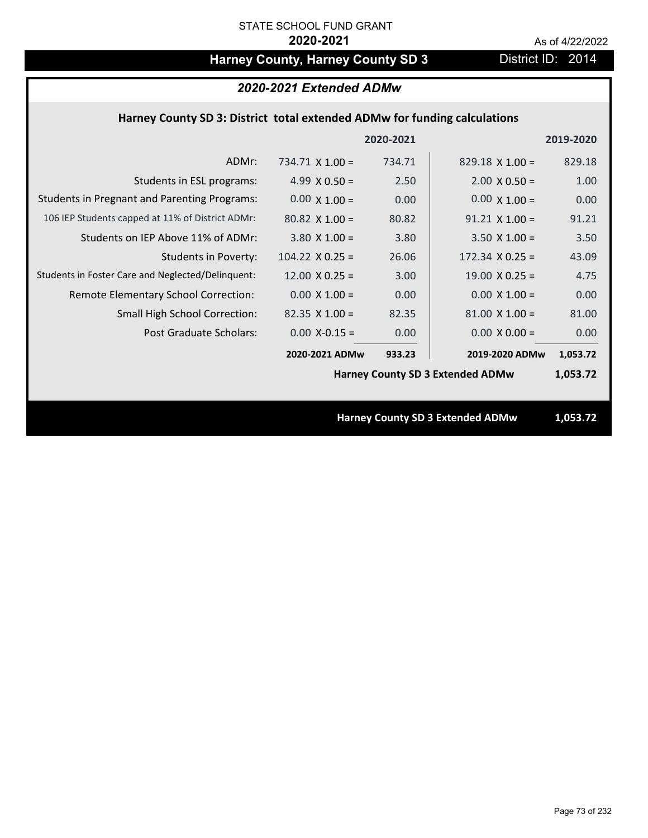# Harney County, Harney County SD 3 District ID: 2014

#### **Harney County SD 3: District total extended ADMw for funding calculations**

|                                                     |                        | 2020-2021 |                                         | 2019-2020 |
|-----------------------------------------------------|------------------------|-----------|-----------------------------------------|-----------|
| ADMr:                                               | 734.71 $\times$ 1.00 = | 734.71    | $829.18 \times 1.00 =$                  | 829.18    |
| Students in ESL programs:                           | 4.99 $\times$ 0.50 =   | 2.50      | $2.00 \times 0.50 =$                    | 1.00      |
| <b>Students in Pregnant and Parenting Programs:</b> | $0.00 \times 1.00 =$   | 0.00      | $0.00 \times 1.00 =$                    | 0.00      |
| 106 IEP Students capped at 11% of District ADMr:    | $80.82$ X 1.00 =       | 80.82     | $91.21$ X $1.00 =$                      | 91.21     |
| Students on IEP Above 11% of ADMr:                  | $3.80 \times 1.00 =$   | 3.80      | $3.50$ X $1.00 =$                       | 3.50      |
| <b>Students in Poverty:</b>                         | $104.22 \times 0.25 =$ | 26.06     | $172.34 \times 0.25 =$                  | 43.09     |
| Students in Foster Care and Neglected/Delinquent:   | $12.00 \times 0.25 =$  | 3.00      | $19.00 \times 0.25 =$                   | 4.75      |
| Remote Elementary School Correction:                | $0.00 \times 1.00 =$   | 0.00      | $0.00 \times 1.00 =$                    | 0.00      |
| <b>Small High School Correction:</b>                | $82.35 \times 1.00 =$  | 82.35     | $81.00 \times 1.00 =$                   | 81.00     |
| Post Graduate Scholars:                             | $0.00$ X-0.15 =        | 0.00      | $0.00 \times 0.00 =$                    | 0.00      |
|                                                     | 2020-2021 ADMw         | 933.23    | 2019-2020 ADMw                          | 1,053.72  |
|                                                     |                        |           | <b>Harney County SD 3 Extended ADMw</b> | 1,053.72  |
|                                                     |                        |           |                                         |           |
|                                                     |                        |           | <b>Harney County SD 3 Extended ADMw</b> | 1,053.72  |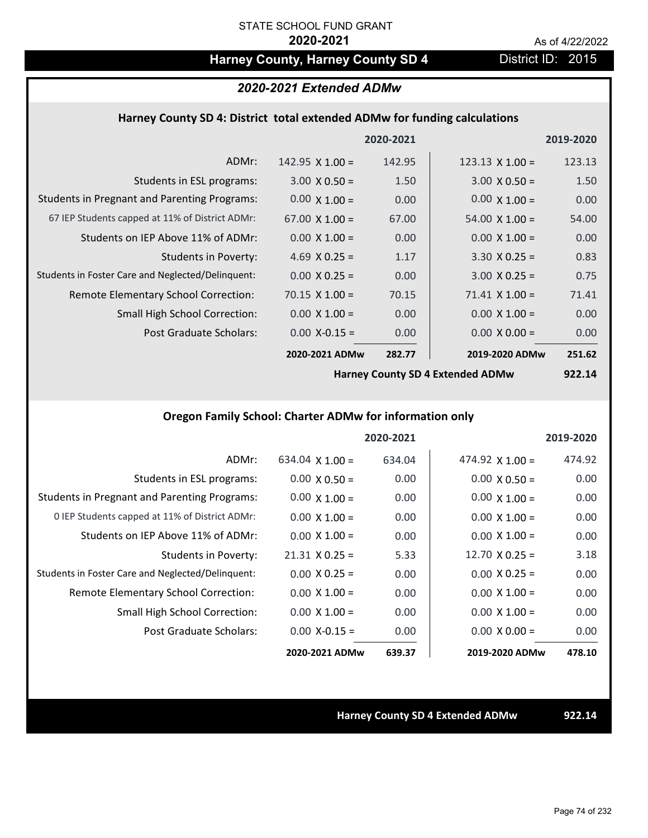## Harney County, Harney County SD 4 District ID: 2015

### *2020-2021 Extended ADMw*

#### **Harney County SD 4: District total extended ADMw for funding calculations**

|                                                     |                        | 2020-2021 |                        | 2019-2020 |
|-----------------------------------------------------|------------------------|-----------|------------------------|-----------|
| ADMr:                                               | $142.95 \times 1.00 =$ | 142.95    | $123.13 \times 1.00 =$ | 123.13    |
| Students in ESL programs:                           | $3.00 \times 0.50 =$   | 1.50      | $3.00 \times 0.50 =$   | 1.50      |
| <b>Students in Pregnant and Parenting Programs:</b> | $0.00 \times 1.00 =$   | 0.00      | $0.00 \times 1.00 =$   | 0.00      |
| 67 IEP Students capped at 11% of District ADMr:     | $67.00 \times 1.00 =$  | 67.00     | $54.00 \times 1.00 =$  | 54.00     |
| Students on IEP Above 11% of ADMr:                  | $0.00 \times 1.00 =$   | 0.00      | $0.00 \times 1.00 =$   | 0.00      |
| <b>Students in Poverty:</b>                         | 4.69 $X$ 0.25 =        | 1.17      | $3.30 \times 0.25 =$   | 0.83      |
| Students in Foster Care and Neglected/Delinquent:   | $0.00 \times 0.25 =$   | 0.00      | $3.00 \times 0.25 =$   | 0.75      |
| Remote Elementary School Correction:                | $70.15 \times 1.00 =$  | 70.15     | $71.41 \times 1.00 =$  | 71.41     |
| <b>Small High School Correction:</b>                | $0.00 \times 1.00 =$   | 0.00      | $0.00 \times 1.00 =$   | 0.00      |
| Post Graduate Scholars:                             | $0.00$ X-0.15 =        | 0.00      | $0.00 \times 0.00 =$   | 0.00      |
|                                                     | 2020-2021 ADMw         | 282.77    | 2019-2020 ADMw         | 251.62    |

**Harney County SD 4 Extended ADMw**

**922.14**

### **Oregon Family School: Charter ADMw for information only**

|                                                     |                        | 2020-2021 |                        | 2019-2020 |
|-----------------------------------------------------|------------------------|-----------|------------------------|-----------|
| ADMr:                                               | $634.04 \times 1.00 =$ | 634.04    | 474.92 $\times$ 1.00 = | 474.92    |
| Students in ESL programs:                           | $0.00 \times 0.50 =$   | 0.00      | $0.00 \times 0.50 =$   | 0.00      |
| <b>Students in Pregnant and Parenting Programs:</b> | $0.00 \times 1.00 =$   | 0.00      | $0.00 \times 1.00 =$   | 0.00      |
| 0 IEP Students capped at 11% of District ADMr:      | $0.00 \times 1.00 =$   | 0.00      | $0.00 \times 1.00 =$   | 0.00      |
| Students on IEP Above 11% of ADMr:                  | $0.00 \times 1.00 =$   | 0.00      | $0.00 \times 1.00 =$   | 0.00      |
| Students in Poverty:                                | $21.31 \times 0.25 =$  | 5.33      | $12.70 \times 0.25 =$  | 3.18      |
| Students in Foster Care and Neglected/Delinquent:   | $0.00 \times 0.25 =$   | 0.00      | $0.00 \times 0.25 =$   | 0.00      |
| Remote Elementary School Correction:                | $0.00 \times 1.00 =$   | 0.00      | $0.00 \times 1.00 =$   | 0.00      |
| <b>Small High School Correction:</b>                | $0.00 \times 1.00 =$   | 0.00      | $0.00 \times 1.00 =$   | 0.00      |
| Post Graduate Scholars:                             | $0.00 X - 0.15 =$      | 0.00      | $0.00 \times 0.00 =$   | 0.00      |
|                                                     | 2020-2021 ADMw         | 639.37    | 2019-2020 ADMw         | 478.10    |

**Harney County SD 4 Extended ADMw 922.14**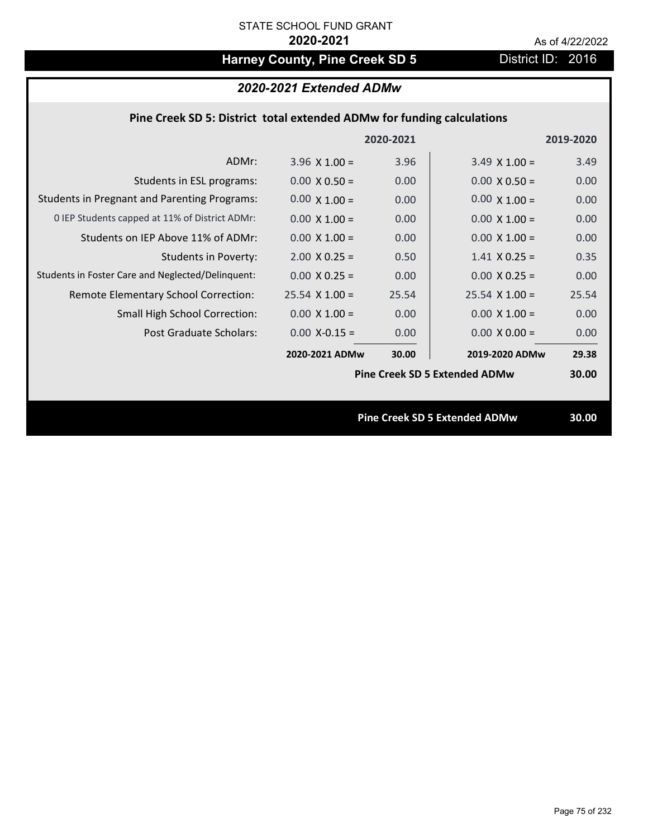# Harney County, Pine Creek SD 5 District ID: 2016

|                                                                        | 2020-2021 Extended ADMw |           |                                      |           |
|------------------------------------------------------------------------|-------------------------|-----------|--------------------------------------|-----------|
| Pine Creek SD 5: District total extended ADMw for funding calculations |                         |           |                                      |           |
|                                                                        |                         | 2020-2021 |                                      | 2019-2020 |
| ADMr:                                                                  | $3.96 \times 1.00 =$    | 3.96      | $3.49 \times 1.00 =$                 | 3.49      |
| Students in ESL programs:                                              | $0.00 \times 0.50 =$    | 0.00      | $0.00 \times 0.50 =$                 | 0.00      |
| <b>Students in Pregnant and Parenting Programs:</b>                    | $0.00 \times 1.00 =$    | 0.00      | $0.00 \times 1.00 =$                 | 0.00      |
| 0 IEP Students capped at 11% of District ADMr:                         | $0.00 \times 1.00 =$    | 0.00      | $0.00 \times 1.00 =$                 | 0.00      |
| Students on IEP Above 11% of ADMr:                                     | $0.00 \times 1.00 =$    | 0.00      | $0.00 \times 1.00 =$                 | 0.00      |
| <b>Students in Poverty:</b>                                            | $2.00 \times 0.25 =$    | 0.50      | $1.41$ X 0.25 =                      | 0.35      |
| Students in Foster Care and Neglected/Delinquent:                      | $0.00 \times 0.25 =$    | 0.00      | $0.00 \times 0.25 =$                 | 0.00      |
| Remote Elementary School Correction:                                   | $25.54$ X $1.00 =$      | 25.54     | $25.54 \times 1.00 =$                | 25.54     |
| <b>Small High School Correction:</b>                                   | $0.00 \times 1.00 =$    | 0.00      | $0.00 \times 1.00 =$                 | 0.00      |
| Post Graduate Scholars:                                                | $0.00$ X-0.15 =         | 0.00      | $0.00 \times 0.00 =$                 | 0.00      |
|                                                                        | 2020-2021 ADMw          | 30.00     | 2019-2020 ADMw                       | 29.38     |
|                                                                        |                         |           | <b>Pine Creek SD 5 Extended ADMw</b> | 30.00     |

**Pine Creek SD 5 Extended ADMw 30.00**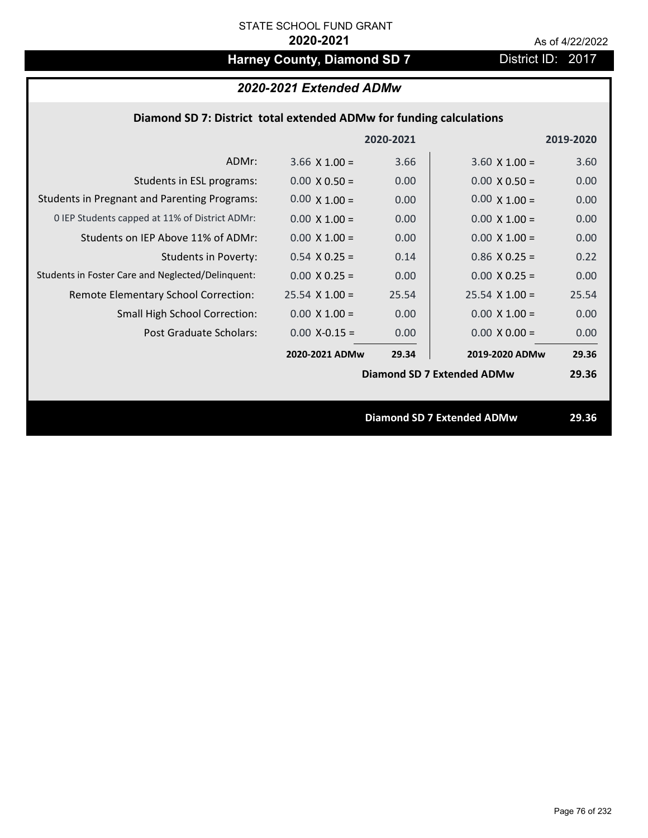# Harney County, Diamond SD 7 District ID: 2017

### *2020-2021 Extended ADMw*

### **Diamond SD 7: District total extended ADMw for funding calculations**

|                                                     |                      | 2020-2021 |                                   | 2019-2020 |
|-----------------------------------------------------|----------------------|-----------|-----------------------------------|-----------|
| ADMr:                                               | $3.66 \times 1.00 =$ | 3.66      | $3.60 \times 1.00 =$              | 3.60      |
| Students in ESL programs:                           | $0.00 \times 0.50 =$ | 0.00      | $0.00 \times 0.50 =$              | 0.00      |
| <b>Students in Pregnant and Parenting Programs:</b> | $0.00 \times 1.00 =$ | 0.00      | $0.00 \times 1.00 =$              | 0.00      |
| 0 IEP Students capped at 11% of District ADMr:      | $0.00 \times 1.00 =$ | 0.00      | $0.00 \times 1.00 =$              | 0.00      |
| Students on IEP Above 11% of ADMr:                  | $0.00 \times 1.00 =$ | 0.00      | $0.00 \times 1.00 =$              | 0.00      |
| <b>Students in Poverty:</b>                         | $0.54$ X 0.25 =      | 0.14      | $0.86$ X 0.25 =                   | 0.22      |
| Students in Foster Care and Neglected/Delinquent:   | $0.00 \times 0.25 =$ | 0.00      | $0.00 \times 0.25 =$              | 0.00      |
| Remote Elementary School Correction:                | $25.54$ X 1.00 =     | 25.54     | $25.54$ X 1.00 =                  | 25.54     |
| <b>Small High School Correction:</b>                | $0.00 \times 1.00 =$ | 0.00      | $0.00 \times 1.00 =$              | 0.00      |
| Post Graduate Scholars:                             | $0.00$ X-0.15 =      | 0.00      | $0.00 \times 0.00 =$              | 0.00      |
|                                                     | 2020-2021 ADMw       | 29.34     | 2019-2020 ADMw                    | 29.36     |
|                                                     |                      |           | <b>Diamond SD 7 Extended ADMw</b> | 29.36     |
|                                                     |                      |           |                                   |           |
|                                                     |                      |           | <b>Diamond SD 7 Extended ADMw</b> | 29.36     |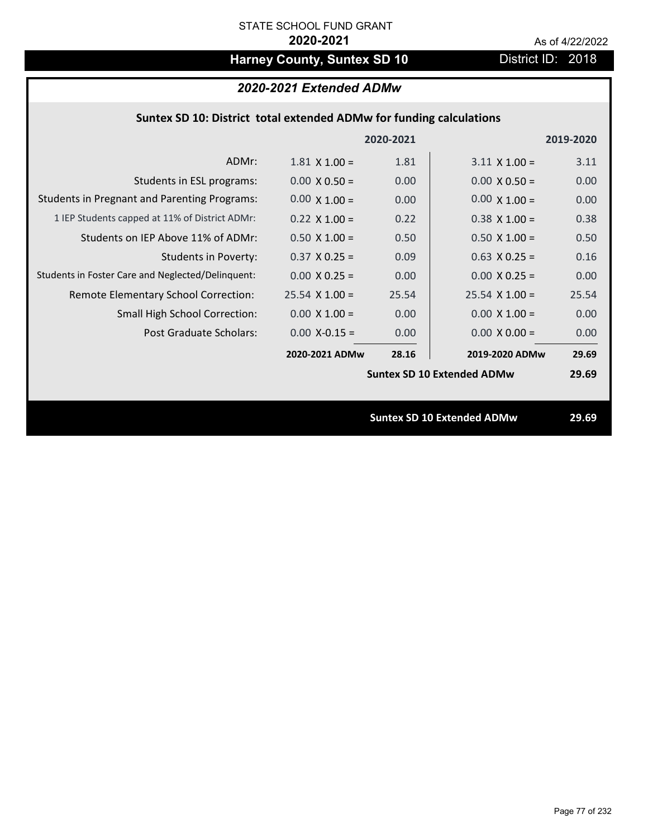# Harney County, Suntex SD 10 District ID: 2018

### *2020-2021 Extended ADMw*

#### **Suntex SD 10: District total extended ADMw for funding calculations**

|                                                     |                      | 2020-2021 |                                   | 2019-2020 |
|-----------------------------------------------------|----------------------|-----------|-----------------------------------|-----------|
| ADMr:                                               | $1.81 \times 1.00 =$ | 1.81      | $3.11 \times 1.00 =$              | 3.11      |
| Students in ESL programs:                           | $0.00 \times 0.50 =$ | 0.00      | $0.00 \times 0.50 =$              | 0.00      |
| <b>Students in Pregnant and Parenting Programs:</b> | $0.00 \times 1.00 =$ | 0.00      | $0.00 \times 1.00 =$              | 0.00      |
| 1 IEP Students capped at 11% of District ADMr:      | $0.22 \times 1.00 =$ | 0.22      | $0.38 \times 1.00 =$              | 0.38      |
| Students on IEP Above 11% of ADMr:                  | $0.50 \times 1.00 =$ | 0.50      | $0.50$ X 1.00 =                   | 0.50      |
| <b>Students in Poverty:</b>                         | $0.37$ X 0.25 =      | 0.09      | $0.63$ X 0.25 =                   | 0.16      |
| Students in Foster Care and Neglected/Delinquent:   | $0.00 \times 0.25 =$ | 0.00      | $0.00 X 0.25 =$                   | 0.00      |
| Remote Elementary School Correction:                | $25.54$ X 1.00 =     | 25.54     | $25.54 \times 1.00 =$             | 25.54     |
| <b>Small High School Correction:</b>                | $0.00 \times 1.00 =$ | 0.00      | $0.00 \times 1.00 =$              | 0.00      |
| <b>Post Graduate Scholars:</b>                      | $0.00$ X-0.15 =      | 0.00      | $0.00 \times 0.00 =$              | 0.00      |
|                                                     | 2020-2021 ADMw       | 28.16     | 2019-2020 ADMw                    | 29.69     |
|                                                     |                      |           | <b>Suntex SD 10 Extended ADMw</b> | 29.69     |
|                                                     |                      |           |                                   |           |
|                                                     |                      |           | <b>Suntex SD 10 Extended ADMw</b> | 29.69     |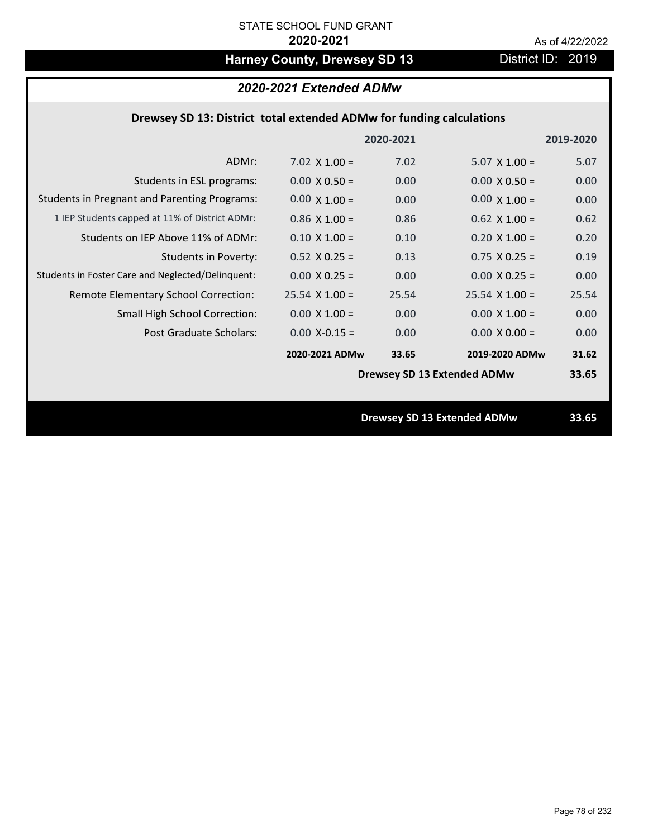# Harney County, Drewsey SD 13 District ID: 2019

### *2020-2021 Extended ADMw*

#### **Drewsey SD 13: District total extended ADMw for funding calculations**

|                                                     |                      | 2020-2021 |                                    | 2019-2020 |
|-----------------------------------------------------|----------------------|-----------|------------------------------------|-----------|
| ADMr:                                               | 7.02 $\times$ 1.00 = | 7.02      | $5.07 \times 1.00 =$               | 5.07      |
| Students in ESL programs:                           | $0.00 \times 0.50 =$ | 0.00      | $0.00 \times 0.50 =$               | 0.00      |
| <b>Students in Pregnant and Parenting Programs:</b> | $0.00 \times 1.00 =$ | 0.00      | $0.00 \times 1.00 =$               | 0.00      |
| 1 IEP Students capped at 11% of District ADMr:      | $0.86$ X 1.00 =      | 0.86      | $0.62$ X 1.00 =                    | 0.62      |
| Students on IEP Above 11% of ADMr:                  | $0.10 \times 1.00 =$ | 0.10      | $0.20$ X $1.00 =$                  | 0.20      |
| <b>Students in Poverty:</b>                         | $0.52$ X $0.25 =$    | 0.13      | $0.75$ X 0.25 =                    | 0.19      |
| Students in Foster Care and Neglected/Delinquent:   | $0.00 \times 0.25 =$ | 0.00      | $0.00 X 0.25 =$                    | 0.00      |
| Remote Elementary School Correction:                | $25.54$ X 1.00 =     | 25.54     | $25.54 \times 1.00 =$              | 25.54     |
| <b>Small High School Correction:</b>                | $0.00 \times 1.00 =$ | 0.00      | $0.00 \times 1.00 =$               | 0.00      |
| Post Graduate Scholars:                             | $0.00$ X-0.15 =      | 0.00      | $0.00 \times 0.00 =$               | 0.00      |
|                                                     | 2020-2021 ADMw       | 33.65     | 2019-2020 ADMw                     | 31.62     |
|                                                     |                      |           | <b>Drewsey SD 13 Extended ADMw</b> | 33.65     |
|                                                     |                      |           |                                    |           |
|                                                     |                      |           | <b>Drewsey SD 13 Extended ADMw</b> | 33.65     |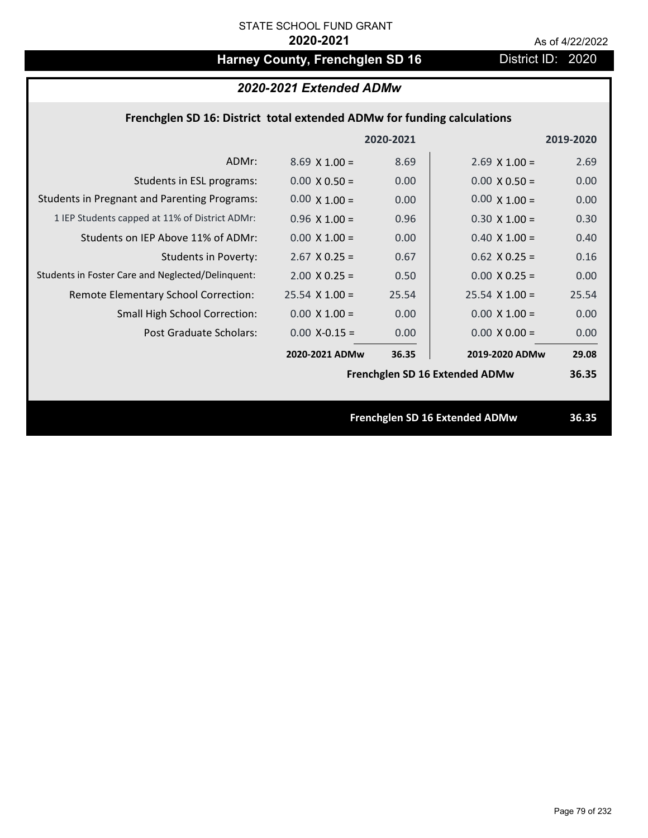# Harney County, Frenchglen SD 16 District ID: 2020

### *2020-2021 Extended ADMw*

### **Frenchglen SD 16: District total extended ADMw for funding calculations**

|                                                     |                      | 2020-2021 |                                | 2019-2020 |
|-----------------------------------------------------|----------------------|-----------|--------------------------------|-----------|
| ADMr:                                               | $8.69 \times 1.00 =$ | 8.69      | $2.69 \times 1.00 =$           | 2.69      |
| Students in ESL programs:                           | $0.00 \times 0.50 =$ | 0.00      | $0.00 \times 0.50 =$           | 0.00      |
| <b>Students in Pregnant and Parenting Programs:</b> | $0.00 \times 1.00 =$ | 0.00      | $0.00 \times 1.00 =$           | 0.00      |
| 1 IEP Students capped at 11% of District ADMr:      | $0.96 \times 1.00 =$ | 0.96      | $0.30 \times 1.00 =$           | 0.30      |
| Students on IEP Above 11% of ADMr:                  | $0.00 \times 1.00 =$ | 0.00      | $0.40$ X $1.00 =$              | 0.40      |
| <b>Students in Poverty:</b>                         | $2.67$ X 0.25 =      | 0.67      | $0.62$ X $0.25 =$              | 0.16      |
| Students in Foster Care and Neglected/Delinquent:   | $2.00 \times 0.25 =$ | 0.50      | $0.00 \times 0.25 =$           | 0.00      |
| Remote Elementary School Correction:                | $25.54$ X $1.00 =$   | 25.54     | $25.54$ X 1.00 =               | 25.54     |
| <b>Small High School Correction:</b>                | $0.00 \times 1.00 =$ | 0.00      | $0.00 \times 1.00 =$           | 0.00      |
| Post Graduate Scholars:                             | $0.00$ X-0.15 =      | 0.00      | $0.00 \times 0.00 =$           | 0.00      |
|                                                     | 2020-2021 ADMw       | 36.35     | 2019-2020 ADMw                 | 29.08     |
|                                                     |                      |           | Frenchglen SD 16 Extended ADMw | 36.35     |
|                                                     |                      |           |                                |           |
|                                                     |                      |           | Frenchglen SD 16 Extended ADMw | 36.35     |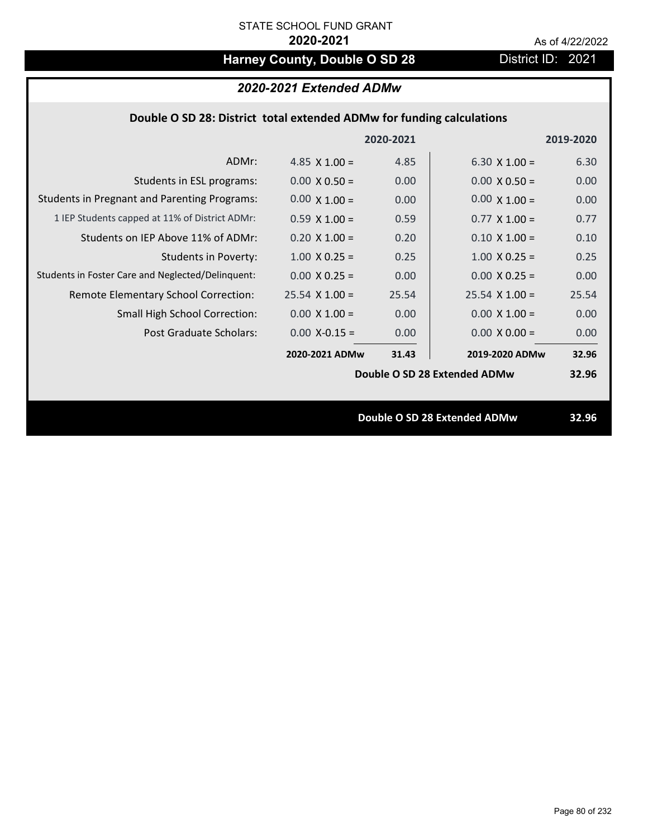## Harney County, Double O SD 28 District ID: 2021

|                                                                       | 2020-2021 Extended ADMw |           |                       |           |
|-----------------------------------------------------------------------|-------------------------|-----------|-----------------------|-----------|
| Double O SD 28: District total extended ADMw for funding calculations |                         |           |                       |           |
|                                                                       |                         | 2020-2021 |                       | 2019-2020 |
| ADMr:                                                                 | 4.85 $\times$ 1.00 =    | 4.85      | $6.30 \times 1.00 =$  | 6.30      |
| Students in ESL programs:                                             | $0.00 \times 0.50 =$    | 0.00      | $0.00 \times 0.50 =$  | 0.00      |
| <b>Students in Pregnant and Parenting Programs:</b>                   | $0.00 \times 1.00 =$    | 0.00      | $0.00 \times 1.00 =$  | 0.00      |
| 1 IEP Students capped at 11% of District ADMr:                        | $0.59 \times 1.00 =$    | 0.59      | $0.77 \times 1.00 =$  | 0.77      |
| Students on IEP Above 11% of ADMr:                                    | $0.20 \times 1.00 =$    | 0.20      | $0.10 \times 1.00 =$  | 0.10      |
| <b>Students in Poverty:</b>                                           | $1.00 \times 0.25 =$    | 0.25      | $1.00 \times 0.25 =$  | 0.25      |
| Students in Foster Care and Neglected/Delinquent:                     | $0.00 \times 0.25 =$    | 0.00      | $0.00 \times 0.25 =$  | 0.00      |
| Remote Elementary School Correction:                                  | $25.54 \times 1.00 =$   | 25.54     | $25.54 \times 1.00 =$ | 25.54     |
| <b>Small High School Correction:</b>                                  | $0.00 \times 1.00 =$    | 0.00      | $0.00 \times 1.00 =$  | 0.00      |

Post Graduate Scholars:  $0.00 \text{ X} - 0.15 = 0.00 \text{ X} - 0.00 \times 0.00 = 0.00 \text{ X}$ 

**31.43 32.96 2020‐2021 ADMw 2019‐2020 ADMw**

**Double O SD 28 Extended ADMw**

**Double O SD 28 Extended ADMw 32.96**

**32.96**

 $0.00 \times 1.00 = 0.00$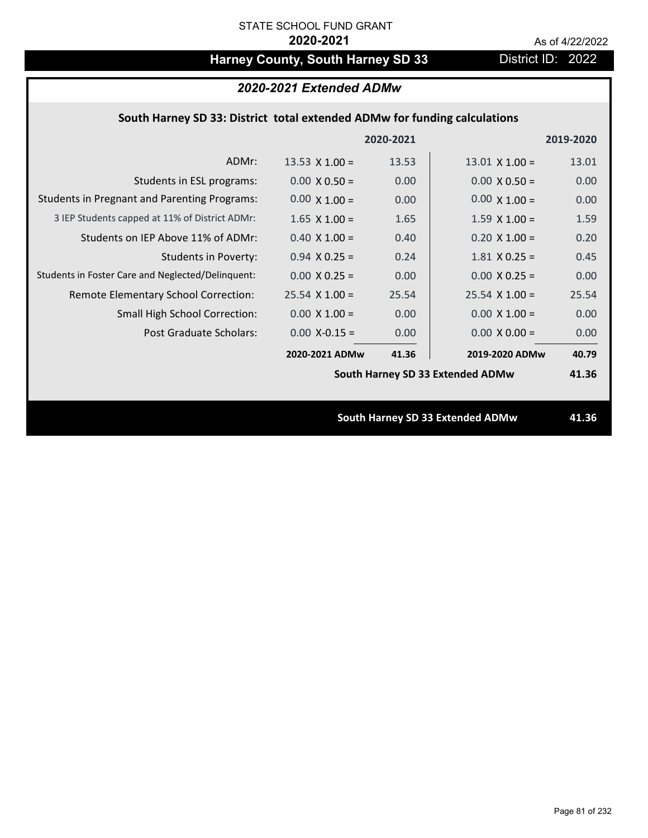# Harney County, South Harney SD 33 District ID: 2022

### *2020-2021 Extended ADMw*

### **South Harney SD 33: District total extended ADMw for funding calculations**

|                                                     |                       | 2020-2021 |                                  | 2019-2020 |
|-----------------------------------------------------|-----------------------|-----------|----------------------------------|-----------|
| ADMr:                                               | 13.53 $\times$ 1.00 = | 13.53     | $13.01 \times 1.00 =$            | 13.01     |
| Students in ESL programs:                           | $0.00 \times 0.50 =$  | 0.00      | $0.00 \times 0.50 =$             | 0.00      |
| <b>Students in Pregnant and Parenting Programs:</b> | $0.00 \times 1.00 =$  | 0.00      | $0.00 \times 1.00 =$             | 0.00      |
| 3 IEP Students capped at 11% of District ADMr:      | $1.65 \times 1.00 =$  | 1.65      | $1.59 \times 1.00 =$             | 1.59      |
| Students on IEP Above 11% of ADMr:                  | $0.40$ X $1.00 =$     | 0.40      | $0.20 X 1.00 =$                  | 0.20      |
| <b>Students in Poverty:</b>                         | $0.94$ X 0.25 =       | 0.24      | $1.81$ X 0.25 =                  | 0.45      |
| Students in Foster Care and Neglected/Delinquent:   | $0.00 \times 0.25 =$  | 0.00      | $0.00 \times 0.25 =$             | 0.00      |
| Remote Elementary School Correction:                | $25.54$ X 1.00 =      | 25.54     | $25.54 \times 1.00 =$            | 25.54     |
| <b>Small High School Correction:</b>                | $0.00 \times 1.00 =$  | 0.00      | $0.00 \times 1.00 =$             | 0.00      |
| Post Graduate Scholars:                             | $0.00$ X-0.15 =       | 0.00      | $0.00 \times 0.00 =$             | 0.00      |
|                                                     | 2020-2021 ADMw        | 41.36     | 2019-2020 ADMw                   | 40.79     |
|                                                     |                       |           | South Harney SD 33 Extended ADMw | 41.36     |
|                                                     |                       |           |                                  |           |
|                                                     |                       |           | South Harney SD 33 Extended ADMw | 41.36     |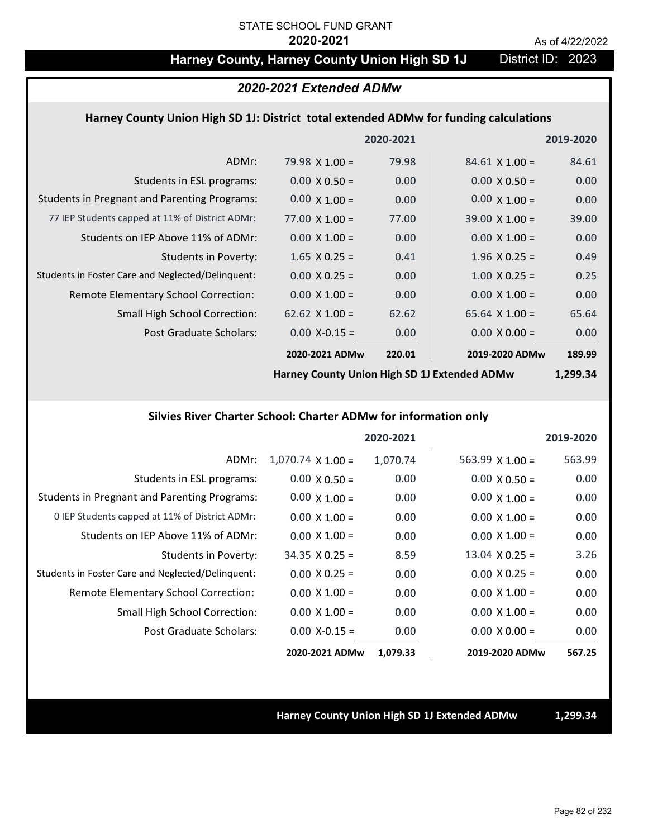### Harney County, Harney County Union High SD 1J District ID: 2023

#### *2020-2021 Extended ADMw*

#### **Harney County Union High SD 1J: District total extended ADMw for funding calculations**

|                                                     |                       | 2020-2021 |                       | 2019-2020 |
|-----------------------------------------------------|-----------------------|-----------|-----------------------|-----------|
| ADMr:                                               | $79.98 \times 1.00 =$ | 79.98     | $84.61 \times 1.00 =$ | 84.61     |
| Students in ESL programs:                           | $0.00 \times 0.50 =$  | 0.00      | $0.00 \times 0.50 =$  | 0.00      |
| <b>Students in Pregnant and Parenting Programs:</b> | $0.00 \times 1.00 =$  | 0.00      | $0.00 \times 1.00 =$  | 0.00      |
| 77 IEP Students capped at 11% of District ADMr:     | $77.00 \times 1.00 =$ | 77.00     | $39.00 \times 1.00 =$ | 39.00     |
| Students on IEP Above 11% of ADMr:                  | $0.00 \times 1.00 =$  | 0.00      | $0.00 \times 1.00 =$  | 0.00      |
| Students in Poverty:                                | $1.65$ X 0.25 =       | 0.41      | $1.96 \times 0.25 =$  | 0.49      |
| Students in Foster Care and Neglected/Delinquent:   | $0.00 \times 0.25 =$  | 0.00      | $1.00 \times 0.25 =$  | 0.25      |
| Remote Elementary School Correction:                | $0.00 \times 1.00 =$  | 0.00      | $0.00 \times 1.00 =$  | 0.00      |
| <b>Small High School Correction:</b>                | 62.62 $\times$ 1.00 = | 62.62     | $65.64 \times 1.00 =$ | 65.64     |
| Post Graduate Scholars:                             | $0.00$ X-0.15 =       | 0.00      | $0.00 \times 0.00 =$  | 0.00      |
|                                                     | 2020-2021 ADMw        | 220.01    | 2019-2020 ADMw        | 189.99    |

**Harney County Union High SD 1J Extended ADMw**

**1,299.34**

#### **Silvies River Charter School: Charter ADMw for information only**

|                                                     |                          | 2020-2021 |                        | 2019-2020 |
|-----------------------------------------------------|--------------------------|-----------|------------------------|-----------|
| ADMr:                                               | $1,070.74 \times 1.00 =$ | 1,070.74  | $563.99 \times 1.00 =$ | 563.99    |
| Students in ESL programs:                           | $0.00 \times 0.50 =$     | 0.00      | $0.00 \times 0.50 =$   | 0.00      |
| <b>Students in Pregnant and Parenting Programs:</b> | $0.00 \times 1.00 =$     | 0.00      | $0.00 \times 1.00 =$   | 0.00      |
| 0 IEP Students capped at 11% of District ADMr:      | $0.00 \times 1.00 =$     | 0.00      | $0.00 \times 1.00 =$   | 0.00      |
| Students on IEP Above 11% of ADMr:                  | $0.00 \times 1.00 =$     | 0.00      | $0.00 \times 1.00 =$   | 0.00      |
| Students in Poverty:                                | $34.35 \times 0.25 =$    | 8.59      | $13.04 \times 0.25 =$  | 3.26      |
| Students in Foster Care and Neglected/Delinquent:   | $0.00 \times 0.25 =$     | 0.00      | $0.00 \times 0.25 =$   | 0.00      |
| Remote Elementary School Correction:                | $0.00 \times 1.00 =$     | 0.00      | $0.00 \times 1.00 =$   | 0.00      |
| <b>Small High School Correction:</b>                | $0.00 \times 1.00 =$     | 0.00      | $0.00 \times 1.00 =$   | 0.00      |
| Post Graduate Scholars:                             | $0.00$ X-0.15 =          | 0.00      | $0.00 \times 0.00 =$   | 0.00      |
|                                                     | 2020-2021 ADMw           | 1,079.33  | 2019-2020 ADMw         | 567.25    |

**Harney County Union High SD 1J Extended ADMw 1,299.34**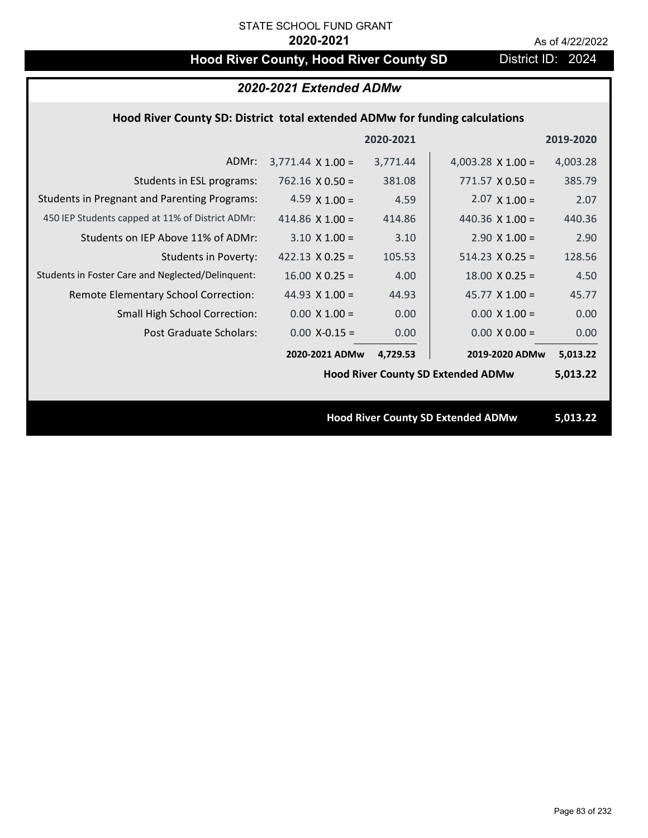# **Hood River County, Hood River County SD District ID: 2024**

### *2020-2021 Extended ADMw*

#### **Hood River County SD: District total extended ADMw for funding calculations**

|                                                     |                                           | 2020-2021 |                                           | 2019-2020 |
|-----------------------------------------------------|-------------------------------------------|-----------|-------------------------------------------|-----------|
| ADMr:                                               | $3,771.44 \times 1.00 =$                  | 3,771.44  | 4,003.28 $\times$ 1.00 =                  | 4,003.28  |
| Students in ESL programs:                           | $762.16 \times 0.50 =$                    | 381.08    | $771.57 \times 0.50 =$                    | 385.79    |
| <b>Students in Pregnant and Parenting Programs:</b> | 4.59 $\times$ 1.00 =                      | 4.59      | $2.07 \times 1.00 =$                      | 2.07      |
| 450 IEP Students capped at 11% of District ADMr:    | 414.86 $\times$ 1.00 =                    | 414.86    | 440.36 $\times$ 1.00 =                    | 440.36    |
| Students on IEP Above 11% of ADMr:                  | $3.10 \times 1.00 =$                      | 3.10      | $2.90 \times 1.00 =$                      | 2.90      |
| <b>Students in Poverty:</b>                         | 422.13 $\times$ 0.25 =                    | 105.53    | $514.23 \times 0.25 =$                    | 128.56    |
| Students in Foster Care and Neglected/Delinquent:   | $16.00 \times 0.25 =$                     | 4.00      | $18.00 \times 0.25 =$                     | 4.50      |
| Remote Elementary School Correction:                | 44.93 $X$ 1.00 =                          | 44.93     | $45.77 \times 1.00 =$                     | 45.77     |
| <b>Small High School Correction:</b>                | $0.00 X 1.00 =$                           | 0.00      | $0.00 \times 1.00 =$                      | 0.00      |
| Post Graduate Scholars:                             | $0.00$ X-0.15 =                           | 0.00      | $0.00 \times 0.00 =$                      | 0.00      |
|                                                     | 2020-2021 ADMw                            | 4,729.53  | 2019-2020 ADMw                            | 5,013.22  |
|                                                     | <b>Hood River County SD Extended ADMw</b> |           |                                           | 5,013.22  |
|                                                     |                                           |           |                                           |           |
|                                                     |                                           |           | <b>Hood River County SD Extended ADMw</b> | 5,013.22  |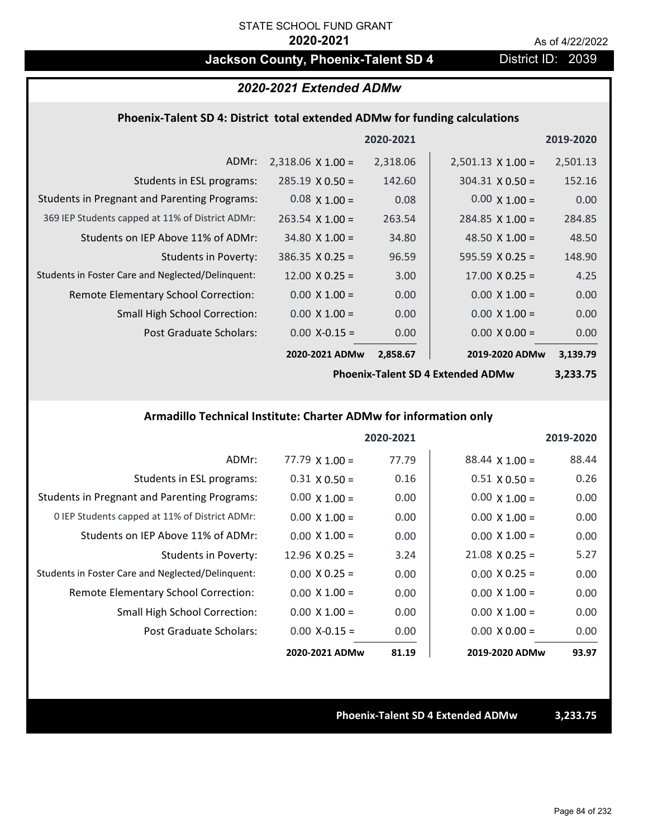## **Jackson County, Phoenix-Talent SD 4** District ID: 2039

#### *2020-2021 Extended ADMw*

#### **Phoenix‐Talent SD 4: District total extended ADMw for funding calculations**

|                                                     |                          | 2020-2021 |                          | 2019-2020 |
|-----------------------------------------------------|--------------------------|-----------|--------------------------|-----------|
| ADMr:                                               | $2,318.06 \times 1.00 =$ | 2,318.06  | $2,501.13 \times 1.00 =$ | 2,501.13  |
| Students in ESL programs:                           | $285.19 \times 0.50 =$   | 142.60    | $304.31 \times 0.50 =$   | 152.16    |
| <b>Students in Pregnant and Parenting Programs:</b> | $0.08 \times 1.00 =$     | 0.08      | $0.00 \times 1.00 =$     | 0.00      |
| 369 IEP Students capped at 11% of District ADMr:    | $263.54 \times 1.00 =$   | 263.54    | $284.85 \times 1.00 =$   | 284.85    |
| Students on IEP Above 11% of ADMr:                  | $34.80 \times 1.00 =$    | 34.80     | 48.50 $\times$ 1.00 =    | 48.50     |
| Students in Poverty:                                | $386.35 \times 0.25 =$   | 96.59     | 595.59 $X$ 0.25 =        | 148.90    |
| Students in Foster Care and Neglected/Delinquent:   | $12.00 \times 0.25 =$    | 3.00      | $17.00 \times 0.25 =$    | 4.25      |
| Remote Elementary School Correction:                | $0.00 \times 1.00 =$     | 0.00      | $0.00 \times 1.00 =$     | 0.00      |
| <b>Small High School Correction:</b>                | $0.00 \times 1.00 =$     | 0.00      | $0.00 \times 1.00 =$     | 0.00      |
| Post Graduate Scholars:                             | $0.00$ X-0.15 =          | 0.00      | $0.00 \times 0.00 =$     | 0.00      |
|                                                     | 2020-2021 ADMw           | 2,858.67  | 2019-2020 ADMw           | 3,139.79  |

**Phoenix‐Talent SD 4 Extended ADMw**

**3,233.75**

#### **Armadillo Technical Institute: Charter ADMw for information only**

|                                                     |                       | 2020-2021 |                       | 2019-2020 |
|-----------------------------------------------------|-----------------------|-----------|-----------------------|-----------|
| ADMr:                                               | $77.79 \times 1.00 =$ | 77.79     | $88.44 \times 1.00 =$ | 88.44     |
| Students in ESL programs:                           | $0.31 \times 0.50 =$  | 0.16      | $0.51 \times 0.50 =$  | 0.26      |
| <b>Students in Pregnant and Parenting Programs:</b> | $0.00 \times 1.00 =$  | 0.00      | $0.00 \times 1.00 =$  | 0.00      |
| 0 IEP Students capped at 11% of District ADMr:      | $0.00 \times 1.00 =$  | 0.00      | $0.00 \times 1.00 =$  | 0.00      |
| Students on IEP Above 11% of ADMr:                  | $0.00 \times 1.00 =$  | 0.00      | $0.00 \times 1.00 =$  | 0.00      |
| Students in Poverty:                                | $12.96 \times 0.25 =$ | 3.24      | $21.08 \times 0.25 =$ | 5.27      |
| Students in Foster Care and Neglected/Delinquent:   | $0.00 \times 0.25 =$  | 0.00      | $0.00 \times 0.25 =$  | 0.00      |
| Remote Elementary School Correction:                | $0.00 \times 1.00 =$  | 0.00      | $0.00 \times 1.00 =$  | 0.00      |
| <b>Small High School Correction:</b>                | $0.00 \times 1.00 =$  | 0.00      | $0.00 \times 1.00 =$  | 0.00      |
| Post Graduate Scholars:                             | $0.00 X - 0.15 =$     | 0.00      | $0.00 \times 0.00 =$  | 0.00      |
|                                                     | 2020-2021 ADMw        | 81.19     | 2019-2020 ADMw        | 93.97     |

**Phoenix‐Talent SD 4 Extended ADMw 3,233.75**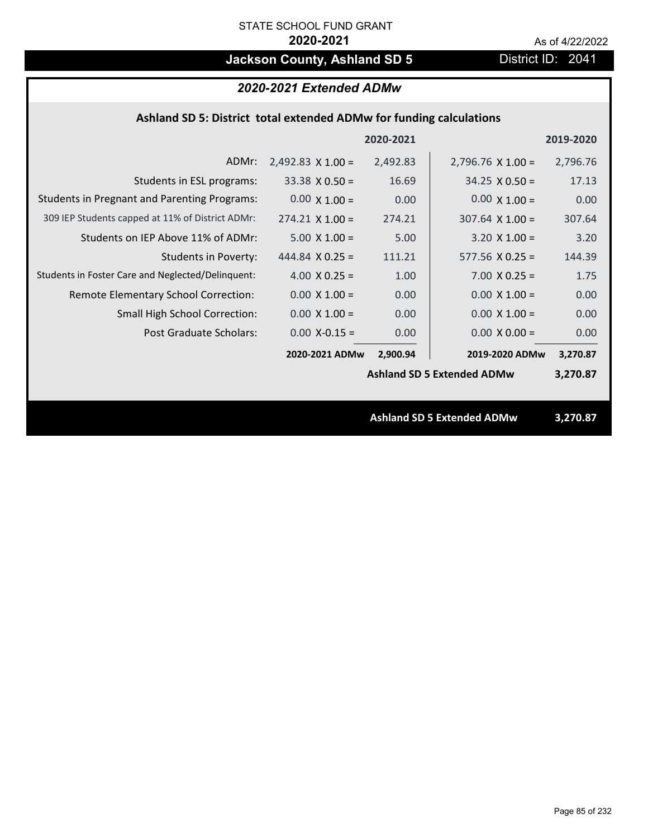# **Jackson County, Ashland SD 5** District ID: 2041

### *2020-2021 Extended ADMw*

#### **Ashland SD 5: District total extended ADMw for funding calculations**

|                                                     |                          | 2020-2021 |                                   | 2019-2020 |
|-----------------------------------------------------|--------------------------|-----------|-----------------------------------|-----------|
| ADMr:                                               | $2,492.83 \times 1.00 =$ | 2,492.83  | $2,796.76 \times 1.00 =$          | 2,796.76  |
| Students in ESL programs:                           | $33.38 \times 0.50 =$    | 16.69     | $34.25 \times 0.50 =$             | 17.13     |
| <b>Students in Pregnant and Parenting Programs:</b> | $0.00 \times 1.00 =$     | 0.00      | $0.00 \times 1.00 =$              | 0.00      |
| 309 IEP Students capped at 11% of District ADMr:    | $274.21 \times 1.00 =$   | 274.21    | $307.64 \times 1.00 =$            | 307.64    |
| Students on IEP Above 11% of ADMr:                  | $5.00 \times 1.00 =$     | 5.00      | $3.20$ X $1.00 =$                 | 3.20      |
| <b>Students in Poverty:</b>                         | 444.84 $\times$ 0.25 =   | 111.21    | $577.56 \times 0.25 =$            | 144.39    |
| Students in Foster Care and Neglected/Delinquent:   | $4.00 \times 0.25 =$     | 1.00      | $7.00 \times 0.25 =$              | 1.75      |
| Remote Elementary School Correction:                | $0.00 \times 1.00 =$     | 0.00      | $0.00 \times 1.00 =$              | 0.00      |
| <b>Small High School Correction:</b>                | $0.00 \times 1.00 =$     | 0.00      | $0.00 \times 1.00 =$              | 0.00      |
| <b>Post Graduate Scholars:</b>                      | $0.00$ X-0.15 =          | 0.00      | $0.00 \times 0.00 =$              | 0.00      |
|                                                     | 2020-2021 ADMw           | 2,900.94  | 2019-2020 ADMw                    | 3,270.87  |
|                                                     |                          |           | <b>Ashland SD 5 Extended ADMw</b> | 3,270.87  |
|                                                     |                          |           |                                   |           |
|                                                     |                          |           | <b>Ashland SD 5 Extended ADMw</b> | 3,270.87  |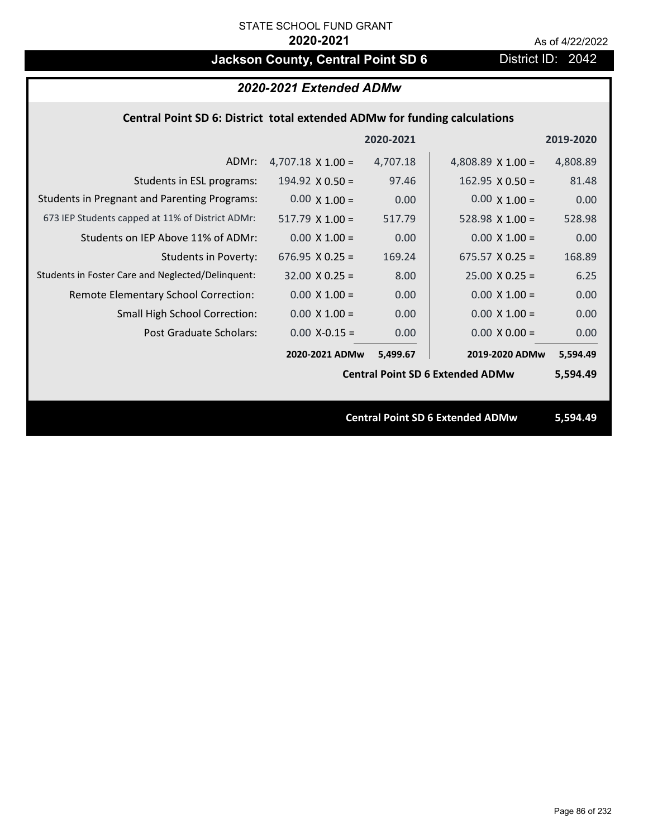# **Jackson County, Central Point SD 6** District ID: 2042

| 2020-2021 Extended ADMw                                                   |                          |           |                                         |           |  |
|---------------------------------------------------------------------------|--------------------------|-----------|-----------------------------------------|-----------|--|
| Central Point SD 6: District total extended ADMw for funding calculations |                          |           |                                         |           |  |
|                                                                           |                          | 2020-2021 |                                         | 2019-2020 |  |
| ADMr:                                                                     | 4,707.18 $\times$ 1.00 = | 4,707.18  | 4,808.89 $\times$ 1.00 =                | 4,808.89  |  |
| Students in ESL programs:                                                 | $194.92 \times 0.50 =$   | 97.46     | $162.95 \times 0.50 =$                  | 81.48     |  |
| <b>Students in Pregnant and Parenting Programs:</b>                       | $0.00 \times 1.00 =$     | 0.00      | $0.00 \times 1.00 =$                    | 0.00      |  |
| 673 IEP Students capped at 11% of District ADMr:                          | $517.79$ X 1.00 =        | 517.79    | $528.98 \times 1.00 =$                  | 528.98    |  |
| Students on IEP Above 11% of ADMr:                                        | $0.00 \times 1.00 =$     | 0.00      | $0.00 \times 1.00 =$                    | 0.00      |  |
| <b>Students in Poverty:</b>                                               | 676.95 $X$ 0.25 =        | 169.24    | $675.57$ X 0.25 =                       | 168.89    |  |
| Students in Foster Care and Neglected/Delinquent:                         | $32.00 \times 0.25 =$    | 8.00      | $25.00 \times 0.25 =$                   | 6.25      |  |
| Remote Elementary School Correction:                                      | $0.00 \times 1.00 =$     | 0.00      | $0.00 \times 1.00 =$                    | 0.00      |  |
| <b>Small High School Correction:</b>                                      | $0.00 \times 1.00 =$     | 0.00      | $0.00 \times 1.00 =$                    | 0.00      |  |
| Post Graduate Scholars:                                                   | $0.00$ X-0.15 =          | 0.00      | $0.00 \times 0.00 =$                    | 0.00      |  |
|                                                                           | 2020-2021 ADMw           | 5,499.67  | 2019-2020 ADMw                          | 5,594.49  |  |
|                                                                           |                          |           | <b>Central Point SD 6 Extended ADMw</b> | 5,594.49  |  |
|                                                                           |                          |           |                                         |           |  |
|                                                                           |                          |           | <b>Central Point SD 6 Extended ADMw</b> | 5.594.49  |  |
|                                                                           |                          |           |                                         |           |  |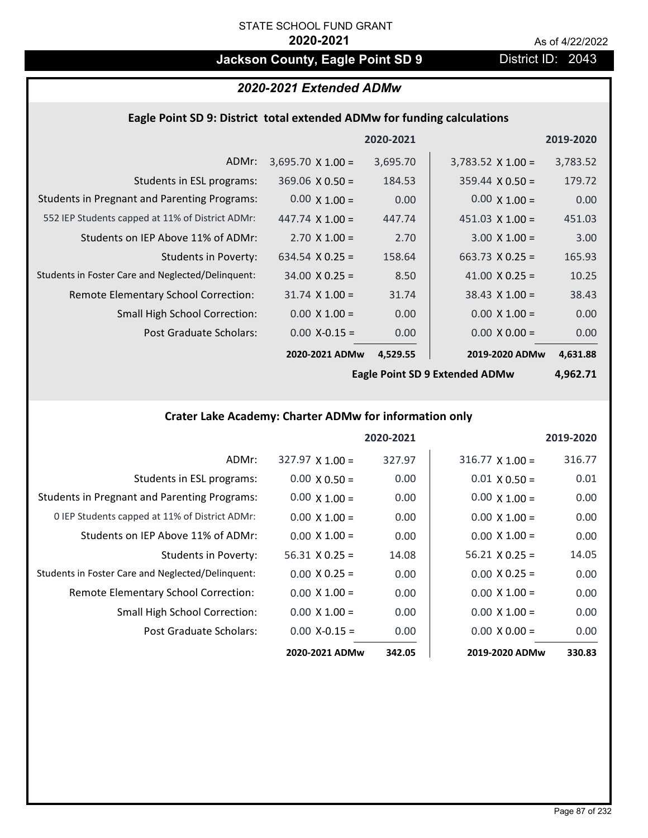## **Jackson County, Eagle Point SD 9 District ID: 2043**

### *2020-2021 Extended ADMw*

### **Eagle Point SD 9: District total extended ADMw for funding calculations**

|                                                     |                          | 2020-2021 |                          | 2019-2020 |
|-----------------------------------------------------|--------------------------|-----------|--------------------------|-----------|
| ADMr:                                               | $3,695.70 \times 1.00 =$ | 3,695.70  | $3,783.52 \times 1.00 =$ | 3,783.52  |
| Students in ESL programs:                           | $369.06 \times 0.50 =$   | 184.53    | $359.44 \times 0.50 =$   | 179.72    |
| <b>Students in Pregnant and Parenting Programs:</b> | $0.00 \times 1.00 =$     | 0.00      | $0.00 \times 1.00 =$     | 0.00      |
| 552 IEP Students capped at 11% of District ADMr:    | 447.74 $\times$ 1.00 =   | 447.74    | 451.03 $\times$ 1.00 =   | 451.03    |
| Students on IEP Above 11% of ADMr:                  | $2.70 \times 1.00 =$     | 2.70      | $3.00 \times 1.00 =$     | 3.00      |
| <b>Students in Poverty:</b>                         | $634.54 \times 0.25 =$   | 158.64    | $663.73 \times 0.25 =$   | 165.93    |
| Students in Foster Care and Neglected/Delinquent:   | $34.00 \times 0.25 =$    | 8.50      | 41.00 $X$ 0.25 =         | 10.25     |
| Remote Elementary School Correction:                | $31.74 \times 1.00 =$    | 31.74     | $38.43 \times 1.00 =$    | 38.43     |
| <b>Small High School Correction:</b>                | $0.00 \times 1.00 =$     | 0.00      | $0.00 \times 1.00 =$     | 0.00      |
| Post Graduate Scholars:                             | $0.00$ X-0.15 =          | 0.00      | $0.00 \times 0.00 =$     | 0.00      |
|                                                     | 2020-2021 ADMw           | 4,529.55  | 2019-2020 ADMw           | 4,631.88  |

**Eagle Point SD 9 Extended ADMw**

**4,962.71**

### **Crater Lake Academy: Charter ADMw for information only**

|                                                     |                        | 2020-2021 |                        | 2019-2020 |
|-----------------------------------------------------|------------------------|-----------|------------------------|-----------|
| ADMr:                                               | $327.97 \times 1.00 =$ | 327.97    | $316.77 \times 1.00 =$ | 316.77    |
| Students in ESL programs:                           | $0.00 \times 0.50 =$   | 0.00      | $0.01 \times 0.50 =$   | 0.01      |
| <b>Students in Pregnant and Parenting Programs:</b> | $0.00 \times 1.00 =$   | 0.00      | $0.00 \times 1.00 =$   | 0.00      |
| 0 IEP Students capped at 11% of District ADMr:      | $0.00 \times 1.00 =$   | 0.00      | $0.00 \times 1.00 =$   | 0.00      |
| Students on IEP Above 11% of ADMr:                  | $0.00 \times 1.00 =$   | 0.00      | $0.00 \times 1.00 =$   | 0.00      |
| Students in Poverty:                                | $56.31$ X 0.25 =       | 14.08     | $56.21 \times 0.25 =$  | 14.05     |
| Students in Foster Care and Neglected/Delinquent:   | $0.00 \times 0.25 =$   | 0.00      | $0.00 \times 0.25 =$   | 0.00      |
| <b>Remote Elementary School Correction:</b>         | $0.00 \times 1.00 =$   | 0.00      | $0.00 \times 1.00 =$   | 0.00      |
| <b>Small High School Correction:</b>                | $0.00 \times 1.00 =$   | 0.00      | $0.00 \times 1.00 =$   | 0.00      |
| Post Graduate Scholars:                             | $0.00$ X-0.15 =        | 0.00      | $0.00 \times 0.00 =$   | 0.00      |
|                                                     | 2020-2021 ADMw         | 342.05    | 2019-2020 ADMw         | 330.83    |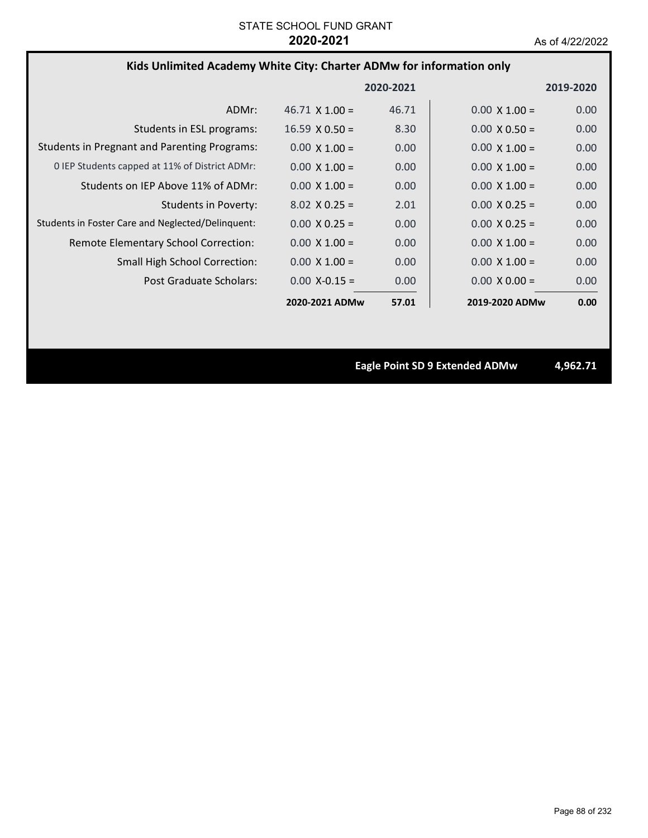### **Kids Unlimited Academy White City: Charter ADMw for information only**

|                                                     |                       | 2020-2021 |                      | 2019-2020 |
|-----------------------------------------------------|-----------------------|-----------|----------------------|-----------|
| ADMr:                                               | $46.71 \times 1.00 =$ | 46.71     | $0.00 \times 1.00 =$ | 0.00      |
| Students in ESL programs:                           | $16.59 \times 0.50 =$ | 8.30      | $0.00 \times 0.50 =$ | 0.00      |
| <b>Students in Pregnant and Parenting Programs:</b> | $0.00 \times 1.00 =$  | 0.00      | $0.00 \times 1.00 =$ | 0.00      |
| 0 IEP Students capped at 11% of District ADMr:      | $0.00 \times 1.00 =$  | 0.00      | $0.00 \times 1.00 =$ | 0.00      |
| Students on IEP Above 11% of ADMr:                  | $0.00 \times 1.00 =$  | 0.00      | $0.00 \times 1.00 =$ | 0.00      |
| <b>Students in Poverty:</b>                         | $8.02 \times 0.25 =$  | 2.01      | $0.00 \times 0.25 =$ | 0.00      |
| Students in Foster Care and Neglected/Delinquent:   | $0.00 \times 0.25 =$  | 0.00      | $0.00 \times 0.25 =$ | 0.00      |
| Remote Elementary School Correction:                | $0.00 \times 1.00 =$  | 0.00      | $0.00 \times 1.00 =$ | 0.00      |
| <b>Small High School Correction:</b>                | $0.00 \times 1.00 =$  | 0.00      | $0.00 \times 1.00 =$ | 0.00      |
| Post Graduate Scholars:                             | $0.00 X - 0.15 =$     | 0.00      | $0.00 \times 0.00 =$ | 0.00      |
|                                                     | 2020-2021 ADMw        | 57.01     | 2019-2020 ADMw       | 0.00      |

**Eagle Point SD 9 Extended ADMw 4,962.71**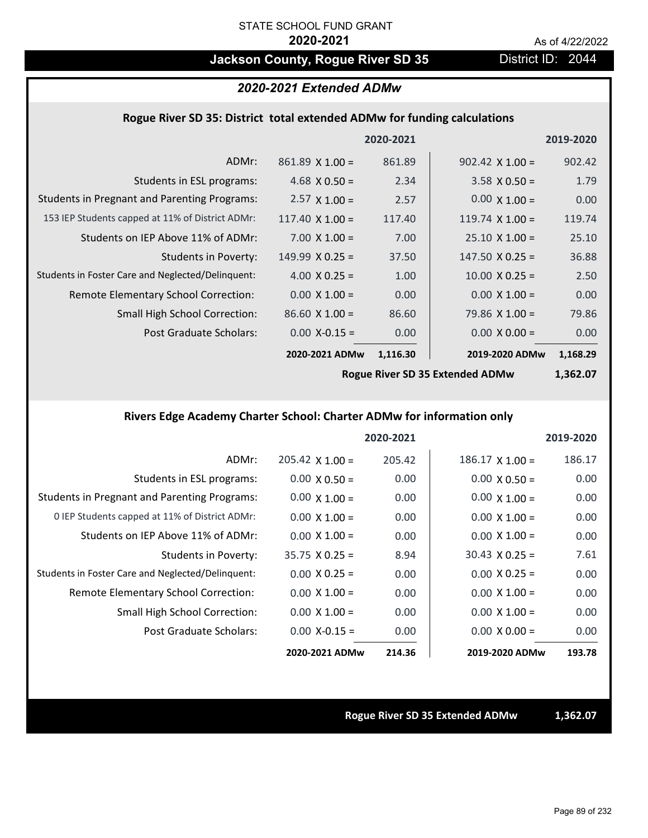## Jackson County, Rogue River SD 35 District ID: 2044

## *2020-2021 Extended ADMw*

#### **Rogue River SD 35: District total extended ADMw for funding calculations**

|                                                     |                        | 2020-2021 |                        | 2019-2020 |
|-----------------------------------------------------|------------------------|-----------|------------------------|-----------|
| ADMr:                                               | $861.89 \times 1.00 =$ | 861.89    | $902.42 \times 1.00 =$ | 902.42    |
| Students in ESL programs:                           | 4.68 $\times$ 0.50 =   | 2.34      | $3.58 \times 0.50 =$   | 1.79      |
| <b>Students in Pregnant and Parenting Programs:</b> | $2.57 \times 1.00 =$   | 2.57      | $0.00 \times 1.00 =$   | 0.00      |
| 153 IEP Students capped at 11% of District ADMr:    | $117.40 \times 1.00 =$ | 117.40    | $119.74$ X $1.00 =$    | 119.74    |
| Students on IEP Above 11% of ADMr:                  | $7.00 \times 1.00 =$   | 7.00      | $25.10 \times 1.00 =$  | 25.10     |
| Students in Poverty:                                | $149.99 \times 0.25 =$ | 37.50     | $147.50 \times 0.25 =$ | 36.88     |
| Students in Foster Care and Neglected/Delinquent:   | 4.00 $X$ 0.25 =        | 1.00      | $10.00 \times 0.25 =$  | 2.50      |
| Remote Elementary School Correction:                | $0.00 \times 1.00 =$   | 0.00      | $0.00 \times 1.00 =$   | 0.00      |
| <b>Small High School Correction:</b>                | $86.60 \times 1.00 =$  | 86.60     | $79.86$ X 1.00 =       | 79.86     |
| Post Graduate Scholars:                             | $0.00$ X-0.15 =        | 0.00      | $0.00 \times 0.00 =$   | 0.00      |
|                                                     | 2020-2021 ADMw         | 1,116.30  | 2019-2020 ADMw         | 1,168.29  |
|                                                     |                        |           |                        |           |

**Rogue River SD 35 Extended ADMw**

**1,362.07**

### **Rivers Edge Academy Charter School: Charter ADMw for information only**

|                                                     |                        | 2020-2021 |                        | 2019-2020 |
|-----------------------------------------------------|------------------------|-----------|------------------------|-----------|
| ADMr:                                               | $205.42 \times 1.00 =$ | 205.42    | $186.17 \times 1.00 =$ | 186.17    |
| Students in ESL programs:                           | $0.00 \times 0.50 =$   | 0.00      | $0.00 \times 0.50 =$   | 0.00      |
| <b>Students in Pregnant and Parenting Programs:</b> | $0.00 \times 1.00 =$   | 0.00      | $0.00 \times 1.00 =$   | 0.00      |
| 0 IEP Students capped at 11% of District ADMr:      | $0.00 \times 1.00 =$   | 0.00      | $0.00 \times 1.00 =$   | 0.00      |
| Students on IEP Above 11% of ADMr:                  | $0.00 \times 1.00 =$   | 0.00      | $0.00 \times 1.00 =$   | 0.00      |
| Students in Poverty:                                | $35.75 \times 0.25 =$  | 8.94      | $30.43 \times 0.25 =$  | 7.61      |
| Students in Foster Care and Neglected/Delinquent:   | $0.00 \times 0.25 =$   | 0.00      | $0.00 \times 0.25 =$   | 0.00      |
| Remote Elementary School Correction:                | $0.00 \times 1.00 =$   | 0.00      | $0.00 \times 1.00 =$   | 0.00      |
| <b>Small High School Correction:</b>                | $0.00 \times 1.00 =$   | 0.00      | $0.00 \times 1.00 =$   | 0.00      |
| Post Graduate Scholars:                             | $0.00$ X-0.15 =        | 0.00      | $0.00 \times 0.00 =$   | 0.00      |
|                                                     | 2020-2021 ADMw         | 214.36    | 2019-2020 ADMw         | 193.78    |

#### **Rogue River SD 35 Extended ADMw 1,362.07**

Page 89 of 232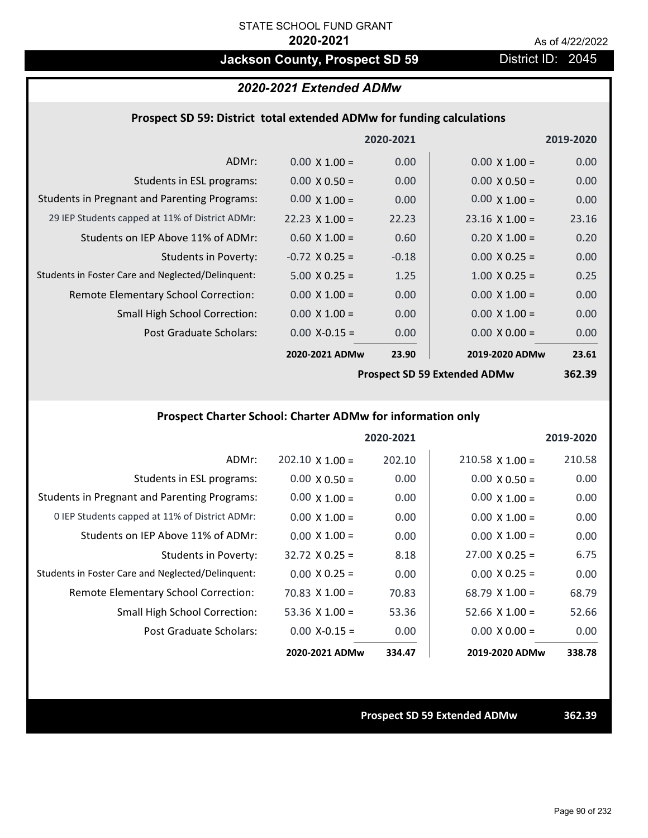## **Jackson County, Prospect SD 59 District ID: 2045**

#### *2020-2021 Extended ADMw*

#### **Prospect SD 59: District total extended ADMw for funding calculations**

|                                                     |                       | 2020-2021 |                                        | 2019-2020 |
|-----------------------------------------------------|-----------------------|-----------|----------------------------------------|-----------|
| ADMr:                                               | $0.00 \times 1.00 =$  | 0.00      | $0.00 \times 1.00 =$                   | 0.00      |
| Students in ESL programs:                           | $0.00 \times 0.50 =$  | 0.00      | $0.00 \times 0.50 =$                   | 0.00      |
| <b>Students in Pregnant and Parenting Programs:</b> | $0.00 \times 1.00 =$  | 0.00      | $0.00 \times 1.00 =$                   | 0.00      |
| 29 IEP Students capped at 11% of District ADMr:     | $22.23 \times 1.00 =$ | 22.23     | $23.16 \times 1.00 =$                  | 23.16     |
| Students on IEP Above 11% of ADMr:                  | $0.60 \times 1.00 =$  | 0.60      | $0.20 \times 1.00 =$                   | 0.20      |
| <b>Students in Poverty:</b>                         | $-0.72$ X 0.25 =      | $-0.18$   | $0.00 \times 0.25 =$                   | 0.00      |
| Students in Foster Care and Neglected/Delinquent:   | $5.00 \times 0.25 =$  | 1.25      | $1.00 \times 0.25 =$                   | 0.25      |
| Remote Elementary School Correction:                | $0.00 \times 1.00 =$  | 0.00      | $0.00 \times 1.00 =$                   | 0.00      |
| <b>Small High School Correction:</b>                | $0.00 \times 1.00 =$  | 0.00      | $0.00 \times 1.00 =$                   | 0.00      |
| Post Graduate Scholars:                             | $0.00$ X-0.15 =       | 0.00      | $0.00 \times 0.00 =$                   | 0.00      |
|                                                     | 2020-2021 ADMw        | 23.90     | 2019-2020 ADMw                         | 23.61     |
|                                                     |                       |           | <b>Dreamest CD FO Evisualed ADMust</b> | 252.20    |

**Prospect SD 59 Extended ADMw**

**362.39**

### **Prospect Charter School: Charter ADMw for information only**

|                                                     |                        | 2020-2021 |                        | 2019-2020 |
|-----------------------------------------------------|------------------------|-----------|------------------------|-----------|
| ADMr:                                               | $202.10 \times 1.00 =$ | 202.10    | $210.58 \times 1.00 =$ | 210.58    |
| Students in ESL programs:                           | $0.00 \times 0.50 =$   | 0.00      | $0.00 \times 0.50 =$   | 0.00      |
| <b>Students in Pregnant and Parenting Programs:</b> | $0.00 \times 1.00 =$   | 0.00      | $0.00 \times 1.00 =$   | 0.00      |
| 0 IEP Students capped at 11% of District ADMr:      | $0.00 \times 1.00 =$   | 0.00      | $0.00 \times 1.00 =$   | 0.00      |
| Students on IEP Above 11% of ADMr:                  | $0.00 \times 1.00 =$   | 0.00      | $0.00 \times 1.00 =$   | 0.00      |
| Students in Poverty:                                | $32.72 \times 0.25 =$  | 8.18      | $27.00 \times 0.25 =$  | 6.75      |
| Students in Foster Care and Neglected/Delinquent:   | $0.00 \times 0.25 =$   | 0.00      | $0.00 \times 0.25 =$   | 0.00      |
| Remote Elementary School Correction:                | $70.83 \times 1.00 =$  | 70.83     | $68.79 \times 1.00 =$  | 68.79     |
| <b>Small High School Correction:</b>                | 53.36 $X$ 1.00 =       | 53.36     | 52.66 $X$ 1.00 =       | 52.66     |
| Post Graduate Scholars:                             | $0.00 X - 0.15 =$      | 0.00      | $0.00 \times 0.00 =$   | 0.00      |
|                                                     | 2020-2021 ADMw         | 334.47    | 2019-2020 ADMw         | 338.78    |

**Prospect SD 59 Extended ADMw 362.39**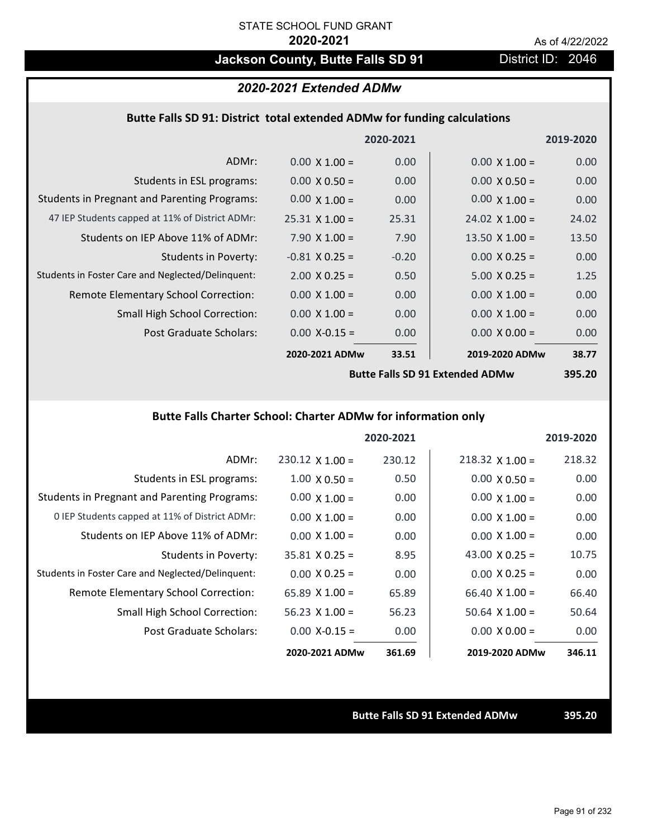# **Jackson County, Butte Falls SD 91** District ID: 2046

#### *2020-2021 Extended ADMw*

#### **Butte Falls SD 91: District total extended ADMw for funding calculations**

|                                                     |                       | 2020-2021   |                       | 2019-2020 |
|-----------------------------------------------------|-----------------------|-------------|-----------------------|-----------|
| ADMr:                                               | $0.00 \times 1.00 =$  | 0.00        | $0.00 \times 1.00 =$  | 0.00      |
| Students in ESL programs:                           | $0.00 \times 0.50 =$  | 0.00        | $0.00 \times 0.50 =$  | 0.00      |
| <b>Students in Pregnant and Parenting Programs:</b> | $0.00 \times 1.00 =$  | 0.00        | $0.00 \times 1.00 =$  | 0.00      |
| 47 IEP Students capped at 11% of District ADMr:     | $25.31 \times 1.00 =$ | 25.31       | $24.02 \times 1.00 =$ | 24.02     |
| Students on IEP Above 11% of ADMr:                  | $7.90 \times 1.00 =$  | 7.90        | 13.50 $\times$ 1.00 = | 13.50     |
| <b>Students in Poverty:</b>                         | $-0.81$ X 0.25 =      | $-0.20$     | $0.00 \times 0.25 =$  | 0.00      |
| Students in Foster Care and Neglected/Delinquent:   | $2.00 \times 0.25 =$  | 0.50        | $5.00 \times 0.25 =$  | 1.25      |
| Remote Elementary School Correction:                | $0.00 \times 1.00 =$  | 0.00        | $0.00 \times 1.00 =$  | 0.00      |
| <b>Small High School Correction:</b>                | $0.00 \times 1.00 =$  | 0.00        | $0.00 \times 1.00 =$  | 0.00      |
| Post Graduate Scholars:                             | $0.00$ X-0.15 =       | 0.00        | $0.00 \times 0.00 =$  | 0.00      |
|                                                     | 2020-2021 ADMw        | 33.51       | 2019-2020 ADMw        | 38.77     |
|                                                     |                       | -  -    - . |                       |           |

**Butte Falls SD 91 Extended ADMw**

**395.20**

#### **Butte Falls Charter School: Charter ADMw for information only**

|                                                     |                       | 2020-2021 |                        | 2019-2020 |
|-----------------------------------------------------|-----------------------|-----------|------------------------|-----------|
| ADMr:                                               | $230.12$ X 1.00 =     | 230.12    | $218.32 \times 1.00 =$ | 218.32    |
| Students in ESL programs:                           | $1.00 \times 0.50 =$  | 0.50      | $0.00 \times 0.50 =$   | 0.00      |
| <b>Students in Pregnant and Parenting Programs:</b> | $0.00 \times 1.00 =$  | 0.00      | $0.00 \times 1.00 =$   | 0.00      |
| 0 IEP Students capped at 11% of District ADMr:      | $0.00 \times 1.00 =$  | 0.00      | $0.00 \times 1.00 =$   | 0.00      |
| Students on IEP Above 11% of ADMr:                  | $0.00 \times 1.00 =$  | 0.00      | $0.00 \times 1.00 =$   | 0.00      |
| Students in Poverty:                                | $35.81 \times 0.25 =$ | 8.95      | 43.00 $\times$ 0.25 =  | 10.75     |
| Students in Foster Care and Neglected/Delinquent:   | $0.00 \times 0.25 =$  | 0.00      | $0.00 \times 0.25 =$   | 0.00      |
| Remote Elementary School Correction:                | 65.89 $X$ 1.00 =      | 65.89     | $66.40 \times 1.00 =$  | 66.40     |
| <b>Small High School Correction:</b>                | $56.23 \times 1.00 =$ | 56.23     | $50.64 \times 1.00 =$  | 50.64     |
| Post Graduate Scholars:                             | $0.00$ X-0.15 =       | 0.00      | $0.00 \times 0.00 =$   | 0.00      |
|                                                     | 2020-2021 ADMw        | 361.69    | 2019-2020 ADMw         | 346.11    |

**Butte Falls SD 91 Extended ADMw 395.20**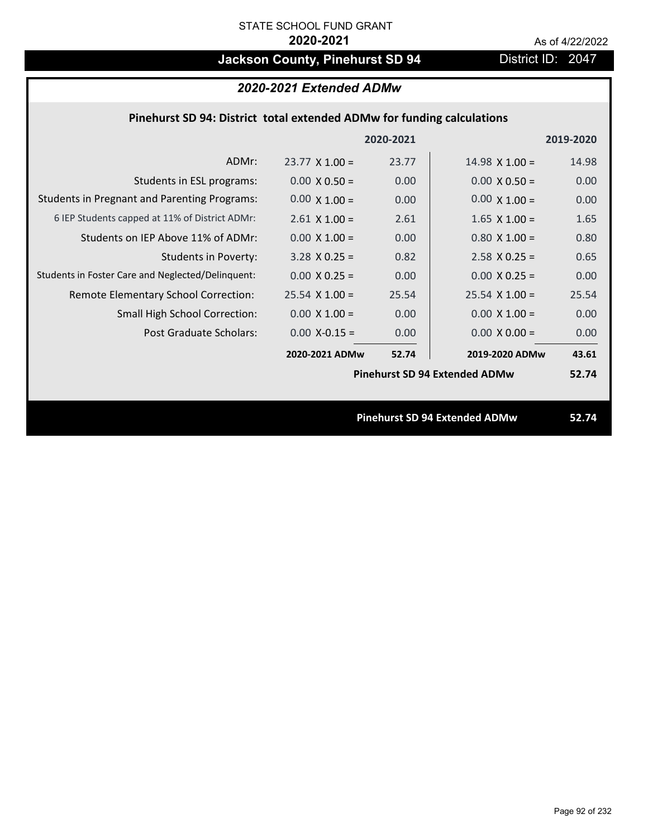# **Jackson County, Pinehurst SD 94** District ID: 2047

### *2020-2021 Extended ADMw*

### **Pinehurst SD 94: District total extended ADMw for funding calculations**

|                                                     |                       | 2020-2021 |                                      | 2019-2020 |
|-----------------------------------------------------|-----------------------|-----------|--------------------------------------|-----------|
| ADMr:                                               | $23.77 \times 1.00 =$ | 23.77     | $14.98 \times 1.00 =$                | 14.98     |
| Students in ESL programs:                           | $0.00 \times 0.50 =$  | 0.00      | $0.00 \times 0.50 =$                 | 0.00      |
| <b>Students in Pregnant and Parenting Programs:</b> | $0.00 \times 1.00 =$  | 0.00      | $0.00 \times 1.00 =$                 | 0.00      |
| 6 IEP Students capped at 11% of District ADMr:      | $2.61$ X 1.00 =       | 2.61      | $1.65$ X $1.00 =$                    | 1.65      |
| Students on IEP Above 11% of ADMr:                  | $0.00 \times 1.00 =$  | 0.00      | $0.80 X 1.00 =$                      | 0.80      |
| <b>Students in Poverty:</b>                         | $3.28$ X 0.25 =       | 0.82      | $2.58$ X 0.25 =                      | 0.65      |
| Students in Foster Care and Neglected/Delinquent:   | $0.00 \times 0.25 =$  | 0.00      | $0.00 \times 0.25 =$                 | 0.00      |
| Remote Elementary School Correction:                | $25.54$ X 1.00 =      | 25.54     | $25.54 \times 1.00 =$                | 25.54     |
| <b>Small High School Correction:</b>                | $0.00 \times 1.00 =$  | 0.00      | $0.00 \times 1.00 =$                 | 0.00      |
| Post Graduate Scholars:                             | $0.00$ X-0.15 =       | 0.00      | $0.00 \times 0.00 =$                 | 0.00      |
|                                                     | 2020-2021 ADMw        | 52.74     | 2019-2020 ADMw                       | 43.61     |
|                                                     |                       |           | <b>Pinehurst SD 94 Extended ADMw</b> | 52.74     |
|                                                     |                       |           |                                      |           |
|                                                     |                       |           | <b>Pinehurst SD 94 Extended ADMw</b> | 52.74     |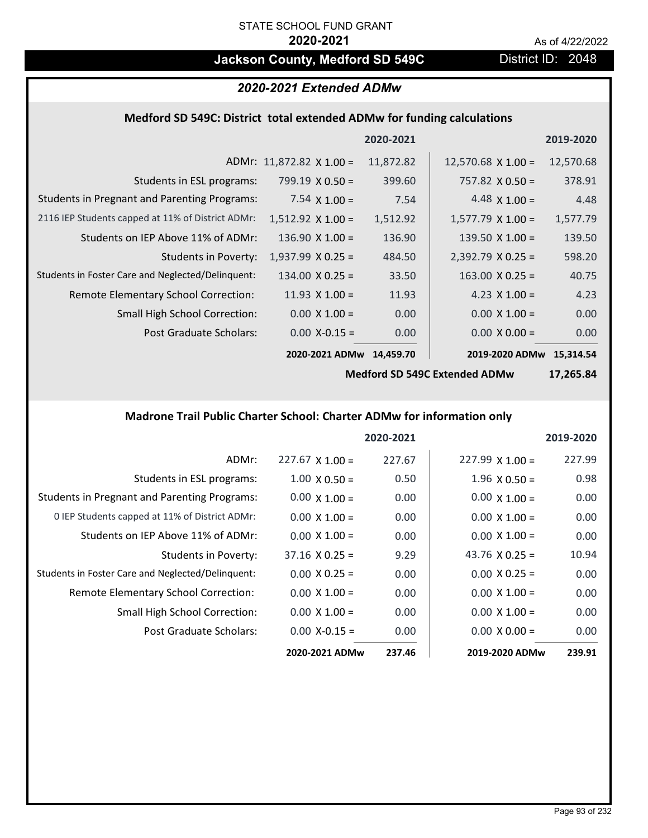## **Jackson County, Medford SD 549C** District ID: 2048

### *2020-2021 Extended ADMw*

#### **Medford SD 549C: District total extended ADMw for funding calculations**

|                                                     |                                 | 2020-2021 |                           | 2019-2020 |
|-----------------------------------------------------|---------------------------------|-----------|---------------------------|-----------|
|                                                     | ADMr: $11,872.82 \times 1.00 =$ | 11,872.82 | $12,570.68 \times 1.00 =$ | 12,570.68 |
| Students in ESL programs:                           | $799.19 \times 0.50 =$          | 399.60    | $757.82 \times 0.50 =$    | 378.91    |
| <b>Students in Pregnant and Parenting Programs:</b> | 7.54 $\times$ 1.00 =            | 7.54      | 4.48 $\times$ 1.00 =      | 4.48      |
| 2116 IEP Students capped at 11% of District ADMr:   | $1,512.92 \times 1.00 =$        | 1,512.92  | $1,577.79 \times 1.00 =$  | 1,577.79  |
| Students on IEP Above 11% of ADMr:                  | $136.90 \times 1.00 =$          | 136.90    | $139.50 \times 1.00 =$    | 139.50    |
| <b>Students in Poverty:</b>                         | $1,937.99 \times 0.25 =$        | 484.50    | $2,392.79$ X 0.25 =       | 598.20    |
| Students in Foster Care and Neglected/Delinquent:   | $134.00 \times 0.25 =$          | 33.50     | $163.00 \times 0.25 =$    | 40.75     |
| Remote Elementary School Correction:                | 11.93 $\times$ 1.00 =           | 11.93     | 4.23 $X$ 1.00 =           | 4.23      |
| <b>Small High School Correction:</b>                | $0.00 \times 1.00 =$            | 0.00      | $0.00 \times 1.00 =$      | 0.00      |
| Post Graduate Scholars:                             | $0.00$ X-0.15 =                 | 0.00      | $0.00 \times 0.00 =$      | 0.00      |
|                                                     | 2020-2021 ADMw                  | 14,459.70 | 2019-2020 ADMw            | 15.314.54 |

**Medford SD 549C Extended ADMw**

**17,265.84**

### **Madrone Trail Public Charter School: Charter ADMw for information only**

|                                                     |                        | 2020-2021 |                        | 2019-2020 |
|-----------------------------------------------------|------------------------|-----------|------------------------|-----------|
| ADMr:                                               | $227.67 \times 1.00 =$ | 227.67    | $227.99 \times 1.00 =$ | 227.99    |
| Students in ESL programs:                           | $1.00 \times 0.50 =$   | 0.50      | $1.96 \times 0.50 =$   | 0.98      |
| <b>Students in Pregnant and Parenting Programs:</b> | $0.00 \times 1.00 =$   | 0.00      | $0.00 \times 1.00 =$   | 0.00      |
| 0 IEP Students capped at 11% of District ADMr:      | $0.00 \times 1.00 =$   | 0.00      | $0.00 \times 1.00 =$   | 0.00      |
| Students on IEP Above 11% of ADMr:                  | $0.00 \times 1.00 =$   | 0.00      | $0.00 \times 1.00 =$   | 0.00      |
| Students in Poverty:                                | $37.16 \times 0.25 =$  | 9.29      | 43.76 $\times$ 0.25 =  | 10.94     |
| Students in Foster Care and Neglected/Delinquent:   | $0.00 \times 0.25 =$   | 0.00      | $0.00 \times 0.25 =$   | 0.00      |
| <b>Remote Elementary School Correction:</b>         | $0.00 \times 1.00 =$   | 0.00      | $0.00 \times 1.00 =$   | 0.00      |
| <b>Small High School Correction:</b>                | $0.00 \times 1.00 =$   | 0.00      | $0.00 \times 1.00 =$   | 0.00      |
| Post Graduate Scholars:                             | $0.00 X - 0.15 =$      | 0.00      | $0.00 \times 0.00 =$   | 0.00      |
|                                                     | 2020-2021 ADMw         | 237.46    | 2019-2020 ADMw         | 239.91    |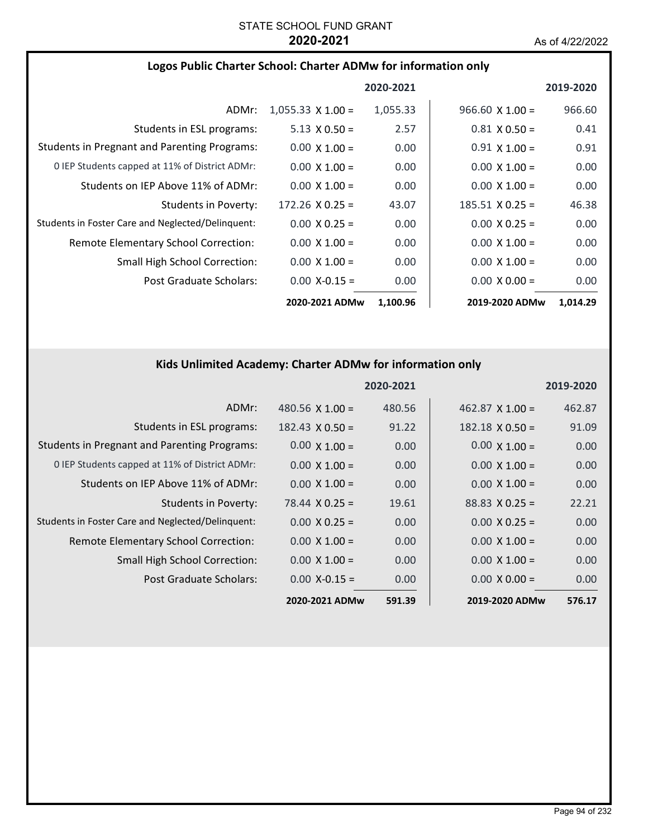#### **Logos Public Charter School: Charter ADMw for information only**

|                                                     |                          | 2020-2021 |                        | 2019-2020 |
|-----------------------------------------------------|--------------------------|-----------|------------------------|-----------|
| ADMr:                                               | $1,055.33 \times 1.00 =$ | 1,055.33  | $966.60 \times 1.00 =$ | 966.60    |
| Students in ESL programs:                           | $5.13 \times 0.50 =$     | 2.57      | $0.81 \times 0.50 =$   | 0.41      |
| <b>Students in Pregnant and Parenting Programs:</b> | $0.00 \times 1.00 =$     | 0.00      | $0.91 \times 1.00 =$   | 0.91      |
| 0 IEP Students capped at 11% of District ADMr:      | $0.00 \times 1.00 =$     | 0.00      | $0.00 \times 1.00 =$   | 0.00      |
| Students on IEP Above 11% of ADMr:                  | $0.00 \times 1.00 =$     | 0.00      | $0.00 \times 1.00 =$   | 0.00      |
| Students in Poverty:                                | $172.26 \times 0.25 =$   | 43.07     | $185.51 \times 0.25 =$ | 46.38     |
| Students in Foster Care and Neglected/Delinquent:   | $0.00 \times 0.25 =$     | 0.00      | $0.00 \times 0.25 =$   | 0.00      |
| Remote Elementary School Correction:                | $0.00 \times 1.00 =$     | 0.00      | $0.00 \times 1.00 =$   | 0.00      |
| <b>Small High School Correction:</b>                | $0.00 \times 1.00 =$     | 0.00      | $0.00 \times 1.00 =$   | 0.00      |
| Post Graduate Scholars:                             | $0.00$ X-0.15 =          | 0.00      | $0.00 \times 0.00 =$   | 0.00      |
|                                                     | 2020-2021 ADMw           | 1,100.96  | 2019-2020 ADMw         | 1,014.29  |

### **Kids Unlimited Academy: Charter ADMw for information only**

|                                                     |                        | 2020-2021 |                        | 2019-2020 |
|-----------------------------------------------------|------------------------|-----------|------------------------|-----------|
| ADMr:                                               | 480.56 $X$ 1.00 =      | 480.56    | $462.87 \times 1.00 =$ | 462.87    |
| Students in ESL programs:                           | $182.43 \times 0.50 =$ | 91.22     | $182.18 \times 0.50 =$ | 91.09     |
| <b>Students in Pregnant and Parenting Programs:</b> | $0.00 \times 1.00 =$   | 0.00      | $0.00 \times 1.00 =$   | 0.00      |
| 0 IEP Students capped at 11% of District ADMr:      | $0.00 \times 1.00 =$   | 0.00      | $0.00 \times 1.00 =$   | 0.00      |
| Students on IEP Above 11% of ADMr:                  | $0.00 \times 1.00 =$   | 0.00      | $0.00 \times 1.00 =$   | 0.00      |
| <b>Students in Poverty:</b>                         | $78.44 \times 0.25 =$  | 19.61     | $88.83 \times 0.25 =$  | 22.21     |
| Students in Foster Care and Neglected/Delinquent:   | $0.00 \times 0.25 =$   | 0.00      | $0.00 \times 0.25 =$   | 0.00      |
| Remote Elementary School Correction:                | $0.00 \times 1.00 =$   | 0.00      | $0.00 \times 1.00 =$   | 0.00      |
| <b>Small High School Correction:</b>                | $0.00 \times 1.00 =$   | 0.00      | $0.00 \times 1.00 =$   | 0.00      |
| Post Graduate Scholars:                             | $0.00$ X-0.15 =        | 0.00      | $0.00 \times 0.00 =$   | 0.00      |
|                                                     | 2020-2021 ADMw         | 591.39    | 2019-2020 ADMw         | 576.17    |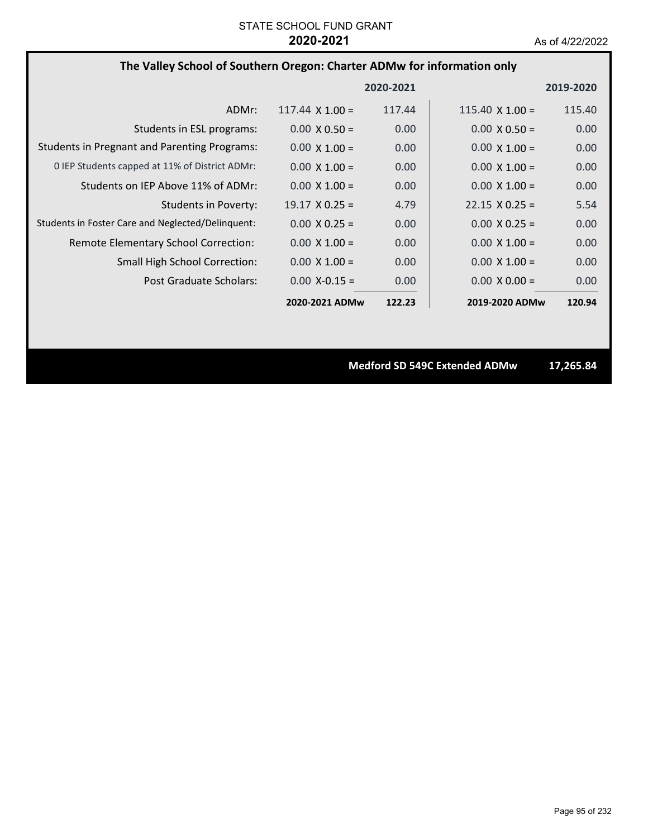### **The Valley School of Southern Oregon: Charter ADMw for information only**

|                                                     |                        | 2020-2021 |                        | 2019-2020 |
|-----------------------------------------------------|------------------------|-----------|------------------------|-----------|
| ADMr:                                               | $117.44 \times 1.00 =$ | 117.44    | 115.40 $\times$ 1.00 = | 115.40    |
| Students in ESL programs:                           | $0.00 \times 0.50 =$   | 0.00      | $0.00 \times 0.50 =$   | 0.00      |
| <b>Students in Pregnant and Parenting Programs:</b> | $0.00 \times 1.00 =$   | 0.00      | $0.00 \times 1.00 =$   | 0.00      |
| 0 IEP Students capped at 11% of District ADMr:      | $0.00 \times 1.00 =$   | 0.00      | $0.00 \times 1.00 =$   | 0.00      |
| Students on IEP Above 11% of ADMr:                  | $0.00 \times 1.00 =$   | 0.00      | $0.00 \times 1.00 =$   | 0.00      |
| Students in Poverty:                                | $19.17 \times 0.25 =$  | 4.79      | $22.15 \times 0.25 =$  | 5.54      |
| Students in Foster Care and Neglected/Delinquent:   | $0.00 \times 0.25 =$   | 0.00      | $0.00 \times 0.25 =$   | 0.00      |
| Remote Elementary School Correction:                | $0.00 \times 1.00 =$   | 0.00      | $0.00 \times 1.00 =$   | 0.00      |
| <b>Small High School Correction:</b>                | $0.00 \times 1.00 =$   | 0.00      | $0.00 \times 1.00 =$   | 0.00      |
| Post Graduate Scholars:                             | $0.00 X - 0.15 =$      | 0.00      | $0.00 \times 0.00 =$   | 0.00      |
|                                                     | 2020-2021 ADMw         | 122.23    | 2019-2020 ADMw         | 120.94    |

**Medford SD 549C Extended ADMw 17,265.84**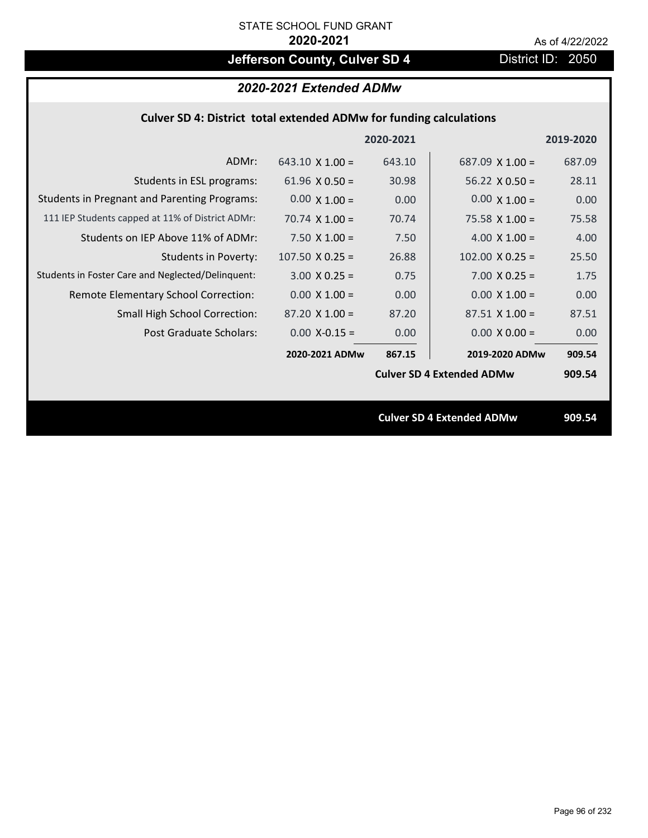# **Jefferson County, Culver SD 4** District ID: 2050

| 2020-2021 Extended ADMw |  |  |
|-------------------------|--|--|
|-------------------------|--|--|

|                                                     |                        | 2020-2021 |                                  | 2019-2020 |
|-----------------------------------------------------|------------------------|-----------|----------------------------------|-----------|
| ADMr:                                               | $643.10 \times 1.00 =$ | 643.10    | $687.09 \times 1.00 =$           | 687.09    |
| Students in ESL programs:                           | 61.96 $\times$ 0.50 =  | 30.98     | $56.22 \times 0.50 =$            | 28.11     |
| <b>Students in Pregnant and Parenting Programs:</b> | $0.00 \times 1.00 =$   | 0.00      | $0.00 \times 1.00 =$             | 0.00      |
| 111 IEP Students capped at 11% of District ADMr:    | 70.74 $\times$ 1.00 =  | 70.74     | 75.58 $\times$ 1.00 =            | 75.58     |
| Students on IEP Above 11% of ADMr:                  | 7.50 $X$ 1.00 =        | 7.50      | 4.00 $X$ 1.00 =                  | 4.00      |
| Students in Poverty:                                | $107.50 \times 0.25 =$ | 26.88     | $102.00 \times 0.25 =$           | 25.50     |
| Students in Foster Care and Neglected/Delinquent:   | $3.00 \times 0.25 =$   | 0.75      | $7.00 \times 0.25 =$             | 1.75      |
| Remote Elementary School Correction:                | $0.00 \times 1.00 =$   | 0.00      | $0.00 \times 1.00 =$             | 0.00      |
| <b>Small High School Correction:</b>                | $87.20 \times 1.00 =$  | 87.20     | $87.51 \times 1.00 =$            | 87.51     |
| Post Graduate Scholars:                             | $0.00$ X-0.15 =        | 0.00      | $0.00 \times 0.00 =$             | 0.00      |
|                                                     | 2020-2021 ADMw         | 867.15    | 2019-2020 ADMw                   | 909.54    |
|                                                     |                        |           | <b>Culver SD 4 Extended ADMw</b> | 909.54    |
|                                                     |                        |           |                                  |           |
|                                                     |                        |           | <b>Culver SD 4 Extended ADMw</b> | 909.54    |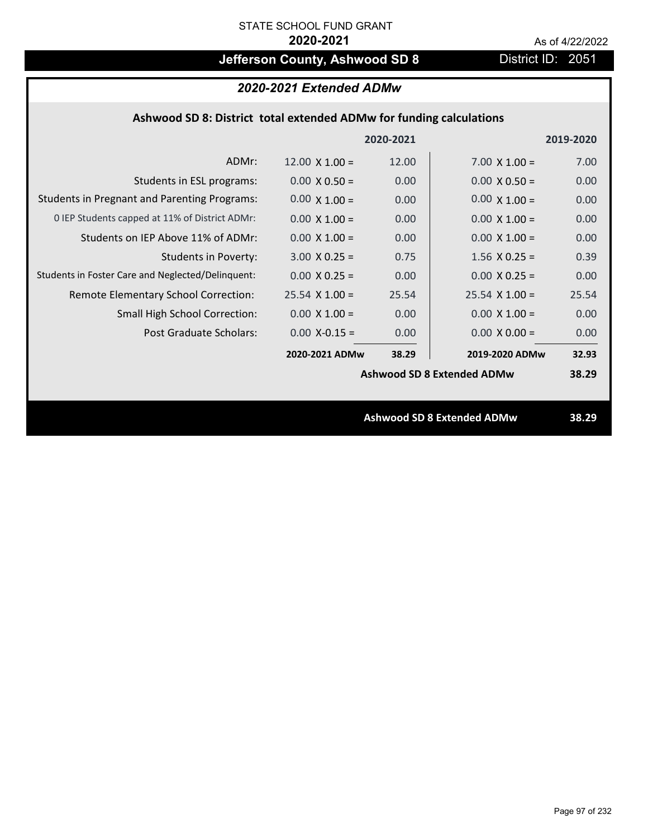# **Jefferson County, Ashwood SD 8** District ID: 2051

### *2020-2021 Extended ADMw*

### **Ashwood SD 8: District total extended ADMw for funding calculations**

|                                                     |                       | 2020-2021 |                                   | 2019-2020 |
|-----------------------------------------------------|-----------------------|-----------|-----------------------------------|-----------|
| ADMr:                                               | $12.00 \times 1.00 =$ | 12.00     | $7.00 \times 1.00 =$              | 7.00      |
| Students in ESL programs:                           | $0.00 \times 0.50 =$  | 0.00      | $0.00 \times 0.50 =$              | 0.00      |
| <b>Students in Pregnant and Parenting Programs:</b> | $0.00 \times 1.00 =$  | 0.00      | $0.00 \times 1.00 =$              | 0.00      |
| 0 IEP Students capped at 11% of District ADMr:      | $0.00 \times 1.00 =$  | 0.00      | $0.00 \times 1.00 =$              | 0.00      |
| Students on IEP Above 11% of ADMr:                  | $0.00 \times 1.00 =$  | 0.00      | $0.00 \times 1.00 =$              | 0.00      |
| <b>Students in Poverty:</b>                         | $3.00 \times 0.25 =$  | 0.75      | $1.56$ X 0.25 =                   | 0.39      |
| Students in Foster Care and Neglected/Delinquent:   | $0.00 \times 0.25 =$  | 0.00      | $0.00 \times 0.25 =$              | 0.00      |
| Remote Elementary School Correction:                | $25.54$ X 1.00 =      | 25.54     | $25.54$ X 1.00 =                  | 25.54     |
| <b>Small High School Correction:</b>                | $0.00 \times 1.00 =$  | 0.00      | $0.00 \times 1.00 =$              | 0.00      |
| Post Graduate Scholars:                             | $0.00$ X-0.15 =       | 0.00      | $0.00 \times 0.00 =$              | 0.00      |
|                                                     | 2020-2021 ADMw        | 38.29     | 2019-2020 ADMw                    | 32.93     |
|                                                     |                       |           | <b>Ashwood SD 8 Extended ADMw</b> | 38.29     |
|                                                     |                       |           |                                   |           |
|                                                     |                       |           | <b>Ashwood SD 8 Extended ADMw</b> | 38.29     |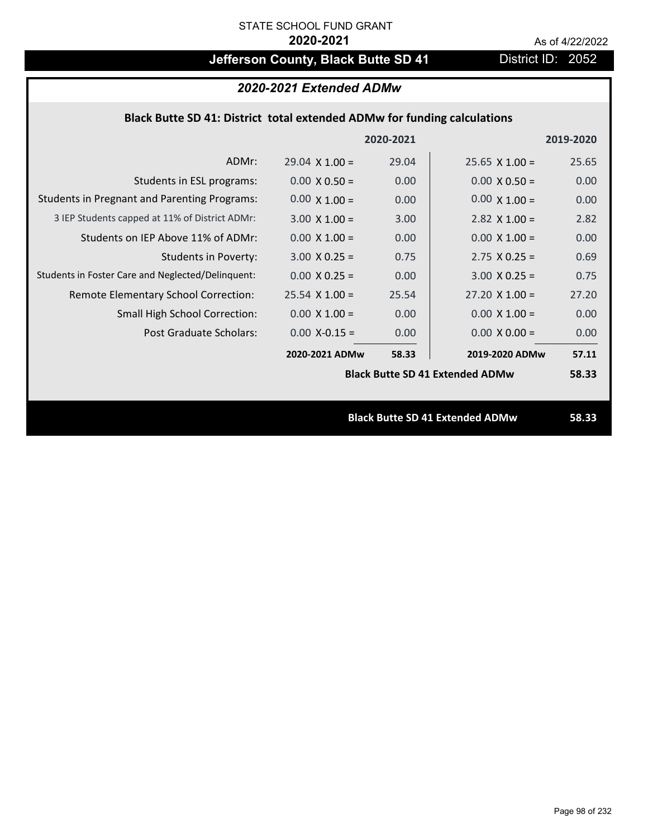# **Jefferson County, Black Butte SD 41** District ID: 2052

# *2020-2021 Extended ADMw*

### **Black Butte SD 41: District total extended ADMw for funding calculations**

|                                                     |                       | 2020-2021 |                                        | 2019-2020 |
|-----------------------------------------------------|-----------------------|-----------|----------------------------------------|-----------|
| ADMr:                                               | $29.04 \times 1.00 =$ | 29.04     | $25.65 \times 1.00 =$                  | 25.65     |
| Students in ESL programs:                           | $0.00 \times 0.50 =$  | 0.00      | $0.00 \times 0.50 =$                   | 0.00      |
| <b>Students in Pregnant and Parenting Programs:</b> | $0.00 \times 1.00 =$  | 0.00      | $0.00 \times 1.00 =$                   | 0.00      |
| 3 IEP Students capped at 11% of District ADMr:      | $3.00 \times 1.00 =$  | 3.00      | 2.82 $\times$ 1.00 =                   | 2.82      |
| Students on IEP Above 11% of ADMr:                  | $0.00 \times 1.00 =$  | 0.00      | $0.00 \times 1.00 =$                   | 0.00      |
| <b>Students in Poverty:</b>                         | $3.00 \times 0.25 =$  | 0.75      | $2.75 \times 0.25 =$                   | 0.69      |
| Students in Foster Care and Neglected/Delinquent:   | $0.00 \times 0.25 =$  | 0.00      | $3.00 \times 0.25 =$                   | 0.75      |
| Remote Elementary School Correction:                | $25.54 \times 1.00 =$ | 25.54     | $27.20 \times 1.00 =$                  | 27.20     |
| <b>Small High School Correction:</b>                | $0.00 \times 1.00 =$  | 0.00      | $0.00 \times 1.00 =$                   | 0.00      |
| Post Graduate Scholars:                             | $0.00$ X-0.15 =       | 0.00      | $0.00 \times 0.00 =$                   | 0.00      |
|                                                     | 2020-2021 ADMw        | 58.33     | 2019-2020 ADMw                         | 57.11     |
|                                                     |                       |           | <b>Black Butte SD 41 Extended ADMw</b> | 58.33     |
|                                                     |                       |           |                                        |           |
|                                                     |                       |           | <b>Black Butte SD 41 Extended ADMw</b> | 58.33     |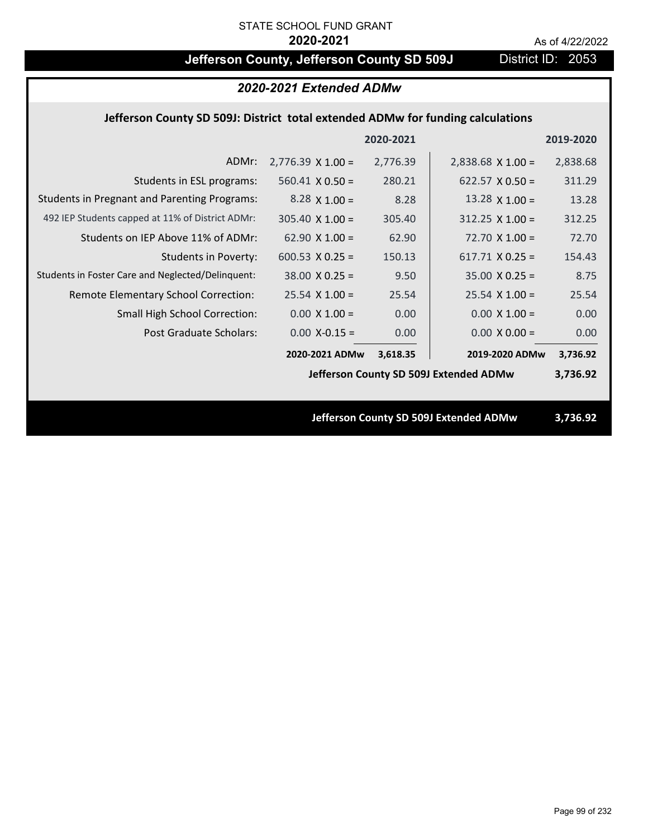# **Jefferson County, Jefferson County SD 509J** District ID: 2053

### *2020-2021 Extended ADMw*

#### **Jefferson County SD 509J: District total extended ADMw for funding calculations**

|                                                     |                                        | 2020-2021 |                                        | 2019-2020 |
|-----------------------------------------------------|----------------------------------------|-----------|----------------------------------------|-----------|
| ADMr:                                               | $2,776.39 \times 1.00 =$               | 2,776.39  | $2,838.68 \times 1.00 =$               | 2,838.68  |
| Students in ESL programs:                           | $560.41 \times 0.50 =$                 | 280.21    | 622.57 $\times$ 0.50 =                 | 311.29    |
| <b>Students in Pregnant and Parenting Programs:</b> | 8.28 $\times$ 1.00 =                   | 8.28      | 13.28 $\times$ 1.00 =                  | 13.28     |
| 492 IEP Students capped at 11% of District ADMr:    | $305.40 \times 1.00 =$                 | 305.40    | $312.25$ X 1.00 =                      | 312.25    |
| Students on IEP Above 11% of ADMr:                  | $62.90 \times 1.00 =$                  | 62.90     | $72.70$ X $1.00 =$                     | 72.70     |
| <b>Students in Poverty:</b>                         | 600.53 $\times$ 0.25 =                 | 150.13    | $617.71$ X 0.25 =                      | 154.43    |
| Students in Foster Care and Neglected/Delinquent:   | $38.00 \times 0.25 =$                  | 9.50      | $35.00 \times 0.25 =$                  | 8.75      |
| Remote Elementary School Correction:                | $25.54$ X 1.00 =                       | 25.54     | $25.54$ X 1.00 =                       | 25.54     |
| <b>Small High School Correction:</b>                | $0.00 \times 1.00 =$                   | 0.00      | $0.00 \times 1.00 =$                   | 0.00      |
| Post Graduate Scholars:                             | $0.00$ X-0.15 =                        | 0.00      | $0.00 \times 0.00 =$                   | 0.00      |
|                                                     | 2020-2021 ADMw                         | 3,618.35  | 2019-2020 ADMw                         | 3,736.92  |
|                                                     | Jefferson County SD 509J Extended ADMw |           |                                        | 3,736.92  |
|                                                     |                                        |           |                                        |           |
|                                                     |                                        |           | Jefferson County SD 509J Extended ADMw | 3,736.92  |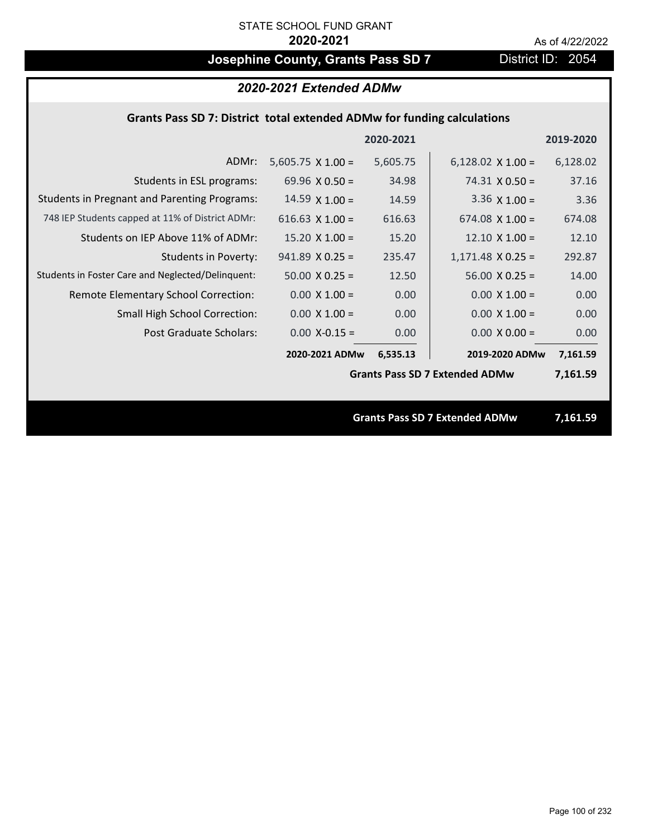# **Josephine County, Grants Pass SD 7** District ID: 2054

#### *2020-2021 Extended ADMw*

### **Grants Pass SD 7: District total extended ADMw for funding calculations**

|                                                     |                          | 2020-2021 |                                       | 2019-2020 |
|-----------------------------------------------------|--------------------------|-----------|---------------------------------------|-----------|
| ADMr:                                               | $5,605.75 \times 1.00 =$ | 5,605.75  | $6,128.02 \times 1.00 =$              | 6,128.02  |
| Students in ESL programs:                           | 69.96 $\times$ 0.50 =    | 34.98     | $74.31 \times 0.50 =$                 | 37.16     |
| <b>Students in Pregnant and Parenting Programs:</b> | $14.59 \times 1.00 =$    | 14.59     | 3.36 $\times$ 1.00 =                  | 3.36      |
| 748 IEP Students capped at 11% of District ADMr:    | 616.63 $X$ 1.00 =        | 616.63    | 674.08 $\times$ 1.00 =                | 674.08    |
| Students on IEP Above 11% of ADMr:                  | $15.20 \times 1.00 =$    | 15.20     | $12.10 \times 1.00 =$                 | 12.10     |
| <b>Students in Poverty:</b>                         | $941.89 \times 0.25 =$   | 235.47    | $1,171.48$ X 0.25 =                   | 292.87    |
| Students in Foster Care and Neglected/Delinquent:   | $50.00 \times 0.25 =$    | 12.50     | $56.00 \times 0.25 =$                 | 14.00     |
| Remote Elementary School Correction:                | $0.00 \times 1.00 =$     | 0.00      | $0.00 \times 1.00 =$                  | 0.00      |
| <b>Small High School Correction:</b>                | $0.00 \times 1.00 =$     | 0.00      | $0.00 \times 1.00 =$                  | 0.00      |
| Post Graduate Scholars:                             | $0.00$ X-0.15 =          | 0.00      | $0.00 \times 0.00 =$                  | 0.00      |
|                                                     | 2020-2021 ADMw           | 6,535.13  | 2019-2020 ADMw                        | 7,161.59  |
|                                                     |                          |           | <b>Grants Pass SD 7 Extended ADMw</b> | 7,161.59  |
|                                                     |                          |           |                                       |           |
|                                                     |                          |           | <b>Grants Pass SD 7 Extended ADMw</b> | 7,161.59  |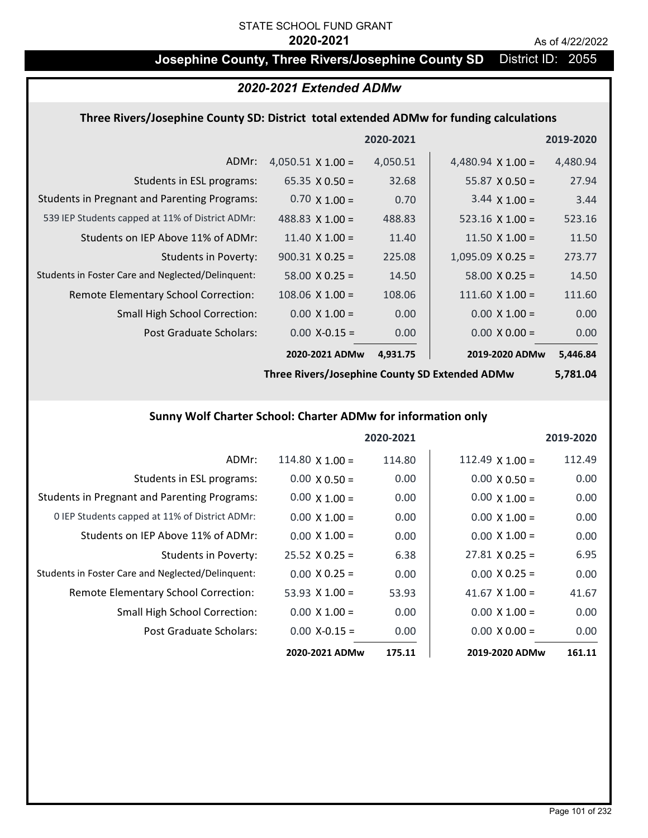### **Josephine County, Three Rivers/Josephine County SD** District ID: 2055

### *2020-2021 Extended ADMw*

#### **Three Rivers/Josephine County SD: District total extended ADMw for funding calculations**

|                                                     |                          | 2020-2021 |                          | 2019-2020 |
|-----------------------------------------------------|--------------------------|-----------|--------------------------|-----------|
| ADMr:                                               | 4,050.51 $\times$ 1.00 = | 4,050.51  | 4,480.94 $\times$ 1.00 = | 4,480.94  |
| Students in ESL programs:                           | 65.35 $X$ 0.50 =         | 32.68     | $55.87 \times 0.50 =$    | 27.94     |
| <b>Students in Pregnant and Parenting Programs:</b> | $0.70 \times 1.00 =$     | 0.70      | $3.44 \times 1.00 =$     | 3.44      |
| 539 IEP Students capped at 11% of District ADMr:    | 488.83 $\times$ 1.00 =   | 488.83    | $523.16 \times 1.00 =$   | 523.16    |
| Students on IEP Above 11% of ADMr:                  | $11.40 \times 1.00 =$    | 11.40     | 11.50 $\times$ 1.00 =    | 11.50     |
| Students in Poverty:                                | $900.31 \times 0.25 =$   | 225.08    | $1,095.09$ X 0.25 =      | 273.77    |
| Students in Foster Care and Neglected/Delinquent:   | $58.00 \times 0.25 =$    | 14.50     | $58.00 \times 0.25 =$    | 14.50     |
| Remote Elementary School Correction:                | $108.06 \times 1.00 =$   | 108.06    | $111.60 \times 1.00 =$   | 111.60    |
| <b>Small High School Correction:</b>                | $0.00 \times 1.00 =$     | 0.00      | $0.00 \times 1.00 =$     | 0.00      |
| Post Graduate Scholars:                             | $0.00$ X-0.15 =          | 0.00      | $0.00 \times 0.00 =$     | 0.00      |
|                                                     | 2020-2021 ADMw           | 4,931.75  | 2019-2020 ADMw           | 5,446.84  |

**Three Rivers/Josephine County SD Extended ADMw**

**5,781.04**

### **Sunny Wolf Charter School: Charter ADMw for information only**

|                                                     |                       | 2020-2021 |                       | 2019-2020 |
|-----------------------------------------------------|-----------------------|-----------|-----------------------|-----------|
| ADMr:                                               | 114.80 $X$ 1.00 =     | 114.80    | 112.49 $X$ 1.00 =     | 112.49    |
| Students in ESL programs:                           | $0.00 \times 0.50 =$  | 0.00      | $0.00 \times 0.50 =$  | 0.00      |
| <b>Students in Pregnant and Parenting Programs:</b> | $0.00 \times 1.00 =$  | 0.00      | $0.00 \times 1.00 =$  | 0.00      |
| 0 IEP Students capped at 11% of District ADMr:      | $0.00 \times 1.00 =$  | 0.00      | $0.00 \times 1.00 =$  | 0.00      |
| Students on IEP Above 11% of ADMr:                  | $0.00 \times 1.00 =$  | 0.00      | $0.00 \times 1.00 =$  | 0.00      |
| Students in Poverty:                                | $25.52 \times 0.25 =$ | 6.38      | $27.81 \times 0.25 =$ | 6.95      |
| Students in Foster Care and Neglected/Delinquent:   | $0.00 \times 0.25 =$  | 0.00      | $0.00 \times 0.25 =$  | 0.00      |
| Remote Elementary School Correction:                | 53.93 $X$ 1.00 =      | 53.93     | 41.67 $\times$ 1.00 = | 41.67     |
| <b>Small High School Correction:</b>                | $0.00 \times 1.00 =$  | 0.00      | $0.00 \times 1.00 =$  | 0.00      |
| Post Graduate Scholars:                             | $0.00$ X-0.15 =       | 0.00      | $0.00 \times 0.00 =$  | 0.00      |
|                                                     | 2020-2021 ADMw        | 175.11    | 2019-2020 ADMw        | 161.11    |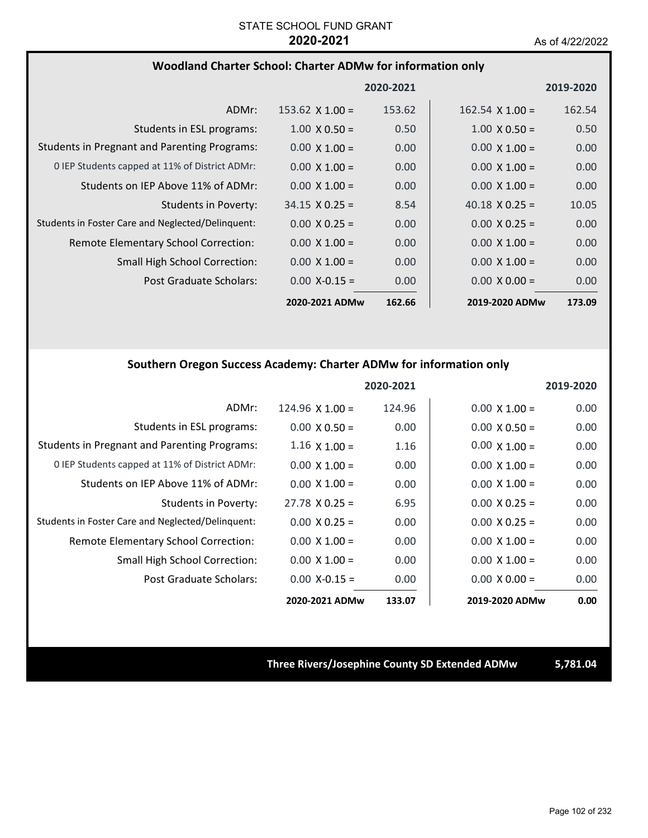#### **Woodland Charter School: Charter ADMw for information only**

|                                                     |                        | 2020-2021 |                        | 2019-2020 |
|-----------------------------------------------------|------------------------|-----------|------------------------|-----------|
| ADMr:                                               | $153.62 \times 1.00 =$ | 153.62    | $162.54 \times 1.00 =$ | 162.54    |
| Students in ESL programs:                           | $1.00 \times 0.50 =$   | 0.50      | $1.00 \times 0.50 =$   | 0.50      |
| <b>Students in Pregnant and Parenting Programs:</b> | $0.00 \times 1.00 =$   | 0.00      | $0.00 \times 1.00 =$   | 0.00      |
| 0 IEP Students capped at 11% of District ADMr:      | $0.00 \times 1.00 =$   | 0.00      | $0.00 \times 1.00 =$   | 0.00      |
| Students on IEP Above 11% of ADMr:                  | $0.00 \times 1.00 =$   | 0.00      | $0.00 \times 1.00 =$   | 0.00      |
| Students in Poverty:                                | $34.15 \times 0.25 =$  | 8.54      | 40.18 $\times$ 0.25 =  | 10.05     |
| Students in Foster Care and Neglected/Delinguent:   | $0.00 \times 0.25 =$   | 0.00      | $0.00 \times 0.25 =$   | 0.00      |
| Remote Elementary School Correction:                | $0.00 \times 1.00 =$   | 0.00      | $0.00 \times 1.00 =$   | 0.00      |
| <b>Small High School Correction:</b>                | $0.00 \times 1.00 =$   | 0.00      | $0.00 \times 1.00 =$   | 0.00      |
| Post Graduate Scholars:                             | $0.00$ X-0.15 =        | 0.00      | $0.00 \times 0.00 =$   | 0.00      |
|                                                     | 2020-2021 ADMw         | 162.66    | 2019-2020 ADMw         | 173.09    |

#### **Southern Oregon Success Academy: Charter ADMw for information only**

|                                                     |                       | 2020-2021 |                      | 2019-2020         |
|-----------------------------------------------------|-----------------------|-----------|----------------------|-------------------|
| ADMr:                                               | 124.96 $X$ 1.00 =     | 124.96    | $0.00 \times 1.00 =$ | 0.00              |
| Students in ESL programs:                           | $0.00 \times 0.50 =$  | 0.00      | $0.00 \times 0.50 =$ | 0.00 <sub>1</sub> |
| <b>Students in Pregnant and Parenting Programs:</b> | $1.16 \times 1.00 =$  | 1.16      | $0.00 \times 1.00 =$ | 0.00              |
| 0 IEP Students capped at 11% of District ADMr:      | $0.00 \times 1.00 =$  | 0.00      | $0.00 \times 1.00 =$ | 0.00              |
| Students on IEP Above 11% of ADMr:                  | $0.00 \times 1.00 =$  | 0.00      | $0.00 \times 1.00 =$ | 0.00              |
| Students in Poverty:                                | $27.78 \times 0.25 =$ | 6.95      | $0.00 \times 0.25 =$ | 0.00              |
| Students in Foster Care and Neglected/Delinquent:   | $0.00 \times 0.25 =$  | 0.00      | $0.00 \times 0.25 =$ | 0.00              |
| Remote Elementary School Correction:                | $0.00 \times 1.00 =$  | 0.00      | $0.00 \times 1.00 =$ | 0.00              |
| Small High School Correction:                       | $0.00 \times 1.00 =$  | 0.00      | $0.00 \times 1.00 =$ | 0.00              |
| Post Graduate Scholars:                             | $0.00$ X-0.15 =       | 0.00      | $0.00 \times 0.00 =$ | 0.00              |
|                                                     | 2020-2021 ADMw        | 133.07    | 2019-2020 ADMw       | 0.00              |

#### **Three Rivers/Josephine County SD Extended ADMw 5,781.04**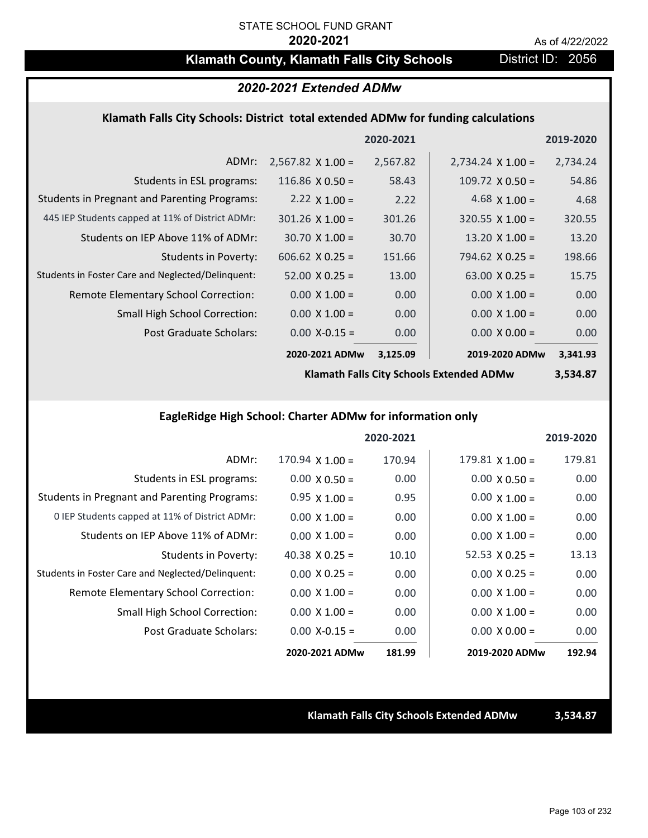## **Klamath County, Klamath Falls City Schools District ID: 2056**

### *2020-2021 Extended ADMw*

#### **Klamath Falls City Schools: District total extended ADMw for funding calculations**

|                                                     |                          | 2020-2021 |                          | 2019-2020 |
|-----------------------------------------------------|--------------------------|-----------|--------------------------|-----------|
| ADMr:                                               | $2,567.82 \times 1.00 =$ | 2,567.82  | $2,734.24 \times 1.00 =$ | 2,734.24  |
| Students in ESL programs:                           | 116.86 $\times$ 0.50 =   | 58.43     | $109.72 \times 0.50 =$   | 54.86     |
| <b>Students in Pregnant and Parenting Programs:</b> | 2.22 $\times$ 1.00 =     | 2.22      | 4.68 $\times$ 1.00 =     | 4.68      |
| 445 IEP Students capped at 11% of District ADMr:    | $301.26 \times 1.00 =$   | 301.26    | $320.55 \times 1.00 =$   | 320.55    |
| Students on IEP Above 11% of ADMr:                  | $30.70 \times 1.00 =$    | 30.70     | 13.20 $X$ 1.00 =         | 13.20     |
| <b>Students in Poverty:</b>                         | $606.62$ X 0.25 =        | 151.66    | $794.62$ X 0.25 =        | 198.66    |
| Students in Foster Care and Neglected/Delinquent:   | $52.00 \times 0.25 =$    | 13.00     | 63.00 $X$ 0.25 =         | 15.75     |
| Remote Elementary School Correction:                | $0.00 \times 1.00 =$     | 0.00      | $0.00 \times 1.00 =$     | 0.00      |
| <b>Small High School Correction:</b>                | $0.00 \times 1.00 =$     | 0.00      | $0.00 \times 1.00 =$     | 0.00      |
| Post Graduate Scholars:                             | $0.00$ X-0.15 =          | 0.00      | $0.00 \times 0.00 =$     | 0.00      |
|                                                     | 2020-2021 ADMw           | 3,125.09  | 2019-2020 ADMw           | 3,341.93  |

**Klamath Falls City Schools Extended ADMw**

**3,534.87**

### **EagleRidge High School: Charter ADMw for information only**

|                                                     |                        | 2020-2021 |                        | 2019-2020 |
|-----------------------------------------------------|------------------------|-----------|------------------------|-----------|
| ADMr:                                               | $170.94 \times 1.00 =$ | 170.94    | $179.81 \times 1.00 =$ | 179.81    |
| Students in ESL programs:                           | $0.00 \times 0.50 =$   | 0.00      | $0.00 \times 0.50 =$   | 0.00      |
| <b>Students in Pregnant and Parenting Programs:</b> | $0.95 \times 1.00 =$   | 0.95      | $0.00 \times 1.00 =$   | 0.00      |
| 0 IEP Students capped at 11% of District ADMr:      | $0.00 \times 1.00 =$   | 0.00      | $0.00 \times 1.00 =$   | 0.00      |
| Students on IEP Above 11% of ADMr:                  | $0.00 \times 1.00 =$   | 0.00      | $0.00 \times 1.00 =$   | 0.00      |
| Students in Poverty:                                | 40.38 $X$ 0.25 =       | 10.10     | 52.53 $\times$ 0.25 =  | 13.13     |
| Students in Foster Care and Neglected/Delinquent:   | $0.00 \times 0.25 =$   | 0.00      | $0.00 \times 0.25 =$   | 0.00      |
| Remote Elementary School Correction:                | $0.00 \times 1.00 =$   | 0.00      | $0.00 \times 1.00 =$   | 0.00      |
| <b>Small High School Correction:</b>                | $0.00 \times 1.00 =$   | 0.00      | $0.00 \times 1.00 =$   | 0.00      |
| Post Graduate Scholars:                             | $0.00$ X-0.15 =        | 0.00      | $0.00 \times 0.00 =$   | 0.00      |
|                                                     | 2020-2021 ADMw         | 181.99    | 2019-2020 ADMw         | 192.94    |

**Klamath Falls City Schools Extended ADMw 3,534.87**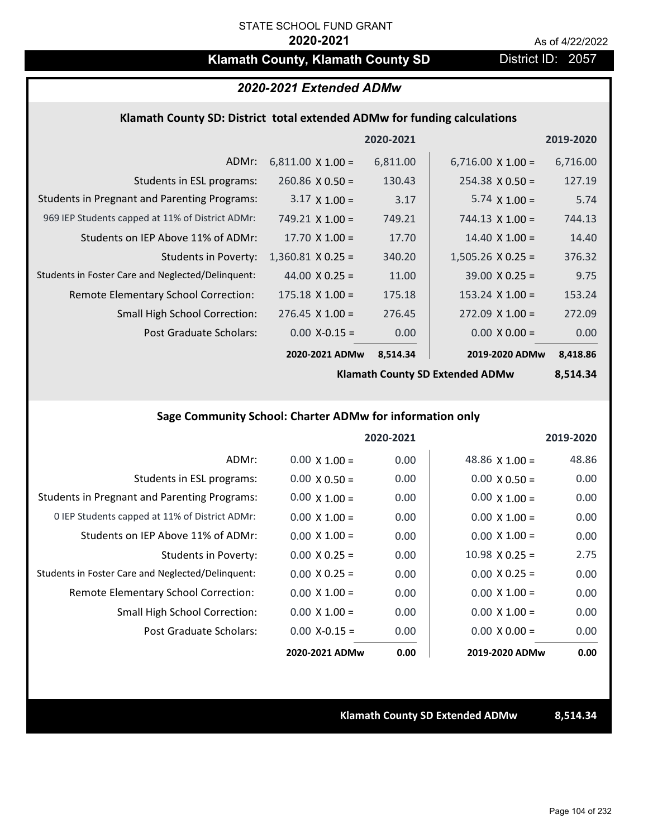## **Klamath County, Klamath County SD** District ID: 2057

### *2020-2021 Extended ADMw*

#### **Klamath County SD: District total extended ADMw for funding calculations**

|                                                     |                          | 2020-2021 |                          | 2019-2020 |
|-----------------------------------------------------|--------------------------|-----------|--------------------------|-----------|
| ADMr:                                               | $6,811.00 \times 1.00 =$ | 6,811.00  | $6,716.00 \times 1.00 =$ | 6,716.00  |
| Students in ESL programs:                           | $260.86 \times 0.50 =$   | 130.43    | $254.38 \times 0.50 =$   | 127.19    |
| <b>Students in Pregnant and Parenting Programs:</b> | $3.17 \times 1.00 =$     | 3.17      | $5.74 \times 1.00 =$     | 5.74      |
| 969 IEP Students capped at 11% of District ADMr:    | 749.21 $\times$ 1.00 =   | 749.21    | $744.13 \times 1.00 =$   | 744.13    |
| Students on IEP Above 11% of ADMr:                  | $17.70 \times 1.00 =$    | 17.70     | $14.40 \times 1.00 =$    | 14.40     |
| Students in Poverty:                                | $1,360.81$ X 0.25 =      | 340.20    | $1,505.26$ X 0.25 =      | 376.32    |
| Students in Foster Care and Neglected/Delinquent:   | $44.00 \times 0.25 =$    | 11.00     | $39.00 \times 0.25 =$    | 9.75      |
| Remote Elementary School Correction:                | $175.18 \times 1.00 =$   | 175.18    | $153.24 \times 1.00 =$   | 153.24    |
| <b>Small High School Correction:</b>                | $276.45 \times 1.00 =$   | 276.45    | $272.09 \times 1.00 =$   | 272.09    |
| Post Graduate Scholars:                             | $0.00$ X-0.15 =          | 0.00      | $0.00 \times 0.00 =$     | 0.00      |
|                                                     | 2020-2021 ADMw           | 8,514.34  | 2019-2020 ADMw           | 8,418.86  |

**Klamath County SD Extended ADMw**

**8,514.34**

### **Sage Community School: Charter ADMw for information only**

|                                                     |                      | 2020-2021 |                       | 2019-2020 |
|-----------------------------------------------------|----------------------|-----------|-----------------------|-----------|
| ADMr:                                               | $0.00 \times 1.00 =$ | 0.00      | 48.86 $\times$ 1.00 = | 48.86     |
| Students in ESL programs:                           | $0.00 \times 0.50 =$ | 0.00      | $0.00 \times 0.50 =$  | 0.00      |
| <b>Students in Pregnant and Parenting Programs:</b> | $0.00 \times 1.00 =$ | 0.00      | $0.00 \times 1.00 =$  | 0.00      |
| 0 IEP Students capped at 11% of District ADMr:      | $0.00 \times 1.00 =$ | 0.00      | $0.00 \times 1.00 =$  | 0.00      |
| Students on IEP Above 11% of ADMr:                  | $0.00 \times 1.00 =$ | 0.00      | $0.00 \times 1.00 =$  | 0.00      |
| <b>Students in Poverty:</b>                         | $0.00 \times 0.25 =$ | 0.00      | $10.98 \times 0.25 =$ | 2.75      |
| Students in Foster Care and Neglected/Delinquent:   | $0.00 \times 0.25 =$ | 0.00      | $0.00 \times 0.25 =$  | 0.00      |
| <b>Remote Elementary School Correction:</b>         | $0.00 \times 1.00 =$ | 0.00      | $0.00 \times 1.00 =$  | 0.00      |
| <b>Small High School Correction:</b>                | $0.00 \times 1.00 =$ | 0.00      | $0.00 \times 1.00 =$  | 0.00      |
| Post Graduate Scholars:                             | $0.00 X - 0.15 =$    | 0.00      | $0.00 \times 0.00 =$  | 0.00      |
|                                                     | 2020-2021 ADMw       | 0.00      | 2019-2020 ADMw        | 0.00      |

#### **Klamath County SD Extended ADMw 8,514.34**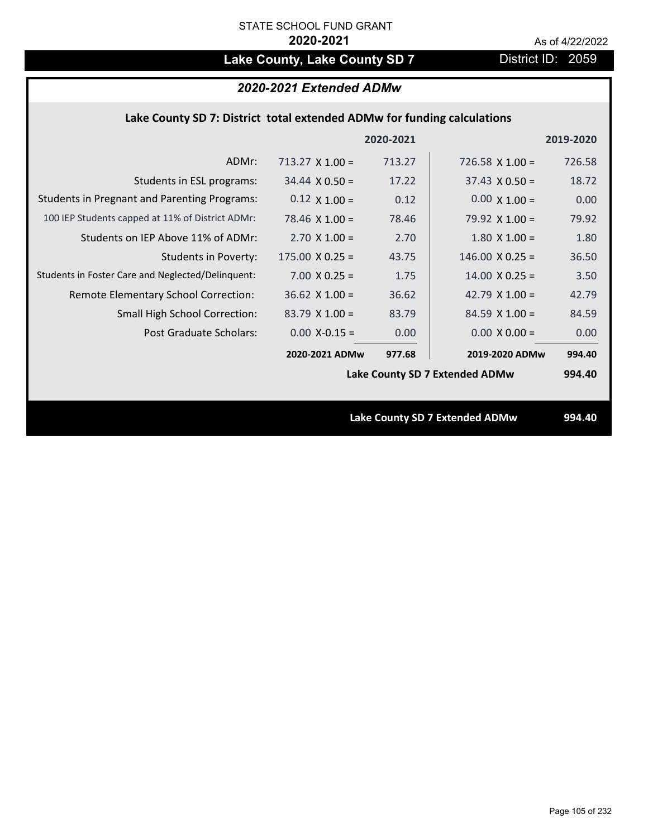# Lake County, Lake County SD 7 **District ID: 2059**

### *2020-2021 Extended ADMw*

#### **Lake County SD 7: District total extended ADMw for funding calculations**

|                                                     |                                | 2020-2021 |                        | 2019-2020 |
|-----------------------------------------------------|--------------------------------|-----------|------------------------|-----------|
| ADMr:                                               | $713.27 \times 1.00 =$         | 713.27    | 726.58 $X$ 1.00 =      | 726.58    |
| Students in ESL programs:                           | $34.44 \times 0.50 =$          | 17.22     | $37.43 \times 0.50 =$  | 18.72     |
| <b>Students in Pregnant and Parenting Programs:</b> | $0.12 \times 1.00 =$           | 0.12      | $0.00 \times 1.00 =$   | 0.00      |
| 100 IEP Students capped at 11% of District ADMr:    | $78.46 \times 1.00 =$          | 78.46     | 79.92 $\times$ 1.00 =  | 79.92     |
| Students on IEP Above 11% of ADMr:                  | $2.70 \times 1.00 =$           | 2.70      | $1.80$ X $1.00 =$      | 1.80      |
| <b>Students in Poverty:</b>                         | $175.00 \times 0.25 =$         | 43.75     | $146.00 \times 0.25 =$ | 36.50     |
| Students in Foster Care and Neglected/Delinquent:   | $7.00 \times 0.25 =$           | 1.75      | $14.00 \times 0.25 =$  | 3.50      |
| Remote Elementary School Correction:                | $36.62$ X $1.00 =$             | 36.62     | 42.79 $\times$ 1.00 =  | 42.79     |
| <b>Small High School Correction:</b>                | $83.79 \times 1.00 =$          | 83.79     | $84.59$ X 1.00 =       | 84.59     |
| Post Graduate Scholars:                             | $0.00$ X-0.15 =                | 0.00      | $0.00 \times 0.00 =$   | 0.00      |
|                                                     | 2020-2021 ADMw                 | 977.68    | 2019-2020 ADMw         | 994.40    |
|                                                     | Lake County SD 7 Extended ADMw |           |                        | 994.40    |
|                                                     |                                |           |                        |           |
|                                                     | Lake County SD 7 Extended ADMw |           |                        | 994.40    |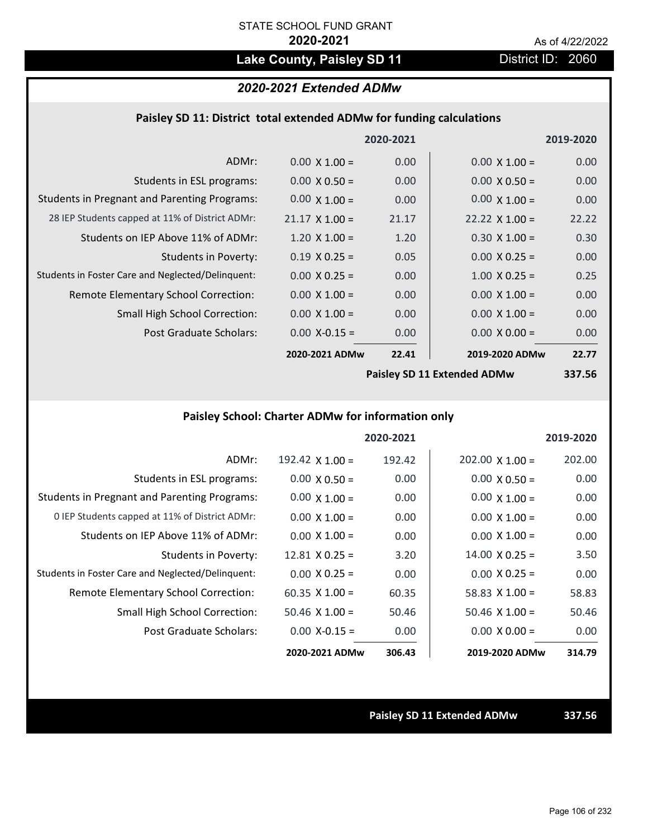# Lake County, Paisley SD 11 **District ID: 2060**

## *2020-2021 Extended ADMw*

#### **Paisley SD 11: District total extended ADMw for funding calculations**

|                                                     |                             | 2020-2021 |                       | 2019-2020 |
|-----------------------------------------------------|-----------------------------|-----------|-----------------------|-----------|
| ADMr:                                               | $0.00 \times 1.00 =$        | 0.00      | $0.00 \times 1.00 =$  | 0.00      |
| Students in ESL programs:                           | $0.00 \times 0.50 =$        | 0.00      | $0.00 \times 0.50 =$  | 0.00      |
| <b>Students in Pregnant and Parenting Programs:</b> | $0.00 \times 1.00 =$        | 0.00      | $0.00 \times 1.00 =$  | 0.00      |
| 28 IEP Students capped at 11% of District ADMr:     | $21.17 \times 1.00 =$       | 21.17     | $22.22 \times 1.00 =$ | 22.22     |
| Students on IEP Above 11% of ADMr:                  | $1.20 \times 1.00 =$        | 1.20      | $0.30 \times 1.00 =$  | 0.30      |
| <b>Students in Poverty:</b>                         | $0.19 \times 0.25 =$        | 0.05      | $0.00 \times 0.25 =$  | 0.00      |
| Students in Foster Care and Neglected/Delinquent:   | $0.00 \times 0.25 =$        | 0.00      | $1.00 \times 0.25 =$  | 0.25      |
| Remote Elementary School Correction:                | $0.00 \times 1.00 =$        | 0.00      | $0.00 \times 1.00 =$  | 0.00      |
| <b>Small High School Correction:</b>                | $0.00 \times 1.00 =$        | 0.00      | $0.00 \times 1.00 =$  | 0.00      |
| Post Graduate Scholars:                             | $0.00$ X-0.15 =             | 0.00      | $0.00 \times 0.00 =$  | 0.00      |
|                                                     | 2020-2021 ADMw              | 22.41     | 2019-2020 ADMw        | 22.77     |
|                                                     | Paisley SD 11 Extended ADMw |           |                       | 337 56    |

**Paisley SD 11 Extended ADMw**

**337.56**

### **Paisley School: Charter ADMw for information only**

|                                                     |                       | 2020-2021 |                        | 2019-2020 |
|-----------------------------------------------------|-----------------------|-----------|------------------------|-----------|
| ADMr:                                               | 192.42 $X$ 1.00 =     | 192.42    | $202.00 \times 1.00 =$ | 202.00    |
| Students in ESL programs:                           | $0.00 \times 0.50 =$  | 0.00      | $0.00 \times 0.50 =$   | 0.00      |
| <b>Students in Pregnant and Parenting Programs:</b> | $0.00 \times 1.00 =$  | 0.00      | $0.00 \times 1.00 =$   | 0.00      |
| 0 IEP Students capped at 11% of District ADMr:      | $0.00 \times 1.00 =$  | 0.00      | $0.00 \times 1.00 =$   | 0.00      |
| Students on IEP Above 11% of ADMr:                  | $0.00 \times 1.00 =$  | 0.00      | $0.00 \times 1.00 =$   | 0.00      |
| Students in Poverty:                                | $12.81 \times 0.25 =$ | 3.20      | $14.00 \times 0.25 =$  | 3.50      |
| Students in Foster Care and Neglected/Delinquent:   | $0.00 \times 0.25 =$  | 0.00      | $0.00 \times 0.25 =$   | 0.00      |
| <b>Remote Elementary School Correction:</b>         | $60.35 \times 1.00 =$ | 60.35     | 58.83 $\times$ 1.00 =  | 58.83     |
| <b>Small High School Correction:</b>                | $50.46$ X 1.00 =      | 50.46     | $50.46 \times 1.00 =$  | 50.46     |
| Post Graduate Scholars:                             | $0.00$ X-0.15 =       | 0.00      | $0.00 \times 0.00 =$   | 0.00      |
|                                                     | 2020-2021 ADMw        | 306.43    | 2019-2020 ADMw         | 314.79    |

**Paisley SD 11 Extended ADMw 337.56**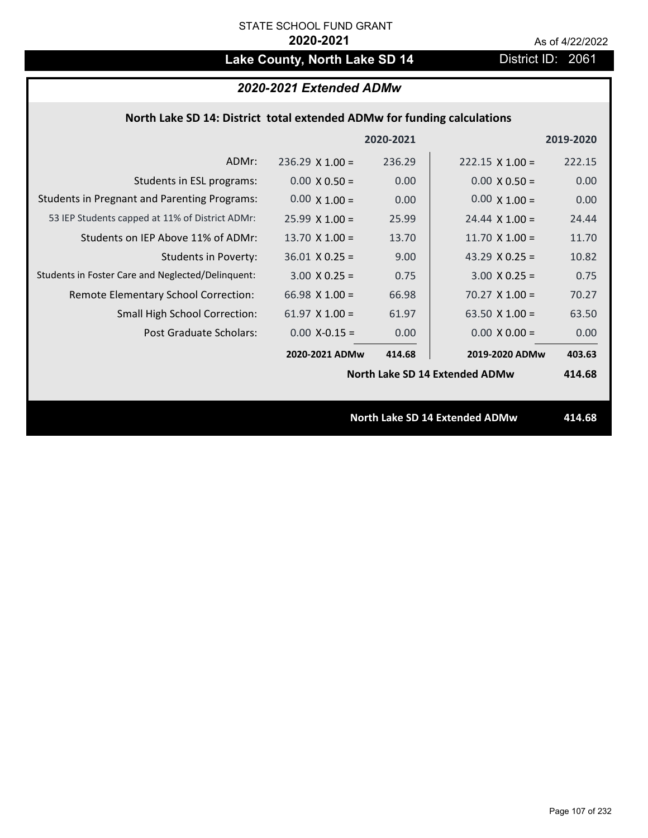# Lake County, North Lake SD 14 District ID: 2061

### *2020-2021 Extended ADMw*

### **North Lake SD 14: District total extended ADMw for funding calculations**

|                                                     |                                | 2020-2021 |                        | 2019-2020 |
|-----------------------------------------------------|--------------------------------|-----------|------------------------|-----------|
| ADMr:                                               | $236.29$ X 1.00 =              | 236.29    | $222.15 \times 1.00 =$ | 222.15    |
| Students in ESL programs:                           | $0.00 \times 0.50 =$           | 0.00      | $0.00 \times 0.50 =$   | 0.00      |
| <b>Students in Pregnant and Parenting Programs:</b> | $0.00 \times 1.00 =$           | 0.00      | $0.00 \times 1.00 =$   | 0.00      |
| 53 IEP Students capped at 11% of District ADMr:     | $25.99 \times 1.00 =$          | 25.99     | $24.44 \times 1.00 =$  | 24.44     |
| Students on IEP Above 11% of ADMr:                  | 13.70 $\times$ 1.00 =          | 13.70     | 11.70 $X$ 1.00 =       | 11.70     |
| <b>Students in Poverty:</b>                         | $36.01$ X 0.25 =               | 9.00      | 43.29 $X$ 0.25 =       | 10.82     |
| Students in Foster Care and Neglected/Delinquent:   | $3.00 \times 0.25 =$           | 0.75      | $3.00 \times 0.25 =$   | 0.75      |
| Remote Elementary School Correction:                | 66.98 $X$ 1.00 =               | 66.98     | $70.27 \times 1.00 =$  | 70.27     |
| <b>Small High School Correction:</b>                | $61.97$ X $1.00 =$             | 61.97     | 63.50 $X$ 1.00 =       | 63.50     |
| Post Graduate Scholars:                             | $0.00$ X-0.15 =                | 0.00      | $0.00 \times 0.00 =$   | 0.00      |
|                                                     | 2020-2021 ADMw                 | 414.68    | 2019-2020 ADMw         | 403.63    |
|                                                     | North Lake SD 14 Extended ADMw |           |                        | 414.68    |
|                                                     |                                |           |                        |           |
| <b>North Lake SD 14 Extended ADMw</b>               |                                |           | 414.68                 |           |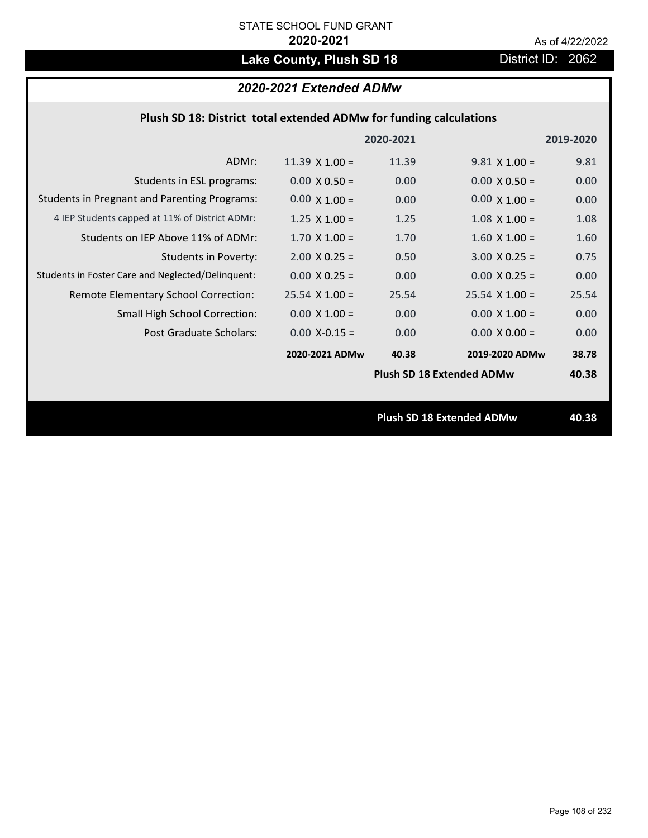# Lake County, Plush SD 18 **District ID: 2062**

### *2020-2021 Extended ADMw*

| Plush SD 18: District total extended ADMw for funding calculations |       |                      |                                  |  |  |
|--------------------------------------------------------------------|-------|----------------------|----------------------------------|--|--|
|                                                                    |       |                      | 2019-2020                        |  |  |
| 11.39 $\times$ 1.00 =                                              | 11.39 | $9.81 \times 1.00 =$ | 9.81                             |  |  |
| $0.00 \times 0.50 =$                                               | 0.00  | $0.00 \times 0.50 =$ | 0.00                             |  |  |
| $0.00 \times 1.00 =$                                               | 0.00  | $0.00 \times 1.00 =$ | 0.00                             |  |  |
| $1.25 \times 1.00 =$                                               | 1.25  | $1.08 \times 1.00 =$ | 1.08                             |  |  |
| $1.70$ X $1.00 =$                                                  | 1.70  | $1.60$ X $1.00 =$    | 1.60                             |  |  |
| $2.00 \times 0.25 =$                                               | 0.50  | $3.00 X 0.25 =$      | 0.75                             |  |  |
| $0.00 \times 0.25 =$                                               | 0.00  | $0.00 X 0.25 =$      | 0.00                             |  |  |
| $25.54$ X 1.00 =                                                   | 25.54 | $25.54$ X $1.00 =$   | 25.54                            |  |  |
| $0.00 \times 1.00 =$                                               | 0.00  | $0.00 \times 1.00 =$ | 0.00                             |  |  |
| $0.00$ X-0.15 =                                                    | 0.00  | $0.00 \times 0.00 =$ | 0.00                             |  |  |
| 2020-2021 ADMw                                                     | 40.38 | 2019-2020 ADMw       | 38.78                            |  |  |
|                                                                    |       |                      | 40.38                            |  |  |
|                                                                    |       |                      |                                  |  |  |
| Plush SD 18 Extended ADMw                                          |       |                      | 40.38                            |  |  |
|                                                                    |       | 2020-2021            | <b>Plush SD 18 Extended ADMw</b> |  |  |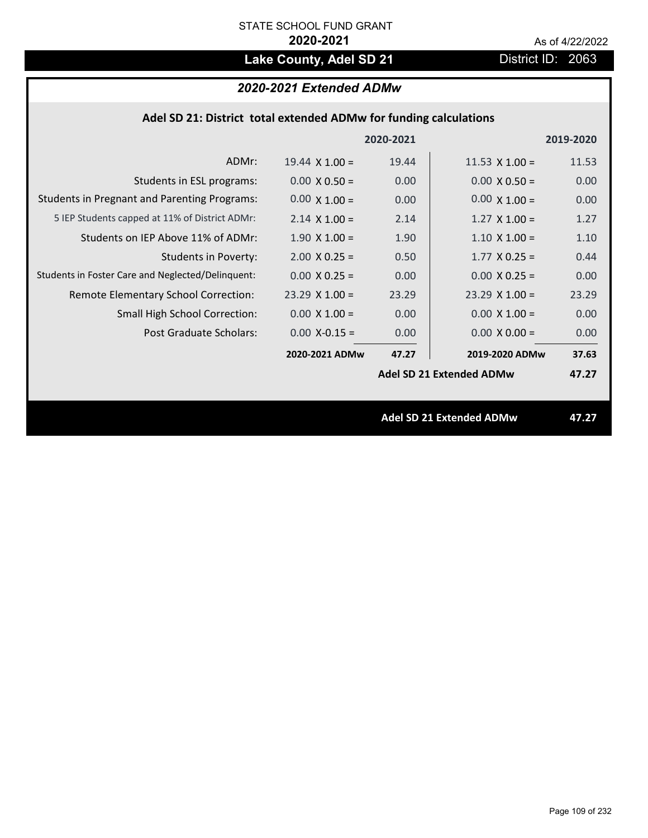# Lake County, Adel SD 21 District ID: 2063

# *2020-2021 Extended ADMw*

| Adel SD 21: District total extended ADMw for funding calculations |                       |           |                                 |           |
|-------------------------------------------------------------------|-----------------------|-----------|---------------------------------|-----------|
|                                                                   |                       | 2020-2021 |                                 | 2019-2020 |
| ADMr:                                                             | $19.44 \times 1.00 =$ | 19.44     | 11.53 $\times$ 1.00 =           | 11.53     |
| Students in ESL programs:                                         | $0.00 \times 0.50 =$  | 0.00      | $0.00 \times 0.50 =$            | 0.00      |
| <b>Students in Pregnant and Parenting Programs:</b>               | $0.00 \times 1.00 =$  | 0.00      | $0.00 \times 1.00 =$            | 0.00      |
| 5 IEP Students capped at 11% of District ADMr:                    | $2.14 \times 1.00 =$  | 2.14      | $1.27 \times 1.00 =$            | 1.27      |
| Students on IEP Above 11% of ADMr:                                | $1.90 \times 1.00 =$  | 1.90      | $1.10 \times 1.00 =$            | 1.10      |
| <b>Students in Poverty:</b>                                       | $2.00 \times 0.25 =$  | 0.50      | $1.77$ X 0.25 =                 | 0.44      |
| Students in Foster Care and Neglected/Delinquent:                 | $0.00 \times 0.25 =$  | 0.00      | $0.00 \times 0.25 =$            | 0.00      |
| Remote Elementary School Correction:                              | $23.29$ X $1.00 =$    | 23.29     | $23.29$ X 1.00 =                | 23.29     |
| Small High School Correction:                                     | $0.00 \times 1.00 =$  | 0.00      | $0.00 \times 1.00 =$            | 0.00      |
| Post Graduate Scholars:                                           | $0.00$ X-0.15 =       | 0.00      | $0.00 \times 0.00 =$            | 0.00      |
|                                                                   | 2020-2021 ADMw        | 47.27     | 2019-2020 ADMw                  | 37.63     |
|                                                                   |                       |           | <b>Adel SD 21 Extended ADMw</b> | 47.27     |
|                                                                   |                       |           | Adel SD 21 Extended ADMw        | 47.27     |
|                                                                   |                       |           |                                 |           |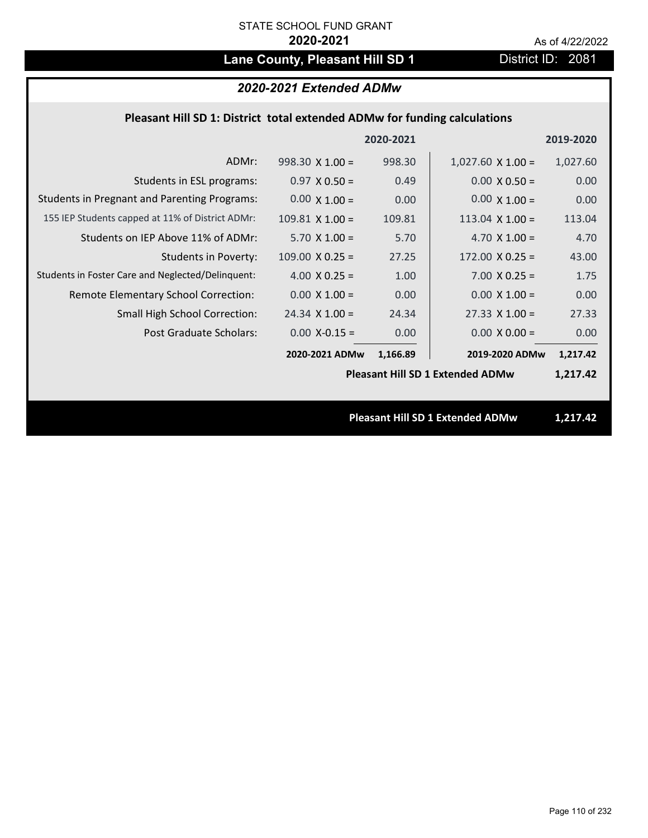# Lane County, Pleasant Hill SD 1 District ID: 2081

# *2020-2021 Extended ADMw*

## **Pleasant Hill SD 1: District total extended ADMw for funding calculations**

|                                                     |                                         | 2020-2021 |                                         | 2019-2020 |
|-----------------------------------------------------|-----------------------------------------|-----------|-----------------------------------------|-----------|
| ADMr:                                               | $998.30 \times 1.00 =$                  | 998.30    | $1,027.60 \times 1.00 =$                | 1,027.60  |
| Students in ESL programs:                           | $0.97 \times 0.50 =$                    | 0.49      | $0.00 \times 0.50 =$                    | 0.00      |
| <b>Students in Pregnant and Parenting Programs:</b> | $0.00 \times 1.00 =$                    | 0.00      | $0.00 \times 1.00 =$                    | 0.00      |
| 155 IEP Students capped at 11% of District ADMr:    | $109.81$ X $1.00 =$                     | 109.81    | $113.04 \times 1.00 =$                  | 113.04    |
| Students on IEP Above 11% of ADMr:                  | $5.70 \times 1.00 =$                    | 5.70      | 4.70 $X$ 1.00 =                         | 4.70      |
| <b>Students in Poverty:</b>                         | $109.00 \times 0.25 =$                  | 27.25     | $172.00 \times 0.25 =$                  | 43.00     |
| Students in Foster Care and Neglected/Delinquent:   | 4.00 $X$ 0.25 =                         | 1.00      | $7.00 \times 0.25 =$                    | 1.75      |
| Remote Elementary School Correction:                | $0.00 \times 1.00 =$                    | 0.00      | $0.00 \times 1.00 =$                    | 0.00      |
| <b>Small High School Correction:</b>                | $24.34 \times 1.00 =$                   | 24.34     | $27.33 \times 1.00 =$                   | 27.33     |
| Post Graduate Scholars:                             | $0.00$ X-0.15 =                         | 0.00      | $0.00 \times 0.00 =$                    | 0.00      |
|                                                     | 2020-2021 ADMw                          | 1,166.89  | 2019-2020 ADMw                          | 1,217.42  |
|                                                     | <b>Pleasant Hill SD 1 Extended ADMw</b> |           |                                         | 1,217.42  |
|                                                     |                                         |           |                                         |           |
|                                                     |                                         |           | <b>Pleasant Hill SD 1 Extended ADMw</b> | 1,217.42  |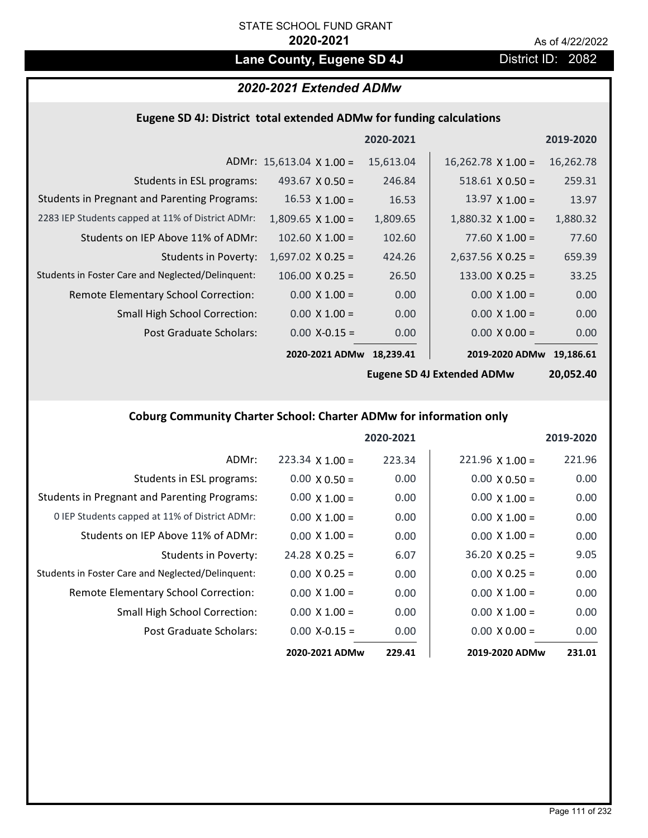# Lane County, Eugene SD 4J **District ID: 2082**

# *2020-2021 Extended ADMw*

# **Eugene SD 4J: District total extended ADMw for funding calculations**

|                                                     |                                 | 2020-2021 |                           | 2019-2020 |
|-----------------------------------------------------|---------------------------------|-----------|---------------------------|-----------|
|                                                     | ADMr: $15,613.04 \times 1.00 =$ | 15,613.04 | $16,262.78 \times 1.00 =$ | 16,262.78 |
| Students in ESL programs:                           | 493.67 $\times$ 0.50 =          | 246.84    | $518.61 \times 0.50 =$    | 259.31    |
| <b>Students in Pregnant and Parenting Programs:</b> | $16.53 \times 1.00 =$           | 16.53     | 13.97 $\times$ 1.00 =     | 13.97     |
| 2283 IEP Students capped at 11% of District ADMr:   | $1,809.65 \times 1.00 =$        | 1,809.65  | $1,880.32 \times 1.00 =$  | 1,880.32  |
| Students on IEP Above 11% of ADMr:                  | $102.60 \times 1.00 =$          | 102.60    | $77.60 \times 1.00 =$     | 77.60     |
| <b>Students in Poverty:</b>                         | $1,697.02$ X 0.25 =             | 424.26    | $2,637.56$ X 0.25 =       | 659.39    |
| Students in Foster Care and Neglected/Delinquent:   | $106.00 \times 0.25 =$          | 26.50     | $133.00 \times 0.25 =$    | 33.25     |
| Remote Elementary School Correction:                | $0.00 \times 1.00 =$            | 0.00      | $0.00 \times 1.00 =$      | 0.00      |
| <b>Small High School Correction:</b>                | $0.00 \times 1.00 =$            | 0.00      | $0.00 \times 1.00 =$      | 0.00      |
| Post Graduate Scholars:                             | $0.00$ X-0.15 =                 | 0.00      | $0.00 \times 0.00 =$      | 0.00      |
|                                                     | 2020-2021 ADMw                  | 18.239.41 | 2019-2020 ADMw            | 19.186.61 |

**Eugene SD 4J Extended ADMw**

**20,052.40**

# **Coburg Community Charter School: Charter ADMw for information only**

|                                                     |                        | 2020-2021 |                        | 2019-2020 |
|-----------------------------------------------------|------------------------|-----------|------------------------|-----------|
| ADMr:                                               | $223.34 \times 1.00 =$ | 223.34    | $221.96 \times 1.00 =$ | 221.96    |
| Students in ESL programs:                           | $0.00 \times 0.50 =$   | 0.00      | $0.00 \times 0.50 =$   | 0.00      |
| <b>Students in Pregnant and Parenting Programs:</b> | $0.00 \times 1.00 =$   | 0.00      | $0.00 \times 1.00 =$   | 0.00      |
| 0 IEP Students capped at 11% of District ADMr:      | $0.00 \times 1.00 =$   | 0.00      | $0.00 \times 1.00 =$   | 0.00      |
| Students on IEP Above 11% of ADMr:                  | $0.00 \times 1.00 =$   | 0.00      | $0.00 \times 1.00 =$   | 0.00      |
| Students in Poverty:                                | $24.28 \times 0.25 =$  | 6.07      | $36.20 \times 0.25 =$  | 9.05      |
| Students in Foster Care and Neglected/Delinquent:   | $0.00 \times 0.25 =$   | 0.00      | $0.00 \times 0.25 =$   | 0.00      |
| Remote Elementary School Correction:                | $0.00 \times 1.00 =$   | 0.00      | $0.00 \times 1.00 =$   | 0.00      |
| <b>Small High School Correction:</b>                | $0.00 \times 1.00 =$   | 0.00      | $0.00 \times 1.00 =$   | 0.00      |
| Post Graduate Scholars:                             | $0.00$ X-0.15 =        | 0.00      | $0.00 \times 0.00 =$   | 0.00      |
|                                                     | 2020-2021 ADMw         | 229.41    | 2019-2020 ADMw         | 231.01    |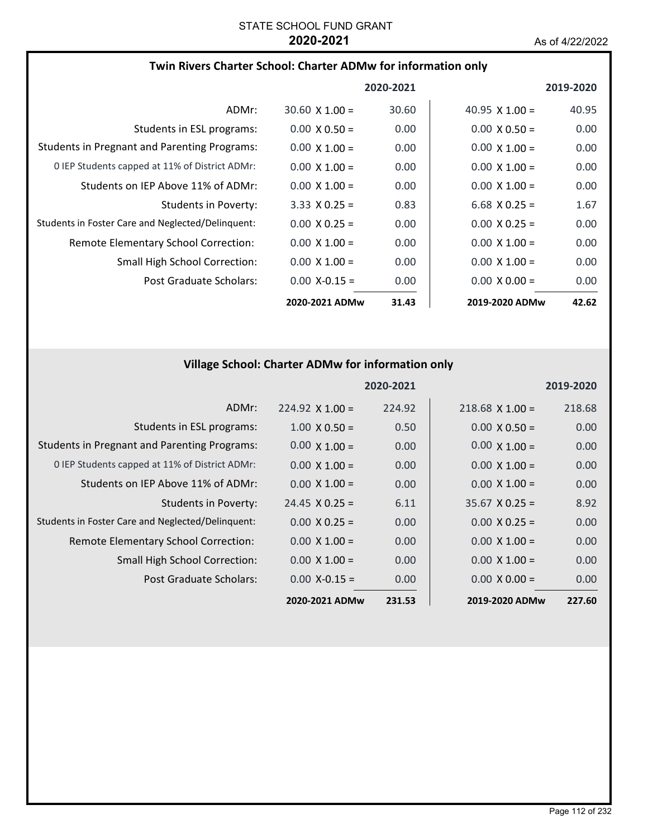## **Twin Rivers Charter School: Charter ADMw for information only**

|                                                     |                       | 2020-2021 |                       | 2019-2020         |
|-----------------------------------------------------|-----------------------|-----------|-----------------------|-------------------|
| ADMr:                                               | $30.60 \times 1.00 =$ | 30.60     | $40.95 \times 1.00 =$ | 40.95             |
| Students in ESL programs:                           | $0.00 \times 0.50 =$  | 0.00      | $0.00 \times 0.50 =$  | 0.00              |
| <b>Students in Pregnant and Parenting Programs:</b> | $0.00 \times 1.00 =$  | 0.00      | $0.00 \times 1.00 =$  | 0.00              |
| 0 IEP Students capped at 11% of District ADMr:      | $0.00 \times 1.00 =$  | 0.00      | $0.00 \times 1.00 =$  | 0.00              |
| Students on IEP Above 11% of ADMr:                  | $0.00 \times 1.00 =$  | 0.00      | $0.00 \times 1.00 =$  | 0.00 <sub>1</sub> |
| Students in Poverty:                                | $3.33 \times 0.25 =$  | 0.83      | $6.68$ X 0.25 =       | 1.67              |
| Students in Foster Care and Neglected/Delinquent:   | $0.00 \times 0.25 =$  | 0.00      | $0.00 \times 0.25 =$  | 0.00              |
| <b>Remote Elementary School Correction:</b>         | $0.00 \times 1.00 =$  | 0.00      | $0.00 \times 1.00 =$  | 0.00              |
| <b>Small High School Correction:</b>                | $0.00 \times 1.00 =$  | 0.00      | $0.00 \times 1.00 =$  | 0.00              |
| Post Graduate Scholars:                             | $0.00 X - 0.15 =$     | 0.00      | $0.00 \times 0.00 =$  | 0.00              |
|                                                     | 2020-2021 ADMw        | 31.43     | 2019-2020 ADMw        | 42.62             |

# **Village School: Charter ADMw for information only**

|                                                     |                       | 2020-2021 |                       | 2019-2020 |
|-----------------------------------------------------|-----------------------|-----------|-----------------------|-----------|
| ADMr:                                               | $224.92$ X 1.00 =     | 224.92    | $218.68$ X 1.00 =     | 218.68    |
| Students in ESL programs:                           | $1.00 \times 0.50 =$  | 0.50      | $0.00 \times 0.50 =$  | 0.00      |
| <b>Students in Pregnant and Parenting Programs:</b> | $0.00 \times 1.00 =$  | 0.00      | $0.00 \times 1.00 =$  | 0.00      |
| 0 IEP Students capped at 11% of District ADMr:      | $0.00 \times 1.00 =$  | 0.00      | $0.00 \times 1.00 =$  | 0.00      |
| Students on IEP Above 11% of ADMr:                  | $0.00 \times 1.00 =$  | 0.00      | $0.00 \times 1.00 =$  | 0.00      |
| <b>Students in Poverty:</b>                         | $24.45 \times 0.25 =$ | 6.11      | $35.67 \times 0.25 =$ | 8.92      |
| Students in Foster Care and Neglected/Delinquent:   | $0.00 \times 0.25 =$  | 0.00      | $0.00 \times 0.25 =$  | 0.00      |
| Remote Elementary School Correction:                | $0.00 \times 1.00 =$  | 0.00      | $0.00 \times 1.00 =$  | 0.00      |
| <b>Small High School Correction:</b>                | $0.00 \times 1.00 =$  | 0.00      | $0.00 \times 1.00 =$  | 0.00      |
| Post Graduate Scholars:                             | $0.00 X - 0.15 =$     | 0.00      | $0.00 \times 0.00 =$  | 0.00      |
|                                                     | 2020-2021 ADMw        | 231.53    | 2019-2020 ADMw        | 227.60    |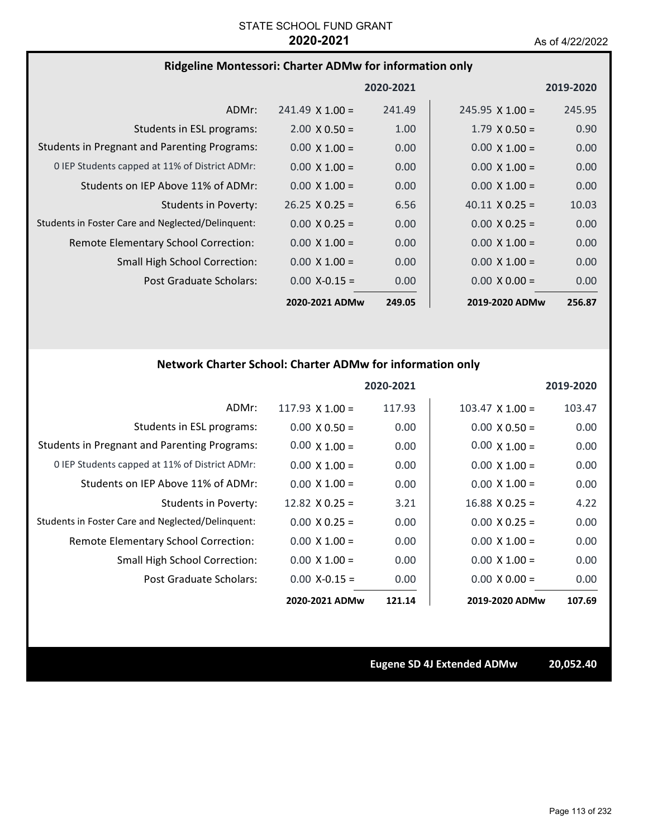## **Ridgeline Montessori: Charter ADMw for information only**

|                                                     |                        | 2020-2021 |                        | 2019-2020         |
|-----------------------------------------------------|------------------------|-----------|------------------------|-------------------|
| ADMr:                                               | $241.49 \times 1.00 =$ | 241.49    | $245.95 \times 1.00 =$ | 245.95            |
| Students in ESL programs:                           | $2.00 \times 0.50 =$   | 1.00      | $1.79 \times 0.50 =$   | 0.90              |
| <b>Students in Pregnant and Parenting Programs:</b> | $0.00 \times 1.00 =$   | 0.00      | $0.00 \times 1.00 =$   | 0.00              |
| 0 IEP Students capped at 11% of District ADMr:      | $0.00 \times 1.00 =$   | 0.00      | $0.00 \times 1.00 =$   | 0.00 <sub>1</sub> |
| Students on IEP Above 11% of ADMr:                  | $0.00 \times 1.00 =$   | 0.00      | $0.00 \times 1.00 =$   | 0.00              |
| Students in Poverty:                                | $26.25 \times 0.25 =$  | 6.56      | $40.11 \times 0.25 =$  | 10.03             |
| Students in Foster Care and Neglected/Delinquent:   | $0.00 \times 0.25 =$   | 0.00      | $0.00 \times 0.25 =$   | 0.00              |
| Remote Elementary School Correction:                | $0.00 \times 1.00 =$   | 0.00      | $0.00 \times 1.00 =$   | 0.00              |
| <b>Small High School Correction:</b>                | $0.00 \times 1.00 =$   | 0.00      | $0.00 \times 1.00 =$   | 0.00              |
| Post Graduate Scholars:                             | $0.00$ X-0.15 =        | 0.00      | $0.00 \times 0.00 =$   | 0.00              |
|                                                     | 2020-2021 ADMw         | 249.05    | 2019-2020 ADMw         | 256.87            |

# **Network Charter School: Charter ADMw for information only**

|                                                     |                       | 2020-2021 |                        | 2019-2020 |
|-----------------------------------------------------|-----------------------|-----------|------------------------|-----------|
| ADMr:                                               | $117.93$ X $1.00 =$   | 117.93    | $103.47 \times 1.00 =$ | 103.47    |
| Students in ESL programs:                           | $0.00 \times 0.50 =$  | 0.00      | $0.00 \times 0.50 =$   | 0.00      |
| <b>Students in Pregnant and Parenting Programs:</b> | $0.00 \times 1.00 =$  | 0.00      | $0.00 \times 1.00 =$   | 0.00      |
| 0 IEP Students capped at 11% of District ADMr:      | $0.00 \times 1.00 =$  | 0.00      | $0.00 \times 1.00 =$   | 0.00      |
| Students on IFP Above 11% of ADMr:                  | $0.00 \times 1.00 =$  | 0.00      | $0.00 \times 1.00 =$   | 0.00      |
| <b>Students in Poverty:</b>                         | $12.82 \times 0.25 =$ | 3.21      | $16.88 \times 0.25 =$  | 4.22      |
| Students in Foster Care and Neglected/Delinquent:   | $0.00 \times 0.25 =$  | 0.00      | $0.00 \times 0.25 =$   | 0.00      |
| Remote Elementary School Correction:                | $0.00 \times 1.00 =$  | 0.00      | $0.00 \times 1.00 =$   | 0.00      |
| <b>Small High School Correction:</b>                | $0.00 \times 1.00 =$  | 0.00      | $0.00 \times 1.00 =$   | 0.00      |
| Post Graduate Scholars:                             | $0.00$ X-0.15 =       | 0.00      | $0.00 \times 0.00 =$   | 0.00      |
|                                                     | 2020-2021 ADMw        | 121.14    | 2019-2020 ADMw         | 107.69    |

**Eugene SD 4J Extended ADMw 20,052.40**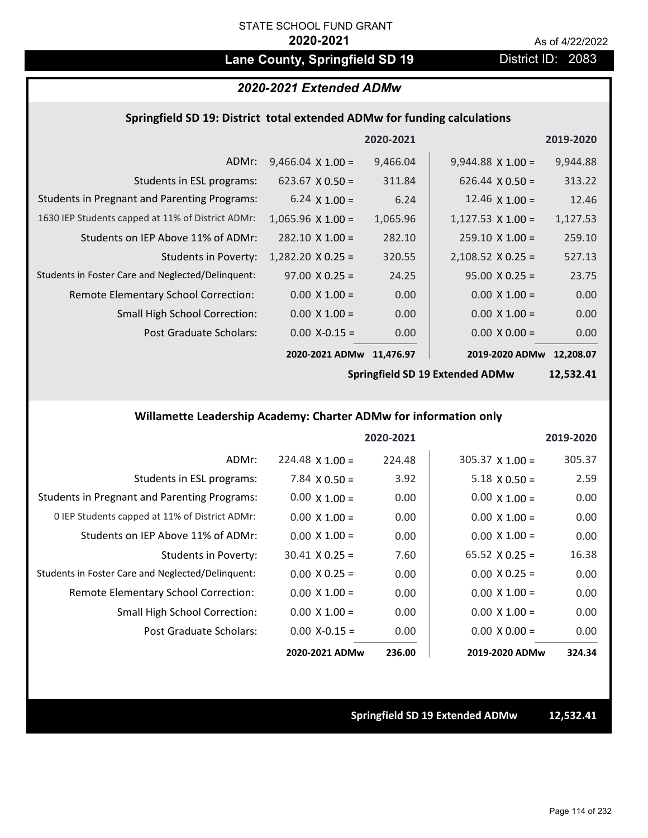# Lane County, Springfield SD 19 **District ID: 2083**

# *2020-2021 Extended ADMw*

## **Springfield SD 19: District total extended ADMw for funding calculations**

|                                                     |                          | 2020-2021 |                          | 2019-2020 |
|-----------------------------------------------------|--------------------------|-----------|--------------------------|-----------|
| ADMr:                                               | $9,466.04 \times 1.00 =$ | 9,466.04  | $9,944.88 \times 1.00 =$ | 9,944.88  |
| Students in ESL programs:                           | $623.67 \times 0.50 =$   | 311.84    | $626.44 \times 0.50 =$   | 313.22    |
| <b>Students in Pregnant and Parenting Programs:</b> | 6.24 $\times$ 1.00 =     | 6.24      | 12.46 $\times$ 1.00 =    | 12.46     |
| 1630 IEP Students capped at 11% of District ADMr:   | $1,065.96 \times 1.00 =$ | 1,065.96  | $1,127.53 \times 1.00 =$ | 1,127.53  |
| Students on IEP Above 11% of ADMr:                  | $282.10 \times 1.00 =$   | 282.10    | $259.10 \times 1.00 =$   | 259.10    |
| <b>Students in Poverty:</b>                         | $1,282.20 \times 0.25 =$ | 320.55    | $2,108.52 \times 0.25 =$ | 527.13    |
| Students in Foster Care and Neglected/Delinquent:   | $97.00 \times 0.25 =$    | 24.25     | $95.00 \times 0.25 =$    | 23.75     |
| Remote Elementary School Correction:                | $0.00 \times 1.00 =$     | 0.00      | $0.00 \times 1.00 =$     | 0.00      |
| <b>Small High School Correction:</b>                | $0.00 \times 1.00 =$     | 0.00      | $0.00 \times 1.00 =$     | 0.00      |
| Post Graduate Scholars:                             | $0.00$ X-0.15 =          | 0.00      | $0.00 \times 0.00 =$     | 0.00      |
|                                                     | 2020-2021 ADMw           | 11,476.97 | 2019-2020 ADMw           | 12.208.07 |

**Springfield SD 19 Extended ADMw**

**12,532.41**

# **Willamette Leadership Academy: Charter ADMw for information only**

|                                                     |                        | 2020-2021 |                       | 2019-2020 |
|-----------------------------------------------------|------------------------|-----------|-----------------------|-----------|
| ADMr:                                               | $224.48 \times 1.00 =$ | 224.48    | $305.37$ X 1.00 =     | 305.37    |
| Students in ESL programs:                           | $7.84 \times 0.50 =$   | 3.92      | $5.18 \times 0.50 =$  | 2.59      |
| <b>Students in Pregnant and Parenting Programs:</b> | $0.00 \times 1.00 =$   | 0.00      | $0.00 \times 1.00 =$  | 0.00      |
| 0 IEP Students capped at 11% of District ADMr:      | $0.00 \times 1.00 =$   | 0.00      | $0.00 \times 1.00 =$  | 0.00      |
| Students on IEP Above 11% of ADMr:                  | $0.00 \times 1.00 =$   | 0.00      | $0.00 \times 1.00 =$  | 0.00      |
| Students in Poverty:                                | $30.41 \times 0.25 =$  | 7.60      | $65.52 \times 0.25 =$ | 16.38     |
| Students in Foster Care and Neglected/Delinquent:   | $0.00 \times 0.25 =$   | 0.00      | $0.00 \times 0.25 =$  | 0.00      |
| Remote Elementary School Correction:                | $0.00 \times 1.00 =$   | 0.00      | $0.00 \times 1.00 =$  | 0.00      |
| <b>Small High School Correction:</b>                | $0.00 \times 1.00 =$   | 0.00      | $0.00 \times 1.00 =$  | 0.00      |
| Post Graduate Scholars:                             | $0.00$ X-0.15 =        | 0.00      | $0.00 \times 0.00 =$  | 0.00      |
|                                                     | 2020-2021 ADMw         | 236.00    | 2019-2020 ADMw        | 324.34    |

**Springfield SD 19 Extended ADMw 12,532.41**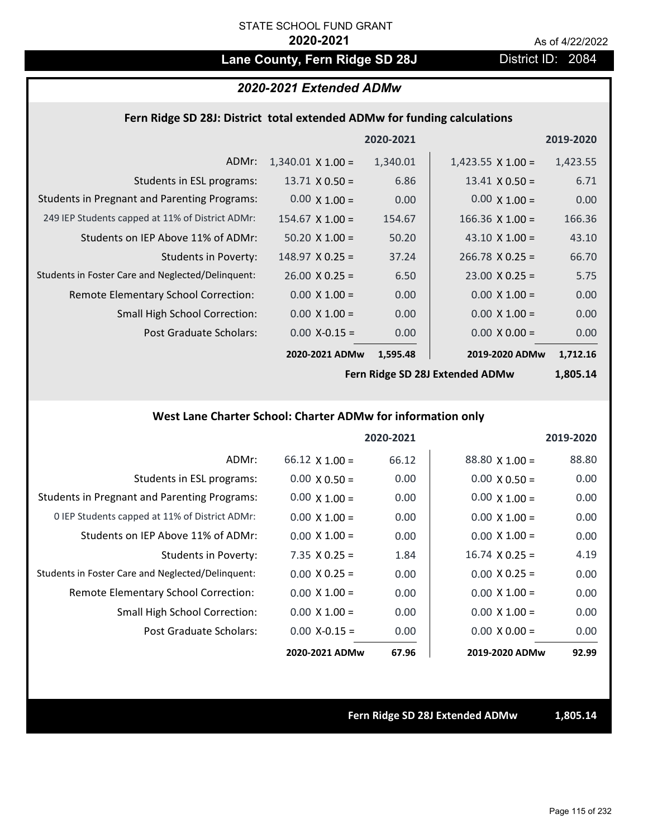# Lane County, Fern Ridge SD 28J **District ID: 2084**

## *2020-2021 Extended ADMw*

## **Fern Ridge SD 28J: District total extended ADMw for funding calculations**

|                                                     |                          | 2020-2021 |                          | 2019-2020 |
|-----------------------------------------------------|--------------------------|-----------|--------------------------|-----------|
| ADMr:                                               | $1,340.01 \times 1.00 =$ | 1,340.01  | $1,423.55 \times 1.00 =$ | 1,423.55  |
| Students in ESL programs:                           | $13.71 \times 0.50 =$    | 6.86      | $13.41 \times 0.50 =$    | 6.71      |
| <b>Students in Pregnant and Parenting Programs:</b> | $0.00 \times 1.00 =$     | 0.00      | $0.00 \times 1.00 =$     | 0.00      |
| 249 IEP Students capped at 11% of District ADMr:    | $154.67 \times 1.00 =$   | 154.67    | $166.36$ X $1.00 =$      | 166.36    |
| Students on IEP Above 11% of ADMr:                  | $50.20 \times 1.00 =$    | 50.20     | 43.10 $\times$ 1.00 =    | 43.10     |
| <b>Students in Poverty:</b>                         | $148.97 \times 0.25 =$   | 37.24     | $266.78 \times 0.25 =$   | 66.70     |
| Students in Foster Care and Neglected/Delinquent:   | $26.00 \times 0.25 =$    | 6.50      | $23.00 \times 0.25 =$    | 5.75      |
| Remote Elementary School Correction:                | $0.00 \times 1.00 =$     | 0.00      | $0.00 \times 1.00 =$     | 0.00      |
| <b>Small High School Correction:</b>                | $0.00 \times 1.00 =$     | 0.00      | $0.00 \times 1.00 =$     | 0.00      |
| Post Graduate Scholars:                             | $0.00$ X-0.15 =          | 0.00      | $0.00 \times 0.00 =$     | 0.00      |
|                                                     | 2020-2021 ADMw           | 1,595.48  | 2019-2020 ADMw           | 1,712.16  |

**Fern Ridge SD 28J Extended ADMw**

**1,805.14**

## **West Lane Charter School: Charter ADMw for information only**

|                                                     |                       | 2020-2021 |                       | 2019-2020 |
|-----------------------------------------------------|-----------------------|-----------|-----------------------|-----------|
| ADMr:                                               | $66.12 \times 1.00 =$ | 66.12     | $88.80 \times 1.00 =$ | 88.80     |
| Students in ESL programs:                           | $0.00 \times 0.50 =$  | 0.00      | $0.00 \times 0.50 =$  | 0.00      |
| <b>Students in Pregnant and Parenting Programs:</b> | $0.00 \times 1.00 =$  | 0.00      | $0.00 \times 1.00 =$  | 0.00      |
| 0 IEP Students capped at 11% of District ADMr:      | $0.00 \times 1.00 =$  | 0.00      | $0.00 \times 1.00 =$  | 0.00      |
| Students on IEP Above 11% of ADMr:                  | $0.00 \times 1.00 =$  | 0.00      | $0.00 \times 1.00 =$  | 0.00      |
| Students in Poverty:                                | $7.35 \times 0.25 =$  | 1.84      | $16.74 \times 0.25 =$ | 4.19      |
| Students in Foster Care and Neglected/Delinquent:   | $0.00 \times 0.25 =$  | 0.00      | $0.00 \times 0.25 =$  | 0.00      |
| Remote Elementary School Correction:                | $0.00 \times 1.00 =$  | 0.00      | $0.00 \times 1.00 =$  | 0.00      |
| <b>Small High School Correction:</b>                | $0.00 \times 1.00 =$  | 0.00      | $0.00 \times 1.00 =$  | 0.00      |
| Post Graduate Scholars:                             | $0.00$ X-0.15 =       | 0.00      | $0.00 \times 0.00 =$  | 0.00      |
|                                                     | 2020-2021 ADMw        | 67.96     | 2019-2020 ADMw        | 92.99     |

**Fern Ridge SD 28J Extended ADMw 1,805.14**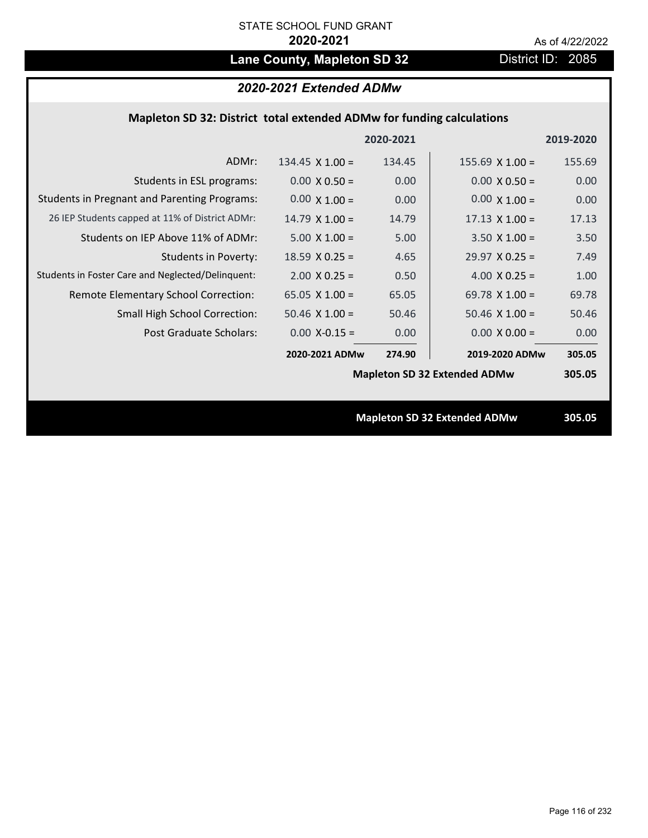# Lane County, Mapleton SD 32 District ID: 2085

# *2020-2021 Extended ADMw*

# **Mapleton SD 32: District total extended ADMw for funding calculations**

|                                                     |                        | 2020-2021 |                                     | 2019-2020 |
|-----------------------------------------------------|------------------------|-----------|-------------------------------------|-----------|
| ADMr:                                               | 134.45 $\times$ 1.00 = | 134.45    | $155.69$ X 1.00 =                   | 155.69    |
| Students in ESL programs:                           | $0.00 \times 0.50 =$   | 0.00      | $0.00 \times 0.50 =$                | 0.00      |
| <b>Students in Pregnant and Parenting Programs:</b> | $0.00 \times 1.00 =$   | 0.00      | $0.00 \times 1.00 =$                | 0.00      |
| 26 IEP Students capped at 11% of District ADMr:     | $14.79 \times 1.00 =$  | 14.79     | $17.13 \times 1.00 =$               | 17.13     |
| Students on IEP Above 11% of ADMr:                  | $5.00 \times 1.00 =$   | 5.00      | $3.50 X 1.00 =$                     | 3.50      |
| <b>Students in Poverty:</b>                         | $18.59$ X 0.25 =       | 4.65      | $29.97$ X 0.25 =                    | 7.49      |
| Students in Foster Care and Neglected/Delinquent:   | $2.00 \times 0.25 =$   | 0.50      | 4.00 $X$ 0.25 =                     | 1.00      |
| Remote Elementary School Correction:                | 65.05 $X$ 1.00 =       | 65.05     | 69.78 $X$ 1.00 =                    | 69.78     |
| <b>Small High School Correction:</b>                | $50.46$ X $1.00 =$     | 50.46     | $50.46$ X 1.00 =                    | 50.46     |
| Post Graduate Scholars:                             | $0.00$ X-0.15 =        | 0.00      | $0.00 \times 0.00 =$                | 0.00      |
|                                                     | 2020-2021 ADMw         | 274.90    | 2019-2020 ADMw                      | 305.05    |
|                                                     |                        |           | <b>Mapleton SD 32 Extended ADMw</b> | 305.05    |
|                                                     |                        |           |                                     |           |
|                                                     |                        |           | <b>Mapleton SD 32 Extended ADMw</b> | 305.05    |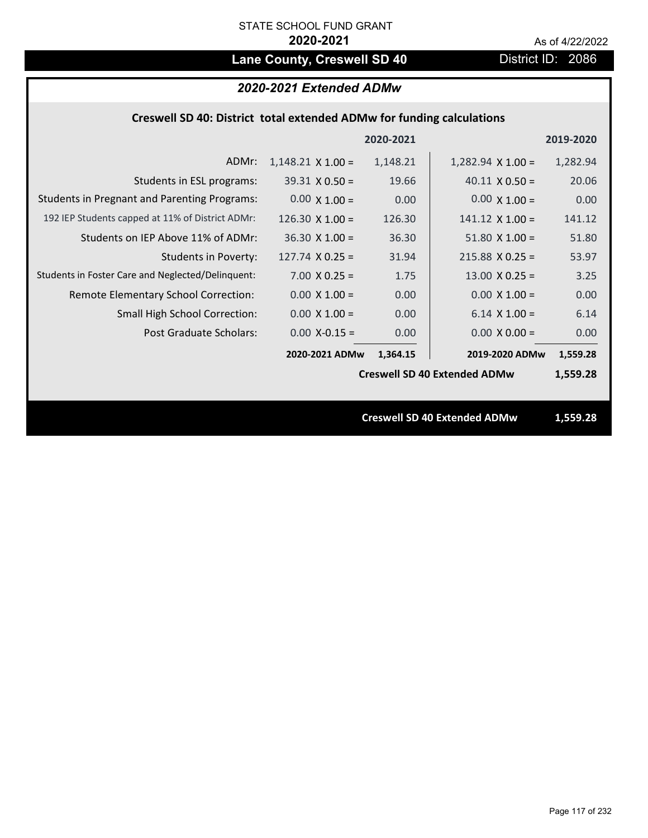# Lane County, Creswell SD 40 **District ID: 2086**

# *2020-2021 Extended ADMw*

|  | Creswell SD 40: District total extended ADMw for funding calculations |  |
|--|-----------------------------------------------------------------------|--|
|--|-----------------------------------------------------------------------|--|

|                                                     |                          | 2020-2021 |                                     | 2019-2020 |
|-----------------------------------------------------|--------------------------|-----------|-------------------------------------|-----------|
| ADMr:                                               | $1,148.21 \times 1.00 =$ | 1,148.21  | $1,282.94 \times 1.00 =$            | 1,282.94  |
| Students in ESL programs:                           | $39.31 \times 0.50 =$    | 19.66     | $40.11 \times 0.50 =$               | 20.06     |
| <b>Students in Pregnant and Parenting Programs:</b> | $0.00 \times 1.00 =$     | 0.00      | $0.00 \times 1.00 =$                | 0.00      |
| 192 IEP Students capped at 11% of District ADMr:    | 126.30 $\times$ 1.00 =   | 126.30    | $141.12 \times 1.00 =$              | 141.12    |
| Students on IEP Above 11% of ADMr:                  | $36.30 \times 1.00 =$    | 36.30     | $51.80$ X $1.00 =$                  | 51.80     |
| <b>Students in Poverty:</b>                         | $127.74$ X 0.25 =        | 31.94     | $215.88$ X 0.25 =                   | 53.97     |
| Students in Foster Care and Neglected/Delinquent:   | $7.00 \times 0.25 =$     | 1.75      | $13.00 \times 0.25 =$               | 3.25      |
| Remote Elementary School Correction:                | $0.00 \times 1.00 =$     | 0.00      | $0.00 \times 1.00 =$                | 0.00      |
| <b>Small High School Correction:</b>                | $0.00 \times 1.00 =$     | 0.00      | $6.14 \times 1.00 =$                | 6.14      |
| Post Graduate Scholars:                             | $0.00$ X-0.15 =          | 0.00      | $0.00 \times 0.00 =$                | 0.00      |
|                                                     | 2020-2021 ADMw           | 1,364.15  | 2019-2020 ADMw                      | 1,559.28  |
|                                                     |                          |           | <b>Creswell SD 40 Extended ADMw</b> | 1,559.28  |
|                                                     |                          |           |                                     |           |
|                                                     |                          |           | <b>Creswell SD 40 Extended ADMw</b> | 1,559.28  |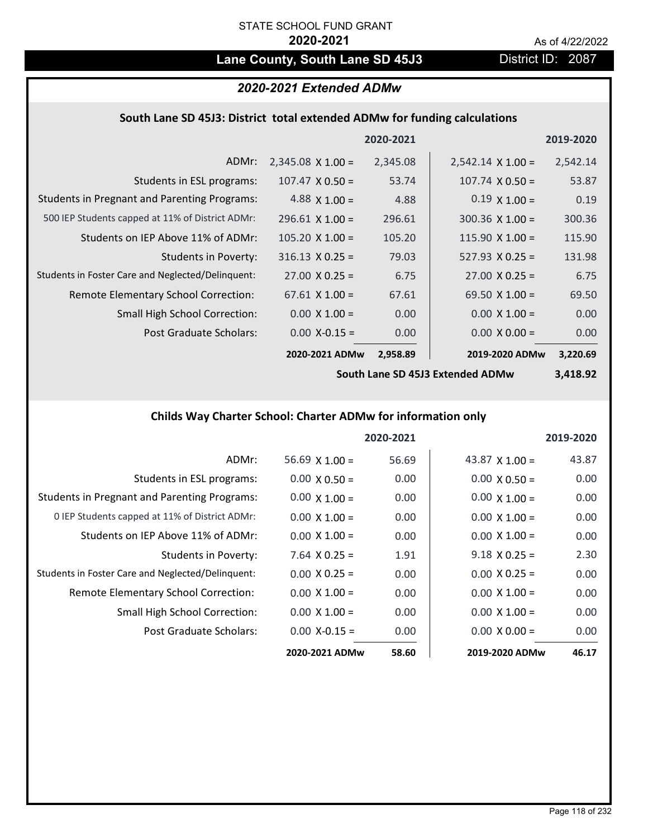# Lane County, South Lane SD 45J3 District ID: 2087

# *2020-2021 Extended ADMw*

# **South Lane SD 45J3: District total extended ADMw for funding calculations**

|                                                     |                          | 2020-2021 |                          | 2019-2020 |
|-----------------------------------------------------|--------------------------|-----------|--------------------------|-----------|
| ADMr:                                               | $2,345.08 \times 1.00 =$ | 2,345.08  | $2,542.14 \times 1.00 =$ | 2,542.14  |
| Students in ESL programs:                           | $107.47 \times 0.50 =$   | 53.74     | $107.74 \times 0.50 =$   | 53.87     |
| <b>Students in Pregnant and Parenting Programs:</b> | 4.88 $\times$ 1.00 =     | 4.88      | $0.19 \times 1.00 =$     | 0.19      |
| 500 IEP Students capped at 11% of District ADMr:    | $296.61$ X 1.00 =        | 296.61    | $300.36 \times 1.00 =$   | 300.36    |
| Students on IEP Above 11% of ADMr:                  | $105.20 \times 1.00 =$   | 105.20    | $115.90 \times 1.00 =$   | 115.90    |
| <b>Students in Poverty:</b>                         | $316.13 \times 0.25 =$   | 79.03     | $527.93 \times 0.25 =$   | 131.98    |
| Students in Foster Care and Neglected/Delinquent:   | $27.00 \times 0.25 =$    | 6.75      | $27.00 \times 0.25 =$    | 6.75      |
| Remote Elementary School Correction:                | $67.61 \times 1.00 =$    | 67.61     | 69.50 $\times$ 1.00 =    | 69.50     |
| <b>Small High School Correction:</b>                | $0.00 \times 1.00 =$     | 0.00      | $0.00 \times 1.00 =$     | 0.00      |
| Post Graduate Scholars:                             | $0.00$ X-0.15 =          | 0.00      | $0.00 \times 0.00 =$     | 0.00      |
|                                                     | 2020-2021 ADMw           | 2,958.89  | 2019-2020 ADMw           | 3,220.69  |

**South Lane SD 45J3 Extended ADMw**

**3,418.92**

# **Childs Way Charter School: Charter ADMw for information only**

|                                                     |                       | 2020-2021 |                       | 2019-2020 |
|-----------------------------------------------------|-----------------------|-----------|-----------------------|-----------|
| ADMr:                                               | $56.69 \times 1.00 =$ | 56.69     | 43.87 $\times$ 1.00 = | 43.87     |
| Students in ESL programs:                           | $0.00 \times 0.50 =$  | 0.00      | $0.00 \times 0.50 =$  | 0.00      |
| <b>Students in Pregnant and Parenting Programs:</b> | $0.00 \times 1.00 =$  | 0.00      | $0.00 \times 1.00 =$  | 0.00      |
| 0 IEP Students capped at 11% of District ADMr:      | $0.00 \times 1.00 =$  | 0.00      | $0.00 \times 1.00 =$  | 0.00      |
| Students on IEP Above 11% of ADMr:                  | $0.00 \times 1.00 =$  | 0.00      | $0.00 \times 1.00 =$  | 0.00      |
| Students in Poverty:                                | $7.64$ X 0.25 =       | 1.91      | $9.18 \times 0.25 =$  | 2.30      |
| Students in Foster Care and Neglected/Delinquent:   | $0.00 \times 0.25 =$  | 0.00      | $0.00 \times 0.25 =$  | 0.00      |
| Remote Elementary School Correction:                | $0.00 \times 1.00 =$  | 0.00      | $0.00 \times 1.00 =$  | 0.00      |
| <b>Small High School Correction:</b>                | $0.00 \times 1.00 =$  | 0.00      | $0.00 \times 1.00 =$  | 0.00      |
| Post Graduate Scholars:                             | $0.00 X - 0.15 =$     | 0.00      | $0.00 \times 0.00 =$  | 0.00      |
|                                                     | 2020-2021 ADMw        | 58.60     | 2019-2020 ADMw        | 46.17     |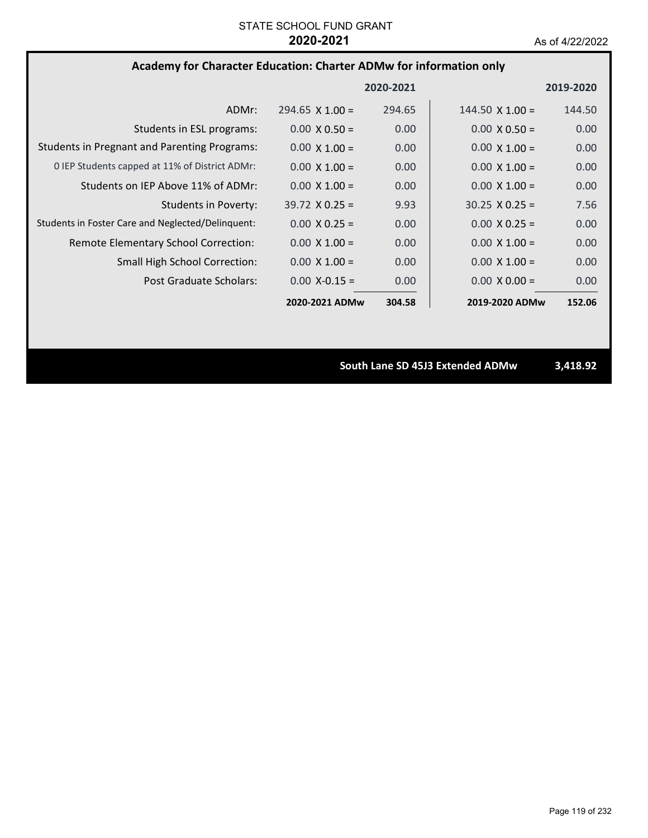# **Academy for Character Education: Charter ADMw for information only**

|                                                     |                        | 2020-2021 |                        | 2019-2020 |
|-----------------------------------------------------|------------------------|-----------|------------------------|-----------|
| ADMr:                                               | $294.65 \times 1.00 =$ | 294.65    | $144.50 \times 1.00 =$ | 144.50    |
| Students in ESL programs:                           | $0.00 \times 0.50 =$   | 0.00      | $0.00 \times 0.50 =$   | 0.00      |
| <b>Students in Pregnant and Parenting Programs:</b> | $0.00 \times 1.00 =$   | 0.00      | $0.00 \times 1.00 =$   | 0.00      |
| 0 IEP Students capped at 11% of District ADMr:      | $0.00 \times 1.00 =$   | 0.00      | $0.00 \times 1.00 =$   | 0.00      |
| Students on IEP Above 11% of ADMr:                  | $0.00 \times 1.00 =$   | 0.00      | $0.00 \times 1.00 =$   | 0.00      |
| Students in Poverty:                                | $39.72 \times 0.25 =$  | 9.93      | $30.25 \times 0.25 =$  | 7.56      |
| Students in Foster Care and Neglected/Delinquent:   | $0.00 \times 0.25 =$   | 0.00      | $0.00 \times 0.25 =$   | 0.00      |
| Remote Elementary School Correction:                | $0.00 \times 1.00 =$   | 0.00      | $0.00 \times 1.00 =$   | 0.00      |
| <b>Small High School Correction:</b>                | $0.00 \times 1.00 =$   | 0.00      | $0.00 \times 1.00 =$   | 0.00      |
| Post Graduate Scholars:                             | $0.00 X - 0.15 =$      | 0.00      | $0.00 \times 0.00 =$   | 0.00      |
|                                                     | 2020-2021 ADMw         | 304.58    | 2019-2020 ADMw         | 152.06    |

**South Lane SD 45J3 Extended ADMw 3,418.92**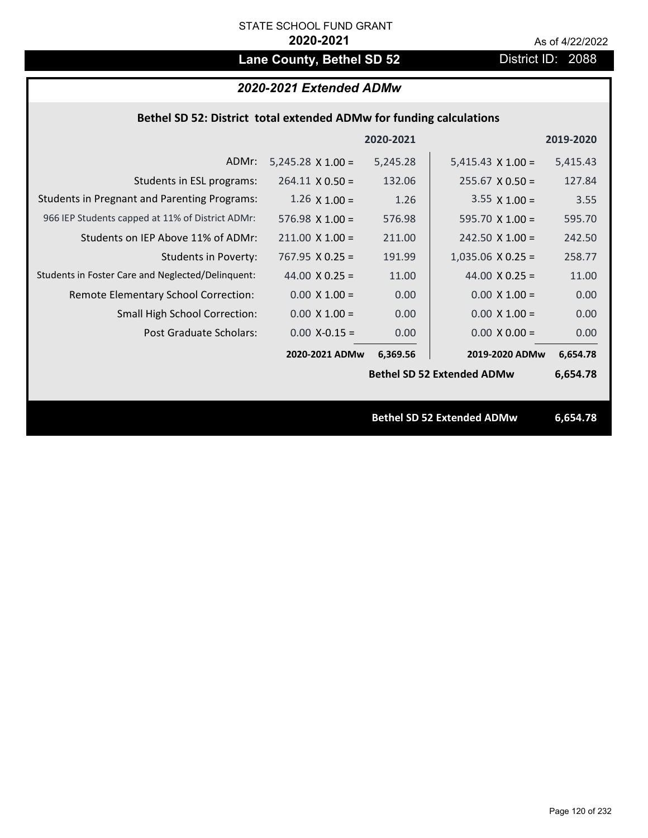# Lane County, Bethel SD 52 District ID: 2088

# *2020-2021 Extended ADMw*

## **Bethel SD 52: District total extended ADMw for funding calculations**

|                                                     |                          | 2020-2021 |                                   | 2019-2020 |
|-----------------------------------------------------|--------------------------|-----------|-----------------------------------|-----------|
| ADMr:                                               | $5,245.28 \times 1.00 =$ | 5,245.28  | $5,415.43 \times 1.00 =$          | 5,415.43  |
| Students in ESL programs:                           | $264.11 \times 0.50 =$   | 132.06    | $255.67$ X 0.50 =                 | 127.84    |
| <b>Students in Pregnant and Parenting Programs:</b> | $1.26 \times 1.00 =$     | 1.26      | $3.55 \times 1.00 =$              | 3.55      |
| 966 IEP Students capped at 11% of District ADMr:    | 576.98 $X$ 1.00 =        | 576.98    | 595.70 $X$ 1.00 =                 | 595.70    |
| Students on IEP Above 11% of ADMr:                  | $211.00 \times 1.00 =$   | 211.00    | $242.50$ X 1.00 =                 | 242.50    |
| <b>Students in Poverty:</b>                         | $767.95 \times 0.25 =$   | 191.99    | $1,035.06$ X 0.25 =               | 258.77    |
| Students in Foster Care and Neglected/Delinquent:   | 44.00 $X$ 0.25 =         | 11.00     | 44.00 $X$ 0.25 =                  | 11.00     |
| Remote Elementary School Correction:                | $0.00 \times 1.00 =$     | 0.00      | $0.00 \times 1.00 =$              | 0.00      |
| <b>Small High School Correction:</b>                | $0.00 \times 1.00 =$     | 0.00      | $0.00 \times 1.00 =$              | 0.00      |
| Post Graduate Scholars:                             | $0.00$ X-0.15 =          | 0.00      | $0.00 \times 0.00 =$              | 0.00      |
|                                                     | 2020-2021 ADMw           | 6,369.56  | 2019-2020 ADMw                    | 6,654.78  |
|                                                     |                          |           | <b>Bethel SD 52 Extended ADMw</b> | 6,654.78  |
|                                                     |                          |           |                                   |           |
|                                                     |                          |           | <b>Bethel SD 52 Extended ADMw</b> | 6,654.78  |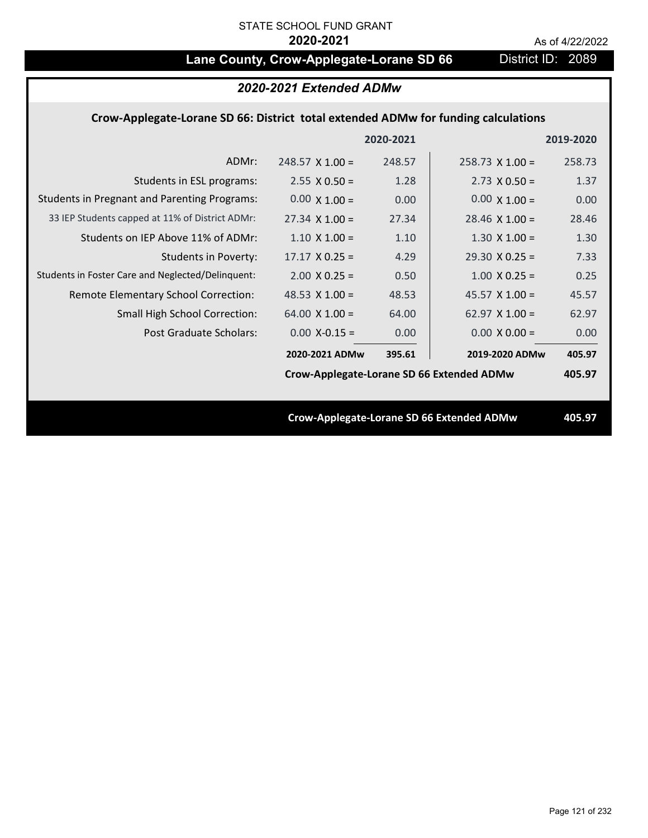# Lane County, Crow-Applegate-Lorane SD 66 District ID: 2089

# *2020-2021 Extended ADMw*

## **Crow‐Applegate‐Lorane SD 66: District total extended ADMw for funding calculations**

|                                                     |                                           | 2020-2021 |                                           | 2019-2020 |
|-----------------------------------------------------|-------------------------------------------|-----------|-------------------------------------------|-----------|
| ADMr:                                               | $248.57$ X 1.00 =                         | 248.57    | $258.73 \times 1.00 =$                    | 258.73    |
| Students in ESL programs:                           | $2.55 \times 0.50 =$                      | 1.28      | $2.73 \times 0.50 =$                      | 1.37      |
| <b>Students in Pregnant and Parenting Programs:</b> | $0.00 \times 1.00 =$                      | 0.00      | $0.00 \times 1.00 =$                      | 0.00      |
| 33 IEP Students capped at 11% of District ADMr:     | $27.34 \times 1.00 =$                     | 27.34     | $28.46 \times 1.00 =$                     | 28.46     |
| Students on IEP Above 11% of ADMr:                  | $1.10 \times 1.00 =$                      | 1.10      | $1.30 \times 1.00 =$                      | 1.30      |
| Students in Poverty:                                | $17.17 \times 0.25 =$                     | 4.29      | $29.30 \times 0.25 =$                     | 7.33      |
| Students in Foster Care and Neglected/Delinquent:   | $2.00 \times 0.25 =$                      | 0.50      | $1.00 \times 0.25 =$                      | 0.25      |
| Remote Elementary School Correction:                | 48.53 $X$ 1.00 =                          | 48.53     | $45.57 \times 1.00 =$                     | 45.57     |
| <b>Small High School Correction:</b>                | $64.00 \times 1.00 =$                     | 64.00     | 62.97 $X$ 1.00 =                          | 62.97     |
| Post Graduate Scholars:                             | $0.00$ X-0.15 =                           | 0.00      | $0.00 \times 0.00 =$                      | 0.00      |
|                                                     | 2020-2021 ADMw                            | 395.61    | 2019-2020 ADMw                            | 405.97    |
|                                                     | Crow-Applegate-Lorane SD 66 Extended ADMw |           |                                           | 405.97    |
|                                                     |                                           |           |                                           |           |
|                                                     |                                           |           | Crow-Applegate-Lorane SD 66 Extended ADMw | 405.97    |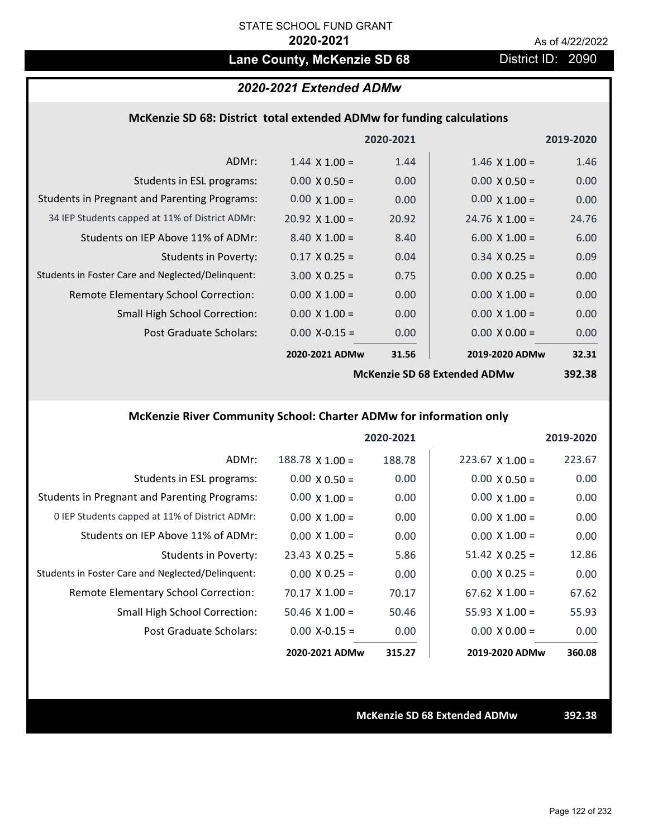# Lane County, McKenzie SD 68 District ID: 2090

# *2020-2021 Extended ADMw*

## **McKenzie SD 68: District total extended ADMw for funding calculations**

|                                                     |                       | 2020-2021 |                              | 2019-2020 |
|-----------------------------------------------------|-----------------------|-----------|------------------------------|-----------|
| ADMr:                                               | $1.44 \times 1.00 =$  | 1.44      | $1.46 \times 1.00 =$         | 1.46      |
| Students in ESL programs:                           | $0.00 \times 0.50 =$  | 0.00      | $0.00 \times 0.50 =$         | 0.00      |
| <b>Students in Pregnant and Parenting Programs:</b> | $0.00 \times 1.00 =$  | 0.00      | $0.00 \times 1.00 =$         | 0.00      |
| 34 IEP Students capped at 11% of District ADMr:     | $20.92 \times 1.00 =$ | 20.92     | $24.76 \times 1.00 =$        | 24.76     |
| Students on IEP Above 11% of ADMr:                  | $8.40 \times 1.00 =$  | 8.40      | $6.00 \times 1.00 =$         | 6.00      |
| <b>Students in Poverty:</b>                         | $0.17 \times 0.25 =$  | 0.04      | $0.34$ X 0.25 =              | 0.09      |
| Students in Foster Care and Neglected/Delinquent:   | $3.00 \times 0.25 =$  | 0.75      | $0.00 \times 0.25 =$         | 0.00      |
| Remote Elementary School Correction:                | $0.00 \times 1.00 =$  | 0.00      | $0.00 \times 1.00 =$         | 0.00      |
| <b>Small High School Correction:</b>                | $0.00 \times 1.00 =$  | 0.00      | $0.00 \times 1.00 =$         | 0.00      |
| Post Graduate Scholars:                             | $0.00$ X-0.15 =       | 0.00      | $0.00 \times 0.00 =$         | 0.00      |
|                                                     | 2020-2021 ADMw        | 31.56     | 2019-2020 ADMw               | 32.31     |
|                                                     |                       |           | McKanzia SD 68 Extandad ADMw | 30J 38    |

**McKenzie SD 68 Extended ADMw**

**392.38**

# **McKenzie River Community School: Charter ADMw for information only**

|                                                     |                       | 2020-2021 |                        | 2019-2020 |
|-----------------------------------------------------|-----------------------|-----------|------------------------|-----------|
| ADMr:                                               | $188.78$ X $1.00 =$   | 188.78    | $223.67 \times 1.00 =$ | 223.67    |
| Students in ESL programs:                           | $0.00 \times 0.50 =$  | 0.00      | $0.00 \times 0.50 =$   | 0.00      |
| <b>Students in Pregnant and Parenting Programs:</b> | $0.00 \times 1.00 =$  | 0.00      | $0.00 \times 1.00 =$   | 0.00      |
| 0 IEP Students capped at 11% of District ADMr:      | $0.00 \times 1.00 =$  | 0.00      | $0.00 \times 1.00 =$   | 0.00      |
| Students on IEP Above 11% of ADMr:                  | $0.00 \times 1.00 =$  | 0.00      | $0.00 \times 1.00 =$   | 0.00      |
| Students in Poverty:                                | $23.43 \times 0.25 =$ | 5.86      | $51.42 \times 0.25 =$  | 12.86     |
| Students in Foster Care and Neglected/Delinquent:   | $0.00 \times 0.25 =$  | 0.00      | $0.00 \times 0.25 =$   | 0.00      |
| Remote Elementary School Correction:                | $70.17 \times 1.00 =$ | 70.17     | $67.62 \times 1.00 =$  | 67.62     |
| <b>Small High School Correction:</b>                | $50.46$ X 1.00 =      | 50.46     | $55.93 \times 1.00 =$  | 55.93     |
| Post Graduate Scholars:                             | $0.00 X - 0.15 =$     | 0.00      | $0.00 \times 0.00 =$   | 0.00      |
|                                                     | 2020-2021 ADMw        | 315.27    | 2019-2020 ADMw         | 360.08    |

**McKenzie SD 68 Extended ADMw 392.38**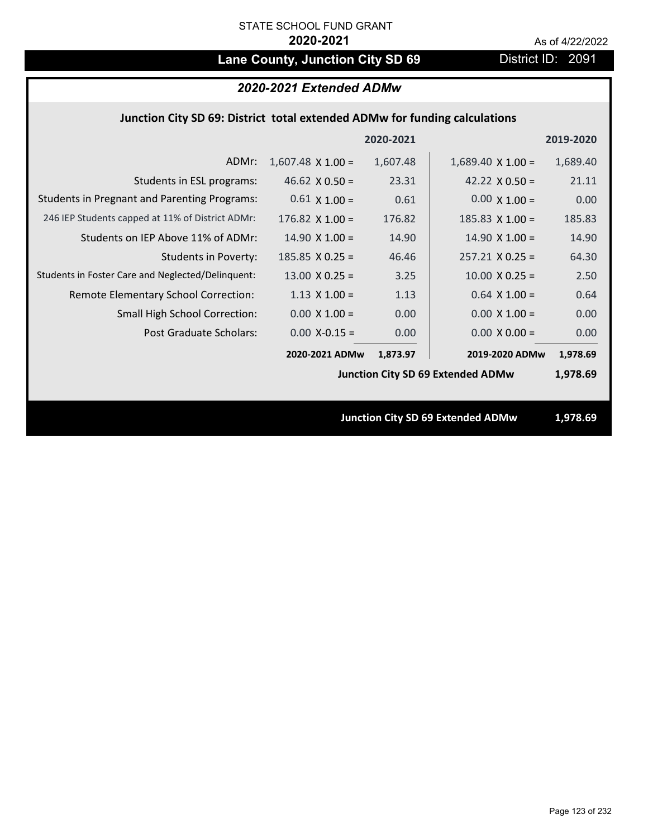# Lane County, Junction City SD 69 **District ID: 2091**

## *2020-2021 Extended ADMw*

# **Junction City SD 69: District total extended ADMw for funding calculations**

|                                                     |                          | 2020-2021 |                                          | 2019-2020 |
|-----------------------------------------------------|--------------------------|-----------|------------------------------------------|-----------|
| ADMr:                                               | $1,607.48 \times 1.00 =$ | 1,607.48  | $1,689.40 \times 1.00 =$                 | 1,689.40  |
| Students in ESL programs:                           | $46.62 \times 0.50 =$    | 23.31     | 42.22 $\times$ 0.50 =                    | 21.11     |
| <b>Students in Pregnant and Parenting Programs:</b> | $0.61 \times 1.00 =$     | 0.61      | $0.00 \times 1.00 =$                     | 0.00      |
| 246 IEP Students capped at 11% of District ADMr:    | $176.82 \times 1.00 =$   | 176.82    | 185.83 $X$ 1.00 =                        | 185.83    |
| Students on IEP Above 11% of ADMr:                  | $14.90 \times 1.00 =$    | 14.90     | $14.90 \times 1.00 =$                    | 14.90     |
| Students in Poverty:                                | $185.85 \times 0.25 =$   | 46.46     | $257.21$ X 0.25 =                        | 64.30     |
| Students in Foster Care and Neglected/Delinquent:   | $13.00 \times 0.25 =$    | 3.25      | $10.00 \times 0.25 =$                    | 2.50      |
| Remote Elementary School Correction:                | $1.13 \times 1.00 =$     | 1.13      | $0.64$ X $1.00 =$                        | 0.64      |
| <b>Small High School Correction:</b>                | $0.00 \times 1.00 =$     | 0.00      | $0.00 \times 1.00 =$                     | 0.00      |
| Post Graduate Scholars:                             | $0.00$ X-0.15 =          | 0.00      | $0.00 \times 0.00 =$                     | 0.00      |
|                                                     | 2020-2021 ADMw           | 1,873.97  | 2019-2020 ADMw                           | 1,978.69  |
|                                                     |                          |           | <b>Junction City SD 69 Extended ADMw</b> | 1,978.69  |
|                                                     |                          |           |                                          |           |
|                                                     |                          |           | <b>Junction City SD 69 Extended ADMw</b> | 1,978.69  |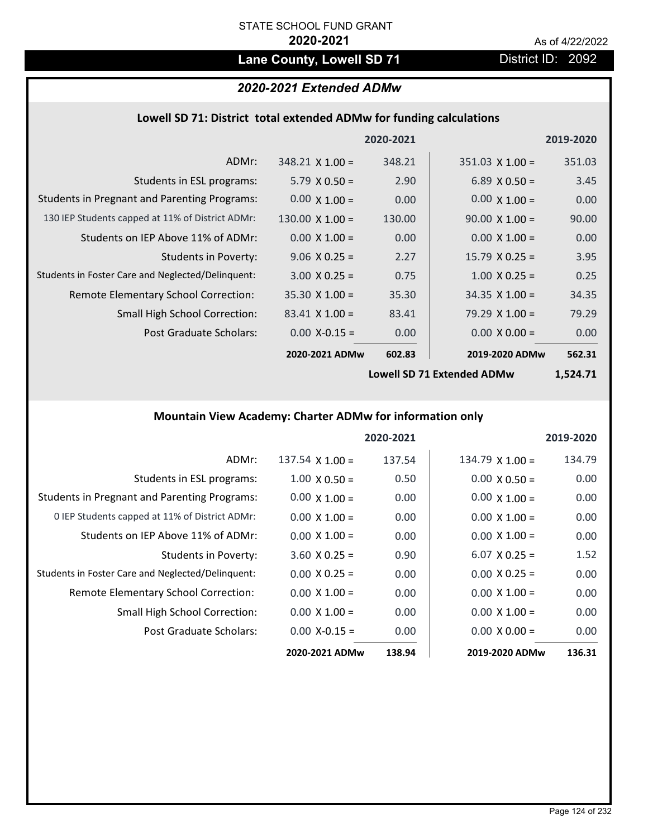# Lane County, Lowell SD 71 District ID: 2092

# *2020-2021 Extended ADMw*

## **Lowell SD 71: District total extended ADMw for funding calculations**

|                                                     |                        | 2020-2021 |                        | 2019-2020 |
|-----------------------------------------------------|------------------------|-----------|------------------------|-----------|
| ADMr:                                               | $348.21 \times 1.00 =$ | 348.21    | $351.03 \times 1.00 =$ | 351.03    |
| Students in ESL programs:                           | $5.79 \times 0.50 =$   | 2.90      | $6.89 \times 0.50 =$   | 3.45      |
| <b>Students in Pregnant and Parenting Programs:</b> | $0.00 \times 1.00 =$   | 0.00      | $0.00 \times 1.00 =$   | 0.00      |
| 130 IEP Students capped at 11% of District ADMr:    | 130.00 $\times$ 1.00 = | 130.00    | $90.00 \times 1.00 =$  | 90.00     |
| Students on IEP Above 11% of ADMr:                  | $0.00 \times 1.00 =$   | 0.00      | $0.00 \times 1.00 =$   | 0.00      |
| <b>Students in Poverty:</b>                         | $9.06 \times 0.25 =$   | 2.27      | $15.79 \times 0.25 =$  | 3.95      |
| Students in Foster Care and Neglected/Delinquent:   | $3.00 \times 0.25 =$   | 0.75      | $1.00 \times 0.25 =$   | 0.25      |
| Remote Elementary School Correction:                | $35.30 \times 1.00 =$  | 35.30     | $34.35 \times 1.00 =$  | 34.35     |
| <b>Small High School Correction:</b>                | $83.41 \times 1.00 =$  | 83.41     | 79.29 $\times$ 1.00 =  | 79.29     |
| Post Graduate Scholars:                             | $0.00$ X-0.15 =        | 0.00      | $0.00 \times 0.00 =$   | 0.00      |
|                                                     | 2020-2021 ADMw         | 602.83    | 2019-2020 ADMw         | 562.31    |

**Lowell SD 71 Extended ADMw**

**1,524.71**

# **Mountain View Academy: Charter ADMw for information only**

|                                                     |                        | 2020-2021 |                      | 2019-2020 |
|-----------------------------------------------------|------------------------|-----------|----------------------|-----------|
| ADMr:                                               | $137.54 \times 1.00 =$ | 137.54    | $134.79$ X $1.00 =$  | 134.79    |
| Students in ESL programs:                           | $1.00 \times 0.50 =$   | 0.50      | $0.00 \times 0.50 =$ | 0.00      |
| <b>Students in Pregnant and Parenting Programs:</b> | $0.00 \times 1.00 =$   | 0.00      | $0.00 \times 1.00 =$ | 0.00      |
| 0 IEP Students capped at 11% of District ADMr:      | $0.00 \times 1.00 =$   | 0.00      | $0.00 \times 1.00 =$ | 0.00      |
| Students on IEP Above 11% of ADMr:                  | $0.00 \times 1.00 =$   | 0.00      | $0.00 \times 1.00 =$ | 0.00      |
| Students in Poverty:                                | $3.60 \times 0.25 =$   | 0.90      | $6.07 \times 0.25 =$ | 1.52      |
| Students in Foster Care and Neglected/Delinquent:   | $0.00 \times 0.25 =$   | 0.00      | $0.00 \times 0.25 =$ | 0.00      |
| Remote Elementary School Correction:                | $0.00 \times 1.00 =$   | 0.00      | $0.00 \times 1.00 =$ | 0.00      |
| <b>Small High School Correction:</b>                | $0.00 \times 1.00 =$   | 0.00      | $0.00 \times 1.00 =$ | 0.00      |
| Post Graduate Scholars:                             | $0.00 X - 0.15 =$      | 0.00      | $0.00 \times 0.00 =$ | 0.00      |
|                                                     | 2020-2021 ADMw         | 138.94    | 2019-2020 ADMw       | 136.31    |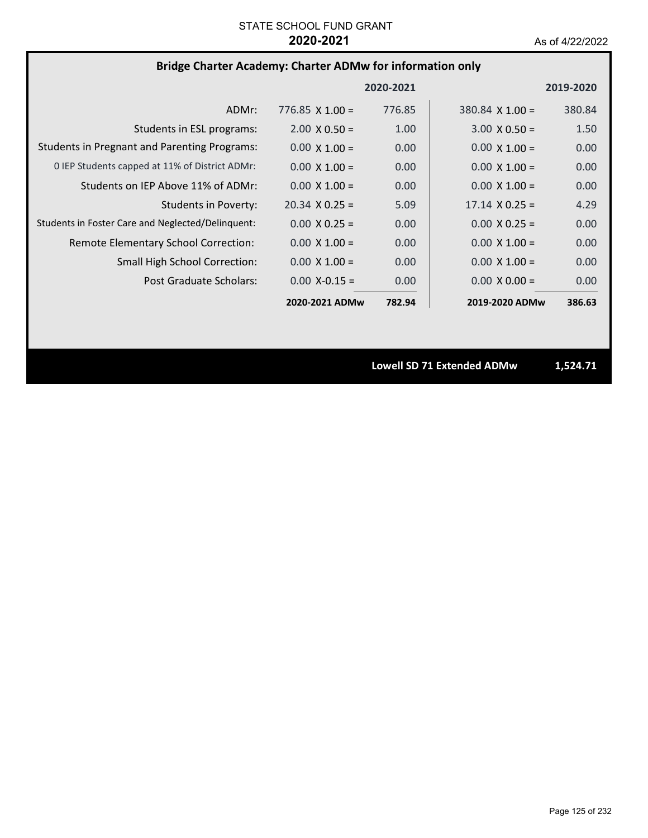# **Bridge Charter Academy: Charter ADMw for information only**

|                                                     |                        | 2020-2021 |                        | 2019-2020 |
|-----------------------------------------------------|------------------------|-----------|------------------------|-----------|
| ADMr:                                               | $776.85 \times 1.00 =$ | 776.85    | $380.84 \times 1.00 =$ | 380.84    |
| Students in ESL programs:                           | $2.00 \times 0.50 =$   | 1.00      | $3.00 \times 0.50 =$   | 1.50      |
| <b>Students in Pregnant and Parenting Programs:</b> | $0.00 \times 1.00 =$   | 0.00      | $0.00 \times 1.00 =$   | 0.00      |
| 0 IEP Students capped at 11% of District ADMr:      | $0.00 \times 1.00 =$   | 0.00      | $0.00 \times 1.00 =$   | 0.00      |
| Students on IEP Above 11% of ADMr:                  | $0.00 \times 1.00 =$   | 0.00      | $0.00 \times 1.00 =$   | 0.00      |
| <b>Students in Poverty:</b>                         | $20.34 \times 0.25 =$  | 5.09      | $17.14 \times 0.25 =$  | 4.29      |
| Students in Foster Care and Neglected/Delinquent:   | $0.00 \times 0.25 =$   | 0.00      | $0.00 \times 0.25 =$   | 0.00      |
| Remote Elementary School Correction:                | $0.00 \times 1.00 =$   | 0.00      | $0.00 \times 1.00 =$   | 0.00      |
| <b>Small High School Correction:</b>                | $0.00 \times 1.00 =$   | 0.00      | $0.00 \times 1.00 =$   | 0.00      |
| Post Graduate Scholars:                             | $0.00 X - 0.15 =$      | 0.00      | $0.00 \times 0.00 =$   | 0.00      |
|                                                     | 2020-2021 ADMw         | 782.94    | 2019-2020 ADMw         | 386.63    |

**Lowell SD 71 Extended ADMw 1,524.71**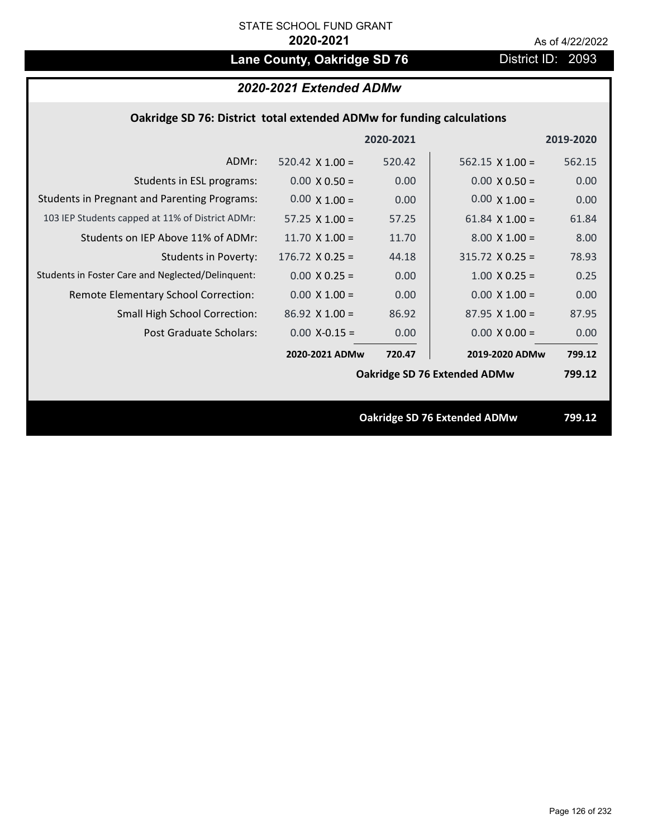# Lane County, Oakridge SD 76 **District ID: 2093**

| 2020-2021 Extended ADMw |  |  |
|-------------------------|--|--|
|-------------------------|--|--|

|  | Oakridge SD 76: District total extended ADMw for funding calculations |  |
|--|-----------------------------------------------------------------------|--|
|--|-----------------------------------------------------------------------|--|

|                                                     |                        | 2020-2021 |                                     | 2019-2020 |
|-----------------------------------------------------|------------------------|-----------|-------------------------------------|-----------|
| ADMr:                                               | 520.42 $\times$ 1.00 = | 520.42    | $562.15 \times 1.00 =$              | 562.15    |
| Students in ESL programs:                           | $0.00 \times 0.50 =$   | 0.00      | $0.00 \times 0.50 =$                | 0.00      |
| <b>Students in Pregnant and Parenting Programs:</b> | $0.00 \times 1.00 =$   | 0.00      | $0.00 \times 1.00 =$                | 0.00      |
| 103 IEP Students capped at 11% of District ADMr:    | 57.25 $\times$ 1.00 =  | 57.25     | 61.84 $\times$ 1.00 =               | 61.84     |
| Students on IEP Above 11% of ADMr:                  | 11.70 $X$ 1.00 =       | 11.70     | $8.00 \times 1.00 =$                | 8.00      |
| <b>Students in Poverty:</b>                         | $176.72 \times 0.25 =$ | 44.18     | $315.72 \times 0.25 =$              | 78.93     |
| Students in Foster Care and Neglected/Delinquent:   | $0.00 \times 0.25 =$   | 0.00      | $1.00 \times 0.25 =$                | 0.25      |
| Remote Elementary School Correction:                | $0.00 \times 1.00 =$   | 0.00      | $0.00 \times 1.00 =$                | 0.00      |
| <b>Small High School Correction:</b>                | $86.92$ X 1.00 =       | 86.92     | $87.95 \times 1.00 =$               | 87.95     |
| Post Graduate Scholars:                             | $0.00$ X-0.15 =        | 0.00      | $0.00 \times 0.00 =$                | 0.00      |
|                                                     | 2020-2021 ADMw         | 720.47    | 2019-2020 ADMw                      | 799.12    |
|                                                     |                        |           | Oakridge SD 76 Extended ADMw        | 799.12    |
|                                                     |                        |           |                                     |           |
|                                                     |                        |           | <b>Oakridge SD 76 Extended ADMw</b> | 799.12    |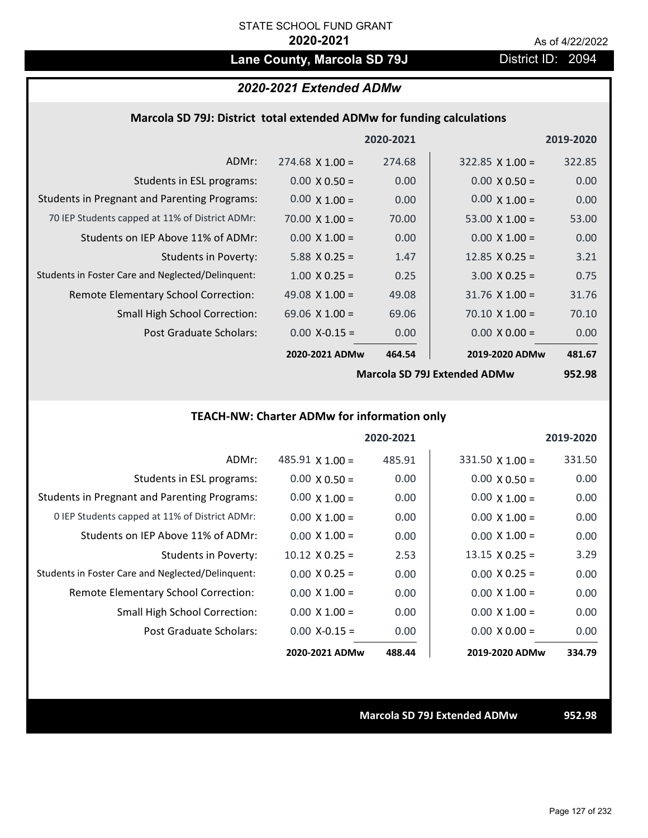# Lane County, Marcola SD 79J District ID: 2094

## *2020-2021 Extended ADMw*

## **Marcola SD 79J: District total extended ADMw for funding calculations**

|                                                     |                       | 2020-2021      |                       | 2019-2020 |
|-----------------------------------------------------|-----------------------|----------------|-----------------------|-----------|
| ADMr:                                               | $274.68$ X 1.00 =     | 274.68         | $322.85$ X 1.00 =     | 322.85    |
| Students in ESL programs:                           | $0.00 \times 0.50 =$  | 0.00           | $0.00 \times 0.50 =$  | 0.00      |
| <b>Students in Pregnant and Parenting Programs:</b> | $0.00 \times 1.00 =$  | 0.00           | $0.00 \times 1.00 =$  | 0.00      |
| 70 IEP Students capped at 11% of District ADMr:     | 70.00 $\times$ 1.00 = | 70.00          | 53.00 $\times$ 1.00 = | 53.00     |
| Students on IEP Above 11% of ADMr:                  | $0.00 \times 1.00 =$  | 0.00           | $0.00 \times 1.00 =$  | 0.00      |
| Students in Poverty:                                | $5.88$ X 0.25 =       | 1.47           | $12.85 \times 0.25 =$ | 3.21      |
| Students in Foster Care and Neglected/Delinquent:   | $1.00 \times 0.25 =$  | 0.25           | $3.00 \times 0.25 =$  | 0.75      |
| Remote Elementary School Correction:                | 49.08 $\times$ 1.00 = | 49.08          | $31.76$ X $1.00 =$    | 31.76     |
| <b>Small High School Correction:</b>                | 69.06 $\times$ 1.00 = | 69.06          | $70.10 \times 1.00 =$ | 70.10     |
| Post Graduate Scholars:                             | $0.00$ X-0.15 =       | 0.00           | $0.00 \times 0.00 =$  | 0.00      |
|                                                     | 2020-2021 ADMw        | 464.54         | 2019-2020 ADMw        | 481.67    |
|                                                     |                       | $\blacksquare$ |                       | $- - - -$ |

**Marcola SD 79J Extended ADMw**

**952.98**

# **TEACH‐NW: Charter ADMw for information only**

|                                                     |                        | 2020-2021 |                        | 2019-2020 |
|-----------------------------------------------------|------------------------|-----------|------------------------|-----------|
| ADMr:                                               | $485.91 \times 1.00 =$ | 485.91    | $331.50 \times 1.00 =$ | 331.50    |
| Students in ESL programs:                           | $0.00 \times 0.50 =$   | 0.00      | $0.00 \times 0.50 =$   | 0.00      |
| <b>Students in Pregnant and Parenting Programs:</b> | $0.00 \times 1.00 =$   | 0.00      | $0.00 \times 1.00 =$   | 0.00      |
| 0 IEP Students capped at 11% of District ADMr:      | $0.00 \times 1.00 =$   | 0.00      | $0.00 \times 1.00 =$   | 0.00      |
| Students on IEP Above 11% of ADMr:                  | $0.00 \times 1.00 =$   | 0.00      | $0.00 \times 1.00 =$   | 0.00      |
| Students in Poverty:                                | $10.12 \times 0.25 =$  | 2.53      | $13.15 \times 0.25 =$  | 3.29      |
| Students in Foster Care and Neglected/Delinquent:   | $0.00 \times 0.25 =$   | 0.00      | $0.00 \times 0.25 =$   | 0.00      |
| <b>Remote Elementary School Correction:</b>         | $0.00 \times 1.00 =$   | 0.00      | $0.00 \times 1.00 =$   | 0.00      |
| <b>Small High School Correction:</b>                | $0.00 \times 1.00 =$   | 0.00      | $0.00 \times 1.00 =$   | 0.00      |
| Post Graduate Scholars:                             | $0.00 X - 0.15 =$      | 0.00      | $0.00 \times 0.00 =$   | 0.00      |
|                                                     | 2020-2021 ADMw         | 488.44    | 2019-2020 ADMw         | 334.79    |

**Marcola SD 79J Extended ADMw 952.98**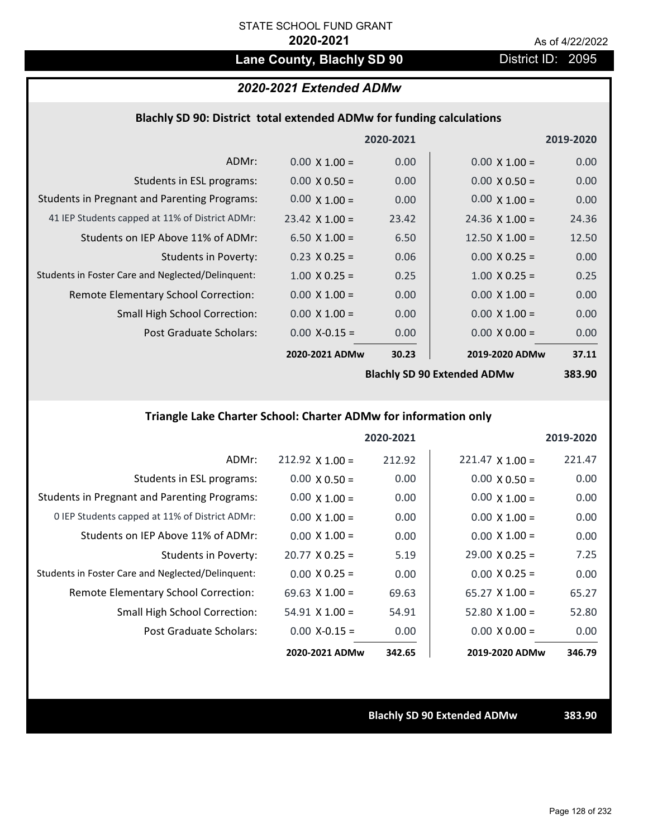# Lane County, Blachly SD 90 **District ID: 2095**

# *2020-2021 Extended ADMw*

## **Blachly SD 90: District total extended ADMw for funding calculations**

|                                                     |                       | 2020-2021 |                             | 2019-2020     |
|-----------------------------------------------------|-----------------------|-----------|-----------------------------|---------------|
| ADMr:                                               | $0.00 \times 1.00 =$  | 0.00      | $0.00 \times 1.00 =$        | 0.00          |
| Students in ESL programs:                           | $0.00 \times 0.50 =$  | 0.00      | $0.00 \times 0.50 =$        | 0.00          |
| <b>Students in Pregnant and Parenting Programs:</b> | $0.00 \times 1.00 =$  | 0.00      | $0.00 \times 1.00 =$        | 0.00          |
| 41 IEP Students capped at 11% of District ADMr:     | $23.42 \times 1.00 =$ | 23.42     | $24.36 \times 1.00 =$       | 24.36         |
| Students on IEP Above 11% of ADMr:                  | 6.50 $X$ 1.00 =       | 6.50      | 12.50 $X$ 1.00 =            | 12.50         |
| <b>Students in Poverty:</b>                         | $0.23 \times 0.25 =$  | 0.06      | $0.00 \times 0.25 =$        | 0.00          |
| Students in Foster Care and Neglected/Delinquent:   | $1.00 \times 0.25 =$  | 0.25      | $1.00 \times 0.25 =$        | 0.25          |
| Remote Elementary School Correction:                | $0.00 \times 1.00 =$  | 0.00      | $0.00 \times 1.00 =$        | 0.00          |
| <b>Small High School Correction:</b>                | $0.00 \times 1.00 =$  | 0.00      | $0.00 \times 1.00 =$        | 0.00          |
| Post Graduate Scholars:                             | $0.00$ X-0.15 =       | 0.00      | $0.00 \times 0.00 =$        | 0.00          |
|                                                     | 2020-2021 ADMw        | 30.23     | 2019-2020 ADMw              | 37.11         |
|                                                     |                       |           | Rlachly SD QD Extanded ADMW | <b>383 QU</b> |

**Blachly SD 90 Extended ADMw**

# **383.90**

# **Triangle Lake Charter School: Charter ADMw for information only**

|                                                     |                       | 2020-2021 |                        | 2019-2020 |
|-----------------------------------------------------|-----------------------|-----------|------------------------|-----------|
| ADMr:                                               | $212.92$ X 1.00 =     | 212.92    | $221.47 \times 1.00 =$ | 221.47    |
| Students in ESL programs:                           | $0.00 \times 0.50 =$  | 0.00      | $0.00 \times 0.50 =$   | 0.00      |
| <b>Students in Pregnant and Parenting Programs:</b> | $0.00 \times 1.00 =$  | 0.00      | $0.00 \times 1.00 =$   | 0.00      |
| 0 IEP Students capped at 11% of District ADMr:      | $0.00 \times 1.00 =$  | 0.00      | $0.00 \times 1.00 =$   | 0.00      |
| Students on IEP Above 11% of ADMr:                  | $0.00 \times 1.00 =$  | 0.00      | $0.00 \times 1.00 =$   | 0.00      |
| Students in Poverty:                                | $20.77 \times 0.25 =$ | 5.19      | $29.00 \times 0.25 =$  | 7.25      |
| Students in Foster Care and Neglected/Delinquent:   | $0.00 \times 0.25 =$  | 0.00      | $0.00 \times 0.25 =$   | 0.00      |
| Remote Elementary School Correction:                | $69.63 \times 1.00 =$ | 69.63     | $65.27 \times 1.00 =$  | 65.27     |
| <b>Small High School Correction:</b>                | $54.91 \times 1.00 =$ | 54.91     | $52.80 \times 1.00 =$  | 52.80     |
| Post Graduate Scholars:                             | $0.00$ X-0.15 =       | 0.00      | $0.00 \times 0.00 =$   | 0.00      |
|                                                     | 2020-2021 ADMw        | 342.65    | 2019-2020 ADMw         | 346.79    |

**Blachly SD 90 Extended ADMw 383.90**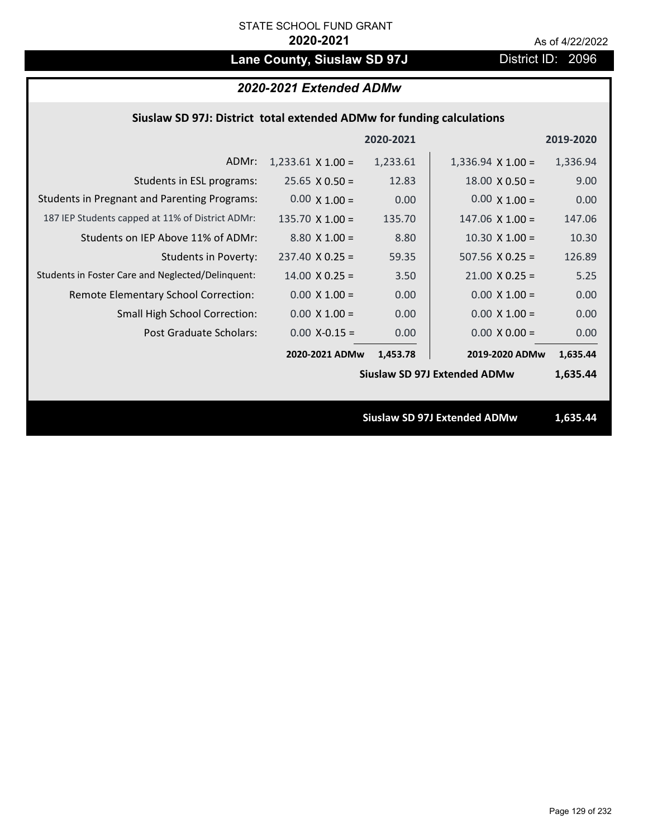# Lane County, Siuslaw SD 97J **District ID: 2096**

# *2020-2021 Extended ADMw*

# **Siuslaw SD 97J: District total extended ADMw for funding calculations**

|                                                     |                        | 2020-2021 |                                     | 2019-2020 |
|-----------------------------------------------------|------------------------|-----------|-------------------------------------|-----------|
| ADMr:                                               | $1,233.61$ X $1.00 =$  | 1,233.61  | $1,336.94 \times 1.00 =$            | 1,336.94  |
| Students in ESL programs:                           | $25.65 \times 0.50 =$  | 12.83     | $18.00 \times 0.50 =$               | 9.00      |
| <b>Students in Pregnant and Parenting Programs:</b> | $0.00 \times 1.00 =$   | 0.00      | $0.00 \times 1.00 =$                | 0.00      |
| 187 IEP Students capped at 11% of District ADMr:    | $135.70 \times 1.00 =$ | 135.70    | $147.06 \times 1.00 =$              | 147.06    |
| Students on IEP Above 11% of ADMr:                  | $8.80 \times 1.00 =$   | 8.80      | $10.30$ X $1.00 =$                  | 10.30     |
| <b>Students in Poverty:</b>                         | $237.40 \times 0.25 =$ | 59.35     | $507.56$ X 0.25 =                   | 126.89    |
| Students in Foster Care and Neglected/Delinquent:   | $14.00 \times 0.25 =$  | 3.50      | $21.00 \times 0.25 =$               | 5.25      |
| Remote Elementary School Correction:                | $0.00 \times 1.00 =$   | 0.00      | $0.00 \times 1.00 =$                | 0.00      |
| <b>Small High School Correction:</b>                | $0.00 \times 1.00 =$   | 0.00      | $0.00 \times 1.00 =$                | 0.00      |
| Post Graduate Scholars:                             | $0.00$ X-0.15 =        | 0.00      | $0.00 \times 0.00 =$                | 0.00      |
|                                                     | 2020-2021 ADMw         | 1,453.78  | 2019-2020 ADMw                      | 1,635.44  |
|                                                     |                        |           | <b>Siuslaw SD 97J Extended ADMw</b> | 1,635.44  |
|                                                     |                        |           |                                     |           |
|                                                     |                        |           | <b>Siuslaw SD 97J Extended ADMw</b> | 1,635.44  |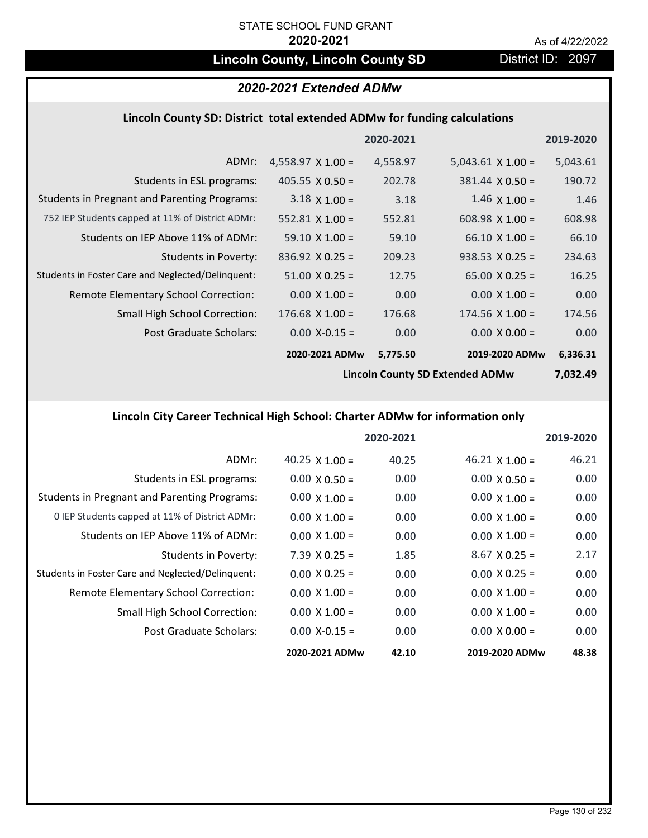# **Lincoln County, Lincoln County SD** District ID: 2097

# *2020-2021 Extended ADMw*

### **Lincoln County SD: District total extended ADMw for funding calculations**

|                                                     |                          | 2020-2021 |                        | 2019-2020 |
|-----------------------------------------------------|--------------------------|-----------|------------------------|-----------|
| ADMr:                                               | $4,558.97 \times 1.00 =$ | 4,558.97  | $5,043.61$ X 1.00 =    | 5,043.61  |
| Students in ESL programs:                           | $405.55 \times 0.50 =$   | 202.78    | $381.44 \times 0.50 =$ | 190.72    |
| <b>Students in Pregnant and Parenting Programs:</b> | $3.18 \times 1.00 =$     | 3.18      | $1.46 \times 1.00 =$   | 1.46      |
| 752 IEP Students capped at 11% of District ADMr:    | $552.81 \times 1.00 =$   | 552.81    | 608.98 $\times$ 1.00 = | 608.98    |
| Students on IEP Above 11% of ADMr:                  | $59.10 \times 1.00 =$    | 59.10     | $66.10 \times 1.00 =$  | 66.10     |
| <b>Students in Poverty:</b>                         | $836.92 \times 0.25 =$   | 209.23    | $938.53 \times 0.25 =$ | 234.63    |
| Students in Foster Care and Neglected/Delinquent:   | $51.00 \times 0.25 =$    | 12.75     | $65.00 \times 0.25 =$  | 16.25     |
| Remote Elementary School Correction:                | $0.00 \times 1.00 =$     | 0.00      | $0.00 \times 1.00 =$   | 0.00      |
| <b>Small High School Correction:</b>                | $176.68$ X 1.00 =        | 176.68    | $174.56 \times 1.00 =$ | 174.56    |
| Post Graduate Scholars:                             | $0.00$ X-0.15 =          | 0.00      | $0.00 \times 0.00 =$   | 0.00      |
|                                                     | 2020-2021 ADMw           | 5,775.50  | 2019-2020 ADMw         | 6,336.31  |

**Lincoln County SD Extended ADMw**

**7,032.49**

# **Lincoln City Career Technical High School: Charter ADMw for information only**

|                                                     |                       | 2020-2021 |                       | 2019-2020 |
|-----------------------------------------------------|-----------------------|-----------|-----------------------|-----------|
| ADMr:                                               | 40.25 $\times$ 1.00 = | 40.25     | $46.21 \times 1.00 =$ | 46.21     |
| Students in ESL programs:                           | $0.00 \times 0.50 =$  | 0.00      | $0.00 \times 0.50 =$  | 0.00      |
| <b>Students in Pregnant and Parenting Programs:</b> | $0.00 \times 1.00 =$  | 0.00      | $0.00 \times 1.00 =$  | 0.00      |
| 0 IEP Students capped at 11% of District ADMr:      | $0.00 \times 1.00 =$  | 0.00      | $0.00 \times 1.00 =$  | 0.00      |
| Students on IEP Above 11% of ADMr:                  | $0.00 \times 1.00 =$  | 0.00      | $0.00 \times 1.00 =$  | 0.00      |
| Students in Poverty:                                | $7.39 \times 0.25 =$  | 1.85      | $8.67$ X 0.25 =       | 2.17      |
| Students in Foster Care and Neglected/Delinquent:   | $0.00 \times 0.25 =$  | 0.00      | $0.00 \times 0.25 =$  | 0.00      |
| Remote Elementary School Correction:                | $0.00 \times 1.00 =$  | 0.00      | $0.00 \times 1.00 =$  | 0.00      |
| <b>Small High School Correction:</b>                | $0.00 \times 1.00 =$  | 0.00      | $0.00 \times 1.00 =$  | 0.00      |
| Post Graduate Scholars:                             | $0.00$ X-0.15 =       | 0.00      | $0.00 \times 0.00 =$  | 0.00      |
|                                                     | 2020-2021 ADMw        | 42.10     | 2019-2020 ADMw        | 48.38     |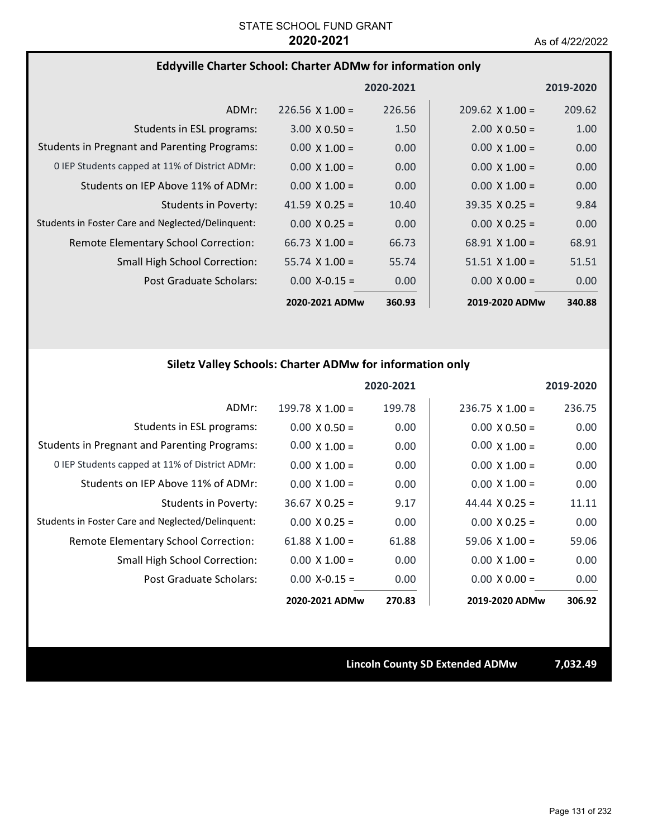## **Eddyville Charter School: Charter ADMw for information only**

|                                                     |                        | 2020-2021 |                        | 2019-2020 |
|-----------------------------------------------------|------------------------|-----------|------------------------|-----------|
| ADMr:                                               | $226.56 \times 1.00 =$ | 226.56    | $209.62 \times 1.00 =$ | 209.62    |
| Students in ESL programs:                           | $3.00 \times 0.50 =$   | 1.50      | $2.00 \times 0.50 =$   | 1.00      |
| <b>Students in Pregnant and Parenting Programs:</b> | $0.00 \times 1.00 =$   | 0.00      | $0.00 \times 1.00 =$   | 0.00      |
| 0 IEP Students capped at 11% of District ADMr:      | $0.00 \times 1.00 =$   | 0.00      | $0.00 \times 1.00 =$   | 0.00      |
| Students on IEP Above 11% of ADMr:                  | $0.00 \times 1.00 =$   | 0.00      | $0.00 \times 1.00 =$   | 0.00      |
| Students in Poverty:                                | 41.59 $\times$ 0.25 =  | 10.40     | $39.35 \times 0.25 =$  | 9.84      |
| Students in Foster Care and Neglected/Delinquent:   | $0.00 \times 0.25 =$   | 0.00      | $0.00 \times 0.25 =$   | 0.00      |
| Remote Elementary School Correction:                | $66.73 \times 1.00 =$  | 66.73     | $68.91 \times 1.00 =$  | 68.91     |
| <b>Small High School Correction:</b>                | $55.74 \times 1.00 =$  | 55.74     | $51.51 \times 1.00 =$  | 51.51     |
| Post Graduate Scholars:                             | $0.00$ X-0.15 =        | 0.00      | $0.00 \times 0.00 =$   | 0.00      |
|                                                     | 2020-2021 ADMw         | 360.93    | 2019-2020 ADMw         | 340.88    |

# **Siletz Valley Schools: Charter ADMw for information only**

|                                                     |                      | 2020-2021 |                        | 2019-2020 |
|-----------------------------------------------------|----------------------|-----------|------------------------|-----------|
| ADMr:                                               | 199.78 $X$ 1.00 =    | 199.78    | $236.75 \times 1.00 =$ | 236.75    |
| Students in ESL programs:                           | $0.00 \times 0.50 =$ | 0.00      | $0.00 \times 0.50 =$   | 0.00      |
| <b>Students in Pregnant and Parenting Programs:</b> | $0.00 \times 1.00 =$ | 0.00      | $0.00 \times 1.00 =$   | 0.00      |
| 0 IEP Students capped at 11% of District ADMr:      | $0.00 \times 1.00 =$ | 0.00      | $0.00 \times 1.00 =$   | 0.00      |
| Students on IEP Above 11% of ADMr:                  | $0.00 \times 1.00 =$ | 0.00      | $0.00 \times 1.00 =$   | 0.00      |
| <b>Students in Poverty:</b>                         | $36.67$ X 0.25 =     | 9.17      | 44.44 $\times$ 0.25 =  | 11.11     |
| Students in Foster Care and Neglected/Delinquent:   | $0.00 \times 0.25 =$ | 0.00      | $0.00 \times 0.25 =$   | 0.00      |
| Remote Elementary School Correction:                | 61.88 $X$ 1.00 =     | 61.88     | $59.06 \times 1.00 =$  | 59.06     |
| <b>Small High School Correction:</b>                | $0.00 \times 1.00 =$ | 0.00      | $0.00 \times 1.00 =$   | 0.00      |
| Post Graduate Scholars:                             | $0.00$ X-0.15 =      | 0.00      | $0.00 \times 0.00 =$   | 0.00      |
|                                                     | 2020-2021 ADMw       | 270.83    | 2019-2020 ADMw         | 306.92    |

**Lincoln County SD Extended ADMw 7,032.49**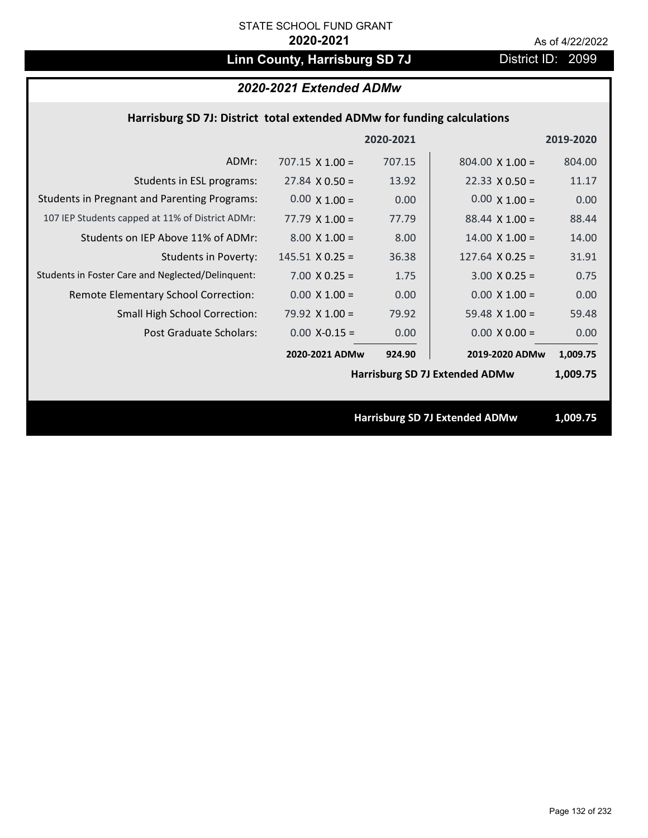# Linn County, Harrisburg SD 7J District ID: 2099

# *2020-2021 Extended ADMw*

## **Harrisburg SD 7J: District total extended ADMw for funding calculations**

|                                                     |                        | 2020-2021 |                                       | 2019-2020 |
|-----------------------------------------------------|------------------------|-----------|---------------------------------------|-----------|
| ADMr:                                               | $707.15 \times 1.00 =$ | 707.15    | $804.00 \times 1.00 =$                | 804.00    |
| Students in ESL programs:                           | $27.84 \times 0.50 =$  | 13.92     | $22.33 \times 0.50 =$                 | 11.17     |
| <b>Students in Pregnant and Parenting Programs:</b> | $0.00 \times 1.00 =$   | 0.00      | $0.00 \times 1.00 =$                  | 0.00      |
| 107 IEP Students capped at 11% of District ADMr:    | $77.79 \times 1.00 =$  | 77.79     | $88.44 \times 1.00 =$                 | 88.44     |
| Students on IEP Above 11% of ADMr:                  | $8.00 \times 1.00 =$   | 8.00      | $14.00 \times 1.00 =$                 | 14.00     |
| <b>Students in Poverty:</b>                         | $145.51$ X 0.25 =      | 36.38     | 127.64 $X$ 0.25 =                     | 31.91     |
| Students in Foster Care and Neglected/Delinquent:   | $7.00 \times 0.25 =$   | 1.75      | $3.00 \times 0.25 =$                  | 0.75      |
| Remote Elementary School Correction:                | $0.00 \times 1.00 =$   | 0.00      | $0.00 \times 1.00 =$                  | 0.00      |
| <b>Small High School Correction:</b>                | 79.92 $X$ 1.00 =       | 79.92     | 59.48 $X$ 1.00 =                      | 59.48     |
| Post Graduate Scholars:                             | $0.00$ X-0.15 =        | 0.00      | $0.00 \times 0.00 =$                  | 0.00      |
|                                                     | 2020-2021 ADMw         | 924.90    | 2019-2020 ADMw                        | 1,009.75  |
|                                                     |                        |           | <b>Harrisburg SD 7J Extended ADMw</b> | 1,009.75  |
|                                                     |                        |           |                                       |           |
|                                                     |                        |           | <b>Harrisburg SD 7J Extended ADMw</b> | 1,009.75  |

Page 132 of 232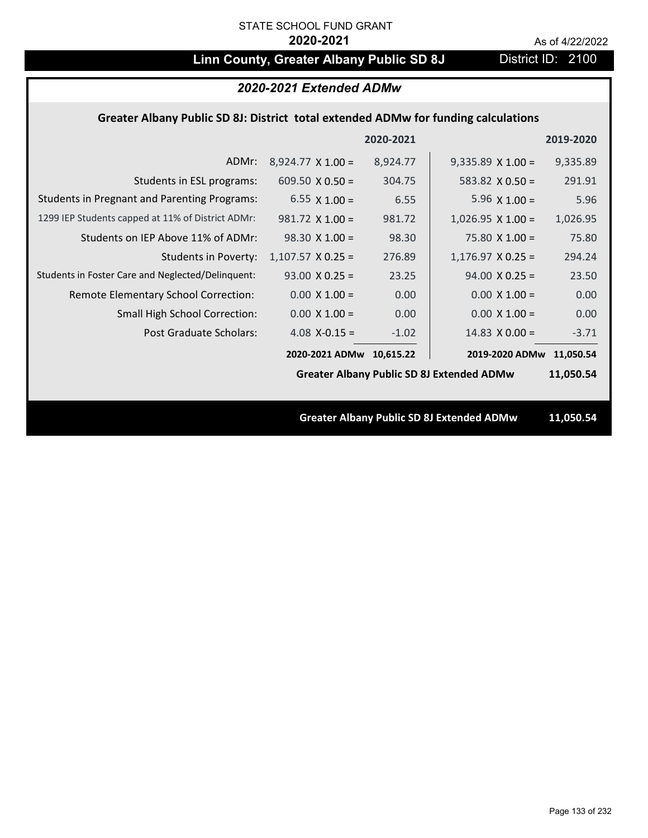# **Linn County, Greater Albany Public SD 8J** District ID: 2100

| 2020-2021 Extended ADMw                                                            |                          |           |                                                  |           |
|------------------------------------------------------------------------------------|--------------------------|-----------|--------------------------------------------------|-----------|
| Greater Albany Public SD 8J: District total extended ADMw for funding calculations |                          |           |                                                  |           |
|                                                                                    |                          | 2020-2021 |                                                  | 2019-2020 |
| ADMr:                                                                              | $8,924.77 \times 1.00 =$ | 8,924.77  | $9,335.89 \times 1.00 =$                         | 9,335.89  |
| Students in ESL programs:                                                          | 609.50 $\times$ 0.50 =   | 304.75    | 583.82 $\times$ 0.50 =                           | 291.91    |
| <b>Students in Pregnant and Parenting Programs:</b>                                | 6.55 $\times$ 1.00 =     | 6.55      | 5.96 $\times$ 1.00 =                             | 5.96      |
| 1299 IEP Students capped at 11% of District ADMr:                                  | $981.72 \times 1.00 =$   | 981.72    | $1,026.95 \times 1.00 =$                         | 1,026.95  |
| Students on IEP Above 11% of ADMr:                                                 | $98.30 \times 1.00 =$    | 98.30     | $75.80$ X $1.00 =$                               | 75.80     |
| <b>Students in Poverty:</b>                                                        | $1,107.57$ X 0.25 =      | 276.89    | $1,176.97$ X 0.25 =                              | 294.24    |
| Students in Foster Care and Neglected/Delinquent:                                  | $93.00 \times 0.25 =$    | 23.25     | $94.00 \times 0.25 =$                            | 23.50     |
| Remote Elementary School Correction:                                               | $0.00 \times 1.00 =$     | 0.00      | $0.00 X 1.00 =$                                  | 0.00      |
| <b>Small High School Correction:</b>                                               | $0.00 \times 1.00 =$     | 0.00      | $0.00 \times 1.00 =$                             | 0.00      |
| Post Graduate Scholars:                                                            | 4.08 $X-0.15 =$          | $-1.02$   | 14.83 $X$ 0.00 =                                 | $-3.71$   |
|                                                                                    | 2020-2021 ADMw 10,615.22 |           | 2019-2020 ADMw                                   | 11,050.54 |
|                                                                                    |                          |           | <b>Greater Albany Public SD 8J Extended ADMw</b> | 11,050.54 |
|                                                                                    |                          |           |                                                  |           |
|                                                                                    |                          |           | <b>Greater Albany Public SD 8J Extended ADMw</b> | 11,050.54 |
|                                                                                    |                          |           |                                                  |           |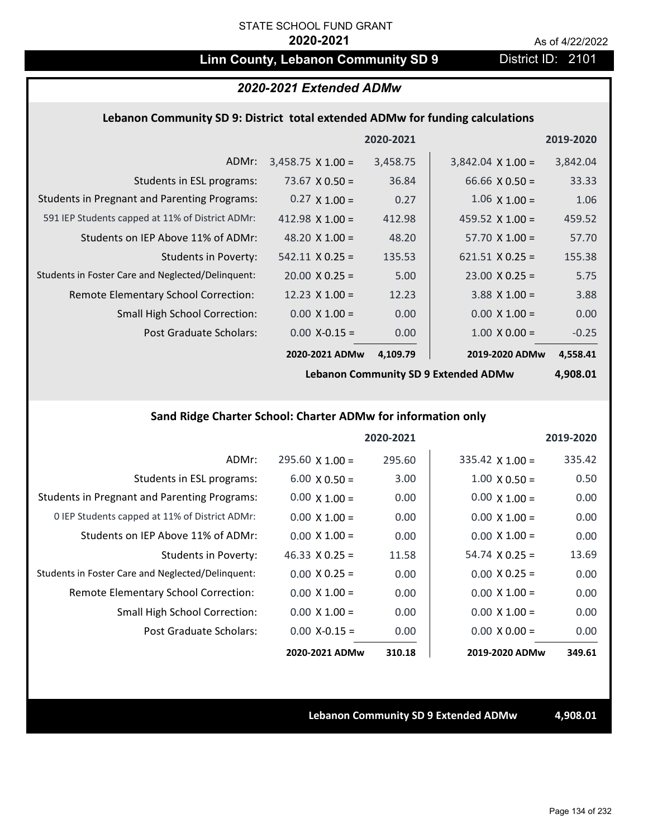# **Linn County, Lebanon Community SD 9** District ID: 2101

# *2020-2021 Extended ADMw*

## **Lebanon Community SD 9: District total extended ADMw for funding calculations**

|                                                     |                          | 2020-2021 |                          | 2019-2020 |
|-----------------------------------------------------|--------------------------|-----------|--------------------------|-----------|
| ADMr:                                               | $3,458.75 \times 1.00 =$ | 3,458.75  | $3,842.04 \times 1.00 =$ | 3,842.04  |
| Students in ESL programs:                           | 73.67 $\times$ 0.50 =    | 36.84     | 66.66 $X$ 0.50 =         | 33.33     |
| <b>Students in Pregnant and Parenting Programs:</b> | $0.27 \times 1.00 =$     | 0.27      | $1.06 \times 1.00 =$     | 1.06      |
| 591 IEP Students capped at 11% of District ADMr:    | $412.98 \times 1.00 =$   | 412.98    | 459.52 $\times$ 1.00 =   | 459.52    |
| Students on IEP Above 11% of ADMr:                  | 48.20 $\times$ 1.00 =    | 48.20     | $57.70 \times 1.00 =$    | 57.70     |
| Students in Poverty:                                | $542.11 \times 0.25 =$   | 135.53    | $621.51 \times 0.25 =$   | 155.38    |
| Students in Foster Care and Neglected/Delinquent:   | $20.00 \times 0.25 =$    | 5.00      | $23.00 \times 0.25 =$    | 5.75      |
| Remote Elementary School Correction:                | 12.23 $\times$ 1.00 =    | 12.23     | $3.88$ X 1.00 =          | 3.88      |
| <b>Small High School Correction:</b>                | $0.00 \times 1.00 =$     | 0.00      | $0.00 \times 1.00 =$     | 0.00      |
| Post Graduate Scholars:                             | $0.00$ X-0.15 =          | 0.00      | $1.00 \times 0.00 =$     | $-0.25$   |
|                                                     | 2020-2021 ADMw           | 4,109.79  | 2019-2020 ADMw           | 4,558.41  |

**Lebanon Community SD 9 Extended ADMw**

**4,908.01**

# **Sand Ridge Charter School: Charter ADMw for information only**

|                                                     |                       | 2020-2021 |                        | 2019-2020 |
|-----------------------------------------------------|-----------------------|-----------|------------------------|-----------|
| ADMr:                                               | $295.60$ X 1.00 =     | 295.60    | $335.42 \times 1.00 =$ | 335.42    |
| Students in ESL programs:                           | $6.00 \times 0.50 =$  | 3.00      | $1.00 \times 0.50 =$   | 0.50      |
| <b>Students in Pregnant and Parenting Programs:</b> | $0.00 \times 1.00 =$  | 0.00      | $0.00 \times 1.00 =$   | 0.00      |
| 0 IEP Students capped at 11% of District ADMr:      | $0.00 \times 1.00 =$  | 0.00      | $0.00 \times 1.00 =$   | 0.00      |
| Students on IEP Above 11% of ADMr:                  | $0.00 \times 1.00 =$  | 0.00      | $0.00 \times 1.00 =$   | 0.00      |
| Students in Poverty:                                | $46.33 \times 0.25 =$ | 11.58     | $54.74 \times 0.25 =$  | 13.69     |
| Students in Foster Care and Neglected/Delinquent:   | $0.00 \times 0.25 =$  | 0.00      | $0.00 \times 0.25 =$   | 0.00      |
| Remote Elementary School Correction:                | $0.00 \times 1.00 =$  | 0.00      | $0.00 \times 1.00 =$   | 0.00      |
| <b>Small High School Correction:</b>                | $0.00 \times 1.00 =$  | 0.00      | $0.00 \times 1.00 =$   | 0.00      |
| Post Graduate Scholars:                             | $0.00 X - 0.15 =$     | 0.00      | $0.00 \times 0.00 =$   | 0.00      |
|                                                     | 2020-2021 ADMw        | 310.18    | 2019-2020 ADMw         | 349.61    |

**Lebanon Community SD 9 Extended ADMw 4,908.01**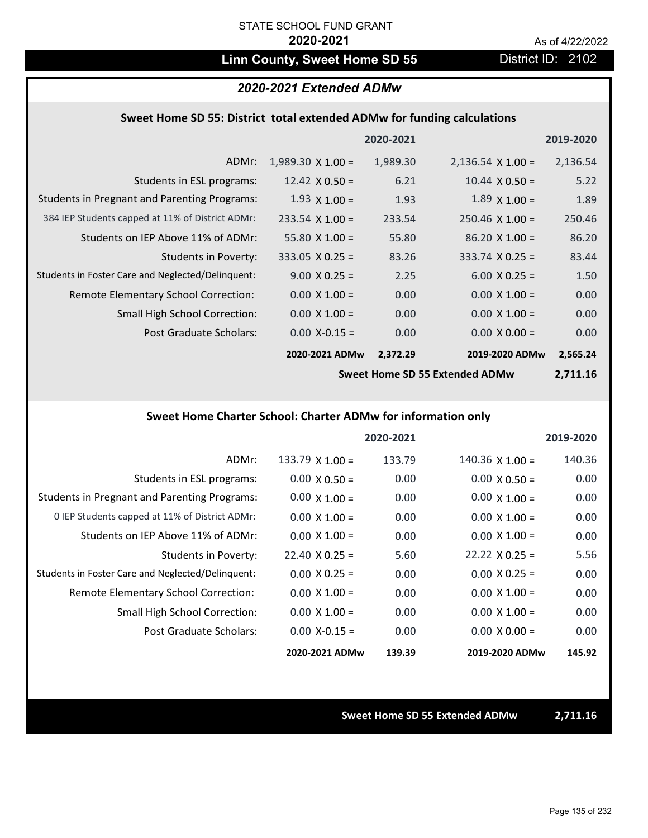# Linn County, Sweet Home SD 55 District ID: 2102

## *2020-2021 Extended ADMw*

## **Sweet Home SD 55: District total extended ADMw for funding calculations**

|                                                     |                          | 2020-2021 |                          | 2019-2020 |
|-----------------------------------------------------|--------------------------|-----------|--------------------------|-----------|
| ADMr:                                               | $1,989.30 \times 1.00 =$ | 1,989.30  | $2,136.54 \times 1.00 =$ | 2,136.54  |
| Students in ESL programs:                           | 12.42 $\times$ 0.50 =    | 6.21      | $10.44 \times 0.50 =$    | 5.22      |
| <b>Students in Pregnant and Parenting Programs:</b> | $1.93 \times 1.00 =$     | 1.93      | $1.89 \times 1.00 =$     | 1.89      |
| 384 IEP Students capped at 11% of District ADMr:    | $233.54 \times 1.00 =$   | 233.54    | $250.46 \times 1.00 =$   | 250.46    |
| Students on IEP Above 11% of ADMr:                  | 55.80 $X$ 1.00 =         | 55.80     | $86.20 \times 1.00 =$    | 86.20     |
| Students in Poverty:                                | $333.05 \times 0.25 =$   | 83.26     | $333.74 \times 0.25 =$   | 83.44     |
| Students in Foster Care and Neglected/Delinquent:   | $9.00 \times 0.25 =$     | 2.25      | $6.00 \times 0.25 =$     | 1.50      |
| Remote Elementary School Correction:                | $0.00 \times 1.00 =$     | 0.00      | $0.00 \times 1.00 =$     | 0.00      |
| <b>Small High School Correction:</b>                | $0.00 \times 1.00 =$     | 0.00      | $0.00 \times 1.00 =$     | 0.00      |
| Post Graduate Scholars:                             | $0.00$ X-0.15 =          | 0.00      | $0.00 \times 0.00 =$     | 0.00      |
|                                                     | 2020-2021 ADMw           | 2,372.29  | 2019-2020 ADMw           | 2,565.24  |

**Sweet Home SD 55 Extended ADMw**

**2,711.16**

# **Sweet Home Charter School: Charter ADMw for information only**

|                                                     |                        | 2020-2021 |                        | 2019-2020 |
|-----------------------------------------------------|------------------------|-----------|------------------------|-----------|
| ADMr:                                               | $133.79 \times 1.00 =$ | 133.79    | $140.36 \times 1.00 =$ | 140.36    |
| Students in ESL programs:                           | $0.00 \times 0.50 =$   | 0.00      | $0.00 \times 0.50 =$   | 0.00      |
| <b>Students in Pregnant and Parenting Programs:</b> | $0.00 \times 1.00 =$   | 0.00      | $0.00 \times 1.00 =$   | 0.00      |
| 0 IEP Students capped at 11% of District ADMr:      | $0.00 \times 1.00 =$   | 0.00      | $0.00 \times 1.00 =$   | 0.00      |
| Students on IEP Above 11% of ADMr:                  | $0.00 \times 1.00 =$   | 0.00      | $0.00 \times 1.00 =$   | 0.00      |
| Students in Poverty:                                | $22.40 \times 0.25 =$  | 5.60      | $22.22 \times 0.25 =$  | 5.56      |
| Students in Foster Care and Neglected/Delinquent:   | $0.00 \times 0.25 =$   | 0.00      | $0.00 \times 0.25 =$   | 0.00      |
| Remote Elementary School Correction:                | $0.00 \times 1.00 =$   | 0.00      | $0.00 \times 1.00 =$   | 0.00      |
| <b>Small High School Correction:</b>                | $0.00 \times 1.00 =$   | 0.00      | $0.00 \times 1.00 =$   | 0.00      |
| Post Graduate Scholars:                             | $0.00$ X-0.15 =        | 0.00      | $0.00 \times 0.00 =$   | 0.00      |
|                                                     | 2020-2021 ADMw         | 139.39    | 2019-2020 ADMw         | 145.92    |

### **Sweet Home SD 55 Extended ADMw 2,711.16**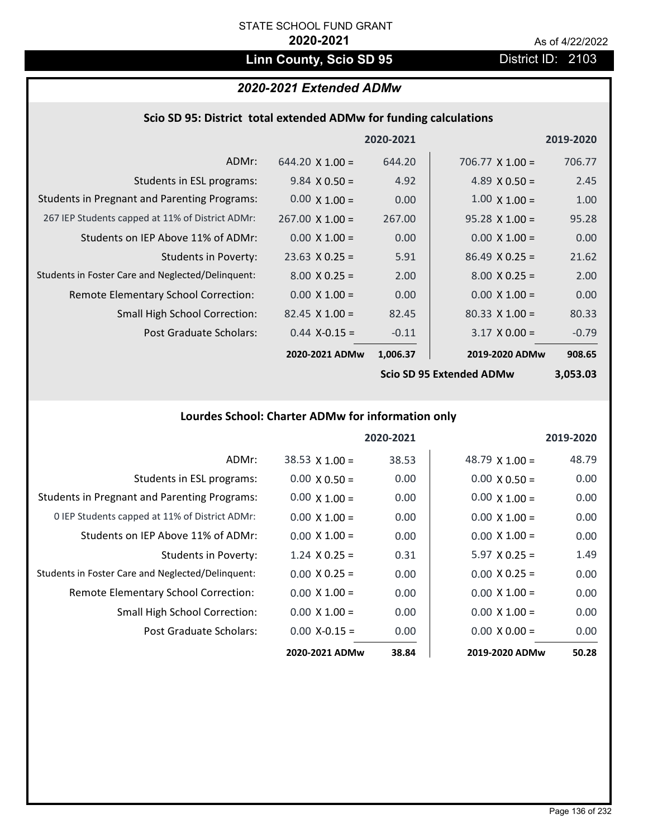# Linn County, Scio SD 95 **District ID: 2103**

# *2020-2021 Extended ADMw*

|  | Scio SD 95: District total extended ADMw for funding calculations |  |
|--|-------------------------------------------------------------------|--|
|--|-------------------------------------------------------------------|--|

|                                                     |                        | 2020-2021 |                          | 2019-2020 |
|-----------------------------------------------------|------------------------|-----------|--------------------------|-----------|
| ADMr:                                               | $644.20 \times 1.00 =$ | 644.20    | 706.77 $\times$ 1.00 =   | 706.77    |
| Students in ESL programs:                           | $9.84 \times 0.50 =$   | 4.92      | 4.89 $X$ 0.50 =          | 2.45      |
| <b>Students in Pregnant and Parenting Programs:</b> | $0.00 \times 1.00 =$   | 0.00      | $1.00 \times 1.00 =$     | 1.00      |
| 267 IEP Students capped at 11% of District ADMr:    | $267.00 \times 1.00 =$ | 267.00    | $95.28 \times 1.00 =$    | 95.28     |
| Students on IEP Above 11% of ADMr:                  | $0.00 \times 1.00 =$   | 0.00      | $0.00 \times 1.00 =$     | 0.00      |
| <b>Students in Poverty:</b>                         | $23.63 \times 0.25 =$  | 5.91      | $86.49 \times 0.25 =$    | 21.62     |
| Students in Foster Care and Neglected/Delinquent:   | $8.00 \times 0.25 =$   | 2.00      | $8.00 \times 0.25 =$     | 2.00      |
| Remote Elementary School Correction:                | $0.00 \times 1.00 =$   | 0.00      | $0.00 \times 1.00 =$     | 0.00      |
| <b>Small High School Correction:</b>                | $82.45 \times 1.00 =$  | 82.45     | $80.33 \times 1.00 =$    | 80.33     |
| Post Graduate Scholars:                             | $0.44$ X-0.15 =        | $-0.11$   | $3.17 \times 0.00 =$     | $-0.79$   |
|                                                     | 2020-2021 ADMw         | 1,006.37  | 2019-2020 ADMw           | 908.65    |
|                                                     |                        |           | Cain CD OF Futeraled ADM | רח רחח ר  |

**Scio SD 95 Extended ADMw**

**3,053.03**

# **Lourdes School: Charter ADMw for information only**

|                                                     |                       | 2020-2021 |                       | 2019-2020 |
|-----------------------------------------------------|-----------------------|-----------|-----------------------|-----------|
| ADMr:                                               | $38.53 \times 1.00 =$ | 38.53     | 48.79 $\times$ 1.00 = | 48.79     |
| Students in ESL programs:                           | $0.00 \times 0.50 =$  | 0.00      | $0.00 \times 0.50 =$  | 0.00      |
| <b>Students in Pregnant and Parenting Programs:</b> | $0.00 \times 1.00 =$  | 0.00      | $0.00 \times 1.00 =$  | 0.00      |
| 0 IEP Students capped at 11% of District ADMr:      | $0.00 \times 1.00 =$  | 0.00      | $0.00 \times 1.00 =$  | 0.00      |
| Students on IEP Above 11% of ADMr:                  | $0.00 \times 1.00 =$  | 0.00      | $0.00 \times 1.00 =$  | 0.00      |
| Students in Poverty:                                | $1.24 \times 0.25 =$  | 0.31      | $5.97 \times 0.25 =$  | 1.49      |
| Students in Foster Care and Neglected/Delinquent:   | $0.00 \times 0.25 =$  | 0.00      | $0.00 \times 0.25 =$  | 0.00      |
| Remote Elementary School Correction:                | $0.00 \times 1.00 =$  | 0.00      | $0.00 \times 1.00 =$  | 0.00      |
| <b>Small High School Correction:</b>                | $0.00 \times 1.00 =$  | 0.00      | $0.00 \times 1.00 =$  | 0.00      |
| Post Graduate Scholars:                             | $0.00 X - 0.15 =$     | 0.00      | $0.00 \times 0.00 =$  | 0.00      |
|                                                     | 2020-2021 ADMw        | 38.84     | 2019-2020 ADMw        | 50.28     |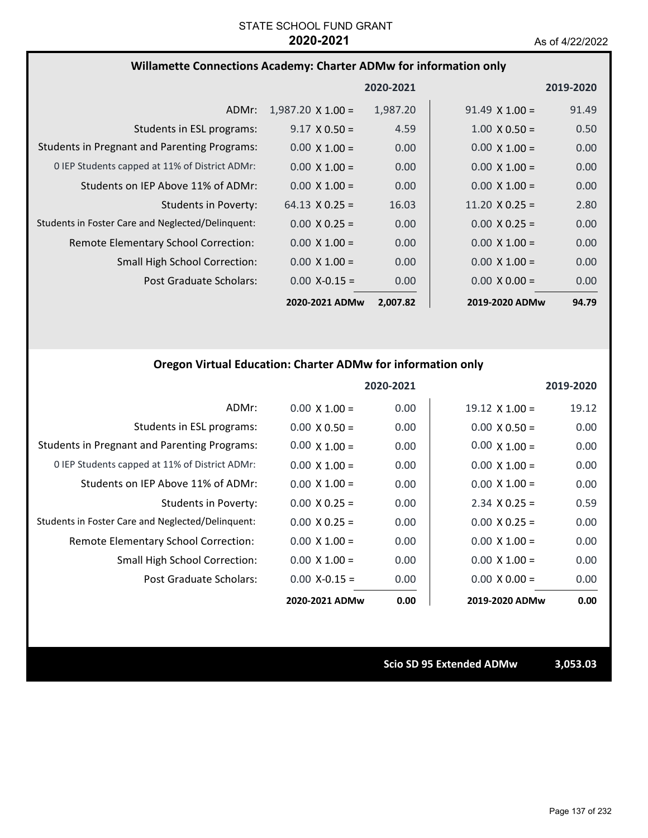## **Willamette Connections Academy: Charter ADMw for information only**

|                                                     |                          | 2020-2021 |                       | 2019-2020         |
|-----------------------------------------------------|--------------------------|-----------|-----------------------|-------------------|
| ADMr:                                               | $1,987.20 \times 1.00 =$ | 1,987.20  | $91.49 \times 1.00 =$ | 91.49             |
| Students in ESL programs:                           | $9.17 \times 0.50 =$     | 4.59      | $1.00 \times 0.50 =$  | 0.50              |
| <b>Students in Pregnant and Parenting Programs:</b> | $0.00 \times 1.00 =$     | 0.00      | $0.00 \times 1.00 =$  | 0.00              |
| 0 IEP Students capped at 11% of District ADMr:      | $0.00 \times 1.00 =$     | 0.00      | $0.00 \times 1.00 =$  | 0.00              |
| Students on IEP Above 11% of ADMr:                  | $0.00 \times 1.00 =$     | 0.00      | $0.00 \times 1.00 =$  | 0.00              |
| <b>Students in Poverty:</b>                         | $64.13 \times 0.25 =$    | 16.03     | $11.20 \times 0.25 =$ | 2.80              |
| Students in Foster Care and Neglected/Delinquent:   | $0.00 \times 0.25 =$     | 0.00      | $0.00 \times 0.25 =$  | 0.00              |
| Remote Elementary School Correction:                | $0.00 \times 1.00 =$     | 0.00      | $0.00 \times 1.00 =$  | 0.00              |
| <b>Small High School Correction:</b>                | $0.00 \times 1.00 =$     | 0.00      | $0.00 \times 1.00 =$  | 0.00              |
| Post Graduate Scholars:                             | $0.00$ X-0.15 =          | 0.00      | $0.00 \times 0.00 =$  | 0.00 <sub>1</sub> |
|                                                     | 2020-2021 ADMw           | 2,007.82  | 2019-2020 ADMw        | 94.79             |

## **Oregon Virtual Education: Charter ADMw for information only**

|                                                     |                      | 2020-2021 |                       | 2019-2020 |
|-----------------------------------------------------|----------------------|-----------|-----------------------|-----------|
| ADMr:                                               | $0.00 \times 1.00 =$ | 0.00      | $19.12 \times 1.00 =$ | 19.12     |
| Students in ESL programs:                           | $0.00 \times 0.50 =$ | 0.00      | $0.00 \times 0.50 =$  | 0.00      |
| <b>Students in Pregnant and Parenting Programs:</b> | $0.00 \times 1.00 =$ | 0.00      | $0.00 \times 1.00 =$  | 0.00      |
| 0 IEP Students capped at 11% of District ADMr:      | $0.00 \times 1.00 =$ | 0.00      | $0.00 \times 1.00 =$  | 0.00      |
| Students on IEP Above 11% of ADMr:                  | $0.00 \times 1.00 =$ | 0.00      | $0.00 \times 1.00 =$  | 0.00      |
| Students in Poverty:                                | $0.00 \times 0.25 =$ | 0.00      | $2.34 \times 0.25 =$  | 0.59      |
| Students in Foster Care and Neglected/Delinquent:   | $0.00 \times 0.25 =$ | 0.00      | $0.00 \times 0.25 =$  | 0.00      |
| Remote Elementary School Correction:                | $0.00 \times 1.00 =$ | 0.00      | $0.00 \times 1.00 =$  | 0.00      |
| Small High School Correction:                       | $0.00 \times 1.00 =$ | 0.00      | $0.00 \times 1.00 =$  | 0.00      |
| Post Graduate Scholars:                             | $0.00$ X-0.15 =      | 0.00      | $0.00 \times 0.00 =$  | 0.00      |
|                                                     | 2020-2021 ADMw       | 0.00      | 2019-2020 ADMw        | 0.00      |

**Scio SD 95 Extended ADMw 3,053.03**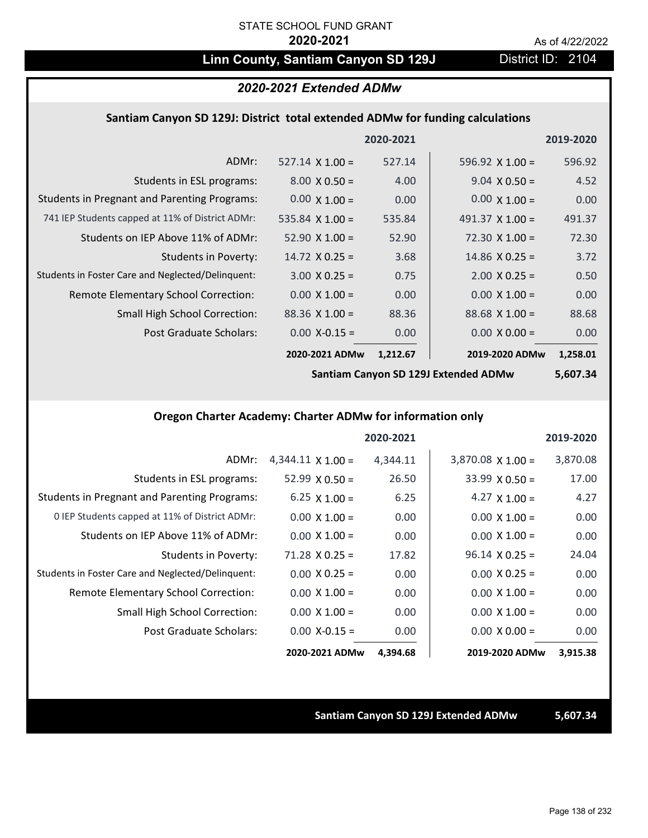# Linn County, Santiam Canyon SD 129J District ID: 2104

## *2020-2021 Extended ADMw*

## **Santiam Canyon SD 129J: District total extended ADMw for funding calculations**

|                                                     |                        | 2020-2021 |                       | 2019-2020 |
|-----------------------------------------------------|------------------------|-----------|-----------------------|-----------|
| ADMr:                                               | $527.14 \times 1.00 =$ | 527.14    | 596.92 $X$ 1.00 =     | 596.92    |
| Students in ESL programs:                           | $8.00 \times 0.50 =$   | 4.00      | $9.04 \times 0.50 =$  | 4.52      |
| <b>Students in Pregnant and Parenting Programs:</b> | $0.00 \times 1.00 =$   | 0.00      | $0.00 \times 1.00 =$  | 0.00      |
| 741 IEP Students capped at 11% of District ADMr:    | 535.84 $\times$ 1.00 = | 535.84    | 491.37 $X$ 1.00 =     | 491.37    |
| Students on IEP Above 11% of ADMr:                  | $52.90 \times 1.00 =$  | 52.90     | $72.30 \times 1.00 =$ | 72.30     |
| <b>Students in Poverty:</b>                         | $14.72 \times 0.25 =$  | 3.68      | $14.86 \times 0.25 =$ | 3.72      |
| Students in Foster Care and Neglected/Delinquent:   | $3.00 \times 0.25 =$   | 0.75      | $2.00 \times 0.25 =$  | 0.50      |
| Remote Elementary School Correction:                | $0.00 \times 1.00 =$   | 0.00      | $0.00 \times 1.00 =$  | 0.00      |
| <b>Small High School Correction:</b>                | $88.36 \times 1.00 =$  | 88.36     | $88.68 \times 1.00 =$ | 88.68     |
| Post Graduate Scholars:                             | $0.00$ X-0.15 =        | 0.00      | $0.00 \times 0.00 =$  | 0.00      |
|                                                     | 2020-2021 ADMw         | 1,212.67  | 2019-2020 ADMw        | 1,258.01  |

**Santiam Canyon SD 129J Extended ADMw**

# **5,607.34**

## **Oregon Charter Academy: Charter ADMw for information only**

|                                                     |                          | 2020-2021 |                          | 2019-2020 |
|-----------------------------------------------------|--------------------------|-----------|--------------------------|-----------|
| ADMr:                                               | $4,344.11 \times 1.00 =$ | 4,344.11  | $3,870.08 \times 1.00 =$ | 3,870.08  |
| Students in ESL programs:                           | $52.99 \times 0.50 =$    | 26.50     | $33.99 \times 0.50 =$    | 17.00     |
| <b>Students in Pregnant and Parenting Programs:</b> | $6.25 \times 1.00 =$     | 6.25      | 4.27 $\times$ 1.00 =     | 4.27      |
| 0 IEP Students capped at 11% of District ADMr:      | $0.00 \times 1.00 =$     | 0.00      | $0.00 \times 1.00 =$     | 0.00      |
| Students on IEP Above 11% of ADMr:                  | $0.00 \times 1.00 =$     | 0.00      | $0.00 \times 1.00 =$     | 0.00      |
| <b>Students in Poverty:</b>                         | $71.28 \times 0.25 =$    | 17.82     | $96.14 \times 0.25 =$    | 24.04     |
| Students in Foster Care and Neglected/Delinquent:   | $0.00 \times 0.25 =$     | 0.00      | $0.00 \times 0.25 =$     | 0.00      |
| Remote Elementary School Correction:                | $0.00 \times 1.00 =$     | 0.00      | $0.00 \times 1.00 =$     | 0.00      |
| <b>Small High School Correction:</b>                | $0.00 \times 1.00 =$     | 0.00      | $0.00 \times 1.00 =$     | 0.00      |
| Post Graduate Scholars:                             | $0.00$ X-0.15 =          | 0.00      | $0.00 \times 0.00 =$     | 0.00      |
|                                                     | 2020-2021 ADMw           | 4,394.68  | 2019-2020 ADMw           | 3,915.38  |

### **Santiam Canyon SD 129J Extended ADMw 5,607.34**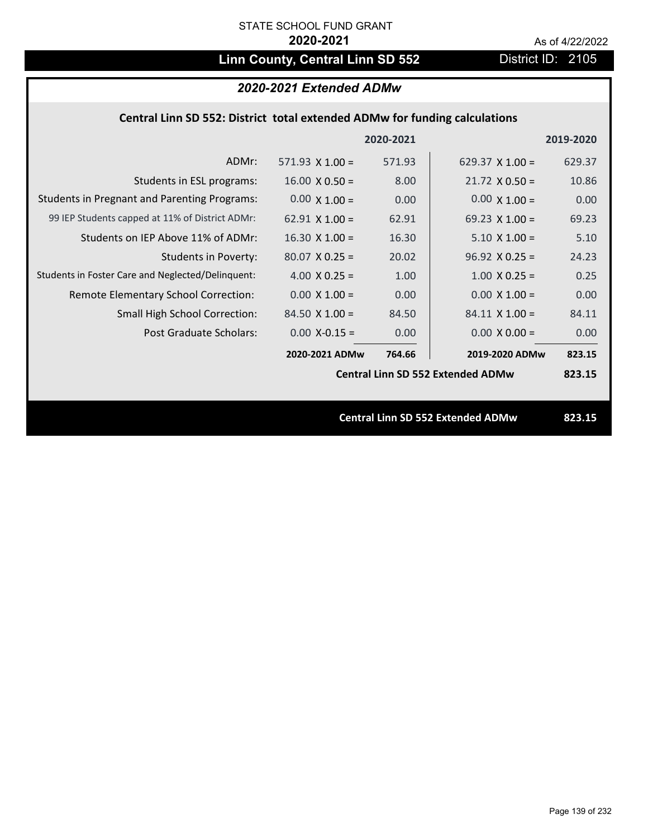# Linn County, Central Linn SD 552 District ID: 2105

# *2020-2021 Extended ADMw*

## **Central Linn SD 552: District total extended ADMw for funding calculations**

|                                                     |                        | 2020-2021 |                                          | 2019-2020 |
|-----------------------------------------------------|------------------------|-----------|------------------------------------------|-----------|
| ADMr:                                               | 571.93 $\times$ 1.00 = | 571.93    | 629.37 $\times$ 1.00 =                   | 629.37    |
| Students in ESL programs:                           | $16.00 \times 0.50 =$  | 8.00      | $21.72 \times 0.50 =$                    | 10.86     |
| <b>Students in Pregnant and Parenting Programs:</b> | $0.00 \times 1.00 =$   | 0.00      | $0.00 \times 1.00 =$                     | 0.00      |
| 99 IEP Students capped at 11% of District ADMr:     | $62.91 \times 1.00 =$  | 62.91     | 69.23 $\times$ 1.00 =                    | 69.23     |
| Students on IEP Above 11% of ADMr:                  | $16.30$ X $1.00 =$     | 16.30     | $5.10 \times 1.00 =$                     | 5.10      |
| <b>Students in Poverty:</b>                         | $80.07$ X 0.25 =       | 20.02     | $96.92 \times 0.25 =$                    | 24.23     |
| Students in Foster Care and Neglected/Delinquent:   | 4.00 $X$ 0.25 =        | 1.00      | $1.00 \times 0.25 =$                     | 0.25      |
| Remote Elementary School Correction:                | $0.00 \times 1.00 =$   | 0.00      | $0.00 \times 1.00 =$                     | 0.00      |
| <b>Small High School Correction:</b>                | $84.50 \times 1.00 =$  | 84.50     | $84.11 \times 1.00 =$                    | 84.11     |
| Post Graduate Scholars:                             | $0.00$ X-0.15 =        | 0.00      | $0.00 \times 0.00 =$                     | 0.00      |
|                                                     | 2020-2021 ADMw         | 764.66    | 2019-2020 ADMw                           | 823.15    |
|                                                     |                        |           | <b>Central Linn SD 552 Extended ADMw</b> | 823.15    |
|                                                     |                        |           |                                          |           |
|                                                     |                        |           | <b>Central Linn SD 552 Extended ADMw</b> | 823.15    |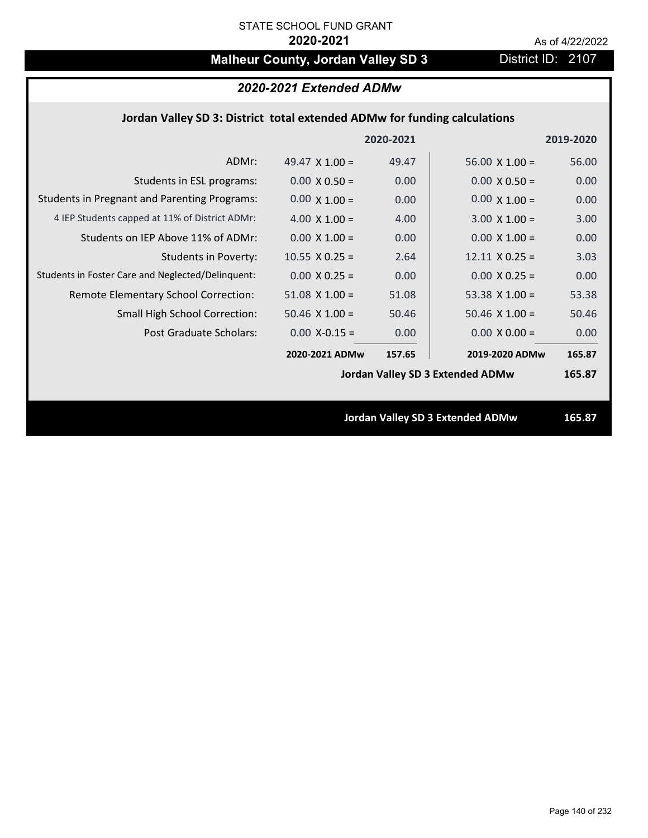# **Malheur County, Jordan Valley SD 3** District ID: 2107

|  | 2020-2021 Extended ADMw |
|--|-------------------------|
|--|-------------------------|

## **Jordan Valley SD 3: District total extended ADMw for funding calculations**

|                                                     |                       | 2020-2021 |                                  | 2019-2020 |
|-----------------------------------------------------|-----------------------|-----------|----------------------------------|-----------|
| ADMr:                                               | 49.47 $\times$ 1.00 = | 49.47     | $56.00 \times 1.00 =$            | 56.00     |
| Students in ESL programs:                           | $0.00 \times 0.50 =$  | 0.00      | $0.00 \times 0.50 =$             | 0.00      |
| <b>Students in Pregnant and Parenting Programs:</b> | $0.00 \times 1.00 =$  | 0.00      | $0.00 \times 1.00 =$             | 0.00      |
| 4 IEP Students capped at 11% of District ADMr:      | $4.00 \times 1.00 =$  | 4.00      | $3.00 \times 1.00 =$             | 3.00      |
| Students on IEP Above 11% of ADMr:                  | $0.00 \times 1.00 =$  | 0.00      | $0.00 \times 1.00 =$             | 0.00      |
| Students in Poverty:                                | $10.55$ X 0.25 =      | 2.64      | $12.11 \times 0.25 =$            | 3.03      |
| Students in Foster Care and Neglected/Delinquent:   | $0.00 \times 0.25 =$  | 0.00      | $0.00 \times 0.25 =$             | 0.00      |
| Remote Elementary School Correction:                | $51.08$ X $1.00 =$    | 51.08     | 53.38 $X$ 1.00 =                 | 53.38     |
| <b>Small High School Correction:</b>                | $50.46$ X $1.00 =$    | 50.46     | $50.46$ X $1.00 =$               | 50.46     |
| Post Graduate Scholars:                             | $0.00$ X-0.15 =       | 0.00      | $0.00 \times 0.00 =$             | 0.00      |
|                                                     | 2020-2021 ADMw        | 157.65    | 2019-2020 ADMw                   | 165.87    |
|                                                     |                       |           | Jordan Valley SD 3 Extended ADMw | 165.87    |
|                                                     |                       |           |                                  |           |
|                                                     |                       |           | Jordan Valley SD 3 Extended ADMw | 165.87    |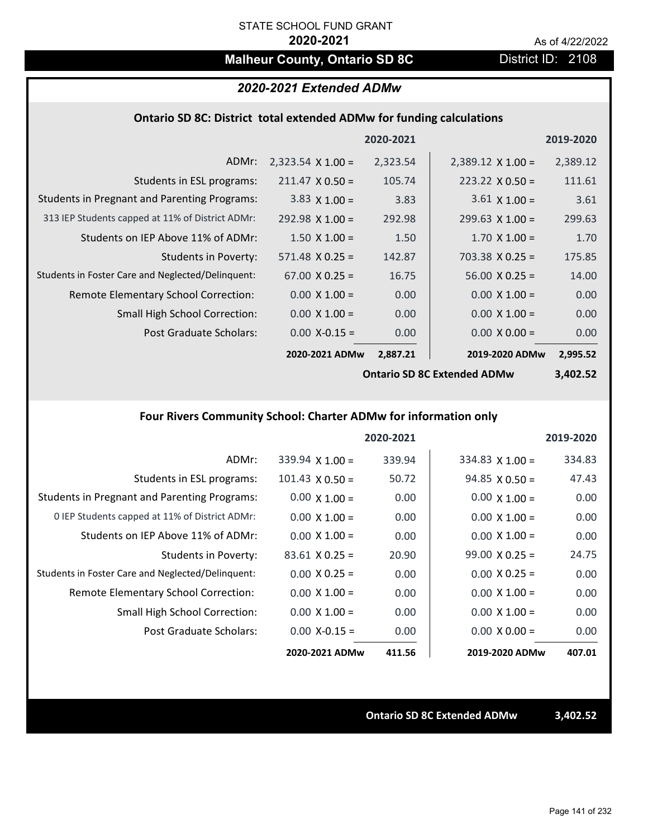# **Malheur County, Ontario SD 8C** District ID: 2108

## *2020-2021 Extended ADMw*

## **Ontario SD 8C: District total extended ADMw for funding calculations**

|                                                     |                          | 2020-2021 |                          | 2019-2020 |
|-----------------------------------------------------|--------------------------|-----------|--------------------------|-----------|
| ADMr:                                               | $2,323.54 \times 1.00 =$ | 2,323.54  | $2,389.12 \times 1.00 =$ | 2,389.12  |
| Students in ESL programs:                           | $211.47 \times 0.50 =$   | 105.74    | $223.22 \times 0.50 =$   | 111.61    |
| <b>Students in Pregnant and Parenting Programs:</b> | 3.83 $\times$ 1.00 =     | 3.83      | $3.61 \times 1.00 =$     | 3.61      |
| 313 IEP Students capped at 11% of District ADMr:    | $292.98 \times 1.00 =$   | 292.98    | $299.63 \times 1.00 =$   | 299.63    |
| Students on IEP Above 11% of ADMr:                  | $1.50 \times 1.00 =$     | 1.50      | $1.70 \times 1.00 =$     | 1.70      |
| <b>Students in Poverty:</b>                         | $571.48 \times 0.25 =$   | 142.87    | $703.38 \times 0.25 =$   | 175.85    |
| Students in Foster Care and Neglected/Delinquent:   | $67.00 \times 0.25 =$    | 16.75     | $56.00 \times 0.25 =$    | 14.00     |
| Remote Elementary School Correction:                | $0.00 \times 1.00 =$     | 0.00      | $0.00 \times 1.00 =$     | 0.00      |
| <b>Small High School Correction:</b>                | $0.00 \times 1.00 =$     | 0.00      | $0.00 \times 1.00 =$     | 0.00      |
| Post Graduate Scholars:                             | $0.00$ X-0.15 =          | 0.00      | $0.00 \times 0.00 =$     | 0.00      |
|                                                     | 2020-2021 ADMw           | 2,887.21  | 2019-2020 ADMw           | 2,995.52  |

**Ontario SD 8C Extended ADMw**

**3,402.52**

# **Four Rivers Community School: Charter ADMw for information only**

|                                                     |                        | 2020-2021 |                        | 2019-2020 |
|-----------------------------------------------------|------------------------|-----------|------------------------|-----------|
| ADMr:                                               | $339.94$ X 1.00 =      | 339.94    | $334.83 \times 1.00 =$ | 334.83    |
| Students in ESL programs:                           | $101.43 \times 0.50 =$ | 50.72     | $94.85 \times 0.50 =$  | 47.43     |
| <b>Students in Pregnant and Parenting Programs:</b> | $0.00 \times 1.00 =$   | 0.00      | $0.00 \times 1.00 =$   | 0.00      |
| 0 IEP Students capped at 11% of District ADMr:      | $0.00 \times 1.00 =$   | 0.00      | $0.00 \times 1.00 =$   | 0.00      |
| Students on IEP Above 11% of ADMr:                  | $0.00 \times 1.00 =$   | 0.00      | $0.00 \times 1.00 =$   | 0.00      |
| Students in Poverty:                                | $83.61 \times 0.25 =$  | 20.90     | $99.00 \times 0.25 =$  | 24.75     |
| Students in Foster Care and Neglected/Delinquent:   | $0.00 \times 0.25 =$   | 0.00      | $0.00 \times 0.25 =$   | 0.00      |
| Remote Elementary School Correction:                | $0.00 \times 1.00 =$   | 0.00      | $0.00 \times 1.00 =$   | 0.00      |
| <b>Small High School Correction:</b>                | $0.00 \times 1.00 =$   | 0.00      | $0.00 \times 1.00 =$   | 0.00      |
| Post Graduate Scholars:                             | $0.00 X - 0.15 =$      | 0.00      | $0.00 \times 0.00 =$   | 0.00      |
|                                                     | 2020-2021 ADMw         | 411.56    | 2019-2020 ADMw         | 407.01    |

**Ontario SD 8C Extended ADMw 3,402.52**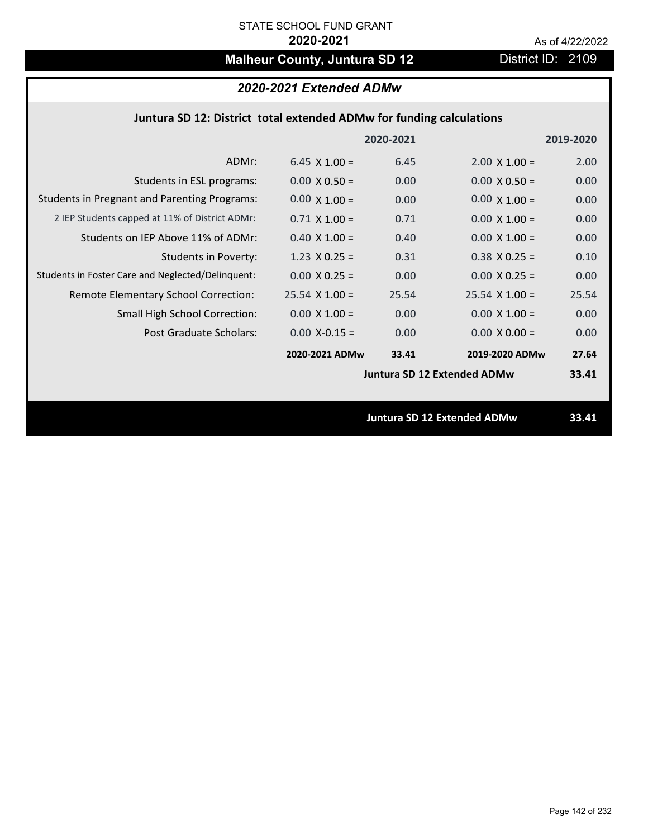# **Malheur County, Juntura SD 12** District ID: 2109

# *2020-2021 Extended ADMw*

## **Juntura SD 12: District total extended ADMw for funding calculations**

|                                                     |                       | 2020-2021 |                                    | 2019-2020 |
|-----------------------------------------------------|-----------------------|-----------|------------------------------------|-----------|
| ADMr:                                               | $6.45 \times 1.00 =$  | 6.45      | $2.00 \times 1.00 =$               | 2.00      |
| Students in ESL programs:                           | $0.00 \times 0.50 =$  | 0.00      | $0.00 \times 0.50 =$               | 0.00      |
| <b>Students in Pregnant and Parenting Programs:</b> | $0.00 \times 1.00 =$  | 0.00      | $0.00 \times 1.00 =$               | 0.00      |
| 2 IEP Students capped at 11% of District ADMr:      | $0.71 \times 1.00 =$  | 0.71      | $0.00 \times 1.00 =$               | 0.00      |
| Students on IEP Above 11% of ADMr:                  | $0.40 \times 1.00 =$  | 0.40      | $0.00 X 1.00 =$                    | 0.00      |
| <b>Students in Poverty:</b>                         | $1.23 \times 0.25 =$  | 0.31      | $0.38$ X 0.25 =                    | 0.10      |
| Students in Foster Care and Neglected/Delinquent:   | $0.00 \times 0.25 =$  | 0.00      | $0.00 X 0.25 =$                    | 0.00      |
| Remote Elementary School Correction:                | $25.54 \times 1.00 =$ | 25.54     | $25.54 \times 1.00 =$              | 25.54     |
| <b>Small High School Correction:</b>                | $0.00 \times 1.00 =$  | 0.00      | $0.00 \times 1.00 =$               | 0.00      |
| Post Graduate Scholars:                             | $0.00$ X-0.15 =       | 0.00      | $0.00 \times 0.00 =$               | 0.00      |
|                                                     | 2020-2021 ADMw        | 33.41     | 2019-2020 ADMw                     | 27.64     |
|                                                     |                       |           | <b>Juntura SD 12 Extended ADMw</b> | 33.41     |
|                                                     |                       |           |                                    |           |
|                                                     |                       |           | <b>Juntura SD 12 Extended ADMw</b> | 33.41     |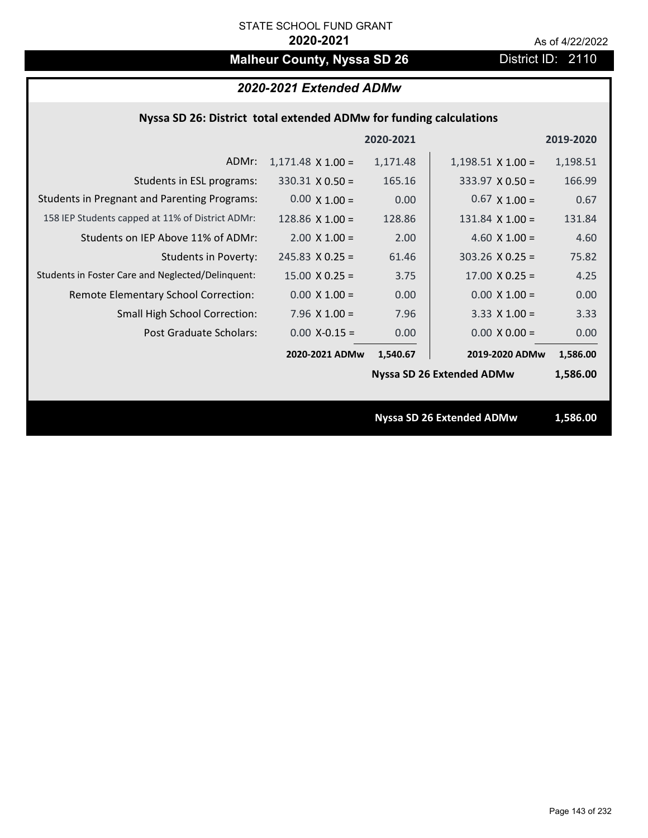# **Malheur County, Nyssa SD 26** District ID: 2110

# *2020-2021 Extended ADMw*

## **Nyssa SD 26: District total extended ADMw for funding calculations**

|                                                     |                          | 2020-2021 |                                  | 2019-2020 |
|-----------------------------------------------------|--------------------------|-----------|----------------------------------|-----------|
| ADMr:                                               | $1,171.48 \times 1.00 =$ | 1,171.48  | $1,198.51 \times 1.00 =$         | 1,198.51  |
| Students in ESL programs:                           | $330.31 \times 0.50 =$   | 165.16    | $333.97 \times 0.50 =$           | 166.99    |
| <b>Students in Pregnant and Parenting Programs:</b> | $0.00 \times 1.00 =$     | 0.00      | $0.67 \times 1.00 =$             | 0.67      |
| 158 IEP Students capped at 11% of District ADMr:    | 128.86 $\times$ 1.00 =   | 128.86    | $131.84 \times 1.00 =$           | 131.84    |
| Students on IEP Above 11% of ADMr:                  | $2.00 \times 1.00 =$     | 2.00      | 4.60 $X$ 1.00 =                  | 4.60      |
| Students in Poverty:                                | $245.83 \times 0.25 =$   | 61.46     | $303.26$ X 0.25 =                | 75.82     |
| Students in Foster Care and Neglected/Delinquent:   | $15.00 \times 0.25 =$    | 3.75      | $17.00 \times 0.25 =$            | 4.25      |
| Remote Elementary School Correction:                | $0.00 \times 1.00 =$     | 0.00      | $0.00 \times 1.00 =$             | 0.00      |
| <b>Small High School Correction:</b>                | $7.96 \times 1.00 =$     | 7.96      | $3.33 \times 1.00 =$             | 3.33      |
| Post Graduate Scholars:                             | $0.00$ X-0.15 =          | 0.00      | $0.00 \times 0.00 =$             | 0.00      |
|                                                     | 2020-2021 ADMw           | 1,540.67  | 2019-2020 ADMw                   | 1,586.00  |
|                                                     |                          |           | <b>Nyssa SD 26 Extended ADMw</b> | 1,586.00  |
|                                                     |                          |           |                                  |           |
|                                                     |                          |           | <b>Nyssa SD 26 Extended ADMw</b> | 1,586.00  |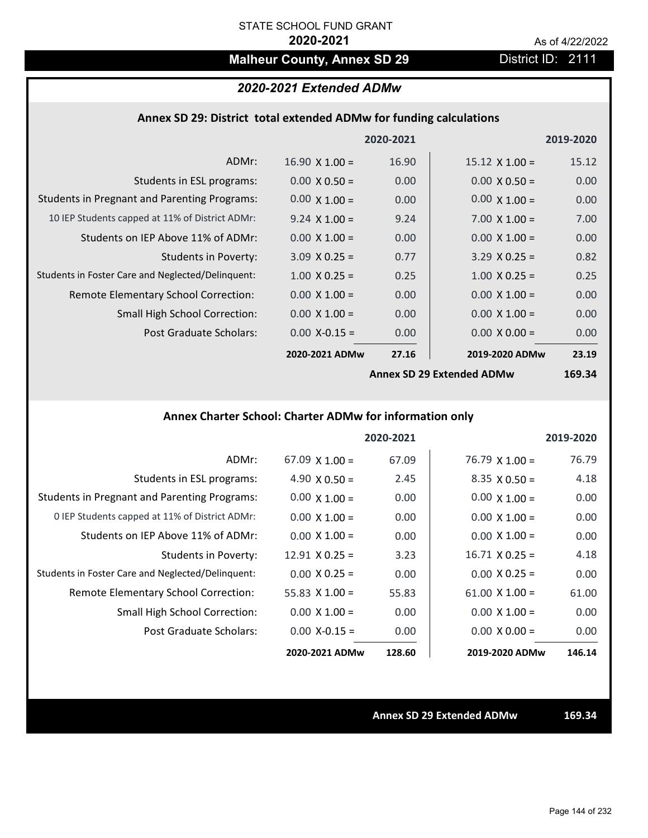# **Malheur County, Annex SD 29** District ID: 2111

# *2020-2021 Extended ADMw*

## **Annex SD 29: District total extended ADMw for funding calculations**

|                                                     |                       | 2020-2021 |                           | 2019-2020 |
|-----------------------------------------------------|-----------------------|-----------|---------------------------|-----------|
| ADMr:                                               | $16.90 \times 1.00 =$ | 16.90     | $15.12 \times 1.00 =$     | 15.12     |
| Students in ESL programs:                           | $0.00 \times 0.50 =$  | 0.00      | $0.00 \times 0.50 =$      | 0.00      |
| <b>Students in Pregnant and Parenting Programs:</b> | $0.00 \times 1.00 =$  | 0.00      | $0.00 \times 1.00 =$      | 0.00      |
| 10 IEP Students capped at 11% of District ADMr:     | $9.24 \times 1.00 =$  | 9.24      | $7.00 \times 1.00 =$      | 7.00      |
| Students on IEP Above 11% of ADMr:                  | $0.00 \times 1.00 =$  | 0.00      | $0.00 \times 1.00 =$      | 0.00      |
| <b>Students in Poverty:</b>                         | $3.09 \times 0.25 =$  | 0.77      | $3.29 \times 0.25 =$      | 0.82      |
| Students in Foster Care and Neglected/Delinquent:   | $1.00 \times 0.25 =$  | 0.25      | $1.00 \times 0.25 =$      | 0.25      |
| Remote Elementary School Correction:                | $0.00 \times 1.00 =$  | 0.00      | $0.00 \times 1.00 =$      | 0.00      |
| <b>Small High School Correction:</b>                | $0.00 \times 1.00 =$  | 0.00      | $0.00 \times 1.00 =$      | 0.00      |
| Post Graduate Scholars:                             | $0.00$ X-0.15 =       | 0.00      | $0.00 \times 0.00 =$      | 0.00      |
|                                                     | 2020-2021 ADMw        | 27.16     | 2019-2020 ADMw            | 23.19     |
|                                                     |                       |           | Anney SD 20 Extended ADMW | 169.21    |

**Annex SD 29 Extended ADMw**

**169.34**

# **Annex Charter School: Charter ADMw for information only**

|                                                     |                       | 2020-2021 |                       | 2019-2020 |
|-----------------------------------------------------|-----------------------|-----------|-----------------------|-----------|
| ADMr:                                               | $67.09 \times 1.00 =$ | 67.09     | $76.79$ X 1.00 =      | 76.79     |
| Students in ESL programs:                           | 4.90 $\times$ 0.50 =  | 2.45      | $8.35 \times 0.50 =$  | 4.18      |
| <b>Students in Pregnant and Parenting Programs:</b> | $0.00 \times 1.00 =$  | 0.00      | $0.00 \times 1.00 =$  | 0.00      |
| 0 IEP Students capped at 11% of District ADMr:      | $0.00 \times 1.00 =$  | 0.00      | $0.00 \times 1.00 =$  | 0.00      |
| Students on IEP Above 11% of ADMr:                  | $0.00 \times 1.00 =$  | 0.00      | $0.00 \times 1.00 =$  | 0.00      |
| Students in Poverty:                                | $12.91 \times 0.25 =$ | 3.23      | $16.71 \times 0.25 =$ | 4.18      |
| Students in Foster Care and Neglected/Delinquent:   | $0.00 \times 0.25 =$  | 0.00      | $0.00 \times 0.25 =$  | 0.00      |
| Remote Elementary School Correction:                | 55.83 $\times$ 1.00 = | 55.83     | $61.00 \times 1.00 =$ | 61.00     |
| <b>Small High School Correction:</b>                | $0.00 \times 1.00 =$  | 0.00      | $0.00 \times 1.00 =$  | 0.00      |
| Post Graduate Scholars:                             | $0.00 X - 0.15 =$     | 0.00      | $0.00 \times 0.00 =$  | 0.00      |
|                                                     | 2020-2021 ADMw        | 128.60    | 2019-2020 ADMw        | 146.14    |

**Annex SD 29 Extended ADMw 169.34**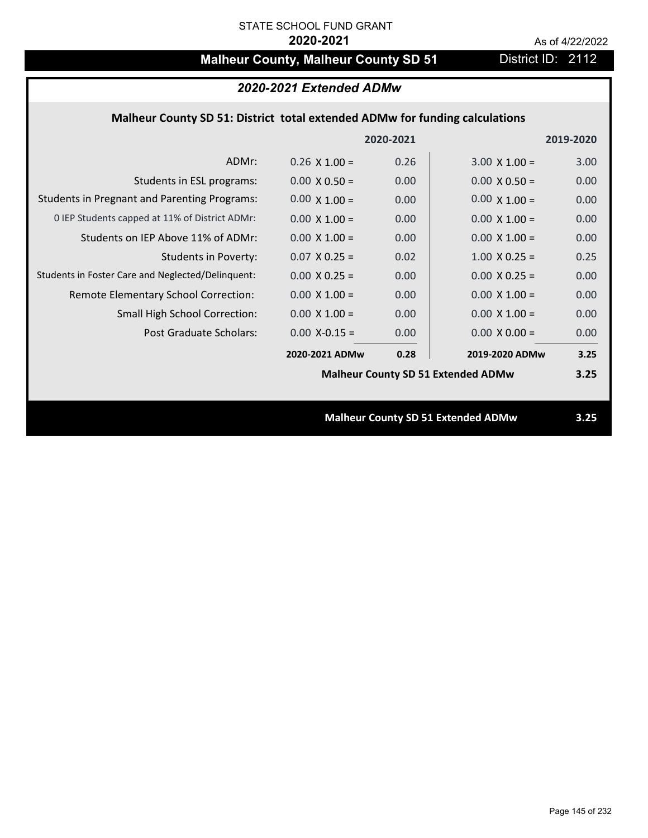# **Malheur County, Malheur County SD 51** District ID: 2112

| 2020-2021 Extended ADMw                                                     |                      |           |                                           |           |  |
|-----------------------------------------------------------------------------|----------------------|-----------|-------------------------------------------|-----------|--|
| Malheur County SD 51: District total extended ADMw for funding calculations |                      |           |                                           |           |  |
|                                                                             |                      | 2020-2021 |                                           | 2019-2020 |  |
| ADMr:                                                                       | $0.26 \times 1.00 =$ | 0.26      | $3.00 \times 1.00 =$                      | 3.00      |  |
| Students in ESL programs:                                                   | $0.00 \times 0.50 =$ | 0.00      | $0.00 \times 0.50 =$                      | 0.00      |  |
| <b>Students in Pregnant and Parenting Programs:</b>                         | $0.00 \times 1.00 =$ | 0.00      | $0.00 \times 1.00 =$                      | 0.00      |  |
| 0 IEP Students capped at 11% of District ADMr:                              | $0.00 \times 1.00 =$ | 0.00      | $0.00 \times 1.00 =$                      | 0.00      |  |
| Students on IEP Above 11% of ADMr:                                          | $0.00$ X $1.00 =$    | 0.00      | $0.00 X 1.00 =$                           | 0.00      |  |
| <b>Students in Poverty:</b>                                                 | $0.07$ X 0.25 =      | 0.02      | $1.00 \times 0.25 =$                      | 0.25      |  |
| Students in Foster Care and Neglected/Delinquent:                           | $0.00 X 0.25 =$      | 0.00      | $0.00 X 0.25 =$                           | 0.00      |  |
| Remote Elementary School Correction:                                        | $0.00 \times 1.00 =$ | 0.00      | $0.00 \times 1.00 =$                      | 0.00      |  |
| <b>Small High School Correction:</b>                                        | $0.00 \times 1.00 =$ | 0.00      | $0.00 \times 1.00 =$                      | 0.00      |  |
| <b>Post Graduate Scholars:</b>                                              | $0.00$ X-0.15 =      | 0.00      | $0.00 \times 0.00 =$                      | 0.00      |  |
|                                                                             | 2020-2021 ADMw       | 0.28      | 2019-2020 ADMw                            | 3.25      |  |
|                                                                             |                      |           | <b>Malheur County SD 51 Extended ADMw</b> | 3.25      |  |
|                                                                             |                      |           |                                           |           |  |
|                                                                             |                      |           | <b>Malheur County SD 51 Extended ADMw</b> | 3.25      |  |
|                                                                             |                      |           |                                           |           |  |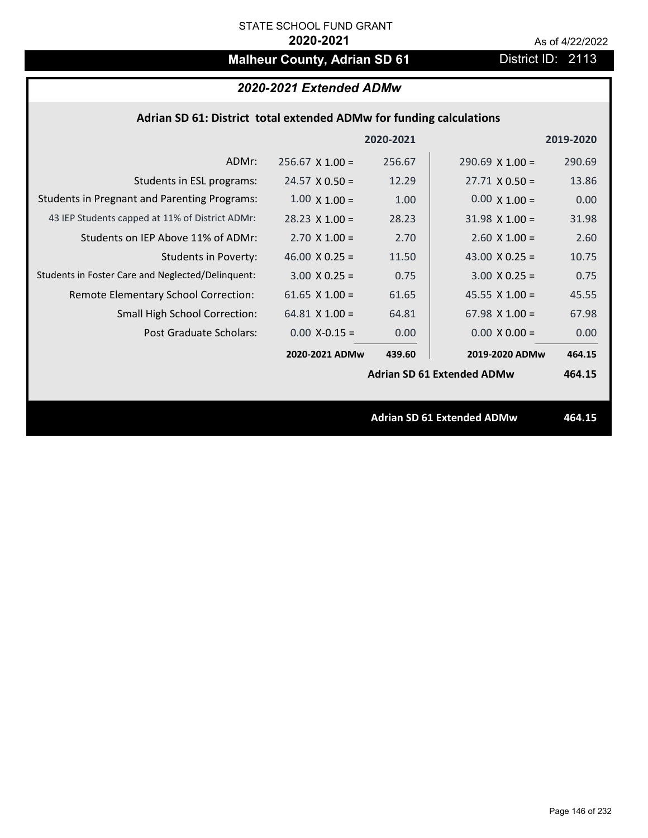# **Malheur County, Adrian SD 61** District ID: 2113

# *2020-2021 Extended ADMw*

### **Adrian SD 61: District total extended ADMw for funding calculations**

|                                                     |                       | 2020-2021 |                                   | 2019-2020 |
|-----------------------------------------------------|-----------------------|-----------|-----------------------------------|-----------|
| ADMr:                                               | $256.67$ X 1.00 =     | 256.67    | $290.69$ X 1.00 =                 | 290.69    |
| Students in ESL programs:                           | $24.57 \times 0.50 =$ | 12.29     | $27.71 \times 0.50 =$             | 13.86     |
| <b>Students in Pregnant and Parenting Programs:</b> | $1.00 \times 1.00 =$  | 1.00      | $0.00 \times 1.00 =$              | 0.00      |
| 43 IEP Students capped at 11% of District ADMr:     | $28.23 \times 1.00 =$ | 28.23     | $31.98 \times 1.00 =$             | 31.98     |
| Students on IEP Above 11% of ADMr:                  | $2.70 \times 1.00 =$  | 2.70      | $2.60$ X $1.00 =$                 | 2.60      |
| <b>Students in Poverty:</b>                         | 46.00 $X$ 0.25 =      | 11.50     | 43.00 $X$ 0.25 =                  | 10.75     |
| Students in Foster Care and Neglected/Delinquent:   | $3.00 \times 0.25 =$  | 0.75      | $3.00 \times 0.25 =$              | 0.75      |
| Remote Elementary School Correction:                | 61.65 $X$ 1.00 =      | 61.65     | 45.55 $X$ 1.00 =                  | 45.55     |
| <b>Small High School Correction:</b>                | $64.81 \times 1.00 =$ | 64.81     | 67.98 $X$ 1.00 =                  | 67.98     |
| Post Graduate Scholars:                             | $0.00$ X-0.15 =       | 0.00      | $0.00 \times 0.00 =$              | 0.00      |
|                                                     | 2020-2021 ADMw        | 439.60    | 2019-2020 ADMw                    | 464.15    |
|                                                     |                       |           | <b>Adrian SD 61 Extended ADMw</b> | 464.15    |
|                                                     |                       |           |                                   |           |
|                                                     |                       |           | <b>Adrian SD 61 Extended ADMw</b> | 464.15    |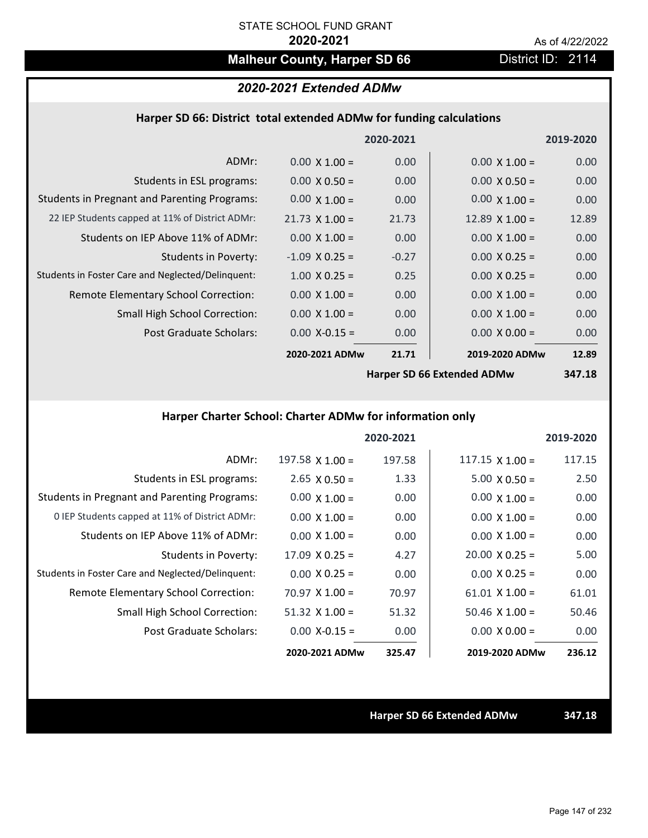# **Malheur County, Harper SD 66** District ID: 2114

# *2020-2021 Extended ADMw*

### **Harper SD 66: District total extended ADMw for funding calculations**

|                                                     |                       | 2020-2021 |                            | 2019-2020 |
|-----------------------------------------------------|-----------------------|-----------|----------------------------|-----------|
| ADMr:                                               | $0.00 \times 1.00 =$  | 0.00      | $0.00 \times 1.00 =$       | 0.00      |
| Students in ESL programs:                           | $0.00 \times 0.50 =$  | 0.00      | $0.00 \times 0.50 =$       | 0.00      |
| <b>Students in Pregnant and Parenting Programs:</b> | $0.00 \times 1.00 =$  | 0.00      | $0.00 \times 1.00 =$       | 0.00      |
| 22 IEP Students capped at 11% of District ADMr:     | $21.73 \times 1.00 =$ | 21.73     | $12.89$ X $1.00 =$         | 12.89     |
| Students on IEP Above 11% of ADMr:                  | $0.00 \times 1.00 =$  | 0.00      | $0.00 \times 1.00 =$       | 0.00      |
| <b>Students in Poverty:</b>                         | $-1.09$ X 0.25 =      | $-0.27$   | $0.00 \times 0.25 =$       | 0.00      |
| Students in Foster Care and Neglected/Delinquent:   | $1.00 \times 0.25 =$  | 0.25      | $0.00 \times 0.25 =$       | 0.00      |
| Remote Elementary School Correction:                | $0.00 \times 1.00 =$  | 0.00      | $0.00 \times 1.00 =$       | 0.00      |
| <b>Small High School Correction:</b>                | $0.00 \times 1.00 =$  | 0.00      | $0.00 \times 1.00 =$       | 0.00      |
| Post Graduate Scholars:                             | $0.00$ X-0.15 =       | 0.00      | $0.00 \times 0.00 =$       | 0.00      |
|                                                     | 2020-2021 ADMw        | 21.71     | 2019-2020 ADMw             | 12.89     |
|                                                     |                       |           | Harner CD CC Extended ADMu | $217.40$  |

**Harper SD 66 Extended ADMw**

**347.18**

# **Harper Charter School: Charter ADMw for information only**

|                                                     |                       | 2020-2021 |                        | 2019-2020 |
|-----------------------------------------------------|-----------------------|-----------|------------------------|-----------|
| ADMr:                                               | 197.58 $X$ 1.00 =     | 197.58    | $117.15 \times 1.00 =$ | 117.15    |
| Students in ESL programs:                           | $2.65 \times 0.50 =$  | 1.33      | $5.00 \times 0.50 =$   | 2.50      |
| <b>Students in Pregnant and Parenting Programs:</b> | $0.00 \times 1.00 =$  | 0.00      | $0.00 \times 1.00 =$   | 0.00      |
| 0 IEP Students capped at 11% of District ADMr:      | $0.00 \times 1.00 =$  | 0.00      | $0.00 \times 1.00 =$   | 0.00      |
| Students on IEP Above 11% of ADMr:                  | $0.00 \times 1.00 =$  | 0.00      | $0.00 \times 1.00 =$   | 0.00      |
| Students in Poverty:                                | $17.09 \times 0.25 =$ | 4.27      | $20.00 \times 0.25 =$  | 5.00      |
| Students in Foster Care and Neglected/Delinquent:   | $0.00 \times 0.25 =$  | 0.00      | $0.00 \times 0.25 =$   | 0.00      |
| Remote Elementary School Correction:                | $70.97 \times 1.00 =$ | 70.97     | $61.01 \times 1.00 =$  | 61.01     |
| <b>Small High School Correction:</b>                | $51.32$ X $1.00 =$    | 51.32     | $50.46 \times 1.00 =$  | 50.46     |
| Post Graduate Scholars:                             | $0.00 X - 0.15 =$     | 0.00      | $0.00 \times 0.00 =$   | 0.00      |
|                                                     | 2020-2021 ADMw        | 325.47    | 2019-2020 ADMw         | 236.12    |

**Harper SD 66 Extended ADMw 347.18**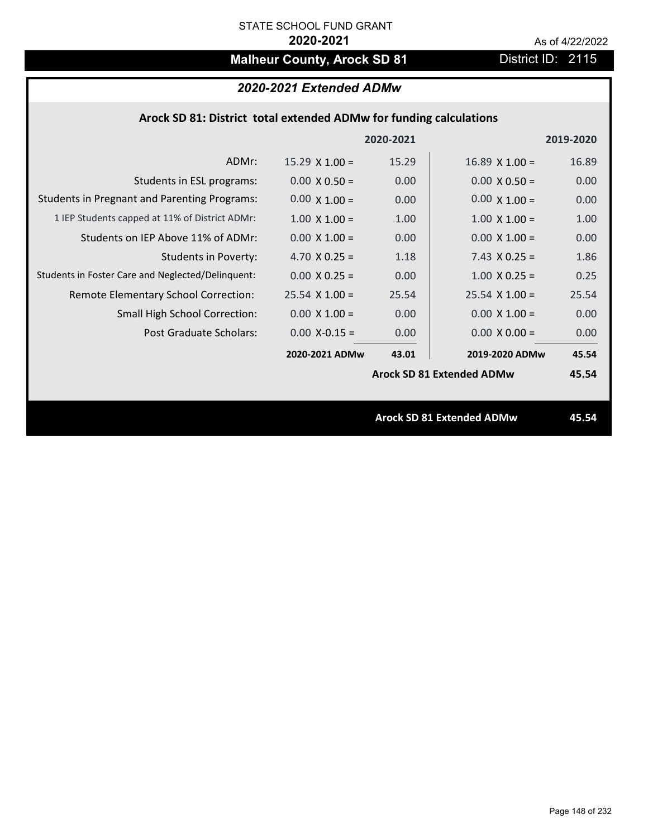# **Malheur County, Arock SD 81** District ID: 2115

# *2020-2021 Extended ADMw*

| Arock SD 81: District total extended ADMw for funding calculations |  |  |  |
|--------------------------------------------------------------------|--|--|--|
|--------------------------------------------------------------------|--|--|--|

|                                                     |                       | 2020-2021 |                                  | 2019-2020 |
|-----------------------------------------------------|-----------------------|-----------|----------------------------------|-----------|
| ADMr:                                               | $15.29 \times 1.00 =$ | 15.29     | $16.89 \times 1.00 =$            | 16.89     |
| Students in ESL programs:                           | $0.00 \times 0.50 =$  | 0.00      | $0.00 \times 0.50 =$             | 0.00      |
| <b>Students in Pregnant and Parenting Programs:</b> | $0.00 \times 1.00 =$  | 0.00      | $0.00 \times 1.00 =$             | 0.00      |
| 1 IEP Students capped at 11% of District ADMr:      | $1.00 \times 1.00 =$  | 1.00      | $1.00 \times 1.00 =$             | 1.00      |
| Students on IEP Above 11% of ADMr:                  | $0.00 \times 1.00 =$  | 0.00      | $0.00 \times 1.00 =$             | 0.00      |
| Students in Poverty:                                | 4.70 $X$ 0.25 =       | 1.18      | $7.43 \times 0.25 =$             | 1.86      |
| Students in Foster Care and Neglected/Delinquent:   | $0.00 \times 0.25 =$  | 0.00      | $1.00 \times 0.25 =$             | 0.25      |
| Remote Elementary School Correction:                | $25.54$ X 1.00 =      | 25.54     | $25.54 \times 1.00 =$            | 25.54     |
| <b>Small High School Correction:</b>                | $0.00 \times 1.00 =$  | 0.00      | $0.00 \times 1.00 =$             | 0.00      |
| Post Graduate Scholars:                             | $0.00$ X-0.15 =       | 0.00      | $0.00 \times 0.00 =$             | 0.00      |
|                                                     | 2020-2021 ADMw        | 43.01     | 2019-2020 ADMw                   | 45.54     |
|                                                     |                       |           | <b>Arock SD 81 Extended ADMw</b> | 45.54     |
|                                                     |                       |           |                                  |           |
|                                                     |                       |           | <b>Arock SD 81 Extended ADMw</b> | 45.54     |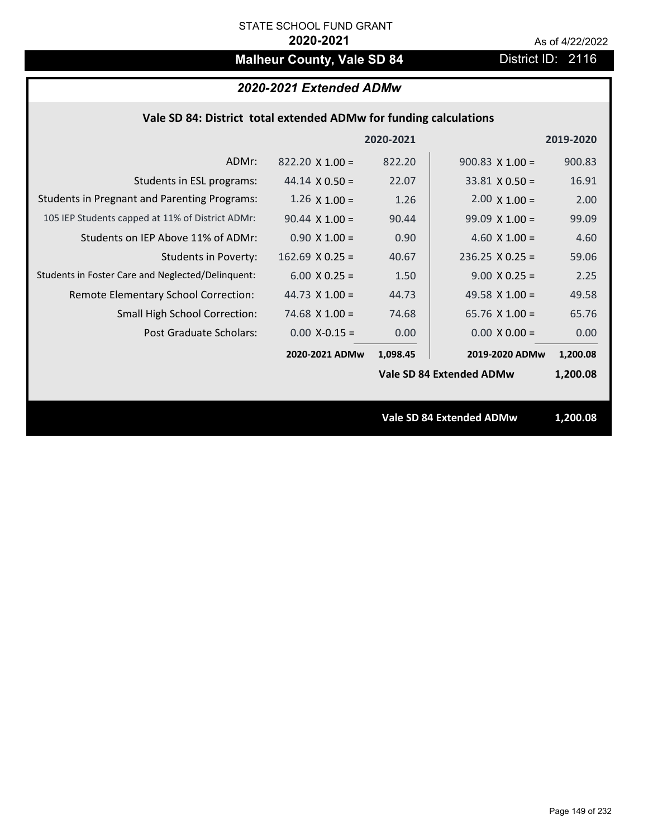# **Malheur County, Vale SD 84** District ID: 2116

## *2020-2021 Extended ADMw*

|  | Vale SD 84: District total extended ADMw for funding calculations |  |
|--|-------------------------------------------------------------------|--|
|--|-------------------------------------------------------------------|--|

|                                                     |                        | 2020-2021 |                                 | 2019-2020 |
|-----------------------------------------------------|------------------------|-----------|---------------------------------|-----------|
| ADMr:                                               | $822.20 \times 1.00 =$ | 822.20    | $900.83$ X 1.00 =               | 900.83    |
| Students in ESL programs:                           | $44.14 \times 0.50 =$  | 22.07     | $33.81 \times 0.50 =$           | 16.91     |
| <b>Students in Pregnant and Parenting Programs:</b> | $1.26 \times 1.00 =$   | 1.26      | $2.00 \times 1.00 =$            | 2.00      |
| 105 IEP Students capped at 11% of District ADMr:    | $90.44 \times 1.00 =$  | 90.44     | $99.09 \times 1.00 =$           | 99.09     |
| Students on IEP Above 11% of ADMr:                  | $0.90 \times 1.00 =$   | 0.90      | 4.60 $X$ 1.00 =                 | 4.60      |
| <b>Students in Poverty:</b>                         | $162.69$ X 0.25 =      | 40.67     | $236.25$ X 0.25 =               | 59.06     |
| Students in Foster Care and Neglected/Delinquent:   | $6.00 \times 0.25 =$   | 1.50      | $9.00 \times 0.25 =$            | 2.25      |
| Remote Elementary School Correction:                | 44.73 $X$ 1.00 =       | 44.73     | 49.58 $\times$ 1.00 =           | 49.58     |
| <b>Small High School Correction:</b>                | 74.68 $X$ 1.00 =       | 74.68     | 65.76 $X$ 1.00 =                | 65.76     |
| Post Graduate Scholars:                             | $0.00$ X-0.15 =        | 0.00      | $0.00 \times 0.00 =$            | 0.00      |
|                                                     | 2020-2021 ADMw         | 1,098.45  | 2019-2020 ADMw                  | 1,200.08  |
|                                                     |                        |           | Vale SD 84 Extended ADMw        | 1,200.08  |
|                                                     |                        |           |                                 |           |
|                                                     |                        |           | <b>Vale SD 84 Extended ADMw</b> | 1,200.08  |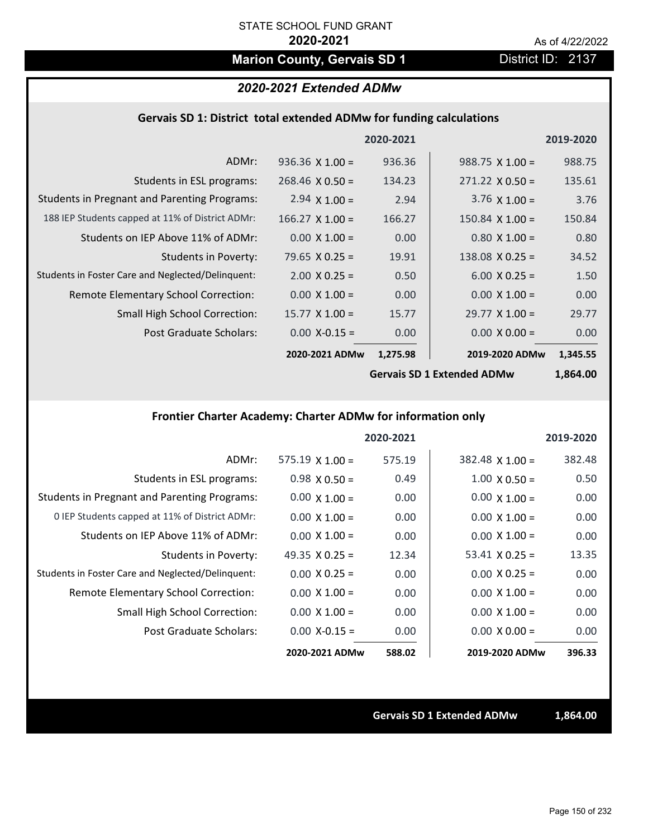# **Marion County, Gervais SD 1** District ID: 2137

## *2020-2021 Extended ADMw*

### **Gervais SD 1: District total extended ADMw for funding calculations**

|                                                     |                        | 2020-2021 |                        | 2019-2020 |
|-----------------------------------------------------|------------------------|-----------|------------------------|-----------|
| ADMr:                                               | $936.36 \times 1.00 =$ | 936.36    | $988.75 \times 1.00 =$ | 988.75    |
| Students in ESL programs:                           | $268.46 \times 0.50 =$ | 134.23    | $271.22 \times 0.50 =$ | 135.61    |
| <b>Students in Pregnant and Parenting Programs:</b> | 2.94 $\times$ 1.00 =   | 2.94      | 3.76 $\times$ 1.00 =   | 3.76      |
| 188 IEP Students capped at 11% of District ADMr:    | $166.27$ X $1.00 =$    | 166.27    | $150.84 \times 1.00 =$ | 150.84    |
| Students on IEP Above 11% of ADMr:                  | $0.00 \times 1.00 =$   | 0.00      | $0.80 \times 1.00 =$   | 0.80      |
| <b>Students in Poverty:</b>                         | $79.65$ X 0.25 =       | 19.91     | 138.08 $X$ 0.25 =      | 34.52     |
| Students in Foster Care and Neglected/Delinquent:   | $2.00 \times 0.25 =$   | 0.50      | $6.00 \times 0.25 =$   | 1.50      |
| Remote Elementary School Correction:                | $0.00 \times 1.00 =$   | 0.00      | $0.00 \times 1.00 =$   | 0.00      |
| <b>Small High School Correction:</b>                | $15.77 \times 1.00 =$  | 15.77     | $29.77 \times 1.00 =$  | 29.77     |
| Post Graduate Scholars:                             | $0.00$ X-0.15 =        | 0.00      | $0.00 \times 0.00 =$   | 0.00      |
|                                                     | 2020-2021 ADMw         | 1,275.98  | 2019-2020 ADMw         | 1,345.55  |
|                                                     |                        |           |                        |           |

**Gervais SD 1 Extended ADMw**

# **1,864.00**

# **Frontier Charter Academy: Charter ADMw for information only**

|                                                     |                        | 2020-2021 |                        | 2019-2020 |
|-----------------------------------------------------|------------------------|-----------|------------------------|-----------|
| ADMr:                                               | $575.19 \times 1.00 =$ | 575.19    | $382.48 \times 1.00 =$ | 382.48    |
| Students in ESL programs:                           | $0.98 \times 0.50 =$   | 0.49      | $1.00 \times 0.50 =$   | 0.50      |
| <b>Students in Pregnant and Parenting Programs:</b> | $0.00 \times 1.00 =$   | 0.00      | $0.00 \times 1.00 =$   | 0.00      |
| 0 IEP Students capped at 11% of District ADMr:      | $0.00 \times 1.00 =$   | 0.00      | $0.00 \times 1.00 =$   | 0.00      |
| Students on IEP Above 11% of ADMr:                  | $0.00 \times 1.00 =$   | 0.00      | $0.00 \times 1.00 =$   | 0.00      |
| Students in Poverty:                                | 49.35 $\times$ 0.25 =  | 12.34     | $53.41 \times 0.25 =$  | 13.35     |
| Students in Foster Care and Neglected/Delinquent:   | $0.00 \times 0.25 =$   | 0.00      | $0.00 \times 0.25 =$   | 0.00      |
| Remote Elementary School Correction:                | $0.00 \times 1.00 =$   | 0.00      | $0.00 \times 1.00 =$   | 0.00      |
| <b>Small High School Correction:</b>                | $0.00 \times 1.00 =$   | 0.00      | $0.00 \times 1.00 =$   | 0.00      |
| Post Graduate Scholars:                             | $0.00 X - 0.15 =$      | 0.00      | $0.00 \times 0.00 =$   | 0.00      |
|                                                     | 2020-2021 ADMw         | 588.02    | 2019-2020 ADMw         | 396.33    |

**Gervais SD 1 Extended ADMw 1,864.00**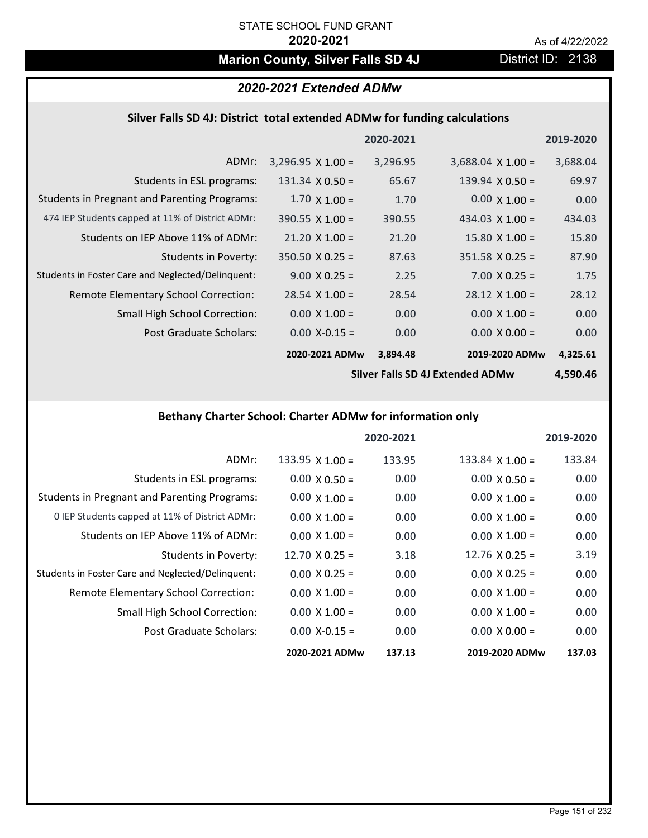# **Marion County, Silver Falls SD 4J** District ID: 2138

# *2020-2021 Extended ADMw*

### **Silver Falls SD 4J: District total extended ADMw for funding calculations**

|                                                     |                          | 2020-2021 |                          | 2019-2020 |
|-----------------------------------------------------|--------------------------|-----------|--------------------------|-----------|
| ADMr:                                               | $3,296.95 \times 1.00 =$ | 3,296.95  | $3,688.04 \times 1.00 =$ | 3,688.04  |
| Students in ESL programs:                           | $131.34 \times 0.50 =$   | 65.67     | $139.94 \times 0.50 =$   | 69.97     |
| <b>Students in Pregnant and Parenting Programs:</b> | $1.70 \times 1.00 =$     | 1.70      | $0.00 \times 1.00 =$     | 0.00      |
| 474 IEP Students capped at 11% of District ADMr:    | $390.55 \times 1.00 =$   | 390.55    | 434.03 $\times$ 1.00 =   | 434.03    |
| Students on IEP Above 11% of ADMr:                  | $21.20 \times 1.00 =$    | 21.20     | $15.80 \times 1.00 =$    | 15.80     |
| Students in Poverty:                                | $350.50 \times 0.25 =$   | 87.63     | $351.58 \times 0.25 =$   | 87.90     |
| Students in Foster Care and Neglected/Delinquent:   | $9.00 \times 0.25 =$     | 2.25      | $7.00 \times 0.25 =$     | 1.75      |
| Remote Elementary School Correction:                | $28.54 \times 1.00 =$    | 28.54     | $28.12 \times 1.00 =$    | 28.12     |
| <b>Small High School Correction:</b>                | $0.00 \times 1.00 =$     | 0.00      | $0.00 \times 1.00 =$     | 0.00      |
| Post Graduate Scholars:                             | $0.00$ X-0.15 =          | 0.00      | $0.00 \times 0.00 =$     | 0.00      |
|                                                     | 2020-2021 ADMw           | 3,894.48  | 2019-2020 ADMw           | 4,325.61  |

**Silver Falls SD 4J Extended ADMw**

**4,590.46**

# **Bethany Charter School: Charter ADMw for information only**

|                                                     |                        | 2020-2021 |                        | 2019-2020 |
|-----------------------------------------------------|------------------------|-----------|------------------------|-----------|
| ADMr:                                               | $133.95 \times 1.00 =$ | 133.95    | $133.84 \times 1.00 =$ | 133.84    |
| Students in ESL programs:                           | $0.00 \times 0.50 =$   | 0.00      | $0.00 \times 0.50 =$   | 0.00      |
| <b>Students in Pregnant and Parenting Programs:</b> | $0.00 \times 1.00 =$   | 0.00      | $0.00 \times 1.00 =$   | 0.00      |
| 0 IEP Students capped at 11% of District ADMr:      | $0.00 \times 1.00 =$   | 0.00      | $0.00 \times 1.00 =$   | 0.00      |
| Students on IEP Above 11% of ADMr:                  | $0.00 \times 1.00 =$   | 0.00      | $0.00 \times 1.00 =$   | 0.00      |
| <b>Students in Poverty:</b>                         | 12.70 $X$ 0.25 =       | 3.18      | 12.76 $X$ 0.25 =       | 3.19      |
| Students in Foster Care and Neglected/Delinquent:   | $0.00 \times 0.25 =$   | 0.00      | $0.00 \times 0.25 =$   | 0.00      |
| Remote Elementary School Correction:                | $0.00 \times 1.00 =$   | 0.00      | $0.00 \times 1.00 =$   | 0.00      |
| <b>Small High School Correction:</b>                | $0.00 \times 1.00 =$   | 0.00      | $0.00 \times 1.00 =$   | 0.00      |
| Post Graduate Scholars:                             | $0.00$ X-0.15 =        | 0.00      | $0.00 \times 0.00 =$   | 0.00      |
|                                                     | 2020-2021 ADMw         | 137.13    | 2019-2020 ADMw         | 137.03    |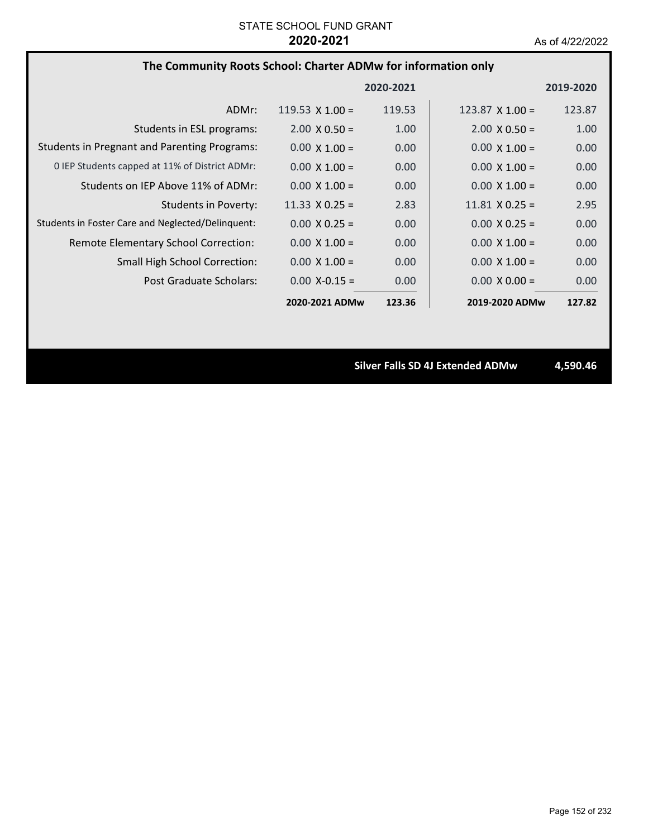# **The Community Roots School: Charter ADMw for information only**

|                                                     |                        | 2020-2021 |                        | 2019-2020 |
|-----------------------------------------------------|------------------------|-----------|------------------------|-----------|
| ADMr:                                               | $119.53 \times 1.00 =$ | 119.53    | $123.87 \times 1.00 =$ | 123.87    |
| Students in ESL programs:                           | $2.00 \times 0.50 =$   | 1.00      | $2.00 \times 0.50 =$   | 1.00      |
| <b>Students in Pregnant and Parenting Programs:</b> | $0.00 \times 1.00 =$   | 0.00      | $0.00 \times 1.00 =$   | 0.00      |
| 0 IEP Students capped at 11% of District ADMr:      | $0.00 \times 1.00 =$   | 0.00      | $0.00 \times 1.00 =$   | 0.00      |
| Students on IEP Above 11% of ADMr:                  | $0.00 \times 1.00 =$   | 0.00      | $0.00 \times 1.00 =$   | 0.00      |
| Students in Poverty:                                | 11.33 $\times$ 0.25 =  | 2.83      | $11.81 \times 0.25 =$  | 2.95      |
| Students in Foster Care and Neglected/Delinquent:   | $0.00 \times 0.25 =$   | 0.00      | $0.00 \times 0.25 =$   | 0.00      |
| Remote Elementary School Correction:                | $0.00 \times 1.00 =$   | 0.00      | $0.00 \times 1.00 =$   | 0.00      |
| <b>Small High School Correction:</b>                | $0.00 \times 1.00 =$   | 0.00      | $0.00 \times 1.00 =$   | 0.00      |
| Post Graduate Scholars:                             | $0.00 X - 0.15 =$      | 0.00      | $0.00 \times 0.00 =$   | 0.00      |
|                                                     | 2020-2021 ADMw         | 123.36    | 2019-2020 ADMw         | 127.82    |

**Silver Falls SD 4J Extended ADMw 4,590.46**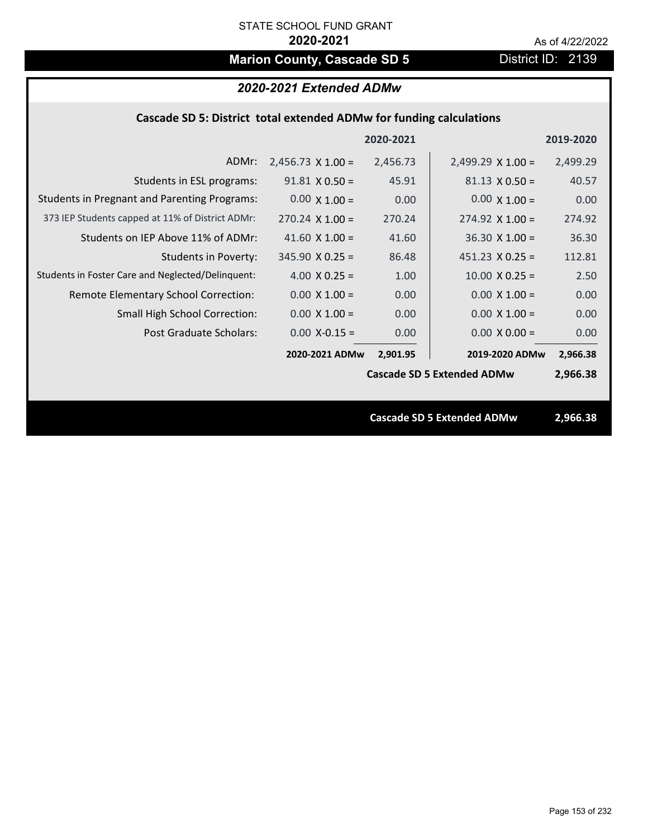# **Marion County, Cascade SD 5** District ID: 2139

| 2020-2021 Extended ADMw                                             |
|---------------------------------------------------------------------|
| Cascade SD 5: District total extended ADMw for funding calculations |
| anan anas                                                           |

|                                                     |                          | 2020-2021 |                                   | 2019-2020 |
|-----------------------------------------------------|--------------------------|-----------|-----------------------------------|-----------|
| ADMr:                                               | $2,456.73 \times 1.00 =$ | 2,456.73  | $2,499.29 \times 1.00 =$          | 2,499.29  |
| Students in ESL programs:                           | $91.81 \times 0.50 =$    | 45.91     | $81.13 \times 0.50 =$             | 40.57     |
| <b>Students in Pregnant and Parenting Programs:</b> | $0.00 \times 1.00 =$     | 0.00      | $0.00 \times 1.00 =$              | 0.00      |
| 373 IEP Students capped at 11% of District ADMr:    | $270.24 \times 1.00 =$   | 270.24    | $274.92 \times 1.00 =$            | 274.92    |
| Students on IEP Above 11% of ADMr:                  | 41.60 $X$ 1.00 =         | 41.60     | $36.30 \times 1.00 =$             | 36.30     |
| <b>Students in Poverty:</b>                         | $345.90 \times 0.25 =$   | 86.48     | $451.23 \times 0.25 =$            | 112.81    |
| Students in Foster Care and Neglected/Delinquent:   | 4.00 $X$ 0.25 =          | 1.00      | $10.00 \times 0.25 =$             | 2.50      |
| Remote Elementary School Correction:                | $0.00 \times 1.00 =$     | 0.00      | $0.00 \times 1.00 =$              | 0.00      |
| <b>Small High School Correction:</b>                | $0.00 \times 1.00 =$     | 0.00      | $0.00 \times 1.00 =$              | 0.00      |
| Post Graduate Scholars:                             | $0.00$ X-0.15 =          | 0.00      | $0.00 \times 0.00 =$              | 0.00      |
|                                                     | 2020-2021 ADMw           | 2,901.95  | 2019-2020 ADMw                    | 2,966.38  |
|                                                     |                          |           | <b>Cascade SD 5 Extended ADMw</b> | 2,966.38  |
|                                                     |                          |           |                                   |           |
|                                                     |                          |           | <b>Cascade SD 5 Extended ADMw</b> | 2,966.38  |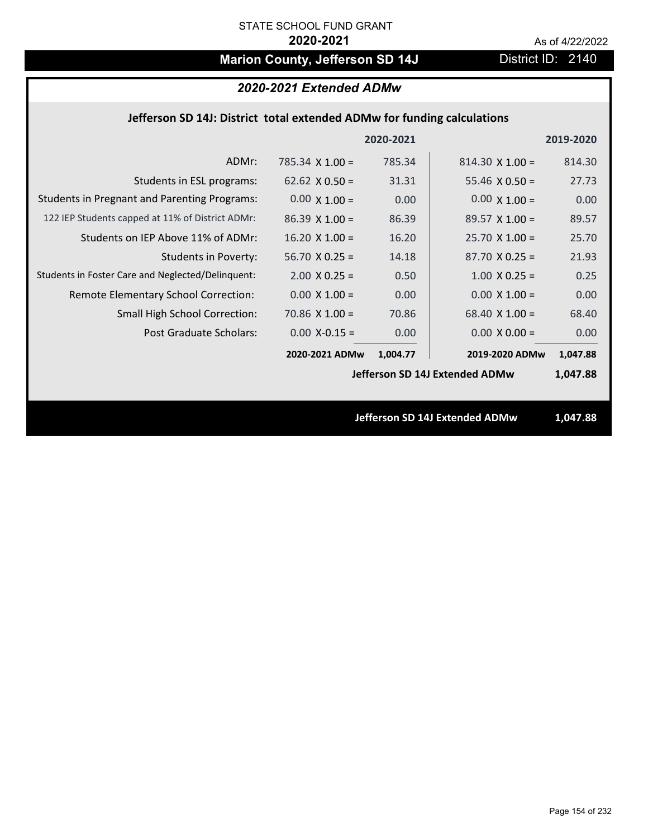# **Marion County, Jefferson SD 14J** District ID: 2140

# *2020-2021 Extended ADMw*

### **Jefferson SD 14J: District total extended ADMw for funding calculations**

|                                                     |                        | 2020-2021 |                                | 2019-2020 |
|-----------------------------------------------------|------------------------|-----------|--------------------------------|-----------|
| ADMr:                                               | 785.34 $\times$ 1.00 = | 785.34    | $814.30 \times 1.00 =$         | 814.30    |
| Students in ESL programs:                           | 62.62 $\times$ 0.50 =  | 31.31     | 55.46 $\times$ 0.50 =          | 27.73     |
| <b>Students in Pregnant and Parenting Programs:</b> | $0.00 \times 1.00 =$   | 0.00      | $0.00 \times 1.00 =$           | 0.00      |
| 122 IEP Students capped at 11% of District ADMr:    | $86.39 \times 1.00 =$  | 86.39     | $89.57 \times 1.00 =$          | 89.57     |
| Students on IEP Above 11% of ADMr:                  | $16.20 \times 1.00 =$  | 16.20     | $25.70 X 1.00 =$               | 25.70     |
| <b>Students in Poverty:</b>                         | $56.70$ X 0.25 =       | 14.18     | $87.70 X 0.25 =$               | 21.93     |
| Students in Foster Care and Neglected/Delinquent:   | $2.00 \times 0.25 =$   | 0.50      | $1.00 \times 0.25 =$           | 0.25      |
| Remote Elementary School Correction:                | $0.00 \times 1.00 =$   | 0.00      | $0.00 \times 1.00 =$           | 0.00      |
| <b>Small High School Correction:</b>                | $70.86$ X $1.00 =$     | 70.86     | 68.40 $X$ 1.00 =               | 68.40     |
| Post Graduate Scholars:                             | $0.00$ X-0.15 =        | 0.00      | $0.00 \times 0.00 =$           | 0.00      |
|                                                     | 2020-2021 ADMw         | 1,004.77  | 2019-2020 ADMw                 | 1,047.88  |
|                                                     |                        |           | Jefferson SD 14J Extended ADMw | 1,047.88  |
|                                                     |                        |           |                                |           |
|                                                     |                        |           | Jefferson SD 14J Extended ADMw | 1,047.88  |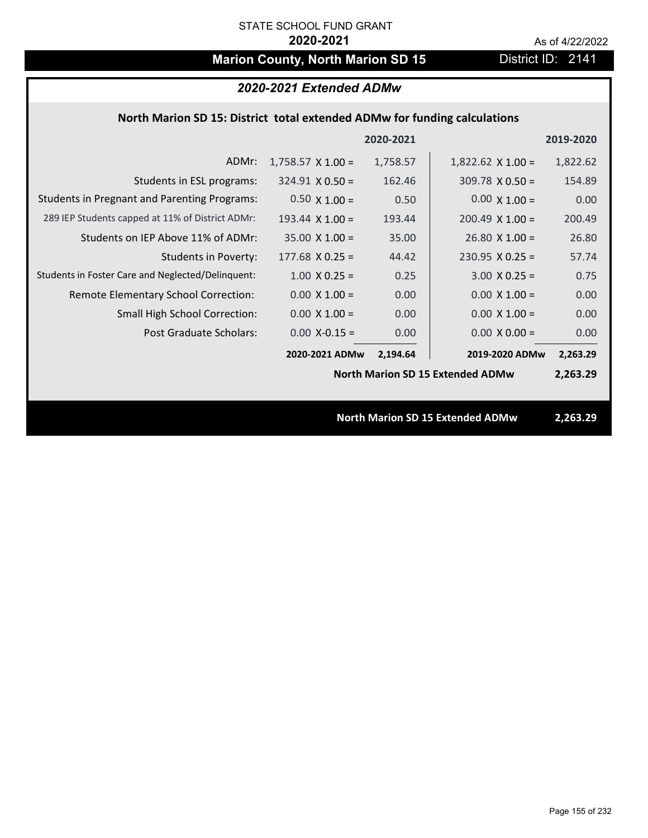# **Marion County, North Marion SD 15** District ID: 2141

|                                                                           | 2020-2021 Extended ADMw  |           |                                         |           |  |
|---------------------------------------------------------------------------|--------------------------|-----------|-----------------------------------------|-----------|--|
| North Marion SD 15: District total extended ADMw for funding calculations |                          |           |                                         |           |  |
|                                                                           |                          | 2020-2021 |                                         | 2019-2020 |  |
| ADMr:                                                                     | $1,758.57 \times 1.00 =$ | 1,758.57  | $1,822.62 \times 1.00 =$                | 1,822.62  |  |
| Students in ESL programs:                                                 | $324.91 \times 0.50 =$   | 162.46    | $309.78 \times 0.50 =$                  | 154.89    |  |
| <b>Students in Pregnant and Parenting Programs:</b>                       | $0.50 \times 1.00 =$     | 0.50      | $0.00 \times 1.00 =$                    | 0.00      |  |
| 289 IEP Students capped at 11% of District ADMr:                          | 193.44 $\times$ 1.00 =   | 193.44    | $200.49$ X 1.00 =                       | 200.49    |  |
| Students on IEP Above 11% of ADMr:                                        | $35.00$ X $1.00 =$       | 35.00     | $26.80$ X $1.00 =$                      | 26.80     |  |
| <b>Students in Poverty:</b>                                               | $177.68$ X 0.25 =        | 44.42     | $230.95$ X 0.25 =                       | 57.74     |  |
| Students in Foster Care and Neglected/Delinquent:                         | $1.00$ X 0.25 =          | 0.25      | $3.00 X 0.25 =$                         | 0.75      |  |
| Remote Elementary School Correction:                                      | $0.00 \times 1.00 =$     | 0.00      | $0.00 \times 1.00 =$                    | 0.00      |  |
| Small High School Correction:                                             | $0.00 \times 1.00 =$     | 0.00      | $0.00 \times 1.00 =$                    | 0.00      |  |
| <b>Post Graduate Scholars:</b>                                            | $0.00$ X-0.15 =          | 0.00      | $0.00 \times 0.00 =$                    | 0.00      |  |
|                                                                           | 2020-2021 ADMw           | 2,194.64  | 2019-2020 ADMw                          | 2,263.29  |  |
|                                                                           |                          |           | <b>North Marion SD 15 Extended ADMw</b> | 2,263.29  |  |
|                                                                           |                          |           |                                         |           |  |
|                                                                           |                          |           | <b>North Marion SD 15 Extended ADMw</b> | 2,263.29  |  |
|                                                                           |                          |           |                                         |           |  |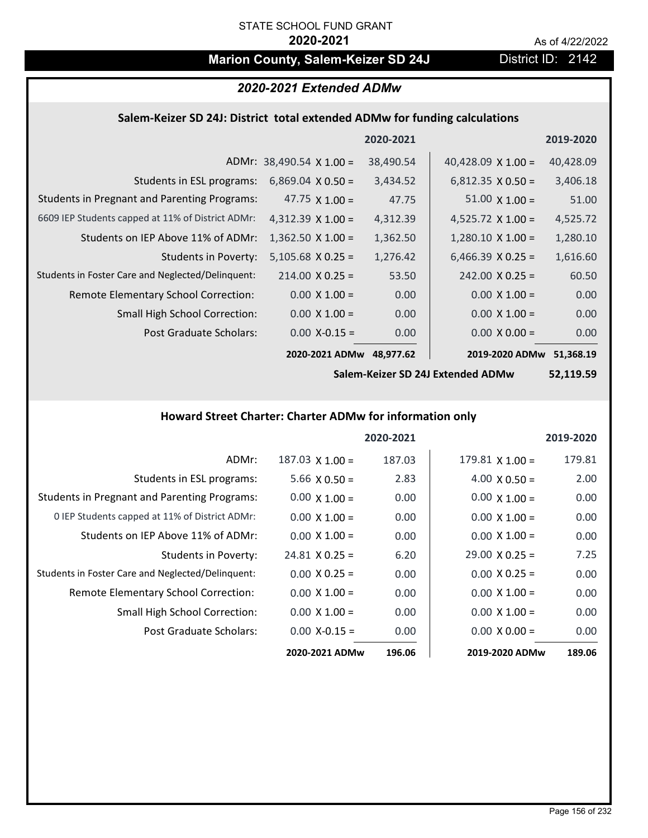# **Marion County, Salem-Keizer SD 24J District ID: 2142**

|                                                                            | 2020-2021 Extended ADMw         |           |                           |           |
|----------------------------------------------------------------------------|---------------------------------|-----------|---------------------------|-----------|
| Salem-Keizer SD 24J: District total extended ADMw for funding calculations |                                 |           |                           |           |
|                                                                            |                                 | 2020-2021 |                           | 2019-2020 |
|                                                                            | ADMr: $38,490.54 \times 1.00 =$ | 38,490.54 | 40,428.09 $\times$ 1.00 = | 40,428.09 |
| Students in ESL programs:                                                  | $6,869.04 \times 0.50 =$        | 3,434.52  | $6,812.35 \times 0.50 =$  | 3,406.18  |
| <b>Students in Pregnant and Parenting Programs:</b>                        | 47.75 $\times$ 1.00 =           | 47.75     | $51.00 \times 1.00 =$     | 51.00     |
| 6609 IEP Students capped at 11% of District ADMr:                          | 4,312.39 $\times$ 1.00 =        | 4,312.39  | 4,525.72 $\times$ 1.00 =  | 4,525.72  |
| Students on IEP Above 11% of ADMr:                                         | $1,362.50 \times 1.00 =$        | 1,362.50  | $1,280.10 \times 1.00 =$  | 1,280.10  |
| <b>Students in Poverty:</b>                                                | $5,105.68 \times 0.25 =$        | 1,276.42  | $6,466.39 \times 0.25 =$  | 1,616.60  |
| Students in Foster Care and Neglected/Delinquent:                          | $214.00 \times 0.25 =$          | 53.50     | $242.00 \times 0.25 =$    | 60.50     |
| Remote Elementary School Correction:                                       | $0.00 \times 1.00 =$            | 0.00      | $0.00 \times 1.00 =$      | 0.00      |
| <b>Small High School Correction:</b>                                       | $0.00 \times 1.00 =$            | 0.00      | $0.00 \times 1.00 =$      | 0.00      |
| Post Graduate Scholars:                                                    | $0.00$ X-0.15 =                 | 0.00      | $0.00 \times 0.00 =$      | 0.00      |

**2020‐2021 ADMw 2019‐2020 ADMw**

2019-2020 ADMw 51,368.19

**Salem‐Keizer SD 24J Extended ADMw**

**52,119.59**

# **Howard Street Charter: Charter ADMw for information only**

|                                                     |                       | 2020-2021 |                        | 2019-2020 |
|-----------------------------------------------------|-----------------------|-----------|------------------------|-----------|
| ADMr:                                               | $187.03$ X $1.00 =$   | 187.03    | $179.81 \times 1.00 =$ | 179.81    |
| Students in ESL programs:                           | $5.66 \times 0.50 =$  | 2.83      | $4.00 \times 0.50 =$   | 2.00      |
| <b>Students in Pregnant and Parenting Programs:</b> | $0.00 \times 1.00 =$  | 0.00      | $0.00 \times 1.00 =$   | 0.00      |
| 0 IEP Students capped at 11% of District ADMr:      | $0.00 \times 1.00 =$  | 0.00      | $0.00 \times 1.00 =$   | 0.00      |
| Students on IEP Above 11% of ADMr:                  | $0.00 \times 1.00 =$  | 0.00      | $0.00 \times 1.00 =$   | 0.00      |
| <b>Students in Poverty:</b>                         | $24.81 \times 0.25 =$ | 6.20      | $29.00 \times 0.25 =$  | 7.25      |
| Students in Foster Care and Neglected/Delinquent:   | $0.00 \times 0.25 =$  | 0.00      | $0.00 \times 0.25 =$   | 0.00      |
| Remote Elementary School Correction:                | $0.00 \times 1.00 =$  | 0.00      | $0.00 \times 1.00 =$   | 0.00      |
| <b>Small High School Correction:</b>                | $0.00 \times 1.00 =$  | 0.00      | $0.00 \times 1.00 =$   | 0.00      |
| Post Graduate Scholars:                             | $0.00$ X-0.15 =       | 0.00      | $0.00 \times 0.00 =$   | 0.00      |
|                                                     | 2020-2021 ADMw        | 196.06    | 2019-2020 ADMw         | 189.06    |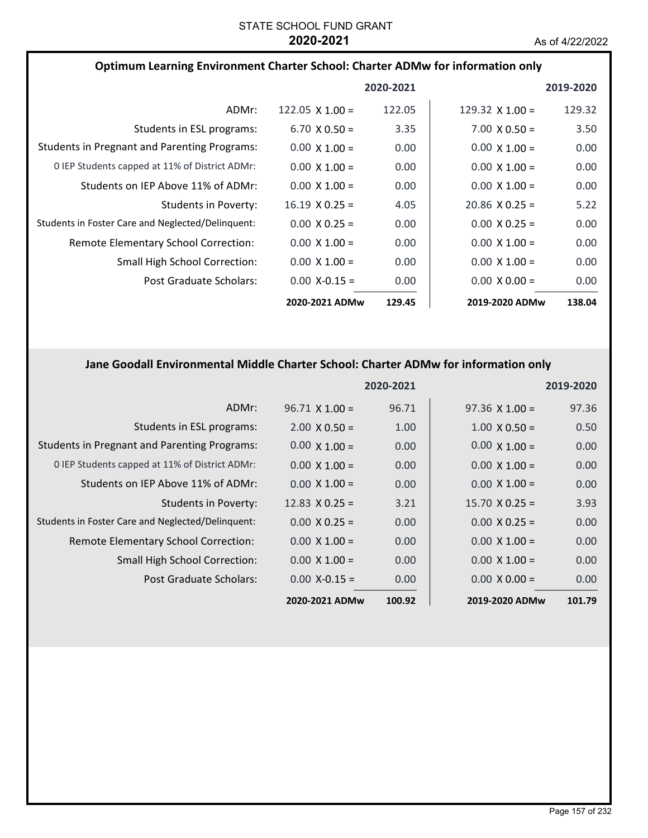| Optimum Learning Environment Charter School: Charter ADMw for information only |                        |           |                        |           |
|--------------------------------------------------------------------------------|------------------------|-----------|------------------------|-----------|
|                                                                                |                        | 2020-2021 |                        | 2019-2020 |
| ADMr:                                                                          | 122.05 $\times$ 1.00 = | 122.05    | 129.32 $\times$ 1.00 = | 129.32    |
| Students in ESL programs:                                                      | $6.70 \times 0.50 =$   | 3.35      | $7.00 \times 0.50 =$   | 3.50      |
| <b>Students in Pregnant and Parenting Programs:</b>                            | $0.00 \times 1.00 =$   | 0.00      | $0.00 \times 1.00 =$   | 0.00      |
| 0 IEP Students capped at 11% of District ADMr:                                 | $0.00 \times 1.00 =$   | 0.00      | $0.00 \times 1.00 =$   | 0.00      |
| Students on IEP Above 11% of ADMr:                                             | $0.00 \times 1.00 =$   | 0.00      | $0.00 \times 1.00 =$   | 0.00      |
| Students in Poverty:                                                           | $16.19 \times 0.25 =$  | 4.05      | $20.86 \times 0.25 =$  | 5.22      |
| Students in Foster Care and Neglected/Delinquent:                              | $0.00 \times 0.25 =$   | 0.00      | $0.00 \times 0.25 =$   | 0.00      |
| Remote Elementary School Correction:                                           | $0.00 \times 1.00 =$   | 0.00      | $0.00 \times 1.00 =$   | 0.00      |
| <b>Small High School Correction:</b>                                           | $0.00 \times 1.00 =$   | 0.00      | $0.00 \times 1.00 =$   | 0.00      |
| Post Graduate Scholars:                                                        | $0.00$ X-0.15 =        | 0.00      | $0.00 \times 0.00 =$   | 0.00      |
|                                                                                | 2020-2021 ADMw         | 129.45    | 2019-2020 ADMw         | 138.04    |

# **Jane Goodall Environmental Middle Charter School: Charter ADMw for information only**

|                                                     |                       | 2020-2021 |                       | 2019-2020 |
|-----------------------------------------------------|-----------------------|-----------|-----------------------|-----------|
| ADMr:                                               | $96.71 \times 1.00 =$ | 96.71     | $97.36 \times 1.00 =$ | 97.36     |
| Students in ESL programs:                           | $2.00 \times 0.50 =$  | 1.00      | $1.00 \times 0.50 =$  | 0.50      |
| <b>Students in Pregnant and Parenting Programs:</b> | $0.00 \times 1.00 =$  | 0.00      | $0.00 \times 1.00 =$  | 0.00      |
| 0 IEP Students capped at 11% of District ADMr:      | $0.00 \times 1.00 =$  | 0.00      | $0.00 \times 1.00 =$  | 0.00      |
| Students on IEP Above 11% of ADMr:                  | $0.00 \times 1.00 =$  | 0.00      | $0.00 \times 1.00 =$  | 0.00      |
| Students in Poverty:                                | $12.83 \times 0.25 =$ | 3.21      | $15.70 \times 0.25 =$ | 3.93      |
| Students in Foster Care and Neglected/Delinquent:   | $0.00 \times 0.25 =$  | 0.00      | $0.00 \times 0.25 =$  | 0.00      |
| Remote Elementary School Correction:                | $0.00 \times 1.00 =$  | 0.00      | $0.00 \times 1.00 =$  | 0.00      |
| <b>Small High School Correction:</b>                | $0.00 \times 1.00 =$  | 0.00      | $0.00 \times 1.00 =$  | 0.00      |
| Post Graduate Scholars:                             | $0.00$ X-0.15 =       | 0.00      | $0.00 \times 0.00 =$  | 0.00      |
|                                                     | 2020-2021 ADMw        | 100.92    | 2019-2020 ADMw        | 101.79    |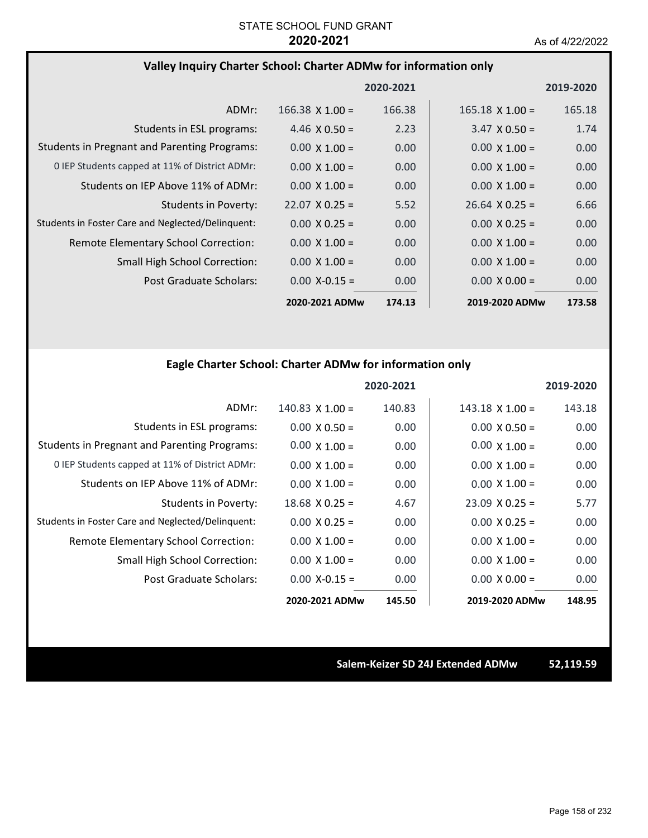# **Valley Inquiry Charter School: Charter ADMw for information only**

|                                                     |                       | 2020-2021 |                        | 2019-2020         |
|-----------------------------------------------------|-----------------------|-----------|------------------------|-------------------|
| ADMr:                                               | $166.38$ X $1.00 =$   | 166.38    | $165.18 \times 1.00 =$ | 165.18            |
| Students in ESL programs:                           | $4.46 \times 0.50 =$  | 2.23      | $3.47 \times 0.50 =$   | 1.74              |
| <b>Students in Pregnant and Parenting Programs:</b> | $0.00 \times 1.00 =$  | 0.00      | $0.00 \times 1.00 =$   | 0.00              |
| 0 IEP Students capped at 11% of District ADMr:      | $0.00 \times 1.00 =$  | 0.00      | $0.00 \times 1.00 =$   | 0.00              |
| Students on IEP Above 11% of ADMr:                  | $0.00 \times 1.00 =$  | 0.00      | $0.00 \times 1.00 =$   | 0.00 <sub>1</sub> |
| Students in Poverty:                                | $22.07 \times 0.25 =$ | 5.52      | $26.64 \times 0.25 =$  | 6.66              |
| Students in Foster Care and Neglected/Delinquent:   | $0.00 \times 0.25 =$  | 0.00      | $0.00 \times 0.25 =$   | 0.00 <sub>1</sub> |
| <b>Remote Elementary School Correction:</b>         | $0.00 \times 1.00 =$  | 0.00      | $0.00 \times 1.00 =$   | 0.00              |
| <b>Small High School Correction:</b>                | $0.00 \times 1.00 =$  | 0.00      | $0.00 \times 1.00 =$   | 0.00              |
| Post Graduate Scholars:                             | $0.00$ X-0.15 =       | 0.00      | $0.00 \times 0.00 =$   | 0.00 <sub>1</sub> |
|                                                     | 2020-2021 ADMw        | 174.13    | 2019-2020 ADMw         | 173.58            |

# **Eagle Charter School: Charter ADMw for information only**

|                                                     |                      | 2020-2021 |                       | 2019-2020 |
|-----------------------------------------------------|----------------------|-----------|-----------------------|-----------|
| ADMr:                                               | $140.83$ X $1.00 =$  | 140.83    | $143.18$ X $1.00 =$   | 143.18    |
| Students in ESL programs:                           | $0.00 \times 0.50 =$ | 0.00      | $0.00 \times 0.50 =$  | 0.00      |
| <b>Students in Pregnant and Parenting Programs:</b> | $0.00 \times 1.00 =$ | 0.00      | $0.00 \times 1.00 =$  | 0.00      |
| 0 IEP Students capped at 11% of District ADMr:      | $0.00 \times 1.00 =$ | 0.00      | $0.00 \times 1.00 =$  | 0.00      |
| Students on IEP Above 11% of ADMr:                  | $0.00 \times 1.00 =$ | 0.00      | $0.00 \times 1.00 =$  | 0.00      |
| Students in Poverty:                                | $18.68$ X 0.25 =     | 4.67      | $23.09 \times 0.25 =$ | 5.77      |
| Students in Foster Care and Neglected/Delinquent:   | $0.00 \times 0.25 =$ | 0.00      | $0.00 \times 0.25 =$  | 0.00      |
| Remote Elementary School Correction:                | $0.00 \times 1.00 =$ | 0.00      | $0.00 \times 1.00 =$  | 0.00      |
| Small High School Correction:                       | $0.00 \times 1.00 =$ | 0.00      | $0.00 \times 1.00 =$  | 0.00      |
| Post Graduate Scholars:                             | $0.00$ X-0.15 =      | 0.00      | $0.00 \times 0.00 =$  | 0.00      |
|                                                     | 2020-2021 ADMw       | 145.50    | 2019-2020 ADMw        | 148.95    |

**Salem‐Keizer SD 24J Extended ADMw 52,119.59**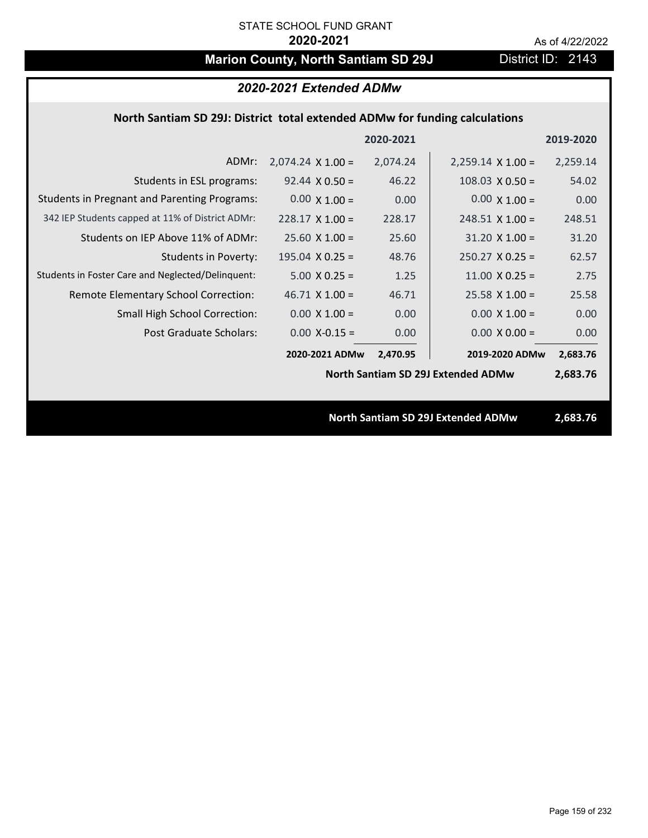# **Marion County, North Santiam SD 29J** District ID: 2143

|                                                                             | 2020-2021 Extended ADMw  |           |                                           |           |
|-----------------------------------------------------------------------------|--------------------------|-----------|-------------------------------------------|-----------|
| North Santiam SD 29J: District total extended ADMw for funding calculations |                          |           |                                           |           |
|                                                                             |                          | 2020-2021 |                                           | 2019-2020 |
| ADMr:                                                                       | $2,074.24 \times 1.00 =$ | 2,074.24  | $2,259.14 \times 1.00 =$                  | 2,259.14  |
| Students in ESL programs:                                                   | $92.44 \times 0.50 =$    | 46.22     | $108.03 \times 0.50 =$                    | 54.02     |
| <b>Students in Pregnant and Parenting Programs:</b>                         | $0.00 \times 1.00 =$     | 0.00      | $0.00 \times 1.00 =$                      | 0.00      |
| 342 IEP Students capped at 11% of District ADMr:                            | $228.17 \times 1.00 =$   | 228.17    | $248.51$ X 1.00 =                         | 248.51    |
| Students on IEP Above 11% of ADMr:                                          | $25.60$ X 1.00 =         | 25.60     | $31.20 \times 1.00 =$                     | 31.20     |
| <b>Students in Poverty:</b>                                                 | $195.04$ X 0.25 =        | 48.76     | $250.27$ X 0.25 =                         | 62.57     |
| Students in Foster Care and Neglected/Delinquent:                           | $5.00 \times 0.25 =$     | 1.25      | 11.00 $X$ 0.25 =                          | 2.75      |
| Remote Elementary School Correction:                                        | $46.71$ X $1.00 =$       | 46.71     | $25.58$ X 1.00 =                          | 25.58     |
| <b>Small High School Correction:</b>                                        | $0.00 \times 1.00 =$     | 0.00      | $0.00 \times 1.00 =$                      | 0.00      |
| Post Graduate Scholars:                                                     | $0.00$ X-0.15 =          | 0.00      | $0.00 \times 0.00 =$                      | 0.00      |
|                                                                             | 2020-2021 ADMw           | 2,470.95  | 2019-2020 ADMw                            | 2,683.76  |
|                                                                             |                          |           | <b>North Santiam SD 29J Extended ADMw</b> | 2,683.76  |
|                                                                             |                          |           |                                           |           |
|                                                                             |                          |           | <b>North Santiam SD 29J Extended ADMw</b> | 2,683.76  |
|                                                                             |                          |           |                                           |           |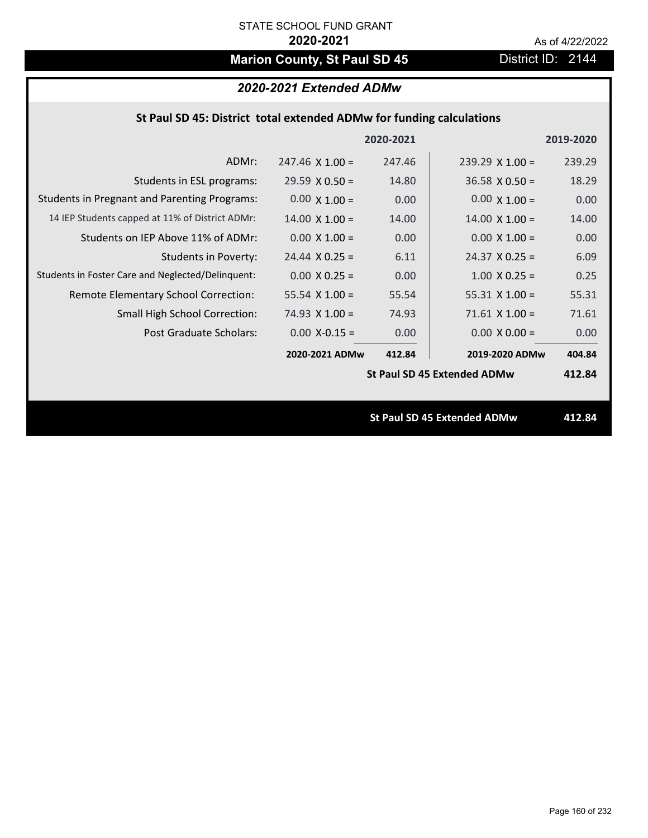# **Marion County, St Paul SD 45** District ID: 2144

# *2020-2021 Extended ADMw*

### **St Paul SD 45: District total extended ADMw for funding calculations**

|                                                     |                        | 2020-2021 |                                    | 2019-2020 |
|-----------------------------------------------------|------------------------|-----------|------------------------------------|-----------|
| ADMr:                                               | $247.46 \times 1.00 =$ | 247.46    | $239.29 \times 1.00 =$             | 239.29    |
| Students in ESL programs:                           | $29.59 \times 0.50 =$  | 14.80     | $36.58 \times 0.50 =$              | 18.29     |
| <b>Students in Pregnant and Parenting Programs:</b> | $0.00 \times 1.00 =$   | 0.00      | $0.00 \times 1.00 =$               | 0.00      |
| 14 IEP Students capped at 11% of District ADMr:     | $14.00 \times 1.00 =$  | 14.00     | $14.00 \times 1.00 =$              | 14.00     |
| Students on IEP Above 11% of ADMr:                  | $0.00 \times 1.00 =$   | 0.00      | $0.00 \times 1.00 =$               | 0.00      |
| <b>Students in Poverty:</b>                         | $24.44 \times 0.25 =$  | 6.11      | $24.37 \times 0.25 =$              | 6.09      |
| Students in Foster Care and Neglected/Delinquent:   | $0.00 \times 0.25 =$   | 0.00      | $1.00 \times 0.25 =$               | 0.25      |
| Remote Elementary School Correction:                | 55.54 $X$ 1.00 =       | 55.54     | $55.31 \times 1.00 =$              | 55.31     |
| <b>Small High School Correction:</b>                | $74.93 \times 1.00 =$  | 74.93     | $71.61$ X $1.00 =$                 | 71.61     |
| Post Graduate Scholars:                             | $0.00$ X-0.15 =        | 0.00      | $0.00 \times 0.00 =$               | 0.00      |
|                                                     | 2020-2021 ADMw         | 412.84    | 2019-2020 ADMw                     | 404.84    |
|                                                     |                        |           | <b>St Paul SD 45 Extended ADMw</b> | 412.84    |
|                                                     |                        |           |                                    |           |
|                                                     |                        |           | <b>St Paul SD 45 Extended ADMw</b> | 412.84    |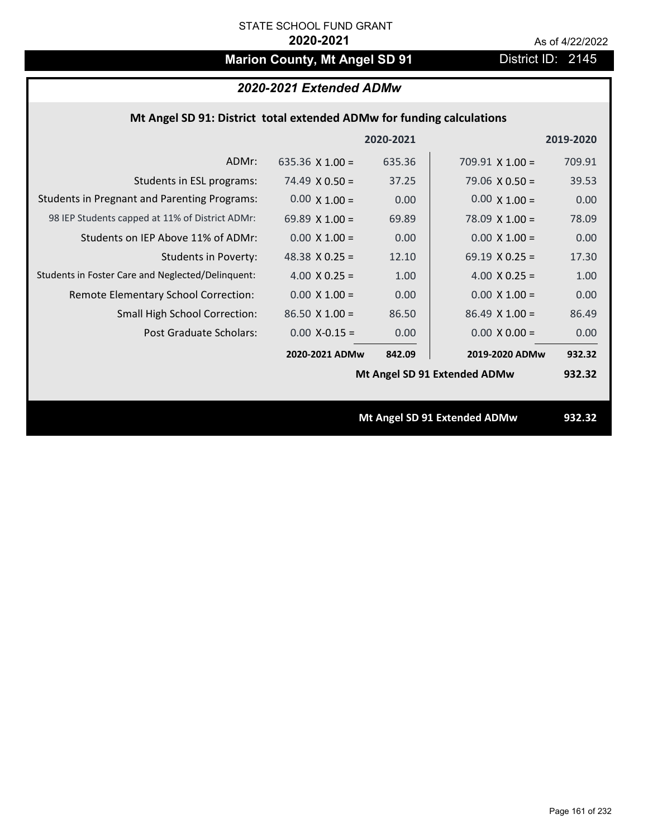# **Marion County, Mt Angel SD 91** District ID: 2145

# *2020-2021 Extended ADMw*

## **Mt Angel SD 91: District total extended ADMw for funding calculations**

|                                                     |                       | 2020-2021 |                              | 2019-2020 |
|-----------------------------------------------------|-----------------------|-----------|------------------------------|-----------|
| ADMr:                                               | 635.36 $X$ 1.00 =     | 635.36    | $709.91 \times 1.00 =$       | 709.91    |
| Students in ESL programs:                           | 74.49 $\times$ 0.50 = | 37.25     | $79.06 \times 0.50 =$        | 39.53     |
| <b>Students in Pregnant and Parenting Programs:</b> | $0.00 \times 1.00 =$  | 0.00      | $0.00 \times 1.00 =$         | 0.00      |
| 98 IEP Students capped at 11% of District ADMr:     | 69.89 $X$ 1.00 =      | 69.89     | $78.09 \times 1.00 =$        | 78.09     |
| Students on IEP Above 11% of ADMr:                  | $0.00 \times 1.00 =$  | 0.00      | $0.00 \times 1.00 =$         | 0.00      |
| <b>Students in Poverty:</b>                         | 48.38 $X$ 0.25 =      | 12.10     | 69.19 $X$ 0.25 =             | 17.30     |
| Students in Foster Care and Neglected/Delinquent:   | 4.00 $X$ 0.25 =       | 1.00      | 4.00 $X$ 0.25 =              | 1.00      |
| Remote Elementary School Correction:                | $0.00 \times 1.00 =$  | 0.00      | $0.00 \times 1.00 =$         | 0.00      |
| <b>Small High School Correction:</b>                | $86.50 \times 1.00 =$ | 86.50     | $86.49$ X 1.00 =             | 86.49     |
| <b>Post Graduate Scholars:</b>                      | $0.00$ X-0.15 =       | 0.00      | $0.00 \times 0.00 =$         | 0.00      |
|                                                     | 2020-2021 ADMw        | 842.09    | 2019-2020 ADMw               | 932.32    |
|                                                     |                       |           | Mt Angel SD 91 Extended ADMw | 932.32    |
|                                                     |                       |           |                              |           |
|                                                     |                       |           | Mt Angel SD 91 Extended ADMw | 932.32    |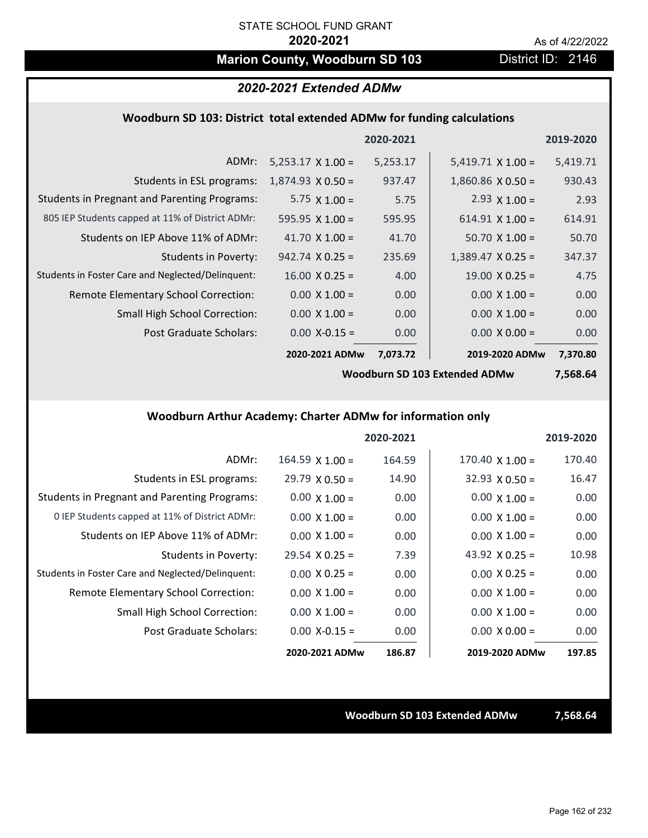# **Marion County, Woodburn SD 103** District ID: 2146

### *2020-2021 Extended ADMw*

### **Woodburn SD 103: District total extended ADMw for funding calculations**

|                                                     |                          | 2020-2021 |                          | 2019-2020 |
|-----------------------------------------------------|--------------------------|-----------|--------------------------|-----------|
| ADMr:                                               | $5,253.17 \times 1.00 =$ | 5,253.17  | $5,419.71 \times 1.00 =$ | 5,419.71  |
| Students in ESL programs:                           | $1,874.93 \times 0.50 =$ | 937.47    | $1,860.86 \times 0.50 =$ | 930.43    |
| <b>Students in Pregnant and Parenting Programs:</b> | 5.75 $\times$ 1.00 =     | 5.75      | 2.93 $\times$ 1.00 =     | 2.93      |
| 805 IEP Students capped at 11% of District ADMr:    | $595.95 \times 1.00 =$   | 595.95    | $614.91 \times 1.00 =$   | 614.91    |
| Students on IEP Above 11% of ADMr:                  | 41.70 $X$ 1.00 =         | 41.70     | $50.70 \times 1.00 =$    | 50.70     |
| Students in Poverty:                                | $942.74 \times 0.25 =$   | 235.69    | $1,389.47 \times 0.25 =$ | 347.37    |
| Students in Foster Care and Neglected/Delinquent:   | $16.00 \times 0.25 =$    | 4.00      | $19.00 \times 0.25 =$    | 4.75      |
| Remote Elementary School Correction:                | $0.00 \times 1.00 =$     | 0.00      | $0.00 \times 1.00 =$     | 0.00      |
| <b>Small High School Correction:</b>                | $0.00 \times 1.00 =$     | 0.00      | $0.00 \times 1.00 =$     | 0.00      |
| Post Graduate Scholars:                             | $0.00$ X-0.15 =          | 0.00      | $0.00 \times 0.00 =$     | 0.00      |
|                                                     | 2020-2021 ADMw           | 7,073.72  | 2019-2020 ADMw           | 7,370.80  |

**Woodburn SD 103 Extended ADMw**

**7,568.64**

## **Woodburn Arthur Academy: Charter ADMw for information only**

|                                                     |                        | 2020-2021 |                        | 2019-2020 |
|-----------------------------------------------------|------------------------|-----------|------------------------|-----------|
| ADMr:                                               | $164.59 \times 1.00 =$ | 164.59    | $170.40 \times 1.00 =$ | 170.40    |
| Students in ESL programs:                           | $29.79 \times 0.50 =$  | 14.90     | $32.93 \times 0.50 =$  | 16.47     |
| <b>Students in Pregnant and Parenting Programs:</b> | $0.00 \times 1.00 =$   | 0.00      | $0.00 \times 1.00 =$   | 0.00      |
| 0 IEP Students capped at 11% of District ADMr:      | $0.00 \times 1.00 =$   | 0.00      | $0.00 \times 1.00 =$   | 0.00      |
| Students on IEP Above 11% of ADMr:                  | $0.00 \times 1.00 =$   | 0.00      | $0.00 \times 1.00 =$   | 0.00      |
| Students in Poverty:                                | $29.54 \times 0.25 =$  | 7.39      | 43.92 $\times$ 0.25 =  | 10.98     |
| Students in Foster Care and Neglected/Delinquent:   | $0.00 \times 0.25 =$   | 0.00      | $0.00 \times 0.25 =$   | 0.00      |
| Remote Elementary School Correction:                | $0.00 \times 1.00 =$   | 0.00      | $0.00 \times 1.00 =$   | 0.00      |
| <b>Small High School Correction:</b>                | $0.00 \times 1.00 =$   | 0.00      | $0.00 \times 1.00 =$   | 0.00      |
| Post Graduate Scholars:                             | $0.00 X - 0.15 =$      | 0.00      | $0.00 \times 0.00 =$   | 0.00      |
|                                                     | 2020-2021 ADMw         | 186.87    | 2019-2020 ADMw         | 197.85    |

**Woodburn SD 103 Extended ADMw 7,568.64**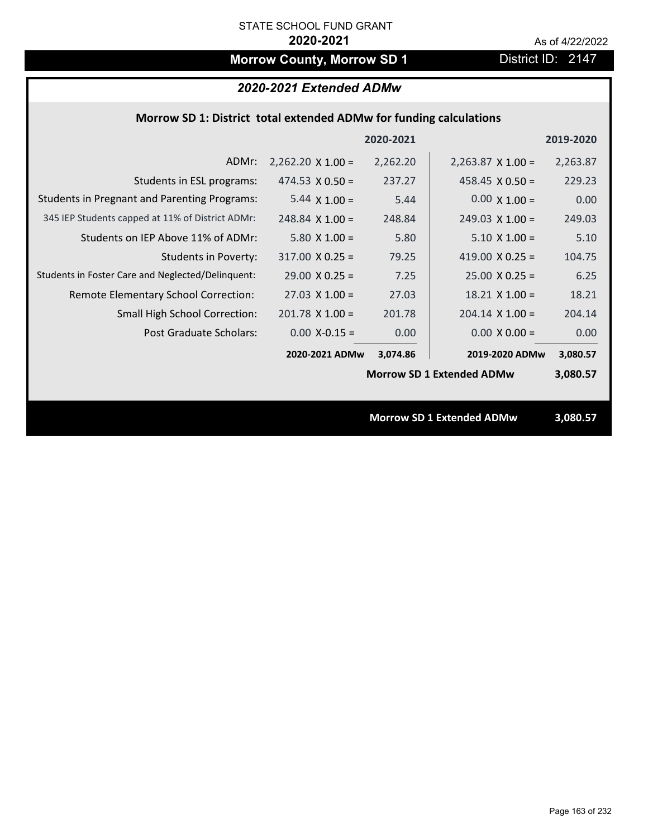# **Morrow County, Morrow SD 1** District ID: 2147

# *2020-2021 Extended ADMw*

### **Morrow SD 1: District total extended ADMw for funding calculations**

|                                                     |                          | 2020-2021 |                                  | 2019-2020 |
|-----------------------------------------------------|--------------------------|-----------|----------------------------------|-----------|
| ADMr:                                               | $2,262.20 \times 1.00 =$ | 2,262.20  | $2,263.87 \times 1.00 =$         | 2,263.87  |
| Students in ESL programs:                           | 474.53 $X$ 0.50 =        | 237.27    | 458.45 $X$ 0.50 =                | 229.23    |
| <b>Students in Pregnant and Parenting Programs:</b> | 5.44 $\times$ 1.00 =     | 5.44      | $0.00 \times 1.00 =$             | 0.00      |
| 345 IEP Students capped at 11% of District ADMr:    | $248.84$ X 1.00 =        | 248.84    | $249.03 \times 1.00 =$           | 249.03    |
| Students on IEP Above 11% of ADMr:                  | $5.80 \times 1.00 =$     | 5.80      | $5.10 \times 1.00 =$             | 5.10      |
| <b>Students in Poverty:</b>                         | $317.00 \times 0.25 =$   | 79.25     | 419.00 $X$ 0.25 =                | 104.75    |
| Students in Foster Care and Neglected/Delinquent:   | $29.00 \times 0.25 =$    | 7.25      | $25.00 \times 0.25 =$            | 6.25      |
| Remote Elementary School Correction:                | $27.03 \times 1.00 =$    | 27.03     | $18.21$ X $1.00 =$               | 18.21     |
| <b>Small High School Correction:</b>                | $201.78 \times 1.00 =$   | 201.78    | $204.14 \times 1.00 =$           | 204.14    |
| Post Graduate Scholars:                             | $0.00$ X-0.15 =          | 0.00      | $0.00 \times 0.00 =$             | 0.00      |
|                                                     | 2020-2021 ADMw           | 3,074.86  | 2019-2020 ADMw                   | 3,080.57  |
|                                                     |                          |           | <b>Morrow SD 1 Extended ADMw</b> | 3,080.57  |
|                                                     |                          |           |                                  |           |
|                                                     |                          |           | <b>Morrow SD 1 Extended ADMw</b> | 3,080.57  |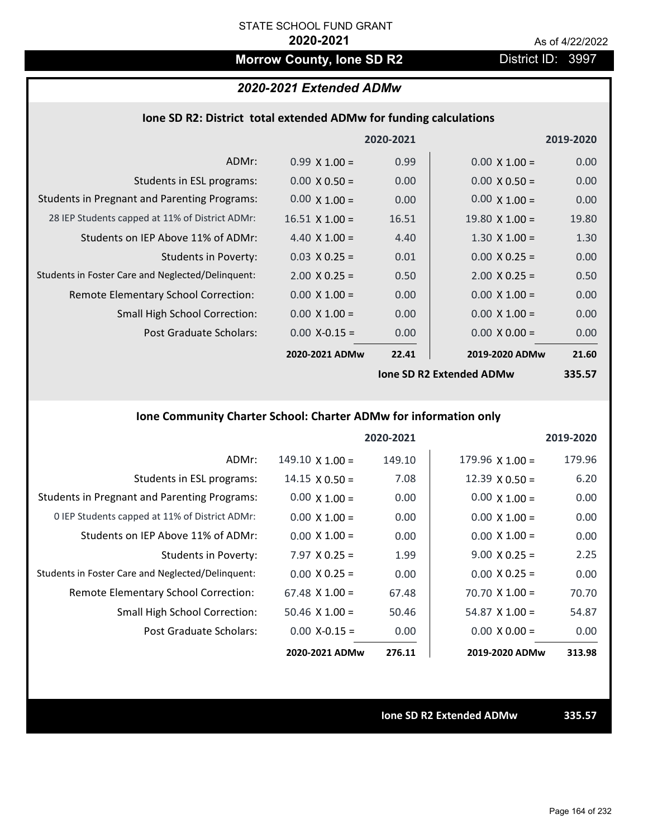# **Morrow County, Ione SD R2** District ID: 3997

# *2020-2021 Extended ADMw*

### **Ione SD R2: District total extended ADMw for funding calculations**

|                                                     |                       | 2020-2021         |                                 | 2019-2020 |
|-----------------------------------------------------|-----------------------|-------------------|---------------------------------|-----------|
| ADMr:                                               | $0.99 \times 1.00 =$  | 0.99              | $0.00 \times 1.00 =$            | 0.00      |
| Students in ESL programs:                           | $0.00 \times 0.50 =$  | 0.00 <sub>1</sub> | $0.00 \times 0.50 =$            | 0.00      |
| <b>Students in Pregnant and Parenting Programs:</b> | $0.00 \times 1.00 =$  | 0.00              | $0.00 \times 1.00 =$            | 0.00      |
| 28 IEP Students capped at 11% of District ADMr:     | $16.51 \times 1.00 =$ | 16.51             | $19.80 \times 1.00 =$           | 19.80     |
| Students on IEP Above 11% of ADMr:                  | 4.40 $X$ 1.00 =       | 4.40              | $1.30 \times 1.00 =$            | 1.30      |
| Students in Poverty:                                | $0.03 \times 0.25 =$  | 0.01              | $0.00 \times 0.25 =$            | 0.00      |
| Students in Foster Care and Neglected/Delinquent:   | $2.00 \times 0.25 =$  | 0.50              | $2.00 \times 0.25 =$            | 0.50      |
| Remote Elementary School Correction:                | $0.00 \times 1.00 =$  | 0.00              | $0.00 \times 1.00 =$            | 0.00      |
| <b>Small High School Correction:</b>                | $0.00 \times 1.00 =$  | 0.00              | $0.00 \times 1.00 =$            | 0.00      |
| Post Graduate Scholars:                             | $0.00$ X-0.15 =       | 0.00              | $0.00 \times 0.00 =$            | 0.00      |
|                                                     | 2020-2021 ADMw        | 22.41             | 2019-2020 ADMw                  | 21.60     |
|                                                     |                       |                   | <b>Ione SD R2 Extended ADMw</b> | 335.57    |

# **Ione Community Charter School: Charter ADMw for information only**

|                                                     |                        | 2020-2021 |                        | 2019-2020 |
|-----------------------------------------------------|------------------------|-----------|------------------------|-----------|
| ADMr:                                               | $149.10 \times 1.00 =$ | 149.10    | $179.96 \times 1.00 =$ | 179.96    |
| Students in ESL programs:                           | $14.15 \times 0.50 =$  | 7.08      | $12.39 \times 0.50 =$  | 6.20      |
| <b>Students in Pregnant and Parenting Programs:</b> | $0.00 \times 1.00 =$   | 0.00      | $0.00 \times 1.00 =$   | 0.00      |
| 0 IEP Students capped at 11% of District ADMr:      | $0.00 \times 1.00 =$   | 0.00      | $0.00 \times 1.00 =$   | 0.00      |
| Students on IEP Above 11% of ADMr:                  | $0.00 \times 1.00 =$   | 0.00      | $0.00 \times 1.00 =$   | 0.00      |
| Students in Poverty:                                | $7.97 \times 0.25 =$   | 1.99      | $9.00 \times 0.25 =$   | 2.25      |
| Students in Foster Care and Neglected/Delinquent:   | $0.00 \times 0.25 =$   | 0.00      | $0.00 \times 0.25 =$   | 0.00      |
| Remote Elementary School Correction:                | $67.48 \times 1.00 =$  | 67.48     | $70.70 \times 1.00 =$  | 70.70     |
| <b>Small High School Correction:</b>                | $50.46 \times 1.00 =$  | 50.46     | $54.87 \times 1.00 =$  | 54.87     |
| Post Graduate Scholars:                             | $0.00$ X-0.15 =        | 0.00      | $0.00 \times 0.00 =$   | 0.00      |
|                                                     | 2020-2021 ADMw         | 276.11    | 2019-2020 ADMw         | 313.98    |

**Ione SD R2 Extended ADMw 335.57**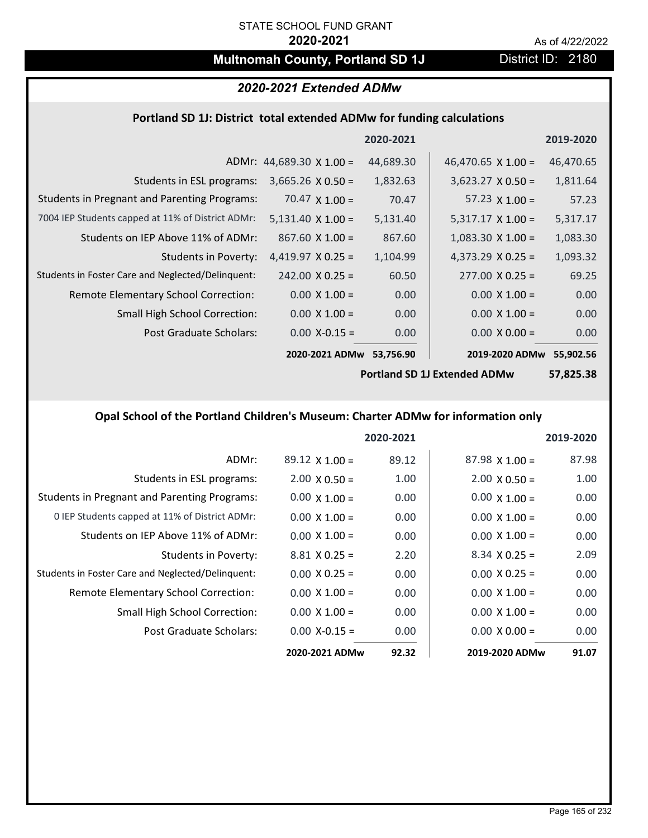# **Multnomah County, Portland SD 1J** District ID: 2180

# *2020-2021 Extended ADMw*

### **Portland SD 1J: District total extended ADMw for funding calculations**

|                                                     |                                 | 2020-2021 |                           | 2019-2020 |
|-----------------------------------------------------|---------------------------------|-----------|---------------------------|-----------|
|                                                     | ADMr: $44,689.30 \times 1.00 =$ | 44,689.30 | 46,470.65 $\times$ 1.00 = | 46,470.65 |
| Students in ESL programs:                           | $3,665.26 \times 0.50 =$        | 1,832.63  | $3,623.27 \times 0.50 =$  | 1,811.64  |
| <b>Students in Pregnant and Parenting Programs:</b> | 70.47 $\times$ 1.00 =           | 70.47     | 57.23 $\times$ 1.00 =     | 57.23     |
| 7004 IEP Students capped at 11% of District ADMr:   | $5,131.40 \times 1.00 =$        | 5,131.40  | $5,317.17 \times 1.00 =$  | 5,317.17  |
| Students on IEP Above 11% of ADMr:                  | $867.60 \times 1.00 =$          | 867.60    | $1,083.30 \times 1.00 =$  | 1,083.30  |
| <b>Students in Poverty:</b>                         | $4,419.97 \times 0.25 =$        | 1,104.99  | 4,373.29 $X$ 0.25 =       | 1,093.32  |
| Students in Foster Care and Neglected/Delinquent:   | $242.00 \times 0.25 =$          | 60.50     | $277.00 \times 0.25 =$    | 69.25     |
| Remote Elementary School Correction:                | $0.00 \times 1.00 =$            | 0.00      | $0.00 \times 1.00 =$      | 0.00      |
| <b>Small High School Correction:</b>                | $0.00 \times 1.00 =$            | 0.00      | $0.00 \times 1.00 =$      | 0.00      |
| Post Graduate Scholars:                             | $0.00 X - 0.15 =$               | 0.00      | $0.00 \times 0.00 =$      | 0.00      |
|                                                     | 2020-2021 ADMw                  | 53,756.90 | 2019-2020 ADMw            | 55,902.56 |

**Portland SD 1J Extended ADMw**

**57,825.38**

# **Opal School of the Portland Children's Museum: Charter ADMw for information only**

|                                                     |                       | 2020-2021 |                       | 2019-2020 |
|-----------------------------------------------------|-----------------------|-----------|-----------------------|-----------|
| ADMr:                                               | $89.12 \times 1.00 =$ | 89.12     | $87.98 \times 1.00 =$ | 87.98     |
| Students in ESL programs:                           | $2.00 \times 0.50 =$  | 1.00      | $2.00 \times 0.50 =$  | 1.00      |
| <b>Students in Pregnant and Parenting Programs:</b> | $0.00 \times 1.00 =$  | 0.00      | $0.00 \times 1.00 =$  | 0.00      |
| 0 IEP Students capped at 11% of District ADMr:      | $0.00 \times 1.00 =$  | 0.00      | $0.00 \times 1.00 =$  | 0.00      |
| Students on IEP Above 11% of ADMr:                  | $0.00 \times 1.00 =$  | 0.00      | $0.00 \times 1.00 =$  | 0.00      |
| Students in Poverty:                                | $8.81 \times 0.25 =$  | 2.20      | $8.34 \times 0.25 =$  | 2.09      |
| Students in Foster Care and Neglected/Delinquent:   | $0.00 \times 0.25 =$  | 0.00      | $0.00 \times 0.25 =$  | 0.00      |
| Remote Elementary School Correction:                | $0.00 \times 1.00 =$  | 0.00      | $0.00 \times 1.00 =$  | 0.00      |
| Small High School Correction:                       | $0.00 \times 1.00 =$  | 0.00      | $0.00 \times 1.00 =$  | 0.00      |
| Post Graduate Scholars:                             | $0.00$ X-0.15 =       | 0.00      | $0.00 \times 0.00 =$  | 0.00      |
|                                                     | 2020-2021 ADMw        | 92.32     | 2019-2020 ADMw        | 91.07     |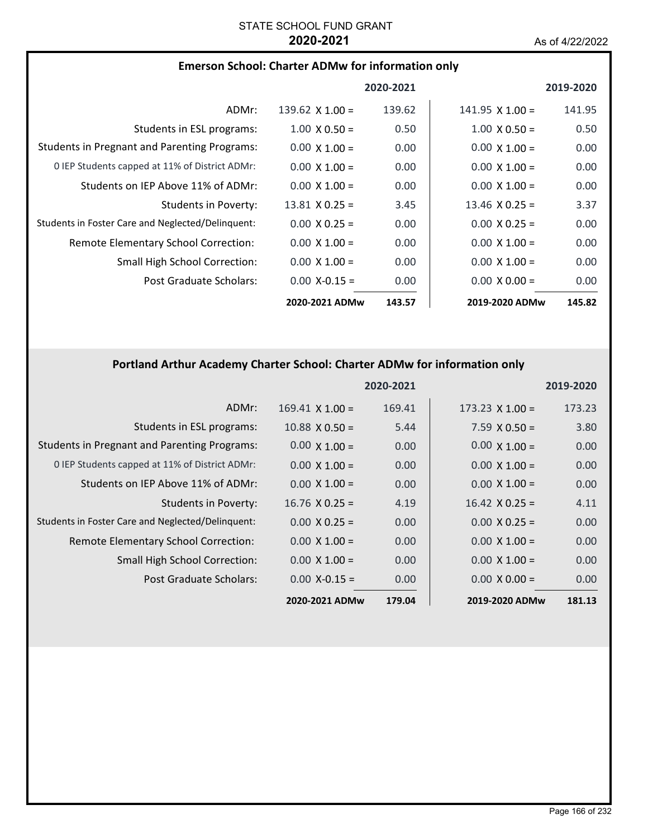### **Emerson School: Charter ADMw for information only**

|                                                     |                        | 2020-2021 |                        | 2019-2020 |
|-----------------------------------------------------|------------------------|-----------|------------------------|-----------|
| ADMr:                                               | $139.62 \times 1.00 =$ | 139.62    | $141.95 \times 1.00 =$ | 141.95    |
| Students in ESL programs:                           | $1.00 \times 0.50 =$   | 0.50      | $1.00 \times 0.50 =$   | 0.50      |
| <b>Students in Pregnant and Parenting Programs:</b> | $0.00 \times 1.00 =$   | 0.00      | $0.00 \times 1.00 =$   | 0.00      |
| 0 IEP Students capped at 11% of District ADMr:      | $0.00 \times 1.00 =$   | 0.00      | $0.00 \times 1.00 =$   | 0.00      |
| Students on IEP Above 11% of ADMr:                  | $0.00 \times 1.00 =$   | 0.00      | $0.00 \times 1.00 =$   | 0.00      |
| Students in Poverty:                                | $13.81 \times 0.25 =$  | 3.45      | $13.46 \times 0.25 =$  | 3.37      |
| Students in Foster Care and Neglected/Delinquent:   | $0.00 \times 0.25 =$   | 0.00      | $0.00 \times 0.25 =$   | 0.00      |
| <b>Remote Elementary School Correction:</b>         | $0.00 \times 1.00 =$   | 0.00      | $0.00 \times 1.00 =$   | 0.00      |
| <b>Small High School Correction:</b>                | $0.00 \times 1.00 =$   | 0.00      | $0.00 \times 1.00 =$   | 0.00      |
| Post Graduate Scholars:                             | $0.00 X - 0.15 =$      | 0.00      | $0.00 \times 0.00 =$   | 0.00      |
|                                                     | 2020-2021 ADMw         | 143.57    | 2019-2020 ADMw         | 145.82    |

## **Portland Arthur Academy Charter School: Charter ADMw for information only**

|                                                     |                        | 2020-2021 |                        | 2019-2020 |
|-----------------------------------------------------|------------------------|-----------|------------------------|-----------|
| ADMr:                                               | $169.41 \times 1.00 =$ | 169.41    | $173.23 \times 1.00 =$ | 173.23    |
| Students in ESL programs:                           | $10.88 \times 0.50 =$  | 5.44      | $7.59 \times 0.50 =$   | 3.80      |
| <b>Students in Pregnant and Parenting Programs:</b> | $0.00 \times 1.00 =$   | 0.00      | $0.00 \times 1.00 =$   | 0.00      |
| 0 IEP Students capped at 11% of District ADMr:      | $0.00 \times 1.00 =$   | 0.00      | $0.00 \times 1.00 =$   | 0.00      |
| Students on IEP Above 11% of ADMr:                  | $0.00 \times 1.00 =$   | 0.00      | $0.00 \times 1.00 =$   | 0.00      |
| <b>Students in Poverty:</b>                         | $16.76 \times 0.25 =$  | 4.19      | $16.42 \times 0.25 =$  | 4.11      |
| Students in Foster Care and Neglected/Delinquent:   | $0.00 \times 0.25 =$   | 0.00      | $0.00 \times 0.25 =$   | 0.00      |
| Remote Elementary School Correction:                | $0.00 \times 1.00 =$   | 0.00      | $0.00 \times 1.00 =$   | 0.00      |
| <b>Small High School Correction:</b>                | $0.00 \times 1.00 =$   | 0.00      | $0.00 \times 1.00 =$   | 0.00      |
| Post Graduate Scholars:                             | $0.00$ X-0.15 =        | 0.00      | $0.00 \times 0.00 =$   | 0.00      |
|                                                     | 2020-2021 ADMw         | 179.04    | 2019-2020 ADMw         | 181.13    |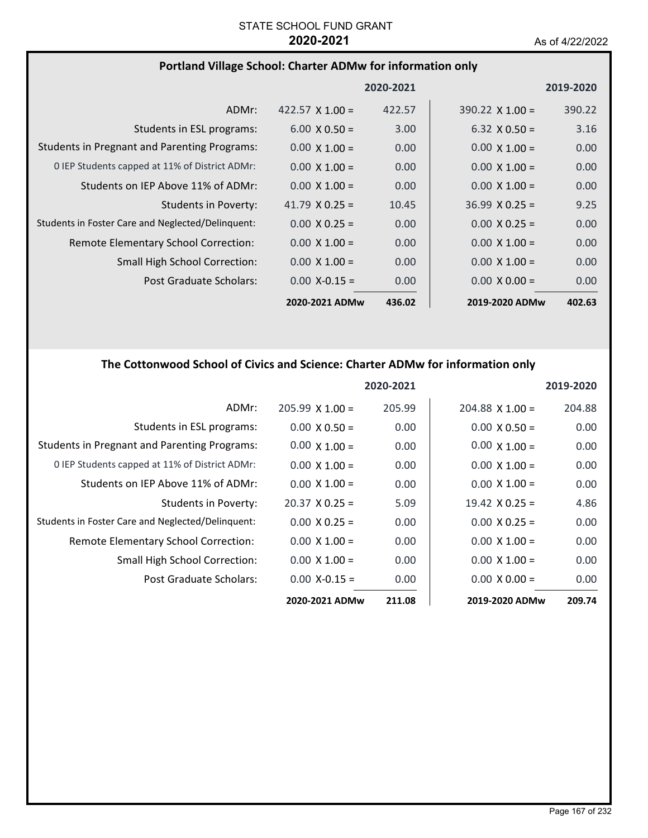# **Portland Village School: Charter ADMw for information only**

|                                                     |                        | 2020-2021 |                        | 2019-2020 |
|-----------------------------------------------------|------------------------|-----------|------------------------|-----------|
| ADMr:                                               | $422.57 \times 1.00 =$ | 422.57    | $390.22 \times 1.00 =$ | 390.22    |
| Students in ESL programs:                           | $6.00 \times 0.50 =$   | 3.00      | $6.32 \times 0.50 =$   | 3.16      |
| <b>Students in Pregnant and Parenting Programs:</b> | $0.00 \times 1.00 =$   | 0.00      | $0.00 \times 1.00 =$   | 0.00      |
| 0 IEP Students capped at 11% of District ADMr:      | $0.00 \times 1.00 =$   | 0.00      | $0.00 \times 1.00 =$   | 0.00      |
| Students on IEP Above 11% of ADMr:                  | $0.00 \times 1.00 =$   | 0.00      | $0.00 \times 1.00 =$   | 0.00      |
| Students in Poverty:                                | 41.79 $X$ 0.25 =       | 10.45     | $36.99 \times 0.25 =$  | 9.25      |
| Students in Foster Care and Neglected/Delinquent:   | $0.00 \times 0.25 =$   | 0.00      | $0.00 \times 0.25 =$   | 0.00      |
| Remote Elementary School Correction:                | $0.00 \times 1.00 =$   | 0.00      | $0.00 \times 1.00 =$   | 0.00      |
| <b>Small High School Correction:</b>                | $0.00 \times 1.00 =$   | 0.00      | $0.00 \times 1.00 =$   | 0.00      |
| Post Graduate Scholars:                             | $0.00 X - 0.15 =$      | 0.00      | $0.00 \times 0.00 =$   | 0.00      |
|                                                     | 2020-2021 ADMw         | 436.02    | 2019-2020 ADMw         | 402.63    |

# **The Cottonwood School of Civics and Science: Charter ADMw for information only**

|                                                     |                       | 2020-2021 |                       | 2019-2020 |
|-----------------------------------------------------|-----------------------|-----------|-----------------------|-----------|
| ADMr:                                               | $205.99$ X 1.00 =     | 205.99    | $204.88$ X 1.00 =     | 204.88    |
| Students in ESL programs:                           | $0.00 \times 0.50 =$  | 0.00      | $0.00 \times 0.50 =$  | 0.00      |
| <b>Students in Pregnant and Parenting Programs:</b> | $0.00 \times 1.00 =$  | 0.00      | $0.00 \times 1.00 =$  | 0.00      |
| 0 IEP Students capped at 11% of District ADMr:      | $0.00 \times 1.00 =$  | 0.00      | $0.00 \times 1.00 =$  | 0.00      |
| Students on IEP Above 11% of ADMr:                  | $0.00 \times 1.00 =$  | 0.00      | $0.00 \times 1.00 =$  | 0.00      |
| Students in Poverty:                                | $20.37 \times 0.25 =$ | 5.09      | $19.42 \times 0.25 =$ | 4.86      |
| Students in Foster Care and Neglected/Delinquent:   | $0.00 \times 0.25 =$  | 0.00      | $0.00 \times 0.25 =$  | 0.00      |
| Remote Elementary School Correction:                | $0.00 \times 1.00 =$  | 0.00      | $0.00 \times 1.00 =$  | 0.00      |
| <b>Small High School Correction:</b>                | $0.00 \times 1.00 =$  | 0.00      | $0.00 \times 1.00 =$  | 0.00      |
| Post Graduate Scholars:                             | $0.00$ X-0.15 =       | 0.00      | $0.00 \times 0.00 =$  | 0.00      |
|                                                     | 2020-2021 ADMw        | 211.08    | 2019-2020 ADMw        | 209.74    |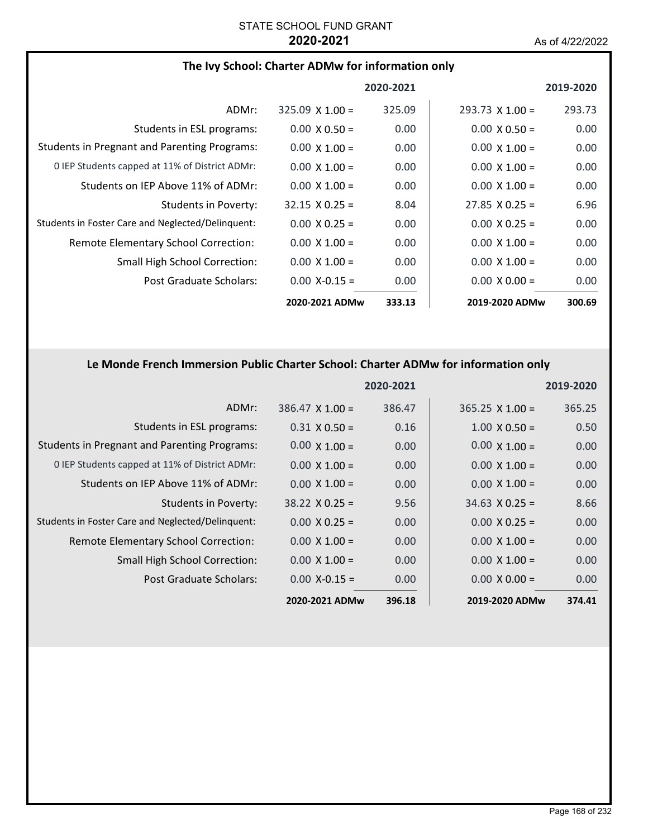| The Ivy School: Charter ADMw for information only   |                        |           |                        |           |
|-----------------------------------------------------|------------------------|-----------|------------------------|-----------|
|                                                     |                        | 2020-2021 |                        | 2019-2020 |
| ADMr:                                               | $325.09 \times 1.00 =$ | 325.09    | $293.73 \times 1.00 =$ | 293.73    |
| Students in ESL programs:                           | $0.00 \times 0.50 =$   | 0.00      | $0.00 \times 0.50 =$   | 0.00      |
| <b>Students in Pregnant and Parenting Programs:</b> | $0.00 \times 1.00 =$   | 0.00      | $0.00 \times 1.00 =$   | 0.00      |
| 0 IEP Students capped at 11% of District ADMr:      | $0.00 \times 1.00 =$   | 0.00      | $0.00 \times 1.00 =$   | 0.00      |
| Students on IEP Above 11% of ADMr:                  | $0.00 \times 1.00 =$   | 0.00      | $0.00 \times 1.00 =$   | 0.00      |
| <b>Students in Poverty:</b>                         | $32.15 \times 0.25 =$  | 8.04      | $27.85 \times 0.25 =$  | 6.96      |
| Students in Foster Care and Neglected/Delinquent:   | $0.00 \times 0.25 =$   | 0.00      | $0.00 \times 0.25 =$   | 0.00      |
| Remote Elementary School Correction:                | $0.00 \times 1.00 =$   | 0.00      | $0.00 \times 1.00 =$   | 0.00      |
| Small High School Correction:                       | $0.00 \times 1.00 =$   | 0.00      | $0.00 \times 1.00 =$   | 0.00      |
| Post Graduate Scholars:                             | $0.00 X - 0.15 =$      | 0.00      | $0.00 \times 0.00 =$   | 0.00      |
|                                                     | 2020-2021 ADMw         | 333.13    | 2019-2020 ADMw         | 300.69    |

# **Le Monde French Immersion Public Charter School: Charter ADMw for information only**

|                                                     |                        | 2020-2021 |                        | 2019-2020 |
|-----------------------------------------------------|------------------------|-----------|------------------------|-----------|
| ADMr:                                               | $386.47 \times 1.00 =$ | 386.47    | $365.25 \times 1.00 =$ | 365.25    |
| Students in ESL programs:                           | $0.31 \times 0.50 =$   | 0.16      | $1.00 \times 0.50 =$   | 0.50      |
| <b>Students in Pregnant and Parenting Programs:</b> | $0.00 \times 1.00 =$   | 0.00      | $0.00 \times 1.00 =$   | 0.00      |
| 0 IEP Students capped at 11% of District ADMr:      | $0.00 \times 1.00 =$   | 0.00      | $0.00 \times 1.00 =$   | 0.00      |
| Students on IEP Above 11% of ADMr:                  | $0.00 \times 1.00 =$   | 0.00      | $0.00 \times 1.00 =$   | 0.00      |
| Students in Poverty:                                | $38.22 \times 0.25 =$  | 9.56      | $34.63 \times 0.25 =$  | 8.66      |
| Students in Foster Care and Neglected/Delinquent:   | $0.00 \times 0.25 =$   | 0.00      | $0.00 \times 0.25 =$   | 0.00      |
| Remote Elementary School Correction:                | $0.00 \times 1.00 =$   | 0.00      | $0.00 \times 1.00 =$   | 0.00      |
| <b>Small High School Correction:</b>                | $0.00 \times 1.00 =$   | 0.00      | $0.00 \times 1.00 =$   | 0.00      |
| Post Graduate Scholars:                             | $0.00 X - 0.15 =$      | 0.00      | $0.00 \times 0.00 =$   | 0.00      |
|                                                     | 2020-2021 ADMw         | 396.18    | 2019-2020 ADMw         | 374.41    |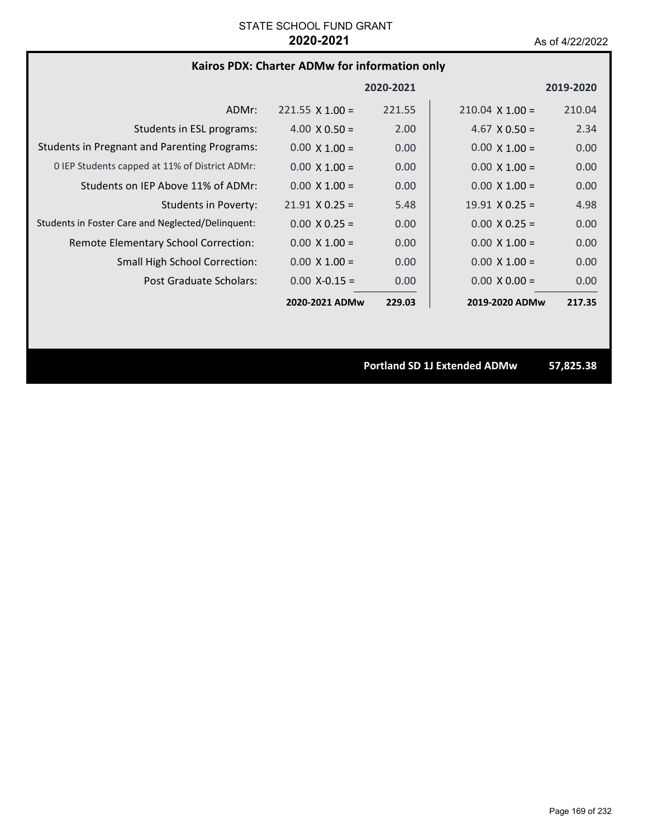### **Kairos PDX: Charter ADMw for information only**

|                                                     |                        | 2020-2021 |                        | 2019-2020 |
|-----------------------------------------------------|------------------------|-----------|------------------------|-----------|
| ADMr:                                               | $221.55 \times 1.00 =$ | 221.55    | $210.04 \times 1.00 =$ | 210.04    |
| Students in ESL programs:                           | $4.00 \times 0.50 =$   | 2.00      | $4.67 \times 0.50 =$   | 2.34      |
| <b>Students in Pregnant and Parenting Programs:</b> | $0.00 \times 1.00 =$   | 0.00      | $0.00 \times 1.00 =$   | 0.00      |
| 0 IEP Students capped at 11% of District ADMr:      | $0.00 \times 1.00 =$   | 0.00      | $0.00 \times 1.00 =$   | 0.00      |
| Students on IEP Above 11% of ADMr:                  | $0.00 \times 1.00 =$   | 0.00      | $0.00 \times 1.00 =$   | 0.00      |
| Students in Poverty:                                | $21.91 \times 0.25 =$  | 5.48      | $19.91 \times 0.25 =$  | 4.98      |
| Students in Foster Care and Neglected/Delinquent:   | $0.00 \times 0.25 =$   | 0.00      | $0.00 \times 0.25 =$   | 0.00      |
| Remote Elementary School Correction:                | $0.00 \times 1.00 =$   | 0.00      | $0.00 \times 1.00 =$   | 0.00      |
| <b>Small High School Correction:</b>                | $0.00 \times 1.00 =$   | 0.00      | $0.00 \times 1.00 =$   | 0.00      |
| Post Graduate Scholars:                             | $0.00 X - 0.15 =$      | 0.00      | $0.00 \times 0.00 =$   | 0.00      |
|                                                     | 2020-2021 ADMw         | 229.03    | 2019-2020 ADMw         | 217.35    |

**Portland SD 1J Extended ADMw 57,825.38**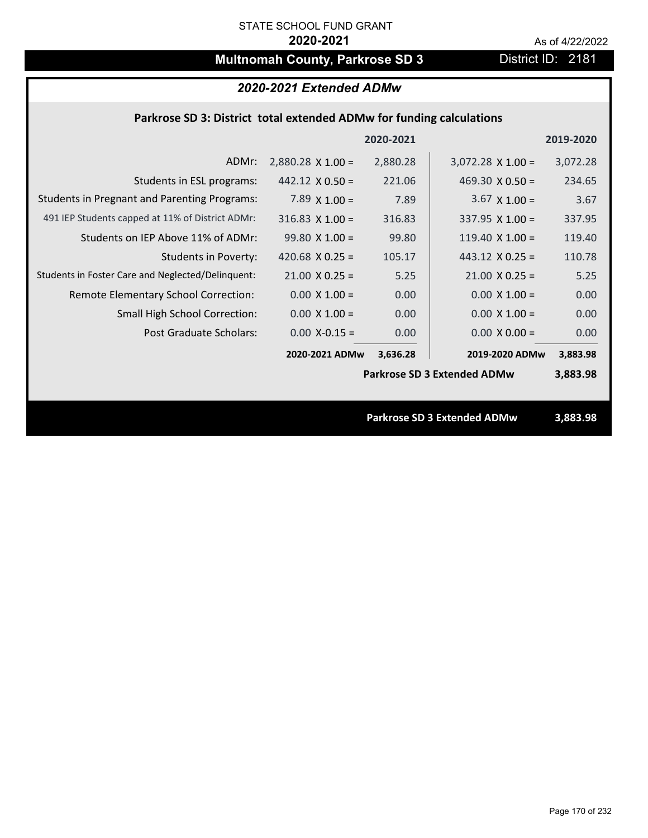# **Multnomah County, Parkrose SD 3** District ID: 2181

# *2020-2021 Extended ADMw*

## **Parkrose SD 3: District total extended ADMw for funding calculations**

|                                                     |                          | 2020-2021 |                                    | 2019-2020 |
|-----------------------------------------------------|--------------------------|-----------|------------------------------------|-----------|
| ADMr:                                               | $2,880.28 \times 1.00 =$ | 2,880.28  | $3,072.28$ X 1.00 =                | 3,072.28  |
| Students in ESL programs:                           | $442.12 \times 0.50 =$   | 221.06    | 469.30 $\times$ 0.50 =             | 234.65    |
| <b>Students in Pregnant and Parenting Programs:</b> | 7.89 $\times$ 1.00 =     | 7.89      | $3.67 \times 1.00 =$               | 3.67      |
| 491 IEP Students capped at 11% of District ADMr:    | $316.83$ X $1.00 =$      | 316.83    | 337.95 $X$ 1.00 =                  | 337.95    |
| Students on IEP Above 11% of ADMr:                  | $99.80 X 1.00 =$         | 99.80     | 119.40 $X$ 1.00 =                  | 119.40    |
| <b>Students in Poverty:</b>                         | 420.68 $X$ 0.25 =        | 105.17    | 443.12 $\times$ 0.25 =             | 110.78    |
| Students in Foster Care and Neglected/Delinquent:   | $21.00 \times 0.25 =$    | 5.25      | $21.00 \times 0.25 =$              | 5.25      |
| Remote Elementary School Correction:                | $0.00 \times 1.00 =$     | 0.00      | $0.00 \times 1.00 =$               | 0.00      |
| <b>Small High School Correction:</b>                | $0.00 \times 1.00 =$     | 0.00      | $0.00 \times 1.00 =$               | 0.00      |
| Post Graduate Scholars:                             | $0.00$ X-0.15 =          | 0.00      | $0.00 \times 0.00 =$               | 0.00      |
|                                                     | 2020-2021 ADMw           | 3,636.28  | 2019-2020 ADMw                     | 3,883.98  |
|                                                     |                          |           | <b>Parkrose SD 3 Extended ADMw</b> | 3,883.98  |
|                                                     |                          |           |                                    |           |
|                                                     |                          |           | <b>Parkrose SD 3 Extended ADMw</b> | 3,883.98  |

Page 170 of 232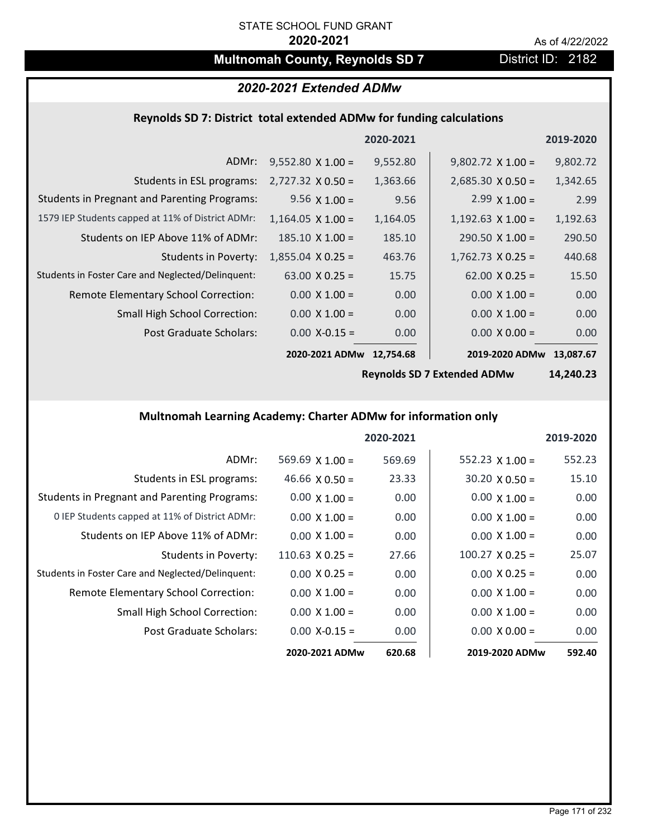# **Multnomah County, Reynolds SD 7** District ID: 2182

# *2020-2021 Extended ADMw*

# **Reynolds SD 7: District total extended ADMw for funding calculations**

|                                                     |                          | 2020-2021 |                          | 2019-2020 |
|-----------------------------------------------------|--------------------------|-----------|--------------------------|-----------|
| ADMr:                                               | $9,552.80 \times 1.00 =$ | 9,552.80  | $9,802.72 \times 1.00 =$ | 9,802.72  |
| Students in ESL programs:                           | $2,727.32 \times 0.50 =$ | 1,363.66  | $2,685.30 \times 0.50 =$ | 1,342.65  |
| <b>Students in Pregnant and Parenting Programs:</b> | $9.56 \times 1.00 =$     | 9.56      | $2.99 \times 1.00 =$     | 2.99      |
| 1579 IEP Students capped at 11% of District ADMr:   | $1,164.05 \times 1.00 =$ | 1,164.05  | $1,192.63 \times 1.00 =$ | 1,192.63  |
| Students on IEP Above 11% of ADMr:                  | $185.10 \times 1.00 =$   | 185.10    | $290.50 \times 1.00 =$   | 290.50    |
| <b>Students in Poverty:</b>                         | $1,855.04 \times 0.25 =$ | 463.76    | $1,762.73 \times 0.25 =$ | 440.68    |
| Students in Foster Care and Neglected/Delinquent:   | $63.00 \times 0.25 =$    | 15.75     | $62.00 \times 0.25 =$    | 15.50     |
| Remote Elementary School Correction:                | $0.00 \times 1.00 =$     | 0.00      | $0.00 \times 1.00 =$     | 0.00      |
| <b>Small High School Correction:</b>                | $0.00 \times 1.00 =$     | 0.00      | $0.00 \times 1.00 =$     | 0.00      |
| Post Graduate Scholars:                             | $0.00$ X-0.15 =          | 0.00      | $0.00 \times 0.00 =$     | 0.00      |
|                                                     | 2020-2021 ADMw           | 12,754.68 | 2019-2020 ADMw           | 13,087.67 |

**Reynolds SD 7 Extended ADMw**

**14,240.23**

## **Multnomah Learning Academy: Charter ADMw for information only**

|                                                     |                        | 2020-2021 |                        | 2019-2020 |
|-----------------------------------------------------|------------------------|-----------|------------------------|-----------|
| ADMr:                                               | 569.69 $X$ 1.00 =      | 569.69    | 552.23 $X$ 1.00 =      | 552.23    |
| Students in ESL programs:                           | 46.66 $\times$ 0.50 =  | 23.33     | $30.20 \times 0.50 =$  | 15.10     |
| <b>Students in Pregnant and Parenting Programs:</b> | $0.00 \times 1.00 =$   | 0.00      | $0.00 \times 1.00 =$   | 0.00      |
| 0 IEP Students capped at 11% of District ADMr:      | $0.00 \times 1.00 =$   | 0.00      | $0.00 \times 1.00 =$   | 0.00      |
| Students on IEP Above 11% of ADMr:                  | $0.00 \times 1.00 =$   | 0.00      | $0.00 \times 1.00 =$   | 0.00      |
| Students in Poverty:                                | $110.63 \times 0.25 =$ | 27.66     | $100.27 \times 0.25 =$ | 25.07     |
| Students in Foster Care and Neglected/Delinquent:   | $0.00 \times 0.25 =$   | 0.00      | $0.00 \times 0.25 =$   | 0.00      |
| Remote Elementary School Correction:                | $0.00 \times 1.00 =$   | 0.00      | $0.00 \times 1.00 =$   | 0.00      |
| <b>Small High School Correction:</b>                | $0.00 \times 1.00 =$   | 0.00      | $0.00 \times 1.00 =$   | 0.00      |
| Post Graduate Scholars:                             | $0.00$ X-0.15 =        | 0.00      | $0.00 \times 0.00 =$   | 0.00      |
|                                                     | 2020-2021 ADMw         | 620.68    | 2019-2020 ADMw         | 592.40    |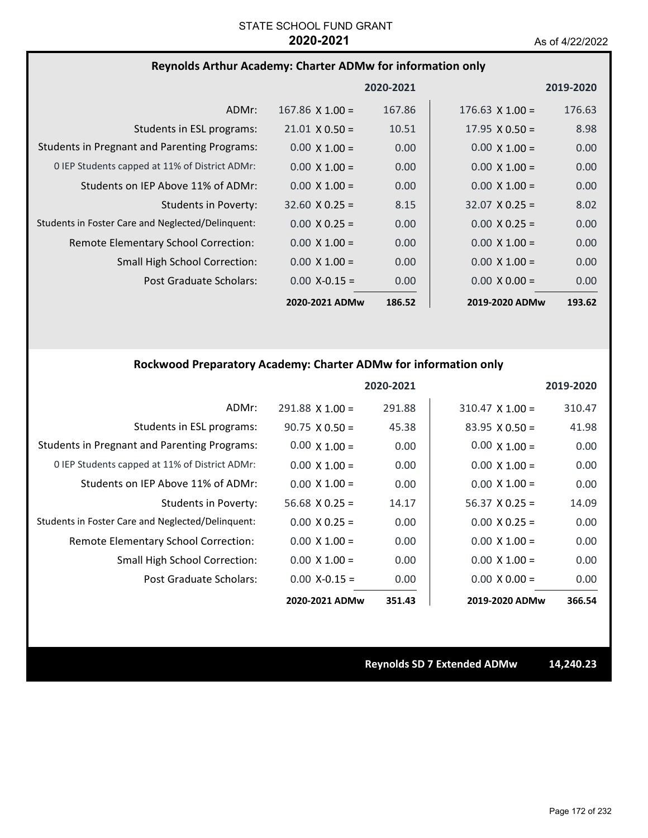## **Reynolds Arthur Academy: Charter ADMw for information only**

|                                                     |                       | 2020-2021 |                        | 2019-2020         |
|-----------------------------------------------------|-----------------------|-----------|------------------------|-------------------|
| ADMr:                                               | $167.86$ X $1.00 =$   | 167.86    | $176.63 \times 1.00 =$ | 176.63            |
| Students in ESL programs:                           | $21.01 \times 0.50 =$ | 10.51     | $17.95 \times 0.50 =$  | 8.98              |
| <b>Students in Pregnant and Parenting Programs:</b> | $0.00 \times 1.00 =$  | 0.00      | $0.00 \times 1.00 =$   | 0.00              |
| 0 IEP Students capped at 11% of District ADMr:      | $0.00 \times 1.00 =$  | 0.00      | $0.00 \times 1.00 =$   | 0.00 <sub>1</sub> |
| Students on IEP Above 11% of ADMr:                  | $0.00 \times 1.00 =$  | 0.00      | $0.00 \times 1.00 =$   | 0.00              |
| Students in Poverty:                                | $32.60 \times 0.25 =$ | 8.15      | $32.07 \times 0.25 =$  | 8.02              |
| Students in Foster Care and Neglected/Delinguent:   | $0.00 \times 0.25 =$  | 0.00      | $0.00 \times 0.25 =$   | 0.00              |
| Remote Elementary School Correction:                | $0.00 \times 1.00 =$  | 0.00      | $0.00 \times 1.00 =$   | 0.00              |
| <b>Small High School Correction:</b>                | $0.00 \times 1.00 =$  | 0.00      | $0.00 \times 1.00 =$   | 0.00              |
| Post Graduate Scholars:                             | $0.00$ X-0.15 =       | 0.00      | $0.00 \times 0.00 =$   | 0.00              |
|                                                     | 2020-2021 ADMw        | 186.52    | 2019-2020 ADMw         | 193.62            |

### **Rockwood Preparatory Academy: Charter ADMw for information only**

|                                                     |                        | 2020-2021 |                        | 2019-2020 |
|-----------------------------------------------------|------------------------|-----------|------------------------|-----------|
| ADMr:                                               | $291.88 \times 1.00 =$ | 291.88    | $310.47 \times 1.00 =$ | 310.47    |
| Students in ESL programs:                           | $90.75 \times 0.50 =$  | 45.38     | $83.95 \times 0.50 =$  | 41.98     |
| <b>Students in Pregnant and Parenting Programs:</b> | $0.00 \times 1.00 =$   | 0.00      | $0.00 \times 1.00 =$   | 0.00      |
| 0 IEP Students capped at 11% of District ADMr:      | $0.00 \times 1.00 =$   | 0.00      | $0.00 \times 1.00 =$   | 0.00      |
| Students on IEP Above 11% of ADMr:                  | $0.00 \times 1.00 =$   | 0.00      | $0.00 \times 1.00 =$   | 0.00      |
| Students in Poverty:                                | $56.68 \times 0.25 =$  | 14.17     | $56.37 \times 0.25 =$  | 14.09     |
| Students in Foster Care and Neglected/Delinquent:   | $0.00 \times 0.25 =$   | 0.00      | $0.00 \times 0.25 =$   | 0.00      |
| Remote Elementary School Correction:                | $0.00 \times 1.00 =$   | 0.00      | $0.00 \times 1.00 =$   | 0.00      |
| <b>Small High School Correction:</b>                | $0.00 \times 1.00 =$   | 0.00      | $0.00 \times 1.00 =$   | 0.00      |
| Post Graduate Scholars:                             | $0.00$ X-0.15 =        | 0.00      | $0.00 \times 0.00 =$   | 0.00      |
|                                                     | 2020-2021 ADMw         | 351.43    | 2019-2020 ADMw         | 366.54    |

**Reynolds SD 7 Extended ADMw 14,240.23**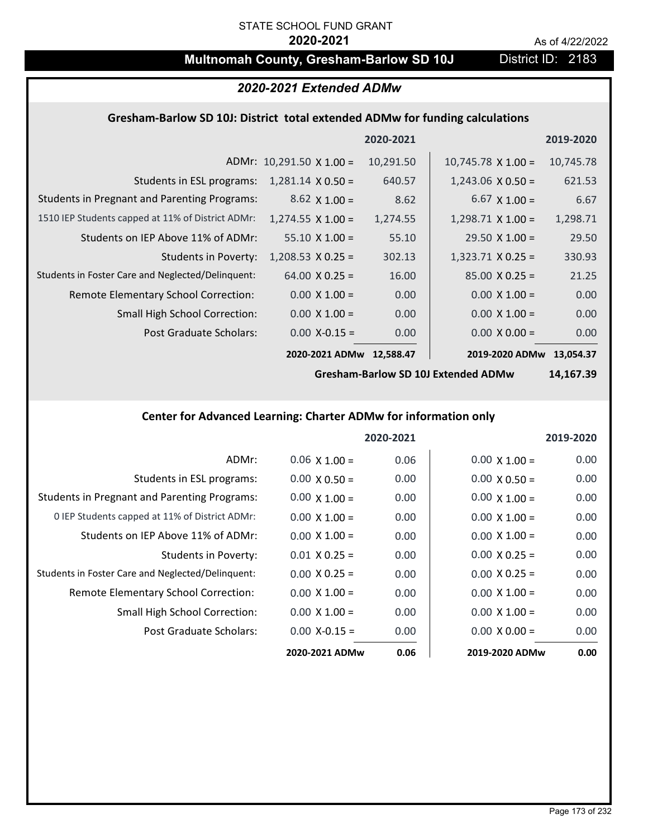# **Multnomah County, Gresham-Barlow SD 10J** District ID: 2183

### *2020-2021 Extended ADMw*

# **Gresham‐Barlow SD 10J: District total extended ADMw for funding calculations**

|                                                     |                                 | 2020-2021 |                           | 2019-2020 |
|-----------------------------------------------------|---------------------------------|-----------|---------------------------|-----------|
|                                                     | ADMr: $10,291.50 \times 1.00 =$ | 10,291.50 | $10,745.78 \times 1.00 =$ | 10,745.78 |
| Students in ESL programs:                           | $1,281.14 \times 0.50 =$        | 640.57    | $1,243.06 \times 0.50 =$  | 621.53    |
| <b>Students in Pregnant and Parenting Programs:</b> | $8.62 \times 1.00 =$            | 8.62      | $6.67 \times 1.00 =$      | 6.67      |
| 1510 IEP Students capped at 11% of District ADMr:   | $1,274.55 \times 1.00 =$        | 1,274.55  | $1,298.71 \times 1.00 =$  | 1,298.71  |
| Students on IEP Above 11% of ADMr:                  | $55.10 \times 1.00 =$           | 55.10     | $29.50 \times 1.00 =$     | 29.50     |
| <b>Students in Poverty:</b>                         | $1,208.53 \times 0.25 =$        | 302.13    | $1,323.71$ X 0.25 =       | 330.93    |
| Students in Foster Care and Neglected/Delinquent:   | $64.00 \times 0.25 =$           | 16.00     | $85.00 \times 0.25 =$     | 21.25     |
| Remote Elementary School Correction:                | $0.00 \times 1.00 =$            | 0.00      | $0.00 \times 1.00 =$      | 0.00      |
| <b>Small High School Correction:</b>                | $0.00 \times 1.00 =$            | 0.00      | $0.00 \times 1.00 =$      | 0.00      |
| Post Graduate Scholars:                             | $0.00$ X-0.15 =                 | 0.00      | $0.00 \times 0.00 =$      | 0.00      |
|                                                     | 2020-2021 ADMw                  | 12,588.47 | 2019-2020 ADMw            | 13,054.37 |

**Gresham‐Barlow SD 10J Extended ADMw**

**14,167.39**

# **Center for Advanced Learning: Charter ADMw for information only**

|                                                     |                      | 2020-2021 |                      | 2019-2020 |
|-----------------------------------------------------|----------------------|-----------|----------------------|-----------|
| ADMr:                                               | $0.06 \times 1.00 =$ | 0.06      | $0.00 \times 1.00 =$ | 0.00      |
| Students in ESL programs:                           | $0.00 \times 0.50 =$ | 0.00      | $0.00 \times 0.50 =$ | 0.00      |
| <b>Students in Pregnant and Parenting Programs:</b> | $0.00 \times 1.00 =$ | 0.00      | $0.00 \times 1.00 =$ | 0.00      |
| 0 IEP Students capped at 11% of District ADMr:      | $0.00 \times 1.00 =$ | 0.00      | $0.00 \times 1.00 =$ | 0.00      |
| Students on IEP Above 11% of ADMr:                  | $0.00 \times 1.00 =$ | 0.00      | $0.00 X 1.00 =$      | 0.00      |
| <b>Students in Poverty:</b>                         | $0.01 \times 0.25 =$ | 0.00      | $0.00 \times 0.25 =$ | 0.00      |
| Students in Foster Care and Neglected/Delinquent:   | $0.00 \times 0.25 =$ | 0.00      | $0.00 \times 0.25 =$ | 0.00      |
| Remote Elementary School Correction:                | $0.00 \times 1.00 =$ | 0.00      | $0.00 \times 1.00 =$ | 0.00      |
| <b>Small High School Correction:</b>                | $0.00 \times 1.00 =$ | 0.00      | $0.00 \times 1.00 =$ | 0.00      |
| Post Graduate Scholars:                             | $0.00 X - 0.15 =$    | 0.00      | $0.00 \times 0.00 =$ | 0.00      |
|                                                     | 2020-2021 ADMw       | 0.06      | 2019-2020 ADMw       | 0.00      |

Page 173 of 232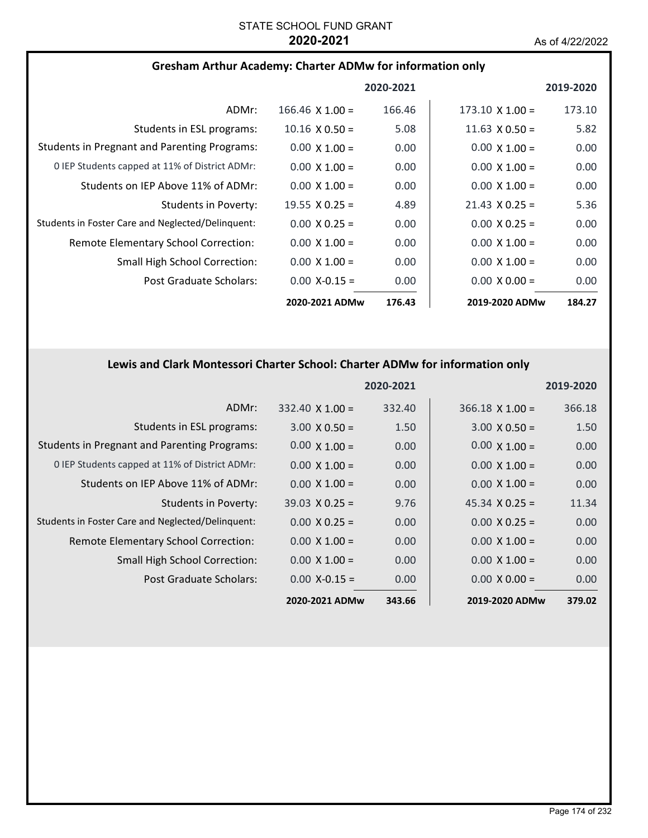### **Gresham Arthur Academy: Charter ADMw for information only**

|                                                     |                        | 2020-2021 |                        | 2019-2020 |
|-----------------------------------------------------|------------------------|-----------|------------------------|-----------|
| ADMr:                                               | $166.46 \times 1.00 =$ | 166.46    | $173.10 \times 1.00 =$ | 173.10    |
| Students in ESL programs:                           | $10.16 \times 0.50 =$  | 5.08      | $11.63 \times 0.50 =$  | 5.82      |
| <b>Students in Pregnant and Parenting Programs:</b> | $0.00 \times 1.00 =$   | 0.00      | $0.00 \times 1.00 =$   | 0.00      |
| 0 IEP Students capped at 11% of District ADMr:      | $0.00 \times 1.00 =$   | 0.00      | $0.00 \times 1.00 =$   | 0.00      |
| Students on IEP Above 11% of ADMr:                  | $0.00 \times 1.00 =$   | 0.00      | $0.00 \times 1.00 =$   | 0.00      |
| Students in Poverty:                                | 19.55 $\times$ 0.25 =  | 4.89      | $21.43 \times 0.25 =$  | 5.36      |
| Students in Foster Care and Neglected/Delinguent:   | $0.00 \times 0.25 =$   | 0.00      | $0.00 \times 0.25 =$   | 0.00      |
| Remote Elementary School Correction:                | $0.00 \times 1.00 =$   | 0.00      | $0.00 \times 1.00 =$   | 0.00      |
| <b>Small High School Correction:</b>                | $0.00 \times 1.00 =$   | 0.00      | $0.00 \times 1.00 =$   | 0.00      |
| Post Graduate Scholars:                             | $0.00$ X-0.15 =        | 0.00      | $0.00 \times 0.00 =$   | 0.00      |
|                                                     | 2020-2021 ADMw         | 176.43    | 2019-2020 ADMw         | 184.27    |

# **Lewis and Clark Montessori Charter School: Charter ADMw for information only**

|                                                     |                        | 2020-2021 |                        | 2019-2020 |
|-----------------------------------------------------|------------------------|-----------|------------------------|-----------|
| ADMr:                                               | $332.40 \times 1.00 =$ | 332.40    | $366.18 \times 1.00 =$ | 366.18    |
| Students in ESL programs:                           | $3.00 \times 0.50 =$   | 1.50      | $3.00 \times 0.50 =$   | 1.50      |
| <b>Students in Pregnant and Parenting Programs:</b> | $0.00 \times 1.00 =$   | 0.00      | $0.00 \times 1.00 =$   | 0.00      |
| 0 IEP Students capped at 11% of District ADMr:      | $0.00 \times 1.00 =$   | 0.00      | $0.00 \times 1.00 =$   | 0.00      |
| Students on IEP Above 11% of ADMr:                  | $0.00 \times 1.00 =$   | 0.00      | $0.00 \times 1.00 =$   | 0.00      |
| Students in Poverty:                                | $39.03 \times 0.25 =$  | 9.76      | $45.34 \times 0.25 =$  | 11.34     |
| Students in Foster Care and Neglected/Delinquent:   | $0.00 \times 0.25 =$   | 0.00      | $0.00 \times 0.25 =$   | 0.00      |
| Remote Elementary School Correction:                | $0.00 \times 1.00 =$   | 0.00      | $0.00 \times 1.00 =$   | 0.00      |
| <b>Small High School Correction:</b>                | $0.00 \times 1.00 =$   | 0.00      | $0.00 \times 1.00 =$   | 0.00      |
| Post Graduate Scholars:                             | $0.00$ X-0.15 =        | 0.00      | $0.00 \times 0.00 =$   | 0.00      |
|                                                     | 2020-2021 ADMw         | 343.66    | 2019-2020 ADMw         | 379.02    |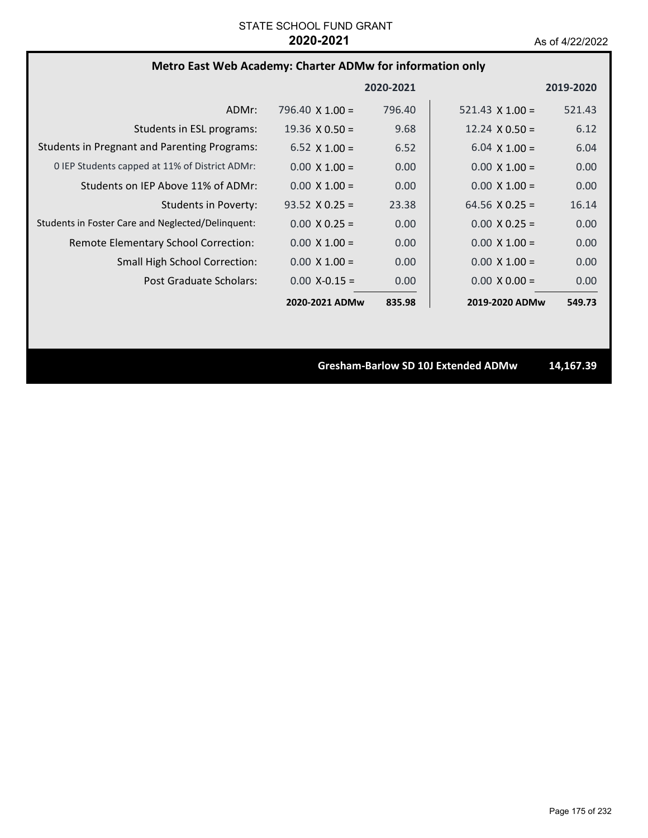# **Metro East Web Academy: Charter ADMw for information only**

|                                                     |                        | 2020-2021 |                        | 2019-2020 |
|-----------------------------------------------------|------------------------|-----------|------------------------|-----------|
| ADMr:                                               | $796.40 \times 1.00 =$ | 796.40    | 521.43 $\times$ 1.00 = | 521.43    |
| Students in ESL programs:                           | $19.36 \times 0.50 =$  | 9.68      | $12.24 \times 0.50 =$  | 6.12      |
| <b>Students in Pregnant and Parenting Programs:</b> | $6.52 \times 1.00 =$   | 6.52      | $6.04 \times 1.00 =$   | 6.04      |
| 0 IEP Students capped at 11% of District ADMr:      | $0.00 \times 1.00 =$   | 0.00      | $0.00 \times 1.00 =$   | 0.00      |
| Students on IEP Above 11% of ADMr:                  | $0.00 \times 1.00 =$   | 0.00      | $0.00 \times 1.00 =$   | 0.00      |
| <b>Students in Poverty:</b>                         | $93.52 \times 0.25 =$  | 23.38     | 64.56 $X$ 0.25 =       | 16.14     |
| Students in Foster Care and Neglected/Delinquent:   | $0.00 \times 0.25 =$   | 0.00      | $0.00 \times 0.25 =$   | 0.00      |
| Remote Elementary School Correction:                | $0.00 \times 1.00 =$   | 0.00      | $0.00 \times 1.00 =$   | 0.00      |
| <b>Small High School Correction:</b>                | $0.00 \times 1.00 =$   | 0.00      | $0.00 \times 1.00 =$   | 0.00      |
| Post Graduate Scholars:                             | $0.00$ X-0.15 =        | 0.00      | $0.00 \times 0.00 =$   | 0.00      |
|                                                     | 2020-2021 ADMw         | 835.98    | 2019-2020 ADMw         | 549.73    |

**Gresham‐Barlow SD 10J Extended ADMw 14,167.39**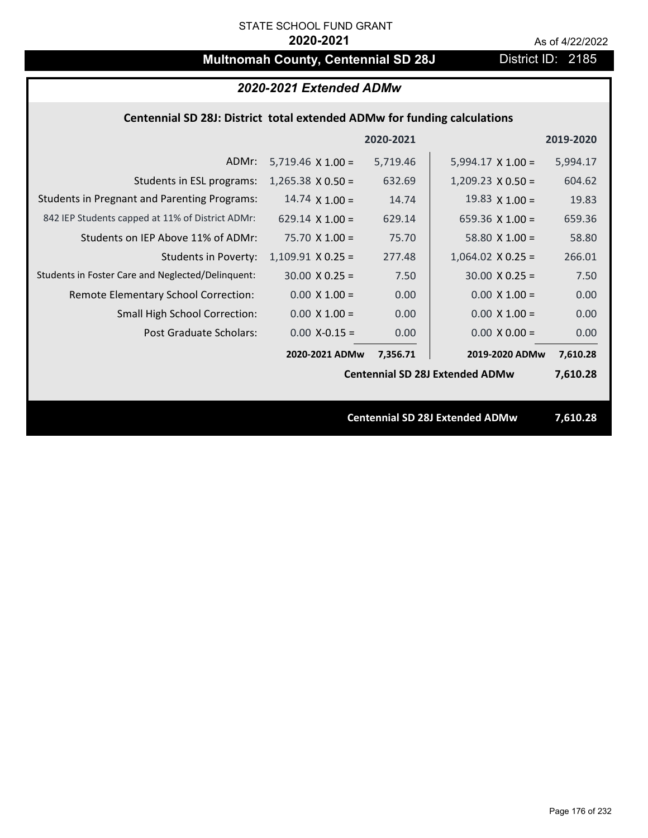# **Multnomah County, Centennial SD 28J** District ID: 2185

# *2020-2021 Extended ADMw*

### **Centennial SD 28J: District total extended ADMw for funding calculations**

|                                                     |                          | 2020-2021 |                                        | 2019-2020 |
|-----------------------------------------------------|--------------------------|-----------|----------------------------------------|-----------|
| ADMr:                                               | $5,719.46 \times 1.00 =$ | 5,719.46  | $5,994.17 \times 1.00 =$               | 5,994.17  |
| Students in ESL programs:                           | $1,265.38 \times 0.50 =$ | 632.69    | $1,209.23 \times 0.50 =$               | 604.62    |
| <b>Students in Pregnant and Parenting Programs:</b> | 14.74 $\times$ 1.00 =    | 14.74     | 19.83 $\times$ 1.00 =                  | 19.83     |
| 842 IEP Students capped at 11% of District ADMr:    | 629.14 $\times$ 1.00 =   | 629.14    | 659.36 $\times$ 1.00 =                 | 659.36    |
| Students on IEP Above 11% of ADMr:                  | $75.70 X 1.00 =$         | 75.70     | 58.80 $X$ 1.00 =                       | 58.80     |
| <b>Students in Poverty:</b>                         | $1,109.91$ X 0.25 =      | 277.48    | $1,064.02$ X 0.25 =                    | 266.01    |
| Students in Foster Care and Neglected/Delinquent:   | $30.00 \times 0.25 =$    | 7.50      | $30.00 \times 0.25 =$                  | 7.50      |
| Remote Elementary School Correction:                | $0.00 \times 1.00 =$     | 0.00      | $0.00 \times 1.00 =$                   | 0.00      |
| <b>Small High School Correction:</b>                | $0.00 \times 1.00 =$     | 0.00      | $0.00 \times 1.00 =$                   | 0.00      |
| Post Graduate Scholars:                             | $0.00$ X-0.15 =          | 0.00      | $0.00 \times 0.00 =$                   | 0.00      |
|                                                     | 2020-2021 ADMw           | 7,356.71  | 2019-2020 ADMw                         | 7,610.28  |
|                                                     |                          |           | <b>Centennial SD 28J Extended ADMw</b> | 7,610.28  |
|                                                     |                          |           |                                        |           |
|                                                     |                          |           | <b>Centennial SD 28J Extended ADMw</b> | 7,610.28  |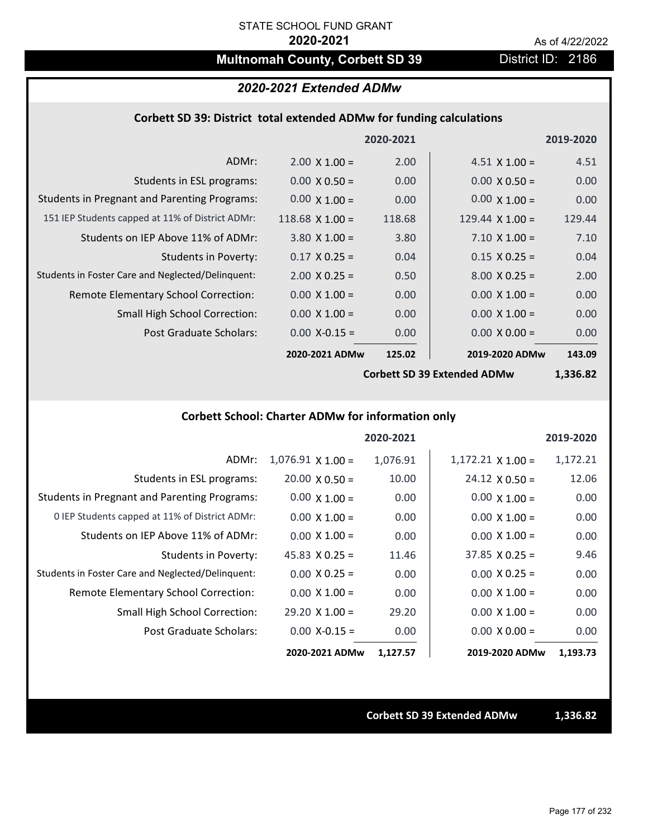# **Multnomah County, Corbett SD 39 District ID: 2186**

### *2020-2021 Extended ADMw*

### **Corbett SD 39: District total extended ADMw for funding calculations**

|                                                     |                      | 2020-2021 |                        | 2019-2020 |
|-----------------------------------------------------|----------------------|-----------|------------------------|-----------|
| ADMr:                                               | $2.00 \times 1.00 =$ | 2.00      | $4.51 \times 1.00 =$   | 4.51      |
| Students in ESL programs:                           | $0.00 \times 0.50 =$ | 0.00      | $0.00 \times 0.50 =$   | 0.00      |
| <b>Students in Pregnant and Parenting Programs:</b> | $0.00 \times 1.00 =$ | 0.00      | $0.00 \times 1.00 =$   | 0.00      |
| 151 IEP Students capped at 11% of District ADMr:    | $118.68$ X 1.00 =    | 118.68    | 129.44 $\times$ 1.00 = | 129.44    |
| Students on IEP Above 11% of ADMr:                  | $3.80 \times 1.00 =$ | 3.80      | $7.10 \times 1.00 =$   | 7.10      |
| <b>Students in Poverty:</b>                         | $0.17 \times 0.25 =$ | 0.04      | $0.15 \times 0.25 =$   | 0.04      |
| Students in Foster Care and Neglected/Delinquent:   | $2.00 \times 0.25 =$ | 0.50      | $8.00 \times 0.25 =$   | 2.00      |
| Remote Elementary School Correction:                | $0.00 \times 1.00 =$ | 0.00      | $0.00 \times 1.00 =$   | 0.00      |
| <b>Small High School Correction:</b>                | $0.00 \times 1.00 =$ | 0.00      | $0.00 \times 1.00 =$   | 0.00      |
| Post Graduate Scholars:                             | $0.00$ X-0.15 =      | 0.00      | $0.00 \times 0.00 =$   | 0.00      |
|                                                     | 2020-2021 ADMw       | 125.02    | 2019-2020 ADMw         | 143.09    |

**Corbett SD 39 Extended ADMw**

**1,336.82**

# **Corbett School: Charter ADMw for information only**

|                                                     |                       | 2020-2021 |                       | 2019-2020 |
|-----------------------------------------------------|-----------------------|-----------|-----------------------|-----------|
| ADMr:                                               | $1,076.91$ X $1.00 =$ | 1,076.91  | $1,172.21$ X $1.00 =$ | 1,172.21  |
| Students in ESL programs:                           | $20.00 \times 0.50 =$ | 10.00     | $24.12 \times 0.50 =$ | 12.06     |
| <b>Students in Pregnant and Parenting Programs:</b> | $0.00 \times 1.00 =$  | 0.00      | $0.00 \times 1.00 =$  | 0.00      |
| 0 IEP Students capped at 11% of District ADMr:      | $0.00 \times 1.00 =$  | 0.00      | $0.00 \times 1.00 =$  | 0.00      |
| Students on IEP Above 11% of ADMr:                  | $0.00 \times 1.00 =$  | 0.00      | $0.00 \times 1.00 =$  | 0.00      |
| Students in Poverty:                                | $45.83 \times 0.25 =$ | 11.46     | $37.85 \times 0.25 =$ | 9.46      |
| Students in Foster Care and Neglected/Delinquent:   | $0.00 \times 0.25 =$  | 0.00      | $0.00 \times 0.25 =$  | 0.00      |
| Remote Elementary School Correction:                | $0.00 \times 1.00 =$  | 0.00      | $0.00 \times 1.00 =$  | 0.00      |
| <b>Small High School Correction:</b>                | $29.20 \times 1.00 =$ | 29.20     | $0.00 \times 1.00 =$  | 0.00      |
| Post Graduate Scholars:                             | $0.00$ X-0.15 =       | 0.00      | $0.00 \times 0.00 =$  | 0.00      |
|                                                     | 2020-2021 ADMw        | 1,127.57  | 2019-2020 ADMw        | 1,193.73  |

**Corbett SD 39 Extended ADMw 1,336.82**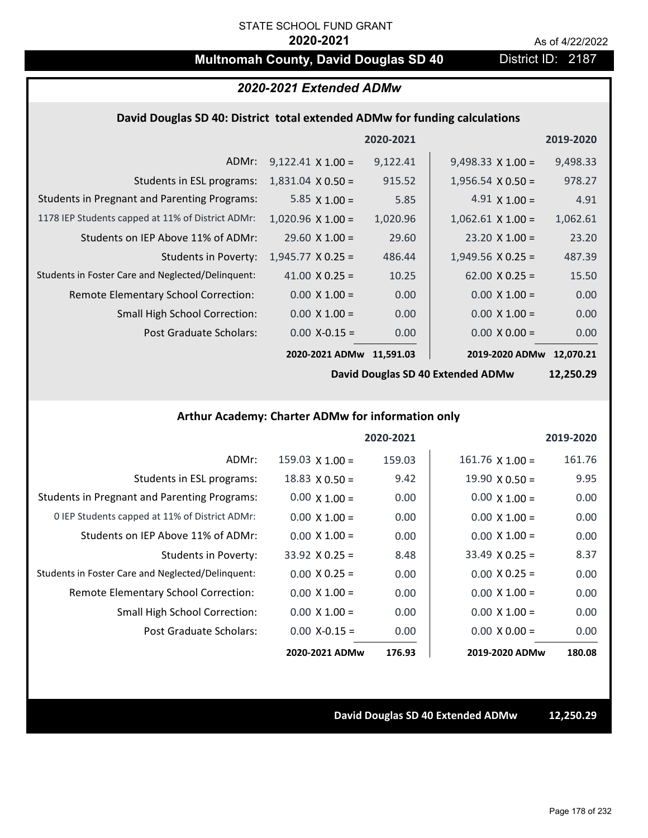# **Multnomah County, David Douglas SD 40** District ID: 2187

# *2020-2021 Extended ADMw*

### **David Douglas SD 40: District total extended ADMw for funding calculations**

|                                                     |                          | 2020-2021 |                          | 2019-2020 |
|-----------------------------------------------------|--------------------------|-----------|--------------------------|-----------|
| ADMr:                                               | $9,122.41 \times 1.00 =$ | 9,122.41  | $9,498.33 \times 1.00 =$ | 9,498.33  |
| Students in ESL programs:                           | $1,831.04 \times 0.50 =$ | 915.52    | $1,956.54 \times 0.50 =$ | 978.27    |
| <b>Students in Pregnant and Parenting Programs:</b> | 5.85 $\times$ 1.00 =     | 5.85      | $4.91 \times 1.00 =$     | 4.91      |
| 1178 IEP Students capped at 11% of District ADMr:   | $1,020.96 \times 1.00 =$ | 1,020.96  | $1,062.61 \times 1.00 =$ | 1,062.61  |
| Students on IEP Above 11% of ADMr:                  | $29.60 \times 1.00 =$    | 29.60     | $23.20 \times 1.00 =$    | 23.20     |
| <b>Students in Poverty:</b>                         | $1,945.77 \times 0.25 =$ | 486.44    | $1,949.56 \times 0.25 =$ | 487.39    |
| Students in Foster Care and Neglected/Delinquent:   | 41.00 $\times$ 0.25 =    | 10.25     | $62.00 \times 0.25 =$    | 15.50     |
| Remote Elementary School Correction:                | $0.00 \times 1.00 =$     | 0.00      | $0.00 \times 1.00 =$     | 0.00      |
| <b>Small High School Correction:</b>                | $0.00 \times 1.00 =$     | 0.00      | $0.00 \times 1.00 =$     | 0.00      |
| Post Graduate Scholars:                             | $0.00$ X-0.15 =          | 0.00      | $0.00 \times 0.00 =$     | 0.00      |
|                                                     | 2020-2021 ADMw           | 11.591.03 | 2019-2020 ADMw           | 12.070.21 |

**David Douglas SD 40 Extended ADMw**

**12,250.29**

# **Arthur Academy: Charter ADMw for information only**

|                                                     |                        | 2020-2021 |                       | 2019-2020 |
|-----------------------------------------------------|------------------------|-----------|-----------------------|-----------|
| ADMr:                                               | $159.03 \times 1.00 =$ | 159.03    | $161.76$ X $1.00 =$   | 161.76    |
| Students in ESL programs:                           | $18.83 \times 0.50 =$  | 9.42      | $19.90 \times 0.50 =$ | 9.95      |
| <b>Students in Pregnant and Parenting Programs:</b> | $0.00 \times 1.00 =$   | 0.00      | $0.00 \times 1.00 =$  | 0.00      |
| 0 IEP Students capped at 11% of District ADMr:      | $0.00 \times 1.00 =$   | 0.00      | $0.00 \times 1.00 =$  | 0.00      |
| Students on IEP Above 11% of ADMr:                  | $0.00 \times 1.00 =$   | 0.00      | $0.00 \times 1.00 =$  | 0.00      |
| Students in Poverty:                                | $33.92 \times 0.25 =$  | 8.48      | $33.49 \times 0.25 =$ | 8.37      |
| Students in Foster Care and Neglected/Delinquent:   | $0.00 \times 0.25 =$   | 0.00      | $0.00 \times 0.25 =$  | 0.00      |
| <b>Remote Elementary School Correction:</b>         | $0.00 \times 1.00 =$   | 0.00      | $0.00 \times 1.00 =$  | 0.00      |
| <b>Small High School Correction:</b>                | $0.00 \times 1.00 =$   | 0.00      | $0.00 \times 1.00 =$  | 0.00      |
| Post Graduate Scholars:                             | $0.00$ X-0.15 =        | 0.00      | $0.00 \times 0.00 =$  | 0.00      |
|                                                     | 2020-2021 ADMw         | 176.93    | 2019-2020 ADMw        | 180.08    |

#### **David Douglas SD 40 Extended ADMw 12,250.29**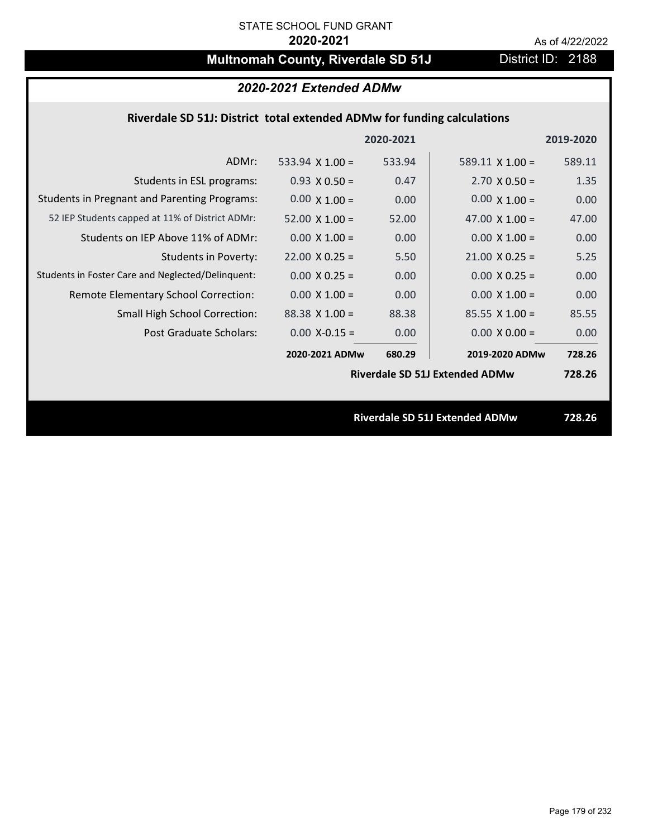# **Multnomah County, Riverdale SD 51J** District ID: 2188

# *2020-2021 Extended ADMw*

### **Riverdale SD 51J: District total extended ADMw for funding calculations**

|                                                     |                       | 2020-2021 |                                       | 2019-2020 |
|-----------------------------------------------------|-----------------------|-----------|---------------------------------------|-----------|
| ADMr:                                               | 533.94 $X$ 1.00 =     | 533.94    | $589.11 \times 1.00 =$                | 589.11    |
| Students in ESL programs:                           | $0.93 \times 0.50 =$  | 0.47      | $2.70 \times 0.50 =$                  | 1.35      |
| <b>Students in Pregnant and Parenting Programs:</b> | $0.00 \times 1.00 =$  | 0.00      | $0.00 \times 1.00 =$                  | 0.00      |
| 52 IEP Students capped at 11% of District ADMr:     | $52.00 \times 1.00 =$ | 52.00     | 47.00 $\times$ 1.00 =                 | 47.00     |
| Students on IEP Above 11% of ADMr:                  | $0.00 \times 1.00 =$  | 0.00      | $0.00 X 1.00 =$                       | 0.00      |
| <b>Students in Poverty:</b>                         | $22.00 \times 0.25 =$ | 5.50      | $21.00 \times 0.25 =$                 | 5.25      |
| Students in Foster Care and Neglected/Delinquent:   | $0.00 \times 0.25 =$  | 0.00      | $0.00 \times 0.25 =$                  | 0.00      |
| Remote Elementary School Correction:                | $0.00 \times 1.00 =$  | 0.00      | $0.00 \times 1.00 =$                  | 0.00      |
| <b>Small High School Correction:</b>                | $88.38$ X 1.00 =      | 88.38     | $85.55 \times 1.00 =$                 | 85.55     |
| Post Graduate Scholars:                             | $0.00$ X-0.15 =       | 0.00      | $0.00 \times 0.00 =$                  | 0.00      |
|                                                     | 2020-2021 ADMw        | 680.29    | 2019-2020 ADMw                        | 728.26    |
|                                                     |                       |           | <b>Riverdale SD 51J Extended ADMw</b> | 728.26    |
|                                                     |                       |           |                                       |           |
|                                                     |                       |           | <b>Riverdale SD 51J Extended ADMw</b> | 728.26    |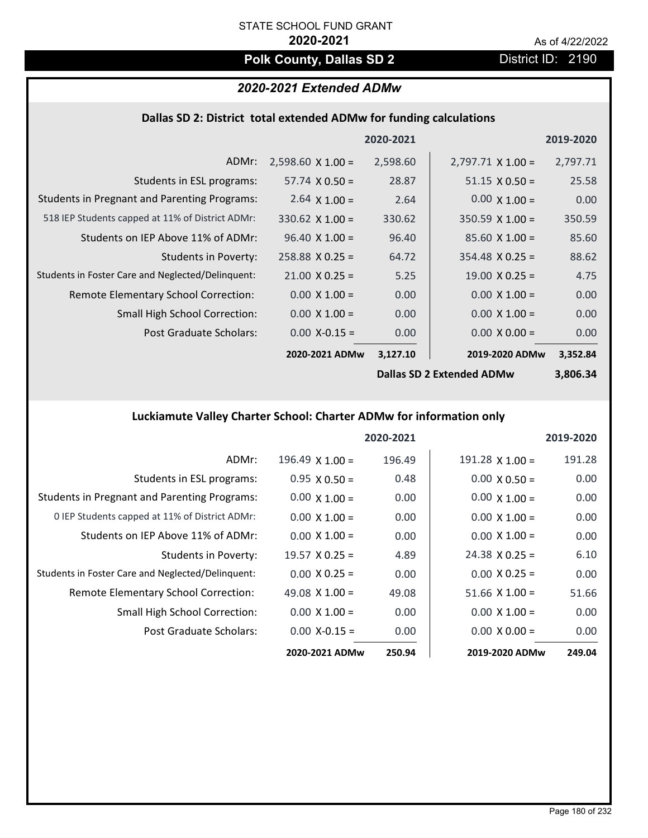# **Polk County, Dallas SD 2** District ID: 2190

# *2020-2021 Extended ADMw*

## **Dallas SD 2: District total extended ADMw for funding calculations**

|                                                     |                          | 2020-2021 |                           | 2019-2020 |
|-----------------------------------------------------|--------------------------|-----------|---------------------------|-----------|
| ADMr:                                               | $2,598.60 \times 1.00 =$ | 2,598.60  | $2,797.71 \times 1.00 =$  | 2,797.71  |
| Students in ESL programs:                           | $57.74 \times 0.50 =$    | 28.87     | $51.15 \times 0.50 =$     | 25.58     |
| <b>Students in Pregnant and Parenting Programs:</b> | $2.64 \times 1.00 =$     | 2.64      | $0.00 \times 1.00 =$      | 0.00      |
| 518 IEP Students capped at 11% of District ADMr:    | $330.62$ X 1.00 =        | 330.62    | $350.59 \times 1.00 =$    | 350.59    |
| Students on IEP Above 11% of ADMr:                  | $96.40 \times 1.00 =$    | 96.40     | $85.60 X 1.00 =$          | 85.60     |
| <b>Students in Poverty:</b>                         | $258.88 \times 0.25 =$   | 64.72     | $354.48$ X 0.25 =         | 88.62     |
| Students in Foster Care and Neglected/Delinquent:   | $21.00 \times 0.25 =$    | 5.25      | $19.00 \times 0.25 =$     | 4.75      |
| Remote Elementary School Correction:                | $0.00 \times 1.00 =$     | 0.00      | $0.00 \times 1.00 =$      | 0.00      |
| <b>Small High School Correction:</b>                | $0.00 \times 1.00 =$     | 0.00      | $0.00 \times 1.00 =$      | 0.00      |
| Post Graduate Scholars:                             | $0.00$ X-0.15 =          | 0.00      | $0.00 X 0.00 =$           | 0.00      |
|                                                     | 2020-2021 ADMw           | 3,127.10  | 2019-2020 ADMw            | 3,352.84  |
|                                                     |                          |           | Dallac CD 2 Evtandad ADMu | 2.006.21  |

**Dallas SD 2 Extended ADMw**

**3,806.34**

# **Luckiamute Valley Charter School: Charter ADMw for information only**

|                                                     |                        | 2020-2021 |                       | 2019-2020 |
|-----------------------------------------------------|------------------------|-----------|-----------------------|-----------|
| ADMr:                                               | $196.49 \times 1.00 =$ | 196.49    | $191.28$ X 1.00 =     | 191.28    |
| Students in ESL programs:                           | $0.95 \times 0.50 =$   | 0.48      | $0.00 \times 0.50 =$  | 0.00      |
| <b>Students in Pregnant and Parenting Programs:</b> | $0.00 \times 1.00 =$   | 0.00      | $0.00 \times 1.00 =$  | 0.00      |
| 0 IEP Students capped at 11% of District ADMr:      | $0.00 \times 1.00 =$   | 0.00      | $0.00 \times 1.00 =$  | 0.00      |
| Students on IEP Above 11% of ADMr:                  | $0.00 \times 1.00 =$   | 0.00      | $0.00 \times 1.00 =$  | 0.00      |
| Students in Poverty:                                | $19.57 \times 0.25 =$  | 4.89      | $24.38 \times 0.25 =$ | 6.10      |
| Students in Foster Care and Neglected/Delinquent:   | $0.00 \times 0.25 =$   | 0.00      | $0.00 \times 0.25 =$  | 0.00      |
| Remote Elementary School Correction:                | 49.08 $\times$ 1.00 =  | 49.08     | $51.66 \times 1.00 =$ | 51.66     |
| <b>Small High School Correction:</b>                | $0.00 \times 1.00 =$   | 0.00      | $0.00 \times 1.00 =$  | 0.00      |
| Post Graduate Scholars:                             | $0.00 X - 0.15 =$      | 0.00      | $0.00 \times 0.00 =$  | 0.00      |
|                                                     | 2020-2021 ADMw         | 250.94    | 2019-2020 ADMw        | 249.04    |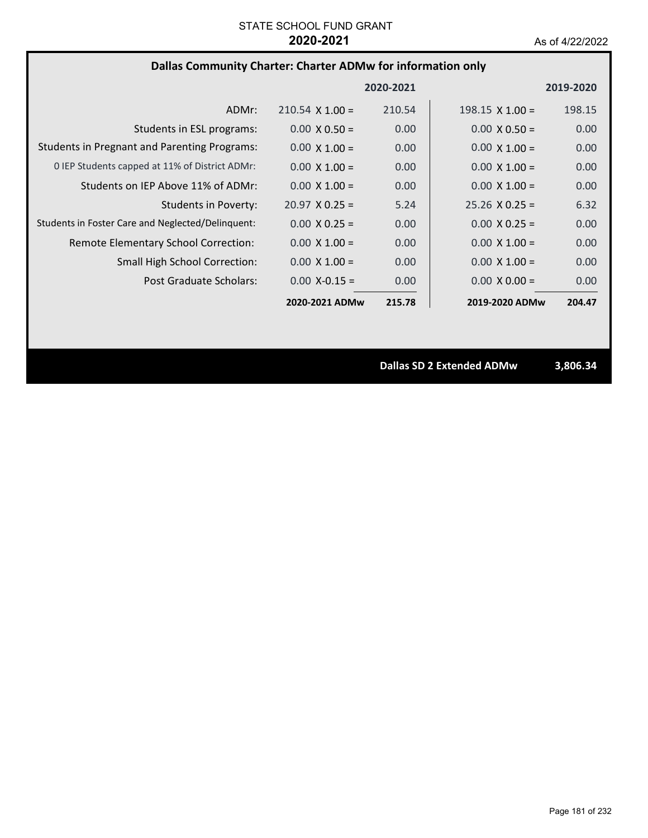## **Dallas Community Charter: Charter ADMw for information only**

|                                                     |                        | 2020-2021 |                        | 2019-2020 |
|-----------------------------------------------------|------------------------|-----------|------------------------|-----------|
| ADMr:                                               | $210.54 \times 1.00 =$ | 210.54    | $198.15 \times 1.00 =$ | 198.15    |
| Students in ESL programs:                           | $0.00 \times 0.50 =$   | 0.00      | $0.00 \times 0.50 =$   | 0.00      |
| <b>Students in Pregnant and Parenting Programs:</b> | $0.00 \times 1.00 =$   | 0.00      | $0.00 \times 1.00 =$   | 0.00      |
| 0 IEP Students capped at 11% of District ADMr:      | $0.00 \times 1.00 =$   | 0.00      | $0.00 \times 1.00 =$   | 0.00      |
| Students on IEP Above 11% of ADMr:                  | $0.00 \times 1.00 =$   | 0.00      | $0.00 \times 1.00 =$   | 0.00      |
| Students in Poverty:                                | $20.97 \times 0.25 =$  | 5.24      | $25.26 \times 0.25 =$  | 6.32      |
| Students in Foster Care and Neglected/Delinquent:   | $0.00 \times 0.25 =$   | 0.00      | $0.00 \times 0.25 =$   | 0.00      |
| Remote Elementary School Correction:                | $0.00 \times 1.00 =$   | 0.00      | $0.00 \times 1.00 =$   | 0.00      |
| <b>Small High School Correction:</b>                | $0.00 \times 1.00 =$   | 0.00      | $0.00 \times 1.00 =$   | 0.00      |
| Post Graduate Scholars:                             | $0.00 X - 0.15 =$      | 0.00      | $0.00 \times 0.00 =$   | 0.00      |
|                                                     | 2020-2021 ADMw         | 215.78    | 2019-2020 ADMw         | 204.47    |

**Dallas SD 2 Extended ADMw 3,806.34**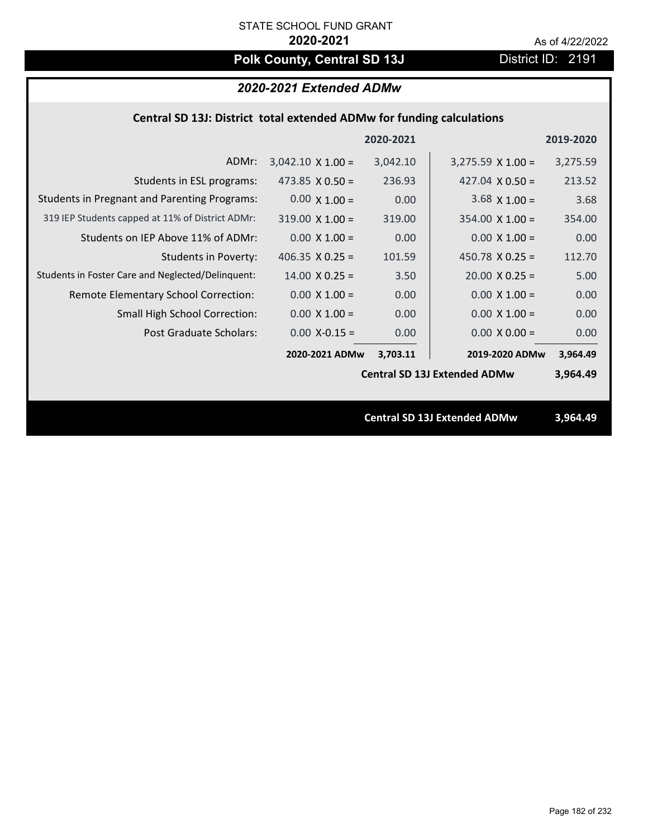# Polk County, Central SD 13J District ID: 2191

## *2020-2021 Extended ADMw*

## **Central SD 13J: District total extended ADMw for funding calculations**

|                                                     |                          | 2020-2021 |                                     | 2019-2020 |
|-----------------------------------------------------|--------------------------|-----------|-------------------------------------|-----------|
| ADMr:                                               | $3,042.10 \times 1.00 =$ | 3,042.10  | $3,275.59 \times 1.00 =$            | 3,275.59  |
| Students in ESL programs:                           | 473.85 $\times$ 0.50 =   | 236.93    | 427.04 $\times$ 0.50 =              | 213.52    |
| <b>Students in Pregnant and Parenting Programs:</b> | $0.00 \times 1.00 =$     | 0.00      | $3.68 \times 1.00 =$                | 3.68      |
| 319 IEP Students capped at 11% of District ADMr:    | $319.00 \times 1.00 =$   | 319.00    | $354.00 \times 1.00 =$              | 354.00    |
| Students on IEP Above 11% of ADMr:                  | $0.00 \times 1.00 =$     | 0.00      | $0.00 \times 1.00 =$                | 0.00      |
| <b>Students in Poverty:</b>                         | 406.35 $\times$ 0.25 =   | 101.59    | 450.78 $X$ 0.25 =                   | 112.70    |
| Students in Foster Care and Neglected/Delinquent:   | $14.00 \times 0.25 =$    | 3.50      | $20.00 \times 0.25 =$               | 5.00      |
| Remote Elementary School Correction:                | $0.00 \times 1.00 =$     | 0.00      | $0.00 \times 1.00 =$                | 0.00      |
| <b>Small High School Correction:</b>                | $0.00 \times 1.00 =$     | 0.00      | $0.00 \times 1.00 =$                | 0.00      |
| Post Graduate Scholars:                             | $0.00$ X-0.15 =          | 0.00      | $0.00 \times 0.00 =$                | 0.00      |
|                                                     | 2020-2021 ADMw           | 3,703.11  | 2019-2020 ADMw                      | 3,964.49  |
|                                                     |                          |           | <b>Central SD 13J Extended ADMw</b> | 3,964.49  |
|                                                     |                          |           |                                     |           |
|                                                     |                          |           | <b>Central SD 13J Extended ADMw</b> | 3,964.49  |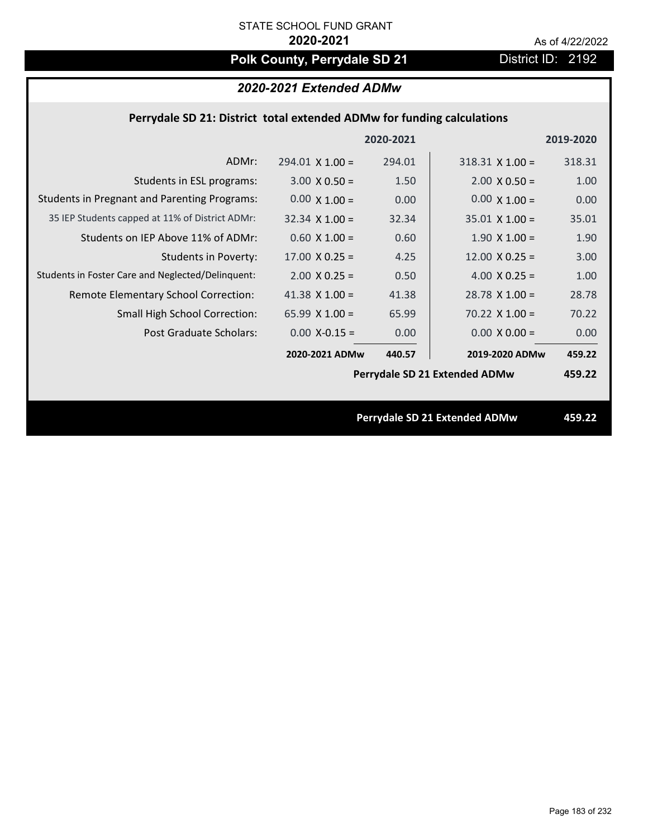# Polk County, Perrydale SD 21 **District ID: 2192**

## *2020-2021 Extended ADMw*

## **Perrydale SD 21: District total extended ADMw for funding calculations**

|                                                     |                        | 2020-2021 |                               | 2019-2020 |
|-----------------------------------------------------|------------------------|-----------|-------------------------------|-----------|
| ADMr:                                               | $294.01 \times 1.00 =$ | 294.01    | $318.31$ X 1.00 =             | 318.31    |
| Students in ESL programs:                           | $3.00 \times 0.50 =$   | 1.50      | $2.00 \times 0.50 =$          | 1.00      |
| <b>Students in Pregnant and Parenting Programs:</b> | $0.00 \times 1.00 =$   | 0.00      | $0.00 \times 1.00 =$          | 0.00      |
| 35 IEP Students capped at 11% of District ADMr:     | $32.34 \times 1.00 =$  | 32.34     | $35.01 \times 1.00 =$         | 35.01     |
| Students on IEP Above 11% of ADMr:                  | $0.60$ X $1.00 =$      | 0.60      | $1.90 \times 1.00 =$          | 1.90      |
| <b>Students in Poverty:</b>                         | $17.00 \times 0.25 =$  | 4.25      | $12.00 \times 0.25 =$         | 3.00      |
| Students in Foster Care and Neglected/Delinquent:   | $2.00$ X 0.25 =        | 0.50      | 4.00 $X$ 0.25 =               | 1.00      |
| Remote Elementary School Correction:                | 41.38 $X$ 1.00 =       | 41.38     | $28.78 \times 1.00 =$         | 28.78     |
| <b>Small High School Correction:</b>                | 65.99 $X$ 1.00 =       | 65.99     | $70.22$ X 1.00 =              | 70.22     |
| Post Graduate Scholars:                             | $0.00$ X-0.15 =        | 0.00      | $0.00 \times 0.00 =$          | 0.00      |
|                                                     | 2020-2021 ADMw         | 440.57    | 2019-2020 ADMw                | 459.22    |
|                                                     |                        |           | Perrydale SD 21 Extended ADMw | 459.22    |
|                                                     |                        |           |                               |           |
|                                                     |                        |           | Perrydale SD 21 Extended ADMw | 459.22    |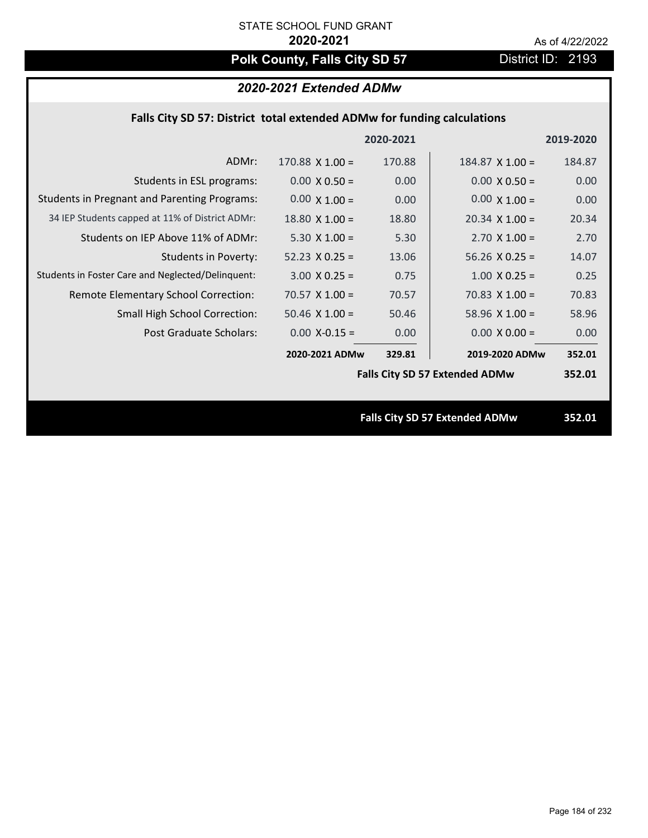# **Polk County, Falls City SD 57** District ID: 2193

## *2020-2021 Extended ADMw*

## **Falls City SD 57: District total extended ADMw for funding calculations**

|                                                     |                       | 2020-2021 |                                       | 2019-2020 |
|-----------------------------------------------------|-----------------------|-----------|---------------------------------------|-----------|
| ADMr:                                               | 170.88 $X$ 1.00 =     | 170.88    | $184.87$ X $1.00 =$                   | 184.87    |
| Students in ESL programs:                           | $0.00 \times 0.50 =$  | 0.00      | $0.00 \times 0.50 =$                  | 0.00      |
| <b>Students in Pregnant and Parenting Programs:</b> | $0.00 \times 1.00 =$  | 0.00      | $0.00 \times 1.00 =$                  | 0.00      |
| 34 IEP Students capped at 11% of District ADMr:     | $18.80 \times 1.00 =$ | 18.80     | $20.34 \times 1.00 =$                 | 20.34     |
| Students on IEP Above 11% of ADMr:                  | $5.30 \times 1.00 =$  | 5.30      | $2.70 \times 1.00 =$                  | 2.70      |
| <b>Students in Poverty:</b>                         | $52.23 \times 0.25 =$ | 13.06     | $56.26$ X 0.25 =                      | 14.07     |
| Students in Foster Care and Neglected/Delinquent:   | $3.00 \times 0.25 =$  | 0.75      | $1.00$ X 0.25 =                       | 0.25      |
| Remote Elementary School Correction:                | $70.57 \times 1.00 =$ | 70.57     | $70.83 \times 1.00 =$                 | 70.83     |
| <b>Small High School Correction:</b>                | $50.46$ X $1.00 =$    | 50.46     | $58.96 \times 1.00 =$                 | 58.96     |
| Post Graduate Scholars:                             | $0.00$ X-0.15 =       | 0.00      | $0.00 \times 0.00 =$                  | 0.00      |
|                                                     | 2020-2021 ADMw        | 329.81    | 2019-2020 ADMw                        | 352.01    |
|                                                     |                       |           | <b>Falls City SD 57 Extended ADMw</b> | 352.01    |
|                                                     |                       |           |                                       |           |
|                                                     |                       |           | <b>Falls City SD 57 Extended ADMw</b> | 352.01    |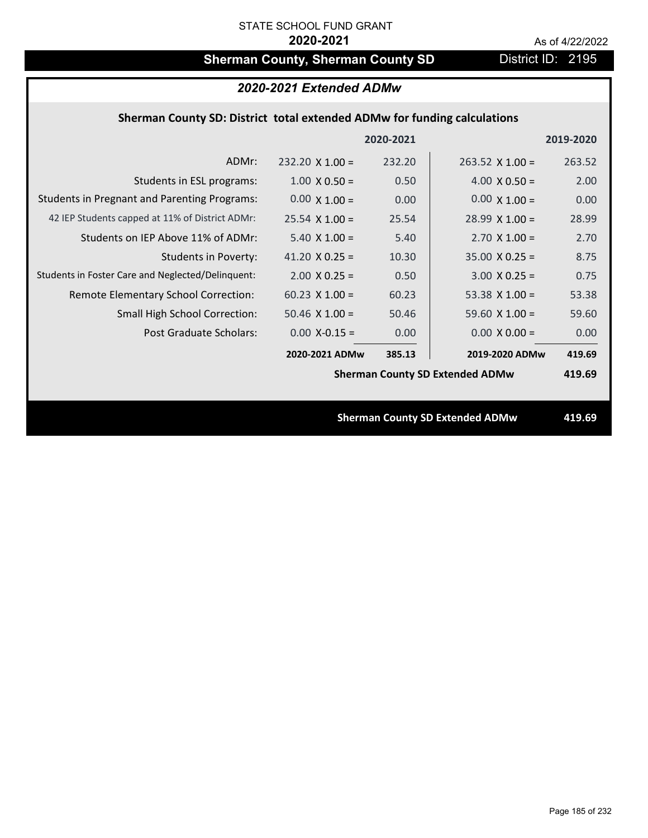# **Sherman County, Sherman County SD** District ID: 2195

| 2020-2021 Extended ADMw                                                  |                        |           |                                        |           |  |
|--------------------------------------------------------------------------|------------------------|-----------|----------------------------------------|-----------|--|
| Sherman County SD: District total extended ADMw for funding calculations |                        |           |                                        |           |  |
|                                                                          |                        | 2020-2021 |                                        | 2019-2020 |  |
| ADMr:                                                                    | $232.20 \times 1.00 =$ | 232.20    | $263.52$ X 1.00 =                      | 263.52    |  |
| Students in ESL programs:                                                | $1.00 \times 0.50 =$   | 0.50      | $4.00 \times 0.50 =$                   | 2.00      |  |
| <b>Students in Pregnant and Parenting Programs:</b>                      | $0.00 \times 1.00 =$   | 0.00      | $0.00 \times 1.00 =$                   | 0.00      |  |
| 42 IEP Students capped at 11% of District ADMr:                          | $25.54 \times 1.00 =$  | 25.54     | $28.99 \times 1.00 =$                  | 28.99     |  |
| Students on IEP Above 11% of ADMr:                                       | $5.40$ X $1.00 =$      | 5.40      | $2.70$ X $1.00 =$                      | 2.70      |  |
| <b>Students in Poverty:</b>                                              | 41.20 $X$ 0.25 =       | 10.30     | $35.00 \times 0.25 =$                  | 8.75      |  |
| Students in Foster Care and Neglected/Delinquent:                        | $2.00$ X 0.25 =        | 0.50      | $3.00 X 0.25 =$                        | 0.75      |  |
| Remote Elementary School Correction:                                     | $60.23 \times 1.00 =$  | 60.23     | 53.38 $X$ 1.00 =                       | 53.38     |  |
| Small High School Correction:                                            | $50.46$ X $1.00 =$     | 50.46     | 59.60 $X$ 1.00 =                       | 59.60     |  |
| <b>Post Graduate Scholars:</b>                                           | $0.00$ X-0.15 =        | 0.00      | $0.00 \times 0.00 =$                   | 0.00      |  |
|                                                                          | 2020-2021 ADMw         | 385.13    | 2019-2020 ADMw                         | 419.69    |  |
|                                                                          |                        |           | <b>Sherman County SD Extended ADMw</b> | 419.69    |  |
|                                                                          |                        |           |                                        |           |  |
|                                                                          |                        |           | <b>Sherman County SD Extended ADMw</b> | 419.69    |  |
|                                                                          |                        |           |                                        |           |  |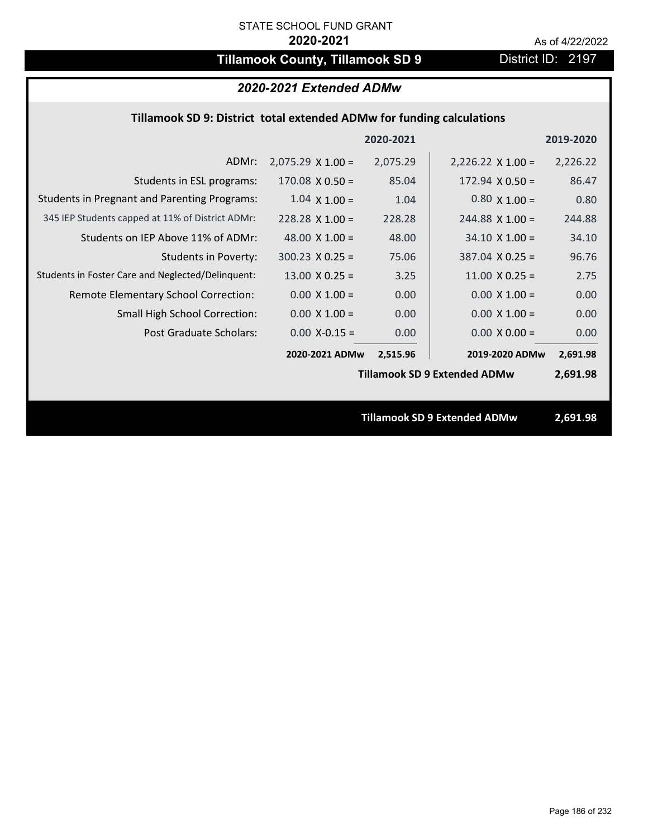# **Tillamook County, Tillamook SD 9** District ID: 2197

## *2020-2021 Extended ADMw*

## **Tillamook SD 9: District total extended ADMw for funding calculations**

|                                                     |                          | 2020-2021 |                                     | 2019-2020 |
|-----------------------------------------------------|--------------------------|-----------|-------------------------------------|-----------|
| ADMr:                                               | $2,075.29 \times 1.00 =$ | 2,075.29  | $2,226.22 \times 1.00 =$            | 2,226.22  |
| Students in ESL programs:                           | $170.08 \times 0.50 =$   | 85.04     | $172.94 \times 0.50 =$              | 86.47     |
| <b>Students in Pregnant and Parenting Programs:</b> | $1.04 \times 1.00 =$     | 1.04      | $0.80 \times 1.00 =$                | 0.80      |
| 345 IEP Students capped at 11% of District ADMr:    | $228.28 \times 1.00 =$   | 228.28    | $244.88$ X 1.00 =                   | 244.88    |
| Students on IEP Above 11% of ADMr:                  | 48.00 $\times$ 1.00 =    | 48.00     | $34.10 \times 1.00 =$               | 34.10     |
| <b>Students in Poverty:</b>                         | $300.23 \times 0.25 =$   | 75.06     | $387.04$ X 0.25 =                   | 96.76     |
| Students in Foster Care and Neglected/Delinquent:   | $13.00 \times 0.25 =$    | 3.25      | $11.00 \times 0.25 =$               | 2.75      |
| Remote Elementary School Correction:                | $0.00 \times 1.00 =$     | 0.00      | $0.00 \times 1.00 =$                | 0.00      |
| <b>Small High School Correction:</b>                | $0.00 \times 1.00 =$     | 0.00      | $0.00 \times 1.00 =$                | 0.00      |
| Post Graduate Scholars:                             | $0.00$ X-0.15 =          | 0.00      | $0.00 \times 0.00 =$                | 0.00      |
|                                                     | 2020-2021 ADMw           | 2,515.96  | 2019-2020 ADMw                      | 2,691.98  |
|                                                     |                          |           | <b>Tillamook SD 9 Extended ADMw</b> | 2,691.98  |
|                                                     |                          |           |                                     |           |
|                                                     |                          |           | <b>Tillamook SD 9 Extended ADMw</b> | 2,691.98  |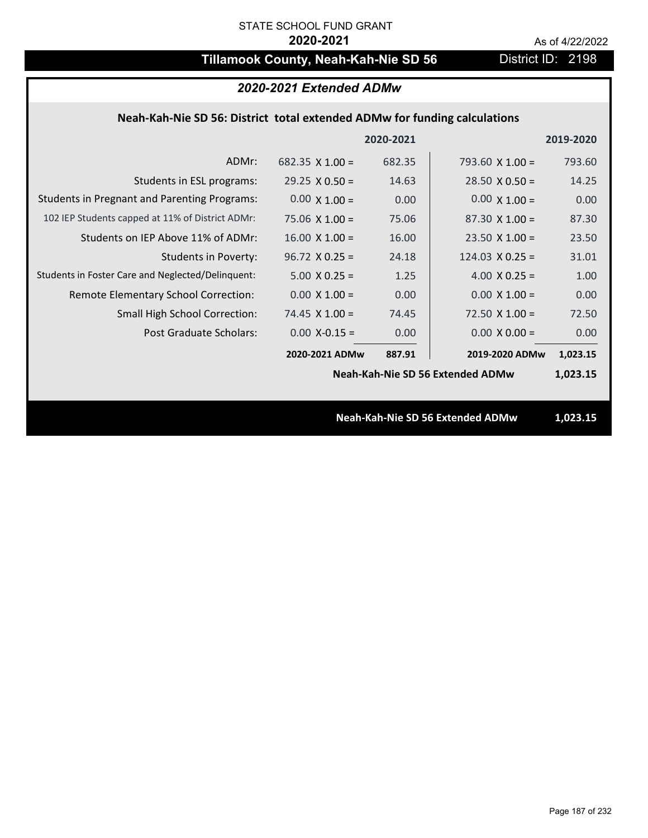# **Tillamook County, Neah-Kah-Nie SD 56** District ID: 2198

| 2020-2021 Extended ADMw                                                   |                        |           |                                  |           |  |
|---------------------------------------------------------------------------|------------------------|-----------|----------------------------------|-----------|--|
| Neah-Kah-Nie SD 56: District total extended ADMw for funding calculations |                        |           |                                  |           |  |
|                                                                           |                        | 2020-2021 |                                  | 2019-2020 |  |
| ADMr:                                                                     | $682.35 \times 1.00 =$ | 682.35    | 793.60 $\times$ 1.00 =           | 793.60    |  |
| Students in ESL programs:                                                 | $29.25 \times 0.50 =$  | 14.63     | $28.50 \times 0.50 =$            | 14.25     |  |
| <b>Students in Pregnant and Parenting Programs:</b>                       | $0.00 \times 1.00 =$   | 0.00      | $0.00 \times 1.00 =$             | 0.00      |  |
| 102 IEP Students capped at 11% of District ADMr:                          | $75.06 \times 1.00 =$  | 75.06     | $87.30 \times 1.00 =$            | 87.30     |  |
| Students on IEP Above 11% of ADMr:                                        | $16.00 \times 1.00 =$  | 16.00     | $23.50$ X $1.00 =$               | 23.50     |  |
| Students in Poverty:                                                      | $96.72 \times 0.25 =$  | 24.18     | $124.03 \times 0.25 =$           | 31.01     |  |
| Students in Foster Care and Neglected/Delinquent:                         | $5.00 X 0.25 =$        | 1.25      | 4.00 $X$ 0.25 =                  | 1.00      |  |
| Remote Elementary School Correction:                                      | $0.00 \times 1.00 =$   | 0.00      | $0.00 \times 1.00 =$             | 0.00      |  |
| <b>Small High School Correction:</b>                                      | $74.45$ X 1.00 =       | 74.45     | $72.50 \times 1.00 =$            | 72.50     |  |
| Post Graduate Scholars:                                                   | $0.00$ X-0.15 =        | 0.00      | $0.00 X 0.00 =$                  | 0.00      |  |
|                                                                           | 2020-2021 ADMw         | 887.91    | 2019-2020 ADMw                   | 1,023.15  |  |
|                                                                           |                        |           | Neah-Kah-Nie SD 56 Extended ADMw | 1,023.15  |  |
|                                                                           |                        |           |                                  |           |  |
|                                                                           |                        |           | Neah-Kah-Nie SD 56 Extended ADMw | 1,023.15  |  |
|                                                                           |                        |           |                                  |           |  |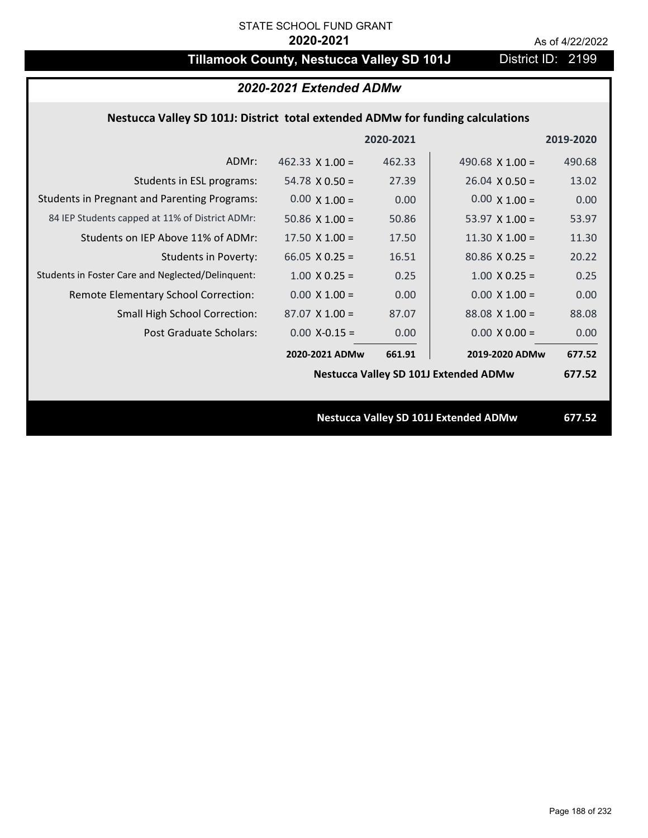# **Tillamook County, Nestucca Valley SD 101J** District ID: 2199

## *2020-2021 Extended ADMw*

## **Nestucca Valley SD 101J: District total extended ADMw for funding calculations**

|                                                     |                        | 2020-2021 |                                              | 2019-2020 |
|-----------------------------------------------------|------------------------|-----------|----------------------------------------------|-----------|
| ADMr:                                               | $462.33 \times 1.00 =$ | 462.33    | 490.68 $X$ 1.00 =                            | 490.68    |
| Students in ESL programs:                           | $54.78 \times 0.50 =$  | 27.39     | $26.04 \times 0.50 =$                        | 13.02     |
| <b>Students in Pregnant and Parenting Programs:</b> | $0.00 \times 1.00 =$   | 0.00      | $0.00 \times 1.00 =$                         | 0.00      |
| 84 IEP Students capped at 11% of District ADMr:     | 50.86 $\times$ 1.00 =  | 50.86     | 53.97 $\times$ 1.00 =                        | 53.97     |
| Students on IEP Above 11% of ADMr:                  | 17.50 $X$ 1.00 =       | 17.50     | $11.30 \times 1.00 =$                        | 11.30     |
| <b>Students in Poverty:</b>                         | $66.05$ X 0.25 =       | 16.51     | $80.86$ X 0.25 =                             | 20.22     |
| Students in Foster Care and Neglected/Delinquent:   | $1.00 \times 0.25 =$   | 0.25      | $1.00 \times 0.25 =$                         | 0.25      |
| Remote Elementary School Correction:                | $0.00 \times 1.00 =$   | 0.00      | $0.00 \times 1.00 =$                         | 0.00      |
| <b>Small High School Correction:</b>                | $87.07$ X 1.00 =       | 87.07     | $88.08$ X 1.00 =                             | 88.08     |
| Post Graduate Scholars:                             | $0.00$ X-0.15 =        | 0.00      | $0.00 \times 0.00 =$                         | 0.00      |
|                                                     | 2020-2021 ADMw         | 661.91    | 2019-2020 ADMw                               | 677.52    |
|                                                     |                        |           | <b>Nestucca Valley SD 101J Extended ADMw</b> | 677.52    |
|                                                     |                        |           |                                              |           |
|                                                     |                        |           | <b>Nestucca Valley SD 101J Extended ADMw</b> | 677.52    |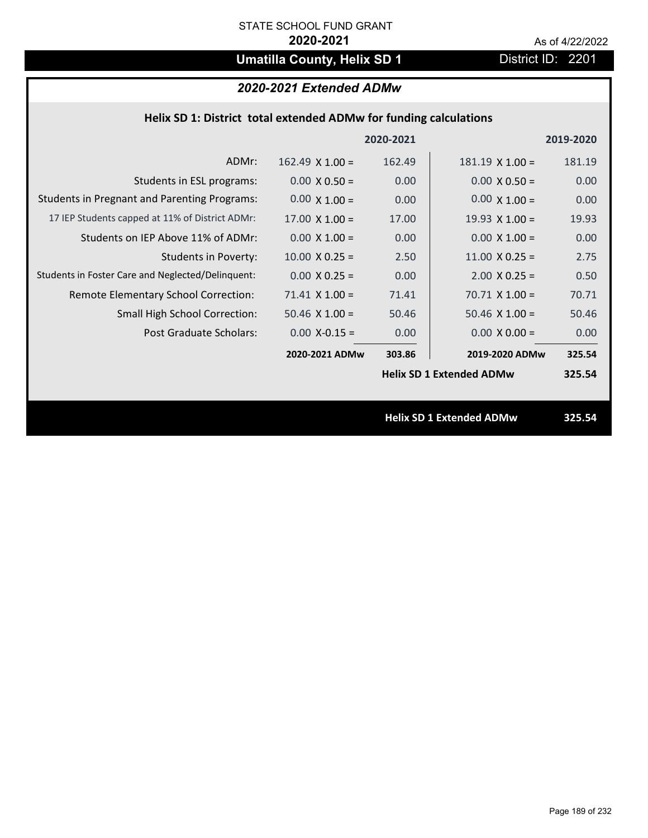# **Umatilla County, Helix SD 1** District ID: 2201

|  | 2020-2021 Extended ADMw |
|--|-------------------------|
|--|-------------------------|

| Helix SD 1: District total extended ADMw for funding calculations |                        |           |                                 |           |
|-------------------------------------------------------------------|------------------------|-----------|---------------------------------|-----------|
|                                                                   |                        | 2020-2021 |                                 | 2019-2020 |
| ADMr:                                                             | $162.49 \times 1.00 =$ | 162.49    | $181.19 \times 1.00 =$          | 181.19    |
| Students in ESL programs:                                         | $0.00 \times 0.50 =$   | 0.00      | $0.00 \times 0.50 =$            | 0.00      |
| <b>Students in Pregnant and Parenting Programs:</b>               | $0.00 \times 1.00 =$   | 0.00      | $0.00 \times 1.00 =$            | 0.00      |
| 17 IEP Students capped at 11% of District ADMr:                   | $17.00 \times 1.00 =$  | 17.00     | $19.93 \times 1.00 =$           | 19.93     |
| Students on IEP Above 11% of ADMr:                                | $0.00 \times 1.00 =$   | 0.00      | $0.00 \times 1.00 =$            | 0.00      |
| <b>Students in Poverty:</b>                                       | $10.00$ X 0.25 =       | 2.50      | $11.00 \times 0.25 =$           | 2.75      |
| Students in Foster Care and Neglected/Delinquent:                 | $0.00 \times 0.25 =$   | 0.00      | $2.00 \times 0.25 =$            | 0.50      |
| Remote Elementary School Correction:                              | $71.41$ X $1.00 =$     | 71.41     | $70.71$ X $1.00 =$              | 70.71     |
| <b>Small High School Correction:</b>                              | $50.46$ X $1.00 =$     | 50.46     | $50.46$ X $1.00 =$              | 50.46     |
| Post Graduate Scholars:                                           | $0.00$ X-0.15 =        | 0.00      | $0.00 \times 0.00 =$            | 0.00      |
|                                                                   | 2020-2021 ADMw         | 303.86    | 2019-2020 ADMw                  | 325.54    |
|                                                                   |                        |           | <b>Helix SD 1 Extended ADMw</b> | 325.54    |
|                                                                   |                        |           |                                 |           |
|                                                                   |                        |           | <b>Helix SD 1 Extended ADMw</b> | 325.54    |
|                                                                   |                        |           |                                 |           |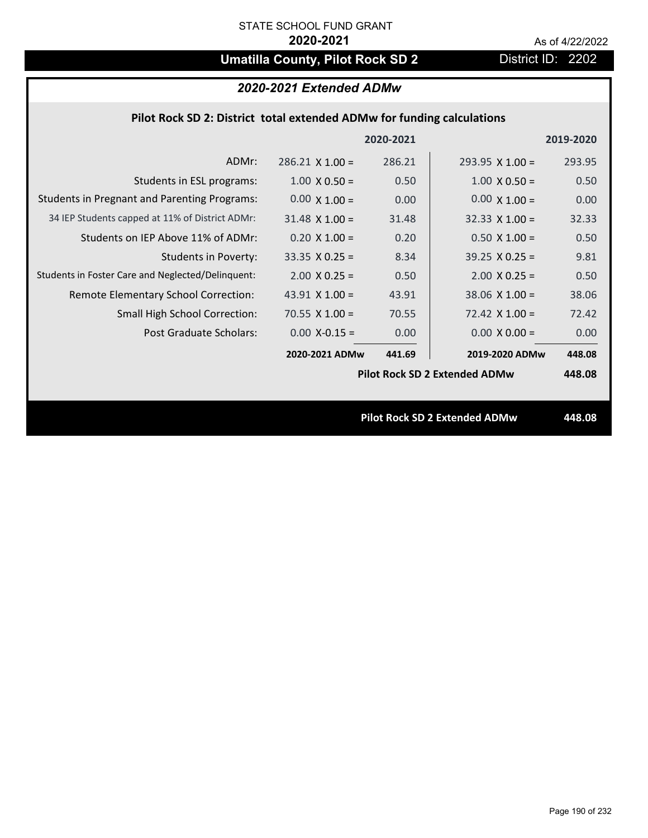# **Umatilla County, Pilot Rock SD 2** District ID: 2202

## *2020-2021 Extended ADMw*

## **Pilot Rock SD 2: District total extended ADMw for funding calculations**

|                                                     |                        | 2020-2021 |                                      | 2019-2020 |
|-----------------------------------------------------|------------------------|-----------|--------------------------------------|-----------|
| ADMr:                                               | $286.21 \times 1.00 =$ | 286.21    | $293.95 \times 1.00 =$               | 293.95    |
| Students in ESL programs:                           | $1.00 \times 0.50 =$   | 0.50      | $1.00 \times 0.50 =$                 | 0.50      |
| <b>Students in Pregnant and Parenting Programs:</b> | $0.00 \times 1.00 =$   | 0.00      | $0.00 \times 1.00 =$                 | 0.00      |
| 34 IEP Students capped at 11% of District ADMr:     | $31.48 \times 1.00 =$  | 31.48     | $32.33 \times 1.00 =$                | 32.33     |
| Students on IEP Above 11% of ADMr:                  | $0.20 \times 1.00 =$   | 0.20      | $0.50$ X 1.00 =                      | 0.50      |
| <b>Students in Poverty:</b>                         | $33.35 \times 0.25 =$  | 8.34      | $39.25 \times 0.25 =$                | 9.81      |
| Students in Foster Care and Neglected/Delinquent:   | $2.00 \times 0.25 =$   | 0.50      | $2.00 \times 0.25 =$                 | 0.50      |
| Remote Elementary School Correction:                | 43.91 $X$ 1.00 =       | 43.91     | $38.06 \times 1.00 =$                | 38.06     |
| <b>Small High School Correction:</b>                | 70.55 $X$ 1.00 =       | 70.55     | $72.42 \times 1.00 =$                | 72.42     |
| Post Graduate Scholars:                             | $0.00$ X-0.15 =        | 0.00      | $0.00 \times 0.00 =$                 | 0.00      |
|                                                     | 2020-2021 ADMw         | 441.69    | 2019-2020 ADMw                       | 448.08    |
|                                                     |                        |           | <b>Pilot Rock SD 2 Extended ADMw</b> | 448.08    |
|                                                     |                        |           |                                      |           |
|                                                     |                        |           | <b>Pilot Rock SD 2 Extended ADMw</b> | 448.08    |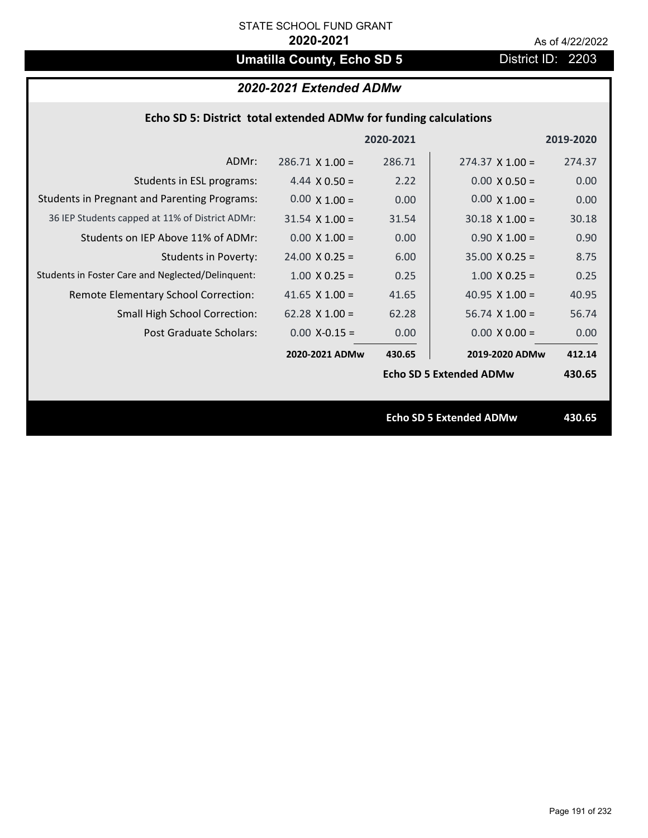# **Umatilla County, Echo SD 5** District ID: 2203

## *2020-2021 Extended ADMw*

| Echo SD 5: District total extended ADMw for funding calculations |                       |           |                                |           |
|------------------------------------------------------------------|-----------------------|-----------|--------------------------------|-----------|
|                                                                  |                       | 2020-2021 |                                | 2019-2020 |
| ADMr:                                                            | $286.71$ X 1.00 =     | 286.71    | $274.37 \times 1.00 =$         | 274.37    |
| Students in ESL programs:                                        | 4.44 $X$ 0.50 =       | 2.22      | $0.00 \times 0.50 =$           | 0.00      |
| <b>Students in Pregnant and Parenting Programs:</b>              | $0.00 \times 1.00 =$  | 0.00      | $0.00 \times 1.00 =$           | 0.00      |
| 36 IEP Students capped at 11% of District ADMr:                  | $31.54 \times 1.00 =$ | 31.54     | $30.18 \times 1.00 =$          | 30.18     |
| Students on IEP Above 11% of ADMr:                               | $0.00 X 1.00 =$       | 0.00      | $0.90 X 1.00 =$                | 0.90      |
| <b>Students in Poverty:</b>                                      | $24.00 \times 0.25 =$ | 6.00      | $35.00 \times 0.25 =$          | 8.75      |
| Students in Foster Care and Neglected/Delinquent:                | $1.00 \times 0.25 =$  | 0.25      | $1.00 \times 0.25 =$           | 0.25      |
| Remote Elementary School Correction:                             | 41.65 $X$ 1.00 =      | 41.65     | 40.95 $X$ 1.00 =               | 40.95     |
| Small High School Correction:                                    | $62.28$ X 1.00 =      | 62.28     | $56.74$ X 1.00 =               | 56.74     |
| Post Graduate Scholars:                                          | $0.00$ X-0.15 =       | 0.00      | $0.00 \times 0.00 =$           | 0.00      |
|                                                                  | 2020-2021 ADMw        | 430.65    | 2019-2020 ADMw                 | 412.14    |
|                                                                  |                       |           | <b>Echo SD 5 Extended ADMw</b> | 430.65    |
|                                                                  |                       |           | <b>Echo SD 5 Extended ADMw</b> | 430.65    |
|                                                                  |                       |           |                                |           |
|                                                                  |                       |           |                                |           |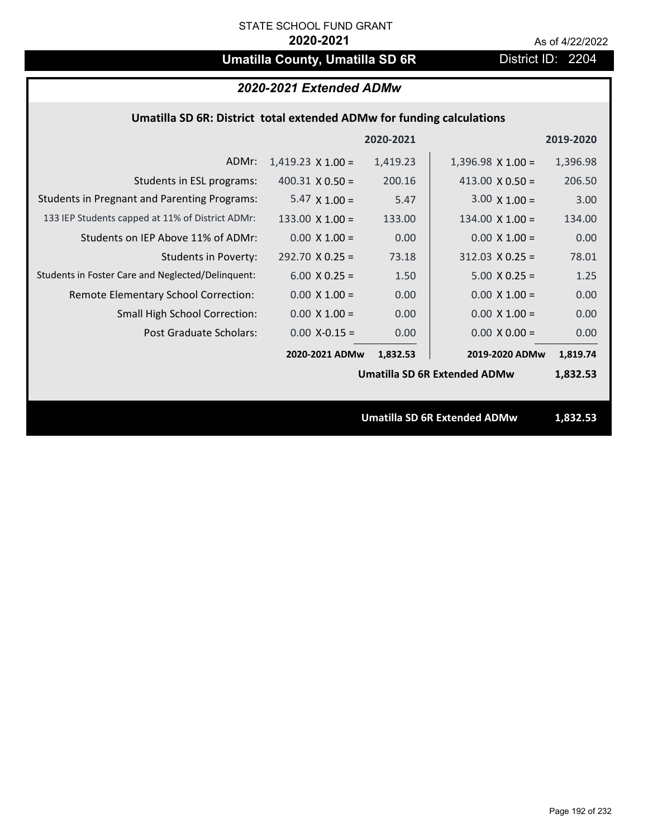## **Umatilla County, Umatilla SD 6R** District ID: 2204

## *2020-2021 Extended ADMw*

### **Umatilla SD 6R: District total extended ADMw for funding calculations**

|                                                     |                          | 2020-2021 |                                     | 2019-2020 |
|-----------------------------------------------------|--------------------------|-----------|-------------------------------------|-----------|
| ADMr:                                               | $1,419.23 \times 1.00 =$ | 1,419.23  | $1,396.98 \times 1.00 =$            | 1,396.98  |
| Students in ESL programs:                           | $400.31 \times 0.50 =$   | 200.16    | 413.00 $\times$ 0.50 =              | 206.50    |
| <b>Students in Pregnant and Parenting Programs:</b> | 5.47 $\times$ 1.00 =     | 5.47      | $3.00 \times 1.00 =$                | 3.00      |
| 133 IEP Students capped at 11% of District ADMr:    | $133.00 \times 1.00 =$   | 133.00    | $134.00 \times 1.00 =$              | 134.00    |
| Students on IEP Above 11% of ADMr:                  | $0.00 \times 1.00 =$     | 0.00      | $0.00 \times 1.00 =$                | 0.00      |
| <b>Students in Poverty:</b>                         | $292.70 \times 0.25 =$   | 73.18     | $312.03 \times 0.25 =$              | 78.01     |
| Students in Foster Care and Neglected/Delinquent:   | $6.00 \times 0.25 =$     | 1.50      | $5.00 \times 0.25 =$                | 1.25      |
| Remote Elementary School Correction:                | $0.00 \times 1.00 =$     | 0.00      | $0.00 \times 1.00 =$                | 0.00      |
| <b>Small High School Correction:</b>                | $0.00 \times 1.00 =$     | 0.00      | $0.00 \times 1.00 =$                | 0.00      |
| Post Graduate Scholars:                             | $0.00$ X-0.15 =          | 0.00      | $0.00 \times 0.00 =$                | 0.00      |
|                                                     | 2020-2021 ADMw           | 1,832.53  | 2019-2020 ADMw                      | 1,819.74  |
|                                                     |                          |           | <b>Umatilla SD 6R Extended ADMw</b> | 1,832.53  |
|                                                     |                          |           |                                     |           |
|                                                     |                          |           | <b>Umatilla SD 6R Extended ADMw</b> | 1,832.53  |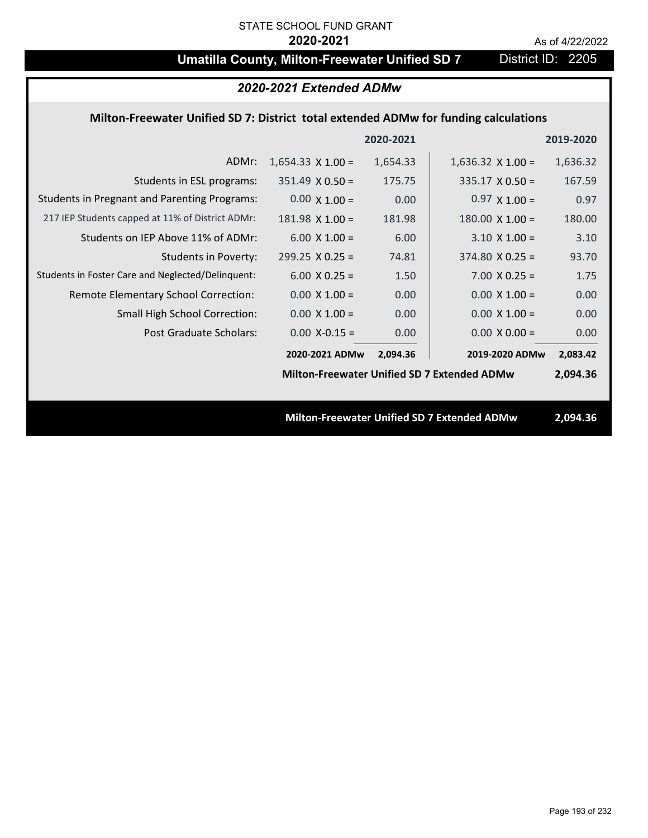## **Umatilla County, Milton-Freewater Unified SD 7** District ID: 2205

## *2020-2021 Extended ADMw*

### **Milton‐Freewater Unified SD 7: District total extended ADMw for funding calculations**

|                                                     |                                                    | 2020-2021 |                                                    | 2019-2020 |
|-----------------------------------------------------|----------------------------------------------------|-----------|----------------------------------------------------|-----------|
| ADMr:                                               | $1,654.33 \times 1.00 =$                           | 1,654.33  | $1,636.32 \times 1.00 =$                           | 1,636.32  |
| Students in ESL programs:                           | $351.49 \times 0.50 =$                             | 175.75    | $335.17 \times 0.50 =$                             | 167.59    |
| <b>Students in Pregnant and Parenting Programs:</b> | $0.00 \times 1.00 =$                               | 0.00      | $0.97 \times 1.00 =$                               | 0.97      |
| 217 IEP Students capped at 11% of District ADMr:    | $181.98 \times 1.00 =$                             | 181.98    | $180.00 \times 1.00 =$                             | 180.00    |
| Students on IEP Above 11% of ADMr:                  | $6.00 \times 1.00 =$                               | 6.00      | $3.10 \times 1.00 =$                               | 3.10      |
| <b>Students in Poverty:</b>                         | $299.25 \times 0.25 =$                             | 74.81     | $374.80 \times 0.25 =$                             | 93.70     |
| Students in Foster Care and Neglected/Delinquent:   | $6.00 \times 0.25 =$                               | 1.50      | $7.00 \times 0.25 =$                               | 1.75      |
| Remote Elementary School Correction:                | $0.00 \times 1.00 =$                               | 0.00      | $0.00 \times 1.00 =$                               | 0.00      |
| <b>Small High School Correction:</b>                | $0.00 \times 1.00 =$                               | 0.00      | $0.00 \times 1.00 =$                               | 0.00      |
| Post Graduate Scholars:                             | $0.00$ X-0.15 =                                    | 0.00      | $0.00 \times 0.00 =$                               | 0.00      |
|                                                     | 2020-2021 ADMw                                     | 2,094.36  | 2019-2020 ADMw                                     | 2,083.42  |
|                                                     | <b>Milton-Freewater Unified SD 7 Extended ADMw</b> |           |                                                    | 2,094.36  |
|                                                     |                                                    |           |                                                    |           |
|                                                     |                                                    |           | <b>Milton-Freewater Unified SD 7 Extended ADMw</b> | 2,094.36  |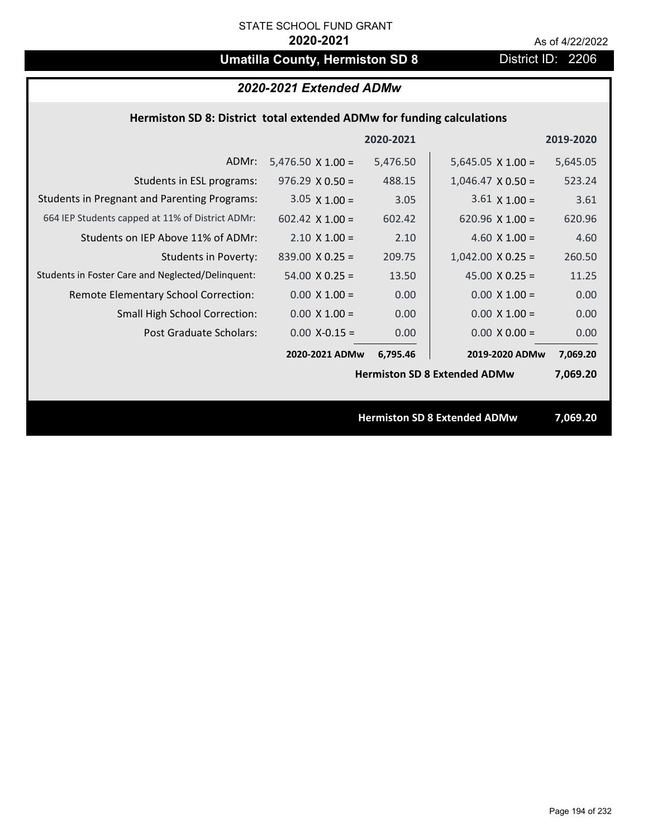# **Umatilla County, Hermiston SD 8** District ID: 2206

## *2020-2021 Extended ADMw*

### **Hermiston SD 8: District total extended ADMw for funding calculations**

|                                                     |                          | 2020-2021 |                                     | 2019-2020 |
|-----------------------------------------------------|--------------------------|-----------|-------------------------------------|-----------|
| ADMr:                                               | $5,476.50 \times 1.00 =$ | 5,476.50  | $5,645.05 \times 1.00 =$            | 5,645.05  |
| Students in ESL programs:                           | $976.29 \times 0.50 =$   | 488.15    | $1,046.47 \times 0.50 =$            | 523.24    |
| <b>Students in Pregnant and Parenting Programs:</b> | $3.05 \times 1.00 =$     | 3.05      | $3.61 \times 1.00 =$                | 3.61      |
| 664 IEP Students capped at 11% of District ADMr:    | $602.42$ X 1.00 =        | 602.42    | 620.96 $\times$ 1.00 =              | 620.96    |
| Students on IEP Above 11% of ADMr:                  | $2.10 \times 1.00 =$     | 2.10      | 4.60 $X$ 1.00 =                     | 4.60      |
| <b>Students in Poverty:</b>                         | $839.00 \times 0.25 =$   | 209.75    | $1,042.00 \times 0.25 =$            | 260.50    |
| Students in Foster Care and Neglected/Delinquent:   | $54.00 \times 0.25 =$    | 13.50     | 45.00 $X$ 0.25 =                    | 11.25     |
| Remote Elementary School Correction:                | $0.00 \times 1.00 =$     | 0.00      | $0.00 \times 1.00 =$                | 0.00      |
| <b>Small High School Correction:</b>                | $0.00 \times 1.00 =$     | 0.00      | $0.00 \times 1.00 =$                | 0.00      |
| Post Graduate Scholars:                             | $0.00$ X-0.15 =          | 0.00      | $0.00 \times 0.00 =$                | 0.00      |
|                                                     | 2020-2021 ADMw           | 6,795.46  | 2019-2020 ADMw                      | 7,069.20  |
|                                                     |                          |           | <b>Hermiston SD 8 Extended ADMw</b> | 7,069.20  |
|                                                     |                          |           |                                     |           |
|                                                     |                          |           | <b>Hermiston SD 8 Extended ADMw</b> | 7,069.20  |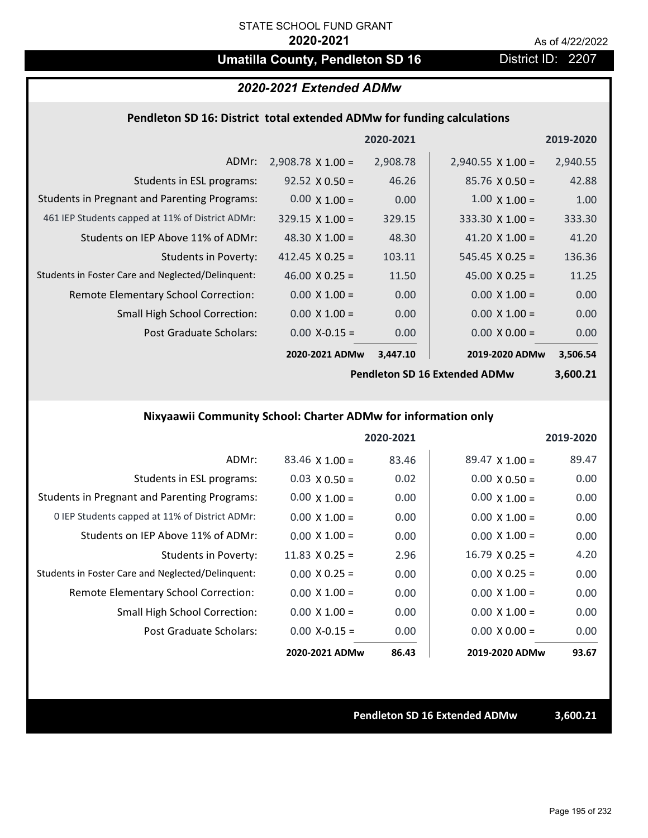## **Umatilla County, Pendleton SD 16** District ID: 2207

## *2020-2021 Extended ADMw*

### **Pendleton SD 16: District total extended ADMw for funding calculations**

|                                                     |                          | 2020-2021 |                          | 2019-2020 |
|-----------------------------------------------------|--------------------------|-----------|--------------------------|-----------|
| ADMr:                                               | $2,908.78 \times 1.00 =$ | 2,908.78  | $2,940.55 \times 1.00 =$ | 2,940.55  |
| Students in ESL programs:                           | $92.52 \times 0.50 =$    | 46.26     | $85.76 \times 0.50 =$    | 42.88     |
| <b>Students in Pregnant and Parenting Programs:</b> | $0.00 \times 1.00 =$     | 0.00      | $1.00 \times 1.00 =$     | 1.00      |
| 461 IEP Students capped at 11% of District ADMr:    | $329.15 \times 1.00 =$   | 329.15    | 333.30 $\times$ 1.00 =   | 333.30    |
| Students on IEP Above 11% of ADMr:                  | 48.30 $\times$ 1.00 =    | 48.30     | 41.20 $\times$ 1.00 =    | 41.20     |
| Students in Poverty:                                | 412.45 $\times$ 0.25 =   | 103.11    | $545.45 \times 0.25 =$   | 136.36    |
| Students in Foster Care and Neglected/Delinquent:   | 46.00 $X$ 0.25 =         | 11.50     | 45.00 $X$ 0.25 =         | 11.25     |
| Remote Elementary School Correction:                | $0.00 \times 1.00 =$     | 0.00      | $0.00 \times 1.00 =$     | 0.00      |
| <b>Small High School Correction:</b>                | $0.00 \times 1.00 =$     | 0.00      | $0.00 \times 1.00 =$     | 0.00      |
| Post Graduate Scholars:                             | $0.00$ X-0.15 =          | 0.00      | $0.00 \times 0.00 =$     | 0.00      |
|                                                     | 2020-2021 ADMw           | 3,447.10  | 2019-2020 ADMw           | 3,506.54  |

**Pendleton SD 16 Extended ADMw**

**3,600.21**

## **Nixyaawii Community School: Charter ADMw for information only**

|                                                     |                       | 2020-2021 |                       | 2019-2020 |
|-----------------------------------------------------|-----------------------|-----------|-----------------------|-----------|
| ADMr:                                               | $83.46 \times 1.00 =$ | 83.46     | $89.47 \times 1.00 =$ | 89.47     |
| Students in ESL programs:                           | $0.03 \times 0.50 =$  | 0.02      | $0.00 \times 0.50 =$  | 0.00      |
| <b>Students in Pregnant and Parenting Programs:</b> | $0.00 \times 1.00 =$  | 0.00      | $0.00 \times 1.00 =$  | 0.00      |
| 0 IEP Students capped at 11% of District ADMr:      | $0.00 \times 1.00 =$  | 0.00      | $0.00 \times 1.00 =$  | 0.00      |
| Students on IEP Above 11% of ADMr:                  | $0.00 \times 1.00 =$  | 0.00      | $0.00 \times 1.00 =$  | 0.00      |
| Students in Poverty:                                | 11.83 $\times$ 0.25 = | 2.96      | $16.79 \times 0.25 =$ | 4.20      |
| Students in Foster Care and Neglected/Delinquent:   | $0.00 \times 0.25 =$  | 0.00      | $0.00 \times 0.25 =$  | 0.00      |
| Remote Elementary School Correction:                | $0.00 \times 1.00 =$  | 0.00      | $0.00 \times 1.00 =$  | 0.00      |
| <b>Small High School Correction:</b>                | $0.00 \times 1.00 =$  | 0.00      | $0.00 \times 1.00 =$  | 0.00      |
| Post Graduate Scholars:                             | $0.00 X - 0.15 =$     | 0.00      | $0.00 \times 0.00 =$  | 0.00      |
|                                                     | 2020-2021 ADMw        | 86.43     | 2019-2020 ADMw        | 93.67     |

**Pendleton SD 16 Extended ADMw 3,600.21**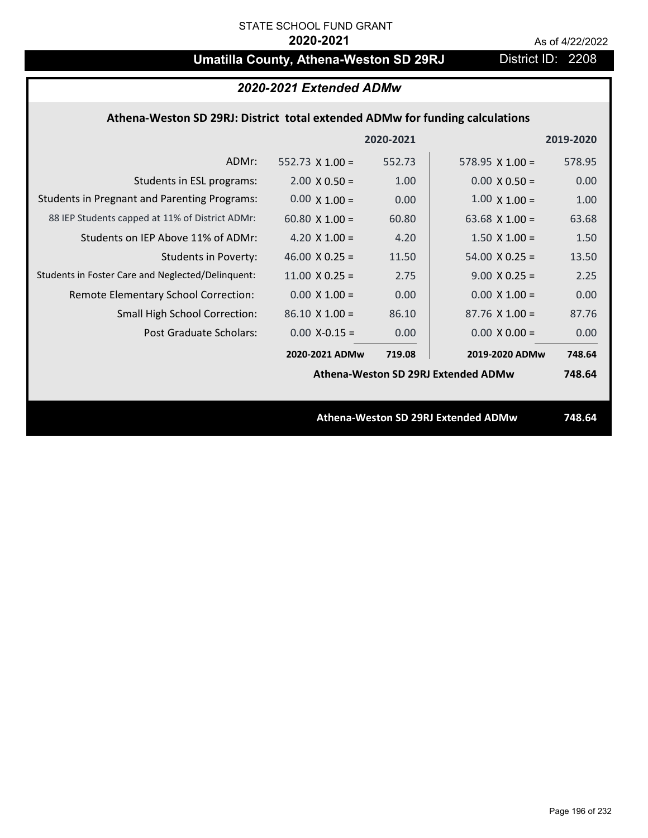# **Umatilla County, Athena-Weston SD 29RJ** District ID: 2208

|                                                                              | 2020-2021 Extended ADMw |           |                                     |           |
|------------------------------------------------------------------------------|-------------------------|-----------|-------------------------------------|-----------|
| Athena-Weston SD 29RJ: District total extended ADMw for funding calculations |                         |           |                                     |           |
|                                                                              |                         | 2020-2021 |                                     | 2019-2020 |
| ADMr:                                                                        | 552.73 $X$ 1.00 =       | 552.73    | 578.95 $X$ 1.00 =                   | 578.95    |
| Students in ESL programs:                                                    | $2.00 \times 0.50 =$    | 1.00      | $0.00 \times 0.50 =$                | 0.00      |
| <b>Students in Pregnant and Parenting Programs:</b>                          | $0.00 \times 1.00 =$    | 0.00      | $1.00 \times 1.00 =$                | 1.00      |
| 88 IEP Students capped at 11% of District ADMr:                              | 60.80 $\times$ 1.00 =   | 60.80     | 63.68 $\times$ 1.00 =               | 63.68     |
| Students on IEP Above 11% of ADMr:                                           | 4.20 $X$ 1.00 =         | 4.20      | $1.50 \times 1.00 =$                | 1.50      |
| <b>Students in Poverty:</b>                                                  | 46.00 $X$ 0.25 =        | 11.50     | $54.00 \times 0.25 =$               | 13.50     |
| Students in Foster Care and Neglected/Delinquent:                            | $11.00 \times 0.25 =$   | 2.75      | $9.00 \times 0.25 =$                | 2.25      |
| Remote Elementary School Correction:                                         | $0.00 \times 1.00 =$    | 0.00      | $0.00 \times 1.00 =$                | 0.00      |
| <b>Small High School Correction:</b>                                         | $86.10 \times 1.00 =$   | 86.10     | $87.76$ X 1.00 =                    | 87.76     |
| <b>Post Graduate Scholars:</b>                                               | $0.00$ X-0.15 =         | 0.00      | $0.00 \times 0.00 =$                | 0.00      |
|                                                                              | 2020-2021 ADMw          | 719.08    | 2019-2020 ADMw                      | 748.64    |
|                                                                              |                         |           | Athena-Weston SD 29RJ Extended ADMw | 748.64    |
|                                                                              |                         |           |                                     |           |
|                                                                              |                         |           | Athena-Weston SD 29RJ Extended ADMw | 748.64    |
|                                                                              |                         |           |                                     |           |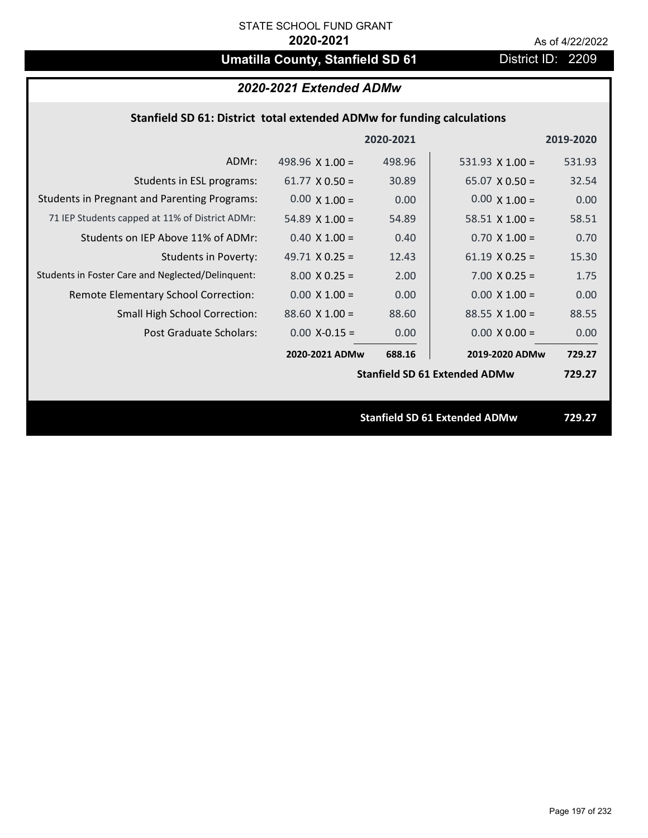## **Umatilla County, Stanfield SD 61** District ID: 2209

## *2020-2021 Extended ADMw*

## **Stanfield SD 61: District total extended ADMw for funding calculations**

|                                                     |                        | 2020-2021 |                                      | 2019-2020 |
|-----------------------------------------------------|------------------------|-----------|--------------------------------------|-----------|
| ADMr:                                               | 498.96 $\times$ 1.00 = | 498.96    | 531.93 $X$ 1.00 =                    | 531.93    |
| Students in ESL programs:                           | $61.77 \times 0.50 =$  | 30.89     | $65.07 \times 0.50 =$                | 32.54     |
| <b>Students in Pregnant and Parenting Programs:</b> | $0.00 \times 1.00 =$   | 0.00      | $0.00 \times 1.00 =$                 | 0.00      |
| 71 IEP Students capped at 11% of District ADMr:     | 54.89 $\times$ 1.00 =  | 54.89     | 58.51 $\times$ 1.00 =                | 58.51     |
| Students on IEP Above 11% of ADMr:                  | $0.40 \times 1.00 =$   | 0.40      | $0.70$ X 1.00 =                      | 0.70      |
| <b>Students in Poverty:</b>                         | 49.71 $X$ 0.25 =       | 12.43     | $61.19 \times 0.25 =$                | 15.30     |
| Students in Foster Care and Neglected/Delinquent:   | $8.00 \times 0.25 =$   | 2.00      | $7.00 \times 0.25 =$                 | 1.75      |
| Remote Elementary School Correction:                | $0.00 \times 1.00 =$   | 0.00      | $0.00 \times 1.00 =$                 | 0.00      |
| <b>Small High School Correction:</b>                | $88.60 \times 1.00 =$  | 88.60     | $88.55 \times 1.00 =$                | 88.55     |
| Post Graduate Scholars:                             | $0.00$ X-0.15 =        | 0.00      | $0.00 \times 0.00 =$                 | 0.00      |
|                                                     | 2020-2021 ADMw         | 688.16    | 2019-2020 ADMw                       | 729.27    |
|                                                     |                        |           | <b>Stanfield SD 61 Extended ADMw</b> | 729.27    |
|                                                     |                        |           |                                      |           |
|                                                     |                        |           | <b>Stanfield SD 61 Extended ADMw</b> | 729.27    |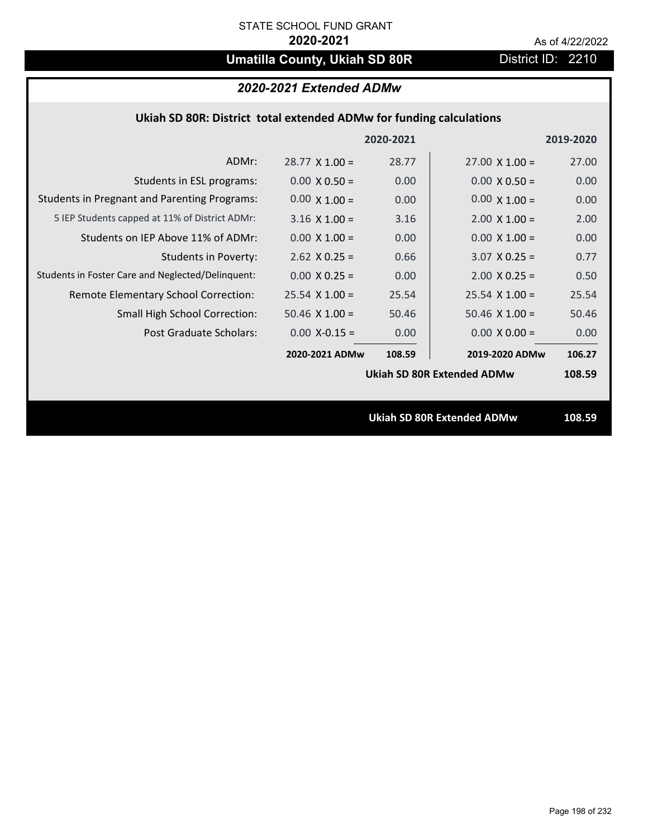# **Umatilla County, Ukiah SD 80R** District ID: 2210

## *2020-2021 Extended ADMw*

|                                                     |                       | 2020-2021 |                                   | 2019-2020 |
|-----------------------------------------------------|-----------------------|-----------|-----------------------------------|-----------|
| ADMr:                                               | $28.77 \times 1.00 =$ | 28.77     | $27.00 \times 1.00 =$             | 27.00     |
| Students in ESL programs:                           | $0.00 \times 0.50 =$  | 0.00      | $0.00 \times 0.50 =$              | 0.00      |
| <b>Students in Pregnant and Parenting Programs:</b> | $0.00 \times 1.00 =$  | 0.00      | $0.00 \times 1.00 =$              | 0.00      |
| 5 IEP Students capped at 11% of District ADMr:      | $3.16 \times 1.00 =$  | 3.16      | $2.00 \times 1.00 =$              | 2.00      |
| Students on IEP Above 11% of ADMr:                  | $0.00 \times 1.00 =$  | 0.00      | $0.00 X 1.00 =$                   | 0.00      |
| <b>Students in Poverty:</b>                         | $2.62$ X 0.25 =       | 0.66      | $3.07$ X 0.25 =                   | 0.77      |
| Students in Foster Care and Neglected/Delinquent:   | $0.00 \times 0.25 =$  | 0.00      | $2.00 \times 0.25 =$              | 0.50      |
| Remote Elementary School Correction:                | $25.54$ X 1.00 =      | 25.54     | $25.54$ X 1.00 =                  | 25.54     |
| <b>Small High School Correction:</b>                | $50.46 \times 1.00 =$ | 50.46     | $50.46$ X $1.00 =$                | 50.46     |
| Post Graduate Scholars:                             | $0.00$ X-0.15 =       | 0.00      | $0.00 \times 0.00 =$              | 0.00      |
|                                                     | 2020-2021 ADMw        | 108.59    | 2019-2020 ADMw                    | 106.27    |
|                                                     |                       |           | <b>Ukiah SD 80R Extended ADMw</b> | 108.59    |
|                                                     |                       |           |                                   |           |
|                                                     |                       |           | <b>Ukiah SD 80R Extended ADMw</b> | 108.59    |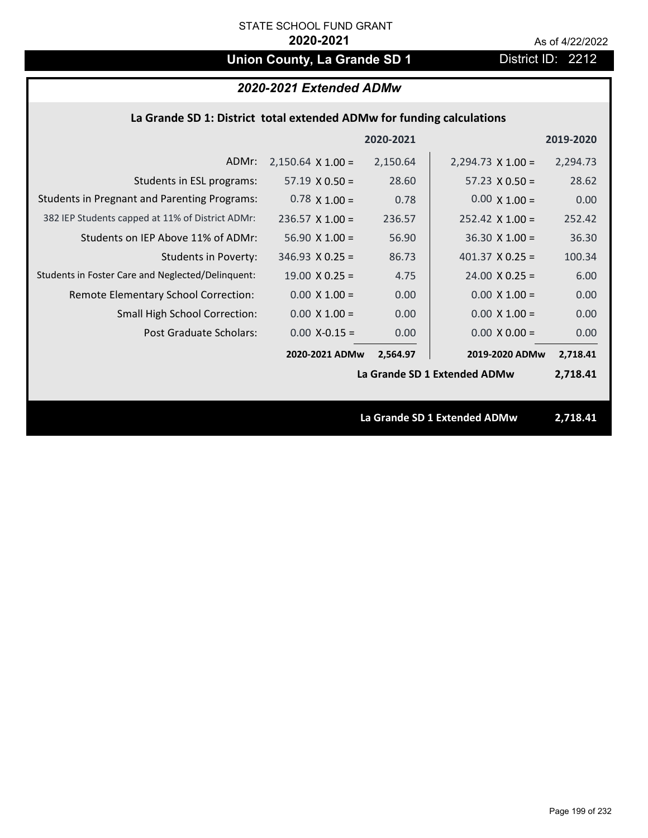# **Union County, La Grande SD 1** District ID: 2212

## *2020-2021 Extended ADMw*

## **La Grande SD 1: District total extended ADMw for funding calculations**

|                                                     |                          | 2020-2021 |                              | 2019-2020 |
|-----------------------------------------------------|--------------------------|-----------|------------------------------|-----------|
| ADMr:                                               | $2,150.64 \times 1.00 =$ | 2,150.64  | $2,294.73 \times 1.00 =$     | 2,294.73  |
| Students in ESL programs:                           | $57.19 \times 0.50 =$    | 28.60     | $57.23 \times 0.50 =$        | 28.62     |
| <b>Students in Pregnant and Parenting Programs:</b> | $0.78 \times 1.00 =$     | 0.78      | $0.00 \times 1.00 =$         | 0.00      |
| 382 IEP Students capped at 11% of District ADMr:    | $236.57 \times 1.00 =$   | 236.57    | $252.42 \times 1.00 =$       | 252.42    |
| Students on IEP Above 11% of ADMr:                  | $56.90 \times 1.00 =$    | 56.90     | $36.30 \times 1.00 =$        | 36.30     |
| <b>Students in Poverty:</b>                         | $346.93 \times 0.25 =$   | 86.73     | 401.37 $X$ 0.25 =            | 100.34    |
| Students in Foster Care and Neglected/Delinquent:   | $19.00 \times 0.25 =$    | 4.75      | $24.00 \times 0.25 =$        | 6.00      |
| Remote Elementary School Correction:                | $0.00 \times 1.00 =$     | 0.00      | $0.00 \times 1.00 =$         | 0.00      |
| <b>Small High School Correction:</b>                | $0.00 \times 1.00 =$     | 0.00      | $0.00 \times 1.00 =$         | 0.00      |
| Post Graduate Scholars:                             | $0.00$ X-0.15 =          | 0.00      | $0.00 \times 0.00 =$         | 0.00      |
|                                                     | 2020-2021 ADMw           | 2,564.97  | 2019-2020 ADMw               | 2,718.41  |
|                                                     |                          |           | La Grande SD 1 Extended ADMw | 2,718.41  |
|                                                     |                          |           |                              |           |
|                                                     |                          |           | La Grande SD 1 Extended ADMw | 2,718.41  |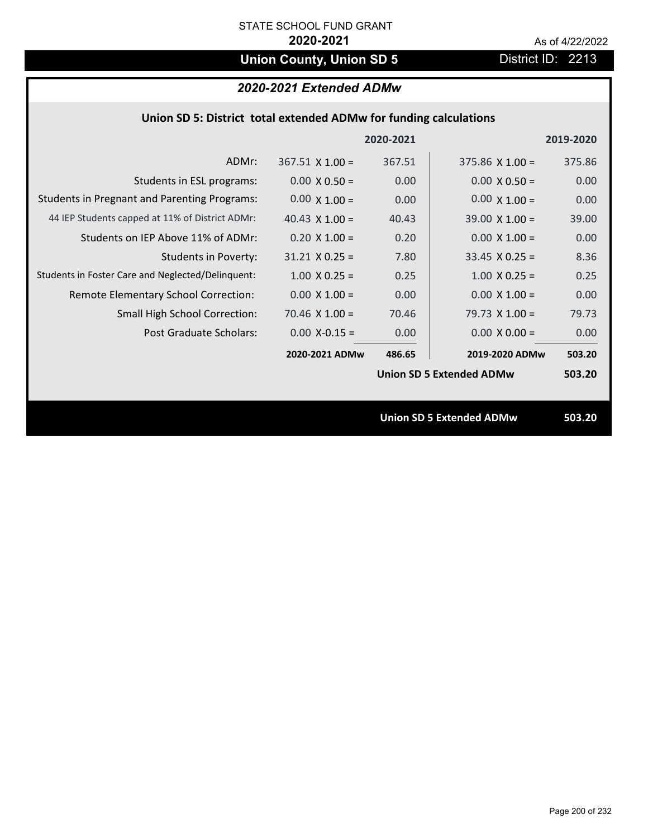# **Union County, Union SD 5** District ID: 2213

## *2020-2021 Extended ADMw*

### **Union SD 5: District total extended ADMw for funding calculations**

|                                                     |                        | 2020-2021 |                                 | 2019-2020 |
|-----------------------------------------------------|------------------------|-----------|---------------------------------|-----------|
| ADMr:                                               | $367.51 \times 1.00 =$ | 367.51    | $375.86 \times 1.00 =$          | 375.86    |
| Students in ESL programs:                           | $0.00 \times 0.50 =$   | 0.00      | $0.00 \times 0.50 =$            | 0.00      |
| <b>Students in Pregnant and Parenting Programs:</b> | $0.00 \times 1.00 =$   | 0.00      | $0.00 \times 1.00 =$            | 0.00      |
| 44 IEP Students capped at 11% of District ADMr:     | 40.43 $\times$ 1.00 =  | 40.43     | $39.00 \times 1.00 =$           | 39.00     |
| Students on IEP Above 11% of ADMr:                  | $0.20 \times 1.00 =$   | 0.20      | $0.00 \times 1.00 =$            | 0.00      |
| Students in Poverty:                                | $31.21 \times 0.25 =$  | 7.80      | $33.45$ X 0.25 =                | 8.36      |
| Students in Foster Care and Neglected/Delinquent:   | $1.00 \times 0.25 =$   | 0.25      | $1.00$ X 0.25 =                 | 0.25      |
| Remote Elementary School Correction:                | $0.00 \times 1.00 =$   | 0.00      | $0.00 \times 1.00 =$            | 0.00      |
| <b>Small High School Correction:</b>                | 70.46 $\times$ 1.00 =  | 70.46     | 79.73 $X$ 1.00 =                | 79.73     |
| Post Graduate Scholars:                             | $0.00$ X-0.15 =        | 0.00      | $0.00 \times 0.00 =$            | 0.00      |
|                                                     | 2020-2021 ADMw         | 486.65    | 2019-2020 ADMw                  | 503.20    |
|                                                     |                        |           | <b>Union SD 5 Extended ADMw</b> | 503.20    |
|                                                     |                        |           |                                 |           |
|                                                     |                        |           | <b>Union SD 5 Extended ADMw</b> | 503.20    |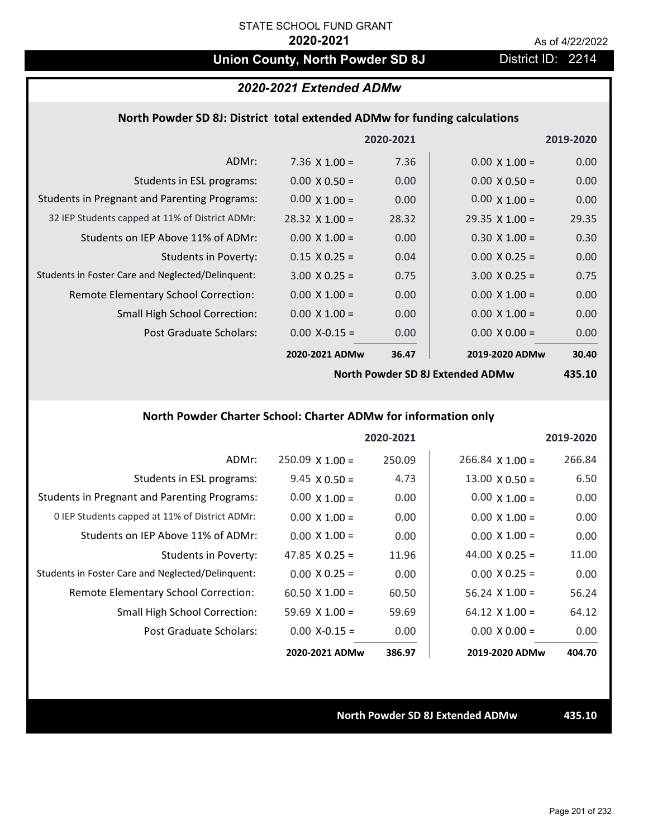## **Union County, North Powder SD 8J** District ID: 2214

### *2020-2021 Extended ADMw*

### **North Powder SD 8J: District total extended ADMw for funding calculations**

|                                                     |                       | 2020-2021 |                       | 2019-2020 |
|-----------------------------------------------------|-----------------------|-----------|-----------------------|-----------|
| ADMr:                                               | 7.36 $\times$ 1.00 =  | 7.36      | $0.00 \times 1.00 =$  | 0.00      |
| Students in ESL programs:                           | $0.00 \times 0.50 =$  | 0.00      | $0.00 \times 0.50 =$  | 0.00      |
| <b>Students in Pregnant and Parenting Programs:</b> | $0.00 \times 1.00 =$  | 0.00      | $0.00 \times 1.00 =$  | 0.00      |
| 32 IEP Students capped at 11% of District ADMr:     | $28.32 \times 1.00 =$ | 28.32     | $29.35 \times 1.00 =$ | 29.35     |
| Students on IEP Above 11% of ADMr:                  | $0.00 \times 1.00 =$  | 0.00      | $0.30 \times 1.00 =$  | 0.30      |
| <b>Students in Poverty:</b>                         | $0.15 \times 0.25 =$  | 0.04      | $0.00 \times 0.25 =$  | 0.00      |
| Students in Foster Care and Neglected/Delinquent:   | $3.00 \times 0.25 =$  | 0.75      | $3.00 \times 0.25 =$  | 0.75      |
| Remote Elementary School Correction:                | $0.00 \times 1.00 =$  | 0.00      | $0.00 \times 1.00 =$  | 0.00      |
| <b>Small High School Correction:</b>                | $0.00 \times 1.00 =$  | 0.00      | $0.00 \times 1.00 =$  | 0.00      |
| Post Graduate Scholars:                             | $0.00$ X-0.15 =       | 0.00      | $0.00 \times 0.00 =$  | 0.00      |
|                                                     | 2020-2021 ADMw        | 36.47     | 2019-2020 ADMw        | 30.40     |
|                                                     |                       |           |                       |           |

**North Powder SD 8J Extended ADMw**

**435.10**

## **North Powder Charter School: Charter ADMw for information only**

|                                                     |                       | 2020-2021 |                       | 2019-2020 |
|-----------------------------------------------------|-----------------------|-----------|-----------------------|-----------|
| ADMr:                                               | $250.09$ X 1.00 =     | 250.09    | $266.84$ X 1.00 =     | 266.84    |
| Students in ESL programs:                           | $9.45 \times 0.50 =$  | 4.73      | $13.00 \times 0.50 =$ | 6.50      |
| <b>Students in Pregnant and Parenting Programs:</b> | $0.00 \times 1.00 =$  | 0.00      | $0.00 \times 1.00 =$  | 0.00      |
| 0 IEP Students capped at 11% of District ADMr:      | $0.00 \times 1.00 =$  | 0.00      | $0.00 \times 1.00 =$  | 0.00      |
| Students on IEP Above 11% of ADMr:                  | $0.00 \times 1.00 =$  | 0.00      | $0.00 \times 1.00 =$  | 0.00      |
| Students in Poverty:                                | 47.85 $\times$ 0.25 = | 11.96     | 44.00 $\times$ 0.25 = | 11.00     |
| Students in Foster Care and Neglected/Delinquent:   | $0.00 \times 0.25 =$  | 0.00      | $0.00 \times 0.25 =$  | 0.00      |
| Remote Elementary School Correction:                | $60.50 \times 1.00 =$ | 60.50     | $56.24 \times 1.00 =$ | 56.24     |
| <b>Small High School Correction:</b>                | $59.69 \times 1.00 =$ | 59.69     | $64.12 \times 1.00 =$ | 64.12     |
| Post Graduate Scholars:                             | $0.00$ X-0.15 =       | 0.00      | $0.00 \times 0.00 =$  | 0.00      |
|                                                     | 2020-2021 ADMw        | 386.97    | 2019-2020 ADMw        | 404.70    |

**North Powder SD 8J Extended ADMw 435.10**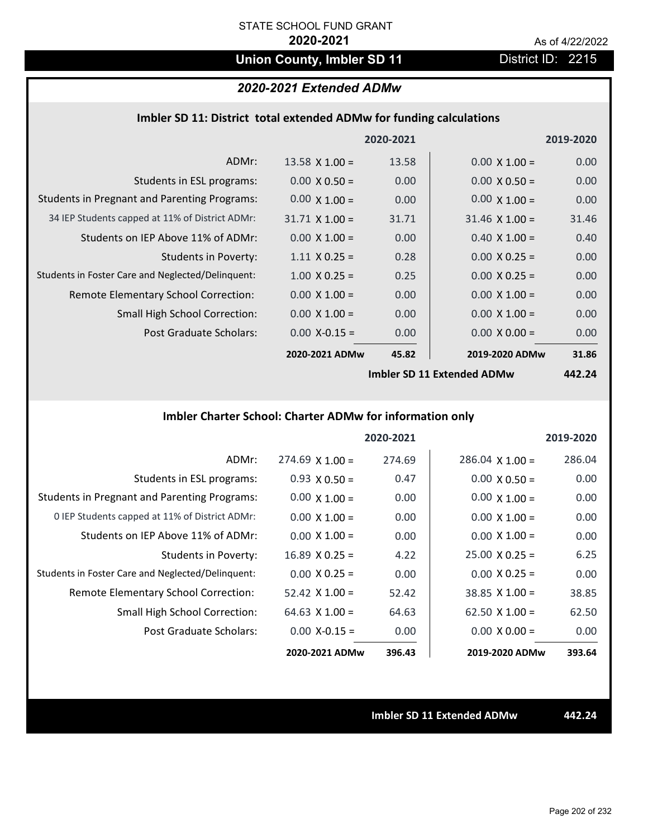## **Union County, Imbler SD 11** District ID: 2215

## *2020-2021 Extended ADMw*

|  |  | Imbler SD 11: District total extended ADMw for funding calculations |
|--|--|---------------------------------------------------------------------|
|--|--|---------------------------------------------------------------------|

|                                                     |                       | 2020-2021 |                       | 2019-2020      |
|-----------------------------------------------------|-----------------------|-----------|-----------------------|----------------|
| ADMr:                                               | $13.58 \times 1.00 =$ | 13.58     | $0.00 \times 1.00 =$  | 0.00           |
| Students in ESL programs:                           | $0.00 \times 0.50 =$  | 0.00      | $0.00 \times 0.50 =$  | 0.00           |
| <b>Students in Pregnant and Parenting Programs:</b> | $0.00 \times 1.00 =$  | 0.00      | $0.00 \times 1.00 =$  | 0.00           |
| 34 IEP Students capped at 11% of District ADMr:     | $31.71 \times 1.00 =$ | 31.71     | $31.46 \times 1.00 =$ | 31.46          |
| Students on IEP Above 11% of ADMr:                  | $0.00 \times 1.00 =$  | 0.00      | $0.40 \times 1.00 =$  | 0.40           |
| <b>Students in Poverty:</b>                         | $1.11 \times 0.25 =$  | 0.28      | $0.00 X 0.25 =$       | 0.00           |
| Students in Foster Care and Neglected/Delinquent:   | $1.00 \times 0.25 =$  | 0.25      | $0.00 \times 0.25 =$  | 0.00           |
| Remote Elementary School Correction:                | $0.00 \times 1.00 =$  | 0.00      | $0.00 \times 1.00 =$  | 0.00           |
| <b>Small High School Correction:</b>                | $0.00 \times 1.00 =$  | 0.00      | $0.00 \times 1.00 =$  | 0.00           |
| Post Graduate Scholars:                             | $0.00$ X-0.15 =       | 0.00      | $0.00 \times 0.00 =$  | 0.00           |
|                                                     | 2020-2021 ADMw        | 45.82     | 2019-2020 ADMw        | 31.86          |
|                                                     |                       |           | $l_{\text{total}}$    | $\overline{ }$ |

**Imbler SD 11 Extended ADMw**

**442.24**

## **Imbler Charter School: Charter ADMw for information only**

|                                                     |                       | 2020-2021 |                        | 2019-2020 |
|-----------------------------------------------------|-----------------------|-----------|------------------------|-----------|
| ADMr:                                               | $274.69$ X 1.00 =     | 274.69    | $286.04 \times 1.00 =$ | 286.04    |
| Students in ESL programs:                           | $0.93 \times 0.50 =$  | 0.47      | $0.00 \times 0.50 =$   | 0.00      |
| <b>Students in Pregnant and Parenting Programs:</b> | $0.00 \times 1.00 =$  | 0.00      | $0.00 \times 1.00 =$   | 0.00      |
| 0 IEP Students capped at 11% of District ADMr:      | $0.00 \times 1.00 =$  | 0.00      | $0.00 \times 1.00 =$   | 0.00      |
| Students on IEP Above 11% of ADMr:                  | $0.00 \times 1.00 =$  | 0.00      | $0.00 \times 1.00 =$   | 0.00      |
| Students in Poverty:                                | $16.89 \times 0.25 =$ | 4.22      | $25.00 \times 0.25 =$  | 6.25      |
| Students in Foster Care and Neglected/Delinquent:   | $0.00 \times 0.25 =$  | 0.00      | $0.00 \times 0.25 =$   | 0.00      |
| Remote Elementary School Correction:                | $52.42 \times 1.00 =$ | 52.42     | $38.85 \times 1.00 =$  | 38.85     |
| <b>Small High School Correction:</b>                | 64.63 $X$ 1.00 =      | 64.63     | $62.50 \times 1.00 =$  | 62.50     |
| Post Graduate Scholars:                             | $0.00 X - 0.15 =$     | 0.00      | $0.00 \times 0.00 =$   | 0.00      |
|                                                     | 2020-2021 ADMw        | 396.43    | 2019-2020 ADMw         | 393.64    |

**Imbler SD 11 Extended ADMw 442.24**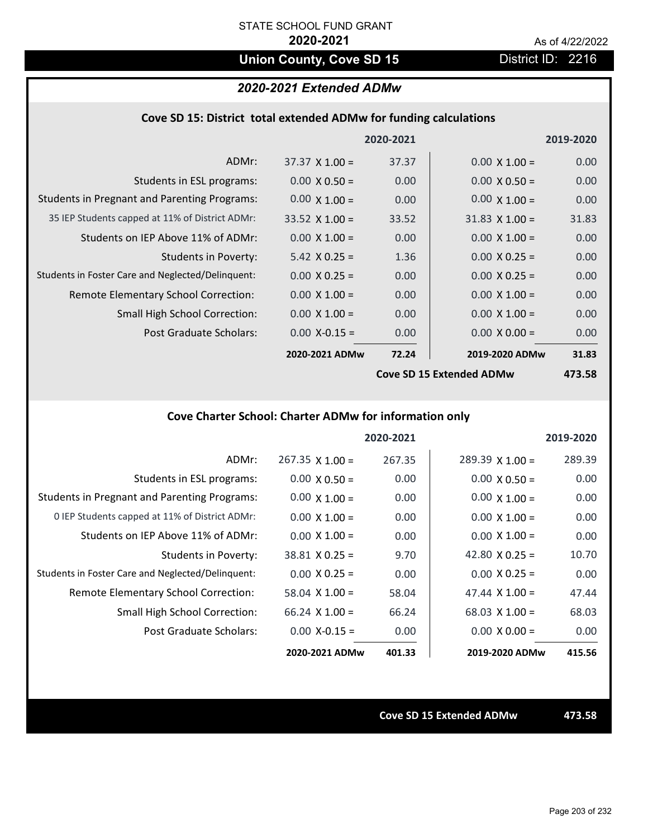## Union County, Cove SD 15 **District ID: 2216**

## *2020-2021 Extended ADMw*

| Cove SD 15: District total extended ADMw for funding calculations |  |  |  |  |
|-------------------------------------------------------------------|--|--|--|--|
|-------------------------------------------------------------------|--|--|--|--|

|                                                     |                       | 2020-2021 |                          | 2019-2020 |
|-----------------------------------------------------|-----------------------|-----------|--------------------------|-----------|
| ADMr:                                               | $37.37 \times 1.00 =$ | 37.37     | $0.00 \times 1.00 =$     | 0.00      |
| Students in ESL programs:                           | $0.00 \times 0.50 =$  | 0.00      | $0.00 \times 0.50 =$     | 0.00      |
| <b>Students in Pregnant and Parenting Programs:</b> | $0.00 \times 1.00 =$  | 0.00      | $0.00 \times 1.00 =$     | 0.00      |
| 35 IEP Students capped at 11% of District ADMr:     | $33.52 \times 1.00 =$ | 33.52     | $31.83 \times 1.00 =$    | 31.83     |
| Students on IEP Above 11% of ADMr:                  | $0.00 \times 1.00 =$  | 0.00      | $0.00 \times 1.00 =$     | 0.00      |
| <b>Students in Poverty:</b>                         | $5.42 \times 0.25 =$  | 1.36      | $0.00 \times 0.25 =$     | 0.00      |
| Students in Foster Care and Neglected/Delinquent:   | $0.00 \times 0.25 =$  | 0.00      | $0.00 \times 0.25 =$     | 0.00      |
| Remote Elementary School Correction:                | $0.00 \times 1.00 =$  | 0.00      | $0.00 \times 1.00 =$     | 0.00      |
| <b>Small High School Correction:</b>                | $0.00 \times 1.00 =$  | 0.00      | $0.00 \times 1.00 =$     | 0.00      |
| Post Graduate Scholars:                             | $0.00$ X-0.15 =       | 0.00      | $0.00 \times 0.00 =$     | 0.00      |
|                                                     | 2020-2021 ADMw        | 72.24     | 2019-2020 ADMw           | 31.83     |
|                                                     |                       |           | Cove SD 15 Extended ADMw | 473 58    |

**Cove SD 15 Extended ADMw**

**473.58**

## **Cove Charter School: Charter ADMw for information only**

|                                                     |                       | 2020-2021 |                        | 2019-2020 |
|-----------------------------------------------------|-----------------------|-----------|------------------------|-----------|
| ADMr:                                               | $267.35$ X 1.00 =     | 267.35    | $289.39 \times 1.00 =$ | 289.39    |
| Students in ESL programs:                           | $0.00 \times 0.50 =$  | 0.00      | $0.00 \times 0.50 =$   | 0.00      |
| <b>Students in Pregnant and Parenting Programs:</b> | $0.00 \times 1.00 =$  | 0.00      | $0.00 \times 1.00 =$   | 0.00      |
| 0 IEP Students capped at 11% of District ADMr:      | $0.00 \times 1.00 =$  | 0.00      | $0.00 \times 1.00 =$   | 0.00      |
| Students on IEP Above 11% of ADMr:                  | $0.00 \times 1.00 =$  | 0.00      | $0.00 \times 1.00 =$   | 0.00      |
| Students in Poverty:                                | $38.81 \times 0.25 =$ | 9.70      | 42.80 $\times$ 0.25 =  | 10.70     |
| Students in Foster Care and Neglected/Delinquent:   | $0.00 \times 0.25 =$  | 0.00      | $0.00 \times 0.25 =$   | 0.00      |
| Remote Elementary School Correction:                | 58.04 $\times$ 1.00 = | 58.04     | 47.44 $\times$ 1.00 =  | 47.44     |
| <b>Small High School Correction:</b>                | $66.24$ X 1.00 =      | 66.24     | $68.03 \times 1.00 =$  | 68.03     |
| Post Graduate Scholars:                             | $0.00 X - 0.15 =$     | 0.00      | $0.00 \times 0.00 =$   | 0.00      |
|                                                     | 2020-2021 ADMw        | 401.33    | 2019-2020 ADMw         | 415.56    |

**Cove SD 15 Extended ADMw 473.58**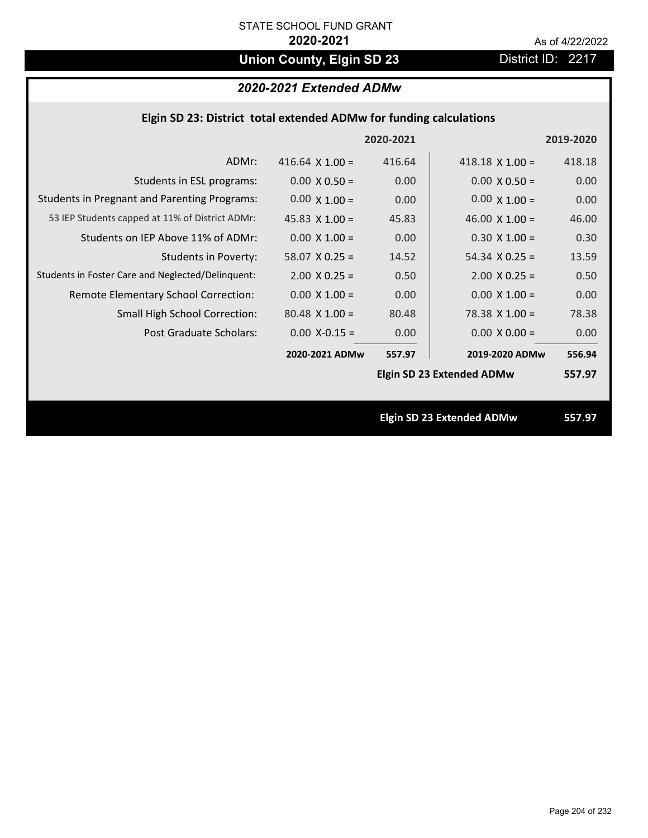# **Union County, Elgin SD 23** District ID: 2217

## *2020-2021 Extended ADMw*

| Elgin SD 23: District total extended ADMw for funding calculations |                        |           |                                  |           |
|--------------------------------------------------------------------|------------------------|-----------|----------------------------------|-----------|
|                                                                    |                        | 2020-2021 |                                  | 2019-2020 |
| ADMr:                                                              | 416.64 $\times$ 1.00 = | 416.64    | 418.18 $\times$ 1.00 =           | 418.18    |
| Students in ESL programs:                                          | $0.00 \times 0.50 =$   | 0.00      | $0.00 \times 0.50 =$             | 0.00      |
| <b>Students in Pregnant and Parenting Programs:</b>                | $0.00 \times 1.00 =$   | 0.00      | $0.00 \times 1.00 =$             | 0.00      |
| 53 IEP Students capped at 11% of District ADMr:                    | 45.83 $\times$ 1.00 =  | 45.83     | 46.00 $\times$ 1.00 =            | 46.00     |
| Students on IEP Above 11% of ADMr:                                 | $0.00$ X $1.00 =$      | 0.00      | $0.30 X 1.00 =$                  | 0.30      |
| <b>Students in Poverty:</b>                                        | $58.07$ X 0.25 =       | 14.52     | $54.34 \times 0.25 =$            | 13.59     |
| Students in Foster Care and Neglected/Delinquent:                  | $2.00$ X 0.25 =        | 0.50      | $2.00 \times 0.25 =$             | 0.50      |
| Remote Elementary School Correction:                               | $0.00 \times 1.00 =$   | 0.00      | $0.00 \times 1.00 =$             | 0.00      |
| Small High School Correction:                                      | $80.48$ X 1.00 =       | 80.48     | $78.38$ X 1.00 =                 | 78.38     |
| Post Graduate Scholars:                                            | $0.00$ X-0.15 =        | 0.00      | $0.00 \times 0.00 =$             | 0.00      |
|                                                                    | 2020-2021 ADMw         | 557.97    | 2019-2020 ADMw                   | 556.94    |
|                                                                    |                        |           | <b>Elgin SD 23 Extended ADMw</b> | 557.97    |
|                                                                    |                        |           | <b>Elgin SD 23 Extended ADMw</b> | 557.97    |
|                                                                    |                        |           |                                  |           |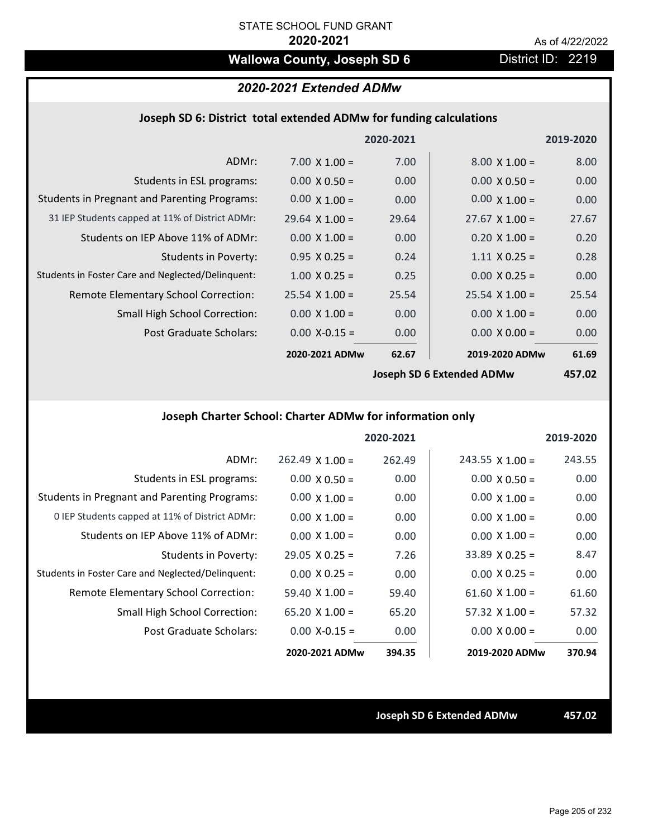## Wallowa County, Joseph SD 6 District ID: 2219

## *2020-2021 Extended ADMw*

### **Joseph SD 6: District total extended ADMw for funding calculations**

|                                                     |                       | 2020-2021 |                       | 2019-2020 |
|-----------------------------------------------------|-----------------------|-----------|-----------------------|-----------|
| ADMr:                                               | $7.00 \times 1.00 =$  | 7.00      | $8.00 \times 1.00 =$  | 8.00      |
| Students in ESL programs:                           | $0.00 \times 0.50 =$  | 0.00      | $0.00 \times 0.50 =$  | 0.00      |
| <b>Students in Pregnant and Parenting Programs:</b> | $0.00 \times 1.00 =$  | 0.00      | $0.00 \times 1.00 =$  | 0.00      |
| 31 IEP Students capped at 11% of District ADMr:     | $29.64$ X 1.00 =      | 29.64     | $27.67 \times 1.00 =$ | 27.67     |
| Students on IEP Above 11% of ADMr:                  | $0.00 \times 1.00 =$  | 0.00      | $0.20 \times 1.00 =$  | 0.20      |
| <b>Students in Poverty:</b>                         | $0.95 X 0.25 =$       | 0.24      | $1.11 \times 0.25 =$  | 0.28      |
| Students in Foster Care and Neglected/Delinquent:   | $1.00 \times 0.25 =$  | 0.25      | $0.00 \times 0.25 =$  | 0.00      |
| Remote Elementary School Correction:                | $25.54 \times 1.00 =$ | 25.54     | $25.54$ X 1.00 =      | 25.54     |
| <b>Small High School Correction:</b>                | $0.00 \times 1.00 =$  | 0.00      | $0.00 \times 1.00 =$  | 0.00      |
| Post Graduate Scholars:                             | $0.00$ X-0.15 =       | 0.00      | $0.00 X 0.00 =$       | 0.00      |
|                                                     | 2020-2021 ADMw        | 62.67     | 2019-2020 ADMw        | 61.69     |
|                                                     |                       |           | l                     | 15702     |

**Joseph SD 6 Extended ADMw**

**457.02**

## **Joseph Charter School: Charter ADMw for information only**

|                                                     |                       | 2020-2021 |                        | 2019-2020 |
|-----------------------------------------------------|-----------------------|-----------|------------------------|-----------|
| ADMr:                                               | $262.49$ X 1.00 =     | 262.49    | $243.55 \times 1.00 =$ | 243.55    |
| Students in ESL programs:                           | $0.00 \times 0.50 =$  | 0.00      | $0.00 \times 0.50 =$   | 0.00      |
| <b>Students in Pregnant and Parenting Programs:</b> | $0.00 \times 1.00 =$  | 0.00      | $0.00 \times 1.00 =$   | 0.00      |
| 0 IEP Students capped at 11% of District ADMr:      | $0.00 \times 1.00 =$  | 0.00      | $0.00 \times 1.00 =$   | 0.00      |
| Students on IEP Above 11% of ADMr:                  | $0.00 \times 1.00 =$  | 0.00      | $0.00 \times 1.00 =$   | 0.00      |
| Students in Poverty:                                | $29.05 \times 0.25 =$ | 7.26      | $33.89 \times 0.25 =$  | 8.47      |
| Students in Foster Care and Neglected/Delinquent:   | $0.00 \times 0.25 =$  | 0.00      | $0.00 \times 0.25 =$   | 0.00      |
| Remote Elementary School Correction:                | 59.40 $\times$ 1.00 = | 59.40     | $61.60 \times 1.00 =$  | 61.60     |
| <b>Small High School Correction:</b>                | $65.20 \times 1.00 =$ | 65.20     | $57.32 \times 1.00 =$  | 57.32     |
| Post Graduate Scholars:                             | $0.00 X - 0.15 =$     | 0.00      | $0.00 \times 0.00 =$   | 0.00      |
|                                                     | 2020-2021 ADMw        | 394.35    | 2019-2020 ADMw         | 370.94    |

**Joseph SD 6 Extended ADMw 457.02**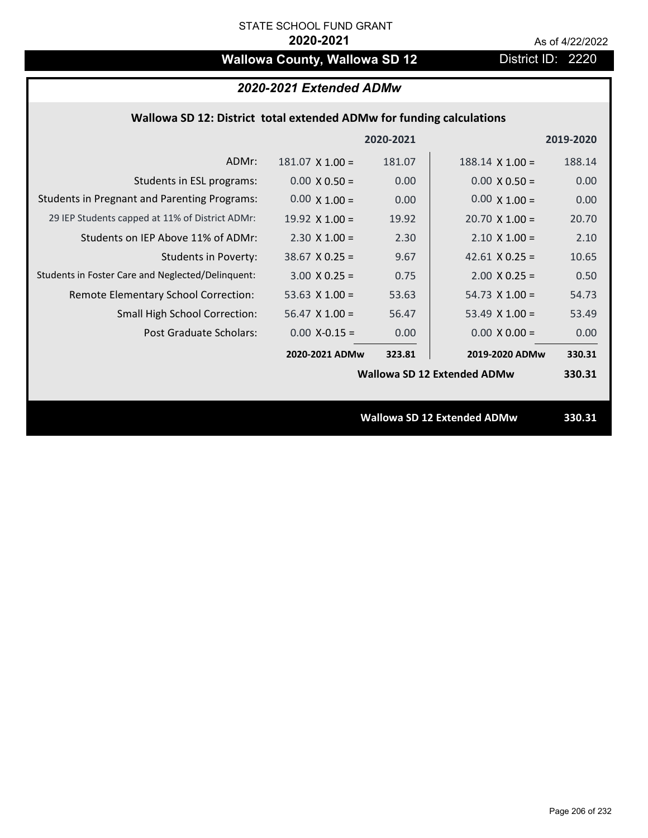## **Wallowa County, Wallowa SD 12** District ID: 2220

## *2020-2021 Extended ADMw*

## **Wallowa SD 12: District total extended ADMw for funding calculations**

|                                                     |                       | 2020-2021 |                                    | 2019-2020 |
|-----------------------------------------------------|-----------------------|-----------|------------------------------------|-----------|
| ADMr:                                               | $181.07$ X $1.00 =$   | 181.07    | $188.14 \times 1.00 =$             | 188.14    |
| Students in ESL programs:                           | $0.00 \times 0.50 =$  | 0.00      | $0.00 \times 0.50 =$               | 0.00      |
| <b>Students in Pregnant and Parenting Programs:</b> | $0.00 \times 1.00 =$  | 0.00      | $0.00 \times 1.00 =$               | 0.00      |
| 29 IEP Students capped at 11% of District ADMr:     | 19.92 $\times$ 1.00 = | 19.92     | $20.70 \times 1.00 =$              | 20.70     |
| Students on IEP Above 11% of ADMr:                  | $2.30 \times 1.00 =$  | 2.30      | $2.10 \times 1.00 =$               | 2.10      |
| <b>Students in Poverty:</b>                         | $38.67$ X 0.25 =      | 9.67      | 42.61 $X$ 0.25 =                   | 10.65     |
| Students in Foster Care and Neglected/Delinquent:   | $3.00 \times 0.25 =$  | 0.75      | $2.00 \times 0.25 =$               | 0.50      |
| Remote Elementary School Correction:                | 53.63 $X$ 1.00 =      | 53.63     | $54.73 \times 1.00 =$              | 54.73     |
| <b>Small High School Correction:</b>                | $56.47$ X 1.00 =      | 56.47     | 53.49 $X$ 1.00 =                   | 53.49     |
| Post Graduate Scholars:                             | $0.00$ X-0.15 =       | 0.00      | $0.00 \times 0.00 =$               | 0.00      |
|                                                     | 2020-2021 ADMw        | 323.81    | 2019-2020 ADMw                     | 330.31    |
|                                                     |                       |           | <b>Wallowa SD 12 Extended ADMw</b> | 330.31    |
|                                                     |                       |           |                                    |           |
|                                                     |                       |           | <b>Wallowa SD 12 Extended ADMw</b> | 330.31    |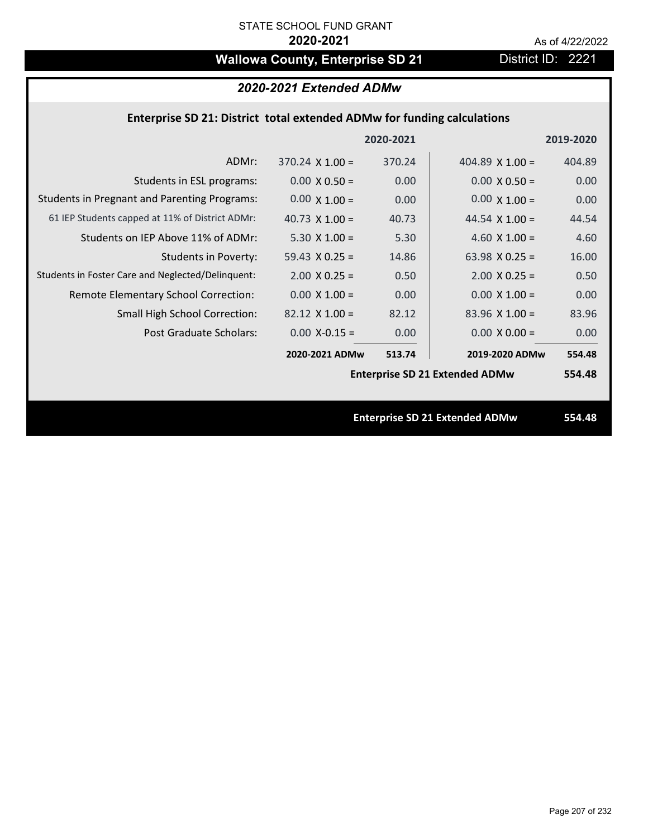# Wallowa County, Enterprise SD 21 District ID: 2221

| 2020-2021 Extended ADMw                                                        |                        |           |                                       |           |
|--------------------------------------------------------------------------------|------------------------|-----------|---------------------------------------|-----------|
| <b>Enterprise SD 21: District total extended ADMw for funding calculations</b> |                        |           |                                       |           |
|                                                                                |                        | 2020-2021 |                                       | 2019-2020 |
| ADMr:                                                                          | $370.24 \times 1.00 =$ | 370.24    | 404.89 $X$ 1.00 =                     | 404.89    |
| Students in ESL programs:                                                      | $0.00 \times 0.50 =$   | 0.00      | $0.00 \times 0.50 =$                  | 0.00      |
| <b>Students in Pregnant and Parenting Programs:</b>                            | $0.00 \times 1.00 =$   | 0.00      | $0.00 \times 1.00 =$                  | 0.00      |
| 61 IEP Students capped at 11% of District ADMr:                                | 40.73 $\times$ 1.00 =  | 40.73     | 44.54 $\times$ 1.00 =                 | 44.54     |
| Students on IEP Above 11% of ADMr:                                             | 5.30 $X$ 1.00 =        | 5.30      | 4.60 $X$ 1.00 =                       | 4.60      |
| <b>Students in Poverty:</b>                                                    | $59.43 \times 0.25 =$  | 14.86     | 63.98 $X$ 0.25 =                      | 16.00     |
| Students in Foster Care and Neglected/Delinquent:                              | $2.00 \times 0.25 =$   | 0.50      | $2.00$ X 0.25 =                       | 0.50      |
| Remote Elementary School Correction:                                           | $0.00 \times 1.00 =$   | 0.00      | $0.00 \times 1.00 =$                  | 0.00      |
| Small High School Correction:                                                  | $82.12$ X 1.00 =       | 82.12     | $83.96$ X 1.00 =                      | 83.96     |
| <b>Post Graduate Scholars:</b>                                                 | $0.00$ X-0.15 =        | 0.00      | $0.00 X 0.00 =$                       | 0.00      |
|                                                                                | 2020-2021 ADMw         | 513.74    | 2019-2020 ADMw                        | 554.48    |
|                                                                                |                        |           | <b>Enterprise SD 21 Extended ADMw</b> | 554.48    |
|                                                                                |                        |           |                                       |           |
|                                                                                |                        |           | <b>Enterprise SD 21 Extended ADMw</b> | 554.48    |
|                                                                                |                        |           |                                       |           |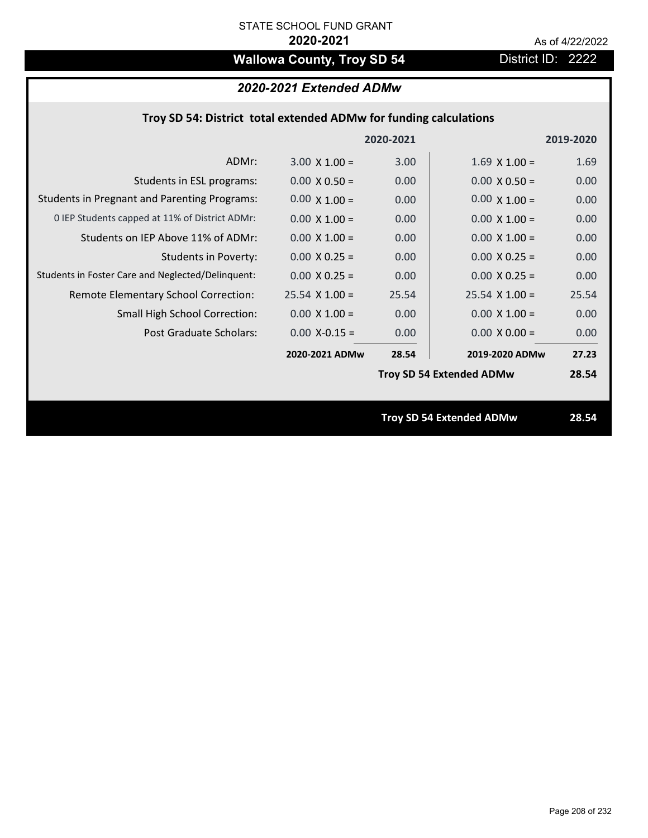# **Wallowa County, Troy SD 54** District ID: 2222

## *2020-2021 Extended ADMw*

|  | Troy SD 54: District total extended ADMw for funding calculations |
|--|-------------------------------------------------------------------|
|--|-------------------------------------------------------------------|

|                                                     |                       | 2020-2021 |                                 | 2019-2020 |
|-----------------------------------------------------|-----------------------|-----------|---------------------------------|-----------|
| ADMr:                                               | $3.00 \times 1.00 =$  | 3.00      | $1.69 \times 1.00 =$            | 1.69      |
| Students in ESL programs:                           | $0.00 \times 0.50 =$  | 0.00      | $0.00 \times 0.50 =$            | 0.00      |
| <b>Students in Pregnant and Parenting Programs:</b> | $0.00 \times 1.00 =$  | 0.00      | $0.00 \times 1.00 =$            | 0.00      |
| 0 IEP Students capped at 11% of District ADMr:      | $0.00 \times 1.00 =$  | 0.00      | $0.00 \times 1.00 =$            | 0.00      |
| Students on IEP Above 11% of ADMr:                  | $0.00 \times 1.00 =$  | 0.00      | $0.00 \times 1.00 =$            | 0.00      |
| <b>Students in Poverty:</b>                         | $0.00 \times 0.25 =$  | 0.00      | $0.00 X 0.25 =$                 | 0.00      |
| Students in Foster Care and Neglected/Delinquent:   | $0.00 \times 0.25 =$  | 0.00      | $0.00 \times 0.25 =$            | 0.00      |
| Remote Elementary School Correction:                | $25.54 \times 1.00 =$ | 25.54     | $25.54$ X 1.00 =                | 25.54     |
| <b>Small High School Correction:</b>                | $0.00 \times 1.00 =$  | 0.00      | $0.00 \times 1.00 =$            | 0.00      |
| Post Graduate Scholars:                             | $0.00 X-0.15 =$       | 0.00      | $0.00 \times 0.00 =$            | 0.00      |
|                                                     | 2020-2021 ADMw        | 28.54     | 2019-2020 ADMw                  | 27.23     |
|                                                     |                       |           | <b>Troy SD 54 Extended ADMw</b> | 28.54     |
|                                                     |                       |           |                                 |           |
|                                                     |                       |           | <b>Troy SD 54 Extended ADMw</b> | 28.54     |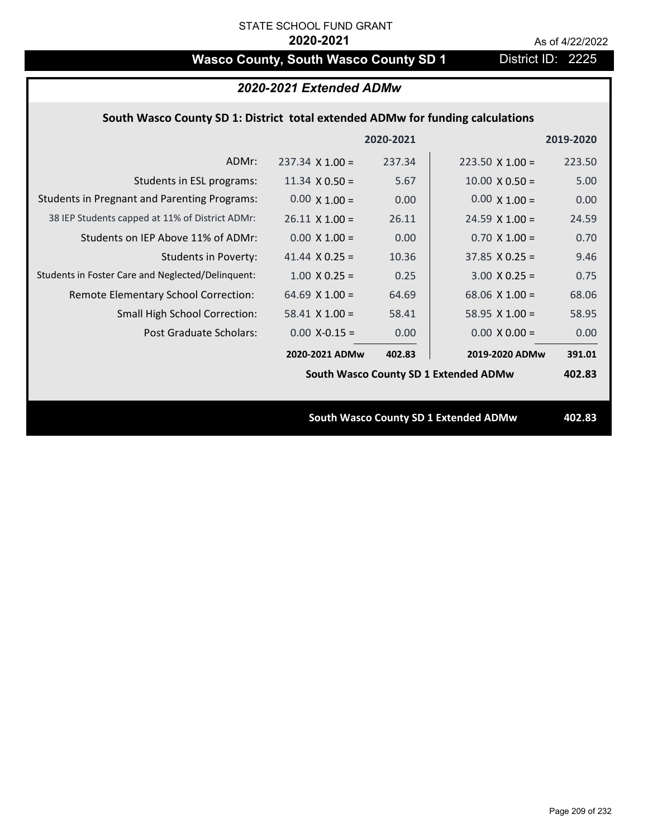# **Wasco County, South Wasco County SD 1** District ID: 2225

|                                                                                | 2020-2021 Extended ADMw |           |                                              |           |  |
|--------------------------------------------------------------------------------|-------------------------|-----------|----------------------------------------------|-----------|--|
| South Wasco County SD 1: District total extended ADMw for funding calculations |                         |           |                                              |           |  |
|                                                                                |                         | 2020-2021 |                                              | 2019-2020 |  |
| ADMr:                                                                          | $237.34 \times 1.00 =$  | 237.34    | $223.50 \times 1.00 =$                       | 223.50    |  |
| Students in ESL programs:                                                      | $11.34 \times 0.50 =$   | 5.67      | $10.00 \times 0.50 =$                        | 5.00      |  |
| <b>Students in Pregnant and Parenting Programs:</b>                            | $0.00 \times 1.00 =$    | 0.00      | $0.00 \times 1.00 =$                         | 0.00      |  |
| 38 IEP Students capped at 11% of District ADMr:                                | $26.11 \times 1.00 =$   | 26.11     | $24.59 \times 1.00 =$                        | 24.59     |  |
| Students on IEP Above 11% of ADMr:                                             | $0.00$ X $1.00 =$       | 0.00      | $0.70$ X $1.00 =$                            | 0.70      |  |
| <b>Students in Poverty:</b>                                                    | 41.44 $X$ 0.25 =        | 10.36     | $37.85$ X 0.25 =                             | 9.46      |  |
| Students in Foster Care and Neglected/Delinquent:                              | $1.00 \times 0.25 =$    | 0.25      | $3.00 X 0.25 =$                              | 0.75      |  |
| Remote Elementary School Correction:                                           | 64.69 $X$ 1.00 =        | 64.69     | 68.06 $X$ 1.00 =                             | 68.06     |  |
| <b>Small High School Correction:</b>                                           | $58.41$ X 1.00 =        | 58.41     | 58.95 $X$ 1.00 =                             | 58.95     |  |
| Post Graduate Scholars:                                                        | $0.00$ X-0.15 =         | 0.00      | $0.00 \times 0.00 =$                         | 0.00      |  |
|                                                                                | 2020-2021 ADMw          | 402.83    | 2019-2020 ADMw                               | 391.01    |  |
|                                                                                |                         |           | South Wasco County SD 1 Extended ADMw        | 402.83    |  |
|                                                                                |                         |           |                                              |           |  |
|                                                                                |                         |           | <b>South Wasco County SD 1 Extended ADMw</b> | 402.83    |  |
|                                                                                |                         |           |                                              |           |  |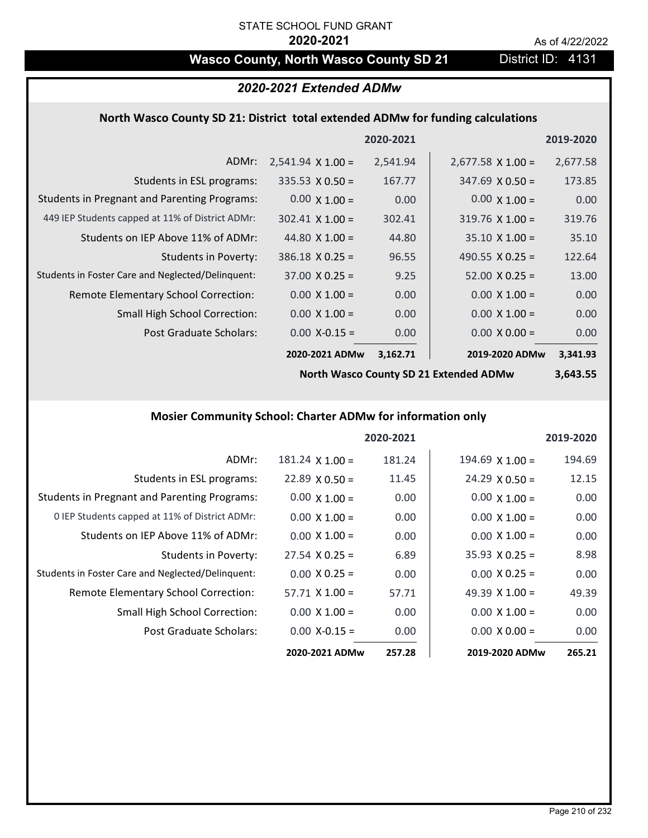## Wasco County, North Wasco County SD 21 District ID: 4131

## *2020-2021 Extended ADMw*

### **North Wasco County SD 21: District total extended ADMw for funding calculations**

|                                                     |                          | 2020-2021 |                          | 2019-2020 |
|-----------------------------------------------------|--------------------------|-----------|--------------------------|-----------|
| ADMr:                                               | $2,541.94 \times 1.00 =$ | 2,541.94  | $2,677.58 \times 1.00 =$ | 2,677.58  |
| Students in ESL programs:                           | $335.53 \times 0.50 =$   | 167.77    | $347.69 \times 0.50 =$   | 173.85    |
| <b>Students in Pregnant and Parenting Programs:</b> | $0.00 \times 1.00 =$     | 0.00      | $0.00 \times 1.00 =$     | 0.00      |
| 449 IEP Students capped at 11% of District ADMr:    | $302.41 \times 1.00 =$   | 302.41    | $319.76 \times 1.00 =$   | 319.76    |
| Students on IEP Above 11% of ADMr:                  | 44.80 $\times$ 1.00 =    | 44.80     | $35.10 \times 1.00 =$    | 35.10     |
| <b>Students in Poverty:</b>                         | $386.18 \times 0.25 =$   | 96.55     | 490.55 $\lambda$ 0.25 =  | 122.64    |
| Students in Foster Care and Neglected/Delinquent:   | $37.00 \times 0.25 =$    | 9.25      | $52.00 \times 0.25 =$    | 13.00     |
| Remote Elementary School Correction:                | $0.00 \times 1.00 =$     | 0.00      | $0.00 \times 1.00 =$     | 0.00      |
| <b>Small High School Correction:</b>                | $0.00 \times 1.00 =$     | 0.00      | $0.00 \times 1.00 =$     | 0.00      |
| Post Graduate Scholars:                             | $0.00$ X-0.15 =          | 0.00      | $0.00 \times 0.00 =$     | 0.00      |
|                                                     | 2020-2021 ADMw           | 3,162.71  | 2019-2020 ADMw           | 3,341.93  |

**North Wasco County SD 21 Extended ADMw**

## **3,643.55**

## **Mosier Community School: Charter ADMw for information only**

|                                                     |                        | 2020-2021 |                       | 2019-2020 |
|-----------------------------------------------------|------------------------|-----------|-----------------------|-----------|
| ADMr:                                               | $181.24 \times 1.00 =$ | 181.24    | $194.69$ X $1.00 =$   | 194.69    |
| Students in ESL programs:                           | $22.89 \times 0.50 =$  | 11.45     | $24.29 \times 0.50 =$ | 12.15     |
| <b>Students in Pregnant and Parenting Programs:</b> | $0.00 \times 1.00 =$   | 0.00      | $0.00 \times 1.00 =$  | 0.00      |
| 0 IEP Students capped at 11% of District ADMr:      | $0.00 \times 1.00 =$   | 0.00      | $0.00 \times 1.00 =$  | 0.00      |
| Students on IEP Above 11% of ADMr:                  | $0.00 \times 1.00 =$   | 0.00      | $0.00 \times 1.00 =$  | 0.00      |
| Students in Poverty:                                | $27.54 \times 0.25 =$  | 6.89      | $35.93 \times 0.25 =$ | 8.98      |
| Students in Foster Care and Neglected/Delinquent:   | $0.00 \times 0.25 =$   | 0.00      | $0.00 \times 0.25 =$  | 0.00      |
| Remote Elementary School Correction:                | $57.71 \times 1.00 =$  | 57.71     | 49.39 $X$ 1.00 =      | 49.39     |
| <b>Small High School Correction:</b>                | $0.00 \times 1.00 =$   | 0.00      | $0.00 \times 1.00 =$  | 0.00      |
| Post Graduate Scholars:                             | $0.00$ X-0.15 =        | 0.00      | $0.00 \times 0.00 =$  | 0.00      |
|                                                     | 2020-2021 ADMw         | 257.28    | 2019-2020 ADMw        | 265.21    |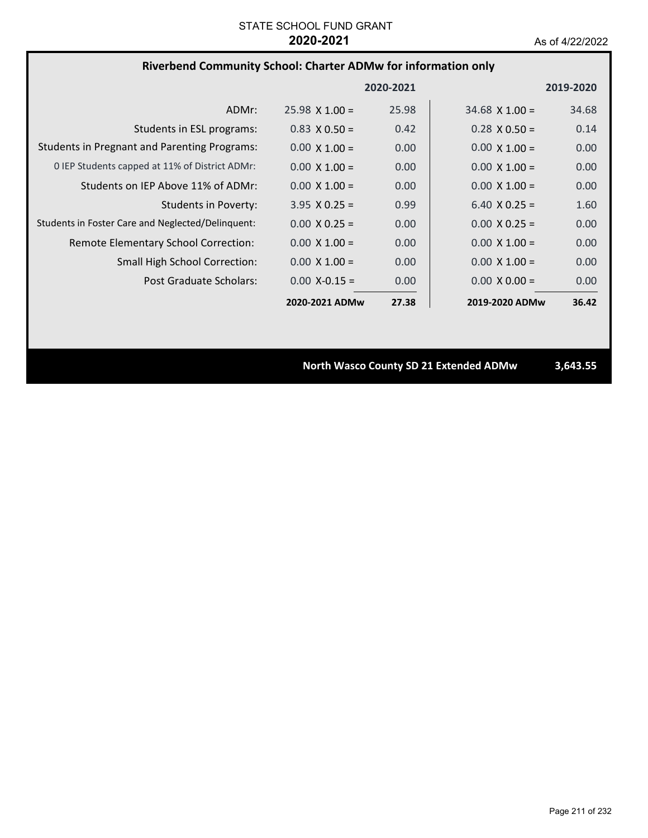## **Riverbend Community School: Charter ADMw for information only**

|                                                     |                       | 2020-2021 |                      | 2019-2020 |
|-----------------------------------------------------|-----------------------|-----------|----------------------|-----------|
| ADMr:                                               | $25.98 \times 1.00 =$ | 25.98     | $34.68$ X 1.00 =     | 34.68     |
| Students in ESL programs:                           | $0.83 \times 0.50 =$  | 0.42      | $0.28 \times 0.50 =$ | 0.14      |
| <b>Students in Pregnant and Parenting Programs:</b> | $0.00 \times 1.00 =$  | 0.00      | $0.00 \times 1.00 =$ | 0.00      |
| 0 IEP Students capped at 11% of District ADMr:      | $0.00 \times 1.00 =$  | 0.00      | $0.00 \times 1.00 =$ | 0.00      |
| Students on IEP Above 11% of ADMr:                  | $0.00 \times 1.00 =$  | 0.00      | $0.00 \times 1.00 =$ | 0.00      |
| <b>Students in Poverty:</b>                         | $3.95 \times 0.25 =$  | 0.99      | $6.40 \times 0.25 =$ | 1.60      |
| Students in Foster Care and Neglected/Delinquent:   | $0.00 \times 0.25 =$  | 0.00      | $0.00 \times 0.25 =$ | 0.00      |
| Remote Elementary School Correction:                | $0.00 \times 1.00 =$  | 0.00      | $0.00 \times 1.00 =$ | 0.00      |
| <b>Small High School Correction:</b>                | $0.00 \times 1.00 =$  | 0.00      | $0.00 \times 1.00 =$ | 0.00      |
| Post Graduate Scholars:                             | $0.00 X - 0.15 =$     | 0.00      | $0.00 \times 0.00 =$ | 0.00      |
|                                                     | 2020-2021 ADMw        | 27.38     | 2019-2020 ADMw       | 36.42     |

**North Wasco County SD 21 Extended ADMw 3,643.55**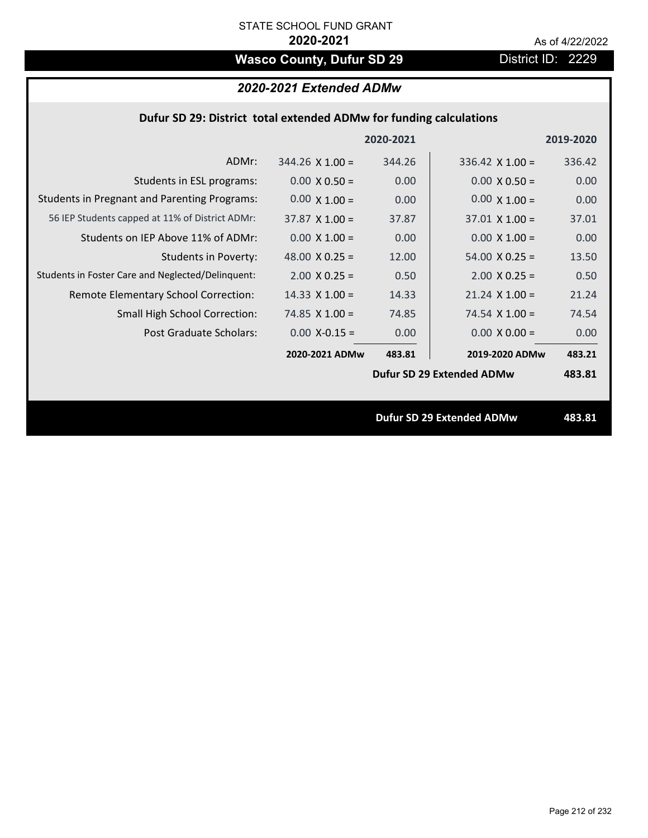# Wasco County, Dufur SD 29 District ID: 2229

## *2020-2021 Extended ADMw*

## **Dufur SD 29: District total extended ADMw for funding calculations**

|                                                     |                        | 2020-2021 |                                  | 2019-2020 |
|-----------------------------------------------------|------------------------|-----------|----------------------------------|-----------|
| ADMr:                                               | $344.26 \times 1.00 =$ | 344.26    | 336.42 $\times$ 1.00 =           | 336.42    |
| Students in ESL programs:                           | $0.00 \times 0.50 =$   | 0.00      | $0.00 \times 0.50 =$             | 0.00      |
| <b>Students in Pregnant and Parenting Programs:</b> | $0.00 \times 1.00 =$   | 0.00      | $0.00 \times 1.00 =$             | 0.00      |
| 56 IEP Students capped at 11% of District ADMr:     | $37.87 \times 1.00 =$  | 37.87     | $37.01 \times 1.00 =$            | 37.01     |
| Students on IEP Above 11% of ADMr:                  | $0.00 \times 1.00 =$   | 0.00      | $0.00 \times 1.00 =$             | 0.00      |
| Students in Poverty:                                | 48.00 $\times$ 0.25 =  | 12.00     | $54.00 \times 0.25 =$            | 13.50     |
| Students in Foster Care and Neglected/Delinquent:   | $2.00 \times 0.25 =$   | 0.50      | $2.00$ X 0.25 =                  | 0.50      |
| Remote Elementary School Correction:                | $14.33 \times 1.00 =$  | 14.33     | $21.24 \times 1.00 =$            | 21.24     |
| <b>Small High School Correction:</b>                | 74.85 $\times$ 1.00 =  | 74.85     | 74.54 $\times$ 1.00 =            | 74.54     |
| Post Graduate Scholars:                             | $0.00$ X-0.15 =        | 0.00      | $0.00 \times 0.00 =$             | 0.00      |
|                                                     | 2020-2021 ADMw         | 483.81    | 2019-2020 ADMw                   | 483.21    |
|                                                     |                        |           | Dufur SD 29 Extended ADMw        | 483.81    |
|                                                     |                        |           |                                  |           |
|                                                     |                        |           | <b>Dufur SD 29 Extended ADMw</b> | 483.81    |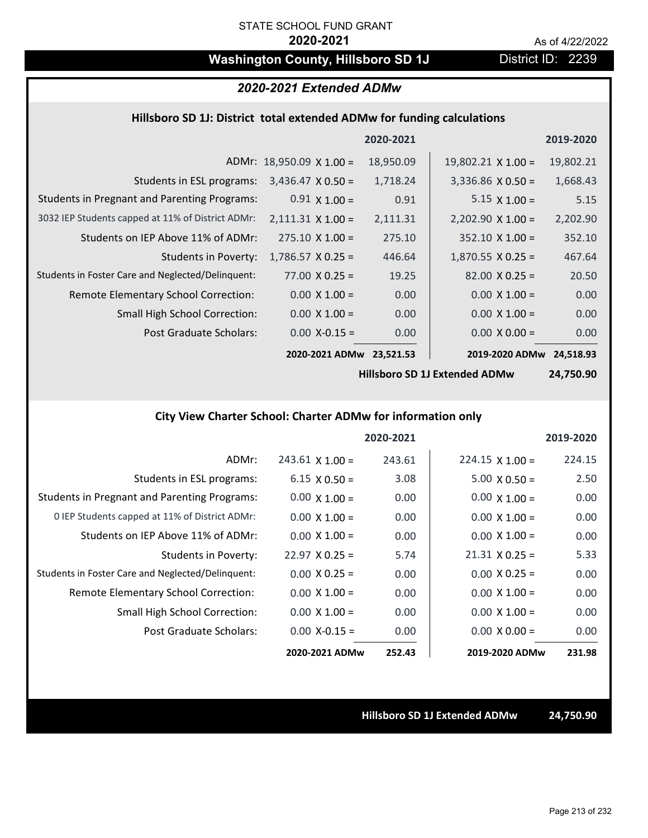## **Washington County, Hillsboro SD 1J** District ID: 2239

## *2020-2021 Extended ADMw*

### **Hillsboro SD 1J: District total extended ADMw for funding calculations**

|                                                     |                                 | 2020-2021 |                           | 2019-2020 |
|-----------------------------------------------------|---------------------------------|-----------|---------------------------|-----------|
|                                                     | ADMr: $18,950.09 \times 1.00 =$ | 18,950.09 | $19,802.21 \times 1.00 =$ | 19,802.21 |
| Students in ESL programs:                           | $3,436.47 \times 0.50 =$        | 1,718.24  | $3,336.86 \times 0.50 =$  | 1,668.43  |
| <b>Students in Pregnant and Parenting Programs:</b> | $0.91 \times 1.00 =$            | 0.91      | $5.15 \times 1.00 =$      | 5.15      |
| 3032 IEP Students capped at 11% of District ADMr:   | $2,111.31 \times 1.00 =$        | 2,111.31  | $2,202.90 \times 1.00 =$  | 2,202.90  |
| Students on IEP Above 11% of ADMr:                  | $275.10 \times 1.00 =$          | 275.10    | $352.10 \times 1.00 =$    | 352.10    |
| <b>Students in Poverty:</b>                         | $1,786.57 \times 0.25 =$        | 446.64    | $1,870.55 \times 0.25 =$  | 467.64    |
| Students in Foster Care and Neglected/Delinquent:   | $77.00 \times 0.25 =$           | 19.25     | $82.00 \times 0.25 =$     | 20.50     |
| Remote Elementary School Correction:                | $0.00 \times 1.00 =$            | 0.00      | $0.00 \times 1.00 =$      | 0.00      |
| <b>Small High School Correction:</b>                | $0.00 \times 1.00 =$            | 0.00      | $0.00 \times 1.00 =$      | 0.00      |
| Post Graduate Scholars:                             | $0.00$ X-0.15 =                 | 0.00      | $0.00 \times 0.00 =$      | 0.00      |
|                                                     | 2020-2021 ADMw                  | 23,521.53 | 2019-2020 ADMw            | 24,518.93 |

**Hillsboro SD 1J Extended ADMw**

**24,750.90**

## **City View Charter School: Charter ADMw for information only**

|                                                     |                        | 2020-2021 |                        | 2019-2020 |
|-----------------------------------------------------|------------------------|-----------|------------------------|-----------|
| ADMr:                                               | $243.61 \times 1.00 =$ | 243.61    | $224.15 \times 1.00 =$ | 224.15    |
| Students in ESL programs:                           | $6.15 \times 0.50 =$   | 3.08      | $5.00 \times 0.50 =$   | 2.50      |
| <b>Students in Pregnant and Parenting Programs:</b> | $0.00 \times 1.00 =$   | 0.00      | $0.00 \times 1.00 =$   | 0.00      |
| 0 IEP Students capped at 11% of District ADMr:      | $0.00 \times 1.00 =$   | 0.00      | $0.00 \times 1.00 =$   | 0.00      |
| Students on IEP Above 11% of ADMr:                  | $0.00 \times 1.00 =$   | 0.00      | $0.00 \times 1.00 =$   | 0.00      |
| Students in Poverty:                                | $22.97 \times 0.25 =$  | 5.74      | $21.31 \times 0.25 =$  | 5.33      |
| Students in Foster Care and Neglected/Delinquent:   | $0.00 \times 0.25 =$   | 0.00      | $0.00 \times 0.25 =$   | 0.00      |
| Remote Elementary School Correction:                | $0.00 \times 1.00 =$   | 0.00      | $0.00 \times 1.00 =$   | 0.00      |
| <b>Small High School Correction:</b>                | $0.00 \times 1.00 =$   | 0.00      | $0.00 \times 1.00 =$   | 0.00      |
| Post Graduate Scholars:                             | $0.00$ X-0.15 =        | 0.00      | $0.00 \times 0.00 =$   | 0.00      |
|                                                     | 2020-2021 ADMw         | 252.43    | 2019-2020 ADMw         | 231.98    |

**Hillsboro SD 1J Extended ADMw 24,750.90**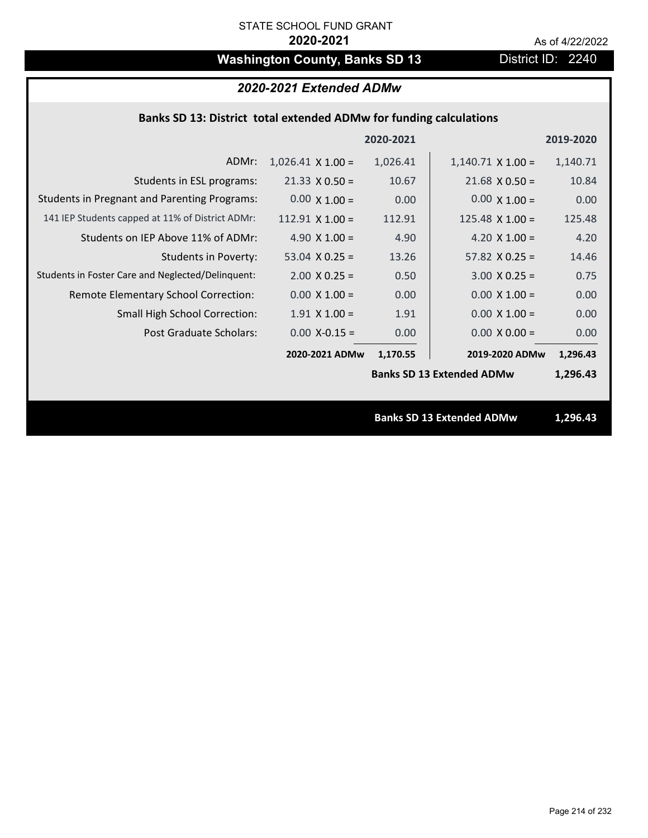# Washington County, Banks SD 13 District ID: 2240

## *2020-2021 Extended ADMw*

## **Banks SD 13: District total extended ADMw for funding calculations**

|                                                     |                          | 2020-2021 |                                  | 2019-2020 |
|-----------------------------------------------------|--------------------------|-----------|----------------------------------|-----------|
| ADMr:                                               | $1,026.41 \times 1.00 =$ | 1,026.41  | $1,140.71 \times 1.00 =$         | 1,140.71  |
| Students in ESL programs:                           | $21.33 \times 0.50 =$    | 10.67     | $21.68 \times 0.50 =$            | 10.84     |
| <b>Students in Pregnant and Parenting Programs:</b> | $0.00 \times 1.00 =$     | 0.00      | $0.00 \times 1.00 =$             | 0.00      |
| 141 IEP Students capped at 11% of District ADMr:    | $112.91$ X 1.00 =        | 112.91    | $125.48 \times 1.00 =$           | 125.48    |
| Students on IEP Above 11% of ADMr:                  | 4.90 $X$ 1.00 =          | 4.90      | 4.20 $X$ 1.00 =                  | 4.20      |
| <b>Students in Poverty:</b>                         | 53.04 $X$ 0.25 =         | 13.26     | $57.82$ X 0.25 =                 | 14.46     |
| Students in Foster Care and Neglected/Delinquent:   | $2.00 \times 0.25 =$     | 0.50      | $3.00 X 0.25 =$                  | 0.75      |
| Remote Elementary School Correction:                | $0.00 \times 1.00 =$     | 0.00      | $0.00 \times 1.00 =$             | 0.00      |
| <b>Small High School Correction:</b>                | $1.91$ X $1.00 =$        | 1.91      | $0.00 \times 1.00 =$             | 0.00      |
| Post Graduate Scholars:                             | $0.00$ X-0.15 =          | 0.00      | $0.00 \times 0.00 =$             | 0.00      |
|                                                     | 2020-2021 ADMw           | 1,170.55  | 2019-2020 ADMw                   | 1,296.43  |
|                                                     |                          |           | <b>Banks SD 13 Extended ADMw</b> | 1,296.43  |
|                                                     |                          |           |                                  |           |
|                                                     |                          |           | <b>Banks SD 13 Extended ADMw</b> | 1,296.43  |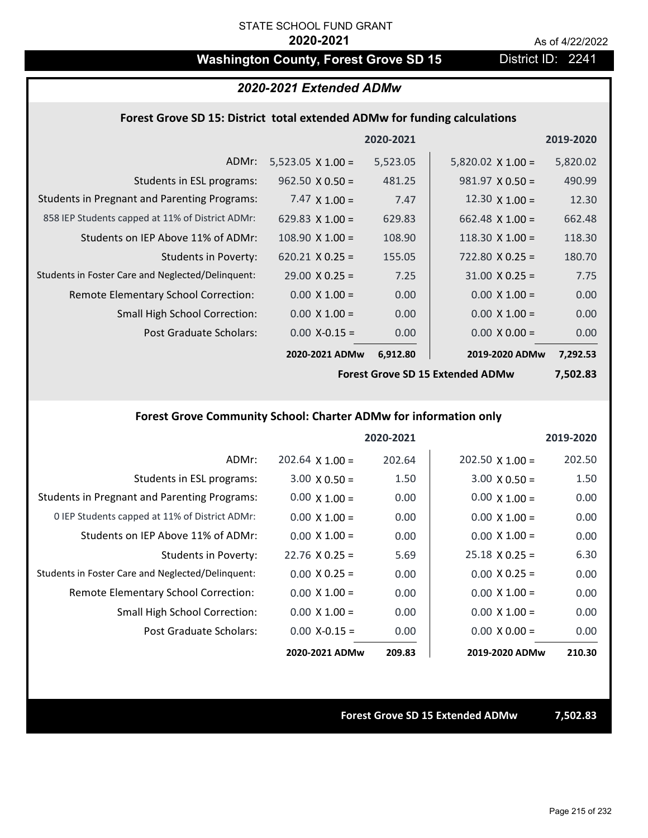## Washington County, Forest Grove SD 15 District ID: 2241

## *2020-2021 Extended ADMw*

### **Forest Grove SD 15: District total extended ADMw for funding calculations**

|                                                     |                          | 2020-2021 |                          | 2019-2020 |
|-----------------------------------------------------|--------------------------|-----------|--------------------------|-----------|
| ADMr:                                               | $5,523.05 \times 1.00 =$ | 5,523.05  | $5,820.02 \times 1.00 =$ | 5,820.02  |
| Students in ESL programs:                           | $962.50 \times 0.50 =$   | 481.25    | $981.97 \times 0.50 =$   | 490.99    |
| <b>Students in Pregnant and Parenting Programs:</b> | 7.47 $\times$ 1.00 =     | 7.47      | $12.30 \times 1.00 =$    | 12.30     |
| 858 IEP Students capped at 11% of District ADMr:    | 629.83 $\times$ 1.00 =   | 629.83    | 662.48 $\times$ 1.00 =   | 662.48    |
| Students on IEP Above 11% of ADMr:                  | $108.90 \times 1.00 =$   | 108.90    | $118.30 \times 1.00 =$   | 118.30    |
| <b>Students in Poverty:</b>                         | $620.21 \times 0.25 =$   | 155.05    | $722.80$ X 0.25 =        | 180.70    |
| Students in Foster Care and Neglected/Delinquent:   | $29.00 \times 0.25 =$    | 7.25      | $31.00 \times 0.25 =$    | 7.75      |
| Remote Elementary School Correction:                | $0.00 \times 1.00 =$     | 0.00      | $0.00 \times 1.00 =$     | 0.00      |
| <b>Small High School Correction:</b>                | $0.00 \times 1.00 =$     | 0.00      | $0.00 \times 1.00 =$     | 0.00      |
| Post Graduate Scholars:                             | $0.00$ X-0.15 =          | 0.00      | $0.00 \times 0.00 =$     | 0.00      |
|                                                     | 2020-2021 ADMw           | 6,912.80  | 2019-2020 ADMw           | 7,292.53  |

**Forest Grove SD 15 Extended ADMw**

**7,502.83**

### **Forest Grove Community School: Charter ADMw for information only**

|                                                     |                        | 2020-2021 |                        | 2019-2020 |
|-----------------------------------------------------|------------------------|-----------|------------------------|-----------|
| ADMr:                                               | $202.64 \times 1.00 =$ | 202.64    | $202.50 \times 1.00 =$ | 202.50    |
| Students in ESL programs:                           | $3.00 \times 0.50 =$   | 1.50      | $3.00 \times 0.50 =$   | 1.50      |
| <b>Students in Pregnant and Parenting Programs:</b> | $0.00 \times 1.00 =$   | 0.00      | $0.00 \times 1.00 =$   | 0.00      |
| 0 IEP Students capped at 11% of District ADMr:      | $0.00 \times 1.00 =$   | 0.00      | $0.00 \times 1.00 =$   | 0.00      |
| Students on IEP Above 11% of ADMr:                  | $0.00 \times 1.00 =$   | 0.00      | $0.00 \times 1.00 =$   | 0.00      |
| Students in Poverty:                                | $22.76 \times 0.25 =$  | 5.69      | $25.18 \times 0.25 =$  | 6.30      |
| Students in Foster Care and Neglected/Delinquent:   | $0.00 \times 0.25 =$   | 0.00      | $0.00 \times 0.25 =$   | 0.00      |
| Remote Elementary School Correction:                | $0.00 \times 1.00 =$   | 0.00      | $0.00 \times 1.00 =$   | 0.00      |
| <b>Small High School Correction:</b>                | $0.00 \times 1.00 =$   | 0.00      | $0.00 \times 1.00 =$   | 0.00      |
| Post Graduate Scholars:                             | $0.00$ X-0.15 =        | 0.00      | $0.00 \times 0.00 =$   | 0.00      |
|                                                     | 2020-2021 ADMw         | 209.83    | 2019-2020 ADMw         | 210.30    |

**Forest Grove SD 15 Extended ADMw 7,502.83**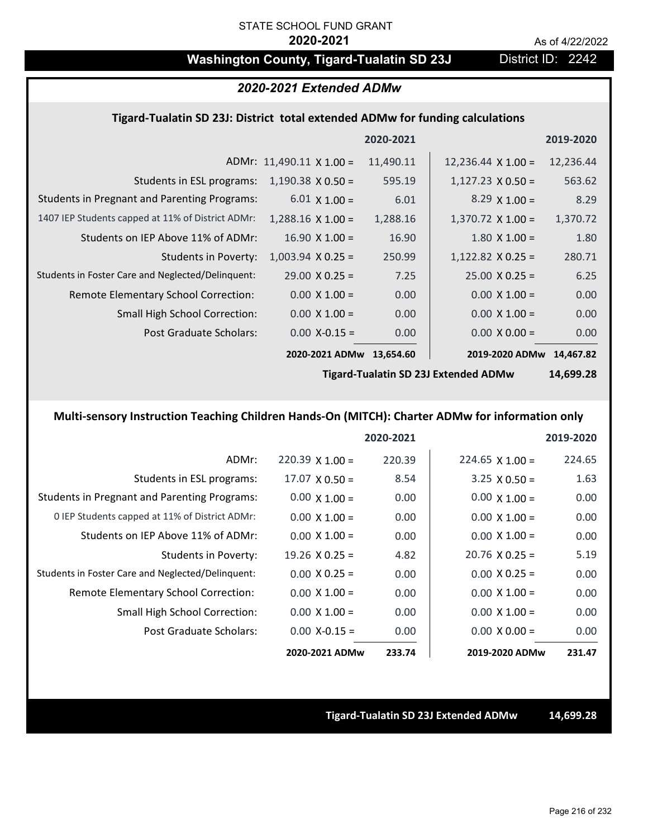## Washington County, Tigard-Tualatin SD 23J District ID: 2242

## *2020-2021 Extended ADMw*

### **Tigard‐Tualatin SD 23J: District total extended ADMw for funding calculations**

|                                                     |                                 | 2020-2021 |                           | 2019-2020 |
|-----------------------------------------------------|---------------------------------|-----------|---------------------------|-----------|
|                                                     | ADMr: $11,490.11 \times 1.00 =$ | 11,490.11 | $12,236.44 \times 1.00 =$ | 12,236.44 |
| Students in ESL programs:                           | $1,190.38 \times 0.50 =$        | 595.19    | $1,127.23 \times 0.50 =$  | 563.62    |
| <b>Students in Pregnant and Parenting Programs:</b> | $6.01 \times 1.00 =$            | 6.01      | $8.29 \times 1.00 =$      | 8.29      |
| 1407 IEP Students capped at 11% of District ADMr:   | $1,288.16 \times 1.00 =$        | 1,288.16  | $1,370.72 \times 1.00 =$  | 1,370.72  |
| Students on IEP Above 11% of ADMr:                  | $16.90 \times 1.00 =$           | 16.90     | $1.80$ X $1.00 =$         | 1.80      |
| <b>Students in Poverty:</b>                         | $1,003.94$ X 0.25 =             | 250.99    | $1,122.82$ X 0.25 =       | 280.71    |
| Students in Foster Care and Neglected/Delinquent:   | $29.00 \times 0.25 =$           | 7.25      | $25.00 \times 0.25 =$     | 6.25      |
| Remote Elementary School Correction:                | $0.00 \times 1.00 =$            | 0.00      | $0.00 \times 1.00 =$      | 0.00      |
| <b>Small High School Correction:</b>                | $0.00 \times 1.00 =$            | 0.00      | $0.00 \times 1.00 =$      | 0.00      |
| Post Graduate Scholars:                             | $0.00$ X-0.15 =                 | 0.00      | $0.00 \times 0.00 =$      | 0.00      |
|                                                     | 2020-2021 ADMw                  | 13,654.60 | 2019-2020 ADMw            | 14,467.82 |
|                                                     |                                 |           |                           |           |

**Tigard‐Tualatin SD 23J Extended ADMw**

**14,699.28**

## **Multi‐sensory Instruction Teaching Children Hands‐On (MITCH): Charter ADMw for information only**

|                                                     |                       | 2020-2021 |                        | 2019-2020 |
|-----------------------------------------------------|-----------------------|-----------|------------------------|-----------|
| ADMr:                                               | $220.39$ X 1.00 =     | 220.39    | $224.65 \times 1.00 =$ | 224.65    |
| Students in ESL programs:                           | $17.07 \times 0.50 =$ | 8.54      | $3.25 \times 0.50 =$   | 1.63      |
| <b>Students in Pregnant and Parenting Programs:</b> | $0.00 \times 1.00 =$  | 0.00      | $0.00 \times 1.00 =$   | 0.00      |
| 0 IEP Students capped at 11% of District ADMr:      | $0.00 \times 1.00 =$  | 0.00      | $0.00 \times 1.00 =$   | 0.00      |
| Students on IEP Above 11% of ADMr:                  | $0.00 \times 1.00 =$  | 0.00      | $0.00 \times 1.00 =$   | 0.00      |
| Students in Poverty:                                | $19.26 \times 0.25 =$ | 4.82      | $20.76 \times 0.25 =$  | 5.19      |
| Students in Foster Care and Neglected/Delinquent:   | $0.00 \times 0.25 =$  | 0.00      | $0.00 \times 0.25 =$   | 0.00      |
| Remote Elementary School Correction:                | $0.00 \times 1.00 =$  | 0.00      | $0.00 \times 1.00 =$   | 0.00      |
| <b>Small High School Correction:</b>                | $0.00 \times 1.00 =$  | 0.00      | $0.00 \times 1.00 =$   | 0.00      |
| Post Graduate Scholars:                             | $0.00$ X-0.15 =       | 0.00      | $0.00 \times 0.00 =$   | 0.00      |
|                                                     | 2020-2021 ADMw        | 233.74    | 2019-2020 ADMw         | 231.47    |

### **Tigard‐Tualatin SD 23J Extended ADMw 14,699.28**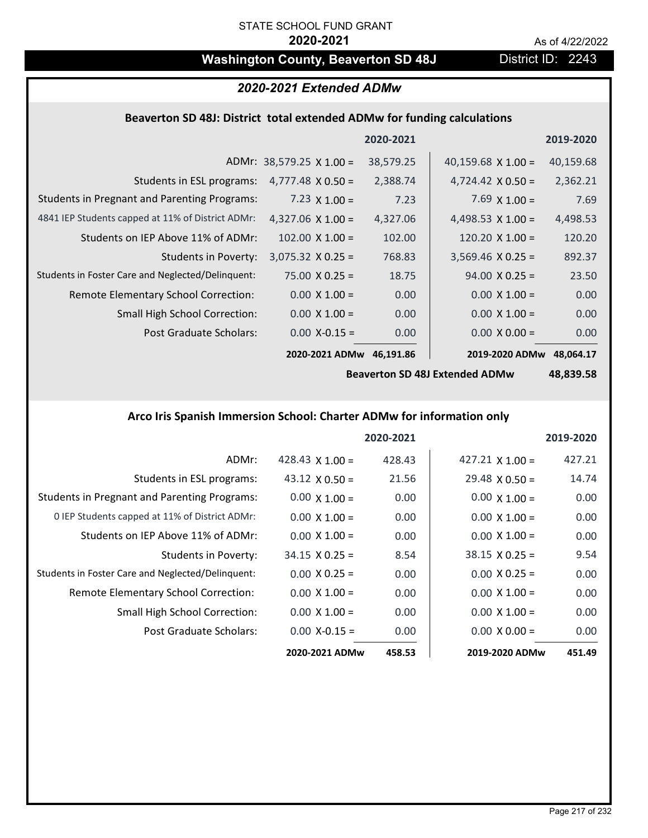# **Washington County, Beaverton SD 48J** District ID: 2243

# *2020-2021 Extended ADMw*

# **Beaverton SD 48J: District total extended ADMw for funding calculations**

|                                                     |                                 | 2020-2021 |                           | 2019-2020 |
|-----------------------------------------------------|---------------------------------|-----------|---------------------------|-----------|
|                                                     | ADMr: $38,579.25 \times 1.00 =$ | 38,579.25 | 40,159.68 $\times$ 1.00 = | 40,159.68 |
| Students in ESL programs:                           | $4,777.48 \times 0.50 =$        | 2,388.74  | $4,724.42 \times 0.50 =$  | 2,362.21  |
| <b>Students in Pregnant and Parenting Programs:</b> | 7.23 $\times$ 1.00 =            | 7.23      | $7.69 \times 1.00 =$      | 7.69      |
| 4841 IEP Students capped at 11% of District ADMr:   | $4,327.06 \times 1.00 =$        | 4,327.06  | 4,498.53 $\times$ 1.00 =  | 4,498.53  |
| Students on IEP Above 11% of ADMr:                  | $102.00 \times 1.00 =$          | 102.00    | $120.20 \times 1.00 =$    | 120.20    |
| <b>Students in Poverty:</b>                         | $3,075.32 \times 0.25 =$        | 768.83    | $3,569.46$ X 0.25 =       | 892.37    |
| Students in Foster Care and Neglected/Delinquent:   | $75.00 \times 0.25 =$           | 18.75     | $94.00 \times 0.25 =$     | 23.50     |
| Remote Elementary School Correction:                | $0.00 \times 1.00 =$            | 0.00      | $0.00 \times 1.00 =$      | 0.00      |
| <b>Small High School Correction:</b>                | $0.00 \times 1.00 =$            | 0.00      | $0.00 \times 1.00 =$      | 0.00      |
| Post Graduate Scholars:                             | $0.00$ X-0.15 =                 | 0.00      | $0.00 \times 0.00 =$      | 0.00      |
|                                                     | 2020-2021 ADMw                  | 46.191.86 | 2019-2020 ADMw            | 48,064.17 |

**Beaverton SD 48J Extended ADMw**

**48,839.58**

### **Arco Iris Spanish Immersion School: Charter ADMw for information only**

|                                                     |                        | 2020-2021 |                        | 2019-2020         |
|-----------------------------------------------------|------------------------|-----------|------------------------|-------------------|
| ADMr:                                               | 428.43 $\times$ 1.00 = | 428.43    | $427.21 \times 1.00 =$ | 427.21            |
| Students in ESL programs:                           | 43.12 $\times$ 0.50 =  | 21.56     | $29.48 \times 0.50 =$  | 14.74             |
| <b>Students in Pregnant and Parenting Programs:</b> | $0.00 \times 1.00 =$   | 0.00      | $0.00 \times 1.00 =$   | 0.00 <sub>1</sub> |
| 0 IEP Students capped at 11% of District ADMr:      | $0.00 \times 1.00 =$   | 0.00      | $0.00 \times 1.00 =$   | 0.00              |
| Students on IEP Above 11% of ADMr:                  | $0.00 \times 1.00 =$   | 0.00      | $0.00 \times 1.00 =$   | 0.00              |
| Students in Poverty:                                | $34.15 \times 0.25 =$  | 8.54      | $38.15 \times 0.25 =$  | 9.54              |
| Students in Foster Care and Neglected/Delinquent:   | $0.00 \times 0.25 =$   | 0.00      | $0.00 \times 0.25 =$   | 0.00              |
| Remote Elementary School Correction:                | $0.00 \times 1.00 =$   | 0.00      | $0.00 \times 1.00 =$   | 0.00              |
| <b>Small High School Correction:</b>                | $0.00 \times 1.00 =$   | 0.00      | $0.00 \times 1.00 =$   | 0.00              |
| Post Graduate Scholars:                             | $0.00$ X-0.15 =        | 0.00      | $0.00 \times 0.00 =$   | 0.00              |
|                                                     | 2020-2021 ADMw         | 458.53    | 2019-2020 ADMw         | 451.49            |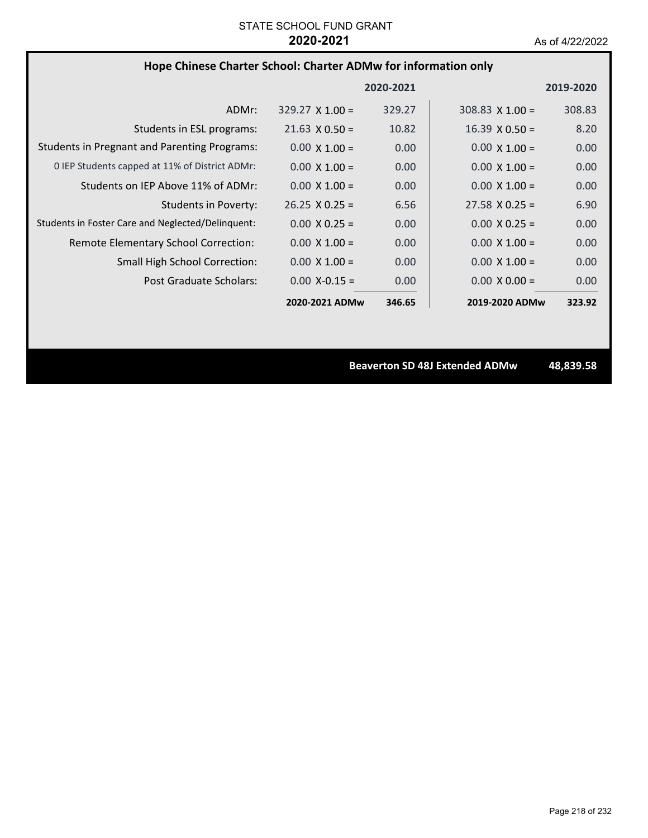# **Hope Chinese Charter School: Charter ADMw for information only**

|                                                     |                        | 2020-2021 |                        | 2019-2020 |
|-----------------------------------------------------|------------------------|-----------|------------------------|-----------|
| ADMr:                                               | $329.27 \times 1.00 =$ | 329.27    | $308.83 \times 1.00 =$ | 308.83    |
| Students in ESL programs:                           | $21.63 \times 0.50 =$  | 10.82     | $16.39 \times 0.50 =$  | 8.20      |
| <b>Students in Pregnant and Parenting Programs:</b> | $0.00 \times 1.00 =$   | 0.00      | $0.00 \times 1.00 =$   | 0.00      |
| 0 IEP Students capped at 11% of District ADMr:      | $0.00 \times 1.00 =$   | 0.00      | $0.00 \times 1.00 =$   | 0.00      |
| Students on IEP Above 11% of ADMr:                  | $0.00 \times 1.00 =$   | 0.00      | $0.00 \times 1.00 =$   | 0.00      |
| <b>Students in Poverty:</b>                         | $26.25 \times 0.25 =$  | 6.56      | $27.58 \times 0.25 =$  | 6.90      |
| Students in Foster Care and Neglected/Delinquent:   | $0.00 \times 0.25 =$   | 0.00      | $0.00 \times 0.25 =$   | 0.00      |
| Remote Elementary School Correction:                | $0.00 \times 1.00 =$   | 0.00      | $0.00 \times 1.00 =$   | 0.00      |
| <b>Small High School Correction:</b>                | $0.00 \times 1.00 =$   | 0.00      | $0.00 \times 1.00 =$   | 0.00      |
| Post Graduate Scholars:                             | $0.00 X - 0.15 =$      | 0.00      | $0.00 \times 0.00 =$   | 0.00      |
|                                                     | 2020-2021 ADMw         | 346.65    | 2019-2020 ADMw         | 323.92    |

**Beaverton SD 48J Extended ADMw 48,839.58**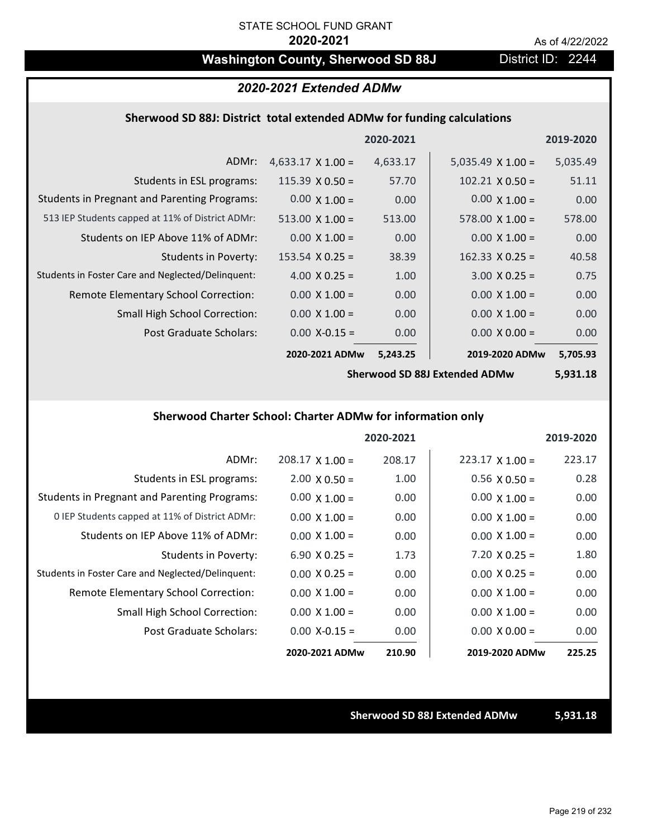# Washington County, Sherwood SD 88J District ID: 2244

### *2020-2021 Extended ADMw*

### **Sherwood SD 88J: District total extended ADMw for funding calculations**

|                                                     |                          | 2020-2021 |                          | 2019-2020 |
|-----------------------------------------------------|--------------------------|-----------|--------------------------|-----------|
| ADMr:                                               | $4,633.17 \times 1.00 =$ | 4,633.17  | $5,035.49 \times 1.00 =$ | 5,035.49  |
| Students in ESL programs:                           | $115.39 \times 0.50 =$   | 57.70     | $102.21 \times 0.50 =$   | 51.11     |
| <b>Students in Pregnant and Parenting Programs:</b> | $0.00 \times 1.00 =$     | 0.00      | $0.00 \times 1.00 =$     | 0.00      |
| 513 IEP Students capped at 11% of District ADMr:    | $513.00 \times 1.00 =$   | 513.00    | $578.00 \times 1.00 =$   | 578.00    |
| Students on IEP Above 11% of ADMr:                  | $0.00 \times 1.00 =$     | 0.00      | $0.00 \times 1.00 =$     | 0.00      |
| Students in Poverty:                                | $153.54 \times 0.25 =$   | 38.39     | $162.33 \times 0.25 =$   | 40.58     |
| Students in Foster Care and Neglected/Delinquent:   | $4.00 \times 0.25 =$     | 1.00      | $3.00 \times 0.25 =$     | 0.75      |
| Remote Elementary School Correction:                | $0.00 \times 1.00 =$     | 0.00      | $0.00 \times 1.00 =$     | 0.00      |
| <b>Small High School Correction:</b>                | $0.00 \times 1.00 =$     | 0.00      | $0.00 \times 1.00 =$     | 0.00      |
| Post Graduate Scholars:                             | $0.00$ X-0.15 =          | 0.00      | $0.00 \times 0.00 =$     | 0.00      |
|                                                     | 2020-2021 ADMw           | 5,243.25  | 2019-2020 ADMw           | 5,705.93  |

**Sherwood SD 88J Extended ADMw**

**5,931.18**

# **Sherwood Charter School: Charter ADMw for information only**

|                                                     |                      | 2020-2021 |                        | 2019-2020 |
|-----------------------------------------------------|----------------------|-----------|------------------------|-----------|
| ADMr:                                               | $208.17$ X 1.00 =    | 208.17    | $223.17 \times 1.00 =$ | 223.17    |
| Students in ESL programs:                           | $2.00 \times 0.50 =$ | 1.00      | $0.56 \times 0.50 =$   | 0.28      |
| <b>Students in Pregnant and Parenting Programs:</b> | $0.00 \times 1.00 =$ | 0.00      | $0.00 \times 1.00 =$   | 0.00      |
| 0 IEP Students capped at 11% of District ADMr:      | $0.00 \times 1.00 =$ | 0.00      | $0.00 \times 1.00 =$   | 0.00      |
| Students on IEP Above 11% of ADMr:                  | $0.00 \times 1.00 =$ | 0.00      | $0.00 \times 1.00 =$   | 0.00      |
| Students in Poverty:                                | $6.90 \times 0.25 =$ | 1.73      | $7.20 \times 0.25 =$   | 1.80      |
| Students in Foster Care and Neglected/Delinquent:   | $0.00 \times 0.25 =$ | 0.00      | $0.00 \times 0.25 =$   | 0.00      |
| Remote Elementary School Correction:                | $0.00 \times 1.00 =$ | 0.00      | $0.00 \times 1.00 =$   | 0.00      |
| <b>Small High School Correction:</b>                | $0.00 \times 1.00 =$ | 0.00      | $0.00 \times 1.00 =$   | 0.00      |
| Post Graduate Scholars:                             | $0.00$ X-0.15 =      | 0.00      | $0.00 \times 0.00 =$   | 0.00      |
|                                                     | 2020-2021 ADMw       | 210.90    | 2019-2020 ADMw         | 225.25    |

#### **Sherwood SD 88J Extended ADMw 5,931.18**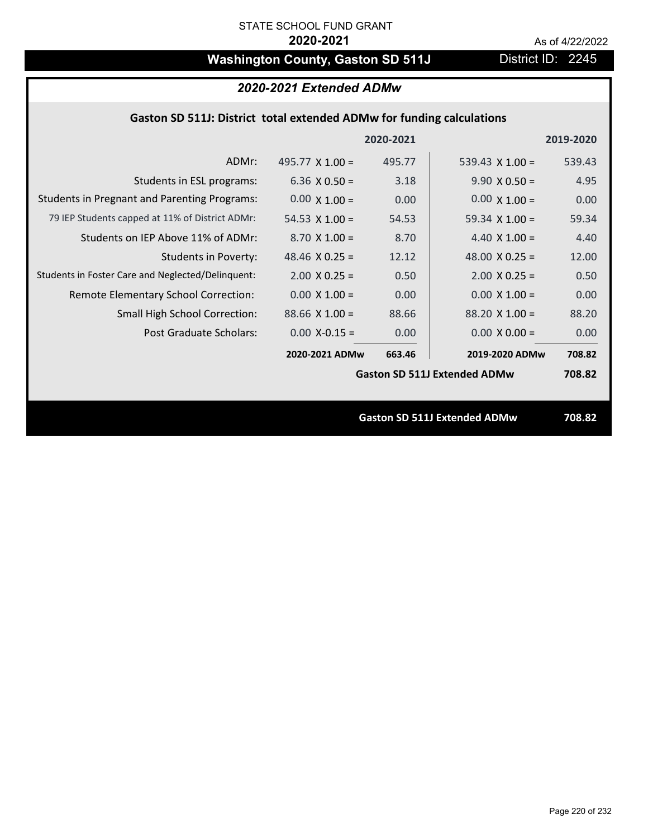# Washington County, Gaston SD 511J District ID: 2245

# *2020-2021 Extended ADMw*

## **Gaston SD 511J: District total extended ADMw for funding calculations**

|                                                     |                        | 2020-2021 |                                     | 2019-2020 |
|-----------------------------------------------------|------------------------|-----------|-------------------------------------|-----------|
| ADMr:                                               | 495.77 $\times$ 1.00 = | 495.77    | 539.43 $\times$ 1.00 =              | 539.43    |
| Students in ESL programs:                           | 6.36 $\times$ 0.50 =   | 3.18      | $9.90 \times 0.50 =$                | 4.95      |
| <b>Students in Pregnant and Parenting Programs:</b> | $0.00 \times 1.00 =$   | 0.00      | $0.00 \times 1.00 =$                | 0.00      |
| 79 IEP Students capped at 11% of District ADMr:     | 54.53 $\times$ 1.00 =  | 54.53     | 59.34 $\times$ 1.00 =               | 59.34     |
| Students on IEP Above 11% of ADMr:                  | $8.70 \times 1.00 =$   | 8.70      | 4.40 $\times$ 1.00 =                | 4.40      |
| <b>Students in Poverty:</b>                         | 48.46 $X$ 0.25 =       | 12.12     | 48.00 $X$ 0.25 =                    | 12.00     |
| Students in Foster Care and Neglected/Delinquent:   | $2.00 \times 0.25 =$   | 0.50      | $2.00 \times 0.25 =$                | 0.50      |
| Remote Elementary School Correction:                | $0.00 \times 1.00 =$   | 0.00      | $0.00 \times 1.00 =$                | 0.00      |
| <b>Small High School Correction:</b>                | $88.66$ X 1.00 =       | 88.66     | $88.20 \times 1.00 =$               | 88.20     |
| Post Graduate Scholars:                             | $0.00$ X-0.15 =        | 0.00      | $0.00 \times 0.00 =$                | 0.00      |
|                                                     | 2020-2021 ADMw         | 663.46    | 2019-2020 ADMw                      | 708.82    |
|                                                     |                        |           | <b>Gaston SD 511J Extended ADMw</b> | 708.82    |
|                                                     |                        |           |                                     |           |
|                                                     |                        |           | <b>Gaston SD 511J Extended ADMw</b> | 708.82    |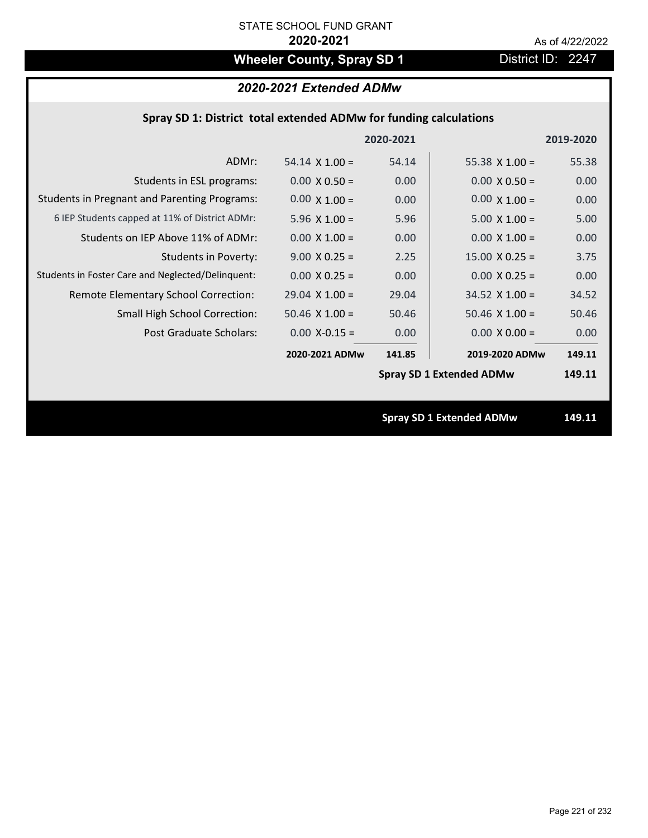# **Wheeler County, Spray SD 1** District ID: 2247

# *2020-2021 Extended ADMw*

| Spray SD 1: District total extended ADMw for funding calculations |                       |           |                                 |           |  |
|-------------------------------------------------------------------|-----------------------|-----------|---------------------------------|-----------|--|
|                                                                   |                       | 2020-2021 |                                 | 2019-2020 |  |
| ADMr:                                                             | $54.14 \times 1.00 =$ | 54.14     | 55.38 $X$ 1.00 =                | 55.38     |  |
| Students in ESL programs:                                         | $0.00 \times 0.50 =$  | 0.00      | $0.00 \times 0.50 =$            | 0.00      |  |
| <b>Students in Pregnant and Parenting Programs:</b>               | $0.00 \times 1.00 =$  | 0.00      | $0.00 \times 1.00 =$            | 0.00      |  |
| 6 IEP Students capped at 11% of District ADMr:                    | $5.96 \times 1.00 =$  | 5.96      | $5.00 \times 1.00 =$            | 5.00      |  |
| Students on IEP Above 11% of ADMr:                                | $0.00$ X $1.00 =$     | 0.00      | $0.00 X 1.00 =$                 | 0.00      |  |
| <b>Students in Poverty:</b>                                       | $9.00 \times 0.25 =$  | 2.25      | $15.00 \times 0.25 =$           | 3.75      |  |
| Students in Foster Care and Neglected/Delinquent:                 | $0.00 \times 0.25 =$  | 0.00      | $0.00 X 0.25 =$                 | 0.00      |  |
| Remote Elementary School Correction:                              | $29.04$ X $1.00 =$    | 29.04     | $34.52$ X $1.00 =$              | 34.52     |  |
| <b>Small High School Correction:</b>                              | $50.46$ X $1.00 =$    | 50.46     | $50.46$ X $1.00 =$              | 50.46     |  |
| Post Graduate Scholars:                                           | $0.00 X-0.15 =$       | 0.00      | $0.00 \times 0.00 =$            | 0.00      |  |
|                                                                   | 2020-2021 ADMw        | 141.85    | 2019-2020 ADMw                  | 149.11    |  |
|                                                                   |                       |           | <b>Spray SD 1 Extended ADMw</b> | 149.11    |  |
|                                                                   |                       |           |                                 |           |  |
|                                                                   |                       |           | <b>Spray SD 1 Extended ADMw</b> | 149.11    |  |
|                                                                   |                       |           |                                 |           |  |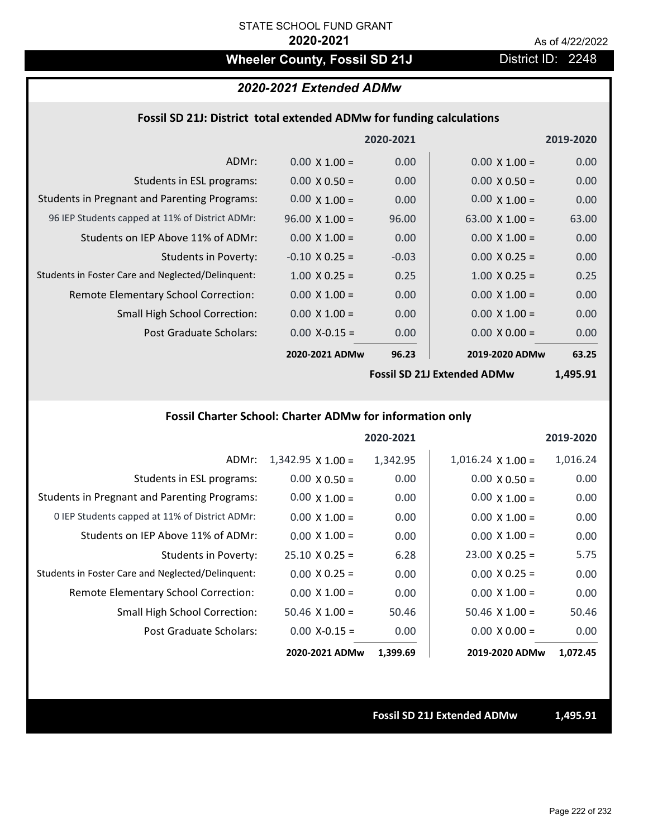# Wheeler County, Fossil SD 21J **District ID: 2248**

### *2020-2021 Extended ADMw*

### **Fossil SD 21J: District total extended ADMw for funding calculations**

|                                                     |                       | 2020-2021 |                       | 2019-2020 |
|-----------------------------------------------------|-----------------------|-----------|-----------------------|-----------|
| ADMr:                                               | $0.00 \times 1.00 =$  | 0.00      | $0.00 \times 1.00 =$  | 0.00      |
| Students in ESL programs:                           | $0.00 \times 0.50 =$  | 0.00      | $0.00 \times 0.50 =$  | 0.00      |
| <b>Students in Pregnant and Parenting Programs:</b> | $0.00 \times 1.00 =$  | 0.00      | $0.00 \times 1.00 =$  | 0.00      |
| 96 IEP Students capped at 11% of District ADMr:     | $96.00 \times 1.00 =$ | 96.00     | 63.00 $\times$ 1.00 = | 63.00     |
| Students on IEP Above 11% of ADMr:                  | $0.00 \times 1.00 =$  | 0.00      | $0.00 \times 1.00 =$  | 0.00      |
| Students in Poverty:                                | $-0.10 \times 0.25 =$ | $-0.03$   | $0.00 \times 0.25 =$  | 0.00      |
| Students in Foster Care and Neglected/Delinquent:   | $1.00 \times 0.25 =$  | 0.25      | $1.00 \times 0.25 =$  | 0.25      |
| Remote Elementary School Correction:                | $0.00 \times 1.00 =$  | 0.00      | $0.00 \times 1.00 =$  | 0.00      |
| <b>Small High School Correction:</b>                | $0.00 \times 1.00 =$  | 0.00      | $0.00 \times 1.00 =$  | 0.00      |
| Post Graduate Scholars:                             | $0.00$ X-0.15 =       | 0.00      | $0.00 \times 0.00 =$  | 0.00      |
|                                                     | 2020-2021 ADMw        | 96.23     | 2019-2020 ADMw        | 63.25     |
|                                                     |                       |           |                       |           |

**Fossil SD 21J Extended ADMw**

**1,495.91**

## **Fossil Charter School: Charter ADMw for information only**

|                                                     |                          | 2020-2021 |                          | 2019-2020 |
|-----------------------------------------------------|--------------------------|-----------|--------------------------|-----------|
| ADMr:                                               | $1,342.95 \times 1.00 =$ | 1,342.95  | $1,016.24 \times 1.00 =$ | 1,016.24  |
| Students in ESL programs:                           | $0.00 \times 0.50 =$     | 0.00      | $0.00 \times 0.50 =$     | 0.00      |
| <b>Students in Pregnant and Parenting Programs:</b> | $0.00 \times 1.00 =$     | 0.00      | $0.00 \times 1.00 =$     | 0.00      |
| 0 IEP Students capped at 11% of District ADMr:      | $0.00 \times 1.00 =$     | 0.00      | $0.00 \times 1.00 =$     | 0.00      |
| Students on IEP Above 11% of ADMr:                  | $0.00 \times 1.00 =$     | 0.00      | $0.00 \times 1.00 =$     | 0.00      |
| <b>Students in Poverty:</b>                         | $25.10 \times 0.25 =$    | 6.28      | $23.00 \times 0.25 =$    | 5.75      |
| Students in Foster Care and Neglected/Delinquent:   | $0.00 \times 0.25 =$     | 0.00      | $0.00 \times 0.25 =$     | 0.00      |
| Remote Elementary School Correction:                | $0.00 \times 1.00 =$     | 0.00      | $0.00 \times 1.00 =$     | 0.00      |
| <b>Small High School Correction:</b>                | $50.46$ X 1.00 =         | 50.46     | $50.46 \times 1.00 =$    | 50.46     |
| Post Graduate Scholars:                             | $0.00$ X-0.15 =          | 0.00      | $0.00 \times 0.00 =$     | 0.00      |
|                                                     | 2020-2021 ADMw           | 1,399.69  | 2019-2020 ADMw           | 1,072.45  |

#### **Fossil SD 21J Extended ADMw 1,495.91**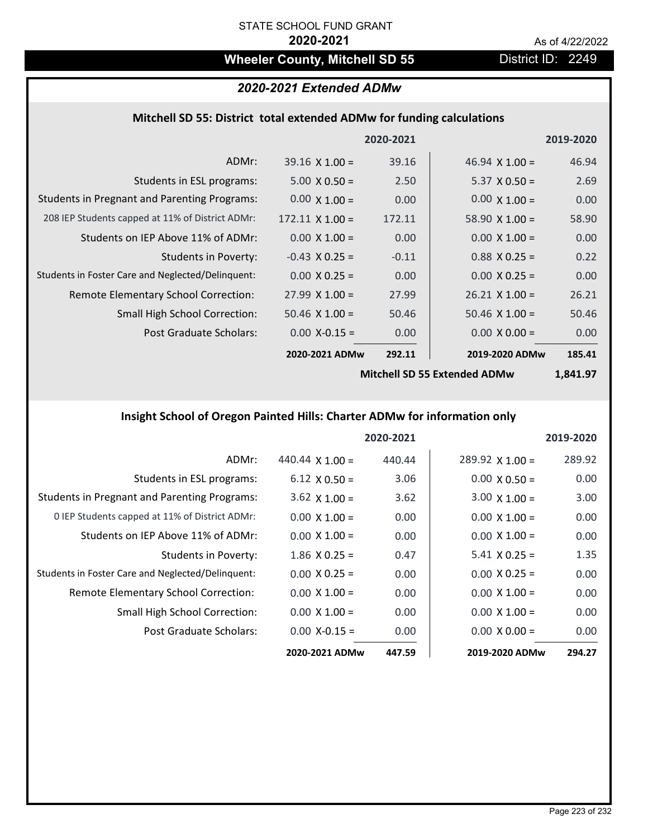# Wheeler County, Mitchell SD 55 **District ID: 2249**

# *2020-2021 Extended ADMw*

# **Mitchell SD 55: District total extended ADMw for funding calculations**

|                                                     |                        | 2020-2021 |                       | 2019-2020 |
|-----------------------------------------------------|------------------------|-----------|-----------------------|-----------|
| ADMr:                                               | $39.16 \times 1.00 =$  | 39.16     | $46.94 \times 1.00 =$ | 46.94     |
| Students in ESL programs:                           | $5.00 \times 0.50 =$   | 2.50      | $5.37 \times 0.50 =$  | 2.69      |
| <b>Students in Pregnant and Parenting Programs:</b> | $0.00 \times 1.00 =$   | 0.00      | $0.00 \times 1.00 =$  | 0.00      |
| 208 IEP Students capped at 11% of District ADMr:    | $172.11 \times 1.00 =$ | 172.11    | 58.90 $\times$ 1.00 = | 58.90     |
| Students on IEP Above 11% of ADMr:                  | $0.00 \times 1.00 =$   | 0.00      | $0.00 \times 1.00 =$  | 0.00      |
| Students in Poverty:                                | $-0.43$ X 0.25 =       | $-0.11$   | $0.88$ X 0.25 =       | 0.22      |
| Students in Foster Care and Neglected/Delinquent:   | $0.00 \times 0.25 =$   | 0.00      | $0.00 \times 0.25 =$  | 0.00      |
| Remote Elementary School Correction:                | $27.99 \times 1.00 =$  | 27.99     | $26.21 \times 1.00 =$ | 26.21     |
| <b>Small High School Correction:</b>                | $50.46 \times 1.00 =$  | 50.46     | $50.46 \times 1.00 =$ | 50.46     |
| Post Graduate Scholars:                             | $0.00$ X-0.15 =        | 0.00      | $0.00 \times 0.00 =$  | 0.00      |
|                                                     | 2020-2021 ADMw         | 292.11    | 2019-2020 ADMw        | 185.41    |

**Mitchell SD 55 Extended ADMw**

**1,841.97**

# **Insight School of Oregon Painted Hills: Charter ADMw for information only**

|                                                     |                        | 2020-2021 |                        | 2019-2020 |
|-----------------------------------------------------|------------------------|-----------|------------------------|-----------|
| ADMr:                                               | 440.44 $\times$ 1.00 = | 440.44    | $289.92 \times 1.00 =$ | 289.92    |
| Students in ESL programs:                           | $6.12 \times 0.50 =$   | 3.06      | $0.00 \times 0.50 =$   | 0.00      |
| <b>Students in Pregnant and Parenting Programs:</b> | 3.62 $\times$ 1.00 =   | 3.62      | $3.00 \times 1.00 =$   | 3.00      |
| 0 IEP Students capped at 11% of District ADMr:      | $0.00 \times 1.00 =$   | 0.00      | $0.00 \times 1.00 =$   | 0.00      |
| Students on IEP Above 11% of ADMr:                  | $0.00 \times 1.00 =$   | 0.00      | $0.00 \times 1.00 =$   | 0.00      |
| Students in Poverty:                                | $1.86 \times 0.25 =$   | 0.47      | $5.41 \times 0.25 =$   | 1.35      |
| Students in Foster Care and Neglected/Delinquent:   | $0.00 \times 0.25 =$   | 0.00      | $0.00 \times 0.25 =$   | 0.00      |
| Remote Elementary School Correction:                | $0.00 \times 1.00 =$   | 0.00      | $0.00 \times 1.00 =$   | 0.00      |
| <b>Small High School Correction:</b>                | $0.00 \times 1.00 =$   | 0.00      | $0.00 \times 1.00 =$   | 0.00      |
| Post Graduate Scholars:                             | $0.00 X - 0.15 =$      | 0.00      | $0.00 \times 0.00 =$   | 0.00      |
|                                                     | 2020-2021 ADMw         | 447.59    | 2019-2020 ADMw         | 294.27    |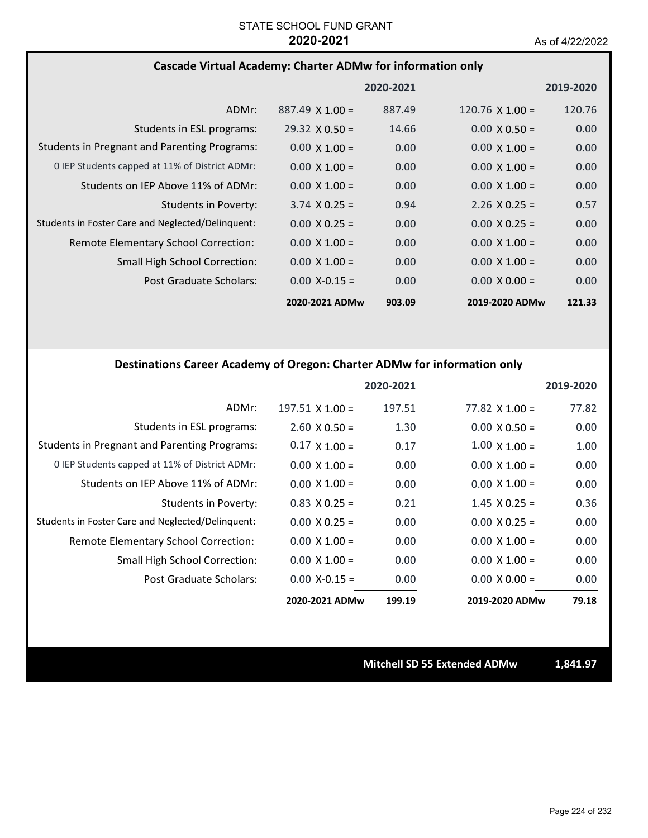### **Cascade Virtual Academy: Charter ADMw for information only**

|                                                     |                        | 2020-2021 |                        | 2019-2020 |
|-----------------------------------------------------|------------------------|-----------|------------------------|-----------|
| ADMr:                                               | $887.49 \times 1.00 =$ | 887.49    | $120.76 \times 1.00 =$ | 120.76    |
| Students in ESL programs:                           | $29.32 \times 0.50 =$  | 14.66     | $0.00 \times 0.50 =$   | 0.00      |
| <b>Students in Pregnant and Parenting Programs:</b> | $0.00 \times 1.00 =$   | 0.00      | $0.00 \times 1.00 =$   | 0.00      |
| 0 IEP Students capped at 11% of District ADMr:      | $0.00 \times 1.00 =$   | 0.00      | $0.00 \times 1.00 =$   | 0.00      |
| Students on IEP Above 11% of ADMr:                  | $0.00 \times 1.00 =$   | 0.00      | $0.00 \times 1.00 =$   | 0.00      |
| <b>Students in Poverty:</b>                         | $3.74 \times 0.25 =$   | 0.94      | $2.26 \times 0.25 =$   | 0.57      |
| Students in Foster Care and Neglected/Delinquent:   | $0.00 \times 0.25 =$   | 0.00      | $0.00 \times 0.25 =$   | 0.00      |
| Remote Elementary School Correction:                | $0.00 \times 1.00 =$   | 0.00      | $0.00 \times 1.00 =$   | 0.00      |
| <b>Small High School Correction:</b>                | $0.00 \times 1.00 =$   | 0.00      | $0.00 \times 1.00 =$   | 0.00      |
| Post Graduate Scholars:                             | $0.00 X - 0.15 =$      | 0.00      | $0.00 \times 0.00 =$   | 0.00      |
|                                                     | 2020-2021 ADMw         | 903.09    | 2019-2020 ADMw         | 121.33    |

### **Destinations Career Academy of Oregon: Charter ADMw for information only**

|                                                     |                        | 2020-2021 |                       | 2019-2020 |
|-----------------------------------------------------|------------------------|-----------|-----------------------|-----------|
| ADMr:                                               | $197.51 \times 1.00 =$ | 197.51    | $77.82 \times 1.00 =$ | 77.82     |
| Students in ESL programs:                           | $2.60 \times 0.50 =$   | 1.30      | $0.00 \times 0.50 =$  | 0.00      |
| <b>Students in Pregnant and Parenting Programs:</b> | $0.17 \times 1.00 =$   | 0.17      | $1.00 \times 1.00 =$  | 1.00      |
| 0 IEP Students capped at 11% of District ADMr:      | $0.00 \times 1.00 =$   | 0.00      | $0.00 \times 1.00 =$  | 0.00      |
| Students on IEP Above 11% of ADMr:                  | $0.00 \times 1.00 =$   | 0.00      | $0.00 \times 1.00 =$  | 0.00      |
| <b>Students in Poverty:</b>                         | $0.83 \times 0.25 =$   | 0.21      | $1.45 \times 0.25 =$  | 0.36      |
| Students in Foster Care and Neglected/Delinquent:   | $0.00 \times 0.25 =$   | 0.00      | $0.00 \times 0.25 =$  | 0.00      |
| Remote Elementary School Correction:                | $0.00 \times 1.00 =$   | 0.00      | $0.00 \times 1.00 =$  | 0.00      |
| <b>Small High School Correction:</b>                | $0.00 \times 1.00 =$   | 0.00      | $0.00 \times 1.00 =$  | 0.00      |
| Post Graduate Scholars:                             | $0.00 X - 0.15 =$      | 0.00      | $0.00 \times 0.00 =$  | 0.00      |
|                                                     | 2020-2021 ADMw         | 199.19    | 2019-2020 ADMw        | 79.18     |

**Mitchell SD 55 Extended ADMw 1,841.97**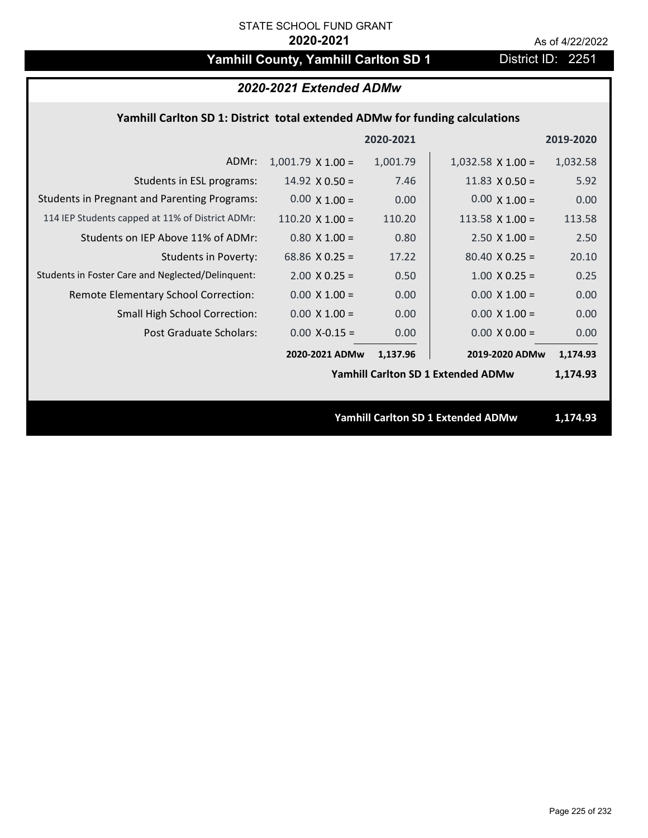# Yamhill County, Yamhill Carlton SD 1 District ID: 2251

| 2020-2021 Extended ADMw                                                     |                          |           |                                           |           |  |
|-----------------------------------------------------------------------------|--------------------------|-----------|-------------------------------------------|-----------|--|
| Yamhill Carlton SD 1: District total extended ADMw for funding calculations |                          |           |                                           |           |  |
|                                                                             |                          | 2020-2021 |                                           | 2019-2020 |  |
| ADMr:                                                                       | $1,001.79 \times 1.00 =$ | 1,001.79  | $1,032.58 \times 1.00 =$                  | 1,032.58  |  |
| Students in ESL programs:                                                   | $14.92 \times 0.50 =$    | 7.46      | 11.83 $\times$ 0.50 =                     | 5.92      |  |
| <b>Students in Pregnant and Parenting Programs:</b>                         | $0.00 \times 1.00 =$     | 0.00      | $0.00 \times 1.00 =$                      | 0.00      |  |
| 114 IEP Students capped at 11% of District ADMr:                            | $110.20 \times 1.00 =$   | 110.20    | 113.58 $X$ 1.00 =                         | 113.58    |  |
| Students on IEP Above 11% of ADMr:                                          | $0.80 X 1.00 =$          | 0.80      | $2.50$ X $1.00 =$                         | 2.50      |  |
| <b>Students in Poverty:</b>                                                 | 68.86 $X$ 0.25 =         | 17.22     | $80.40 \times 0.25 =$                     | 20.10     |  |
| Students in Foster Care and Neglected/Delinquent:                           | $2.00 \times 0.25 =$     | 0.50      | $1.00 \times 0.25 =$                      | 0.25      |  |
| Remote Elementary School Correction:                                        | $0.00 \times 1.00 =$     | 0.00      | $0.00 \times 1.00 =$                      | 0.00      |  |
| Small High School Correction:                                               | $0.00 \times 1.00 =$     | 0.00      | $0.00 \times 1.00 =$                      | 0.00      |  |
| <b>Post Graduate Scholars:</b>                                              | $0.00$ X-0.15 =          | 0.00      | $0.00 \times 0.00 =$                      | 0.00      |  |
|                                                                             | 2020-2021 ADMw           | 1,137.96  | 2019-2020 ADMw                            | 1,174.93  |  |
|                                                                             |                          |           | <b>Yamhill Carlton SD 1 Extended ADMw</b> | 1,174.93  |  |
|                                                                             |                          |           |                                           |           |  |
|                                                                             |                          |           | Yamhill Carlton SD 1 Extended ADMw        | 1,174.93  |  |
|                                                                             |                          |           |                                           |           |  |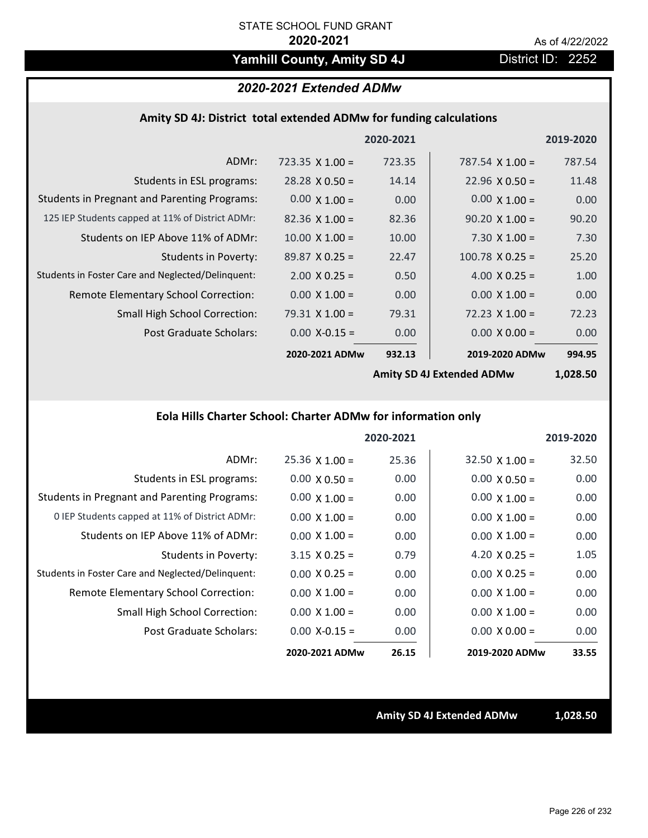# Yamhill County, Amity SD 4J **District ID: 2252**

# *2020-2021 Extended ADMw*

### **Amity SD 4J: District total extended ADMw for funding calculations**

|                                                     |                        | 2020-2021 |                        | 2019-2020 |
|-----------------------------------------------------|------------------------|-----------|------------------------|-----------|
| ADMr:                                               | $723.35 \times 1.00 =$ | 723.35    | 787.54 $\times$ 1.00 = | 787.54    |
| Students in ESL programs:                           | $28.28 \times 0.50 =$  | 14.14     | $22.96 \times 0.50 =$  | 11.48     |
| <b>Students in Pregnant and Parenting Programs:</b> | $0.00 \times 1.00 =$   | 0.00      | $0.00 \times 1.00 =$   | 0.00      |
| 125 IEP Students capped at 11% of District ADMr:    | $82.36 \times 1.00 =$  | 82.36     | $90.20 \times 1.00 =$  | 90.20     |
| Students on IEP Above 11% of ADMr:                  | $10.00 \times 1.00 =$  | 10.00     | $7.30 \times 1.00 =$   | 7.30      |
| <b>Students in Poverty:</b>                         | $89.87 \times 0.25 =$  | 22.47     | $100.78 \times 0.25 =$ | 25.20     |
| Students in Foster Care and Neglected/Delinquent:   | $2.00 \times 0.25 =$   | 0.50      | 4.00 $X$ 0.25 =        | 1.00      |
| Remote Elementary School Correction:                | $0.00 \times 1.00 =$   | 0.00      | $0.00 \times 1.00 =$   | 0.00      |
| <b>Small High School Correction:</b>                | $79.31 \times 1.00 =$  | 79.31     | $72.23 \times 1.00 =$  | 72.23     |
| Post Graduate Scholars:                             | $0.00$ X-0.15 =        | 0.00      | $0.00 \times 0.00 =$   | 0.00      |
|                                                     | 2020-2021 ADMw         | 932.13    | 2019-2020 ADMw         | 994.95    |
|                                                     |                        |           |                        |           |

**Amity SD 4J Extended ADMw**

**1,028.50**

# **Eola Hills Charter School: Charter ADMw for information only**

|                                                     |                       | 2020-2021 |                       | 2019-2020 |
|-----------------------------------------------------|-----------------------|-----------|-----------------------|-----------|
| ADMr:                                               | $25.36 \times 1.00 =$ | 25.36     | $32.50 \times 1.00 =$ | 32.50     |
| Students in ESL programs:                           | $0.00 \times 0.50 =$  | 0.00      | $0.00 \times 0.50 =$  | 0.00      |
| <b>Students in Pregnant and Parenting Programs:</b> | $0.00 \times 1.00 =$  | 0.00      | $0.00 \times 1.00 =$  | 0.00      |
| 0 IEP Students capped at 11% of District ADMr:      | $0.00 \times 1.00 =$  | 0.00      | $0.00 \times 1.00 =$  | 0.00      |
| Students on IEP Above 11% of ADMr:                  | $0.00 \times 1.00 =$  | 0.00      | $0.00 \times 1.00 =$  | 0.00      |
| Students in Poverty:                                | $3.15 \times 0.25 =$  | 0.79      | 4.20 $X$ 0.25 =       | 1.05      |
| Students in Foster Care and Neglected/Delinquent:   | $0.00 \times 0.25 =$  | 0.00      | $0.00 \times 0.25 =$  | 0.00      |
| Remote Elementary School Correction:                | $0.00 \times 1.00 =$  | 0.00      | $0.00 \times 1.00 =$  | 0.00      |
| <b>Small High School Correction:</b>                | $0.00 \times 1.00 =$  | 0.00      | $0.00 \times 1.00 =$  | 0.00      |
| Post Graduate Scholars:                             | $0.00$ X-0.15 =       | 0.00      | $0.00 \times 0.00 =$  | 0.00      |
|                                                     | 2020-2021 ADMw        | 26.15     | 2019-2020 ADMw        | 33.55     |

**Amity SD 4J Extended ADMw 1,028.50**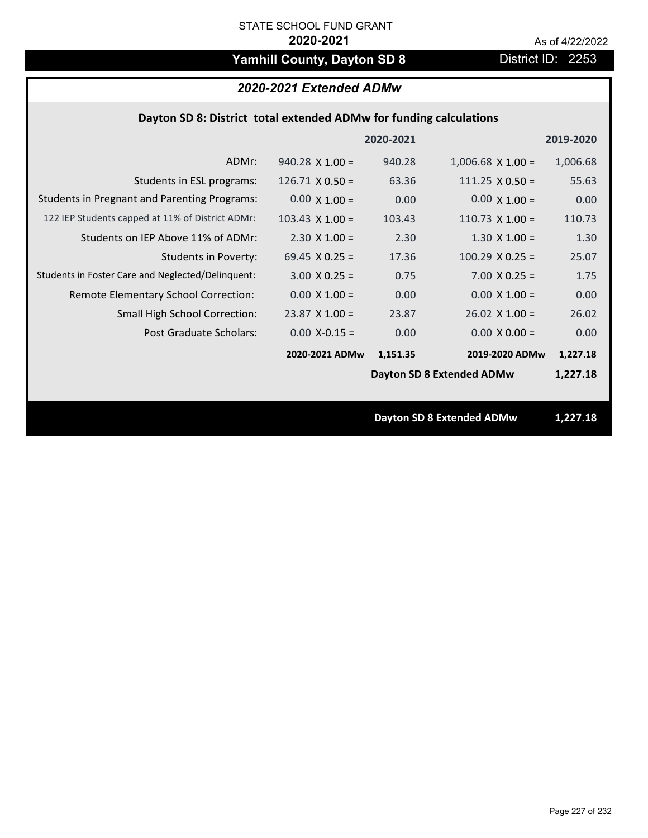# Yamhill County, Dayton SD 8 **District ID: 2253**

# *2020-2021 Extended ADMw*

## **Dayton SD 8: District total extended ADMw for funding calculations**

|                                                     |                        | 2020-2021 |                                  | 2019-2020 |
|-----------------------------------------------------|------------------------|-----------|----------------------------------|-----------|
| ADMr:                                               | $940.28 \times 1.00 =$ | 940.28    | $1,006.68 \times 1.00 =$         | 1,006.68  |
| Students in ESL programs:                           | $126.71 \times 0.50 =$ | 63.36     | $111.25 \times 0.50 =$           | 55.63     |
| <b>Students in Pregnant and Parenting Programs:</b> | $0.00 \times 1.00 =$   | 0.00      | $0.00 \times 1.00 =$             | 0.00      |
| 122 IEP Students capped at 11% of District ADMr:    | $103.43 \times 1.00 =$ | 103.43    | $110.73$ X 1.00 =                | 110.73    |
| Students on IEP Above 11% of ADMr:                  | $2.30 \times 1.00 =$   | 2.30      | $1.30 \times 1.00 =$             | 1.30      |
| <b>Students in Poverty:</b>                         | 69.45 $X$ 0.25 =       | 17.36     | $100.29$ X 0.25 =                | 25.07     |
| Students in Foster Care and Neglected/Delinquent:   | $3.00 \times 0.25 =$   | 0.75      | $7.00 \times 0.25 =$             | 1.75      |
| Remote Elementary School Correction:                | $0.00 \times 1.00 =$   | 0.00      | $0.00 \times 1.00 =$             | 0.00      |
| <b>Small High School Correction:</b>                | $23.87$ X 1.00 =       | 23.87     | $26.02 \times 1.00 =$            | 26.02     |
| Post Graduate Scholars:                             | $0.00$ X-0.15 =        | 0.00      | $0.00 \times 0.00 =$             | 0.00      |
|                                                     | 2020-2021 ADMw         | 1,151.35  | 2019-2020 ADMw                   | 1,227.18  |
|                                                     |                        |           | <b>Dayton SD 8 Extended ADMw</b> | 1,227.18  |
|                                                     |                        |           |                                  |           |
|                                                     |                        |           | Dayton SD & Extended ADMw        | 1 227 18  |

**Dayton SD 8 Extended ADMw 1,227.18**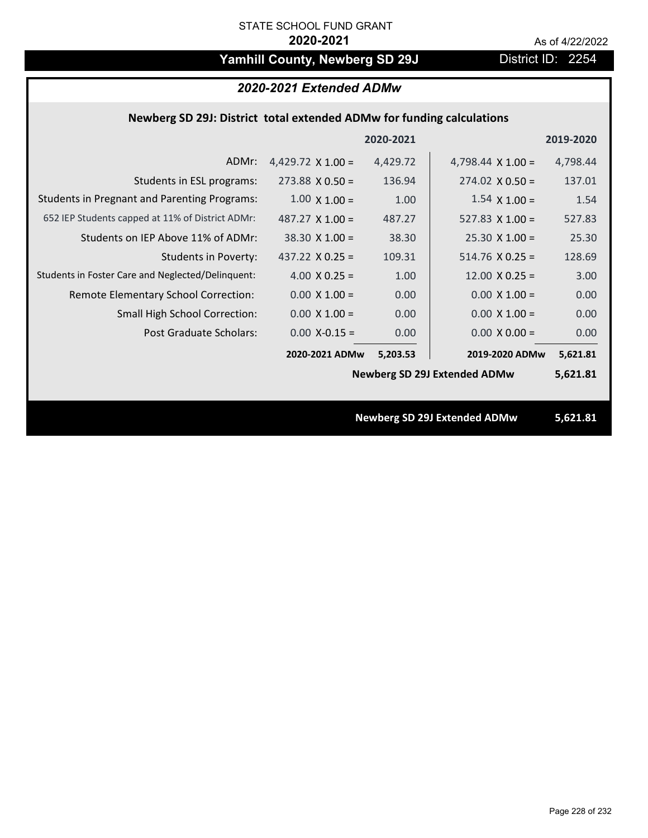# Yamhill County, Newberg SD 29J District ID: 2254

| 2020-2021 Extended ADMw                                               |                          |           |                                     |           |  |
|-----------------------------------------------------------------------|--------------------------|-----------|-------------------------------------|-----------|--|
| Newberg SD 29J: District total extended ADMw for funding calculations |                          |           |                                     |           |  |
|                                                                       |                          | 2020-2021 |                                     | 2019-2020 |  |
| ADMr:                                                                 | 4,429.72 $\times$ 1.00 = | 4,429.72  | 4,798.44 $\times$ 1.00 =            | 4,798.44  |  |
| Students in ESL programs:                                             | $273.88 \times 0.50 =$   | 136.94    | $274.02 \times 0.50 =$              | 137.01    |  |
| <b>Students in Pregnant and Parenting Programs:</b>                   | $1.00 \times 1.00 =$     | 1.00      | $1.54 \times 1.00 =$                | 1.54      |  |
| 652 IEP Students capped at 11% of District ADMr:                      | 487.27 $\times$ 1.00 =   | 487.27    | 527.83 $\times$ 1.00 =              | 527.83    |  |
| Students on IEP Above 11% of ADMr:                                    | $38.30 \times 1.00 =$    | 38.30     | $25.30 X 1.00 =$                    | 25.30     |  |
| <b>Students in Poverty:</b>                                           | 437.22 $X$ 0.25 =        | 109.31    | $514.76$ X 0.25 =                   | 128.69    |  |
| Students in Foster Care and Neglected/Delinquent:                     | 4.00 $X$ 0.25 =          | 1.00      | $12.00 \times 0.25 =$               | 3.00      |  |
| Remote Elementary School Correction:                                  | $0.00 \times 1.00 =$     | 0.00      | $0.00 \times 1.00 =$                | 0.00      |  |
| Small High School Correction:                                         | $0.00 \times 1.00 =$     | 0.00      | $0.00 \times 1.00 =$                | 0.00      |  |
| <b>Post Graduate Scholars:</b>                                        | $0.00$ X-0.15 =          | 0.00      | $0.00 X 0.00 =$                     | 0.00      |  |
|                                                                       | 2020-2021 ADMw           | 5,203.53  | 2019-2020 ADMw                      | 5,621.81  |  |
|                                                                       |                          |           | <b>Newberg SD 29J Extended ADMw</b> | 5,621.81  |  |
|                                                                       |                          |           |                                     |           |  |
|                                                                       |                          |           | <b>Newberg SD 29J Extended ADMw</b> | 5,621.81  |  |
|                                                                       |                          |           |                                     |           |  |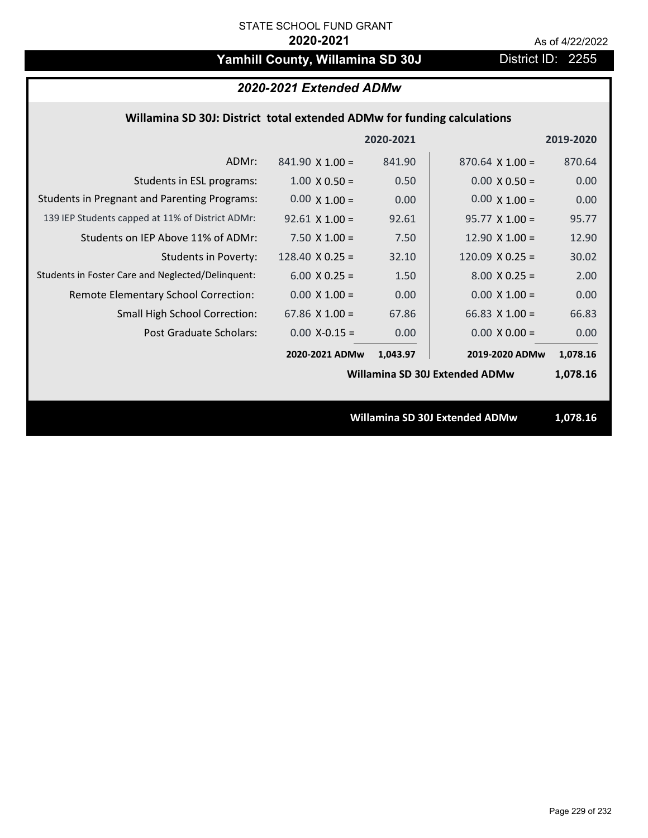# Yamhill County, Willamina SD 30J District ID: 2255

### *2020-2021 Extended ADMw*

## **Willamina SD 30J: District total extended ADMw for funding calculations**

|                                                     |                        | 2020-2021 |                                | 2019-2020 |
|-----------------------------------------------------|------------------------|-----------|--------------------------------|-----------|
| ADMr:                                               | $841.90 \times 1.00 =$ | 841.90    | $870.64$ X 1.00 =              | 870.64    |
| Students in ESL programs:                           | $1.00 \times 0.50 =$   | 0.50      | $0.00 \times 0.50 =$           | 0.00      |
| <b>Students in Pregnant and Parenting Programs:</b> | $0.00 \times 1.00 =$   | 0.00      | $0.00 \times 1.00 =$           | 0.00      |
| 139 IEP Students capped at 11% of District ADMr:    | $92.61 \times 1.00 =$  | 92.61     | $95.77 \times 1.00 =$          | 95.77     |
| Students on IEP Above 11% of ADMr:                  | $7.50 \times 1.00 =$   | 7.50      | $12.90 \times 1.00 =$          | 12.90     |
| <b>Students in Poverty:</b>                         | $128.40 \times 0.25 =$ | 32.10     | 120.09 $X$ 0.25 =              | 30.02     |
| Students in Foster Care and Neglected/Delinquent:   | $6.00 \times 0.25 =$   | 1.50      | $8.00 \times 0.25 =$           | 2.00      |
| Remote Elementary School Correction:                | $0.00 \times 1.00 =$   | 0.00      | $0.00 \times 1.00 =$           | 0.00      |
| <b>Small High School Correction:</b>                | 67.86 $X$ 1.00 =       | 67.86     | 66.83 $\times$ 1.00 =          | 66.83     |
| Post Graduate Scholars:                             | $0.00$ X-0.15 =        | 0.00      | $0.00 \times 0.00 =$           | 0.00      |
|                                                     | 2020-2021 ADMw         | 1,043.97  | 2019-2020 ADMw                 | 1,078.16  |
|                                                     |                        |           | Willamina SD 30J Extended ADMw | 1,078.16  |
|                                                     |                        |           |                                |           |
|                                                     |                        |           | Willamina SD 30J Extended ADMw | 1,078.16  |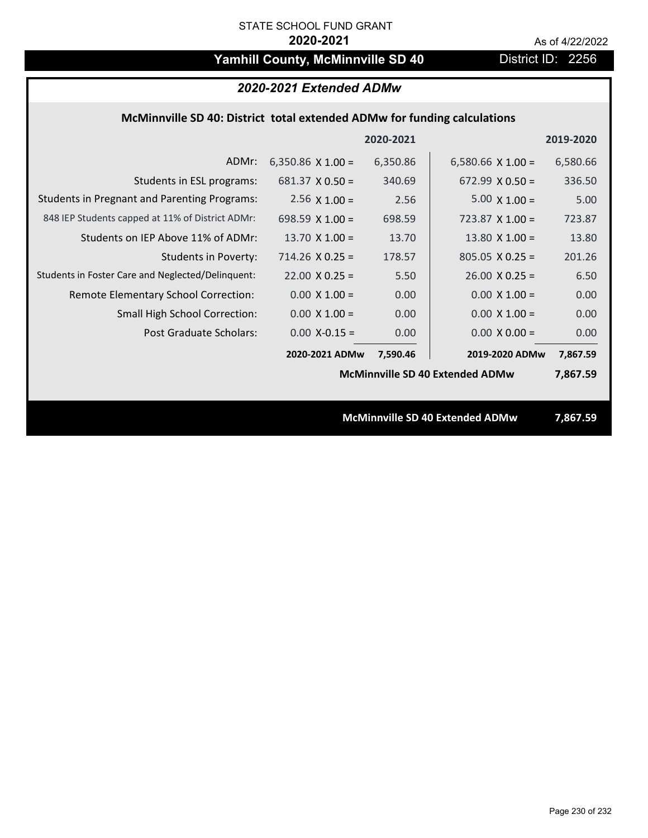# Yamhill County, McMinnville SD 40 District ID: 2256

| 2020-2021 Extended ADMw                                                  |                          |           |                                        |           |
|--------------------------------------------------------------------------|--------------------------|-----------|----------------------------------------|-----------|
| McMinnville SD 40: District total extended ADMw for funding calculations |                          |           |                                        |           |
|                                                                          |                          | 2020-2021 |                                        | 2019-2020 |
| ADMr:                                                                    | 6,350.86 $\times$ 1.00 = | 6,350.86  | 6,580.66 $\times$ 1.00 =               | 6,580.66  |
| Students in ESL programs:                                                | $681.37 \times 0.50 =$   | 340.69    | $672.99 \times 0.50 =$                 | 336.50    |
| <b>Students in Pregnant and Parenting Programs:</b>                      | 2.56 $\times$ 1.00 =     | 2.56      | $5.00 \times 1.00 =$                   | 5.00      |
| 848 IEP Students capped at 11% of District ADMr:                         | 698.59 $X$ 1.00 =        | 698.59    | 723.87 $X$ 1.00 =                      | 723.87    |
| Students on IEP Above 11% of ADMr:                                       | 13.70 $X$ 1.00 =         | 13.70     | 13.80 $X$ 1.00 =                       | 13.80     |
| <b>Students in Poverty:</b>                                              | $714.26$ X 0.25 =        | 178.57    | $805.05 \times 0.25 =$                 | 201.26    |
| Students in Foster Care and Neglected/Delinquent:                        | $22.00 \times 0.25 =$    | 5.50      | $26.00 \times 0.25 =$                  | 6.50      |
| Remote Elementary School Correction:                                     | $0.00 \times 1.00 =$     | 0.00      | $0.00 X 1.00 =$                        | 0.00      |
| <b>Small High School Correction:</b>                                     | $0.00 \times 1.00 =$     | 0.00      | $0.00 \times 1.00 =$                   | 0.00      |
| Post Graduate Scholars:                                                  | $0.00$ X-0.15 =          | 0.00      | $0.00 \times 0.00 =$                   | 0.00      |
|                                                                          | 2020-2021 ADMw           | 7,590.46  | 2019-2020 ADMw                         | 7,867.59  |
|                                                                          |                          |           | <b>McMinnville SD 40 Extended ADMw</b> | 7,867.59  |
|                                                                          |                          |           |                                        |           |
|                                                                          |                          |           | McMinnville SD 40 Extended ADMw        | 7,867.59  |
|                                                                          |                          |           |                                        |           |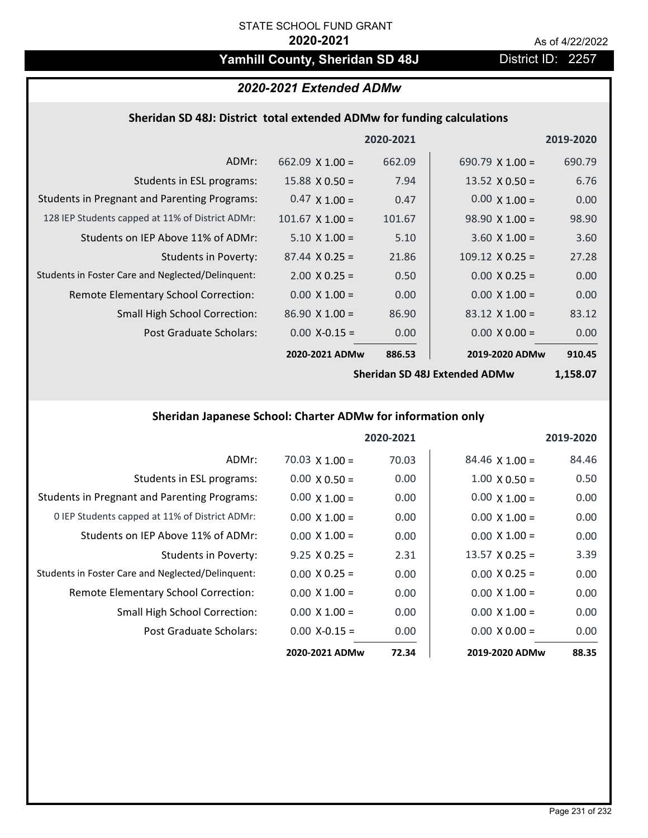# Yamhill County, Sheridan SD 48J District ID: 2257

### *2020-2021 Extended ADMw*

# **Sheridan SD 48J: District total extended ADMw for funding calculations**

|                                                     |                        | 2020-2021 |                        | 2019-2020 |
|-----------------------------------------------------|------------------------|-----------|------------------------|-----------|
| ADMr:                                               | 662.09 $\times$ 1.00 = | 662.09    | 690.79 $\times$ 1.00 = | 690.79    |
| Students in ESL programs:                           | $15.88 \times 0.50 =$  | 7.94      | $13.52 \times 0.50 =$  | 6.76      |
| <b>Students in Pregnant and Parenting Programs:</b> | $0.47 \times 1.00 =$   | 0.47      | $0.00 \times 1.00 =$   | 0.00      |
| 128 IEP Students capped at 11% of District ADMr:    | $101.67 \times 1.00 =$ | 101.67    | $98.90 \times 1.00 =$  | 98.90     |
| Students on IEP Above 11% of ADMr:                  | $5.10 \times 1.00 =$   | 5.10      | $3.60 \times 1.00 =$   | 3.60      |
| Students in Poverty:                                | $87.44 \times 0.25 =$  | 21.86     | $109.12 \times 0.25 =$ | 27.28     |
| Students in Foster Care and Neglected/Delinquent:   | $2.00 \times 0.25 =$   | 0.50      | $0.00 \times 0.25 =$   | 0.00      |
| Remote Elementary School Correction:                | $0.00 \times 1.00 =$   | 0.00      | $0.00 \times 1.00 =$   | 0.00      |
| <b>Small High School Correction:</b>                | $86.90 \times 1.00 =$  | 86.90     | $83.12 \times 1.00 =$  | 83.12     |
| Post Graduate Scholars:                             | $0.00$ X-0.15 =        | 0.00      | $0.00 \times 0.00 =$   | 0.00      |
|                                                     | 2020-2021 ADMw         | 886.53    | 2019-2020 ADMw         | 910.45    |

**Sheridan SD 48J Extended ADMw**

**1,158.07**

## **Sheridan Japanese School: Charter ADMw for information only**

|                                                     |                       | 2020-2021 |                       | 2019-2020 |
|-----------------------------------------------------|-----------------------|-----------|-----------------------|-----------|
| ADMr:                                               | $70.03 \times 1.00 =$ | 70.03     | $84.46 \times 1.00 =$ | 84.46     |
| Students in ESL programs:                           | $0.00 \times 0.50 =$  | 0.00      | $1.00 \times 0.50 =$  | 0.50      |
| <b>Students in Pregnant and Parenting Programs:</b> | $0.00 \times 1.00 =$  | 0.00      | $0.00 \times 1.00 =$  | 0.00      |
| 0 IEP Students capped at 11% of District ADMr:      | $0.00 \times 1.00 =$  | 0.00      | $0.00 \times 1.00 =$  | 0.00      |
| Students on IEP Above 11% of ADMr:                  | $0.00 \times 1.00 =$  | 0.00      | $0.00 \times 1.00 =$  | 0.00      |
| Students in Poverty:                                | $9.25 \times 0.25 =$  | 2.31      | $13.57 \times 0.25 =$ | 3.39      |
| Students in Foster Care and Neglected/Delinquent:   | $0.00 \times 0.25 =$  | 0.00      | $0.00 \times 0.25 =$  | 0.00      |
| Remote Elementary School Correction:                | $0.00 \times 1.00 =$  | 0.00      | $0.00 \times 1.00 =$  | 0.00      |
| <b>Small High School Correction:</b>                | $0.00 \times 1.00 =$  | 0.00      | $0.00 \times 1.00 =$  | 0.00      |
| Post Graduate Scholars:                             | $0.00 X - 0.15 =$     | 0.00      | $0.00 \times 0.00 =$  | 0.00      |
|                                                     | 2020-2021 ADMw        | 72.34     | 2019-2020 ADMw        | 88.35     |